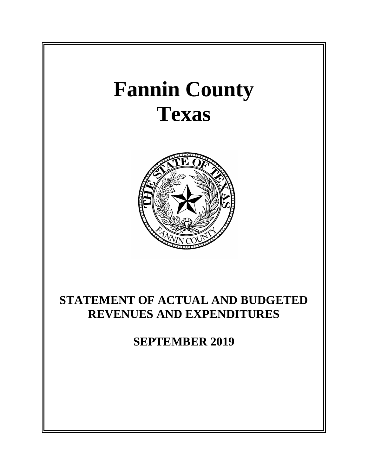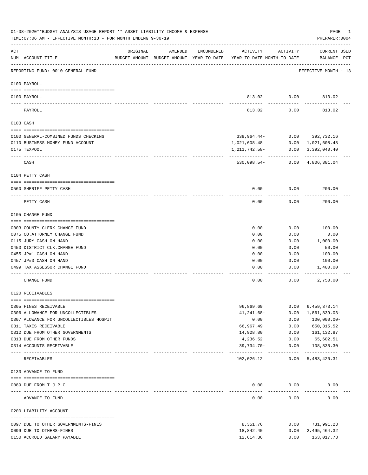|          | 01-08-2020**BUDGET ANALYSIS USAGE REPORT ** ASSET LIABILITY INCOME & EXPENSE<br>TIME: 07:06 AM - EFFECTIVE MONTH: 13 - FOR MONTH ENDING 9-30-19 |                                                      |         |            |                                        |                      | PAGE<br>1<br>PREPARER: 0004               |
|----------|-------------------------------------------------------------------------------------------------------------------------------------------------|------------------------------------------------------|---------|------------|----------------------------------------|----------------------|-------------------------------------------|
| ACT      | NUM ACCOUNT-TITLE                                                                                                                               | ORIGINAL<br>BUDGET-AMOUNT BUDGET-AMOUNT YEAR-TO-DATE | AMENDED | ENCUMBERED | ACTIVITY<br>YEAR-TO-DATE MONTH-TO-DATE | ACTIVITY             | <b>CURRENT USED</b><br>BALANCE PCT        |
|          | REPORTING FUND: 0010 GENERAL FUND                                                                                                               |                                                      |         |            |                                        |                      | EFFECTIVE MONTH - 13                      |
|          | 0100 PAYROLL                                                                                                                                    |                                                      |         |            |                                        |                      |                                           |
| ---- --- | 0100 PAYROLL                                                                                                                                    |                                                      |         |            |                                        | 813.02 0.00          | 813.02                                    |
|          | PAYROLL                                                                                                                                         |                                                      |         |            | 813.02                                 | 0.00                 | 813.02                                    |
|          | 0103 CASH                                                                                                                                       |                                                      |         |            |                                        |                      |                                           |
|          | 0100 GENERAL-COMBINED FUNDS CHECKING                                                                                                            |                                                      |         |            |                                        |                      | 339,964.44- 0.00 392,732.16               |
|          | 0110 BUSINESS MONEY FUND ACCOUNT                                                                                                                |                                                      |         |            | 1,021,608.48                           | 0.00                 | 1,021,608.48                              |
|          | 0175 TEXPOOL                                                                                                                                    |                                                      |         |            | 1,211,742.58-                          |                      | $0.00 \quad 3,392,040.40$                 |
|          | CASH                                                                                                                                            |                                                      |         |            | ------------<br>530,098.54-            | ---------            | ------------<br>$0.00 \quad 4,806,381.04$ |
|          | 0104 PETTY CASH                                                                                                                                 |                                                      |         |            |                                        |                      |                                           |
|          | 0560 SHERIFF PETTY CASH                                                                                                                         |                                                      |         |            | 0.00                                   | 0.00                 | 200.00                                    |
|          | PETTY CASH                                                                                                                                      |                                                      |         |            | 0.00                                   | 0.00                 | 200.00                                    |
|          | 0105 CHANGE FUND                                                                                                                                |                                                      |         |            |                                        |                      |                                           |
|          |                                                                                                                                                 |                                                      |         |            |                                        |                      |                                           |
|          | 0003 COUNTY CLERK CHANGE FUND                                                                                                                   |                                                      |         |            | 0.00                                   | 0.00                 | 100.00                                    |
|          | 0075 CO.ATTORNEY CHANGE FUND                                                                                                                    |                                                      |         |            | 0.00                                   | 0.00                 | 0.00                                      |
|          | 0115 JURY CASH ON HAND<br>0450 DISTRICT CLK. CHANGE FUND                                                                                        |                                                      |         |            | 0.00<br>0.00                           | 0.00<br>0.00         | 1,000.00<br>50.00                         |
|          | 0455 JP#1 CASH ON HAND                                                                                                                          |                                                      |         |            | 0.00                                   | 0.00                 | 100.00                                    |
|          | 0457 JP#3 CASH ON HAND                                                                                                                          |                                                      |         |            | 0.00                                   | 0.00                 | 100.00                                    |
|          | 0499 TAX ASSESSOR CHANGE FUND                                                                                                                   |                                                      |         |            | 0.00                                   | 0.00                 | 1,400.00                                  |
|          | CHANGE FUND                                                                                                                                     |                                                      |         |            | 0.00                                   | 0.00                 | 2,750.00                                  |
|          | 0120 RECEIVABLES                                                                                                                                |                                                      |         |            |                                        |                      |                                           |
|          | 0305 FINES RECEIVABLE                                                                                                                           |                                                      |         |            | 96,869.69                              | 0.00                 | 6,459,373.14                              |
|          | 0306 ALLOWANCE FOR UNCOLLECTIBLES                                                                                                               |                                                      |         |            | $41, 241.68 -$                         | 0.00                 | 1,861,839.03-                             |
|          | 0307 ALOWANCE FOR UNCOLLECTIBLES HOSPIT                                                                                                         |                                                      |         |            | 0.00                                   | 0.00                 | $100,000.00 -$                            |
|          | 0311 TAXES RECEIVABLE                                                                                                                           |                                                      |         |            | 66,967.49                              | 0.00                 | 650, 315.52                               |
|          | 0312 DUE FROM OTHER GOVERNMENTS                                                                                                                 |                                                      |         |            | 14,928.80                              | 0.00                 | 161,132.87                                |
|          | 0313 DUE FROM OTHER FUNDS                                                                                                                       |                                                      |         |            | 4,236.52                               | 0.00                 | 65,602.51                                 |
|          | 0314 ACCOUNTS RECEIVABLE                                                                                                                        | ------------ ------------                            |         |            | 39,734.70-<br>-----------              | 0.00                 | 108,835.30<br>------------                |
|          | RECEIVABLES                                                                                                                                     |                                                      |         |            | 102,026.12                             | ------------<br>0.00 | 5,483,420.31                              |
|          | 0133 ADVANCE TO FUND                                                                                                                            |                                                      |         |            |                                        |                      |                                           |
|          |                                                                                                                                                 |                                                      |         |            |                                        |                      |                                           |
|          | 0089 DUE FROM T.J.P.C.<br>---------------------- -----------                                                                                    |                                                      |         |            | 0.00                                   | 0.00<br>--------     | 0.00                                      |
|          | ADVANCE TO FUND                                                                                                                                 |                                                      |         |            | 0.00                                   | 0.00                 | 0.00                                      |
|          | 0200 LIABILITY ACCOUNT                                                                                                                          |                                                      |         |            |                                        |                      |                                           |
|          | 0097 DUE TO OTHER GOVERNMENTS-FINES                                                                                                             |                                                      |         |            | 8,351.76                               | 0.00                 | 731,991.23                                |
|          | 0099 DUE TO OTHERS-FINES                                                                                                                        |                                                      |         |            | 18,842.40                              | 0.00                 | 2,495,464.32                              |
|          | 0150 ACCRUED SALARY PAYABLE                                                                                                                     |                                                      |         |            | 12,614.36                              | 0.00                 | 163,017.73                                |
|          |                                                                                                                                                 |                                                      |         |            |                                        |                      |                                           |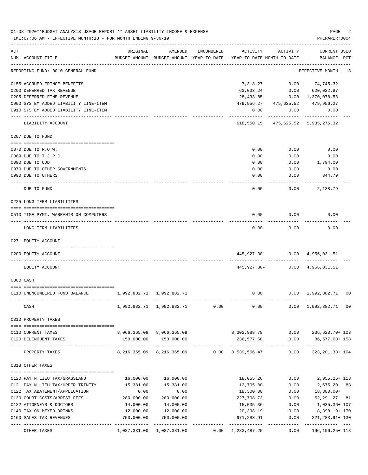|     | TIME: 07:06 AM - EFFECTIVE MONTH: 13 - FOR MONTH ENDING 9-30-19   |                           |                                                        |            |                           |                                            | PREPARER: 0004                        |  |
|-----|-------------------------------------------------------------------|---------------------------|--------------------------------------------------------|------------|---------------------------|--------------------------------------------|---------------------------------------|--|
| ACT |                                                                   | ORIGINAL                  | AMENDED                                                | ENCUMBERED | ACTIVITY                  | ACTIVITY                                   | <b>CURRENT USED</b>                   |  |
|     | NUM ACCOUNT-TITLE                                                 |                           | BUDGET-AMOUNT BUDGET-AMOUNT YEAR-TO-DATE               |            |                           | YEAR-TO-DATE MONTH-TO-DATE                 | BALANCE PCT                           |  |
|     | REPORTING FUND: 0010 GENERAL FUND                                 |                           |                                                        |            |                           |                                            | EFFECTIVE MONTH - 13                  |  |
|     | 0155 ACCRUED FRINGE BENEFITS                                      |                           |                                                        |            | 7,318.27                  |                                            | $0.00$ $74,745.32$                    |  |
|     | 0200 DEFERRED TAX REVENUE                                         |                           |                                                        |            | 63,033.24                 | 0.00                                       | 620,022.87                            |  |
|     | 0205 DEFERRED FINE REVENUE                                        |                           |                                                        |            | 28,433.85                 |                                            | $0.00 \quad 1,370,078.58$             |  |
|     | 0900 SYSTEM ADDED LIABILITY LINE-ITEM                             |                           |                                                        |            | 479,956.27                |                                            | 475,625.52 479,956.27                 |  |
|     | 0910 SYSTEM ADDED LIABILITY LINE-ITEM                             |                           |                                                        |            | 0.00                      | 0.00                                       | 0.00                                  |  |
|     | LIABILITY ACCOUNT                                                 |                           |                                                        |            | .<br>618,550.15           | ----------                                 | 475,625.52 5,935,276.32               |  |
|     | 0207 DUE TO FUND                                                  |                           |                                                        |            |                           |                                            |                                       |  |
|     |                                                                   |                           |                                                        |            |                           |                                            |                                       |  |
|     | 0070 DUE TO R.O.W.                                                |                           |                                                        |            | 0.00                      | 0.00                                       | 0.00                                  |  |
|     | 0089 DUE TO T.J.P.C.                                              |                           |                                                        |            | 0.00                      | 0.00                                       | 0.00                                  |  |
|     | 0090 DUE TO CJD                                                   |                           |                                                        |            | 0.00                      | 0.00                                       | 1,794.00                              |  |
|     | 0970 DUE TO OTHER GOVERNMENTS                                     |                           |                                                        |            | 0.00                      | 0.00                                       | 0.00                                  |  |
|     | 0990 DUE TO OTHERS                                                |                           |                                                        |            | 0.00                      | 0.00                                       | 344.79                                |  |
|     |                                                                   |                           |                                                        |            |                           |                                            |                                       |  |
|     | DUE TO FUND                                                       |                           |                                                        |            | 0.00                      | 0.00                                       | 2,138.79                              |  |
|     | 0225 LONG TERM LIABILITIES                                        |                           |                                                        |            |                           |                                            |                                       |  |
|     | 0510 TIME PYMT. WARRANTS ON COMPUTERS<br>---- ------------------- |                           |                                                        |            | 0.00                      | 0.00                                       | 0.00                                  |  |
|     | LONG TERM LIABILITIES                                             |                           |                                                        |            | 0.00                      | 0.00                                       | 0.00                                  |  |
|     | 0271 EQUITY ACCOUNT                                               |                           |                                                        |            |                           |                                            |                                       |  |
|     | 0200 EQUITY ACCOUNT                                               |                           |                                                        |            |                           | 445,927.30- 0.00 4,956,031.51              |                                       |  |
|     | EQUITY ACCOUNT                                                    |                           |                                                        |            |                           | ---------<br>445,927.30- 0.00 4,956,031.51 |                                       |  |
|     | 0300 CASH                                                         |                           |                                                        |            |                           |                                            |                                       |  |
|     | 0110 UNENCUMBERED FUND BALANCE                                    | 1,992,882.71 1,992,882.71 |                                                        |            | 0.00                      |                                            | $0.00 \quad 1,992,882.71 \quad 00$    |  |
|     |                                                                   |                           |                                                        |            |                           |                                            |                                       |  |
|     | CASH                                                              |                           | 1,992,882.71 1,992,882.71                              | 0.00       | 0.00                      |                                            | $0.00 \quad 1,992,882.71 \quad 00$    |  |
|     | 0310 PROPERTY TAXES                                               |                           |                                                        |            |                           |                                            |                                       |  |
|     | 0110 CURRENT TAXES                                                |                           | 8,066,365.09 8,066,365.09                              |            |                           |                                            | 8,302,988.79   0.00   236,623.70+ 103 |  |
|     | 0120 DELINQUENT TAXES                                             |                           | 150,000.00 150,000.00                                  |            | 236,577.68                | 0.00                                       | 86,577.68+ 158                        |  |
|     | PROPERTY TAXES                                                    |                           | 8, 216, 365.09 8, 216, 365.09 0.00 8, 539, 566.47 0.00 |            |                           | ---------                                  | 323, 201.38+ 104                      |  |
|     | 0318 OTHER TAXES                                                  |                           |                                                        |            |                           |                                            |                                       |  |
|     | 0120 PAY N LIEU TAX/GRASSLAND                                     | 16,000.00                 | 16,000.00                                              |            | 18,055.26                 | 0.00                                       | 2,055.26+ 113                         |  |
|     | 0121 PAY N LIEU TAX/UPPER TRINITY                                 | 15,381.00                 | 15,381.00                                              |            | 12,705.80                 | 0.00                                       | 2,675.20 83                           |  |
|     | 0122 TAX ABATEMENT/APPLICATION                                    | 0.00                      | 0.00                                                   |            | 18,300.00                 | 0.00                                       | 18,300.00+                            |  |
|     | 0130 COURT COSTS/ARREST FEES                                      | 280,000.00                | 280,000.00                                             |            | 227,708.73                | 0.00                                       | 52, 291. 27 81                        |  |
|     | 0132 ATTORNEYS & DOCTORS                                          | 14,000.00                 | 14,000.00                                              |            | 15,035.36                 | 0.00                                       | 1,035.36+ 107                         |  |
|     | 0140 TAX ON MIXED DRINKS                                          | 12,000.00                 | 12,000.00                                              |            | 20,398.19                 | 0.00                                       | 8,398.19+ 170                         |  |
|     | 0160 SALES TAX REVENUES                                           | 750,000.00                | 750,000.00                                             |            | 971,283.91                | 0.00                                       | 221, 283. 91+ 130                     |  |
|     | OTHER TAXES                                                       |                           | 1,087,381.00 1,087,381.00                              |            | $0.00 \quad 1,283,487.25$ | 0.00                                       | 196, 106. 25+ 118                     |  |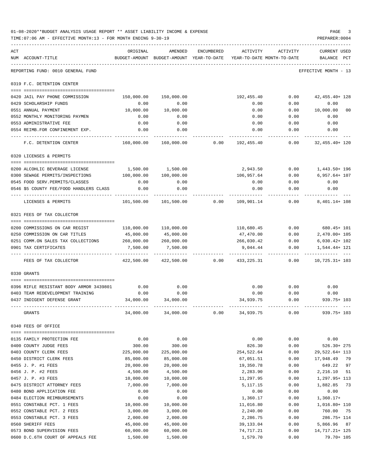|     | 01-08-2020**BUDGET ANALYSIS USAGE REPORT ** ASSET LIABILITY INCOME & EXPENSE<br>TIME: 07:06 AM - EFFECTIVE MONTH: 13 - FOR MONTH ENDING 9-30-19 |                    |                                        |            |                                                                                 |                 | PAGE<br>3<br>PREPARER: 0004        |
|-----|-------------------------------------------------------------------------------------------------------------------------------------------------|--------------------|----------------------------------------|------------|---------------------------------------------------------------------------------|-----------------|------------------------------------|
| ACT | NUM ACCOUNT-TITLE                                                                                                                               | ORIGINAL           | AMENDED                                | ENCUMBERED | ACTIVITY<br>BUDGET-AMOUNT BUDGET-AMOUNT YEAR-TO-DATE YEAR-TO-DATE MONTH-TO-DATE | ACTIVITY        | <b>CURRENT USED</b><br>BALANCE PCT |
|     | REPORTING FUND: 0010 GENERAL FUND                                                                                                               |                    |                                        |            |                                                                                 |                 | EFFECTIVE MONTH - 13               |
|     | 0319 F.C. DETENTION CENTER                                                                                                                      |                    |                                        |            |                                                                                 |                 |                                    |
|     | 0420 JAIL PAY PHONE COMMISSION                                                                                                                  | 150,000.00         | 150,000.00                             |            | 192,455.40                                                                      | 0.00            | 42, 455. 40+ 128                   |
|     | 0429 SCHOLARSHIP FUNDS                                                                                                                          | 0.00               | 0.00                                   |            | 0.00                                                                            | 0.00            | 0.00                               |
|     | 0551 ANNUAL PAYMENT                                                                                                                             | 10,000.00          | 10,000.00                              |            | 0.00                                                                            |                 | $0.00$ $10,000.00$<br>00           |
|     | 0552 MONTHLY MONITORING PAYMEN                                                                                                                  | 0.00               | 0.00                                   |            | 0.00                                                                            | 0.00            | 0.00                               |
|     | 0553 ADMINISTRATIVE FEE                                                                                                                         | 0.00               | 0.00                                   |            | 0.00                                                                            | 0.00            | 0.00                               |
|     | 0554 REIMB.FOR CONFINEMENT EXP.                                                                                                                 | 0.00<br>.          | 0.00                                   |            |                                                                                 | $0.00$ 0.00     | 0.00<br>.                          |
|     | F.C. DETENTION CENTER                                                                                                                           | 160,000.00         |                                        |            |                                                                                 |                 | 32,455.40+ 120                     |
|     | 0320 LICENSES & PERMITS                                                                                                                         |                    |                                        |            |                                                                                 |                 |                                    |
|     |                                                                                                                                                 |                    |                                        |            |                                                                                 |                 |                                    |
|     | 0200 ALCOHLIC BEVERAGE LICENSE                                                                                                                  |                    | 1,500.00 1,500.00                      |            |                                                                                 |                 | 2,943.50 0.00 1,443.50+196         |
|     | 0300 SEWAGE PERMITS/INSPECTIONS<br>0545 FOOD SERV. PERMITS/CLASSES                                                                              | 100,000.00<br>0.00 | 100,000.00<br>0.00                     |            | 106,957.64<br>0.00                                                              | 0.00            | $0.00$ 6,957.64+ 107<br>0.00       |
|     | 0546 \$5 COUNTY FEE/FOOD HANDLERS CLASS                                                                                                         | 0.00               | 0.00                                   |            | 0.00                                                                            | 0.00            | 0.00                               |
|     |                                                                                                                                                 |                    |                                        |            |                                                                                 |                 | ----------                         |
|     | LICENSES & PERMITS                                                                                                                              | 101,500.00         |                                        |            | $101,500.00$ $0.00$ $109,901.14$ $0.00$                                         |                 | 8,401.14+ 108                      |
|     | 0321 FEES OF TAX COLLECTOR                                                                                                                      |                    |                                        |            |                                                                                 |                 |                                    |
|     | 0200 COMMISSIONS ON CAR REGIST                                                                                                                  | 110,000.00         | 110,000.00                             |            | 110,680.45                                                                      | 0.00            | 680.45+ 101                        |
|     | 0250 COMMISSION ON CAR TITLES                                                                                                                   | 45,000.00          | 45,000.00                              |            | 47,470.00                                                                       | 0.00            | 2,470.00+ 105                      |
|     | 0251 COMM.ON SALES TAX COLLECTIONS 260,000.00                                                                                                   |                    | 260,000.00                             |            |                                                                                 | 266,030.42 0.00 | 6,030.42+ 102                      |
|     | 0901 TAX CERTIFICATES                                                                                                                           | 7,500.00           | 7,500.00                               |            | 9,044.44                                                                        | 0.00            | 1,544.44+ 121                      |
|     | FEES OF TAX COLLECTOR                                                                                                                           |                    | _____________<br>422,500.00 422,500.00 |            | $0.00$ $433.225.31$                                                             | 0.00            | $10.725.31 + 103$                  |
|     | 0330 GRANTS                                                                                                                                     |                    |                                        |            |                                                                                 |                 |                                    |
|     | 0396 RIFLE RESISTANT BODY ARMOR 3439801                                                                                                         | 0.00               | 0.00                                   |            | 0.00                                                                            | 0.00            | 0.00                               |
|     | 0403 TEAM REDEVELOPMENT TRAINING                                                                                                                | 0.00               | 0.00                                   |            | 0.00                                                                            | 0.00            | 0.00                               |
|     | 0437 INDIGENT DEFENSE GRANT                                                                                                                     | 34,000.00          | 34,000.00                              |            | 34,939.75                                                                       | 0.00            | 939.75+ 103                        |
|     | GRANTS                                                                                                                                          | 34,000.00          | 34,000.00                              | 0.00       | 34,939.75                                                                       | 0.00            | $939.75 + 103$                     |
|     | 0340 FEES OF OFFICE                                                                                                                             |                    |                                        |            |                                                                                 |                 |                                    |
|     |                                                                                                                                                 |                    |                                        |            |                                                                                 |                 |                                    |
|     | 0135 FAMILY PROTECTION FEE                                                                                                                      | 0.00               | 0.00                                   |            | 0.00                                                                            | 0.00            | 0.00                               |
|     | 0400 COUNTY JUDGE FEES                                                                                                                          | 300.00             | 300.00                                 |            | 826.30                                                                          | 0.00            | $526.30 + 275$                     |
|     | 0403 COUNTY CLERK FEES                                                                                                                          | 225,000.00         | 225,000.00                             |            | 254,522.64                                                                      | 0.00            | 29,522.64+ 113                     |
|     | 0450 DISTRICT CLERK FEES                                                                                                                        | 85,000.00          | 85,000.00                              |            | 67,051.51                                                                       | 0.00            | 17,948.49<br>79                    |
|     | 0455 J. P. #1 FEES                                                                                                                              | 20,000.00          | 20,000.00                              |            | 19,350.78                                                                       | 0.00            | 649.22<br>97                       |
|     | 0456 J. P. #2 FEES                                                                                                                              | 4,500.00           | 4,500.00                               |            | 2,283.90                                                                        | 0.00            | 2,216.10<br>51                     |
|     | 0457 J. P. #3 FEES                                                                                                                              | 10,000.00          | 10,000.00                              |            | 11,297.95                                                                       | 0.00            | 1,297.95+ 113                      |
|     | 0475 DISTRICT ATTORNEY FEES                                                                                                                     | 7,000.00           | 7,000.00                               |            | 5,117.15                                                                        | 0.00            | 1,882.85<br>73                     |
|     | 0480 BOND APPLICATION FEE<br>0484 ELECTION REIMBURSEMENTS                                                                                       | 0.00<br>0.00       | 0.00<br>0.00                           |            | 0.00<br>1,360.17                                                                | 0.00<br>0.00    | 0.00<br>$1,360.17+$                |
|     | 0551 CONSTABLE PCT. 1 FEES                                                                                                                      | 10,000.00          | 10,000.00                              |            | 11,016.80                                                                       | 0.00            | 1,016.80+ 110                      |
|     | 0552 CONSTABLE PCT. 2 FEES                                                                                                                      | 3,000.00           | 3,000.00                               |            | 2,240.00                                                                        | 0.00            | 760.00<br>75                       |
|     | 0553 CONSTABLE PCT. 3 FEES                                                                                                                      | 2,000.00           | 2,000.00                               |            | 2,286.75                                                                        | 0.00            | 286.75+ 114                        |
|     | 0560 SHERIFF FEES                                                                                                                               | 45,000.00          | 45,000.00                              |            | 39,133.04                                                                       | 0.00            | 5,866.96 87                        |
|     | 0573 BOND SUPERVISION FEES                                                                                                                      | 60,000.00          | 60,000.00                              |            | 74,717.21                                                                       | 0.00            | 14, 717. 21+ 125                   |
|     | 0600 D.C.6TH COURT OF APPEALS FEE                                                                                                               | 1,500.00           | 1,500.00                               |            | 1,579.70                                                                        | 0.00            | 79.70+ 105                         |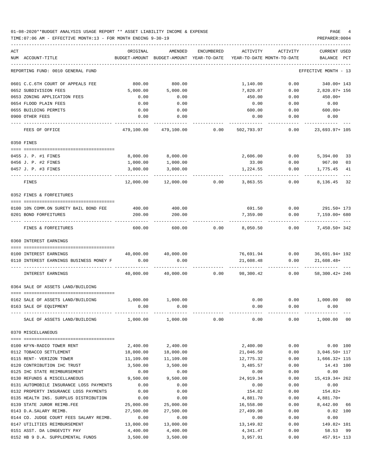TIME:07:06 AM - EFFECTIVE MONTH:13 - FOR MONTH ENDING 9-30-19 PREPARER:0004 ----------------------------------------------------------------------------------------------------------------------------------- ACT ORIGINAL AMENDED ENCUMBERED ACTIVITY ACTIVITY CURRENT USED NUM ACCOUNT-TITLE BUDGET-AMOUNT BUDGET-AMOUNT YEAR-TO-DATE YEAR-TO-DATE MONTH-TO-DATE BALANCE PCT ----------------------------------------------------------------------------------------------------------------------------------- REPORTING FUND: 0010 GENERAL FUND EFFECTIVE MONTH - 13 0601 C.C.6TH COURT OF APPEALS FEE 800.00 800.00 1,140.00 0.00 340.00+ 143 0652 SUBDIVISION FEES 5,000.00 5,000.00 7,820.07 0.00 2,820.07+ 156 0653 ZONING APPLICATION FEES 0.00 0.00 450.00 0.00 450.00+ 0654 FLOOD PLAIN FEES 0.00 0.00 0.00 0.00 0.00 0655 BUILDING PERMITS 0.00 0.00 600.00 0.00 600.00+ 0900 OTHER FEES 0.00 0.00 0.00 0.00 0.00 ---- ---------------------------------- ------------- ------------- ------------ ------------- ------------ ------------- --- FEES OF OFFICE 479,100.00 479,100.00 0.00 502,793.97 0.00 23,693.97+ 105 0350 FINES ==== =================================== 0455 J. P. #1 FINES 8,000.00 2,606.00 0.00 5,394.00 33 0456 J. P. #2 FINES 1,000.00 1,000.00 33.00 0.00 967.00 03 0457 J. P. #3 FINES 3,000.00 3,000.00 1,224.55 0.00 1,775.45 41 ---- ---------------------------------- ------------- ------------- ------------ ------------- ------------ ------------- --- FINES 12,000.00 12,000.00 0.00 3,863.55 0.00 8,136.45 32 0352 FINES & FORFEITURES ==== =================================== 0100 10% COMM.ON SURETY BAIL BOND FEE 400.00 400.00 691.50 0.00 291.50+ 173 0201 BOND FORFEITURES 200.00 200.00 7,359.00 0.00 7,159.00+ 680 ---- ---------------------------------- ------------- ------------- ------------ ------------- ------------ ------------- --- FINES & FORFEITURES 600.00 600.00 0.00 8,050.50 0.00 7,450.50+ 342 0360 INTEREST EARNINGS ==== =================================== 0100 INTEREST EARNINGS 40,000.00 40,000.00 76,691.94 0.00 36,691.94+ 192 0110 INTEREST EARNINGS BUSINESS MONEY F 0.00 0.00 0.00 21,608.48 0.00 21,608.48+ ---- ---------------------------------- ------------- ------------- ------------ ------------- ------------ ------------- --- INTEREST EARNINGS 40,000.00 40,000.00 0.00 98,300.42 0.00 58,300.42+ 246 0364 SALE OF ASSETS LAND/BUILDING ==== =================================== 0162 SALE OF ASSETS LAND/BUILDING  $1,000.00$   $1,000.00$   $0.00$  0.00 00 0163 SALE OF EQUIPMENT 0.00 0.00 0.00 0.00 0.00 ---- ---------------------------------- ------------- ------------- ------------ ------------- ------------ ------------- --- SALE OF ASSETS LAND/BUILDING 1,000.00 1,000.00 0.00 0.00 0.00 1,000.00 00 0370 MISCELLANEOUS ==== =================================== 0100 KFYN-RADIO TOWER RENT 2,400.00 2,400.00 2,400.00 0.00 0.00 100 0112 TOBACCO SETTLEMENT 18,000.00 18,000.00 21,046.50 0.00 3,046.50+ 117 0115 RENT- VERIZON TOWER 11,109.00 11,109.00 12,775.32 0.00 1,666.32+ 115 0120 CONTRIBUTION IHC TRUST 3,500.00 3,500.00 3,485.57 0.00 14.43 100 0125 IHC STATE REIMBURSEMENT 0.00 0.00 0.00 0.00 0.00 0130 REFUNDS & MISCELLANEOUS 9,500.00 9,500.00 24,919.34 0.00 15,419.34+ 262 0131 AUTOMOBILE INSURANCE LOSS PAYMENTS  $0.00$  0.00 0.00 0.00 0.00 0.00 0.00 0132 PROPERTY INSURANCE LOSS PAYMENTS  $0.00$  0.00 0.00 154.82 0.00 154.82+ 0135 HEALTH INS. SURPLUS DISTRIBUTION 0.00 0.00 4,881.70 0.00 4,881.70+ 0139 STATE JUROR REIMB.FEE 25,000.00 25,000.00 16,558.00 0.00 8,442.00 66 0143 D.A.SALARY REIMB. 27,500.00 27,500.00 27,499.98 0.00 0.02 100 0144 CO. JUDGE COURT FEES SALARY REIMB.  $0.00$  0.00 0.00 0.00 0.00 0.00 0.00 0147 UTILITIES REIMBURSEMENT 13,000.00 13,000.00 13,149.82 0.00 149.82+ 101

0151 ASST. DA LONGEVITY PAY 4,400.00 4,400.00 4,341.47 0.00 58.53 99 0152 HB 9 D.A. SUPPLEMENTAL FUNDS 3,500.00 3,500.00 3,500.00 3,957.91 0.00 457.91 113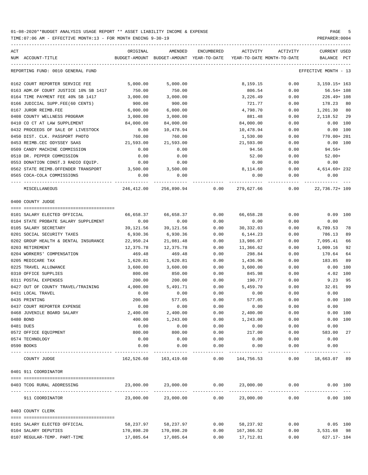| ACT                                   | ORIGINAL   | AMENDED                                  | ENCUMBERED | ACTIVITY                   | ACTIVITY | CURRENT USED         |              |
|---------------------------------------|------------|------------------------------------------|------------|----------------------------|----------|----------------------|--------------|
| NUM ACCOUNT-TITLE                     |            | BUDGET-AMOUNT BUDGET-AMOUNT YEAR-TO-DATE |            | YEAR-TO-DATE MONTH-TO-DATE |          | BALANCE              | $_{\rm PCT}$ |
| REPORTING FUND: 0010 GENERAL FUND     |            |                                          |            |                            |          | EFFECTIVE MONTH - 13 |              |
| 0162 COURT REPORTER SERVICE FEE       | 5,000.00   | 5,000.00                                 |            | 8,159.15                   | 0.00     | $3,159.15+163$       |              |
| 0163 ADM.OF COURT JUSTICE 10% SB 1417 | 750.00     | 750.00                                   |            | 806.54                     | 0.00     | 56.54+ 108           |              |
| 0164 TIME PAYMENT FEE 40% SB 1417     | 3,000.00   | 3,000.00                                 |            | 3,226.49                   | 0.00     | 226.49+ 108          |              |
| 0166 JUDICIAL SUPP.FEE(60 CENTS)      | 900.00     | 900.00                                   |            | 721.77                     | 0.00     | 178.23 80            |              |
| 0167 JUROR REIMB.FEE                  | 6,000.00   | 6,000.00                                 |            | 4,798.70                   | 0.00     | 1,201.30 80          |              |
| 0408 COUNTY WELLNESS PROGRAM          | 3,000.00   | 3,000.00                                 |            | 881.48                     | 0.00     | 2,118.52 29          |              |
| 0410 CO CT AT LAW SUPPLEMENT          | 84,000.00  | 84,000.00                                |            | 84,000.00                  | 0.00     | 0.00 100             |              |
| 0432 PROCEEDS OF SALE OF LIVESTOCK    | 0.00       | 10,478.94                                |            | 10,478.94                  | 0.00     | $0.00$ 100           |              |
| 0450 DIST. CLK. PASSPORT PHOTO        | 760.00     | 760.00                                   |            | 1,530.00                   | 0.00     | 770.00+ 201          |              |
| 0453 REIMB.CEC ODYSSEY SAAS           | 21,593.00  | 21,593.00                                |            | 21,593.00                  | 0.00     | $0.00$ 100           |              |
| 0509 CANDY MACHINE COMMISSION         | 0.00       | 0.00                                     |            | 94.56                      | 0.00     | 94.56+               |              |
| 0510 DR. PEPPER COMMISSION            | 0.00       | 0.00                                     |            | 52.00                      | 0.00     | $52.00+$             |              |
| 0553 DONATION CONST.3 RADIO EQUIP.    | 0.00       | 0.00                                     |            | 0.00                       | 0.00     | 0.00                 |              |
| 0562 STATE REIMB.OFFENDER TRANSPORT   | 3,500.00   | 3,500.00                                 |            | 8,114.60                   | 0.00     | 4,614.60+232         |              |
| 0565 COCA-COLA COMMISSIONS            | 0.00       | 0.00                                     |            | 0.00                       | 0.00     | 0.00                 |              |
| MISCELLANEOUS                         |            | 246,412.00 256,890.94 0.00               |            | 279,627.66                 | 0.00     | 22,736.72+ 109       |              |
| 0400 COUNTY JUDGE                     |            |                                          |            |                            |          |                      |              |
| 0101 SALARY ELECTED OFFICIAL          | 66,658.37  | 66,658.37                                | 0.00       | 66,658.28                  | 0.00     | $0.09$ 100           |              |
| 0104 STATE PROBATE SALARY SUPPLEMENT  | 0.00       | 0.00                                     | 0.00       | 0.00                       | 0.00     | 0.00                 |              |
| 0105 SALARY SECRETARY                 | 39,121.56  | 39,121.56                                | 0.00       | 30,332.03                  | 0.00     | 8,789.53             | 78           |
| 0201 SOCIAL SECURITY TAXES            | 6,930.36   | 6,930.36                                 | 0.00       | 6,144.23                   | 0.00     | 786.13               | 89           |
| 0202 GROUP HEALTH & DENTAL INSURANCE  | 22,950.24  | 21,081.48                                | 0.00       | 13,986.07                  | 0.00     | 7,095.41             | 66           |
| 0203 RETIREMENT                       | 12,375.78  | 12,375.78                                | 0.00       | 11,366.62                  | 0.00     | 1,009.16             | 92           |
| 0204 WORKERS' COMPENSATION            | 469.48     | 469.48                                   | 0.00       | 298.84                     | 0.00     | 170.64               | 64           |
| 0205 MEDICARE TAX                     | 1,620.81   | 1,620.81                                 | 0.00       | 1,436.96                   | 0.00     | 183.85               | 89           |
| 0225 TRAVEL ALLOWANCE                 | 3,600.00   | 3,600.00                                 | 0.00       | 3,600.00                   | 0.00     | 0.00                 | 100          |
| 0310 OFFICE SUPPLIES                  | 800.00     | 850.00                                   | 0.00       | 845.98                     | 0.00     | 4.02 100             |              |
| 0311 POSTAL EXPENSES                  | 200.00     | 200.00                                   | 0.00       | 190.77                     | 0.00     | 9.23 95              |              |
| 0427 OUT OF COUNTY TRAVEL/TRAINING    | 4,000.00   | 5,491.71                                 | 0.00       | 5,459.70                   | 0.00     | 32.01                | 99           |
| 0431 LOCAL TRAVEL                     | 0.00       | 0.00                                     | 0.00       | 0.00                       | 0.00     | 0.00                 |              |
| 0435 PRINTING                         | 200.00     | 577.05                                   | 0.00       | 577.05                     | 0.00     | 0.00 100             |              |
| 0437 COURT REPORTER EXPENSE           | 0.00       | 0.00                                     | 0.00       | 0.00                       | 0.00     | 0.00                 |              |
| 0468 JUVENILE BOARD SALARY            | 2,400.00   | 2,400.00                                 | 0.00       | 2,400.00                   | 0.00     | 0.00 100             |              |
| 0480 BOND                             | 400.00     | 1,243.00                                 | 0.00       | 1,243.00                   | 0.00     | 0.00 100             |              |
| 0481 DUES                             | 0.00       | 0.00                                     | 0.00       | 0.00                       | 0.00     | 0.00                 |              |
| 0572 OFFICE EQUIPMENT                 | 800.00     | 800.00                                   | 0.00       | 217.00                     | 0.00     | 583.00               | 27           |
| 0574 TECHNOLOGY                       | 0.00       | 0.00                                     | 0.00       | 0.00                       | 0.00     | 0.00                 |              |
| 0590 BOOKS                            | 0.00       | 0.00                                     | 0.00       | 0.00                       | 0.00     | 0.00                 |              |
| COUNTY JUDGE                          |            | 162,526.60 163,419.60                    |            | $0.00$ 144,756.53          | 0.00     | 18,663.07 89         |              |
| 0401 911 COORDINATOR                  |            |                                          |            |                            |          |                      |              |
|                                       |            |                                          |            |                            |          |                      |              |
| 0403 TCOG RURAL ADDRESSING            | 23,000.00  | 23,000.00                                | 0.00       | 23,000.00                  | 0.00     | 0.00 100             |              |
| 911 COORDINATOR                       | 23,000.00  | 23,000.00                                | 0.00       | 23,000.00                  | 0.00     | 0.00 100             |              |
| 0403 COUNTY CLERK                     |            |                                          |            |                            |          |                      |              |
|                                       |            |                                          |            |                            |          |                      |              |
| 0101 SALARY ELECTED OFFICIAL          | 58,237.97  | 58,237.97                                | 0.00       | 58,237.92                  | 0.00     | $0.05$ 100           |              |
| 0104 SALARY DEPUTIES                  | 170,898.20 | 170,898.20                               | 0.00       | 167,366.52                 | 0.00     | 3,531.68 98          |              |
| 0107 REGULAR-TEMP. PART-TIME          | 17,085.64  | 17,085.64                                | 0.00       | 17,712.81                  | 0.00     | 627.17- 104          |              |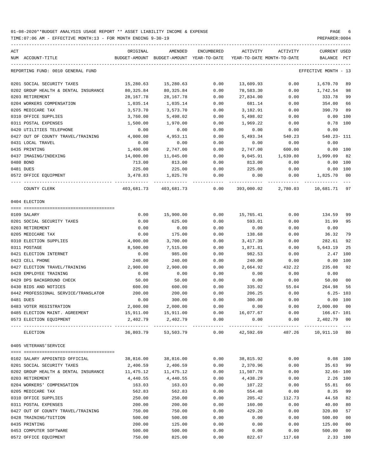| ACT | NUM ACCOUNT-TITLE                                         | ORIGINAL              | AMENDED<br>BUDGET-AMOUNT BUDGET-AMOUNT YEAR-TO-DATE | ENCUMBERED   | ACTIVITY          | ACTIVITY<br>YEAR-TO-DATE MONTH-TO-DATE | CURRENT USED<br>BALANCE PCT   |                 |
|-----|-----------------------------------------------------------|-----------------------|-----------------------------------------------------|--------------|-------------------|----------------------------------------|-------------------------------|-----------------|
|     | REPORTING FUND: 0010 GENERAL FUND                         |                       |                                                     |              |                   |                                        | EFFECTIVE MONTH - 13          |                 |
|     | 0201 SOCIAL SECURITY TAXES                                | 15,280.63             | 15,280.63                                           | 0.00         | 13,609.93         | 0.00                                   | 1,670.70                      | 89              |
|     | 0202 GROUP HEALTH & DENTAL INSURANCE                      | 80,325.84             | 80,325.84                                           | 0.00         | 78,583.30         | 0.00                                   | 1,742.54                      | 98              |
|     | 0203 RETIREMENT                                           | 28,167.78             | 28,167.78                                           | 0.00         | 27,834.00         | 0.00                                   | 333.78                        | 99              |
|     | 0204 WORKERS COMPENSATION                                 | 1,035.14              | 1,035.14                                            | 0.00         | 681.14            | 0.00                                   | 354.00                        | 66              |
|     | 0205 MEDICARE TAX                                         | 3,573.70              | 3,573.70                                            | 0.00         | 3,182.91          | 0.00                                   | 390.79                        | 89              |
|     | 0310 OFFICE SUPPLIES                                      | 3,760.00              | 5,498.02                                            | 0.00         | 5,498.02          | 0.00                                   | $0.00$ 100                    |                 |
|     | 0311 POSTAL EXPENSES                                      | 1,500.00              | 1,970.00                                            | 0.00         | 1,969.22          | 0.00                                   | $0.78$ 100                    |                 |
|     | 0420 UTILITIES TELEPHONE                                  | 0.00                  | 0.00                                                | 0.00         | 0.00              | 0.00                                   | 0.00                          |                 |
|     | 0427 OUT OF COUNTY TRAVEL/TRAINING                        | 4,000.00              | 4,953.11                                            | 0.00         | 5,493.34          | 540.23                                 | 540.23- 111                   |                 |
|     | 0431 LOCAL TRAVEL                                         | 0.00                  | 0.00                                                | 0.00         | 0.00              | 0.00                                   | 0.00                          |                 |
|     | 0435 PRINTING                                             | 1,400.00              | 2,747.00                                            | 0.00         | 2,747.00          | 600.00                                 | 0.00 100                      |                 |
|     | 0437 IMAGING/INDEXING                                     | 14,000.00             | 11,045.00                                           | 0.00         | 9,045.91          | 1,639.80                               | 1,999.09                      | 82              |
|     | 0480 BOND                                                 | 713.00                | 813.00                                              | 0.00         | 813.00            | 0.00                                   | 0.00 100                      |                 |
|     | 0481 DUES                                                 | 225.00                | 225.00                                              | 0.00         | 225.00            | 0.00                                   | 0.00 100                      |                 |
|     | 0572 OFFICE EQUIPMENT                                     | 3,478.83              | 1,825.70                                            | 0.00         | 0.00              | 0.00                                   | 1,825.70                      | $\overline{00}$ |
|     | COUNTY CLERK                                              |                       | 403,681.73  403,681.73  0.00                        |              |                   | 393,000.02 2,780.03                    | 10,681.71                     | 97              |
|     | 0404 ELECTION                                             |                       |                                                     |              |                   |                                        |                               |                 |
|     |                                                           |                       |                                                     |              |                   |                                        |                               |                 |
|     | 0109 SALARY                                               | 0.00                  | 15,900.00                                           | 0.00         | 15,765.41         | 0.00                                   | 134.59                        | 99              |
|     | 0201 SOCIAL SECURITY TAXES                                | 0.00                  | 625.00                                              | 0.00         | 593.01            | 0.00                                   | 31.99                         | 95              |
|     | 0203 RETIREMENT                                           | 0.00                  | 0.00                                                | 0.00         | 0.00              | 0.00                                   | 0.00                          |                 |
|     | 0205 MEDICARE TAX                                         | 0.00                  | 175.00                                              | 0.00         | 138.68            | 0.00                                   | 36.32                         | 79              |
|     | 0310 ELECTION SUPPLIES                                    | 4,000.00              | 3,700.00                                            | 0.00         | 3,417.39          | 0.00                                   | 282.61                        | 92              |
|     | 0311 POSTAGE                                              | 8,500.00              | 7,515.00                                            | 0.00         | 1,871.81          | 0.00                                   | 5,643.19                      | 25              |
|     | 0421 ELECTION INTERNET                                    | 0.00                  | 985.00                                              | 0.00         | 982.53            | 0.00                                   | 2.47 100                      |                 |
|     | 0423 CELL PHONE                                           | 240.00                | 240.00                                              | 0.00         | 240.00            | 0.00                                   | 0.00 100                      |                 |
|     | 0427 ELECTION TRAVEL/TRAINING                             | 2,900.00              | 2,900.00                                            | 0.00         | 2,664.92          | 432.22                                 | 235.08                        | 92              |
|     | 0428 EMPLOYEE TRAINING                                    | 0.00                  | 0.00                                                | 0.00         | 0.00              | 0.00                                   | 0.00                          |                 |
|     | 0429 DPS BACKGROUND CHECK                                 | 50.00                 | 50.00                                               | 0.00         | 0.00              | 0.00                                   | 50.00                         | 0 <sub>0</sub>  |
|     | 0430 BIDS AND NOTICES                                     | 600.00                | 600.00                                              | 0.00         | 335.02            | 55.04                                  | 264.98                        | 56              |
|     | 0442 PROFESSIONAL SERVICE/TRANSLATOR                      | 200.00                | 200.00                                              | 0.00         | 206.25            | 0.00                                   | $6.25 - 103$                  |                 |
|     | 0481 DUES                                                 | 0.00                  | 300.00                                              | 0.00         | 300.00            | 0.00                                   | 0.00 100                      |                 |
|     | 0483 VOTER REGISTRATION                                   | 2.000.00              | 2,000.00                                            | 0.00         | 0.00              | 0.00                                   | 2,000.00 00                   |                 |
|     | 0485 ELECTION MAINT. AGREEMENT<br>0573 ELECTION EQUIPMENT | 15,911.00<br>2,402.79 | 15,911.00<br>2,402.79                               | 0.00<br>0.00 | 16,077.67<br>0.00 | 0.00<br>0.00                           | $166.67 - 101$<br>2,402.79 00 |                 |
|     | ELECTION                                                  | 36,803.79             | 53,503.79                                           | 0.00         | 42,592.69         | 487.26                                 | 10,911.10 80                  |                 |
|     | 0405 VETERANS' SERVICE                                    |                       |                                                     |              |                   |                                        |                               |                 |
|     |                                                           |                       |                                                     |              |                   |                                        |                               |                 |
|     | 0102 SALARY APPOINTED OFFICIAL                            | 38,816.00             | 38,816.00                                           | 0.00         | 38,815.92         | 0.00                                   | $0.08$ 100                    |                 |
|     | 0201 SOCIAL SECURITY TAXES                                | 2,406.59              | 2,406.59                                            | 0.00         | 2,370.96          | 0.00                                   | 35.63                         | 99              |
|     | 0202 GROUP HEALTH & DENTAL INSURANCE                      | 11,475.12             | 11,475.12                                           | 0.00         | 11,507.78         | 0.00                                   | $32.66 - 100$                 |                 |
|     | 0203 RETIREMENT                                           | 4,440.55              | 4,440.55                                            | 0.00         | 4,438.29          | 0.00                                   | 2.26 100                      |                 |
|     | 0204 WORKERS' COMPENSATION                                | 163.03                | 163.03                                              | 0.00         | 107.22            | 0.00                                   | 55.81                         | 66              |
|     | 0205 MEDICARE TAX                                         | 562.83                | 562.83                                              | 0.00         | 554.48            | 0.00                                   | 8.35                          | 99              |
|     | 0310 OFFICE SUPPLIES                                      | 250.00                | 250.00                                              | 0.00         | 205.42            | 112.73                                 | 44.58                         | 82              |
|     | 0311 POSTAL EXPENSES                                      | 200.00                | 200.00                                              | 0.00         | 160.00            | 0.00                                   | 40.00                         | 80              |
|     | 0427 OUT OF COUNTY TRAVEL/TRAINING                        | 750.00                | 750.00                                              | 0.00         | 429.20            | 0.00                                   | 320.80                        | 57              |
|     | 0428 TRAINING/TUITION                                     | 500.00                | 500.00                                              | 0.00         | 0.00              | 0.00                                   | 500.00                        | 0 <sub>0</sub>  |
|     | 0435 PRINTING                                             | 200.00                | 125.00                                              | 0.00         | 0.00              | 0.00                                   | 125.00                        | 0 <sub>0</sub>  |
|     | 0453 COMPUTER SOFTWARE                                    | 500.00                | 500.00                                              | 0.00         | 0.00              | 0.00                                   | 500.00                        | 0 <sub>0</sub>  |
|     | 0572 OFFICE EQUIPMENT                                     | 750.00                | 825.00                                              | 0.00         | 822.67            | 117.68                                 | 2.33 100                      |                 |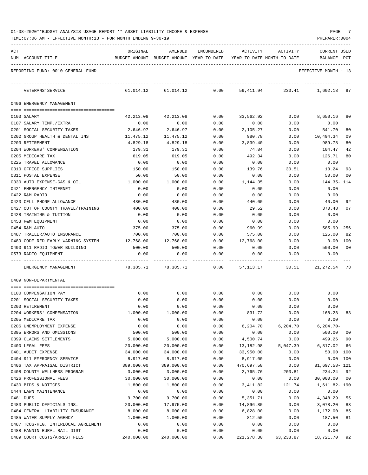| 01-08-2020**BUDGET ANALYSIS USAGE REPORT ** ASSET LIABILITY INCOME & EXPENSE |  | PAGE |  |
|------------------------------------------------------------------------------|--|------|--|
|                                                                              |  |      |  |

TIME:07:06 AM - EFFECTIVE MONTH:13 - FOR MONTH ENDING 9-30-19 PREPARER:0004

| ACT                                 | ORIGINAL   | AMENDED                                  | ENCUMBERED | ACTIVITY                   | ACTIVITY | <b>CURRENT USED</b>  |                |
|-------------------------------------|------------|------------------------------------------|------------|----------------------------|----------|----------------------|----------------|
| NUM ACCOUNT-TITLE                   |            | BUDGET-AMOUNT BUDGET-AMOUNT YEAR-TO-DATE |            | YEAR-TO-DATE MONTH-TO-DATE |          | BALANCE              | PCT            |
| REPORTING FUND: 0010 GENERAL FUND   |            |                                          |            |                            |          | EFFECTIVE MONTH - 13 |                |
| VETERANS ' SERVICE                  | 61,014.12  | 61,014.12                                | 0.00       | 59,411.94                  | 230.41   | 1,602.18 97          |                |
| 0406 EMERGENCY MANAGEMENT           |            |                                          |            |                            |          |                      |                |
| 0103 SALARY                         | 42,213.08  | 42,213.08                                | 0.00       | 33,562.92                  | 0.00     | 8,650.16             | 80             |
| 0107 SALARY TEMP./EXTRA             | 0.00       | 0.00                                     | 0.00       | 0.00                       | 0.00     | 0.00                 |                |
| 0201 SOCIAL SECURITY TAXES          | 2,646.97   | 2,646.97                                 | 0.00       | 2,105.27                   | 0.00     | 541.70               | 80             |
| 0202 GROUP HEALTH & DENTAL INS      | 11,475.12  | 11,475.12                                | 0.00       | 980.78                     | 0.00     | 10,494.34            | 09             |
| 0203 RETIREMENT                     | 4,829.18   | 4,829.18                                 | 0.00       | 3,839.40                   | 0.00     | 989.78               | 80             |
| 0204 WORKERS' COMPENSATION          | 179.31     | 179.31                                   | 0.00       | 74.84                      | 0.00     | 104.47               | 42             |
| 0205 MEDICARE TAX                   | 619.05     | 619.05                                   | 0.00       | 492.34                     | 0.00     | 126.71               | 80             |
| 0225 TRAVEL ALLOWANCE               | 0.00       | 0.00                                     | 0.00       | 0.00                       | 0.00     | 0.00                 |                |
| 0310 OFFICE SUPPLIES                | 150.00     | 150.00                                   | 0.00       | 139.76                     | 30.51    | 10.24                | 93             |
| 0311 POSTAL EXPENSE                 | 50.00      | 50.00                                    | 0.00       | 0.00                       | 0.00     | 50.00                | 00             |
| 0330 AUTO EXPENSE-GAS & OIL         | 1,000.00   | 1,000.00                                 | 0.00       | 1,144.35                   | 0.00     | 144.35- 114          |                |
| 0421 EMERGENCY INTERNET             | 0.00       | 0.00                                     | 0.00       | 0.00                       | 0.00     | 0.00                 |                |
| 0422 R&M RADIO                      | 0.00       | 0.00                                     | 0.00       | 0.00                       | 0.00     | 0.00                 |                |
| 0423 CELL PHONE ALLOWANCE           | 480.00     | 480.00                                   | 0.00       | 440.00                     | 0.00     | 40.00                | 92             |
| 0427 OUT OF COUNTY TRAVEL/TRAINING  | 400.00     | 400.00                                   | 0.00       | 29.52                      | 0.00     | 370.48               | 07             |
| 0428 TRAINING & TUITION             | 0.00       | 0.00                                     | 0.00       | 0.00                       | 0.00     | 0.00                 |                |
| 0453 R&M EQUIPMENT                  | 0.00       | 0.00                                     | 0.00       | 0.00                       | 0.00     | 0.00                 |                |
| 0454 R&M AUTO                       | 375.00     | 375.00                                   | 0.00       | 960.99                     | 0.00     | 585.99-256           |                |
| 0487 TRAILER/AUTO INSURANCE         | 700.00     | 700.00                                   | 0.00       | 575.00                     | 0.00     | 125.00               | 82             |
| 0489 CODE RED EARLY WARNING SYSTEM  | 12,768.00  | 12,768.00                                | 0.00       | 12,768.00                  | 0.00     | 0.00                 | 100            |
| 0490 911 RADIO TOWER BUILDING       | 500.00     | 500.00                                   | 0.00       | 0.00                       | 0.00     | 500.00               | 00             |
| 0573 RADIO EQUIPMENT                | 0.00       | 0.00                                     | 0.00       | 0.00                       | 0.00     | 0.00                 |                |
| EMERGENCY MANAGEMENT                | 78,385.71  | 78,385.71                                | 0.00       | 57,113.17                  | 30.51    | 21, 272.54 73        |                |
| 0409 NON-DEPARTMENTAL               |            |                                          |            |                            |          |                      |                |
| 0100 COMPENSATION PAY               | 0.00       | 0.00                                     | 0.00       | 0.00                       | 0.00     | 0.00                 |                |
| 0201 SOCIAL SECURITY TAXES          | 0.00       | 0.00                                     | 0.00       | 0.00                       | 0.00     | 0.00                 |                |
| 0203 RETIREMENT                     | 0.00       | 0.00                                     | 0.00       | 0.00                       | 0.00     | 0.00                 |                |
| 0204 WORKERS' COMPENSATION          | 1,000.00   | 1,000.00                                 | 0.00       | 831.72                     | 0.00     | 168.28               | 83             |
| 0205 MEDICARE TAX                   | 0.00       | 0.00                                     | 0.00       | 0.00                       | 0.00     | 0.00                 |                |
| 0206 UNEMPLOYMENT EXPENSE           | 0.00       | 0.00                                     | 0.00       | 6,204.70                   | 6,204.70 | $6, 204.70 -$        |                |
| 0395 ERRORS AND OMISSIONS           | 500.00     | 500.00                                   | 0.00       | 0.00                       | 0.00     | 500.00               | 00             |
| 0399 CLAIMS SETTLEMENTS             | 5,000.00   | 5,000.00                                 | 0.00       | 4,500.74                   | 0.00     | 499.26               | 90             |
| 0400 LEGAL FEES                     | 20,000.00  | 20,000.00                                | 0.00       | 13,182.98                  | 5,047.39 | 6,817.02             | 66             |
| 0401 AUDIT EXPENSE                  | 34,000.00  | 34,000.00                                | 0.00       | 33,950.00                  | 0.00     | 50.00 100            |                |
| 0404 911 EMERGENCY SERVICE          | 8,917.00   | 8,917.00                                 | 0.00       | 8,917.00                   | 0.00     | 0.00                 | 100            |
| 0406 TAX APPRAISAL DISTRICT         | 389,000.00 | 389,000.00                               | 0.00       | 470,697.58                 | 0.00     | 81,697.58- 121       |                |
| 0408 COUNTY WELLNESS PROGRAM        | 3,000.00   | 3,000.00                                 | 0.00       | 2,765.76                   | 203.81   | 234.24               | 92             |
| 0426 PROFESSIONAL FEES              | 30,000.00  | 30,000.00                                | 0.00       | 0.00                       | 0.00     | 30,000.00            | 0 <sub>0</sub> |
| 0430 BIDS & NOTICES                 | 1,800.00   | 1,800.00                                 | 0.00       | 3,411.82                   | 121.74   | 1,611.82- 190        |                |
| 0444 LAWN MAINTENANCE               | 0.00       | 0.00                                     | 0.00       | 0.00                       | 0.00     | 0.00                 |                |
| 0481 DUES                           | 9,700.00   | 9,700.00                                 | 0.00       | 5,351.71                   | 0.00     | 4,348.29             | 55             |
| 0483 PUBLIC OFFICIALS INS.          | 20,000.00  | 17,975.00                                | 0.00       | 14,896.80                  | 0.00     | 3,078.20             | 83             |
| 0484 GENERAL LIABILITY INSURANCE    | 8,000.00   | 8,000.00                                 | 0.00       | 6,828.00                   | 0.00     | 1,172.00             | 85             |
| 0485 WATER SUPPLY AGENCY            | 1,000.00   | 1,000.00                                 | 0.00       | 812.50                     | 0.00     | 187.50               | 81             |
| 0487 TCOG-REG. INTERLOCAL AGREEMENT | 0.00       | 0.00                                     | 0.00       | 0.00                       | 0.00     | 0.00                 |                |
| 0488 FANNIN RURAL RAIL DIST         | 0.00       | 0.00                                     | 0.00       | 0.00                       | 0.00     | 0.00                 |                |

0489 COURT COSTS/ARREST FEES 240,000.00 240,000.00 0.00 221,278.30 63,238.87 18,721.70 92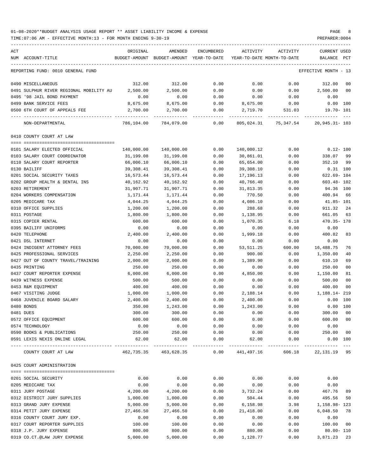| ACT                                                           | ORIGINAL                | AMENDED                                                             | ENCUMBERED            | ACTIVITY                | ACTIVITY                               | <b>CURRENT USED</b>                  |                     |
|---------------------------------------------------------------|-------------------------|---------------------------------------------------------------------|-----------------------|-------------------------|----------------------------------------|--------------------------------------|---------------------|
| NUM ACCOUNT-TITLE                                             |                         | BUDGET-AMOUNT BUDGET-AMOUNT YEAR-TO-DATE YEAR-TO-DATE MONTH-TO-DATE |                       |                         |                                        | BALANCE PCT                          |                     |
| REPORTING FUND: 0010 GENERAL FUND                             |                         |                                                                     |                       |                         |                                        | EFFECTIVE MONTH - 13                 |                     |
| 0490 MISCELLANEOUS                                            | 312.00                  | 312.00                                                              | 0.00                  | 0.00                    | 0.00                                   | 312.00                               | 0 <sub>0</sub>      |
| 0491 SULPHUR RIVER REGIONAL MOBILITY AU                       | 2,500.00                | 2,500.00                                                            | 0.00                  | 0.00                    | 0.00                                   | 2,500.00                             | 0 <sub>0</sub>      |
| 0495 '98 JAIL BOND PAYMENT                                    | 0.00                    | 0.00                                                                | 0.00                  | 0.00                    | 0.00                                   | 0.00                                 |                     |
| 0499 BANK SERVICE FEES                                        | 8,675.00                | 8,675.00                                                            | 0.00                  | 8,675.00                | 0.00                                   |                                      | 0.00 100            |
| 0500 6TH COURT OF APPEALS FEE                                 | 2,700.00<br>----------- | 2,700.00<br>--------------                                          | 0.00<br>------------- | 2,719.70                | 531.03<br>---------------------------- | 19.70- 101                           |                     |
| NON-DEPARTMENTAL                                              | 786,104.00              | 784,079.00                                                          | 0.00                  |                         |                                        | 805,024.31 75,347.54 20,945.31 - 103 |                     |
| 0410 COUNTY COURT AT LAW                                      |                         |                                                                     |                       |                         |                                        |                                      |                     |
|                                                               |                         |                                                                     |                       |                         |                                        |                                      |                     |
| 0101 SALARY ELECTED OFFICIAL<br>0103 SALARY COURT COORDINATOR | 140,000.00<br>31,199.08 | 140,000.00<br>31,199.08                                             | 0.00<br>0.00          | 140,000.12<br>30,861.01 | 0.00                                   | 338.07                               | $0.12 - 100$<br>99  |
| 0110 SALARY COURT REPORTER                                    | 66,006.10               | 66,006.10                                                           | 0.00                  | 65,654.00               | 0.00<br>0.00                           | 352.10                               | 99                  |
| 0130 BAILIFF                                                  | 39,308.41               | 39,308.41                                                           | 0.00                  | 39,308.10               | 0.00                                   | $0.31$ 100                           |                     |
| 0201 SOCIAL SECURITY TAXES                                    | 16,573.44               | 16,573.44                                                           | 0.00                  | 17,196.13               | 0.00                                   | 622.69- 104                          |                     |
| 0202 GROUP HEALTH & DENTAL INS                                | 40,162.92               | 40,162.92                                                           | 0.00                  | 40,766.40               | 0.00                                   | $603.48 - 102$                       |                     |
| 0203 RETIREMENT                                               | 31,907.71               | 31,907.71                                                           | 0.00                  | 31,813.35               | 0.00                                   | 94.36 100                            |                     |
| 0204 WORKERS COMPENSATION                                     | 1,171.44                | 1,171.44                                                            | 0.00                  | 770.50                  | 0.00                                   | 400.94                               | 66                  |
| 0205 MEDICARE TAX                                             | 4,044.25                | 4,044.25                                                            | 0.00                  | 4,086.10                | 0.00                                   | $41.85 - 101$                        |                     |
| 0310 OFFICE SUPPLIES                                          | 1,200.00                | 1,200.00                                                            | 0.00                  | 288.68                  | 0.00                                   | 911.32                               | 24                  |
| 0311 POSTAGE                                                  | 1,800.00                | 1,800.00                                                            | 0.00                  | 1,138.95                | 0.00                                   | 661.05                               | 63                  |
| 0315 COPIER RENTAL                                            | 600.00                  | 600.00                                                              | 0.00                  | 1,070.35                | 6.18                                   | 470.35- 178                          |                     |
| 0395 BAILIFF UNIFORMS                                         | 0.00                    | 0.00                                                                | 0.00                  | 0.00                    | 0.00                                   | 0.00                                 |                     |
| 0420 TELEPHONE                                                | 2,400.00                | 2,400.00                                                            | 0.00                  | 1,999.18                | 0.00                                   | 400.82                               | 83                  |
| 0421 DSL INTERNET                                             | 0.00                    | 0.00                                                                | 0.00                  | 0.00                    | 0.00                                   | 0.00                                 |                     |
| 0424 INDIGENT ATTORNEY FEES                                   | 70,000.00               | 70,000.00                                                           | 0.00                  | 53, 511.25              | 600.00                                 | 16,488.75                            | 76                  |
| 0425 PROFESSIONAL SERVICES                                    | 2,250.00                | 2,250.00                                                            | 0.00                  | 900.00                  | 0.00                                   | 1,350.00                             | 40                  |
| 0427 OUT OF COUNTY TRAVEL/TRAINING                            | 2,000.00                | 2,000.00                                                            | 0.00                  | 1,389.90                | 0.00                                   | 610.10                               | 69                  |
| 0435 PRINTING                                                 | 250.00                  | 250.00                                                              | 0.00                  | 0.00                    | 0.00                                   | 250.00                               | 0 <sub>0</sub>      |
| 0437 COURT REPORTER EXPENSE                                   | 6,000.00                | 6,000.00                                                            | 0.00                  | 4,850.00                | 0.00                                   | 1,150.00                             | 81                  |
| 0439 WITNESS EXPENSE                                          | 500.00                  | 500.00                                                              | 0.00                  | 0.00                    | 0.00                                   | 500.00                               | 0 <sub>0</sub>      |
| 0453 R&M EQUIPMENT                                            | 400.00                  | 400.00                                                              | 0.00                  | 0.00                    | 0.00                                   | 400.00                               | 0 <sub>0</sub>      |
| 0467 VISITING JUDGE                                           | 1,000.00                | 1,000.00                                                            | 0.00                  | 2,188.14                | 0.00                                   | 1,188.14-219                         |                     |
| 0468 JUVENILE BOARD SALARY                                    | 2,400.00                | 2,400.00                                                            | 0.00                  | 2,400.00                | 0.00                                   | 0.00                                 | 100                 |
| 0480 BONDS                                                    | 350.00                  | 1,243.00                                                            | 0.00                  | 1,243.00                | 0.00                                   |                                      | 0.00 100            |
| 0481 DUES                                                     | 300.00                  | 300.00                                                              | 0.00                  | 0.00                    | 0.00                                   | 300.00                               | 0 <sub>0</sub>      |
| 0572 OFFICE EQUIPMENT                                         | 600.00                  | 600.00                                                              | 0.00                  | 0.00                    | 0.00                                   | 600.00                               | 0 <sub>0</sub>      |
| 0574 TECHNOLOGY                                               | 0.00                    | 0.00                                                                | 0.00                  | 0.00                    | 0.00                                   | 0.00                                 |                     |
| 0590 BOOKS & PUBLICATIONS                                     | 250.00                  | 250.00                                                              | 0.00                  | 0.00                    | 0.00                                   | 250.00                               | 0 <sub>0</sub>      |
| 0591 LEXIS NEXIS ONLINE LEGAL                                 | 62.00                   | 62.00<br>---------------                                            | 0.00<br>----------    | 62.00<br>-----------    | 0.00                                   | -----------                          | 0.00 100<br>$- - -$ |
| COUNTY COURT AT LAW                                           |                         | 462,735.35 463,628.35                                               | 0.00                  | 441,497.16              | 606.18                                 | 22, 131. 19 95                       |                     |
| 0425 COURT ADMINISTRATION                                     |                         |                                                                     |                       |                         |                                        |                                      |                     |
|                                                               |                         |                                                                     |                       |                         |                                        |                                      |                     |
| 0201 SOCIAL SECURITY                                          | 0.00                    | 0.00                                                                | 0.00                  | 0.00                    | 0.00                                   | 0.00                                 |                     |
| 0205 MEDICARE TAX                                             | 0.00                    | 0.00                                                                | 0.00                  | 0.00                    | 0.00                                   | 0.00                                 |                     |
| 0311 JURY POSTAGE                                             | 4,200.00                | 4,200.00                                                            | 0.00                  | 3,732.24                | 0.00                                   | 467.76                               | 89                  |
| 0312 DISTRICT JURY SUPPLIES                                   | 1,000.00                | 1,000.00                                                            | 0.00                  | 504.44                  | 0.00                                   | 495.56                               | 50                  |
| 0313 GRAND JURY EXPENSE                                       | 5,000.00                | 5,000.00                                                            | 0.00                  | 6,158.98                | 3.98                                   | 1,158.98-123                         |                     |
| 0314 PETIT JURY EXPENSE                                       | 27,466.50<br>0.00       | 27,466.50                                                           | 0.00                  | 21,418.00               | 0.00                                   | 6,048.50                             | 78                  |
| 0316 COUNTY COURT JURY EXP.                                   |                         | 0.00                                                                | 0.00<br>0.00          | 0.00                    | 0.00                                   | 0.00<br>100.00                       | 0 <sub>0</sub>      |
| 0317 COURT REPORTER SUPPLIES<br>0318 J.P. JURY EXPENSE        | 100.00<br>800.00        | 100.00<br>800.00                                                    | 0.00                  | 0.00<br>880.00          | 0.00<br>0.00                           | $80.00 - 110$                        |                     |
| 0319 CO.CT.@LAW JURY EXPENSE                                  | 5,000.00                | 5,000.00                                                            | 0.00                  | 1,128.77                | 0.00                                   | 3,871.23 23                          |                     |
|                                                               |                         |                                                                     |                       |                         |                                        |                                      |                     |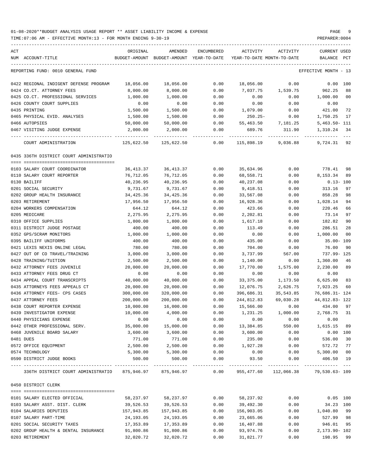| ACT<br>NUM ACCOUNT-TITLE                                    | ORIGINAL           | AMENDED<br>BUDGET-AMOUNT BUDGET-AMOUNT YEAR-TO-DATE | ENCUMBERED   | ACTIVITY<br>YEAR-TO-DATE MONTH-TO-DATE | ACTIVITY           | <b>CURRENT USED</b><br>BALANCE<br>$_{\rm PCT}$ |
|-------------------------------------------------------------|--------------------|-----------------------------------------------------|--------------|----------------------------------------|--------------------|------------------------------------------------|
|                                                             |                    |                                                     |              |                                        |                    |                                                |
| REPORTING FUND: 0010 GENERAL FUND                           |                    |                                                     |              |                                        |                    | EFFECTIVE MONTH - 13                           |
| 0422 REGIONAL INDIGENT DEFENSE PROGRAM                      | 18,056.00          | 18,056.00                                           | 0.00         | 18,056.00                              | 0.00               | 0.00 100                                       |
| 0424 CO.CT. ATTORNEY FEES                                   | 8,000.00           | 8,000.00                                            | 0.00         | 7,037.75                               | 1,539.75           | 962.25<br>88                                   |
| 0425 CO.CT. PROFESSIONAL SERVICES                           | 1,000.00           | 1,000.00                                            | 0.00         | 0.00                                   | 0.00               | 1,000.00<br>00                                 |
| 0426 COUNTY COURT SUPPLIES                                  | 0.00               | 0.00                                                | 0.00         | 0.00                                   | 0.00               | 0.00                                           |
| 0435 PRINTING                                               | 1,500.00           | 1,500.00                                            | 0.00         | 1,079.00                               | 0.00               | 421.00<br>72                                   |
| 0465 PHYSICAL EVID. ANALYSES                                | 1,500.00           | 1,500.00                                            | 0.00         | $250.25 -$                             | 0.00               | 1,750.25 17                                    |
| 0466 AUTOPSIES                                              | 50,000.00          | 50,000.00                                           | 0.00         |                                        | 55,463.50 7,181.25 | $5,463.50 - 111$                               |
| 0467 VISITING JUDGE EXPENSE                                 | 2,000.00           | 2,000.00                                            | 0.00         | 689.76                                 | 311.90             | 1,310.24<br>34                                 |
| COURT ADMINISTRATION                                        | 125,622.50         | 125,622.50                                          | 0.00         | 115,898.19                             | 9,036.88           | 9,724.31 92                                    |
| 0435 336TH DISTRICT COURT ADMINISTRATIO                     |                    |                                                     |              |                                        |                    |                                                |
|                                                             |                    |                                                     |              |                                        |                    |                                                |
| 0103 SALARY COURT COORDINATOR                               | 36,413.37          | 36,413.37                                           | 0.00         | 35,634.96                              | 0.00               | 778.41 98                                      |
| 0110 SALARY COURT REPORTER                                  | 76,712.05          | 76,712.05                                           | 0.00         | 68,558.71                              | 0.00               | 8, 153. 34 89                                  |
| 0130 BAILIFF                                                | 40,236.95          | 40,236.95                                           | 0.00         | 40,237.08                              | 0.00               | $0.13 - 100$                                   |
| 0201 SOCIAL SECURITY                                        | 9,731.67           | 9,731.67                                            | 0.00         | 9,418.51                               | 0.00               | 313.16<br>97                                   |
| 0202 GROUP HEALTH INSURANCE                                 | 34,425.36          | 34,425.36                                           | 0.00         | 33,567.08                              | 0.00               | 858.28<br>98                                   |
| 0203 RETIREMENT                                             | 17,956.50          | 17,956.50                                           | 0.00         | 16,928.36                              | 0.00               | 1,028.14<br>94                                 |
| 0204 WORKERS COMPENSATION                                   | 644.12             | 644.12                                              | 0.00         | 423.66                                 | 0.00               | 220.46<br>66                                   |
| 0205 MEDICARE                                               | 2,275.95           | 2,275.95                                            | 0.00         | 2,202.81                               | 0.00               | 73.14<br>97                                    |
| 0310 OFFICE SUPPLIES                                        | 1,800.00           | 1,800.00                                            | 0.00         | 1,617.18                               | 0.00               | 182.82<br>90                                   |
| 0311 DISTRICT JUDGE POSTAGE                                 | 400.00             | 400.00                                              | 0.00         | 113.49                                 | 0.00               | 286.51<br>28                                   |
| 0352 GPS/SCRAM MONITORS                                     | 1,000.00           | 1,000.00                                            | 0.00         | 0.00                                   | 0.00               | 1,000.00<br>00                                 |
| 0395 BAILIFF UNIFORMS                                       | 400.00             | 400.00                                              | 0.00         | 435.00                                 | 0.00               | 35.00- 109                                     |
| 0421 LEXIS NEXIS ONLINE LEGAL                               | 780.00             | 780.00                                              | 0.00         | 704.00                                 | 0.00               | 76.00<br>90                                    |
| 0427 OUT OF CO TRAVEL/TRAINING                              | 3,000.00           | 3,000.00                                            | 0.00         | 3,737.99                               | 567.00             | 737.99- 125                                    |
| 0428 TRAINING/TUITION                                       | 2,500.00           | 2,500.00                                            | 0.00         | 1,140.00                               | 0.00               | 1,360.00<br>46                                 |
| 0432 ATTORNEY FEES JUVENILE                                 | 20,000.00          | 20,000.00                                           | 0.00         | 17,770.00                              | 1,575.00           | 2,230.00<br>89                                 |
| 0433 ATTORNEY FEES DRUG CT                                  | 0.00               | 0.00                                                | 0.00         | 0.00                                   | 0.00               | 0.00                                           |
| 0434 APPEAL COURT TRANSCRIPTS                               | 40,000.00          | 40,000.00                                           | 0.00         | 33,375.00                              | 1,173.50           | 6,625.00 83                                    |
| 0435 ATTORNEYS FEES APPEALS CT                              | 20,000.00          | 20,000.00                                           | 0.00         | 12,076.75                              | 2,626.75           | 7,923.25<br>60                                 |
| 0436 ATTORNEY FEES- CPS CASES                               | 300,000.00         | 320,000.00                                          | 0.00         | 396,686.31                             | 35,543.85          | 76,686.31- 124                                 |
| 0437 ATTORNEY FEES                                          | 200,000.00         | 200,000.00                                          | 0.00         | 244,812.83                             | 69,030.28          | 44,812.83-122                                  |
| 0438 COURT REPORTER EXPENSE                                 | 10,000.00          | 16,000.00                                           | 0.00         | 15,566.00                              | 0.00               | 434.00 97                                      |
| 0439 INVESTIGATOR EXPENSE                                   | 10,000.00          | 4,000.00                                            | 0.00         | 1,231.25                               | 1,000.00           | 2,768.75 31                                    |
| 0440 PHYSICIANS EXPENSE                                     | 0.00               | 0.00                                                | 0.00         | 0.00                                   | 0.00               | 0.00                                           |
| 0442 OTHER PROFESSIONAL SERV.<br>0468 JUVENILE BOARD SALARY | 35,000.00          | 15,000.00                                           | 0.00         | 13,384.85                              | 550.00             | 1,615.15 89                                    |
|                                                             | 3,600.00           | 3,600.00                                            | 0.00         | 3,600.00                               | 0.00               | 0.00 100                                       |
| 0481 DUES                                                   | 771.00             | 771.00                                              | 0.00         | 235.00                                 | 0.00               | 536.00<br>30                                   |
| 0572 OFFICE EQUIPMENT                                       | 2,500.00           | 2,500.00                                            | 0.00         | 1,927.28<br>0.00                       | 0.00               | 572.72 77                                      |
| 0574 TECHNOLOGY<br>0590 DISTRICT JUDGE BOOKS                | 5,300.00<br>500.00 | 5,300.00<br>500.00                                  | 0.00<br>0.00 | 93.50                                  | 0.00<br>0.00       | 5,300.00 00<br>406.50 19                       |
| 336TH DISTRICT COURT ADMINISTRATIO 875,946.97 875,946.97    |                    |                                                     | 0.00         |                                        |                    | $---$<br>955,477.60 112,066.38 79,530.63-109   |
| 0450 DISTRICT CLERK                                         |                    |                                                     |              |                                        |                    |                                                |
|                                                             |                    |                                                     | 0.00         |                                        |                    | $0.05$ 100                                     |
| 0101 SALARY ELECTED OFFICIAL                                | 58,237.97          | 58,237.97                                           |              | 58,237.92                              | 0.00               |                                                |
| 0103 SALARY ASST. DIST. CLERK                               | 39,526.53          | 39,526.53                                           | 0.00         | 39,492.30                              | 0.00               | 34.23 100                                      |
| 0104 SALARIES DEPUTIES                                      | 157,943.85         | 157,943.85                                          | 0.00         | 156,903.05                             | 0.00               | 1,040.80 99                                    |
| 0107 SALARY PART-TIME                                       | 24,193.05          | 24,193.05                                           | 0.00         | 23,665.06                              | 0.00               | 527.99 98                                      |
| 0201 SOCIAL SECURITY TAXES                                  | 17,353.89          | 17,353.89                                           | 0.00         | 16,407.88                              | 0.00               | 946.01 95                                      |
| 0202 GROUP HEALTH & DENTAL INSURANCE                        | 91,800.86          | 91,800.86                                           | 0.00         | 93,974.76                              | 0.00               | 2,173.90- 102                                  |
| 0203 RETIREMENT                                             | 32,020.72          | 32,020.72                                           | 0.00         | 31,821.77                              | 0.00               | 198.95 99                                      |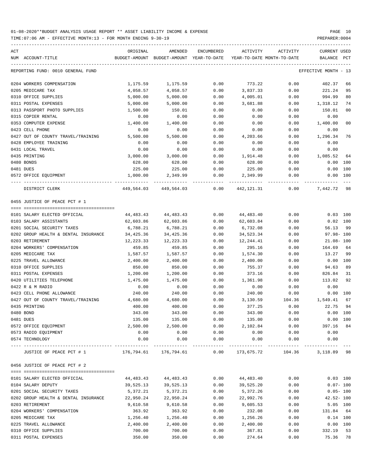TIME:07:06 AM - EFFECTIVE MONTH:13 - FOR MONTH ENDING 9-30-19 PREPARER:0004 ----------------------------------------------------------------------------------------------------------------------------------- ACT ACT CURRENT USED ORIGINAL AMENDED ENCUMBERED ACTIVITY ACTIVITY CURRENT USED

| NUM ACCOUNT-TITLE                               |                      | BUDGET-AMOUNT BUDGET-AMOUNT YEAR-TO-DATE |               | YEAR-TO-DATE MONTH-TO-DATE |              | BALANCE PCT             |                |
|-------------------------------------------------|----------------------|------------------------------------------|---------------|----------------------------|--------------|-------------------------|----------------|
| REPORTING FUND: 0010 GENERAL FUND               |                      |                                          |               |                            |              | EFFECTIVE MONTH - 13    |                |
| 0204 WORKERS COMPENSATION                       | 1,175.59             | 1,175.59                                 | 0.00          | 773.22                     | 0.00         | 402.37                  | 66             |
| 0205 MEDICARE TAX                               | 4,058.57             | 4,058.57                                 | 0.00          | 3,837.33                   | 0.00         | 221.24                  | 95             |
| 0310 OFFICE SUPPLIES                            | 5,000.00             | 5,000.00                                 | 0.00          | 4,005.01                   | 0.00         | 994.99                  | 80             |
| 0311 POSTAL EXPENSES                            | 5,000.00             | 5,000.00                                 | 0.00          | 3,681.88                   | 0.00         | 1,318.12                | 74             |
| 0313 PASSPORT PHOTO SUPPLIES                    | 1,500.00             | 150.01                                   | 0.00          | 0.00                       | 0.00         | 150.01                  | 0 <sub>0</sub> |
| 0315 COPIER RENTAL                              | 0.00                 | 0.00                                     | 0.00          | 0.00                       | 0.00         | 0.00                    |                |
| 0353 COMPUTER EXPENSE                           | 1,400.00             | 1,400.00                                 | 0.00          | 0.00                       | 0.00         | 1,400.00                | 0 <sub>0</sub> |
| 0423 CELL PHONE                                 | 0.00                 | 0.00                                     | 0.00          | 0.00                       | 0.00         | 0.00                    |                |
| 0427 OUT OF COUNTY TRAVEL/TRAINING              | 5,500.00             | 5,500.00                                 | 0.00          | 4,203.66                   | 0.00         | 1,296.34                | 76             |
| 0428 EMPLOYEE TRAINING                          | 0.00                 | 0.00                                     | 0.00          | 0.00                       | 0.00         | 0.00                    |                |
| 0431 LOCAL TRAVEL                               | 0.00                 | 0.00                                     | 0.00          | 0.00                       | 0.00         | 0.00                    |                |
| 0435 PRINTING                                   | 3,000.00             | 3,000.00                                 | 0.00          | 1,914.48                   | 0.00         | 1,085.52                | 64             |
| 0480 BONDS                                      | 628.00               | 628.00                                   | 0.00          | 628.00                     | 0.00         | 0.00                    | 100            |
| 0481 DUES                                       | 225.00               | 225.00                                   | 0.00          | 225.00                     | 0.00         | 0.00                    | 100            |
| 0572 OFFICE EQUIPMENT                           | 1,000.00             | 2,349.99                                 | 0.00          | 2,349.99                   | 0.00         | 0.00 100<br>----------- |                |
| DISTRICT CLERK                                  |                      | 449,564.03 449,564.03                    | 0.00          | 442,121.31                 | 0.00         | 7,442.72                | 98             |
| 0455 JUSTICE OF PEACE PCT # 1                   |                      |                                          |               |                            |              |                         |                |
|                                                 |                      |                                          |               |                            |              |                         |                |
| 0101 SALARY ELECTED OFFICIAL                    | 44,483.43            | 44, 483. 43                              | 0.00          | 44,483.40                  | 0.00         | $0.03$ 100              |                |
| 0103 SALARY ASSISTANTS                          | 62,603.86            | 62,603.86                                | 0.00          | 62,603.84                  | 0.00         | 0.02 100                |                |
| 0201 SOCIAL SECURITY TAXES                      | 6,788.21             | 6,788.21                                 | 0.00          | 6,732.08                   | 0.00         | 56.13                   | 99             |
| 0202 GROUP HEALTH & DENTAL INSURANCE            | 34,425.36            | 34,425.36                                | 0.00          | 34,523.34                  | 0.00         | $97.98 - 100$           |                |
| 0203 RETIREMENT                                 | 12,223.33            | 12,223.33                                | 0.00          | 12,244.41                  | 0.00         | $21.08 - 100$           |                |
| 0204 WORKERS' COMPENSATION                      | 459.85               | 459.85                                   | 0.00          | 295.16                     | 0.00         | 164.69                  | 64             |
| 0205 MEDICARE TAX                               | 1,587.57             | 1,587.57                                 | 0.00          | 1,574.30                   | 0.00         | 13.27                   | 99             |
| 0225 TRAVEL ALLOWANCE                           | 2,400.00             | 2,400.00                                 | 0.00          | 2,400.00                   | 0.00         | $0.00$ 100              |                |
| 0310 OFFICE SUPPLIES                            | 850.00               | 850.00                                   | 0.00          | 755.37                     | 0.00         | 94.63                   | 89             |
| 0311 POSTAL EXPENSES                            | 1,200.00             | 1,200.00                                 | 0.00          | 373.16                     | 0.00         | 826.84                  | 31<br>92       |
| 0420 UTILITIES TELEPHONE                        | 1,475.00             | 1,475.00                                 | 0.00          | 1,361.98                   | 0.00         | 113.02                  |                |
| 0422 R & M RADIO                                | 0.00                 | 0.00                                     | 0.00          | 0.00                       | 0.00         | 0.00                    |                |
| 0423 CELL PHONE ALLOWANCE                       | 240.00               | 240.00                                   | 0.00          | 240.00                     | 0.00         | 0.00 100                | 67             |
| 0427 OUT OF COUNTY TRAVEL/TRAINING              | 4,680.00             | 4,680.00                                 | 0.00          | 3,130.59                   | 104.36       | 1,549.41                | 94             |
| 0435 PRINTING<br>0480 BOND                      | 400.00               | 400.00                                   | 0.00          | 377.25                     | 0.00         | 22.75                   | 100            |
| 0481 DUES                                       | 343.00<br>135.00     | 343.00                                   | 0.00<br>0.00  | 343.00<br>135.00           | 0.00<br>0.00 | 0.00<br>0.00 100        |                |
| 0572 OFFICE EQUIPMENT                           | 2,500.00             | 135.00<br>2,500.00                       | 0.00          | 2,102.84                   | 0.00         | 397.16                  | 84             |
| 0573 RADIO EQUIPMENT                            | 0.00                 | 0.00                                     | 0.00          | 0.00                       | 0.00         | 0.00                    |                |
| 0574 TECHNOLOGY                                 | 0.00                 | 0.00                                     | 0.00          | 0.00                       | 0.00         | 0.00                    |                |
|                                                 |                      | -------------                            | ------------- | ------------               | ------------ |                         |                |
| JUSTICE OF PEACE PCT # 1                        |                      | 176,794.61 176,794.61                    | 0.00          | 173,675.72                 | 104.36       | 3,118.89                | 98             |
| 0456 JUSTICE OF PEACE PCT # 2                   |                      |                                          |               |                            |              |                         |                |
|                                                 |                      |                                          |               |                            |              |                         |                |
| 0101 SALARY ELECTED OFFICIAL                    | 44,483.43            | 44,483.43                                | 0.00          | 44,483.40                  | 0.00         | $0.03$ 100              |                |
| 0104 SALARY DEPUTY                              | 39,525.13            | 39,525.13                                | 0.00          | 39,525.20                  | 0.00         | $0.07 - 100$            |                |
| 0201 SOCIAL SECURITY TAXES                      | 5,372.21             | 5,372.21                                 | 0.00          | 5,372.26                   | 0.00         | $0.05 - 100$            |                |
| 0202 GROUP HEALTH & DENTAL INSURANCE            | 22,950.24            | 22,950.24                                | 0.00          | 22,992.76                  | 0.00         | $42.52 - 100$           |                |
| 0203 RETIREMENT                                 | 9,610.58             | 9,610.58                                 | 0.00          | 9,605.53                   | 0.00         |                         | 5.05 100       |
| 0204 WORKERS' COMPENSATION<br>0205 MEDICARE TAX | 363.92               | 363.92                                   | 0.00          | 232.08                     | 0.00         | 131.84<br>$0.14$ 100    | 64             |
| 0225 TRAVEL ALLOWANCE                           | 1,256.40<br>2,400.00 | 1,256.40<br>2,400.00                     | 0.00<br>0.00  | 1,256.26<br>2,400.00       | 0.00<br>0.00 | 0.00 100                |                |
| 0310 OFFICE SUPPLIES                            | 700.00               | 700.00                                   | 0.00          | 367.81                     | 0.00         | 332.19                  | 53             |
| 0311 POSTAL EXPENSES                            | 350.00               | 350.00                                   | 0.00          | 274.64                     | 0.00         | 75.36                   | 78             |
|                                                 |                      |                                          |               |                            |              |                         |                |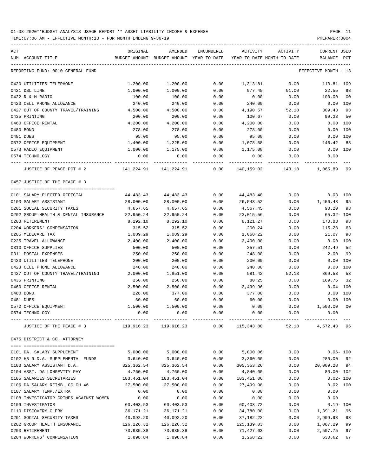TIME:07:06 AM - EFFECTIVE MONTH:13 - FOR MONTH ENDING 9-30-19 PREPARER:0004

----------------------------------------------------------------------------------------------------------------------------------- ACT ORIGINAL AMENDED ENCUMBERED ACTIVITY ACTIVITY CURRENT USED NUM ACCOUNT-TITLE BUDGET-AMOUNT BUDGET-AMOUNT YEAR-TO-DATE YEAR-TO-DATE MONTH-TO-DATE BALANCE PCT ----------------------------------------------------------------------------------------------------------------------------------- REPORTING FUND: 0010 GENERAL FUND EFFECTIVE MONTH - 13 0420 UTILITIES TELEPHONE 1,200.00 1,200.00 0.00 1,313.81 0.00 113.81- 109 0421 DSL LINE 1,000.00 1,000.00 0.00 977.45 91.00 22.55 98 0422 R & M RADIO 100.00 100.00 0.00 0.00 0.00 100.00 00 0423 CELL PHONE ALLOWANCE 240.00 240.00 0.00 240.00 0.00 0.00 100 0427 OUT OF COUNTY TRAVEL/TRAINING  $4,500.00$   $4,500.00$   $0.00$   $4,190.57$   $52.18$   $309.43$  93 0435 PRINTING 200.00 200.00 0.00 100.67 0.00 99.33 50 0460 OFFICE RENTAL  $4,200.00$   $4,200.00$   $4,200.00$   $4,200.00$   $4,200.00$   $0.00$   $0.00$   $0.00$ 0480 BOND 278.00 278.00 0.00 278.00 0.00 0.00 100 0481 DUES 95.00 95.00 0.00 95.00 0.00 0.00 100 0572 OFFICE EQUIPMENT 1,400.00 1,225.00 0.00 1,078.58 0.00 146.42 88 0573 RADIO EQUIPMENT 1,000.00 1,175.00 0.00 1,175.00 0.00 0.00 100 0574 TECHNOLOGY 0.00 0.00 0.00 0.00 0.00 0.00 ---- ---------------------------------- ------------- ------------- ------------ ------------- ------------ ------------- --- JUSTICE OF PEACE PCT # 2 141,224.91 141,224.91 0.00 140,159.02 143.18 1,065.89 99 0457 JUSTICE OF THE PEACE # 3 ==== =================================== 0101 SALARY ELECTED OFFICIAL  $44,483.43$   $44,483.43$  0.00  $44,483.40$  0.00 0.03 100 0103 SALARY ASSISTANT 28,000.00 28,000.00 0.00 26,543.52 0.00 1,456.48 95 0201 SOCIAL SECURITY TAXES 4,657.65 4,657.65 0.00 4,567.45 0.00 90.20 98 0202 GROUP HEALTH & DENTAL INSURANCE 22,950.24 22,950.24 0.00 23,015.56 0.00 65.32- 100 0203 RETIREMENT 8,292.10 8,292.10 0.00 8,121.27 0.00 170.83 98 0204 WORKERS' COMPENSATION 315.52 315.52 0.00 200.24 0.00 115.28 63 0205 MEDICARE TAX 1,089.29 1,089.29 0.00 1,068.22 0.00 21.07 98 0225 TRAVEL ALLOWANCE 2,400.00 2,400.00 0.00 2,400.00 0.00 0.00 100 0310 OFFICE SUPPLIES 600 1000 500.00 500.00 500.00 0.00 257.51 0.00 242.49 52 0311 POSTAL EXPENSES 250.00 250.00 0.00 248.00 0.00 2.00 99 0420 UTILITIES TELEPHONE 200.00 200.00 0.00 200.00 0.00 0.00 100 0423 CELL PHONE ALLOWANCE 240.00 240.00 0.00 240.00 0.00 0.00 100 0427 OUT OF COUNTY TRAVEL/TRAINING  $2,000.00$   $1,851.00$   $0.00$   $981.42$   $52.18$   $869.58$  53 0435 PRINTING 250.00 250.00 0.00 80.25 0.00 169.75 32 0460 OFFICE RENTAL 2,500.00 2,500.00 0.00 2,499.96 0.00 0.04 100 0480 BOND 228.00 377.00 0.00 377.00 0.00 0.00 100 0481 DUES 60.00 60.00 0.00 60.00 0.00 0.00 100 0572 OFFICE EQUIPMENT 1,500.00 1,500.00 0.00 0.00 0.00 1,500.00 00 0574 TECHNOLOGY 0.00 0.00 0.00 0.00 0.00 0.00 ---- ---------------------------------- ------------- ------------- ------------ ------------- ------------ ------------- --- JUSTICE OF THE PEACE # 3 119,916.23 119,916.23 0.00 115,343.80 52.18 4,572.43 96 0475 DISTRICT & CO. ATTORNEY ==== =================================== 0101 DA. SALARY SUPPLEMENT 5,000.00 5,000.00 0.00 5,000.06 0.00 0.06- 100 0102 HB 9 D.A. SUPPLEMENTAL FUNDS 3,640.00 3,640.00 0.00 3,360.00 0.00 0.00 280.00 92 0103 SALARY ASSISTANT D.A. 325,362.54 325,362.54 0.00 305,353.26 0.00 20,009.28 94 0104 ASST. DA LONGEVITY PAY 4,760.00 4,760.00 0.00 4,840.00 0.00 80.00- 102 0105 SALARIES SECRETARIES 183,451.04 183,451.04 0.00 183,451.06 0.00 0.02- 100 0106 DA SALARY REIMB. GC CH 46  $27,500.00$   $27,500.00$  0.00  $27,499.98$  0.00 0.02 100 0107 SALARY TEMP./EXTRA 0.00 0.00 0.00 0.00 0.00 0.00 0108 INVESTIGATOR CRIMES AGAINST WOMEN 0.00 0.00 0.00 0.00 0.00 0.00 0109 INVESTIGATOR 60,403.53 60,403.53 0.00 60,403.72 0.00 0.19- 100 0110 DISCOVERY CLERK 36,171.21 36,171.21 0.00 34,780.00 0.00 1,391.21 96 0201 SOCIAL SECURITY TAXES 40,092.20 40,092.20 0.00 37,182.22 0.00 2,909.98 93 0202 GROUP HEALTH INSURANCE 126,226.32 126,226.32 0.00 125,139.03 0.00 1,087.29 99

0203 RETIREMENT 73,935.38 73,935.38 0.00 71,427.63 0.00 2,507.75 97 0204 WORKERS' COMPENSATION 1,898.84 1,898.84 0.00 1,268.22 0.00 630.62 67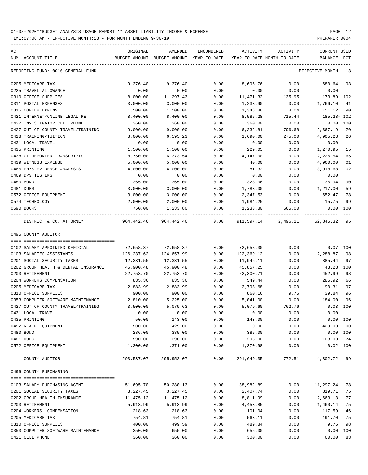| ACT | NUM ACCOUNT-TITLE                                          | ORIGINAL           | AMENDED               | ENCUMBERED            | ACTIVITY<br>BUDGET-AMOUNT BUDGET-AMOUNT YEAR-TO-DATE YEAR-TO-DATE MONTH-TO-DATE | ACTIVITY            | <b>CURRENT USED</b><br>BALANCE PCT |                |
|-----|------------------------------------------------------------|--------------------|-----------------------|-----------------------|---------------------------------------------------------------------------------|---------------------|------------------------------------|----------------|
|     | REPORTING FUND: 0010 GENERAL FUND                          |                    |                       |                       |                                                                                 |                     | EFFECTIVE MONTH - 13               |                |
|     | 0205 MEDICARE TAX                                          | 9,376.40           | 9,376.40              | 0.00                  | 8,695.76                                                                        | 0.00                | 680.64                             | 93             |
|     | 0225 TRAVEL ALLOWANCE                                      | 0.00               | 0.00                  | 0.00                  | 0.00                                                                            | 0.00                | 0.00                               |                |
|     | 0310 OFFICE SUPPLIES                                       | 8,000.00           | 11,297.43             | 0.00                  | 11,471.32                                                                       | 135.95              | 173.89-102                         |                |
|     | 0311 POSTAL EXPENSES                                       | 3,000.00           | 3,000.00              | 0.00                  | 1,233.90                                                                        | 0.00                | 1,766.10                           | 41             |
|     | 0315 COPIER EXPENSE                                        | 1,500.00           | 1,500.00              | 0.00                  | 1,348.88                                                                        | 8.04                | 151.12                             | 90             |
|     | 0421 INTERNET/ONLINE LEGAL RE                              | 8,400.00           | 8,400.00              | 0.00                  | 8,585.28                                                                        | 715.44              | 185.28- 102                        |                |
|     | 0422 INVESTIGATOR CELL PHONE                               | 360.00             | 360.00                | 0.00                  | 360.00                                                                          | 0.00                | $0.00$ 100                         |                |
|     | 0427 OUT OF COUNTY TRAVEL/TRAINING                         | 9,000.00           | 9,000.00              | 0.00                  | 6,332.81                                                                        | 796.68              | 2,667.19                           | 70             |
|     | 0428 TRAINING/TUITION                                      | 8,000.00           | 6,595.23              | 0.00                  | 1,690.00                                                                        | 275.00              | 4,905.23                           | 26             |
|     | 0431 LOCAL TRAVEL                                          | 0.00               | 0.00                  | 0.00                  | 0.00                                                                            | 0.00                | 0.00                               |                |
|     | 0435 PRINTING                                              | 1,500.00           | 1,500.00              | 0.00                  | 229.05                                                                          | 0.00                | 1,270.95                           | 15             |
|     | 0438 CT.REPORTER-TRANSCRIPTS                               | 8,750.00           | 6,373.54              | 0.00                  | 4,147.00                                                                        | 0.00                | 2,226.54                           | 65             |
|     | 0439 WITNESS EXPENSE                                       | 5,000.00           | 5,000.00              | 0.00                  | 40.00                                                                           | 0.00                | 4,960.00                           | 01             |
|     | 0465 PHYS. EVIDENCE ANALYSIS                               | 4,000.00           | 4,000.00              | 0.00                  | 81.32                                                                           | 0.00                | 3,918.68                           | 02             |
|     | 0469 DPS TESTING                                           | 0.00               | 0.00                  | 0.00                  | 0.00                                                                            | 0.00                | 0.00                               |                |
|     | 0480 BOND                                                  | 365.00             | 365.00                | 0.00                  | 328.06                                                                          | 0.00                | 36.94                              | 90             |
|     | 0481 DUES                                                  | 3,000.00           | 3,000.00              | 0.00                  | 1,783.00                                                                        | 0.00                | 1,217.00                           | 59             |
|     | 0572 OFFICE EQUIPMENT                                      | 3,000.00           | 3,000.00              | 0.00                  | 2,347.53                                                                        | 0.00                | 652.47                             | 78             |
|     | 0574 TECHNOLOGY                                            | 2,000.00           | 2,000.00              | 0.00                  | 1,984.25                                                                        | 0.00                | 15.75                              | 99             |
|     | 0590 BOOKS                                                 | 750.00             | 1,233.80              | 0.00                  | 1,233.80                                                                        | 565.00              | 0.00 100                           |                |
|     | DISTRICT & CO. ATTORNEY                                    | 964,442.46         | 964,442.46            | 0.00                  |                                                                                 | 911,597.14 2,496.11 | 52,845.32                          | 95             |
|     | 0495 COUNTY AUDITOR                                        |                    |                       |                       |                                                                                 |                     |                                    |                |
|     |                                                            |                    |                       |                       |                                                                                 |                     |                                    |                |
|     | 0102 SALARY APPOINTED OFFICIAL                             | 72,658.37          | 72,658.37             | 0.00                  | 72,658.30                                                                       | 0.00                | $0.07$ 100                         |                |
|     | 0103 SALARIES ASSISTANTS                                   | 126,237.62         | 124,657.99            | 0.00                  | 122,369.12                                                                      | 0.00                | 2,288.87                           | 98             |
|     | 0201 SOCIAL SECURITY TAXES                                 | 12,331.55          | 12,331.55             | 0.00                  | 11,946.11                                                                       | 0.00                | 385.44                             | 97             |
|     | 0202 GROUP HEALTH & DENTAL INSURANCE                       | 45,900.48          | 45,900.48             | 0.00                  | 45,857.25                                                                       | 0.00                | 43.23                              | 100            |
|     | 0203 RETIREMENT                                            | 22,753.70          | 22,753.70             | 0.00                  | 22,300.71                                                                       | 0.00                | 452.99                             | 98             |
|     | 0204 WORKERS COMPENSATION                                  | 835.36             | 835.36                | 0.00                  | 549.44                                                                          | 0.00                | 285.92                             | 66             |
|     | 0205 MEDICARE TAX                                          | 2,883.99           | 2,883.99              | 0.00                  | 2,793.68                                                                        | 0.00                | 90.31                              | 97             |
|     | 0310 OFFICE SUPPLIES<br>0353 COMPUTER SOFTWARE MAINTENANCE | 900.00<br>2,810.00 | 900.00                | 0.00                  | 860.16                                                                          | 9.75                | 39.84                              | 96             |
|     | 0427 OUT OF COUNTY TRAVEL/TRAINING                         |                    | 5,225.00              | 0.00<br>0.00          | 5,041.00                                                                        | 0.00<br>762.76      | 184.00<br>$0.03$ 100               | 96             |
|     |                                                            | 3,500.00           | 5,079.63              |                       | 5,079.60                                                                        |                     |                                    |                |
|     | 0431 LOCAL TRAVEL<br>0435 PRINTING                         | 0.00<br>50.00      | 0.00                  | 0.00<br>0.00          | 0.00<br>143.00                                                                  | 0.00<br>0.00        | 0.00<br>0.00 100                   |                |
|     | 0452 R & M EQUIPMENT                                       | 500.00             | 143.00<br>429.00      | 0.00                  | 0.00                                                                            | 0.00                | 429.00                             | 0 <sub>0</sub> |
|     | 0480 BOND                                                  | 286.00             | 385.00                | 0.00                  | 385.00                                                                          | 0.00                | 0.00 100                           |                |
|     | 0481 DUES                                                  | 590.00             | 398.00                | 0.00                  | 295.00                                                                          | 0.00                | 103.00                             | 74             |
|     | 0572 OFFICE EOUIPMENT                                      | 1,300.00           | 1,371.00              | 0.00                  | 1,370.98                                                                        | 0.00                | $0.02$ 100                         |                |
|     | COUNTY AUDITOR                                             |                    | 293,537.07 295,952.07 | -------------<br>0.00 | -------------<br>291,649.35                                                     | 772.51              | 4,302.72 99                        | $- - -$        |
|     | 0496 COUNTY PURCHASING                                     |                    |                       |                       |                                                                                 |                     |                                    |                |
|     |                                                            |                    |                       |                       |                                                                                 |                     |                                    |                |
|     | 0103 SALARY PURCHASING AGENT                               | 51,695.70          | 50,280.13             | 0.00                  | 38,982.89                                                                       | 0.00                | 11,297.24                          | 78             |
|     | 0201 SOCIAL SECURITY TAXES                                 | 3,227.45           | 3,227.45              | 0.00                  | 2,407.74                                                                        | 0.00                | 819.71                             | 75             |
|     | 0202 GROUP HEALTH INSURANCE                                | 11,475.12          | 11,475.12             | 0.00                  | 8,811.99                                                                        | 0.00                | 2,663.13                           | 77             |
|     | 0203 RETIREMENT                                            | 5,913.99           | 5,913.99              | 0.00                  | 4,453.85                                                                        | 0.00                | 1,460.14                           | 75             |
|     | 0204 WORKERS' COMPENSATION                                 | 218.63             | 218.63                | 0.00                  | 101.04                                                                          | 0.00                | 117.59                             | 46             |
|     | 0205 MEDICARE TAX                                          | 754.81             | 754.81                | 0.00                  | 563.11                                                                          | 0.00                | 191.70                             | 75             |
|     | 0310 OFFICE SUPPLIES                                       | 400.00             | 499.59                | 0.00                  | 489.84                                                                          | 0.00                | 9.75                               | 98             |
|     | 0353 COMPUTER SOFTWARE MAINTENANCE                         | 350.00             | 655.00                | 0.00                  | 655.00                                                                          | 0.00                | 0.00 100                           |                |
|     | 0421 CELL PHONE                                            | 360.00             | 360.00                | 0.00                  | 300.00                                                                          | 0.00                | 60.00                              | 83             |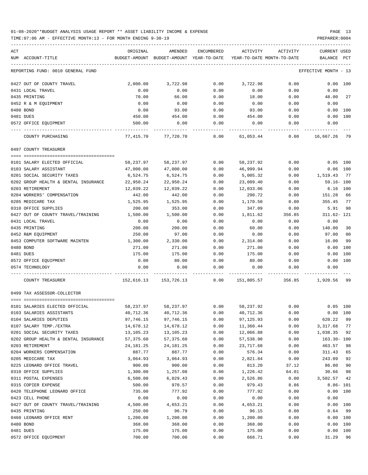TIME:07:06 AM - EFFECTIVE MONTH:13 - FOR MONTH ENDING 9-30-19 PREPARER:0004

| ACT                                         | ORIGINAL           | AMENDED                                  | <b>ENCUMBERED</b> | ACTIVITY                   | ACTIVITY     | <b>CURRENT USED</b>      |           |
|---------------------------------------------|--------------------|------------------------------------------|-------------------|----------------------------|--------------|--------------------------|-----------|
| NUM ACCOUNT-TITLE                           |                    | BUDGET-AMOUNT BUDGET-AMOUNT YEAR-TO-DATE |                   | YEAR-TO-DATE MONTH-TO-DATE |              | BALANCE                  | PCT       |
| REPORTING FUND: 0010 GENERAL FUND           |                    |                                          |                   |                            |              | EFFECTIVE MONTH - 13     |           |
| 0427 OUT OF COUNTY TRAVEL                   | 2,000.00           | 3,722.98                                 | 0.00              | 3,722.98                   | 0.00         | 0.00 100                 |           |
| 0431 LOCAL TRAVEL                           | 0.00               | 0.00                                     | 0.00              | 0.00                       | 0.00         | 0.00                     |           |
| 0435 PRINTING                               | 70.00              | 66.00                                    | 0.00              | 18.00                      | 0.00         | 48.00                    | 27        |
| 0452 R & M EQUIPMENT                        | 0.00               | 0.00                                     | 0.00              | 0.00                       | 0.00         | 0.00                     |           |
| 0480 BOND                                   | 0.00               | 93.00                                    | 0.00              | 93.00                      | 0.00         | 0.00                     | 100       |
| 0481 DUES                                   | 450.00             | 454.00                                   | 0.00              | 454.00                     | 0.00         | 0.00                     | 100       |
| 0572 OFFICE EQUIPMENT                       | 500.00             | 0.00                                     | 0.00              | 0.00                       | 0.00         | 0.00                     |           |
| COUNTY PURCHASING                           |                    | 77,415.70 77,720.70                      | 0.00              | 61,053.44                  | 0.00         | 16,667.26                | -79       |
| 0497 COUNTY TREASURER                       |                    |                                          |                   |                            |              |                          |           |
| 0101 SALARY ELECTED OFFICIAL                | 58,237.97          | 58,237.97                                | 0.00              | 58,237.92                  | 0.00         | $0.05$ 100               |           |
| 0103 SALARY ASSISTANT                       | 47,000.00          | 47,000.00                                | 0.00              | 46,999.94                  | 0.00         | $0.06$ 100               |           |
| 0201 SOCIAL SECURITY TAXES                  | 6,524.75           | 6,524.75                                 | 0.00              | 5,005.32                   | 0.00         | 1,519.43                 | - 77      |
| 0202 GROUP HEALTH & DENTAL INSURANCE        | 22,950.24          | 22,950.24                                | 0.00              | 23,009.40                  | 0.00         | $59.16 - 100$            |           |
| 0203 RETIREMENT                             | 12,039.22          | 12,039.22                                | 0.00              | 12,033.06                  | 0.00         | 6.16 100                 |           |
| 0204 WORKERS' COMPENSATION                  | 442.00             | 442.00                                   | 0.00              | 290.72                     | 0.00         | 151.28                   | 66        |
| 0205 MEDICARE TAX                           | 1,525.95           | 1,525.95                                 | 0.00              | 1,170.50                   | 0.00         | 355.45                   | 77        |
| 0310 OFFICE SUPPLIES                        | 200.00             | 353.00                                   | 0.00              | 347.09                     | 0.00         | 5.91                     | 98        |
| 0427 OUT OF COUNTY TRAVEL/TRAINING          | 1,500.00           | 1,500.00                                 | 0.00              | 1,811.62                   | 356.85       | 311.62- 121              |           |
| 0431 LOCAL TRAVEL                           | 0.00               | 0.00                                     | 0.00              | 0.00                       | 0.00         | 0.00                     |           |
| 0435 PRINTING                               | 200.00             | 200.00                                   | 0.00              | 60.00                      | 0.00         | 140.00                   | 30        |
| 0452 R&M EQUIPMENT                          | 250.00             | 97.00                                    | 0.00              | 0.00                       | 0.00         | 97.00                    | 00        |
| 0453 COMPUTER SOFTWARE MAINTEN<br>0480 BOND | 1,300.00<br>271.00 | 2,330.00                                 | 0.00<br>0.00      | 2,314.00                   | 0.00<br>0.00 | 16.00<br>0.00            | 99<br>100 |
| 0481 DUES                                   | 175.00             | 271.00<br>175.00                         | 0.00              | 271.00<br>175.00           | 0.00         | 0.00                     | 100       |
| 0572 OFFICE EQUIPMENT                       | 0.00               | 80.00                                    | 0.00              | 80.00                      | 0.00         | 0.00                     | 100       |
| 0574 TECHNOLOGY                             | 0.00               | 0.00                                     | 0.00              | 0.00                       | 0.00         | 0.00                     |           |
|                                             |                    |                                          |                   |                            |              |                          |           |
| COUNTY TREASURER                            |                    | 152,616.13 153,726.13                    | 0.00              | 151,805.57                 | 356.85       | 1,920.56                 | -99       |
| 0499 TAX ASSESSOR-COLLECTOR                 |                    |                                          |                   |                            |              |                          |           |
| 0101 SALARIES ELECTED OFFICIAL              | 58,237.97          | 58,237.97                                | 0.00              | 58,237.92                  | 0.00         | $0.05$ 100               |           |
| 0103 SALARIES ASSISTANTS                    | 40,712.36          | 40,712.36                                | 0.00              | 40,712.36                  | 0.00         | 0.00 100                 |           |
| 0104 SALARIES DEPUTIES                      | 97,746.15          | 97,746.15                                | 0.00              | 97,125.93                  | 0.00         | 620.22                   | 99        |
| 0107 SALARY TEMP./EXTRA                     | 14,678.12          | 14,678.12                                | 0.00              | 11,360.44                  | 0.00         | 3,317.68                 | 77        |
| 0201 SOCIAL SECURITY TAXES                  | 13,105.23          | 13,105.23                                | 0.00              | 12,066.88                  | 0.00         | 1,038.35                 | 92        |
| 0202 GROUP HEALTH & DENTAL INSURANCE        | 57,375.60          | 57,375.60                                | 0.00              | 57,538.90                  | 0.00         | $163.30 - 100$           |           |
| 0203 RETIREMENT                             | 24, 181. 25        | 24, 181. 25                              | 0.00              | 23,717.68                  | 0.00         | 463.57                   | 98        |
| 0204 WORKERS COMPENSATION                   | 887.77             | 887.77                                   | 0.00              | 576.34                     | 0.00         | 311.43                   | 65        |
| 0205 MEDICARE TAX                           | 3,064.93           | 3,064.93                                 | 0.00              | 2,821.84                   | 0.00         | 243.09                   | 92        |
| 0225 LEONARD OFFICE TRAVEL                  | 900.00             | 900.00                                   | 0.00              | 813.20                     | 37.12        | 86.80                    | 90        |
| 0310 OFFICE SUPPLIES                        | 1,300.00           | 1,257.08                                 | 0.00              | 1,226.42                   | 64.01        | 30.66                    | 98        |
| 0311 POSTAL EXPENSES<br>0315 COPIER EXPENSE | 6,500.00<br>500.00 | 6,029.43<br>970.57                       | 0.00<br>0.00      | 2,526.86<br>979.43         | 0.00         | 3,502.57<br>$8.86 - 101$ | 42        |
| 0420 TELEPHONE LEONARD OFFICE               | 735.00             | 777.92                                   | 0.00              | 777.92                     | 8.86<br>0.00 | 0.00                     | 100       |
| 0423 CELL PHONE                             | 0.00               | 0.00                                     | 0.00              | 0.00                       | 0.00         | 0.00                     |           |
| 0427 OUT OF COUNTY TRAVEL/TRAINING          | 4,500.00           | 4,653.21                                 | 0.00              | 4,653.21                   | 0.00         |                          | 0.00 100  |
| 0435 PRINTING                               | 250.00             | 96.79                                    | 0.00              | 96.15                      | 0.00         | 0.64                     | 99        |
| 0460 LEONARD OFFICE RENT                    | 1,200.00           | 1,200.00                                 | 0.00              | 1,200.00                   | 0.00         | 0.00 100                 |           |
| 0480 BOND                                   | 368.00             | 368.00                                   | 0.00              | 368.00                     | 0.00         | 0.00                     | 100       |
| 0481 DUES                                   | 175.00             | 175.00                                   | 0.00              | 175.00                     | 0.00         |                          | 0.00 100  |

0572 OFFICE EQUIPMENT 700.00 700.00 0.00 668.71 0.00 31.29 96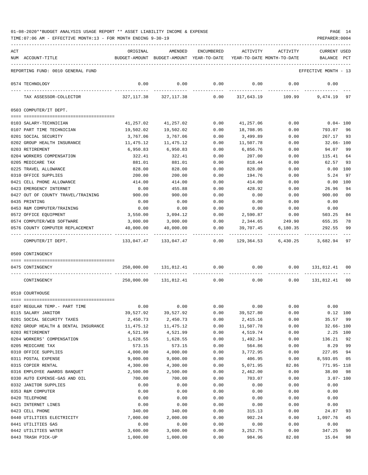TIME:07:06 AM - EFFECTIVE MONTH:13 - FOR MONTH ENDING 9-30-19 PREPARER:0004

| ACT | NUM ACCOUNT-TITLE                    | ORIGINAL                 | AMENDED<br>BUDGET-AMOUNT BUDGET-AMOUNT YEAR-TO-DATE YEAR-TO-DATE MONTH-TO-DATE | ENCUMBERED           | ACTIVITY            | ACTIVITY                                                                                                    | <b>CURRENT USED</b><br>BALANCE PCT |                |
|-----|--------------------------------------|--------------------------|--------------------------------------------------------------------------------|----------------------|---------------------|-------------------------------------------------------------------------------------------------------------|------------------------------------|----------------|
|     |                                      |                          |                                                                                |                      |                     |                                                                                                             |                                    |                |
|     | REPORTING FUND: 0010 GENERAL FUND    |                          |                                                                                |                      |                     |                                                                                                             | EFFECTIVE MONTH - 13               |                |
|     | 0574 TECHNOLOGY                      | 0.00                     | 0.00<br>-----------                                                            | 0.00<br>------------ | 0.00<br>----------- | 0.00                                                                                                        | 0.00                               |                |
|     | TAX ASSESSOR-COLLECTOR               |                          |                                                                                |                      |                     | 327,117.38              327,117.38              0.00             317,643.19             109.99     9,474.19 |                                    | 97             |
|     | 0503 COMPUTER/IT DEPT.               |                          |                                                                                |                      |                     |                                                                                                             |                                    |                |
|     | 0103 SALARY-TECHNICIAN               | 41,257.02                | 41,257.02                                                                      | 0.00                 | 41,257.06           | 0.00                                                                                                        | $0.04-100$                         |                |
|     | 0107 PART TIME TECHNICIAN            | 19,502.02                | 19,502.02                                                                      | 0.00                 | 18,708.95           | 0.00                                                                                                        | 793.07                             | 96             |
|     | 0201 SOCIAL SECURITY                 | 3,767.06                 | 3,767.06                                                                       | 0.00                 | 3,499.89            | 0.00                                                                                                        | 267.17 93                          |                |
|     | 0202 GROUP HEALTH INSURANCE          | 11,475.12                | 11,475.12                                                                      | 0.00                 | 11,507.78           | 0.00                                                                                                        | 32.66- 100                         |                |
|     | 0203 RETIREMENT                      | 6,950.83                 | 6,950.83                                                                       | 0.00                 | 6,856.76            | 0.00                                                                                                        | 94.07                              | 99             |
|     | 0204 WORKERS COMPENSATION            | 322.41                   | 322.41                                                                         | 0.00                 | 207.00              | 0.00                                                                                                        | 115.41                             | 64             |
|     | 0205 MEDICARE TAX                    | 881.01                   | 881.01                                                                         | 0.00                 | 818.44              | 0.00                                                                                                        | 62.57                              | 93             |
|     | 0225 TRAVEL ALLOWANCE                | 828.00                   | 828.00                                                                         | 0.00                 | 828.00              | 0.00                                                                                                        | $0.00$ $100$                       |                |
|     | 0310 OFFICE SUPPLIES                 | 200.00                   | 200.00                                                                         | 0.00                 | 194.76              | 0.00                                                                                                        | 5.24                               | 97             |
|     | 0421 CELL PHONE ALLOWANCE            | 414.00                   | 414.00                                                                         | 0.00                 | 414.00              | 0.00                                                                                                        | $0.00$ 100                         |                |
|     | 0423 EMERGENCY INTERNET              | 0.00                     | 455.88                                                                         | 0.00                 | 428.92              | 0.00                                                                                                        | 26.96                              | 94             |
|     | 0427 OUT OF COUNTY TRAVEL/TRAINING   | 900.00                   | 900.00                                                                         | 0.00                 | 0.00                | 0.00                                                                                                        | 900.00                             | 0 <sub>0</sub> |
|     | 0435 PRINTING                        | 0.00                     | 0.00                                                                           | 0.00                 | 0.00                | 0.00                                                                                                        | 0.00                               |                |
|     | 0453 R&M COMPUTER/TRAINING           | 0.00                     | 0.00                                                                           | 0.00                 | 0.00                | 0.00                                                                                                        | 0.00                               |                |
|     | 0572 OFFICE EQUIPMENT                | 3,550.00                 | 3,094.12                                                                       | 0.00                 | 2,590.87            | 0.00                                                                                                        | 503.25                             | 84             |
|     | 0574 COMPUTER/WEB SOFTWARE           | 3,000.00                 | $3,000.00$ 0.00                                                                |                      |                     | 2,344.65 249.90                                                                                             | 655.35                             | 78             |
|     | 0576 COUNTY COMPUTER REPLACEMENT     | 40,000.00<br>----------- | 40,000.00<br>--------------                                                    | 0.00                 | 39,707.45           | 6,180.35                                                                                                    | 292.55                             | 99             |
|     | COMPUTER/IT DEPT.                    |                          |                                                                                |                      |                     | $133,047.47$ $133,047.47$ $0.00$ $129,364.53$ $6,430.25$ $3,682.94$                                         |                                    | 97             |
|     | 0509 CONTINGENCY                     |                          |                                                                                |                      |                     |                                                                                                             |                                    |                |
|     | 0475 CONTINGENCY                     |                          | 250,000.00 131,812.41 0.00                                                     |                      | 0.00                |                                                                                                             | $0.00$ $131,812.41$ 00             |                |
|     | CONTINGENCY                          |                          | 250,000.00 131,812.41                                                          | 0.00                 | 0.00                |                                                                                                             | $0.00$ $131,812.41$ 00             |                |
|     | 0510 COURTHOUSE                      |                          |                                                                                |                      |                     |                                                                                                             |                                    |                |
|     |                                      |                          |                                                                                |                      |                     |                                                                                                             |                                    |                |
|     | 0107 REGULAR TEMP. - PART TIME       | 0.00                     |                                                                                | $0.00$ 0.00          |                     | 0.00<br>0.00                                                                                                | 0.00                               |                |
|     | 0115 SALARY JANITOR                  | 39,527.92                | 39,527.92                                                                      | 0.00                 | 39,527.80           | 0.00                                                                                                        | $0.12$ 100                         |                |
|     | 0201 SOCIAL SECURITY TAXES           | 2,450.73                 | 2,450.73                                                                       | 0.00                 | 2,415.16            | 0.00                                                                                                        | 35.57 99                           |                |
|     | 0202 GROUP HEALTH & DENTAL INSURANCE | 11,475.12                | 11,475.12                                                                      | 0.00                 | 11,507.78           | 0.00                                                                                                        | $32.66 - 100$                      |                |
|     | 0203 RETIREMENT                      | 4,521.99                 | 4,521.99                                                                       | 0.00                 | 4,519.74            | 0.00                                                                                                        | 2.25 100                           |                |
|     | 0204 WORKERS' COMPENSATION           | 1,628.55                 | 1,628.55                                                                       | 0.00                 | 1,492.34            | 0.00                                                                                                        | 136.21                             | 92             |
|     | 0205 MEDICARE TAX                    | 573.15                   | 573.15                                                                         | 0.00                 | 564.86              | 0.00                                                                                                        | 8.29                               | 99             |
|     | 0310 OFFICE SUPPLIES                 | 4,000.00                 | 4,000.00                                                                       | 0.00                 | 3,772.95            | 0.00                                                                                                        | 227.05                             | 94             |
|     | 0311 POSTAL EXPENSE                  | 9,000.00                 | 9,000.00                                                                       | 0.00                 | 406.95              | 0.00                                                                                                        | 8,593.05                           | 05             |
|     | 0315 COPIER RENTAL                   | 4,300.00                 | 4,300.00                                                                       | 0.00                 | 5,071.95            | 82.86                                                                                                       | 771.95- 118                        |                |
|     | 0316 EMPLOYEE AWARDS BANQUET         | 2,500.00                 | 2,500.00                                                                       | 0.00                 | 2,462.00            | 0.00                                                                                                        | 38.00                              | 98             |
|     | 0330 AUTO EXPENSE-GAS AND OIL        | 700.00                   | 700.00                                                                         | 0.00                 | 703.07              | 0.00                                                                                                        | $3.07 - 100$                       |                |
|     | 0332 JANITOR SUPPLIES                | 0.00                     | 0.00                                                                           | 0.00                 | 0.00                | 0.00                                                                                                        | 0.00                               |                |
|     | 0353 R&M COMPUTER                    | 0.00                     | 0.00                                                                           | 0.00                 | 0.00                | 0.00                                                                                                        | 0.00                               |                |
|     | 0420 TELEPHONE                       | 0.00                     | 0.00                                                                           | 0.00                 | 0.00                | 0.00                                                                                                        | 0.00                               |                |
|     | 0421 INTERNET LINES                  | 0.00                     | 0.00                                                                           | 0.00                 | 0.00                | 0.00                                                                                                        | 0.00                               |                |
|     | 0423 CELL PHONE                      | 340.00                   | 340.00                                                                         | 0.00                 | 315.13              | 0.00                                                                                                        | 24.87                              | 93             |
|     | 0440 UTILITIES ELECTRICITY           | 7,000.00                 | 2,000.00                                                                       | 0.00                 | 902.24              | 0.00                                                                                                        | 1,097.76                           | 45             |
|     | 0441 UTILITIES GAS                   | 0.00                     | 0.00                                                                           | 0.00                 | 0.00                | 0.00                                                                                                        | 0.00                               |                |
|     | 0442 UTILITIES WATER                 | 3,600.00                 | 3,600.00                                                                       | 0.00                 | 3,252.75            | 0.00                                                                                                        | 347.25                             | 90             |

0443 TRASH PICK-UP 1,000.00 1,000.00 0.00 984.96 82.08 15.04 98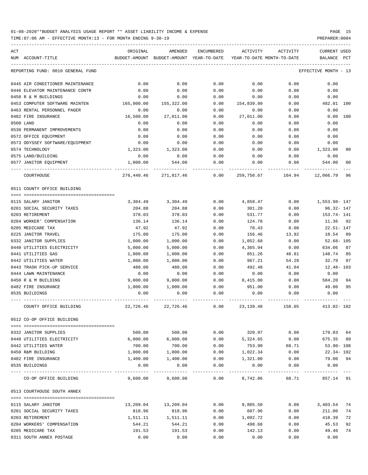TIME:07:06 AM - EFFECTIVE MONTH:13 - FOR MONTH ENDING 9-30-19 PREPARER:0004

| ACT<br>NUM ACCOUNT-TITLE                         | ORIGINAL<br>BUDGET-AMOUNT | AMENDED<br>BUDGET-AMOUNT | ENCUMBERED<br>YEAR-TO-DATE | ACTIVITY           | ACTIVITY<br>YEAR-TO-DATE MONTH-TO-DATE | <b>CURRENT USED</b><br>BALANCE | PCT            |
|--------------------------------------------------|---------------------------|--------------------------|----------------------------|--------------------|----------------------------------------|--------------------------------|----------------|
| REPORTING FUND: 0010 GENERAL FUND                |                           |                          |                            |                    |                                        | EFFECTIVE MONTH - 13           |                |
|                                                  |                           |                          |                            |                    |                                        |                                |                |
| 0445 AIR CONDITIONER MAINTENANCE                 | 0.00                      | 0.00                     | 0.00                       | 0.00               | 0.00                                   | 0.00                           |                |
| 0446 ELEVATOR MAINTENANCE CONTR                  | 0.00                      | 0.00                     | 0.00                       | 0.00               | 0.00                                   | 0.00                           |                |
| 0450 R & M BUILDINGS                             | 0.00                      | 0.00                     | 0.00                       | 0.00               | 0.00                                   | 0.00                           |                |
| 0453 COMPUTER SOFTWARE MAINTEN                   | 165,000.00                | 155,322.00               | 0.00                       | 154,839.99         | 0.00                                   | 482.01 100                     |                |
| 0463 RENTAL PERSONNEL PAGER                      | 0.00                      | 0.00                     | 0.00                       | 0.00               | 0.00                                   | 0.00                           |                |
| 0482 FIRE INSURANCE                              | 16,500.00                 | 27,011.00                | 0.00                       | 27,011.00          | 0.00                                   | 0.00                           | 100            |
| 0500 LAND                                        | 0.00                      | 0.00                     | 0.00                       | 0.00               | 0.00                                   | 0.00                           |                |
| 0530 PERMANENT IMPROVEMENTS                      | 0.00                      | 0.00                     | 0.00                       | 0.00               | 0.00                                   | 0.00                           |                |
| 0572 OFFICE EQUIPMENT                            | 0.00                      | 0.00                     | 0.00                       | 0.00               | 0.00                                   | 0.00                           |                |
| 0573 ODYSSEY SOFTWARE/EQUIPMENT                  | 0.00                      | 0.00                     | 0.00                       | 0.00               | 0.00                                   | 0.00                           |                |
| 0574 TECHNOLOGY                                  | 1,323.00                  | 1,323.00                 | 0.00                       | 0.00               | 0.00                                   | 1,323.00                       | 0 <sub>0</sub> |
| 0575 LAND/BUILDING                               | 0.00                      | 0.00                     | 0.00                       | 0.00               | 0.00                                   | 0.00                           |                |
| 0577 JANITOR EQUIPMENT                           | 1,000.00                  | 544.00                   | 0.00                       | 0.00               | 0.00                                   | 544.00                         | 0 <sub>0</sub> |
| COURTHOUSE                                       | 276,440.46                | 271,817.46               | 0.00                       | 259,750.67         | 164.94                                 | 12,066.79                      | 96             |
| 0511 COUNTY OFFICE BUILDING                      |                           |                          |                            |                    |                                        |                                |                |
|                                                  |                           |                          |                            |                    |                                        |                                |                |
| 0115 SALARY JANITOR                              | 3,304.49                  | 3,304.49                 | 0.00                       | 4,858.47           | 0.00                                   | 1,553.98-147                   |                |
| 0201 SOCIAL SECURITY TAXES                       | 204.88                    | 204.88                   | 0.00                       | 301.20             | 0.00                                   | $96.32 - 147$                  |                |
| 0203 RETIREMENT                                  | 378.03                    | 378.03                   | 0.00                       | 531.77             | 0.00                                   | $153.74 - 141$                 |                |
| 0204 WORKER' COMPENSATION                        | 136.14                    | 136.14                   | 0.00                       | 124.78             | 0.00                                   | 11.36                          | 92             |
| 0205 MEDICARE TAX                                | 47.92                     | 47.92                    | 0.00                       | 70.43              | 0.00                                   | $22.51 - 147$                  |                |
| 0225 JANITOR TRAVEL                              | 175.00                    | 175.00                   | 0.00                       | 156.46             | 13.92                                  | 18.54                          | 89             |
| 0332 JANITOR SUPPLIES                            | 1,000.00                  | 1,000.00                 | 0.00                       | 1,052.68           | 0.00                                   | $52.68 - 105$                  |                |
| 0440 UTILITIES ELECTRICITY<br>0441 UTILITIES GAS | 5,000.00                  | 5,000.00                 | 0.00<br>0.00               | 4,365.94<br>851.26 | 0.00<br>48.81                          | 634.06<br>148.74               | 87<br>85       |
| 0442 UTILITIES WATER                             | 1,000.00                  | 1,000.00<br>1,000.00     | 0.00                       | 967.21             | 54.28                                  | 32.79                          | 97             |
| 0443 TRASH PICK-UP SERVICE                       | 1,000.00<br>480.00        | 480.00                   | 0.00                       | 492.48             | 41.04                                  | $12.48 - 103$                  |                |
| 0444 LAWN MAINTENANCE                            | 0.00                      | 0.00                     | 0.00                       | 0.00               | 0.00                                   | 0.00                           |                |
| 0450 R & M BUILDING                              | 9,000.00                  | 9,000.00                 | 0.00                       | 8,415.80           | 0.00                                   | 584.20                         | 94             |
| 0482 FIRE INSURANCE                              | 1,000.00                  | 1,000.00                 | 0.00                       | 951.00             | 0.00                                   | 49.00                          | 95             |
| 0535 BUILDINGS                                   | 0.00                      | 0.00                     | 0.00                       | 0.00               | 0.00                                   | 0.00                           |                |
| COUNTY OFFICE BUILDING                           | 22,726.46                 | 22,726.46                | 0.00                       | 23, 139. 48        | 158.05                                 | 413.02- 102                    |                |
| 0512 CO-OP OFFICE BUILDING                       |                           |                          |                            |                    |                                        |                                |                |
|                                                  |                           |                          |                            |                    |                                        |                                |                |
| 0332 JANITOR SUPPLIES                            | 500.00                    | 500.00                   | 0.00                       | 320.97             | 0.00                                   | 179.03                         | 64             |
| 0440 UTILITIES ELECTRICITY                       | 6,000.00                  | 6,000.00                 | 0.00                       | 5,324.65           | 0.00                                   | 675.35                         | 89             |
| 0442 UTILITIES WATER                             | 700.00                    | 700.00                   | 0.00                       | 753.90             | 68.71                                  | 53.90- 108                     |                |
| 0450 R&M BUILDING                                | 1,000.00                  | 1,000.00                 | 0.00                       | 1,022.34           | 0.00                                   | 22.34- 102                     |                |
| 0482 FIRE INSURANCE                              | 1,400.00                  | 1,400.00                 | 0.00                       | 1,321.00           | 0.00                                   | 79.00 94                       |                |
| 0535 BUILDINGS                                   | 0.00                      | 0.00                     | 0.00                       | 0.00               | 0.00                                   | 0.00                           |                |
| CO-OP OFFICE BUILDING                            |                           | $9,600.00$ $9,600.00$    | 0.00                       | 8,742.86           | 68.71                                  | 857.14 91                      |                |
| 0513 COURTHOUSE SOUTH ANNEX                      |                           |                          |                            |                    |                                        |                                |                |
|                                                  |                           |                          |                            |                    |                                        |                                |                |
| 0115 SALARY JANITOR                              | 13,209.04                 | 13,209.04                | 0.00                       | 9,805.50           | 0.00                                   | 3,403.54                       | 74             |
| 0201 SOCIAL SECURITY TAXES                       | 818.96                    | 818.96                   | 0.00                       | 607.96             | 0.00                                   | 211.00                         | 74             |
| 0203 RETIREMENT                                  | 1,511.11                  | 1,511.11                 | 0.00                       | 1,092.72           | 0.00                                   | 418.39                         | 72             |
| 0204 WORKERS' COMPENSATION                       | 544.21                    | 544.21                   | 0.00                       | 498.68             | 0.00                                   | 45.53                          | 92             |
| 0205 MEDICARE TAX                                | 191.53                    | 191.53                   | 0.00                       | 142.13             | 0.00                                   | 49.40                          | 74             |

0311 SOUTH ANNEX POSTAGE 0.00 0.00 0.00 0.00 0.00 0.00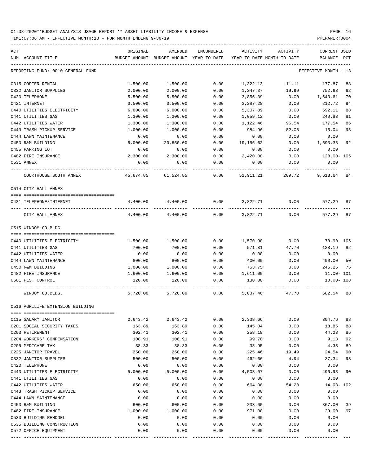TIME:07:06 AM - EFFECTIVE MONTH:13 - FOR MONTH ENDING 9-30-19 PREPARER:0004

| ACT |                                                                  | ORIGINAL | AMENDED                                                             | ENCUMBERED |           | ACTIVITY ACTIVITY | CURRENT USED         |    |
|-----|------------------------------------------------------------------|----------|---------------------------------------------------------------------|------------|-----------|-------------------|----------------------|----|
|     | NUM ACCOUNT-TITLE                                                |          | BUDGET-AMOUNT BUDGET-AMOUNT YEAR-TO-DATE YEAR-TO-DATE MONTH-TO-DATE |            |           |                   | BALANCE PCT          |    |
|     | REPORTING FUND: 0010 GENERAL FUND                                |          |                                                                     |            |           |                   | EFFECTIVE MONTH - 13 |    |
|     | 0315 COPIER RENTAL                                               | 1,500.00 | 1,500.00                                                            | 0.00       | 1,322.13  | 11.11             | 177.87               | 88 |
|     | 0332 JANITOR SUPPLIES                                            | 2,000.00 | 2,000.00                                                            | 0.00       | 1,247.37  | 19.99             | 752.63               | 62 |
|     | 0420 TELEPHONE                                                   | 5,500.00 | 5,500.00                                                            | 0.00       | 3,856.39  | 0.00              | 1,643.61             | 70 |
|     | 0421 INTERNET                                                    | 3,500.00 | 3,500.00                                                            | 0.00       | 3,287.28  | 0.00              | 212.72               | 94 |
|     | 0440 UTILITIES ELECTRICITY                                       | 6,000.00 | 6,000.00                                                            | 0.00       | 5,307.89  | 0.00              | 692.11               | 88 |
|     | 0441 UTILITIES GAS                                               | 1,300.00 | 1,300.00                                                            | 0.00       | 1,059.12  | 0.00              | 240.88               | 81 |
|     | 0442 UTILITIES WATER                                             | 1,300.00 | 1,300.00                                                            | 0.00       | 1,122.46  | 96.54             | 177.54               | 86 |
|     | 0443 TRASH PICKUP SERVICE                                        | 1,000.00 | 1,000.00                                                            | 0.00       | 984.96    | 82.08             | 15.04                | 98 |
|     | 0444 LAWN MAINTENANCE                                            | 0.00     | 0.00                                                                | 0.00       | 0.00      | 0.00              | 0.00                 |    |
|     | 0450 R&M BUILDING                                                | 5,000.00 | 20,850.00                                                           | 0.00       | 19,156.62 | 0.00              | 1,693.38             | 92 |
|     | 0455 PARKING LOT                                                 | 0.00     | 0.00                                                                | 0.00       | 0.00      | 0.00              | 0.00                 |    |
|     | 0482 FIRE INSURANCE                                              | 2,300.00 | 2,300.00                                                            | 0.00       | 2,420.00  | 0.00              | 120.00- 105          |    |
|     | 0531 ANNEX                                                       | 0.00     | 0.00                                                                | 0.00       | 0.00      | 0.00              | 0.00                 |    |
|     | COURTHOUSE SOUTH ANNEX                                           |          | 45,674.85 61,524.85                                                 | 0.00       | 51,911.21 | 209.72            | 9,613.64 84          |    |
|     | 0514 CITY HALL ANNEX                                             |          |                                                                     |            |           |                   |                      |    |
|     |                                                                  |          |                                                                     |            |           |                   |                      |    |
|     | 0421 TELEPHONE/INTERNET                                          |          | 4,400.00 4,400.00                                                   | 0.00       | 3,822.71  | 0.00              | 577.29               | 87 |
|     | CITY HALL ANNEX                                                  | 4,400.00 | 4,400.00                                                            | 0.00       | 3,822.71  | 0.00              | 577.29               | 87 |
|     | 0515 WINDOM CO.BLDG.                                             |          |                                                                     |            |           |                   |                      |    |
|     |                                                                  |          |                                                                     |            |           |                   |                      |    |
|     | 0440 UTILITIES ELECTRICITY                                       | 1,500.00 | 1,500.00                                                            | 0.00       | 1,570.90  | 0.00              | 70.90- 105           |    |
|     | 0441 UTILITIES GAS                                               | 700.00   | 700.00                                                              | 0.00       | 571.81    | 47.70             | 128.19               | 82 |
|     | 0442 UTILITIES WATER                                             | 0.00     | 0.00                                                                | 0.00       | 0.00      | 0.00              | 0.00                 |    |
|     | 0444 LAWN MAINTENANCE                                            | 800.00   | 800.00                                                              | 0.00       | 400.00    | 0.00              | 400.00               | 50 |
|     | 0450 R&M BUILDING                                                | 1,000.00 | 1,000.00                                                            | 0.00       | 753.75    | 0.00              | 246.25               | 75 |
|     | 0482 FIRE INSURANCE                                              | 1,600.00 | 1,600.00                                                            | 0.00       | 1,611.00  | 0.00              | 11.00- 101           |    |
|     | 0501 PEST CONTROL                                                | 120.00   | 120.00                                                              | 0.00       | 130.00    | 0.00              | 10.00- 108           |    |
|     | WINDOM CO.BLDG.                                                  | 5,720.00 | 5,720.00                                                            | 0.00       | 5,037.46  | 47.70             | 682.54               | 88 |
|     | 0516 AGRILIFE EXTENSION BUILDING<br>============================ |          |                                                                     |            |           |                   |                      |    |
|     | 0115 SALARY JANITOR                                              | 2,643.42 | 2,643.42                                                            | 0.00       | 2,338.66  | 0.00              | 304.76               | 88 |
|     | 0201 SOCIAL SECURITY TAXES                                       | 163.89   | 163.89                                                              | 0.00       | 145.04    | 0.00              | 18.85                | 88 |
|     | 0203 RETIREMENT                                                  | 302.41   | 302.41                                                              | 0.00       | 258.18    | 0.00              | 44.23                | 85 |
|     | 0204 WORKERS' COMPENSATION                                       | 108.91   | 108.91                                                              | 0.00       | 99.78     | 0.00              | 9.13                 | 92 |
|     | 0205 MEDICARE TAX                                                | 38.33    | 38.33                                                               | 0.00       | 33.95     | 0.00              | 4.38                 | 89 |
|     | 0225 JANITOR TRAVEL                                              | 250.00   | 250.00                                                              | 0.00       | 225.46    | 19.49             | 24.54                | 90 |
|     | 0332 JANITOR SUPPLIES                                            | 500.00   | 500.00                                                              | 0.00       | 462.66    | 4.94              | 37.34                | 93 |
|     | 0420 TELEPHONE                                                   | 0.00     | 0.00                                                                | 0.00       | 0.00      | 0.00              | 0.00                 |    |
|     | 0440 UTILITIES ELECTRICITY                                       | 5,000.00 | 5,000.00                                                            | 0.00       | 4,503.07  | 0.00              | 496.93               | 90 |
|     | 0441 UTILITIES GAS                                               | 0.00     | 0.00                                                                | 0.00       | 0.00      | 0.00              | 0.00                 |    |
|     | 0442 UTILITIES WATER                                             | 650.00   | 650.00                                                              | 0.00       | 664.08    | 54.28             | $14.08 - 102$        |    |
|     | 0443 TRASH PICKUP SERVICE                                        | 0.00     | 0.00                                                                | 0.00       | 0.00      | 0.00              | 0.00                 |    |
|     | 0444 LAWN MAINTENANCE                                            | 0.00     | 0.00                                                                | 0.00       | 0.00      | 0.00              | 0.00                 |    |
|     | 0450 R&M BUILDING                                                | 600.00   | 600.00                                                              | 0.00       | 233.00    | 0.00              | 367.00               | 39 |
|     | 0482 FIRE INSURANCE                                              | 1,000.00 | 1,000.00                                                            | 0.00       | 971.00    | 0.00              | 29.00                | 97 |
|     | 0530 BUILDING REMODEL                                            | 0.00     | 0.00                                                                | 0.00       | 0.00      | 0.00              | 0.00                 |    |
|     | 0535 BUILDING CONSTRUCTION                                       | 0.00     | 0.00                                                                | 0.00       | 0.00      | 0.00              | 0.00                 |    |
|     | 0572 OFFICE EQUIPMENT                                            | 0.00     | 0.00                                                                | 0.00       | 0.00      | 0.00              | 0.00                 |    |
|     |                                                                  |          |                                                                     |            |           |                   |                      |    |

---- ---------------------------------- ------------- ------------- ------------ ------------- ------------ ------------- ---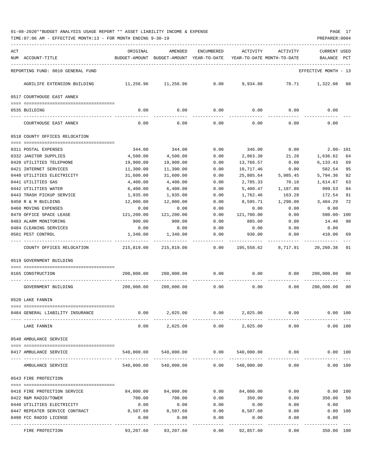| ACT<br>ORIGINAL<br>AMENDED<br><b>ENCUMBERED</b><br>ACTIVITY<br>ACTIVITY<br><b>CURRENT USED</b><br>NUM ACCOUNT-TITLE<br>BUDGET-AMOUNT BUDGET-AMOUNT YEAR-TO-DATE<br>YEAR-TO-DATE MONTH-TO-DATE<br>BALANCE<br>PCT<br>REPORTING FUND: 0010 GENERAL FUND<br>EFFECTIVE MONTH - 13<br>$0.00$ 9,934.88 78.71 1,322.08 88<br>AGRILIFE EXTENSION BUILDING<br>11,256.96 11,256.96<br>0517 COURTHOUSE EAST ANNEX<br>0.00<br>0.00<br>0.00<br>0.00<br>0.00<br>0.00<br>0535 BUILDING<br>$- - - - -$<br>0.00<br>0.00<br>0.00<br>0.00<br>0.00<br>0.00<br>COURTHOUSE EAST ANNEX<br>0518 COUNTY OFFICES RELOCATION<br>344.00<br>0.00<br>346.00 0.00<br>$2.00 - 101$<br>0311 POSTAL EXPENSES<br>344.00<br>0332 JANITOR SUPPLIES<br>4,500.00<br>4,500.00<br>0.00<br>21.28<br>1,636.62<br>2,863.38<br>64<br>0.00<br>6,133.43<br>69<br>0420 UTILITIES TELEPHONE<br>19,900.00<br>19,900.00<br>0.00<br>13,766.57<br>0421 INTERNET SERVICES<br>11,300.00<br>10,717.46<br>582.54<br>95<br>11,300.00<br>0.00<br>0.00<br>25,805.64<br>5,985.45<br>5,794.36<br>0440 UTILITIES ELECTRICITY<br>31,600.00<br>31,600.00<br>0.00<br>82<br>0441 UTILITIES GAS<br>4,400.00<br>0.00<br>4,400.00<br>2,785.33<br>70.10<br>1,614.67<br>63<br>0442 UTILITIES WATER<br>6,400.00<br>6,400.00<br>0.00<br>5,400.47<br>1,187.80<br>999.53<br>84<br>1,935.00<br>163.28<br>91<br>0443 TRASH PICKUP SERVICE<br>1,935.00<br>0.00<br>1,762.46<br>172.54<br>0450 R & M BUILDING<br>1,290.00<br>72<br>12,000.00<br>12,000.00<br>0.00<br>8,595.71<br>3,404.29<br>0460 MOVING EXPENSES<br>0.00<br>0.00<br>0.00<br>0.00<br>0.00<br>0.00<br>500.00-100<br>0470 OFFICE SPACE LEASE<br>121,200.00<br>121,200.00<br>0.00<br>121,700.00<br>0.00<br>885.60<br>0483 ALARM MONITORING<br>900.00<br>900.00<br>0.00<br>98<br>0.00<br>14.40<br>0484 CLEANING SERVICES<br>0.00<br>0.00<br>0.00<br>0.00<br>0.00<br>0.00 |
|----------------------------------------------------------------------------------------------------------------------------------------------------------------------------------------------------------------------------------------------------------------------------------------------------------------------------------------------------------------------------------------------------------------------------------------------------------------------------------------------------------------------------------------------------------------------------------------------------------------------------------------------------------------------------------------------------------------------------------------------------------------------------------------------------------------------------------------------------------------------------------------------------------------------------------------------------------------------------------------------------------------------------------------------------------------------------------------------------------------------------------------------------------------------------------------------------------------------------------------------------------------------------------------------------------------------------------------------------------------------------------------------------------------------------------------------------------------------------------------------------------------------------------------------------------------------------------------------------------------------------------------------------------------------------------------------------------------------------------------------------------------------------------------------------------------------------------------------------|
|                                                                                                                                                                                                                                                                                                                                                                                                                                                                                                                                                                                                                                                                                                                                                                                                                                                                                                                                                                                                                                                                                                                                                                                                                                                                                                                                                                                                                                                                                                                                                                                                                                                                                                                                                                                                                                                    |
|                                                                                                                                                                                                                                                                                                                                                                                                                                                                                                                                                                                                                                                                                                                                                                                                                                                                                                                                                                                                                                                                                                                                                                                                                                                                                                                                                                                                                                                                                                                                                                                                                                                                                                                                                                                                                                                    |
|                                                                                                                                                                                                                                                                                                                                                                                                                                                                                                                                                                                                                                                                                                                                                                                                                                                                                                                                                                                                                                                                                                                                                                                                                                                                                                                                                                                                                                                                                                                                                                                                                                                                                                                                                                                                                                                    |
|                                                                                                                                                                                                                                                                                                                                                                                                                                                                                                                                                                                                                                                                                                                                                                                                                                                                                                                                                                                                                                                                                                                                                                                                                                                                                                                                                                                                                                                                                                                                                                                                                                                                                                                                                                                                                                                    |
|                                                                                                                                                                                                                                                                                                                                                                                                                                                                                                                                                                                                                                                                                                                                                                                                                                                                                                                                                                                                                                                                                                                                                                                                                                                                                                                                                                                                                                                                                                                                                                                                                                                                                                                                                                                                                                                    |
|                                                                                                                                                                                                                                                                                                                                                                                                                                                                                                                                                                                                                                                                                                                                                                                                                                                                                                                                                                                                                                                                                                                                                                                                                                                                                                                                                                                                                                                                                                                                                                                                                                                                                                                                                                                                                                                    |
|                                                                                                                                                                                                                                                                                                                                                                                                                                                                                                                                                                                                                                                                                                                                                                                                                                                                                                                                                                                                                                                                                                                                                                                                                                                                                                                                                                                                                                                                                                                                                                                                                                                                                                                                                                                                                                                    |
|                                                                                                                                                                                                                                                                                                                                                                                                                                                                                                                                                                                                                                                                                                                                                                                                                                                                                                                                                                                                                                                                                                                                                                                                                                                                                                                                                                                                                                                                                                                                                                                                                                                                                                                                                                                                                                                    |
|                                                                                                                                                                                                                                                                                                                                                                                                                                                                                                                                                                                                                                                                                                                                                                                                                                                                                                                                                                                                                                                                                                                                                                                                                                                                                                                                                                                                                                                                                                                                                                                                                                                                                                                                                                                                                                                    |
|                                                                                                                                                                                                                                                                                                                                                                                                                                                                                                                                                                                                                                                                                                                                                                                                                                                                                                                                                                                                                                                                                                                                                                                                                                                                                                                                                                                                                                                                                                                                                                                                                                                                                                                                                                                                                                                    |
|                                                                                                                                                                                                                                                                                                                                                                                                                                                                                                                                                                                                                                                                                                                                                                                                                                                                                                                                                                                                                                                                                                                                                                                                                                                                                                                                                                                                                                                                                                                                                                                                                                                                                                                                                                                                                                                    |
|                                                                                                                                                                                                                                                                                                                                                                                                                                                                                                                                                                                                                                                                                                                                                                                                                                                                                                                                                                                                                                                                                                                                                                                                                                                                                                                                                                                                                                                                                                                                                                                                                                                                                                                                                                                                                                                    |
|                                                                                                                                                                                                                                                                                                                                                                                                                                                                                                                                                                                                                                                                                                                                                                                                                                                                                                                                                                                                                                                                                                                                                                                                                                                                                                                                                                                                                                                                                                                                                                                                                                                                                                                                                                                                                                                    |
|                                                                                                                                                                                                                                                                                                                                                                                                                                                                                                                                                                                                                                                                                                                                                                                                                                                                                                                                                                                                                                                                                                                                                                                                                                                                                                                                                                                                                                                                                                                                                                                                                                                                                                                                                                                                                                                    |
|                                                                                                                                                                                                                                                                                                                                                                                                                                                                                                                                                                                                                                                                                                                                                                                                                                                                                                                                                                                                                                                                                                                                                                                                                                                                                                                                                                                                                                                                                                                                                                                                                                                                                                                                                                                                                                                    |
|                                                                                                                                                                                                                                                                                                                                                                                                                                                                                                                                                                                                                                                                                                                                                                                                                                                                                                                                                                                                                                                                                                                                                                                                                                                                                                                                                                                                                                                                                                                                                                                                                                                                                                                                                                                                                                                    |
|                                                                                                                                                                                                                                                                                                                                                                                                                                                                                                                                                                                                                                                                                                                                                                                                                                                                                                                                                                                                                                                                                                                                                                                                                                                                                                                                                                                                                                                                                                                                                                                                                                                                                                                                                                                                                                                    |
|                                                                                                                                                                                                                                                                                                                                                                                                                                                                                                                                                                                                                                                                                                                                                                                                                                                                                                                                                                                                                                                                                                                                                                                                                                                                                                                                                                                                                                                                                                                                                                                                                                                                                                                                                                                                                                                    |
|                                                                                                                                                                                                                                                                                                                                                                                                                                                                                                                                                                                                                                                                                                                                                                                                                                                                                                                                                                                                                                                                                                                                                                                                                                                                                                                                                                                                                                                                                                                                                                                                                                                                                                                                                                                                                                                    |
|                                                                                                                                                                                                                                                                                                                                                                                                                                                                                                                                                                                                                                                                                                                                                                                                                                                                                                                                                                                                                                                                                                                                                                                                                                                                                                                                                                                                                                                                                                                                                                                                                                                                                                                                                                                                                                                    |
|                                                                                                                                                                                                                                                                                                                                                                                                                                                                                                                                                                                                                                                                                                                                                                                                                                                                                                                                                                                                                                                                                                                                                                                                                                                                                                                                                                                                                                                                                                                                                                                                                                                                                                                                                                                                                                                    |
|                                                                                                                                                                                                                                                                                                                                                                                                                                                                                                                                                                                                                                                                                                                                                                                                                                                                                                                                                                                                                                                                                                                                                                                                                                                                                                                                                                                                                                                                                                                                                                                                                                                                                                                                                                                                                                                    |
| 0.00<br>410.00<br>1,340.00<br>1,340.00<br>930.00<br>0.00<br>69<br>0501 PEST CONTROL                                                                                                                                                                                                                                                                                                                                                                                                                                                                                                                                                                                                                                                                                                                                                                                                                                                                                                                                                                                                                                                                                                                                                                                                                                                                                                                                                                                                                                                                                                                                                                                                                                                                                                                                                                |
| 215,819.00<br>COUNTY OFFICES RELOCATION<br>215,819.00<br>$0.00$ 195,558.62 8,717.91 20,260.38<br>91                                                                                                                                                                                                                                                                                                                                                                                                                                                                                                                                                                                                                                                                                                                                                                                                                                                                                                                                                                                                                                                                                                                                                                                                                                                                                                                                                                                                                                                                                                                                                                                                                                                                                                                                                |
| 0519 GOVERNMENT BUILDING                                                                                                                                                                                                                                                                                                                                                                                                                                                                                                                                                                                                                                                                                                                                                                                                                                                                                                                                                                                                                                                                                                                                                                                                                                                                                                                                                                                                                                                                                                                                                                                                                                                                                                                                                                                                                           |
|                                                                                                                                                                                                                                                                                                                                                                                                                                                                                                                                                                                                                                                                                                                                                                                                                                                                                                                                                                                                                                                                                                                                                                                                                                                                                                                                                                                                                                                                                                                                                                                                                                                                                                                                                                                                                                                    |
| 0.00<br>200,000.00<br>200,000.00<br>0.00<br>0.00<br>200,000.00 00<br>0165 CONSTRUCTION                                                                                                                                                                                                                                                                                                                                                                                                                                                                                                                                                                                                                                                                                                                                                                                                                                                                                                                                                                                                                                                                                                                                                                                                                                                                                                                                                                                                                                                                                                                                                                                                                                                                                                                                                             |
| 200,000.00<br>200,000.00<br>0.00<br>0.00<br>200,000.00<br>GOVERNMENT BUILDING<br>0.00<br>00                                                                                                                                                                                                                                                                                                                                                                                                                                                                                                                                                                                                                                                                                                                                                                                                                                                                                                                                                                                                                                                                                                                                                                                                                                                                                                                                                                                                                                                                                                                                                                                                                                                                                                                                                        |
| 0520 LAKE FANNIN                                                                                                                                                                                                                                                                                                                                                                                                                                                                                                                                                                                                                                                                                                                                                                                                                                                                                                                                                                                                                                                                                                                                                                                                                                                                                                                                                                                                                                                                                                                                                                                                                                                                                                                                                                                                                                   |
|                                                                                                                                                                                                                                                                                                                                                                                                                                                                                                                                                                                                                                                                                                                                                                                                                                                                                                                                                                                                                                                                                                                                                                                                                                                                                                                                                                                                                                                                                                                                                                                                                                                                                                                                                                                                                                                    |
| 0.00<br>2,025.00<br>0.00<br>2,025.00<br>0.00<br>0.00 100<br>0484 GENERAL LIABILITY INSURANCE                                                                                                                                                                                                                                                                                                                                                                                                                                                                                                                                                                                                                                                                                                                                                                                                                                                                                                                                                                                                                                                                                                                                                                                                                                                                                                                                                                                                                                                                                                                                                                                                                                                                                                                                                       |
| 0.00<br>2,025.00<br>0.00<br>2,025.00<br>0.00<br>0.00 100<br>LAKE FANNIN                                                                                                                                                                                                                                                                                                                                                                                                                                                                                                                                                                                                                                                                                                                                                                                                                                                                                                                                                                                                                                                                                                                                                                                                                                                                                                                                                                                                                                                                                                                                                                                                                                                                                                                                                                            |
| 0540 AMBULANCE SERVICE                                                                                                                                                                                                                                                                                                                                                                                                                                                                                                                                                                                                                                                                                                                                                                                                                                                                                                                                                                                                                                                                                                                                                                                                                                                                                                                                                                                                                                                                                                                                                                                                                                                                                                                                                                                                                             |
| 540,000.00<br>540,000.00<br>0.00<br>540,000.00<br>0.00<br>0.00 100<br>0417 AMBULANCE SERVICE                                                                                                                                                                                                                                                                                                                                                                                                                                                                                                                                                                                                                                                                                                                                                                                                                                                                                                                                                                                                                                                                                                                                                                                                                                                                                                                                                                                                                                                                                                                                                                                                                                                                                                                                                       |
| 540,000.00<br>540,000.00<br>0.00<br>540,000.00<br>0.00<br>0.00 100<br>AMBULANCE SERVICE                                                                                                                                                                                                                                                                                                                                                                                                                                                                                                                                                                                                                                                                                                                                                                                                                                                                                                                                                                                                                                                                                                                                                                                                                                                                                                                                                                                                                                                                                                                                                                                                                                                                                                                                                            |
| 0543 FIRE PROTECTION                                                                                                                                                                                                                                                                                                                                                                                                                                                                                                                                                                                                                                                                                                                                                                                                                                                                                                                                                                                                                                                                                                                                                                                                                                                                                                                                                                                                                                                                                                                                                                                                                                                                                                                                                                                                                               |
|                                                                                                                                                                                                                                                                                                                                                                                                                                                                                                                                                                                                                                                                                                                                                                                                                                                                                                                                                                                                                                                                                                                                                                                                                                                                                                                                                                                                                                                                                                                                                                                                                                                                                                                                                                                                                                                    |
| 0.00<br>84,000.00<br>0.00<br>0416 FIRE PROTECTION SERVICE<br>84,000.00<br>84,000.00<br>$0.00$ 100                                                                                                                                                                                                                                                                                                                                                                                                                                                                                                                                                                                                                                                                                                                                                                                                                                                                                                                                                                                                                                                                                                                                                                                                                                                                                                                                                                                                                                                                                                                                                                                                                                                                                                                                                  |
| 0422 R&M RADIO/TOWER<br>700.00<br>700.00<br>0.00<br>350.00<br>0.00<br>350.00 50                                                                                                                                                                                                                                                                                                                                                                                                                                                                                                                                                                                                                                                                                                                                                                                                                                                                                                                                                                                                                                                                                                                                                                                                                                                                                                                                                                                                                                                                                                                                                                                                                                                                                                                                                                    |
| 0440 UTILITIES ELECTRICITY<br>0.00<br>0.00<br>0.00<br>0.00<br>0.00<br>0.00                                                                                                                                                                                                                                                                                                                                                                                                                                                                                                                                                                                                                                                                                                                                                                                                                                                                                                                                                                                                                                                                                                                                                                                                                                                                                                                                                                                                                                                                                                                                                                                                                                                                                                                                                                         |
| 8,507.60<br>8,507.60<br>0.00<br>8,507.60<br>0447 REPEATER SERVICE CONTRACT<br>0.00<br>0.00 100                                                                                                                                                                                                                                                                                                                                                                                                                                                                                                                                                                                                                                                                                                                                                                                                                                                                                                                                                                                                                                                                                                                                                                                                                                                                                                                                                                                                                                                                                                                                                                                                                                                                                                                                                     |
| 0490 FCC RADIO LICENSE<br>0.00<br>0.00<br>0.00<br>0.00<br>0.00<br>0.00                                                                                                                                                                                                                                                                                                                                                                                                                                                                                                                                                                                                                                                                                                                                                                                                                                                                                                                                                                                                                                                                                                                                                                                                                                                                                                                                                                                                                                                                                                                                                                                                                                                                                                                                                                             |
| 93,207.60<br>93,207.60<br>0.00<br>92,857.60<br>0.00<br>350.00 100<br>FIRE PROTECTION                                                                                                                                                                                                                                                                                                                                                                                                                                                                                                                                                                                                                                                                                                                                                                                                                                                                                                                                                                                                                                                                                                                                                                                                                                                                                                                                                                                                                                                                                                                                                                                                                                                                                                                                                               |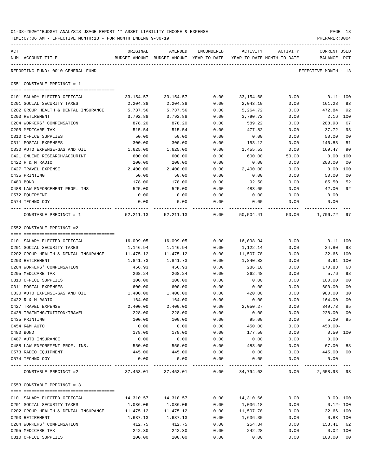| 01-08-2020**BUDGET ANALYSIS USAGE REPORT ** ASSET LIABILITY INCOME & EXPENSE | PAGE 18        |
|------------------------------------------------------------------------------|----------------|
| TIME:07:06 AM - EFFECTIVE MONTH:13 - FOR MONTH ENDING 9-30-19                | PREPARER: 0004 |

| ACT                                                      | ORIGINAL              | AMENDED                                                             | ENCUMBERED   | ACTIVITY         | ACTIVITY                        | CURRENT USED                   |
|----------------------------------------------------------|-----------------------|---------------------------------------------------------------------|--------------|------------------|---------------------------------|--------------------------------|
| NUM ACCOUNT-TITLE                                        |                       | BUDGET-AMOUNT BUDGET-AMOUNT YEAR-TO-DATE YEAR-TO-DATE MONTH-TO-DATE |              |                  |                                 | BALANCE<br>$_{\rm PCT}$        |
| REPORTING FUND: 0010 GENERAL FUND                        |                       |                                                                     |              |                  |                                 | EFFECTIVE MONTH - 13           |
| 0551 CONSTABLE PRECINCT # 1                              |                       |                                                                     |              |                  |                                 |                                |
| 0101 SALARY ELECTED OFFICIAL                             |                       | 33, 154. 57 33, 154. 57                                             | 0.00         | 33,154.68        | 0.00                            | $0.11-100$                     |
| 0201 SOCIAL SECURITY TAXES                               | 2,204.38              | 2,204.38                                                            | 0.00         | 2,043.10         | 0.00                            | 161.28 93                      |
| 0202 GROUP HEALTH & DENTAL INSURANCE                     | 5,737.56              | 5,737.56                                                            | 0.00         | 5,264.72         | 0.00                            | 472.84 92                      |
| 0203 RETIREMENT                                          | 3,792.88              | 3,792.88                                                            | 0.00         | 3,790.72         | 0.00                            | 2.16 100                       |
| 0204 WORKERS' COMPENSATION                               | 878.20                | 878.20                                                              | 0.00         | 589.22           | 0.00                            | 67<br>288.98                   |
| 0205 MEDICARE TAX                                        | 515.54                | 515.54                                                              | 0.00         | 477.82           | 0.00                            | 37.72<br>93                    |
| 0310 OFFICE SUPPLIES                                     | 50.00                 | 50.00                                                               | 0.00         | 0.00             | 0.00                            | $00\,$<br>50.00                |
| 0311 POSTAL EXPENSES                                     | 300.00                | 300.00                                                              | 0.00         | 153.12           | 0.00                            | 146.88<br>51                   |
| 0330 AUTO EXPENSE-GAS AND OIL                            | 1,625.00              | 1,625.00                                                            | 0.00         | 1,455.53         | 0.00                            | 169.47<br>90                   |
| 0421 ONLINE RESEARCH/ACCURINT                            | 600.00                | 600.00                                                              | 0.00         | 600.00           | 50.00                           | $0.00$ 100                     |
| 0422 R & M RADIO                                         | 200.00                | 200.00                                                              | 0.00         | 0.00             | 0.00                            | 200.00<br>00                   |
| 0427 TRAVEL EXPENSE                                      | 2,400.00              | 2,400.00                                                            | 0.00         | 2,400.00         | 0.00                            | 0.00<br>100                    |
| 0435 PRINTING                                            | 50.00                 | 50.00                                                               | 0.00         | 0.00             | 0.00                            | 50.00<br>00                    |
| 0480 BOND                                                | 178.00                | 178.00                                                              | 0.00         | 92.50            | 0.00                            | 85.50<br>52                    |
| 0488 LAW ENFORCEMENT PROF. INS                           | 525.00                | 525.00                                                              | 0.00         | 483.00           | 0.00                            | 42.00<br>92                    |
| 0572 EQUIPMENT                                           | 0.00                  | 0.00                                                                | 0.00         | 0.00             | 0.00                            | 0.00                           |
| 0574 TECHNOLOGY                                          | 0.00                  | 0.00                                                                | 0.00         | 0.00             | 0.00                            | 0.00                           |
| CONSTABLE PRECINCT # 1                                   |                       | 52, 211.13 52, 211.13 0.00                                          |              |                  |                                 | 50,504.41 50.00 1,706.72 97    |
| 0552 CONSTABLE PRECINCT #2                               |                       |                                                                     |              |                  |                                 |                                |
|                                                          |                       |                                                                     |              |                  |                                 |                                |
| 0101 SALARY ELECTED OFFICIAL                             |                       | 16,099.05 16,099.05                                                 | 0.00         | 16,098.94        | 0.00                            | $0.11$ $100$                   |
| 0201 SOCIAL SECURITY TAXES                               | 1,146.94              | 1,146.94                                                            | 0.00         | 1,122.14         | 0.00                            | 24.80<br>98                    |
| 0202 GROUP HEALTH & DENTAL INSURANCE                     | 11,475.12             | 11,475.12                                                           | 0.00         | 11,507.78        | 0.00                            | 32.66- 100                     |
| 0203 RETIREMENT                                          | 1,841.73              | 1,841.73                                                            | 0.00         | 1,840.82         | 0.00                            | 0.91 100                       |
| 0204 WORKERS' COMPENSATION                               | 456.93                | 456.93                                                              | 0.00         | 286.10           | 0.00                            | 63<br>170.83                   |
| 0205 MEDICARE TAX                                        | 268.24                | 268.24                                                              | 0.00         | 262.48           | 0.00                            | 98<br>5.76                     |
| 0310 OFFICE SUPPLIES                                     | 100.00                | 100.00                                                              | 0.00         | 0.00             | 0.00                            | 100.00<br>$00\,$               |
| 0311 POSTAL EXPENSES                                     | 600.00                | 600.00                                                              | 0.00         | 0.00             | 0.00                            | 00<br>600.00                   |
| 0330 AUTO EXPENSE-GAS AND OIL                            | 1,400.00              | 1,400.00<br>164.00                                                  | 0.00         | 420.00           | 0.00                            | 980.00<br>30<br>0 <sub>0</sub> |
| 0422 R & M RADIO<br>0427 TRAVEL EXPENSE                  | 164.00<br>2,400.00    | 2,400.00                                                            | 0.00<br>0.00 | 0.00<br>2,050.27 | 0.00<br>0.00                    | 164.00<br>349.73<br>85         |
| 0428 TRAINING/TUITION/TRAVEL                             | 228.00                | 228.00                                                              | 0.00         | 0.00             | ${\bf 0}$ . ${\bf 0}$ ${\bf 0}$ | 228.00 00                      |
| 0435 PRINTING                                            | 100.00                | 100.00                                                              | 0.00         | 95.00            | 0.00                            | 5.00 95                        |
| 0454 R&M AUTO                                            | 0.00                  | 0.00                                                                | 0.00         | 450.00           | 0.00                            | $450.00 -$                     |
| 0480 BOND                                                | 178.00                | 178.00                                                              | 0.00         | 177.50           | 0.00                            | $0.50$ 100                     |
| 0487 AUTO INSURANCE                                      | 0.00                  | 0.00                                                                | 0.00         | 0.00             | 0.00                            | 0.00                           |
| 0488 LAW ENFOREMENT PROF. INS.                           | 550.00                | 550.00                                                              | 0.00         | 483.00           | 0.00                            | 67.00<br>88                    |
| 0573 RADIO EQUIPMENT                                     | 445.00                | 445.00                                                              | 0.00         | 0.00             | 0.00                            | 445.00<br>00                   |
| 0574 TECHNOLOGY                                          | 0.00                  | 0.00                                                                | 0.00         | 0.00             | 0.00                            | 0.00                           |
| -------------------------------<br>CONSTABLE PRECINCT #2 | 37, 453.01 37, 453.01 |                                                                     | 0.00         | 34,794.03        | 0.00                            | 2,658.98 93                    |
| 0553 CONSTABLE PRECINCT # 3                              |                       |                                                                     |              |                  |                                 |                                |
|                                                          |                       |                                                                     |              |                  |                                 |                                |
| 0101 SALARY ELECTED OFFICIAL                             | 14,310.57             | 14,310.57                                                           | 0.00         | 14,310.66        | 0.00                            | $0.09 - 100$                   |
| 0201 SOCIAL SECURITY TAXES                               | 1,036.06              | 1,036.06                                                            | 0.00         | 1,036.18         | 0.00                            | $0.12 - 100$                   |
| 0202 GROUP HEALTH & DENTAL INSURANCE                     | 11,475.12             | 11,475.12                                                           | 0.00         | 11,507.78        | 0.00                            | $32.66 - 100$                  |
| 0203 RETIREMENT                                          | 1,637.13              | 1,637.13                                                            | 0.00         | 1,636.30         | 0.00                            | $0.83$ 100                     |
| 0204 WORKERS' COMPENSATION                               | 412.75                | 412.75                                                              | 0.00         | 254.34           | 0.00                            | 158.41 62                      |
| 0205 MEDICARE TAX                                        | 242.30                | 242.30                                                              | 0.00         | 242.28           | 0.00                            | 0.02 100                       |

0310 OFFICE SUPPLIES 100.00 100.00 0.00 0.00 0.00 100.00 00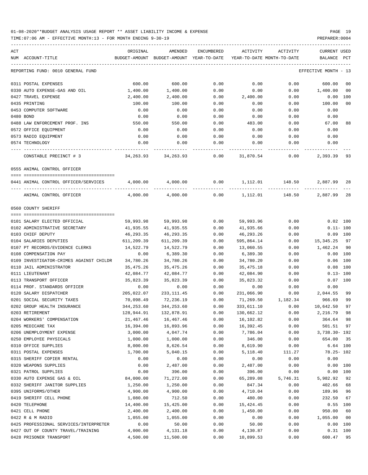| ACT<br>NUM ACCOUNT-TITLE                                                    | ORIGINAL   | AMENDED<br>BUDGET-AMOUNT BUDGET-AMOUNT YEAR-TO-DATE | ENCUMBERED |                    | ACTIVITY ACTIVITY<br>YEAR-TO-DATE MONTH-TO-DATE | CURRENT USED<br>BALANCE PCT |                |
|-----------------------------------------------------------------------------|------------|-----------------------------------------------------|------------|--------------------|-------------------------------------------------|-----------------------------|----------------|
| REPORTING FUND: 0010 GENERAL FUND                                           |            |                                                     |            |                    |                                                 | EFFECTIVE MONTH - 13        |                |
| 0311 POSTAL EXPENSES                                                        | 600.00     | 600.00                                              | 0.00       | 0.00               | 0.00                                            | 600.00                      | 0 <sub>0</sub> |
| 0330 AUTO EXPENSE-GAS AND OIL                                               | 1,400.00   | 1,400.00                                            | 0.00       | 0.00               | 0.00                                            | 1,400.00                    | 0 <sub>0</sub> |
| 0427 TRAVEL EXPENSE                                                         | 2,400.00   | 2,400.00                                            | 0.00       | 2,400.00           | 0.00                                            | $0.00$ 100                  |                |
| 0435 PRINTING                                                               | 100.00     | 100.00                                              | 0.00       | 0.00               | 0.00                                            | 100.00                      | 0 <sub>0</sub> |
| 0453 COMPUTER SOFTWARE                                                      | 0.00       | 0.00                                                | 0.00       | 0.00               | 0.00                                            | 0.00                        |                |
| 0480 BOND                                                                   | 0.00       | 0.00                                                | 0.00       | 0.00               | 0.00                                            | 0.00                        |                |
| 0488 LAW ENFORCEMENT PROF. INS                                              | 550.00     | 550.00                                              | 0.00       | 483.00             | 0.00                                            | 67.00                       | 88             |
| 0572 OFFICE EQUIPMENT                                                       | 0.00       | 0.00                                                | 0.00       | 0.00               | 0.00                                            | 0.00                        |                |
| 0573 RADIO EQUIPMENT                                                        | 0.00       | 0.00                                                | 0.00       | 0.00               | 0.00                                            | 0.00                        |                |
| 0574 TECHNOLOGY                                                             | 0.00       | 0.00                                                | 0.00       | 0.00               | 0.00                                            | 0.00                        |                |
| CONSTABLE PRECINCT # 3                                                      |            | 34, 263. 93 34, 263. 93                             |            | $0.00$ $31,870.54$ | -------------<br>0.00                           | -------------<br>2,393.39   | 93             |
| 0555 ANIMAL CONTROL OFFICER                                                 |            |                                                     |            |                    |                                                 |                             |                |
| 0441 ANIMAL CONTROL OFFICER/SERVICES 4,000.00 4,000.00 0.00 1,112.01 148.50 |            |                                                     |            |                    |                                                 | 2,887.99                    | 28             |
| ANIMAL CONTROL OFFICER                                                      | 4,000.00   |                                                     |            |                    | $4,000.00$ $0.00$ $1,112.01$ $148.50$           | 2,887.99                    | 28             |
| 0560 COUNTY SHERIFF                                                         |            |                                                     |            |                    |                                                 |                             |                |
| 0101 SALARY ELECTED OFFICIAL                                                | 59,993.98  | 59,993.98                                           | 0.00       | 59,993.96          | 0.00                                            | $0.02$ 100                  |                |
| 0102 ADMINISTRATIVE SECRETARY                                               | 41,935.55  | 41,935.55                                           | 0.00       | 41,935.66          | 0.00                                            | $0.11 - 100$                |                |
| 0103 CHIEF DEPUTY                                                           | 46,293.35  | 46,293.35                                           | 0.00       | 46,293.26          | 0.00                                            | $0.09$ 100                  |                |
| 0104 SALARIES DEPUTIES                                                      | 611,209.39 | 611,209.39                                          | 0.00       | 595,864.14         | 0.00                                            | 15,345.25 97                |                |
| 0107 PT RECORDS/EVIDENCE CLERKS                                             | 14,522.79  | 14,522.79                                           | 0.00       | 13,060.55          | 0.00                                            | 1,462.24                    | 90             |
| 0108 COMPENSATION PAY                                                       | 0.00       | 6,389.30                                            | 0.00       | 6,389.30           | 0.00                                            | 0.00 100                    |                |
| 0109 INVESTIGATOR-CRIMES AGAINST CHILDR                                     | 34,780.26  | 34,780.26                                           | 0.00       | 34,780.20          | 0.00                                            | $0.06$ 100                  |                |
| 0110 JAIL ADMINISTRATOR                                                     | 35,475.26  | 35,475.26                                           | 0.00       | 35,475.18          | 0.00                                            | $0.08$ 100                  |                |
| 0111 LIEUTENANT                                                             | 42,084.77  | 42,084.77                                           | 0.00       | 42,084.90          | 0.00                                            | $0.13 - 100$                |                |
| 0113 TRANSPORT OFFICER                                                      | 35,823.39  | 35,823.39                                           | 0.00       | 35,823.32          | 0.00                                            | $0.07$ 100                  |                |
| 0114 PROF. STANDARDS OFFICER                                                | 0.00       | 0.00                                                | 0.00       | 0.00               | 0.00                                            | 0.00                        |                |
| 0120 SALARY DISPATCHER                                                      | 205,022.07 | 233,111.45                                          | 0.00       | 231,066.90         |                                                 | $0.00$ 2,044.55             | 99             |
| 0201 SOCIAL SECURITY TAXES                                                  | 70,098.49  | 72,236.19                                           | 0.00       |                    | 71,269.50 1,182.34                              | 966.69                      | 99             |
| 0202 GROUP HEALTH INSURANCE                                                 | 344,253.60 | 344,253.60                                          | 0.00       | 333,611.10         | 0.00                                            | 10,642.50                   | 97             |
| 0203 RETIREMENT                                                             | 128,944.91 | 132,878.91                                          | 0.00       | 130,662.12         | 0.00                                            | 2,216.79 98                 |                |
| 0204 WORKERS' COMPENSATION                                                  | 21,467.46  | 16,467.46                                           | 0.00       | 16,102.82          | 0.00                                            | 364.64                      | 98             |
| 0205 MEDICARE TAX                                                           | 16,394.00  | 16,893.96                                           | 0.00       | 16,392.45          | 0.00                                            | 501.51                      | 97             |
| 0206 UNEMPLOYMENT EXPENSE                                                   | 3,000.00   | 4,047.74                                            | 0.00       | 7,786.04           | 0.00                                            | 3,738.30- 192               |                |
| 0250 EMPLOYEE PHYSICALS                                                     | 1,000.00   | 1,000.00                                            | 0.00       | 346.00             | 0.00                                            | 654.00                      | 35             |
| 0310 OFFICE SUPPLIES                                                        | 8,000.00   | 8,626.54                                            | 0.00       | 8,619.90           | 0.00                                            | 6.64 100                    |                |
| 0311 POSTAL EXPENSES                                                        | 1,700.00   | 5,040.15                                            | 0.00       | 5,118.40           | 111.27                                          | 78.25- 102                  |                |
| 0315 SHERIFF COPIER RENTAL                                                  | 0.00       | 0.00                                                | 0.00       | 0.00               | 0.00                                            | 0.00                        |                |
| 0320 WEAPONS SUPPLIES                                                       | 0.00       | 2,487.00                                            | 0.00       | 2,487.00           | 0.00                                            | 0.00 100                    |                |
| 0321 PATROL SUPPLIES                                                        | 0.00       | 396.00                                              | 0.00       | 396.00             | 0.00                                            | 0.00 100                    |                |
| 0330 AUTO EXPENSE GAS & OIL                                                 | 84,000.00  | 71,272.00                                           | 0.00       | 65,289.08          | 5,746.31                                        | 5,982.92                    | 92             |
| 0332 SHERIFF JANITOR SUPPLIES                                               | 1,250.00   | 1,250.00                                            | 0.00       | 847.34             | 0.00                                            | 402.66                      | 68             |
| 0395 UNIFORMS/OTHER                                                         | 4,900.00   | 4,900.00                                            | 0.00       | 4,710.04           | 0.00                                            | 189.96                      | 96             |
| 0419 SHERIFF CELL PHONE                                                     | 1,080.00   | 712.50                                              | 0.00       | 480.00             | 0.00                                            | 232.50                      | 67             |
| 0420 TELEPHONE                                                              | 14,400.00  | 15,425.00                                           | 0.00       | 15,424.45          | 0.00                                            | $0.55$ 100                  |                |
| 0421 CELL PHONE                                                             | 2,400.00   | 2,400.00                                            | 0.00       | 1,450.00           | 0.00                                            | 950.00                      | 60             |
| 0422 R & M RADIO                                                            | 1,055.00   | 1,055.00                                            | 0.00       | 0.00               | 0.00                                            | 1,055.00                    | 0 <sub>0</sub> |
| 0425 PROFESSIONAL SERVICES/INTERPRETER                                      | 0.00       | 50.00                                               | 0.00       | 50.00              | 0.00                                            | 0.00 100                    |                |
| 0427 OUT OF COUNTY TRAVEL/TRAINING                                          | 4,000.00   | 4,131.18                                            | 0.00       | 4,130.87           | 0.00                                            | $0.31$ 100                  |                |
| 0428 PRISONER TRANSPORT                                                     | 4,500.00   | 11,500.00                                           | 0.00       | 10,899.53          | 0.00                                            | 600.47                      | 95             |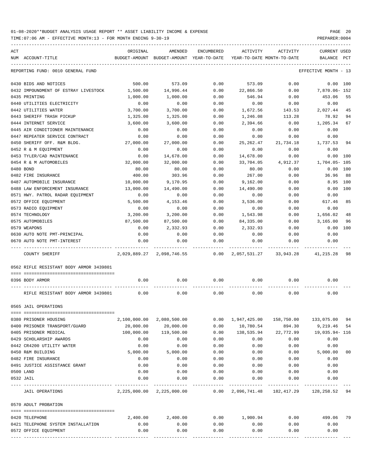| ACT |                                         | ORIGINAL   | AMENDED                                  | ENCUMBERED    | ACTIVITY                                        | ACTIVITY   | <b>CURRENT USED</b>  |     |
|-----|-----------------------------------------|------------|------------------------------------------|---------------|-------------------------------------------------|------------|----------------------|-----|
|     | NUM ACCOUNT-TITLE                       |            | BUDGET-AMOUNT BUDGET-AMOUNT YEAR-TO-DATE |               | YEAR-TO-DATE MONTH-TO-DATE                      |            | BALANCE              | PCT |
|     | REPORTING FUND: 0010 GENERAL FUND       |            |                                          |               |                                                 |            | EFFECTIVE MONTH - 13 |     |
|     | 0430 BIDS AND NOTICES                   | 500.00     | 573.09                                   | 0.00          | 573.09                                          | 0.00       | 0.00 100             |     |
|     | 0432 IMPOUNDMENT OF ESTRAY LIVESTOCK    | 1,500.00   | 14,996.44                                | 0.00          | 22,866.50                                       | 0.00       | 7,870.06-152         |     |
|     | 0435 PRINTING                           | 1,000.00   | 1,000.00                                 | 0.00          | 546.94                                          | 0.00       | 453.06               | 55  |
|     | 0440 UTILITIES ELECTRICITY              | 0.00       | 0.00                                     | 0.00          | 0.00                                            | 0.00       | 0.00                 |     |
|     | 0442 UTILITIES WATER                    | 3,700.00   | 3,700.00                                 | 0.00          | 1,672.56                                        | 143.53     | 2,027.44             | 45  |
|     | 0443 SHERIFF TRASH PICKUP               | 1,325.00   | 1,325.00                                 | 0.00          | 1,246.08                                        | 113.28     | 78.92                | 94  |
|     | 0444 INTERNET SERVICE                   | 3,600.00   | 3,600.00                                 | 0.00          | 2,394.66                                        | 0.00       | 1,205.34             | 67  |
|     | 0445 AIR CONDITIONER MAINTENANCE        | 0.00       | 0.00                                     | 0.00          | 0.00                                            | 0.00       | 0.00                 |     |
|     | 0447 REPEATER SERVICE CONTRACT          | 0.00       | 0.00                                     | 0.00          | 0.00                                            | 0.00       | 0.00                 |     |
|     | 0450 SHERIFF OFF. R&M BLDG.             | 27,000.00  | 27,000.00                                | 0.00          | 25,262.47                                       | 21,734.18  | 1,737.53             | 94  |
|     | 0452 R & M EQUIPMENT                    | 0.00       | 0.00                                     | 0.00          | 0.00                                            | 0.00       | 0.00                 |     |
|     | 0453 TYLER/CAD MAINTENANCE              | 0.00       | 14,678.00                                | 0.00          | 14,678.00                                       | 0.00       | 0.00                 | 100 |
|     | 0454 R & M AUTOMOBILES                  | 32,000.00  | 32,000.00                                | 0.00          | 33,704.05                                       | 4,912.37   | 1,704.05- 105        |     |
|     | 0480 BOND                               | 80.00      | 80.00                                    | 0.00          | 80.00                                           | 0.00       | 0.00                 | 100 |
|     | 0482 FIRE INSURANCE                     | 400.00     | 303.96                                   | 0.00          | 267.00                                          | 0.00       | 36.96                | 88  |
|     | 0487 AUTOMOBILE INSURANCE               | 10,000.00  | 9,170.95                                 | 0.00          | 9,162.00                                        | 0.00       | 8.95                 | 100 |
|     | 0488 LAW ENFORCEMENT INSURANCE          | 13,000.00  | 14,490.00                                | 0.00          | 14,490.00                                       | 0.00       | 0.00                 | 100 |
|     | 0571 HWY. PATROL RADAR EQUIPMENT        | 0.00       | 0.00                                     | 0.00          | 0.00                                            | 0.00       | 0.00                 |     |
|     | 0572 OFFICE EQUIPMENT                   | 5,500.00   | 4, 153. 46                               | 0.00          | 3,536.00                                        | 0.00       | 617.46               | 85  |
|     | 0573 RADIO EQUIPMENT                    | 0.00       | 0.00                                     | 0.00          | 0.00                                            | 0.00       | 0.00                 |     |
|     | 0574 TECHNOLOGY                         | 3,200.00   | 3,200.00                                 | 0.00          | 1,543.98                                        | 0.00       | 1,656.02             | 48  |
|     | 0575 AUTOMOBILES                        | 87,500.00  | 87,500.00                                | 0.00          | 84,335.00                                       | 0.00       | 3,165.00             | 96  |
|     | 0579 WEAPONS                            | 0.00       | 2,332.93                                 | 0.00          | 2,332.93                                        | 0.00       | 0.00                 | 100 |
|     | 0630 AUTO NOTE PMT-PRINCIPAL            | 0.00       | 0.00                                     | 0.00          | 0.00                                            | 0.00       | 0.00                 |     |
|     | 0670 AUTO NOTE PMT-INTEREST             | 0.00       | 0.00                                     | 0.00          | 0.00                                            | 0.00       | 0.00                 |     |
|     | COUNTY SHERIFF                          |            | 2,029,889.27 2,098,746.55                | 0.00          | 2,057,531.27 33,943.28                          |            | 41,215.28 98         |     |
|     | 0562 RIFLE RESISTANT BODY ARMOR 3439801 |            |                                          |               |                                                 |            |                      |     |
|     | 0396 BODY ARMOR                         | 0.00       | 0.00                                     | 0.00          | 0.00                                            | 0.00       | 0.00                 |     |
|     | RIFLE RESISTANT BODY ARMOR 3439801      | 0.00       | 0.00                                     | 0.00          | 0.00                                            | 0.00       | 0.00                 |     |
|     | 0565 JAIL OPERATIONS                    |            |                                          |               |                                                 |            |                      |     |
|     |                                         |            |                                          |               |                                                 |            |                      |     |
|     | 0380 PRISONER HOUSING                   |            | 2,100,000.00 2,080,500.00                |               | $0.00 \quad 1,947,425.00$                       | 158,750.00 | 133,075.00 94        |     |
|     | 0400 PRISONER TRANSPORT/GUARD           | 20,000.00  | 20,000.00<br>119,500.00                  | 0.00          | 10,780.54                                       | 894.30     | 9,219.46 54          |     |
|     | 0405 PRISONER MEDICAL                   | 100,000.00 |                                          | 0.00          | 138,535.94                                      | 22,772.99  | 19,035.94– 116       |     |
|     | 0429 SCHOLARSHIP AWARDS                 | 0.00       | 0.00                                     | 0.00          | 0.00                                            | 0.00       | 0.00                 |     |
|     | 0442 CR4200 UTILITY WATER               | 0.00       | 0.00                                     | 0.00          | 0.00                                            | 0.00       | 0.00                 |     |
|     | 0450 R&M BUILDING                       | 5,000.00   | 5,000.00                                 | 0.00          | 0.00                                            | 0.00       | 5,000.00             | 00  |
|     | 0482 FIRE INSURANCE                     | 0.00       | 0.00                                     | 0.00          | 0.00                                            | 0.00       | 0.00                 |     |
|     | 0491 JUSTICE ASSISTANCE GRANT           | 0.00       | 0.00                                     | 0.00          | 0.00                                            | 0.00       | 0.00                 |     |
|     | 0500 LAND                               | 0.00       | 0.00                                     | 0.00          | 0.00                                            | 0.00       | 0.00                 |     |
|     | 0532 JAIL                               | 0.00       | 0.00                                     | 0.00<br>----- | 0.00                                            | 0.00       | 0.00                 |     |
|     | JAIL OPERATIONS                         |            | 2, 225, 000.00 2, 225, 000.00            |               | $0.00$ 2,096,741.48  182,417.29  128,258.52  94 |            |                      |     |
|     | 0570 ADULT PROBATION                    |            |                                          |               |                                                 |            |                      |     |
|     | 0420 TELEPHONE                          | 2,400.00   | 2,400.00                                 | 0.00          | 1,900.94                                        | 0.00       | 499.06 79            |     |
|     | 0421 TELEPHONE SYSTEM INSTALLATION      | 0.00       | 0.00                                     | 0.00          | 0.00                                            | 0.00       | 0.00                 |     |
|     | 0572 OFFICE EQUIPMENT                   | 0.00       | 0.00                                     | 0.00          | 0.00                                            | 0.00       | 0.00                 |     |
|     |                                         |            |                                          |               |                                                 |            |                      |     |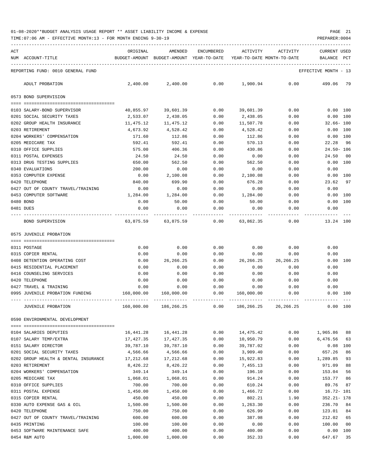TIME:07:06 AM - EFFECTIVE MONTH:13 - FOR MONTH ENDING 9-30-19 PREPARER:0004

| ACT |                                      | ORIGINAL      | AMENDED                    | <b>ENCUMBERED</b> | ACTIVITY                   | ACTIVITY    | <b>CURRENT USED</b> |                |
|-----|--------------------------------------|---------------|----------------------------|-------------------|----------------------------|-------------|---------------------|----------------|
|     | NUM ACCOUNT-TITLE                    | BUDGET-AMOUNT | BUDGET-AMOUNT YEAR-TO-DATE |                   | YEAR-TO-DATE MONTH-TO-DATE |             | BALANCE             | PCT            |
|     | REPORTING FUND: 0010 GENERAL FUND    |               |                            |                   |                            |             | EFFECTIVE MONTH     | - 13           |
|     | ADULT PROBATION                      | 2,400.00      | 2,400.00                   | 0.00              | 1,900.94                   | 0.00        | 499.06              | 79             |
|     | 0573 BOND SUPERVISION                |               |                            |                   |                            |             |                     |                |
|     | 0103 SALARY-BOND SUPERVISOR          | 40,855.97     | 39,601.39                  | 0.00              | 39,601.39                  | 0.00        | 0.00 100            |                |
|     | 0201 SOCIAL SECURITY TAXES           | 2,533.07      | 2,438.05                   | 0.00              | 2,438.05                   | 0.00        | 0.00                | 100            |
|     | 0202 GROUP HEALTH INSURANCE          | 11,475.12     | 11,475.12                  | 0.00              | 11,507.78                  | 0.00        | $32.66 - 100$       |                |
|     | 0203 RETIREMENT                      | 4,673.92      | 4,528.42                   | 0.00              | 4,528.42                   | 0.00        | 0.00 100            |                |
|     | 0204 WORKERS' COMPENSATION           | 171.60        | 112.86                     | 0.00              | 112.86                     | 0.00        | 0.00                | 100            |
|     | 0205 MEDICARE TAX                    | 592.41        | 592.41                     | 0.00              | 570.13                     | 0.00        | 22.28               | -96            |
|     | 0310 OFFICE SUPPLIES                 | 575.00        | 406.36                     | 0.00              | 430.86                     | 0.00        | $24.50 - 106$       |                |
|     | 0311 POSTAL EXPENSES                 | 24.50         | 24.50                      | 0.00              | 0.00                       | 0.00        | 24.50               | 0 <sub>0</sub> |
|     | 0313 DRUG TESTING SUPPLIES           | 650.00        | 562.50                     | 0.00              | 562.50                     | 0.00        | $0.00$ 100          |                |
|     | 0340 EVALUATIONS                     | 200.00        | 0.00                       | 0.00              | 0.00                       | 0.00        | 0.00                |                |
|     | 0353 COMPUTER EXPENSE                | 0.00          | 2,100.08                   | 0.00              | 2,100.08                   | 0.00        | $0.00$ 100          |                |
|     | 0420 TELEPHONE                       | 840.00        | 699.90                     | 0.00              | 676.28                     | 0.00        | 23.62               | 97             |
|     | 0427 OUT OF COUNTY TRAVEL/TRAINING   | 0.00          | 0.00                       | 0.00              | 0.00                       | 0.00        | 0.00                |                |
|     | 0453 COMPUTER SOFTWARE               | 1,284.00      | 1,284.00                   | 0.00              | 1,284.00                   | 0.00        | 0.00 100            |                |
|     | 0480 BOND                            | 0.00          | 50.00                      | 0.00              | 50.00                      | 0.00        | 0.00                | 100            |
|     | 0481 DUES                            | 0.00          | 0.00                       | 0.00              | 0.00                       | 0.00        | 0.00                |                |
|     | BOND SUPERVISION                     | 63,875.59     | 63,875.59                  | 0.00              | 63,862.35                  | 0.00        | 13.24 100           |                |
|     | 0575 JUVENILE PROBATION              |               |                            |                   |                            |             |                     |                |
|     |                                      |               |                            |                   |                            |             |                     |                |
|     | 0311 POSTAGE                         | 0.00          | 0.00                       | 0.00              | 0.00                       | 0.00        | 0.00                |                |
|     | 0315 COPIER RENTAL                   | 0.00          | 0.00                       | 0.00              | 0.00                       | 0.00        | 0.00                |                |
|     | 0408 DETENTION OPERATING COST        | 0.00          | 26, 266. 25                | 0.00              | 26, 266. 25                | 26, 266. 25 | 0.00                | 100            |
|     | 0415 RESIDENTIAL PLACEMENT           | 0.00          | 0.00                       | 0.00              | 0.00                       | 0.00        | 0.00                |                |
|     | 0416 COUNSELING SERVICES             | 0.00          | 0.00                       | 0.00              | 0.00                       | 0.00        | 0.00                |                |
|     | 0420 TELEPHONE                       | 0.00          | 0.00                       | 0.00              | 0.00                       | 0.00        | 0.00                |                |
|     | 0427 TRAVEL & TRAINING               | 0.00          | 0.00                       | 0.00              | 0.00                       | 0.00        | 0.00                |                |
|     | 0995 JUVENILE PROBATION FUNDING      | 160,000.00    | 160,000.00                 | 0.00              | 160,000.00                 | 0.00        | 0.00 100            |                |
|     | JUVENILE PROBATION                   | 160,000.00    | 186,266.25                 | 0.00              | 186,266.25                 | 26,266.25   | 0.00 100            |                |
|     | 0590 ENVIRONMENTAL DEVELOPMENT       |               |                            |                   |                            |             |                     |                |
|     | 0104 SALARIES DEPUTIES               | 16,441.28     | 16,441.28                  | 0.00              | 14,475.42                  | 0.00        | 1,965.86            | 88             |
|     | 0107 SALARY TEMP/EXTRA               | 17,427.35     | 17,427.35                  | 0.00              | 10,950.79                  | 0.00        | 6,476.56            | 63             |
|     | 0151 SALARY DIRECTOR                 | 39,787.10     | 39,787.10                  | 0.00              | 39,787.02                  | 0.00        | 0.08                | 100            |
|     | 0201 SOCIAL SECURITY TAXES           | 4,566.66      | 4,566.66                   | 0.00              | 3,909.40                   | 0.00        | 657.26              | 86             |
|     | 0202 GROUP HEALTH & DENTAL INSURANCE | 17,212.68     | 17,212.68                  | 0.00              | 15,922.83                  | 0.00        | 1,289.85            | 93             |
|     | 0203 RETIREMENT                      | 8,426.22      | 8,426.22                   | 0.00              | 7,455.13                   | 0.00        | 971.09              | 88             |
|     | 0204 WORKERS' COMPENSATION           | 349.14        | 349.14                     | 0.00              | 196.10                     | 0.00        | 153.04              | 56             |
|     | 0205 MEDICARE TAX                    | 1,068.01      | 1,068.01                   | 0.00              | 914.24                     | 0.00        | 153.77              | 86             |
|     | 0310 OFFICE SUPPLIES                 | 700.00        | 700.00                     | 0.00              | 610.24                     | 0.00        | 89.76               | 87             |
|     | 0311 POSTAL EXPENSE                  | 1,450.00      | 1,450.00                   | 0.00              | 1,466.72                   | 0.00        | $16.72 - 101$       |                |
|     | 0315 COPIER RENTAL                   | 450.00        | 450.00                     | 0.00              | 802.21                     | 1.90        | $352.21 - 178$      |                |
|     | 0330 AUTO EXPENSE GAS & OIL          | 1,500.00      | 1,500.00                   | 0.00              | 1,263.30                   | 0.00        | 236.70              | 84             |
|     | 0420 TELEPHONE                       | 750.00        | 750.00                     | 0.00              | 626.99                     | 0.00        | 123.01              | 84             |
|     | 0427 OUT OF COUNTY TRAVEL/TRAINING   | 600.00        | 600.00                     | 0.00              | 387.98                     | 0.00        | 212.02              | 65             |
|     | 0435 PRINTING                        | 100.00        | 100.00                     | 0.00              | 0.00                       | 0.00        | 100.00              | 00             |
|     | 0453 SOFTWARE MAINTENANCE SAFE       | 400.00        | 400.00                     | 0.00              | 400.00                     | 0.00        | 0.00 100            |                |

0454 R&M AUTO 1,000.00 1,000.00 0.00 352.33 0.00 647.67 35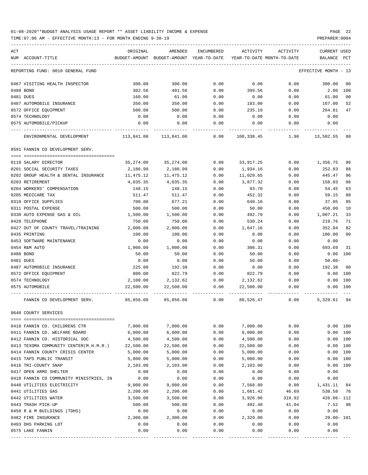TIME:07:06 AM - EFFECTIVE MONTH:13 - FOR MONTH ENDING 9-30-19 PREPARER:0004

| ACT                                                | ORIGINAL          | AMENDED                                  | ENCUMBERED   | ACTIVITY                   | ACTIVITY     | <b>CURRENT USED</b>    |                |
|----------------------------------------------------|-------------------|------------------------------------------|--------------|----------------------------|--------------|------------------------|----------------|
| NUM ACCOUNT-TITLE                                  |                   | BUDGET-AMOUNT BUDGET-AMOUNT YEAR-TO-DATE |              | YEAR-TO-DATE MONTH-TO-DATE |              | BALANCE PCT            |                |
| REPORTING FUND: 0010 GENERAL FUND                  |                   |                                          |              |                            |              | EFFECTIVE MONTH - 13   |                |
| 0467 VISITING HEALTH INSPECTOR                     | 300.00            | 300.00                                   | 0.00         | 0.00                       | 0.00         | 300.00                 | 00             |
| 0480 BOND                                          | 302.56            | 401.56                                   | 0.00         | 399.56                     | 0.00         | 2.00                   | 100            |
| 0481 DUES                                          | 160.00            | 61.00                                    | 0.00         | 0.00                       | 0.00         | 61.00                  | 0 <sub>0</sub> |
| 0487 AUTOMOBILE INSURANCE                          | 350.00            | 350.00                                   | 0.00         | 183.00                     | 0.00         | 167.00                 | 52             |
| 0572 OFFICE EQUIPMENT                              | 500.00            | 500.00                                   | 0.00         | 235.19                     | 0.00         | 264.81                 | 47             |
| 0574 TECHNOLOGY                                    | 0.00              | 0.00                                     | 0.00         | 0.00                       | 0.00         | 0.00                   |                |
| 0575 AUTOMOBILE/PICKUP                             | 0.00              | 0.00                                     | 0.00         | 0.00                       | 0.00         | 0.00                   |                |
| ENVIRONMENTAL DEVELOPMENT                          | 113,841.00        | 113,841.00                               | 0.00         | 100,338.45                 | 1.90         | 13,502.55              | 88             |
| 0591 FANNIN CO DEVELOPMENT SERV.                   |                   |                                          |              |                            |              |                        |                |
| 0110 SALARY DIRECTOR                               | 35,274.00         | 35,274.00                                | 0.00         | 33,917.25                  | 0.00         | 1,356.75               | 96             |
| 0201 SOCIAL SECURITY TAXES                         | 2,186.99          | 2,186.99                                 | 0.00         | 1,934.16                   | 0.00         | 252.83                 | 88             |
| 0202 GROUP HEALTH & DENTAL INSURANCE               | 11,475.12         | 11,475.12                                | 0.00         | 11,029.65                  | 0.00         | 445.47                 | 96             |
| 0203 RETIREMENT                                    | 4,035.35          | 4,035.35                                 | 0.00         | 3,877.32                   | 0.00         | 158.03                 | 96             |
| 0204 WORKERS' COMPENSATION                         | 148.15            | 148.15                                   | 0.00         | 93.70                      | 0.00         | 54.45                  | 63             |
| 0205 MEDICARE TAX                                  | 511.47            | 511.47                                   | 0.00         | 452.32                     | 0.00         | 59.15                  | 88             |
| 0310 OFFICE SUPPLIES                               | 700.00            | 677.21                                   | 0.00         | 640.16                     | 0.00         | 37.05                  | 95             |
| 0311 POSTAL EXPENSE                                | 500.00            | 500.00                                   | 0.00         | 50.00                      | 0.00         | 450.00                 | 10             |
| 0330 AUTO EXPENSE GAS & OIL                        | 1,500.00          | 1,500.00                                 | 0.00         | 492.79                     | 0.00         | 1,007.21               | 33             |
| 0420 TELEPHONE                                     | 750.00            | 750.00                                   | 0.00         | 530.24                     | 0.00         | 219.76                 | 71             |
| 0427 OUT OF COUNTY TRAVEL/TRAINING                 | 2,000.00          | 2,000.00                                 | 0.00         | 1,647.16                   | 0.00         | 352.84                 | 82             |
| 0435 PRINTING                                      | 100.00            | 100.00                                   | 0.00         | 0.00                       | 0.00         | 100.00                 | 0 <sub>0</sub> |
| 0453 SOFTWARE MAINTENANCE                          | 0.00              | 0.00                                     | 0.00         | 0.00                       | 0.00         | 0.00                   |                |
| 0454 R&M AUTO<br>0480 BOND                         | 1,000.00<br>50.00 | 1,000.00<br>50.00                        | 0.00<br>0.00 | 306.31<br>50.00            | 0.00<br>0.00 | 693.69<br>$0.00$ $100$ | 31             |
| 0481 DUES                                          | 0.00              | 0.00                                     | 0.00         | 50.00                      | 0.00         | $50.00 -$              |                |
| 0487 AUTOMOBILE INSURANCE                          | 225.00            | 192.38                                   | 0.00         | 0.00                       | 0.00         | 192.38                 | 00             |
| 0572 OFFICE EQUIPMENT                              | 800.00            | 822.79                                   | 0.00         | 822.79                     | 0.00         | 0.00                   | 100            |
| 0574 TECHNOLOGY                                    | 2,100.00          | 2,132.62                                 | 0.00         | 2,132.62                   | 0.00         |                        | 0.00 100       |
| 0575 AUTOMOBILE                                    | 22,500.00         | 22,500.00                                | 0.00         | 22,500.00                  | 0.00         |                        | 0.00 100       |
| FANNIN CO DEVELOPMENT SERV.                        | 85,856.08         | 85,856.08                                | 0.00         | 80,526.47                  | 0.00         | 5,329.61               | 94             |
| 0640 COUNTY SERVICES                               |                   |                                          |              |                            |              |                        |                |
| 0410 FANNIN CO. CHILDRENS CTR                      | 7,000.00          | 7,000.00                                 | 0.00         | 7,000.00                   | 0.00         |                        | 0.00 100       |
| 0411 FANNIN CO. WELFARE BOARD                      | 6,000.00          | 6,000.00                                 | 0.00         | 6,000.00                   | 0.00         | 0.00                   | 100            |
| 0412 FANNIN CO. HISTORICAL SOC                     | 4,500.00          | 4,500.00                                 | 0.00         | 4,500.00                   | 0.00         | 0.00                   | 100            |
| 0413 TEXOMA COMMUNITY CENTER(M.H.M.R.)             | 22,500.00         | 22,500.00                                | 0.00         | 22,500.00                  | 0.00         | 0.00                   | 100            |
| 0414 FANNIN COUNTY CRISIS CENTER                   | 5,000.00          | 5,000.00                                 | 0.00         | 5,000.00                   | 0.00         | 0.00                   | 100            |
| 0415 TAPS PUBLIC TRANSIT                           | 5,000.00          | 5,000.00                                 | 0.00         | 5,000.00                   | 0.00         | 0.00                   | 100            |
| 0416 TRI-COUNTY SNAP                               | 2,103.00          | 2,103.00                                 | 0.00         | 2,103.00                   | 0.00         | 0.00                   | 100            |
| 0417 OPEN ARMS SHELTER                             | 0.00              | 0.00                                     | 0.00         | 0.00                       | 0.00         | 0.00                   |                |
| 0418 FANNIN CO COMMUNITY MINISTRIES, IN            | 0.00              | 0.00                                     | 0.00         | 0.00                       | 0.00         | 0.00                   |                |
| 0440 UTILITIES ELECTRICITY                         | 9,000.00          | 9,000.00                                 | 0.00         | 7,568.89                   | 0.00         | 1,431.11               | 84             |
| 0441 UTILITIES GAS                                 | 2,200.00          | 2,200.00                                 | 0.00         | 1,661.42                   | 46.69        | 538.58                 | 76             |
| 0442 UTILITIES WATER                               | 3,500.00          | 3,500.00                                 | 0.00         | 3,926.06                   | 319.92       | 426.06- 112            |                |
| 0443 TRASH PICK-UP                                 | 500.00            | 500.00                                   | 0.00         | 492.48                     | 41.04        | 7.52                   | 98             |
| 0450 R & M BUILDINGS (TDHS)<br>0482 FIRE INSURANCE | 0.00<br>2,300.00  | 0.00                                     | 0.00<br>0.00 | 0.00                       | 0.00<br>0.00 | 0.00<br>29.00- 101     |                |
| 0493 DHS PARKING LOT                               | 0.00              | 2,300.00<br>0.00                         | 0.00         | 2,329.00<br>0.00           | 0.00         | 0.00                   |                |
| 0575 LAKE FANNIN                                   | 0.00              | 0.00                                     | 0.00         | 0.00                       | 0.00         | 0.00                   |                |
|                                                    |                   |                                          |              |                            |              |                        |                |

---- ---------------------------------- ------------- ------------- ------------ ------------- ------------ ------------- ---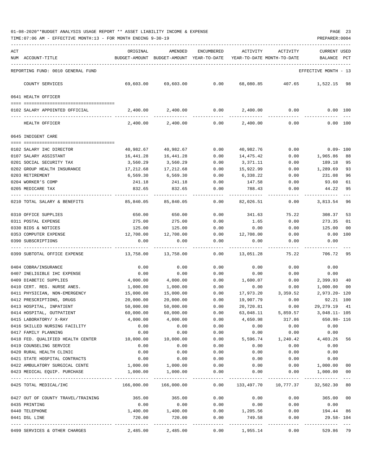|                                                     | ORIGINAL           |                                                     |              |                    |                                        |                                    |                |
|-----------------------------------------------------|--------------------|-----------------------------------------------------|--------------|--------------------|----------------------------------------|------------------------------------|----------------|
| ACT<br>NUM ACCOUNT-TITLE                            |                    | AMENDED<br>BUDGET-AMOUNT BUDGET-AMOUNT YEAR-TO-DATE | ENCUMBERED   | ACTIVITY           | ACTIVITY<br>YEAR-TO-DATE MONTH-TO-DATE | <b>CURRENT USED</b><br>BALANCE PCT |                |
|                                                     |                    |                                                     |              |                    |                                        |                                    |                |
| REPORTING FUND: 0010 GENERAL FUND                   |                    |                                                     |              |                    |                                        | EFFECTIVE MONTH - 13               |                |
| COUNTY SERVICES                                     | 69,603.00          | 69,603.00                                           | 0.00         | 68,080.85          | 407.65                                 | 1,522.15                           | 98             |
| 0641 HEALTH OFFICER                                 |                    |                                                     |              |                    |                                        |                                    |                |
| 0102 SALARY APPOINTED OFFICIAL                      | 2,400.00           | 2,400.00                                            | 0.00         | 2,400.00           | 0.00                                   |                                    | 0.00 100       |
| HEALTH OFFICER                                      | 2,400.00           | 2,400.00                                            | 0.00         | 2,400.00           | 0.00                                   |                                    | 0.00 100       |
| 0645 INDIGENT CARE                                  |                    |                                                     |              |                    |                                        |                                    |                |
| 0102 SALARY IHC DIRECTOR                            | 40,982.67          | 40,982.67                                           | 0.00         | 40,982.76          | 0.00                                   | $0.09 - 100$                       |                |
| 0107 SALARY ASSISTANT                               | 16,441.28          | 16,441.28                                           | 0.00         | 14,475.42          | 0.00                                   | 1,965.86                           | 88             |
| 0201 SOCIAL SECURITY TAX                            | 3,560.29           | 3,560.29                                            | 0.00         | 3,371.11           | 0.00                                   | 189.18                             | 95             |
| 0202 GROUP HEALTH INSURANCE                         | 17,212.68          | 17,212.68                                           | 0.00         | 15,922.99          | 0.00                                   | 1,289.69                           | 93             |
| 0203 RETIREMENT                                     | 6,569.30           | 6,569.30                                            | 0.00         | 6,338.22           | 0.00                                   | 231.08                             | 96             |
| 0204 WORKER'S COMP                                  | 241.18             | 241.18                                              | 0.00         | 147.58             | 0.00                                   | 93.60                              | 61             |
| 0205 MEDICARE TAX                                   | 832.65             | 832.65                                              | 0.00         | 788.43             | 0.00                                   | 44.22                              | 95<br>$- - -$  |
| 0210 TOTAL SALARY & BENEFITS                        | 85,840.05          | 85,840.05                                           | 0.00         | 82,026.51          | 0.00                                   | 3,813.54                           | 96             |
| 0310 OFFICE SUPPLIES                                | 650.00             | 650.00                                              | 0.00         | 341.63             | 75.22                                  | 308.37                             | 53             |
| 0311 POSTAL EXPENSE                                 | 275.00             | 275.00                                              | 0.00         | 1.65               | 0.00                                   | 273.35                             | 01             |
| 0330 BIDS & NOTICES                                 | 125.00             | 125.00                                              | 0.00         | 0.00               | 0.00                                   | 125.00                             | 0 <sub>0</sub> |
| 0353 COMPUTER EXPENSE                               | 12,708.00          | 12,708.00                                           | 0.00         | 12,708.00          | 0.00                                   | 0.00                               | 100            |
| 0390 SUBSCRIPTIONS                                  | 0.00               | 0.00                                                | 0.00         | 0.00               | 0.00                                   | 0.00                               |                |
| 0399 SUBTOTAL OFFICE EXPENSE                        | 13,758.00          | 13,758.00                                           | 0.00         | 13,051.28          | 75.22                                  | 706.72                             | 95             |
| 0404 COBRA/INSURANCE                                | 0.00               | 0.00                                                | 0.00         | 0.00               | 0.00                                   | 0.00                               |                |
| 0407 INELIGIBLE IHC EXPENSE                         | 0.00               | 0.00                                                | 0.00         | 0.00               | 0.00                                   | 0.00                               |                |
| 0409 DIABETIC SUPPLIES                              | 4,000.00           | 4,000.00                                            | 0.00         | 1,600.07           | 0.00                                   | 2,399.93                           | 40             |
| 0410 CERT. REG. NURSE ANES.                         | 1,000.00           | 1,000.00                                            | 0.00         | 0.00               | 0.00                                   | 1,000.00                           | 0 <sub>0</sub> |
| 0411 PHYSICIAN, NON-EMERGENCY                       | 15,000.00          | 15,000.00                                           | 0.00         | 17,973.20          | 3,359.52                               | $2,973.20 - 120$                   |                |
| 0412 PRESCRIPTIONS, DRUGS                           | 20,000.00          | 20,000.00                                           | 0.00         | 19,907.79          | 0.00                                   | 92.21                              | 100            |
| 0413 HOSPITAL, INPATIENT                            | 50,000.00          | 50,000.00                                           | 0.00         | 20,720.81          | 0.00                                   | 29, 279. 19                        | 41             |
| 0414 HOSPITAL, OUTPATIENT                           | 60,000.00          | 60,000.00                                           | 0.00         | 63,048.11          | 5,859.57                               | $3,048.11 - 105$                   |                |
| 0415 LABORATORY/ X-RAY                              | 4,000.00           | 4,000.00                                            | 0.00         | 4,650.98           | 317.86                                 | 650.98- 116                        |                |
| 0416 SKILLED NURSING FACILITY                       | 0.00               | 0.00                                                | 0.00         | 0.00               | 0.00                                   | 0.00                               |                |
| 0417 FAMILY PLANNING                                | 0.00               | 0.00                                                | 0.00         | 0.00               | 0.00                                   | 0.00                               |                |
| 0418 FED. QUALIFIED HEALTH CENTER                   | 10,000.00          | 10,000.00                                           | 0.00         | 5,596.74           | 1,240.42                               | 4,403.26 56                        |                |
| 0419 COUNSELING SERVICE<br>0420 RURAL HEALTH CLINIC | 0.00<br>0.00       | 0.00<br>0.00                                        | 0.00<br>0.00 | 0.00<br>0.00       | 0.00<br>0.00                           | 0.00<br>0.00                       |                |
| 0421 STATE HOSPITAL CONTRACTS                       | 0.00               | 0.00                                                | 0.00         | 0.00               | 0.00                                   | 0.00                               |                |
| 0422 AMBULATORY SURGICAL CENTE                      | 1,000.00           | 1,000.00                                            | 0.00         | 0.00               | 0.00                                   | 1,000.00                           | 00             |
| 0423 MEDICAL EQUIP. PURCHASE                        | 1,000.00           | 1,000.00                                            | 0.00         | 0.00               | 0.00                                   | 1,000.00                           | 00             |
|                                                     |                    |                                                     |              |                    |                                        |                                    |                |
| 0425 TOTAL MEDICAL/IHC                              |                    |                                                     |              | $0.00$ 133,497.70  |                                        | 10,777.37 32,502.30 80             |                |
| 0427 OUT OF COUNTY TRAVEL/TRAINING                  | 365.00             | 365.00                                              | 0.00         | 0.00               | 0.00                                   | 365.00 00                          |                |
| 0435 PRINTING                                       | 0.00               | 0.00                                                | 0.00         | 0.00               | 0.00                                   | 0.00                               |                |
| 0440 TELEPHONE<br>0441 DSL LINE                     | 1,400.00<br>720.00 | 1,400.00<br>720.00                                  | 0.00<br>0.00 | 1,205.56<br>749.58 | 0.00<br>0.00                           | 194.44 86<br>$29.58 - 104$         |                |
| 0499 SERVICES & OTHER CHARGES                       | 2,485.00           | -------------<br>2,485.00                           | ------------ | 0.00 1,955.14      | ------------- ------------<br>0.00     | -----------<br>529.86 79           |                |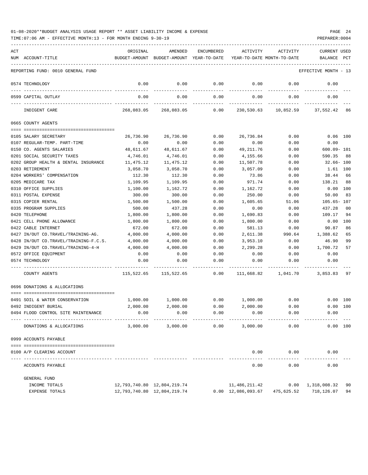| 01-08-2020**BUDGET ANALYSIS USAGE REPORT ** ASSET LIABILITY INCOME & EXPENSE |  |  |  |  |  | PAGE | 24 |
|------------------------------------------------------------------------------|--|--|--|--|--|------|----|
|                                                                              |  |  |  |  |  |      |    |

| ACT |                                       | ORIGINAL      | AMENDED                         | ENCUMBERED    | ACTIVITY                   | ACTIVITY                   | <b>CURRENT USED</b>  |     |
|-----|---------------------------------------|---------------|---------------------------------|---------------|----------------------------|----------------------------|----------------------|-----|
|     | NUM ACCOUNT-TITLE                     | BUDGET-AMOUNT | BUDGET-AMOUNT YEAR-TO-DATE      |               |                            | YEAR-TO-DATE MONTH-TO-DATE | BALANCE              | PCT |
|     | REPORTING FUND: 0010 GENERAL FUND     |               |                                 |               |                            |                            | EFFECTIVE MONTH - 13 |     |
|     | 0574 TECHNOLOGY                       | 0.00          | 0.00                            | 0.00<br>$---$ | 0.00                       | 0.00                       | 0.00                 |     |
|     | 0599 CAPITAL OUTLAY                   | 0.00          | 0.00                            | 0.00          | 0.00                       | 0.00                       | 0.00                 |     |
|     | INDIGENT CARE                         | 268,083.05    | 268,083.05                      | $---$<br>0.00 | 230,530.63                 | 10,852.59                  | 37,552.42            | 86  |
|     | 0665 COUNTY AGENTS                    |               |                                 |               |                            |                            |                      |     |
|     | 0105 SALARY SECRETARY                 | 26,736.90     | 26,736.90                       | 0.00          | 26,736.84                  | 0.00                       | $0.06$ 100           |     |
|     | 0107 REGULAR-TEMP. PART-TIME          | 0.00          | 0.00                            | 0.00          | 0.00                       | 0.00                       | 0.00                 |     |
|     | 0150 CO. AGENTS SALARIES              | 48,611.67     | 48,611.67                       | 0.00          | 49,211.76                  | 0.00                       | $600.09 - 101$       |     |
|     | 0201 SOCIAL SECURITY TAXES            | 4,746.01      | 4,746.01                        | 0.00          | 4,155.66                   | 0.00                       | 590.35               | 88  |
|     | 0202 GROUP HEALTH & DENTAL INSURANCE  | 11,475.12     | 11,475.12                       | 0.00          | 11,507.78                  | 0.00                       | $32.66 - 100$        |     |
|     | 0203 RETIREMENT                       | 3,058.70      | 3,058.70                        | 0.00          | 3,057.09                   | 0.00                       | 1.61 100             |     |
|     | 0204 WORKERS' COMPENSATION            | 112.30        | 112.30                          | 0.00          | 73.86                      | 0.00                       | 38.44                | 66  |
|     | 0205 MEDICARE TAX                     | 1,109.95      | 1,109.95                        | 0.00          | 971.74                     | 0.00                       | 138.21               | 88  |
|     | 0310 OFFICE SUPPLIES                  | 1,100.00      | 1,162.72                        | 0.00          | 1,162.72                   | 0.00                       | 0.00                 | 100 |
|     | 0311 POSTAL EXPENSE                   | 300.00        | 300.00                          | 0.00          | 250.00                     | 0.00                       | 50.00                | 83  |
|     | 0315 COPIER RENTAL                    | 1,500.00      | 1,500.00                        | 0.00          | 1,605.65                   | 51.06                      | $105.65 - 107$       |     |
|     | 0335 PROGRAM SUPPLIES                 | 500.00        | 437.28                          | 0.00          | 0.00                       | 0.00                       | 437.28               | 00  |
|     | 0420 TELEPHONE                        | 1,800.00      | 1,800.00                        | 0.00          | 1,690.83                   | 0.00                       | 109.17               | 94  |
|     | 0421 CELL PHONE ALLOWANCE             | 1,800.00      | 1,800.00                        | 0.00          | 1,800.00                   | 0.00                       | 0.00                 | 100 |
|     | 0422 CABLE INTERNET                   | 672.00        | 672.00                          | 0.00          | 581.13                     | 0.00                       | 90.87                | 86  |
|     | 0427 IN/OUT CO.TRAVEL/TRAINING-AG.    | 4,000.00      | 4,000.00                        | 0.00          | 2,611.38                   | 990.64                     | 1,388.62             | 65  |
|     | 0428 IN/OUT CO.TRAVEL/TRAINING-F.C.S. | 4,000.00      | 4,000.00                        | 0.00          | 3,953.10                   | 0.00                       | 46.90                | 99  |
|     | 0429 IN/OUT CO.TRAVEL/TRAINING-4-H    | 4,000.00      | 4,000.00                        | 0.00          | 2,299.28                   | 0.00                       | 1,700.72             | 57  |
|     | 0572 OFFICE EQUIPMENT                 | 0.00          | 0.00                            | 0.00          | 0.00                       | 0.00                       | 0.00                 |     |
|     | 0574 TECHNOLOGY                       | 0.00          | 0.00                            | 0.00          | 0.00                       | 0.00                       | 0.00                 |     |
|     | COUNTY AGENTS                         | 115,522.65    | 115,522.65                      | 0.00          | 111,668.82                 | 1,041.70                   | 3,853.83             | 97  |
|     |                                       |               |                                 |               |                            |                            |                      |     |
|     | 0696 DONATIONS & ALLOCATIONS          |               |                                 |               |                            |                            |                      |     |
|     | 0491 SOIL & WATER CONSERVATION        | 1,000.00      | 1,000.00                        | 0.00          | 1,000.00                   | 0.00                       | 0.00 100             |     |
|     | 0492 INDIGENT BURIAL                  | 2,000.00      | 2,000.00                        | 0.00          | 2,000.00                   | 0.00                       | 0.00 100             |     |
|     | 0494 FLOOD CONTROL SITE MAINTENANCE   | 0.00          | 0.00                            | 0.00          | 0.00                       | 0.00                       | 0.00                 |     |
|     | DONATIONS & ALLOCATIONS               | 3,000.00      | 3,000.00                        | 0.00          | 3,000.00                   | 0.00                       | 0.00 100             |     |
|     | 0999 ACCOUNTS PAYABLE                 |               |                                 |               |                            |                            |                      |     |
|     |                                       |               |                                 |               |                            |                            |                      |     |
|     | 0100 A/P CLEARING ACCOUNT             |               |                                 |               | 0.00                       | 0.00                       | 0.00                 |     |
|     | ACCOUNTS PAYABLE                      |               |                                 |               | 0.00                       | 0.00                       | 0.00                 |     |
|     | GENERAL FUND                          |               |                                 |               |                            |                            |                      |     |
|     | INCOME TOTALS                         |               | 12,793,740.80 12,804,219.74     |               | 11,486,211.42              | 0.00                       | 1,318,008.32         | 90  |
|     | EXPENSE TOTALS                        |               | 12, 793, 740.80 12, 804, 219.74 |               | $0.00 \quad 12,086,093.67$ | 475,625.52                 | 718,126.07           | 94  |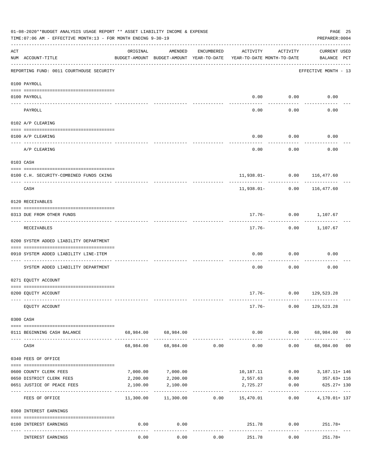|     | 01-08-2020**BUDGET ANALYSIS USAGE REPORT ** ASSET LIABILITY INCOME & EXPENSE<br>TIME: 07:06 AM - EFFECTIVE MONTH: 13 - FOR MONTH ENDING 9-30-19 |           |                                                     |            |                                            |                    | PAGE 25<br>PREPARER: 0004           |  |
|-----|-------------------------------------------------------------------------------------------------------------------------------------------------|-----------|-----------------------------------------------------|------------|--------------------------------------------|--------------------|-------------------------------------|--|
| ACT | NUM ACCOUNT-TITLE                                                                                                                               | ORIGINAL  | AMENDED<br>BUDGET-AMOUNT BUDGET-AMOUNT YEAR-TO-DATE | ENCUMBERED | ACTIVITY<br>YEAR-TO-DATE MONTH-TO-DATE     | ACTIVITY           | CURRENT USED<br>BALANCE PCT         |  |
|     | REPORTING FUND: 0011 COURTHOUSE SECURITY                                                                                                        |           |                                                     |            |                                            |                    | EFFECTIVE MONTH - 13                |  |
|     | 0100 PAYROLL                                                                                                                                    |           |                                                     |            |                                            |                    |                                     |  |
|     | 0100 PAYROLL                                                                                                                                    |           |                                                     |            | 0.00                                       | 0.00               | 0.00                                |  |
|     | ----- ----<br>------------------------- --------<br>PAYROLL                                                                                     |           |                                                     |            | 0.00                                       | -------<br>0.00    | 0.00                                |  |
|     | 0102 A/P CLEARING                                                                                                                               |           |                                                     |            |                                            |                    |                                     |  |
|     | 0100 A/P CLEARING                                                                                                                               |           |                                                     |            | 0.00                                       | 0.00               | 0.00                                |  |
|     | A/P CLEARING                                                                                                                                    |           |                                                     |            | 0.00                                       | 0.00               | 0.00                                |  |
|     | 0103 CASH                                                                                                                                       |           |                                                     |            |                                            |                    |                                     |  |
|     | 0100 C.H. SECURITY-COMBINED FUNDS CKING                                                                                                         |           |                                                     |            |                                            |                    | 11,938.01- 0.00 116,477.60          |  |
|     | CASH                                                                                                                                            |           |                                                     |            |                                            | $11,938.01 - 0.00$ | .<br>116,477.60                     |  |
|     | 0120 RECEIVABLES                                                                                                                                |           |                                                     |            |                                            |                    |                                     |  |
|     | 0313 DUE FROM OTHER FUNDS                                                                                                                       |           |                                                     |            |                                            |                    | 17.76- 0.00 1,107.67                |  |
|     | RECEIVABLES                                                                                                                                     |           |                                                     |            |                                            | ---------          | -----------<br>17.76- 0.00 1,107.67 |  |
|     | 0200 SYSTEM ADDED LIABILITY DEPARTMENT                                                                                                          |           |                                                     |            |                                            |                    |                                     |  |
|     | 0910 SYSTEM ADDED LIABILITY LINE-ITEM                                                                                                           |           |                                                     |            | 0.00                                       | 0.00               | 0.00                                |  |
|     | SYSTEM ADDED LIABILITY DEPARTMENT                                                                                                               |           |                                                     |            | 0.00                                       | 0.00               | 0.00                                |  |
|     | 0271 EQUITY ACCOUNT                                                                                                                             |           |                                                     |            |                                            |                    |                                     |  |
|     | 0200 EQUITY ACCOUNT                                                                                                                             |           |                                                     |            |                                            |                    | $17.76 - 0.00$ 129,523.28           |  |
|     | EQUITY ACCOUNT                                                                                                                                  |           |                                                     |            |                                            |                    | $17.76 - 0.00$ 129,523.28           |  |
|     | 0300 CASH                                                                                                                                       |           |                                                     |            |                                            |                    |                                     |  |
|     | 0111 BEGINNING CASH BALANCE                                                                                                                     |           | 68,984.00 68,984.00                                 |            |                                            |                    | $0.00$ $0.00$ $68,984.00$ 00        |  |
|     | CASH                                                                                                                                            | 68,984.00 | -------------<br>68,984.00                          | 0.00       | -------------<br>0.00                      | -----------        | . <u>.</u><br>$0.00$ 68,984.00 00   |  |
|     | 0340 FEES OF OFFICE                                                                                                                             |           |                                                     |            |                                            |                    |                                     |  |
|     | 0600 COUNTY CLERK FEES                                                                                                                          | 7,000.00  | 7,000.00                                            |            |                                            |                    | 10,187.11   0.00   3,187.11+ 146    |  |
|     | 0650 DISTRICT CLERK FEES                                                                                                                        | 2,200.00  | 2,200.00                                            |            | 2,557.63                                   | 0.00               | 357.63+ 116                         |  |
|     | 0651 JUSTICE OF PEACE FEES<br>-------------------- -------------                                                                                | 2,100.00  | 2,100.00<br>-------------                           |            | 2,725.27                                   | 0.00               | 625.27+ 130<br>----------- ---      |  |
|     | FEES OF OFFICE                                                                                                                                  |           |                                                     |            | $11,300.00$ $11,300.00$ $0.00$ $15,470.01$ | 0.00               | 4,170.01+ 137                       |  |
|     | 0360 INTEREST EARNINGS                                                                                                                          |           |                                                     |            |                                            |                    |                                     |  |
|     | 0100 INTEREST EARNINGS                                                                                                                          | 0.00      | 0.00<br>$- - - - -$                                 |            | 251.78<br>-------------                    |                    | 0.00<br>251.78+                     |  |
|     | INTEREST EARNINGS                                                                                                                               | 0.00      | 0.00                                                | 0.00       | 251.78                                     | 0.00               | $251.78+$                           |  |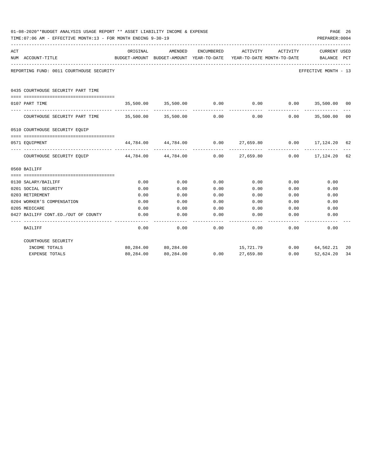|     | 01-08-2020**BUDGET ANALYSIS USAGE REPORT ** ASSET LIABILITY INCOME & EXPENSE<br>TIME: 07:06 AM - EFFECTIVE MONTH: 13 - FOR MONTH ENDING 9-30-19<br>PREPARER: 0004 |              |                                                            |                   |              |                                        |                                                                  |     |  |
|-----|-------------------------------------------------------------------------------------------------------------------------------------------------------------------|--------------|------------------------------------------------------------|-------------------|--------------|----------------------------------------|------------------------------------------------------------------|-----|--|
| ACT | NUM ACCOUNT-TITLE                                                                                                                                                 | ORIGINAL     | <b>AMENDED</b><br>BUDGET-AMOUNT BUDGET-AMOUNT YEAR-TO-DATE | <b>ENCUMBERED</b> | ACTIVITY     | ACTIVITY<br>YEAR-TO-DATE MONTH-TO-DATE | <b>CURRENT USED</b><br>BALANCE                                   | PCT |  |
|     | REPORTING FUND: 0011 COURTHOUSE SECURITY                                                                                                                          |              |                                                            |                   |              |                                        | EFFECTIVE MONTH - 13                                             |     |  |
|     | 0435 COURTHOUSE SECURITY PART TIME<br>--------------------------------------                                                                                      |              |                                                            |                   |              |                                        |                                                                  |     |  |
|     | 0107 PART TIME                                                                                                                                                    |              | 35,500.00 35,500.00 0.00                                   |                   |              |                                        | $0.00$ $0.00$ $35,500.00$ $00$                                   |     |  |
|     | COURTHOUSE SECURITY PART TIME 35,500.00 35,500.00                                                                                                                 |              |                                                            | 0.00              | 0.00         | 0.00                                   | 35,500.00                                                        | 00  |  |
|     | 0510 COURTHOUSE SECURITY EQUIP                                                                                                                                    |              |                                                            |                   |              |                                        |                                                                  |     |  |
|     | 0571 EOUIPMENT                                                                                                                                                    |              |                                                            |                   |              |                                        | $44,784.00$ $44,784.00$ $0.00$ $27,659.80$ $0.00$ $17,124.20$ 62 |     |  |
|     | COURTHOUSE SECURITY EQUIP 44,784.00 44,784.00                                                                                                                     |              |                                                            | 0.00              |              |                                        | 27,659.80 0.00 17,124.20                                         | 62  |  |
|     | 0560 BAILIFF                                                                                                                                                      |              |                                                            |                   |              |                                        |                                                                  |     |  |
|     |                                                                                                                                                                   |              |                                                            |                   |              |                                        |                                                                  |     |  |
|     | 0130 SALARY/BAILIFF                                                                                                                                               | 0.00         | 0.00                                                       | 0.00              | 0.00         | 0.00                                   | 0.00                                                             |     |  |
|     | 0201 SOCIAL SECURITY                                                                                                                                              | 0.00         | 0.00                                                       | 0.00              | 0.00         | 0.00                                   | 0.00                                                             |     |  |
|     | 0203 RETIREMENT                                                                                                                                                   | 0.00         | 0.00                                                       | 0.00              | 0.00         | 0.00                                   | 0.00                                                             |     |  |
|     | 0204 WORKER'S COMPENSATION<br>0205 MEDICARE                                                                                                                       | 0.00<br>0.00 | 0.00<br>0.00                                               | 0.00<br>0.00      | 0.00<br>0.00 | 0.00<br>0.00                           | 0.00<br>0.00                                                     |     |  |
|     | 0427 BAILIFF CONT.ED./OUT OF COUNTY                                                                                                                               | 0.00         | 0.00                                                       | 0.00              | 0.00         | 0.00                                   | 0.00                                                             |     |  |
|     |                                                                                                                                                                   |              |                                                            |                   |              |                                        |                                                                  |     |  |
|     | BAILIFF                                                                                                                                                           | 0.00         | 0.00                                                       | 0.00              | 0.00         | 0.00                                   | 0.00                                                             |     |  |
|     | COURTHOUSE SECURITY                                                                                                                                               |              |                                                            |                   |              |                                        |                                                                  |     |  |
|     | INCOME TOTALS                                                                                                                                                     |              | 80,284.00 80,284.00                                        |                   | 15,721.79    |                                        | $0.00$ 64,562.21                                                 | 20  |  |
|     | <b>EXPENSE TOTALS</b>                                                                                                                                             |              | 80,284.00 80,284.00                                        | 0.00              | 27,659.80    | 0.00                                   | 52,624.20                                                        | 34  |  |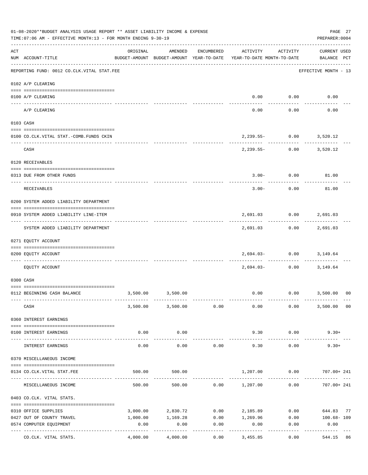|     | 01-08-2020**BUDGET ANALYSIS USAGE REPORT ** ASSET LIABILITY INCOME & EXPENSE<br>TIME: 07:06 AM - EFFECTIVE MONTH: 13 - FOR MONTH ENDING 9-30-19 |             |                        |                    |                                                                                 |                                       | PAGE 27<br>PREPARER: 0004                   |
|-----|-------------------------------------------------------------------------------------------------------------------------------------------------|-------------|------------------------|--------------------|---------------------------------------------------------------------------------|---------------------------------------|---------------------------------------------|
| ACT | NUM ACCOUNT-TITLE                                                                                                                               | ORIGINAL    | AMENDED                | ENCUMBERED         | ACTIVITY<br>BUDGET-AMOUNT BUDGET-AMOUNT YEAR-TO-DATE YEAR-TO-DATE MONTH-TO-DATE | ACTIVITY                              | <b>CURRENT USED</b><br>BALANCE PCT          |
|     | REPORTING FUND: 0012 CO.CLK.VITAL STAT.FEE                                                                                                      |             |                        |                    |                                                                                 |                                       | -------------------<br>EFFECTIVE MONTH - 13 |
|     | 0102 A/P CLEARING                                                                                                                               |             |                        |                    |                                                                                 |                                       |                                             |
|     | 0100 A/P CLEARING                                                                                                                               |             |                        |                    |                                                                                 | $0.00$ $0.00$<br>--------             | 0.00                                        |
|     | A/P CLEARING                                                                                                                                    |             |                        |                    | 0.00                                                                            | 0.00                                  | 0.00                                        |
|     | 0103 CASH                                                                                                                                       |             |                        |                    |                                                                                 |                                       |                                             |
|     | 0100 CO.CLK.VITAL STAT.-COMB.FUNDS CKIN                                                                                                         |             |                        |                    |                                                                                 | 2,239.55- 0.00 3,520.12               |                                             |
|     | CASH                                                                                                                                            |             |                        |                    |                                                                                 | . <u>.</u><br>2,239.55- 0.00 3,520.12 |                                             |
|     | 0120 RECEIVABLES                                                                                                                                |             |                        |                    |                                                                                 |                                       |                                             |
|     |                                                                                                                                                 |             |                        |                    |                                                                                 |                                       |                                             |
|     | 0313 DUE FROM OTHER FUNDS                                                                                                                       |             |                        |                    |                                                                                 | $3.00 - 0.00$ 81.00                   |                                             |
|     | RECEIVABLES                                                                                                                                     |             |                        |                    | $3.00 -$                                                                        | 0.00                                  | 81.00                                       |
|     | 0200 SYSTEM ADDED LIABILITY DEPARTMENT                                                                                                          |             |                        |                    |                                                                                 |                                       |                                             |
|     | 0910 SYSTEM ADDED LIABILITY LINE-ITEM                                                                                                           |             |                        |                    | ----------                                                                      | 2,691.03 0.00<br>----------           | 2,691.03                                    |
|     | SYSTEM ADDED LIABILITY DEPARTMENT                                                                                                               |             |                        |                    |                                                                                 | 2,691.03 0.00                         | 2,691.03                                    |
|     | 0271 EQUITY ACCOUNT                                                                                                                             |             |                        |                    |                                                                                 |                                       |                                             |
|     | 0200 EQUITY ACCOUNT                                                                                                                             |             |                        |                    |                                                                                 | 2,694.03- 0.00 3,149.64               |                                             |
|     | EQUITY ACCOUNT                                                                                                                                  |             |                        |                    | 2,694.03-                                                                       | 0.00                                  | 3,149.64                                    |
|     | 0300 CASH                                                                                                                                       |             |                        |                    |                                                                                 |                                       |                                             |
|     | 0112 BEGINNING CASH BALANCE                                                                                                                     | 3,500.00    | 3,500.00               |                    |                                                                                 |                                       | $0.00$ $0.00$ $3,500.00$ 00                 |
|     |                                                                                                                                                 |             |                        |                    |                                                                                 |                                       |                                             |
|     | CASH                                                                                                                                            |             | 3,500.00 3,500.00 0.00 |                    | 0.00                                                                            | 0.00                                  | 3,500.00 00                                 |
|     | 0360 INTEREST EARNINGS                                                                                                                          |             |                        |                    |                                                                                 |                                       |                                             |
|     | 0100 INTEREST EARNINGS                                                                                                                          | 0.00        | 0.00                   |                    | 9.30                                                                            | 0.00                                  | $9.30+$                                     |
|     |                                                                                                                                                 | $- - - - -$ | ----------             |                    |                                                                                 | --------                              |                                             |
|     | INTEREST EARNINGS                                                                                                                               | 0.00        | 0.00                   | 0.00               | 9.30                                                                            | 0.00                                  | $9.30+$                                     |
|     | 0370 MISCELLANEOUS INCOME                                                                                                                       |             |                        |                    |                                                                                 |                                       |                                             |
|     | 0134 CO.CLK.VITAL STAT.FEE                                                                                                                      | 500.00      | 500.00                 |                    | 1,207.00 0.00                                                                   |                                       | 707.00+ 241                                 |
|     |                                                                                                                                                 |             |                        |                    |                                                                                 |                                       |                                             |
|     | MISCELLANEOUS INCOME                                                                                                                            |             | 500.00<br>500.00       |                    | $0.00$ 1,207.00                                                                 | 0.00                                  | 707.00+ 241                                 |
|     | 0403 CO.CLK. VITAL STATS.                                                                                                                       |             |                        |                    |                                                                                 |                                       |                                             |
|     | 0310 OFFICE SUPPLIES                                                                                                                            | 3,000.00    | 2,830.72               | 0.00               | 2,185.89                                                                        | 0.00                                  | 644.83 77                                   |
|     | 0427 OUT OF COUNTY TRAVEL                                                                                                                       | 1,000.00    | 1,169.28               |                    | $0.00$ 1,269.96                                                                 | 0.00                                  | 100.68-109                                  |
|     | 0574 COMPUTER EQUIPMENT<br>---- -----------------<br>---------------- --------------                                                            | 0.00        | 0.00                   | 0.00<br>---------- | 0.00                                                                            | 0.00                                  | 0.00                                        |
|     | CO.CLK. VITAL STATS.                                                                                                                            | 4,000.00    | 4,000.00               | 0.00               | 3,455.85                                                                        | 0.00                                  | 544.15<br>86                                |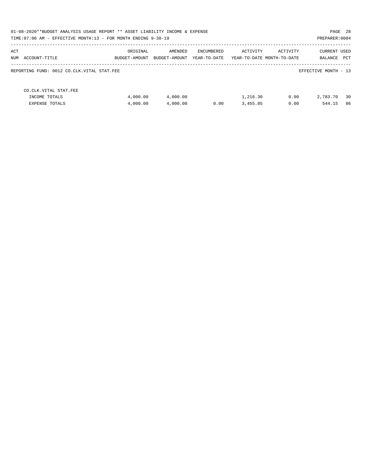| PAGE 28<br>01-08-2020**BUDGET ANALYSIS USAGE REPORT ** ASSET LIABILITY INCOME & EXPENSE<br>TIME: 07:06 AM - EFFECTIVE MONTH: 13 - FOR MONTH ENDING 9-30-19<br>PREPARER: 0004 |                           |                          |                            |          |                                        |                                       |  |  |  |  |
|------------------------------------------------------------------------------------------------------------------------------------------------------------------------------|---------------------------|--------------------------|----------------------------|----------|----------------------------------------|---------------------------------------|--|--|--|--|
| ACT<br>NUM ACCOUNT-TITLE                                                                                                                                                     | ORIGINAL<br>BUDGET-AMOUNT | AMENDED<br>BUDGET-AMOUNT | ENCUMBERED<br>YEAR-TO-DATE | ACTIVITY | ACTIVITY<br>YEAR-TO-DATE MONTH-TO-DATE | <b>CURRENT USED</b><br>PCT<br>BALANCE |  |  |  |  |
| REPORTING FUND: 0012 CO.CLK.VITAL STAT.FEE                                                                                                                                   |                           |                          |                            |          |                                        | EFFECTIVE MONTH - 13                  |  |  |  |  |
| CO. CLK. VITAL STAT. FEE<br>INCOME TOTALS                                                                                                                                    | 4,000.00                  | 4,000.00                 |                            | 1,216.30 | 0.00                                   | 30<br>2,783.70                        |  |  |  |  |
| <b>EXPENSE TOTALS</b>                                                                                                                                                        | 4,000.00                  | 4,000.00                 | 0.00                       | 3,455.85 | 0.00                                   | 86<br>544.15                          |  |  |  |  |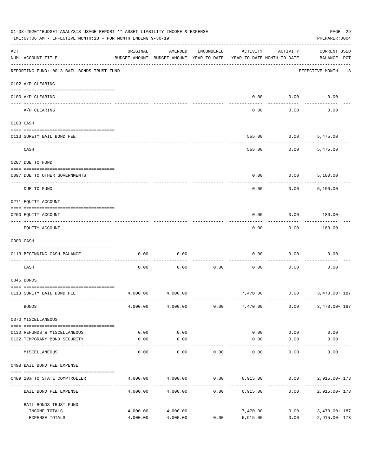|     | 01-08-2020**BUDGET ANALYSIS USAGE REPORT ** ASSET LIABILITY INCOME & EXPENSE<br>TIME: 07:06 AM - EFFECTIVE MONTH: 13 - FOR MONTH ENDING 9-30-19 |                      |                                                     |            |                      |                                        | PAGE 29<br>PREPARER: 0004           |
|-----|-------------------------------------------------------------------------------------------------------------------------------------------------|----------------------|-----------------------------------------------------|------------|----------------------|----------------------------------------|-------------------------------------|
| ACT | NUM ACCOUNT-TITLE                                                                                                                               | ORIGINAL             | AMENDED<br>BUDGET-AMOUNT BUDGET-AMOUNT YEAR-TO-DATE | ENCUMBERED | ACTIVITY             | ACTIVITY<br>YEAR-TO-DATE MONTH-TO-DATE | <b>CURRENT USED</b><br>BALANCE PCT  |
|     | REPORTING FUND: 0013 BAIL BONDS TRUST FUND                                                                                                      |                      |                                                     |            |                      |                                        | EFFECTIVE MONTH - 13                |
|     | 0102 A/P CLEARING                                                                                                                               |                      |                                                     |            |                      |                                        |                                     |
|     | 0100 A/P CLEARING<br>---- ---------<br>-------------------- -------                                                                             |                      |                                                     |            | 0.00                 | 0.00                                   | 0.00                                |
|     | A/P CLEARING                                                                                                                                    |                      |                                                     |            | 0.00                 | 0.00                                   | 0.00                                |
|     | 0103 CASH                                                                                                                                       |                      |                                                     |            |                      |                                        |                                     |
|     | 0113 SURETY BAIL BOND FEE                                                                                                                       |                      |                                                     |            | 555.00               | 0.00                                   | 5,475.00                            |
|     | CASH                                                                                                                                            |                      |                                                     |            | 555.00               | 0.00                                   | 5,475.00                            |
|     | 0207 DUE TO FUND                                                                                                                                |                      |                                                     |            |                      |                                        |                                     |
|     | 0097 DUE TO OTHER GOVERNMENTS                                                                                                                   |                      |                                                     |            | 0.00                 | 0.00                                   | 5,100.00                            |
|     | DUE TO FUND                                                                                                                                     |                      |                                                     |            | 0.00                 | 0.00                                   | 5,100.00                            |
|     | 0271 EQUITY ACCOUNT                                                                                                                             |                      |                                                     |            |                      |                                        |                                     |
|     | 0200 EQUITY ACCOUNT                                                                                                                             |                      |                                                     |            | 0.00                 | 0.00                                   | 180.00-                             |
|     | EQUITY ACCOUNT                                                                                                                                  |                      |                                                     |            | 0.00                 | 0.00                                   | 180.00-                             |
|     | 0300 CASH                                                                                                                                       |                      |                                                     |            |                      |                                        |                                     |
|     | 0113 BEGINNING CASH BALANCE                                                                                                                     | 0.00                 | 0.00                                                |            | 0.00                 | 0.00                                   | 0.00                                |
|     | CASH                                                                                                                                            | 0.00                 | 0.00                                                | 0.00       | 0.00                 | 0.00                                   | 0.00                                |
|     | 0345 BONDS                                                                                                                                      |                      |                                                     |            |                      |                                        |                                     |
|     | 0113 SURETY BAIL BOND FEE                                                                                                                       | 4,000.00             | 4,000.00                                            |            |                      |                                        |                                     |
|     | <b>BONDS</b>                                                                                                                                    |                      | 4,000.00 4,000.00                                   | 0.00       |                      | 7,470.00 0.00                          | 3,470.00+ 187                       |
|     | 0370 MISCELLANEOUS                                                                                                                              |                      |                                                     |            |                      |                                        |                                     |
|     | 0130 REFUNDS & MISCELLANEOUS                                                                                                                    | 0.00                 | 0.00                                                |            | 0.00                 | 0.00                                   | 0.00                                |
|     | 0132 TEMPORARY BOND SECURITY                                                                                                                    | 0.00                 | 0.00                                                |            | 0.00                 | 0.00                                   | 0.00                                |
|     | MISCELLANEOUS                                                                                                                                   | 0.00                 | ----------<br>0.00                                  | 0.00       | -----------<br>0.00  | ---------<br>0.00                      | 0.00                                |
|     | 0498 BAIL BOND FEE EXPENSE                                                                                                                      |                      |                                                     |            |                      |                                        |                                     |
|     | 0489 10% TO STATE COMPTROLLER                                                                                                                   |                      | 4,000.00 4,000.00                                   |            |                      |                                        | $0.00$ 6,915.00 $0.00$ 2,915.00-173 |
|     | BAIL BOND FEE EXPENSE                                                                                                                           | 4,000.00             | 4,000.00                                            | 0.00       | 6,915.00             |                                        | 0.00<br>2,915.00- 173               |
|     | BAIL BONDS TRUST FUND                                                                                                                           |                      |                                                     |            |                      |                                        |                                     |
|     | INCOME TOTALS<br>EXPENSE TOTALS                                                                                                                 | 4,000.00<br>4,000.00 | 4,000.00<br>4,000.00                                | 0.00       | 7,470.00<br>6,915.00 | 0.00<br>0.00                           | 3,470.00+ 187<br>2,915.00- 173      |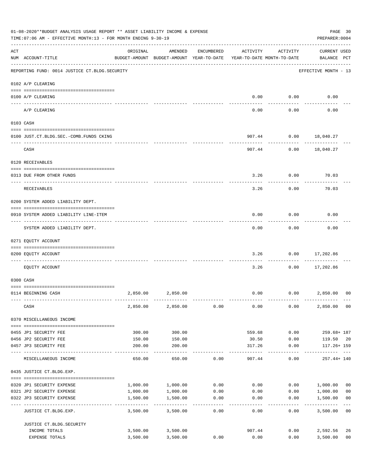|     | 01-08-2020**BUDGET ANALYSIS USAGE REPORT ** ASSET LIABILITY INCOME & EXPENSE<br>TIME: 07:06 AM - EFFECTIVE MONTH: 13 - FOR MONTH ENDING 9-30-19<br>----------------------------- |          |                                                                                |                         |          |                       |                                    |                           |  |
|-----|----------------------------------------------------------------------------------------------------------------------------------------------------------------------------------|----------|--------------------------------------------------------------------------------|-------------------------|----------|-----------------------|------------------------------------|---------------------------|--|
| ACT | NUM ACCOUNT-TITLE                                                                                                                                                                | ORIGINAL | AMENDED<br>BUDGET-AMOUNT BUDGET-AMOUNT YEAR-TO-DATE YEAR-TO-DATE MONTH-TO-DATE | ENCUMBERED              | ACTIVITY | ACTIVITY              | <b>CURRENT USED</b><br>BALANCE PCT |                           |  |
|     | REPORTING FUND: 0014 JUSTICE CT. BLDG. SECURITY                                                                                                                                  |          |                                                                                |                         |          |                       | EFFECTIVE MONTH - 13               |                           |  |
|     | 0102 A/P CLEARING                                                                                                                                                                |          |                                                                                |                         |          |                       |                                    |                           |  |
|     | 0100 A/P CLEARING                                                                                                                                                                |          |                                                                                |                         | 0.00     | 0.00                  | 0.00                               |                           |  |
|     | A/P CLEARING                                                                                                                                                                     |          |                                                                                |                         | 0.00     | 0.00                  | 0.00                               |                           |  |
|     | 0103 CASH                                                                                                                                                                        |          |                                                                                |                         |          |                       |                                    |                           |  |
|     | 0100 JUST.CT.BLDG.SEC.-COMB.FUNDS CKING                                                                                                                                          |          |                                                                                |                         |          | 907.44 0.00 18,040.27 |                                    |                           |  |
|     | -----------------------------------                                                                                                                                              |          |                                                                                |                         |          | ---------             |                                    |                           |  |
|     | CASH                                                                                                                                                                             |          |                                                                                |                         |          | 907.44 0.00 18,040.27 |                                    |                           |  |
|     | 0120 RECEIVABLES                                                                                                                                                                 |          |                                                                                |                         |          |                       |                                    |                           |  |
|     | 0313 DUE FROM OTHER FUNDS                                                                                                                                                        |          |                                                                                |                         | 3.26     | 0.00                  | 70.03                              |                           |  |
|     | RECEIVABLES                                                                                                                                                                      |          |                                                                                |                         | 3.26     | 0.00                  | 70.03                              |                           |  |
|     | 0200 SYSTEM ADDED LIABILITY DEPT.                                                                                                                                                |          |                                                                                |                         |          |                       |                                    |                           |  |
|     | 0910 SYSTEM ADDED LIABILITY LINE-ITEM                                                                                                                                            |          |                                                                                |                         | 0.00     | 0.00                  | 0.00                               |                           |  |
|     | SYSTEM ADDED LIABILITY DEPT.                                                                                                                                                     |          |                                                                                |                         | 0.00     | 0.00                  | 0.00                               |                           |  |
|     | 0271 EQUITY ACCOUNT                                                                                                                                                              |          |                                                                                |                         |          |                       |                                    |                           |  |
|     | 0200 EQUITY ACCOUNT                                                                                                                                                              |          |                                                                                |                         | 3.26     | 0.00                  | 17,202.86                          |                           |  |
|     | --------------------- ---------<br>----- ----------<br>EOUITY ACCOUNT                                                                                                            |          |                                                                                |                         | 3.26     | 0.00                  | .<br>17,202.86                     |                           |  |
|     | 0300 CASH                                                                                                                                                                        |          |                                                                                |                         |          |                       |                                    |                           |  |
|     |                                                                                                                                                                                  |          |                                                                                |                         |          |                       |                                    |                           |  |
|     | 0114 BEGINNING CASH                                                                                                                                                              | 2,850.00 | 2,850.00                                                                       |                         | 0.00     |                       | $0.00$ 2,850.00                    | 00                        |  |
|     | CASH                                                                                                                                                                             | 2,850.00 | 2,850.00                                                                       | 0.00                    | 0.00     | 0.00                  | 2,850.00                           | 0 <sub>0</sub>            |  |
|     | 0370 MISCELLANEOUS INCOME                                                                                                                                                        |          |                                                                                |                         |          |                       |                                    |                           |  |
|     | 0455 JP1 SECURITY FEE                                                                                                                                                            | 300.00   | 300.00                                                                         |                         | 559.68   | 0.00                  | $259.68 + 187$                     |                           |  |
|     | 0456 JP2 SECURITY FEE                                                                                                                                                            | 150.00   | 150.00                                                                         |                         | 30.50    | 0.00                  | 119.50 20                          |                           |  |
|     | 0457 JP3 SECURITY FEE<br>----- -------------                                                                                                                                     | 200.00   | 200.00                                                                         |                         | 317.26   | 0.00                  | $117.26 + 159$                     |                           |  |
|     | MISCELLANEOUS INCOME                                                                                                                                                             | 650.00   | 650.00                                                                         | 0.00                    | 907.44   | 0.00                  | 257.44+ 140                        |                           |  |
|     | 0435 JUSTICE CT.BLDG.EXP.                                                                                                                                                        |          |                                                                                |                         |          |                       |                                    |                           |  |
|     | 0320 JP1 SECURITY EXPENSE                                                                                                                                                        | 1,000.00 | 1,000.00                                                                       | 0.00                    | 0.00     |                       | 0.00 1,000.00                      | 0 <sub>0</sub>            |  |
|     | 0321 JP2 SECURITY EXPENSE                                                                                                                                                        | 1,000.00 | 1,000.00                                                                       | 0.00                    | 0.00     | 0.00                  | 1,000.00                           | 0 <sub>0</sub>            |  |
|     | 0322 JP3 SECURITY EXPENSE                                                                                                                                                        | 1,500.00 | 1,500.00<br>----------                                                         | 0.00<br>$- - - - - - -$ | 0.00     | 0.00                  | 1,500.00<br>__________             | 0 <sub>0</sub><br>$- - -$ |  |
|     | JUSTICE CT.BLDG.EXP.                                                                                                                                                             | 3,500.00 | 3,500.00                                                                       | 0.00                    | 0.00     | 0.00                  | 3,500.00                           | 0 <sub>0</sub>            |  |
|     | JUSTICE CT.BLDG.SECURITY                                                                                                                                                         |          |                                                                                |                         |          |                       |                                    |                           |  |
|     | INCOME TOTALS                                                                                                                                                                    | 3,500.00 | 3,500.00                                                                       |                         | 907.44   | 0.00                  | 2,592.56                           | 26                        |  |
|     | EXPENSE TOTALS                                                                                                                                                                   | 3,500.00 | 3,500.00                                                                       | 0.00                    | 0.00     | 0.00                  | 3,500.00                           | 0 <sub>0</sub>            |  |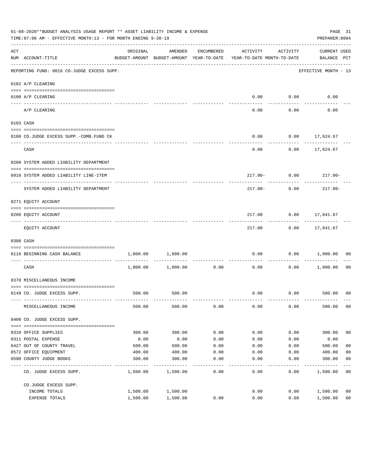| 01-08-2020**BUDGET ANALYSIS USAGE REPORT ** ASSET LIABILITY INCOME & EXPENSE<br>TIME: 07:06 AM - EFFECTIVE MONTH: 13 - FOR MONTH ENDING 9-30-19 |                                                                                      |          |                                                     |                     |                                        |                  |                                    |                |  |
|-------------------------------------------------------------------------------------------------------------------------------------------------|--------------------------------------------------------------------------------------|----------|-----------------------------------------------------|---------------------|----------------------------------------|------------------|------------------------------------|----------------|--|
| ACT                                                                                                                                             | NUM ACCOUNT-TITLE                                                                    | ORIGINAL | AMENDED<br>BUDGET-AMOUNT BUDGET-AMOUNT YEAR-TO-DATE | ENCUMBERED          | ACTIVITY<br>YEAR-TO-DATE MONTH-TO-DATE | ACTIVITY         | <b>CURRENT USED</b><br>BALANCE PCT |                |  |
|                                                                                                                                                 | --------------------------------------<br>REPORTING FUND: 0016 CO.JUDGE EXCESS SUPP. |          |                                                     |                     |                                        |                  | EFFECTIVE MONTH - 13               |                |  |
|                                                                                                                                                 | 0102 A/P CLEARING                                                                    |          |                                                     |                     |                                        |                  |                                    |                |  |
|                                                                                                                                                 |                                                                                      |          |                                                     |                     |                                        |                  |                                    |                |  |
|                                                                                                                                                 | 0100 A/P CLEARING<br>---- -------------                                              |          |                                                     |                     | 0.00                                   | 0.00<br>-------- | 0.00                               |                |  |
|                                                                                                                                                 | A/P CLEARING                                                                         |          |                                                     |                     | 0.00                                   | 0.00             | 0.00                               |                |  |
|                                                                                                                                                 | 0103 CASH                                                                            |          |                                                     |                     |                                        |                  |                                    |                |  |
|                                                                                                                                                 |                                                                                      |          |                                                     |                     |                                        |                  |                                    |                |  |
|                                                                                                                                                 | 0100 CO.JUDGE EXCESS SUPP.-COMB.FUND CK                                              |          |                                                     |                     | 0.00                                   |                  | $0.00$ 17,624.67                   |                |  |
|                                                                                                                                                 | CASH                                                                                 |          |                                                     |                     | 0.00                                   |                  | $0.00$ 17,624.67                   |                |  |
|                                                                                                                                                 | 0200 SYSTEM ADDED LIABILITY DEPARTMENT                                               |          |                                                     |                     |                                        |                  |                                    |                |  |
|                                                                                                                                                 |                                                                                      |          |                                                     |                     |                                        |                  |                                    |                |  |
|                                                                                                                                                 | 0910 SYSTEM ADDED LIABILITY LINE-ITEM                                                |          |                                                     |                     |                                        | $217.00 - 0.00$  | $217.00 -$                         |                |  |
|                                                                                                                                                 | SYSTEM ADDED LIABILITY DEPARTMENT                                                    |          |                                                     |                     | 217.00-                                | 0.00             | $217.00 -$                         |                |  |
|                                                                                                                                                 | 0271 EQUITY ACCOUNT                                                                  |          |                                                     |                     |                                        |                  |                                    |                |  |
|                                                                                                                                                 |                                                                                      |          |                                                     |                     |                                        |                  |                                    |                |  |
|                                                                                                                                                 | 0200 EQUITY ACCOUNT                                                                  |          |                                                     |                     | 217.00                                 | ---------        | $0.00$ 17,841.67<br>-----------    |                |  |
|                                                                                                                                                 | EQUITY ACCOUNT                                                                       |          |                                                     |                     | 217.00                                 |                  | $0.00$ 17,841.67                   |                |  |
|                                                                                                                                                 | 0300 CASH                                                                            |          |                                                     |                     |                                        |                  |                                    |                |  |
|                                                                                                                                                 | 0116 BEGINNING CASH BALANCE                                                          | 1,000.00 | 1,000.00                                            |                     | 0.00                                   |                  | 0.00 1,000.00                      | 00             |  |
|                                                                                                                                                 | ---------------------------- -----<br>CASH                                           |          | 1,000.00 1,000.00                                   | 0.00                | 0.00                                   | 0.00             | 1,000.00 00                        |                |  |
|                                                                                                                                                 | 0370 MISCELLANEOUS INCOME                                                            |          |                                                     |                     |                                        |                  |                                    |                |  |
|                                                                                                                                                 | 0149 CO. JUDGE EXCESS SUPP.                                                          | 500.00   | 500.00                                              |                     |                                        |                  | $0.00$ $0.00$ $500.00$ 00          |                |  |
|                                                                                                                                                 | MISCELLANEOUS INCOME                                                                 | 500.00   | 500.00                                              | 0.00                | 0.00                                   | 0.00             | 500.00                             | 00             |  |
|                                                                                                                                                 | 0400 CO. JUDGE EXCESS SUPP.                                                          |          |                                                     |                     |                                        |                  |                                    |                |  |
|                                                                                                                                                 | 0310 OFFICE SUPPLIES                                                                 | 300.00   | 300.00                                              | 0.00                | 0.00                                   | 0.00             | 300.00                             | 0 <sub>0</sub> |  |
|                                                                                                                                                 | 0311 POSTAL EXPENSE                                                                  | 0.00     | 0.00                                                | 0.00                | 0.00                                   | 0.00             | 0.00                               |                |  |
|                                                                                                                                                 | 0427 OUT OF COUNTY TRAVEL                                                            | 500.00   | 500.00                                              | 0.00                | 0.00                                   | 0.00             | 500.00                             | 0 <sub>0</sub> |  |
|                                                                                                                                                 | 0572 OFFICE EQUIPMENT                                                                | 400.00   | 400.00                                              | 0.00                | 0.00                                   | 0.00             | 400.00                             | 0 <sub>0</sub> |  |
|                                                                                                                                                 | 0590 COUNTY JUDGE BOOKS                                                              | 300.00   | 300.00                                              | 0.00<br>$- - - - -$ | 0.00                                   | 0.00             | 300.00                             | 0 <sub>0</sub> |  |
|                                                                                                                                                 | CO. JUDGE EXCESS SUPP.                                                               | 1,500.00 | 1,500.00                                            | 0.00                | 0.00                                   | 0.00             | 1,500.00                           | 0 <sub>0</sub> |  |
|                                                                                                                                                 | CO.JUDGE EXCESS SUPP.                                                                |          |                                                     |                     |                                        |                  |                                    |                |  |
|                                                                                                                                                 | INCOME TOTALS                                                                        | 1,500.00 | 1,500.00                                            |                     | 0.00                                   | 0.00             | 1,500.00                           | 0 <sub>0</sub> |  |
|                                                                                                                                                 | EXPENSE TOTALS                                                                       | 1,500.00 | 1,500.00                                            | 0.00                | 0.00                                   | 0.00             | 1,500.00                           | 0 <sub>0</sub> |  |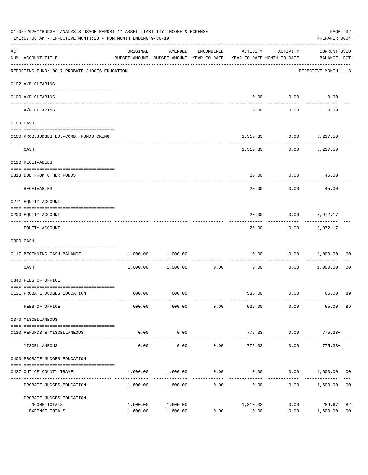| <b>CURRENT USED</b><br>BALANCE PCT<br>-----------------<br>EFFECTIVE MONTH - 13<br>$0.00$ $0.00$<br>0.00<br>0.00<br>5,237.50<br>.<br>5,237.50 |                |
|-----------------------------------------------------------------------------------------------------------------------------------------------|----------------|
|                                                                                                                                               |                |
|                                                                                                                                               |                |
|                                                                                                                                               |                |
|                                                                                                                                               |                |
|                                                                                                                                               |                |
|                                                                                                                                               |                |
|                                                                                                                                               |                |
|                                                                                                                                               |                |
|                                                                                                                                               |                |
| $0.00$ 45.00                                                                                                                                  |                |
| 45.00                                                                                                                                         |                |
|                                                                                                                                               |                |
| $0.00$ 3,972.17                                                                                                                               |                |
| $0.00$ 3,972.17                                                                                                                               |                |
|                                                                                                                                               |                |
| $0.00$ $0.00$ $1,000.00$                                                                                                                      | 00             |
| $0.00$ 1,000.00                                                                                                                               | 0 <sub>0</sub> |
|                                                                                                                                               |                |
| 535.00   0.00   65.00   89                                                                                                                    |                |
| 65.00                                                                                                                                         | 89             |
|                                                                                                                                               |                |
| $775.33+$                                                                                                                                     |                |
| $775.33+$                                                                                                                                     |                |
|                                                                                                                                               |                |
| $0.00$ 1,600.00                                                                                                                               | 00             |
| 1,600.00                                                                                                                                      | 0 <sub>0</sub> |
|                                                                                                                                               |                |
| 289.67<br>1,600.00                                                                                                                            | 82<br>00       |
|                                                                                                                                               |                |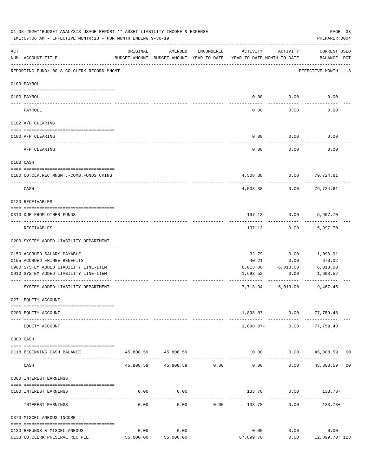|     | 01-08-2020**BUDGET ANALYSIS USAGE REPORT ** ASSET LIABILITY INCOME & EXPENSE<br>TIME: 07:06 AM - EFFECTIVE MONTH: 13 - FOR MONTH ENDING 9-30-19 |          |                                                     |            |                                        |                             | PAGE 33<br>PREPARER: 0004   |  |
|-----|-------------------------------------------------------------------------------------------------------------------------------------------------|----------|-----------------------------------------------------|------------|----------------------------------------|-----------------------------|-----------------------------|--|
| ACT | NUM ACCOUNT-TITLE                                                                                                                               | ORIGINAL | AMENDED<br>BUDGET-AMOUNT BUDGET-AMOUNT YEAR-TO-DATE | ENCUMBERED | ACTIVITY<br>YEAR-TO-DATE MONTH-TO-DATE | ACTIVITY                    | CURRENT USED<br>BALANCE PCT |  |
|     | REPORTING FUND: 0018 CO.CLERK RECORD MNGMT.                                                                                                     |          |                                                     |            |                                        |                             | EFFECTIVE MONTH - 13        |  |
|     | 0100 PAYROLL                                                                                                                                    |          |                                                     |            |                                        |                             |                             |  |
|     | 0100 PAYROLL                                                                                                                                    |          |                                                     |            | 0.00                                   | 0.00                        | 0.00                        |  |
|     | PAYROLL                                                                                                                                         |          |                                                     |            | 0.00                                   | 0.00                        | 0.00                        |  |
|     | 0102 A/P CLEARING                                                                                                                               |          |                                                     |            |                                        |                             |                             |  |
|     | 0100 A/P CLEARING                                                                                                                               |          |                                                     |            | 0.00                                   | 0.00                        | 0.00                        |  |
|     | A/P CLEARING                                                                                                                                    |          |                                                     |            | 0.00                                   | 0.00                        | 0.00                        |  |
|     | 0103 CASH                                                                                                                                       |          |                                                     |            |                                        |                             |                             |  |
|     | 0100 CO.CLK.REC.MNGMT.-COMB.FUNDS CKING                                                                                                         |          |                                                     |            | 4,508.38                               | 0.00                        | 79,724.61                   |  |
|     | CASH                                                                                                                                            |          |                                                     |            | 4,508.38                               | 0.00                        | 79,724.61                   |  |
|     | 0120 RECEIVABLES                                                                                                                                |          |                                                     |            |                                        |                             |                             |  |
|     | 0313 DUE FROM OTHER FUNDS                                                                                                                       |          |                                                     |            |                                        | $197.13 - 0.00$             | 5,997.70                    |  |
|     | RECEIVABLES                                                                                                                                     |          |                                                     |            |                                        | $197.13 - 0.00$             | 5,997.70                    |  |
|     | 0200 SYSTEM ADDED LIABILITY DEPARTMENT                                                                                                          |          |                                                     |            |                                        |                             |                             |  |
|     | 0150 ACCRUED SALARY PAYABLE                                                                                                                     |          |                                                     |            | 32.79-                                 | 0.00                        | 1,090.91                    |  |
|     | 0155 ACCRUED FRINGE BENEFITS                                                                                                                    |          |                                                     |            | 40.21                                  | 0.00                        | 670.02                      |  |
|     | 0900 SYSTEM ADDED LIABILITY LINE-ITEM                                                                                                           |          |                                                     |            | 6,013.00                               | 6,013.00                    | 6,013.00                    |  |
|     | 0910 SYSTEM ADDED LIABILITY LINE-ITEM                                                                                                           |          |                                                     |            | 1,693.52                               | 0.00                        | 1,693.52                    |  |
|     | SYSTEM ADDED LIABILITY DEPARTMENT                                                                                                               |          |                                                     |            | 7,713.94                               | 6,013.00                    | 9,467.45                    |  |
|     | 0271 EQUITY ACCOUNT                                                                                                                             |          |                                                     |            |                                        |                             |                             |  |
|     | 0200 EQUITY ACCOUNT                                                                                                                             |          |                                                     |            |                                        | $1,898.07 - 0.00$ 77,759.48 |                             |  |
|     | EQUITY ACCOUNT                                                                                                                                  |          |                                                     |            |                                        | 1,898.07- 0.00 77,759.48    |                             |  |
|     | 0300 CASH                                                                                                                                       |          |                                                     |            |                                        |                             |                             |  |
|     | 0118 BEGINNING CASH BALANCE                                                                                                                     |          | 45,808.59 45,808.59                                 |            | 0.00                                   |                             | $0.00$ 45,808.59 00         |  |
|     | CASH                                                                                                                                            |          | 45,808.59 45,808.59 0.00                            |            | 0.00                                   | 0.00                        | 45,808.59 00                |  |
|     | 0360 INTEREST EARNINGS                                                                                                                          |          |                                                     |            |                                        |                             |                             |  |
|     | 0100 INTEREST EARNINGS                                                                                                                          | 0.00     | 0.00                                                |            |                                        | 133.78 0.00 133.78+         |                             |  |
|     | INTEREST EARNINGS                                                                                                                               | 0.00     | 0.00                                                | 0.00       | 133.78                                 | 0.00                        | 133.78+                     |  |
|     | 0370 MISCELLANEOUS INCOME                                                                                                                       |          |                                                     |            |                                        |                             |                             |  |
|     | 0130 REFUNDS & MISCELLANEOUS                                                                                                                    | 0.00     | 0.00                                                |            | 0.00                                   | 0.00                        | 0.00                        |  |
|     | 0133 CO.CLERK PRESERVE REC FEE                                                                                                                  |          | 55,000.00 55,000.00                                 |            | 67,899.70                              |                             | $0.00$ 12,899.70+ 123       |  |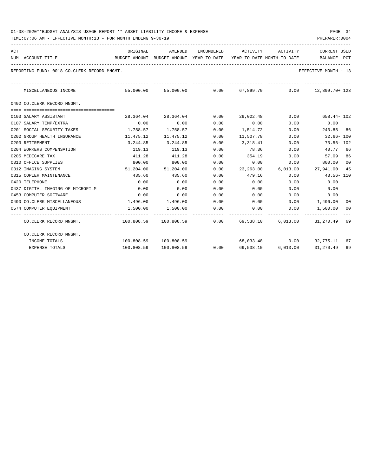| ACT |                                             | ORIGINAL                                 | AMENDED               |      | ENCUMBERED ACTIVITY ACTIVITY |      | <b>CURRENT USED</b>                                               |    |
|-----|---------------------------------------------|------------------------------------------|-----------------------|------|------------------------------|------|-------------------------------------------------------------------|----|
|     | NUM ACCOUNT-TITLE                           | BUDGET-AMOUNT BUDGET-AMOUNT YEAR-TO-DATE |                       |      | YEAR-TO-DATE MONTH-TO-DATE   |      | BALANCE PCT                                                       |    |
|     | REPORTING FUND: 0018 CO.CLERK RECORD MNGMT. |                                          |                       |      |                              |      | EFFECTIVE MONTH - 13                                              |    |
|     | MISCELLANEOUS INCOME                        |                                          |                       |      |                              |      | $55,000.00$ $55,000.00$ $0.00$ $67,899.70$ $0.00$ $12,899.70+123$ |    |
|     | 0402 CO.CLERK RECORD MNGMT.                 |                                          |                       |      |                              |      |                                                                   |    |
|     | 0103 SALARY ASSISTANT                       |                                          | 28,364.04 28,364.04   | 0.00 | 29,022.48                    | 0.00 | 658.44- 102                                                       |    |
|     | 0107 SALARY TEMP/EXTRA                      | 0.00                                     | 0.00                  | 0.00 | 0.00                         | 0.00 | 0.00                                                              |    |
|     | 0201 SOCIAL SECURITY TAXES                  |                                          | 1,758.57 1,758.57     | 0.00 | 1,514.72                     | 0.00 | 243.85 86                                                         |    |
|     | 0202 GROUP HEALTH INSURANCE                 | 11,475.12                                | 11,475.12             | 0.00 | 11,507.78                    | 0.00 | 32.66- 100                                                        |    |
|     | 0203 RETIREMENT                             |                                          | 3, 244, 85 3, 244, 85 | 0.00 | 3, 318.41                    | 0.00 | $73.56 - 102$                                                     |    |
|     | 0204 WORKERS COMPENSATION                   | 119.13                                   | 119.13                | 0.00 | 78.36                        | 0.00 | 40.77 66                                                          |    |
|     | 0205 MEDICARE TAX                           | 411.28                                   | 411.28                | 0.00 | 354.19                       | 0.00 | 57.09 86                                                          |    |
|     | 0310 OFFICE SUPPLIES                        | 800.00                                   | 800.00                | 0.00 | 0.00                         | 0.00 | 800.00                                                            | 00 |
|     | 0312 IMAGING SYSTEM                         |                                          | 51,204.00 51,204.00   | 0.00 |                              |      | 23, 263.00 6, 013.00 27, 941.00 45                                |    |
|     | 0315 COPIER MAINTENANCE                     | 435.60                                   | 435.60                | 0.00 | 479.16                       | 0.00 | 43.56-110                                                         |    |
|     | 0420 TELEPHONE                              | 0.00                                     | 0.00                  | 0.00 | 0.00                         | 0.00 | 0.00                                                              |    |
|     | 0437 DIGITAL IMAGING OF MICROFILM           | 0.00                                     | 0.00                  | 0.00 | 0.00                         | 0.00 | 0.00                                                              |    |
|     | 0453 COMPUTER SOFTWARE                      | 0.00                                     | 0.00                  | 0.00 | 0.00                         | 0.00 | 0.00                                                              |    |
|     | 0490 CO. CLERK MISCELLANEOUS                | $1,496.00$ 1,496.00                      |                       | 0.00 |                              |      | $0.00$ $0.00$ $1,496.00$                                          | 00 |
|     | 0574 COMPUTER EOUIPMENT                     | 1,500.00                                 | 1,500.00              | 0.00 | 0.00                         |      | $0.00$ 1,500.00 00                                                |    |
|     | CO.CLERK RECORD MNGMT.                      |                                          |                       |      |                              |      | $100,808.59$ $100,808.59$ 0.00 69,538.10 6,013.00 31,270.49 69    |    |
|     | CO.CLERK RECORD MNGMT.                      |                                          |                       |      |                              |      |                                                                   |    |
|     | INCOME TOTALS                               |                                          | 100,808.59 100,808.59 |      |                              |      | 68,033.48 0.00 32,775.11                                          | 67 |
|     | <b>EXPENSE TOTALS</b>                       |                                          | 100,808.59 100,808.59 | 0.00 |                              |      | 31,270.49                                                         | 69 |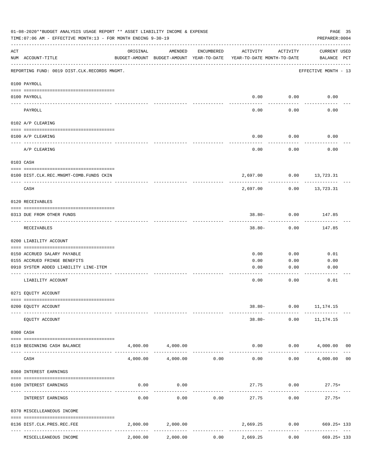|     | 01-08-2020**BUDGET ANALYSIS USAGE REPORT ** ASSET LIABILITY INCOME & EXPENSE<br>TIME: 07:06 AM - EFFECTIVE MONTH: 13 - FOR MONTH ENDING 9-30-19 |          |                                                     |            |                                        |                       | PAGE 35<br>PREPARER: 0004            |
|-----|-------------------------------------------------------------------------------------------------------------------------------------------------|----------|-----------------------------------------------------|------------|----------------------------------------|-----------------------|--------------------------------------|
| ACT | NUM ACCOUNT-TITLE                                                                                                                               | ORIGINAL | AMENDED<br>BUDGET-AMOUNT BUDGET-AMOUNT YEAR-TO-DATE | ENCUMBERED | ACTIVITY<br>YEAR-TO-DATE MONTH-TO-DATE | ACTIVITY              | <b>CURRENT USED</b><br>BALANCE PCT   |
|     | REPORTING FUND: 0019 DIST.CLK.RECORDS MNGMT.                                                                                                    |          |                                                     |            |                                        |                       | EFFECTIVE MONTH - 13                 |
|     | 0100 PAYROLL                                                                                                                                    |          |                                                     |            |                                        |                       |                                      |
|     | 0100 PAYROLL<br>---- ----                                                                                                                       |          |                                                     |            | 0.00                                   | 0.00                  | 0.00                                 |
|     | PAYROLL                                                                                                                                         |          |                                                     |            | 0.00                                   | 0.00                  | 0.00                                 |
|     | 0102 A/P CLEARING                                                                                                                               |          |                                                     |            |                                        |                       |                                      |
|     | 0100 A/P CLEARING                                                                                                                               |          |                                                     |            | 0.00                                   | 0.00                  | 0.00                                 |
|     | A/P CLEARING                                                                                                                                    |          |                                                     |            | 0.00                                   | 0.00                  | 0.00                                 |
|     | 0103 CASH                                                                                                                                       |          |                                                     |            |                                        |                       |                                      |
|     | 0100 DIST.CLK.REC.MNGMT-COMB.FUNDS CKIN                                                                                                         |          |                                                     |            | 2,697.00                               |                       | $0.00$ 13,723.31                     |
|     | CASH                                                                                                                                            |          |                                                     |            | 2,697.00                               | 0.00                  | ---------<br>13,723.31               |
|     | 0120 RECEIVABLES                                                                                                                                |          |                                                     |            |                                        |                       |                                      |
|     | 0313 DUE FROM OTHER FUNDS                                                                                                                       |          |                                                     |            |                                        | $38.80 - 0.00$        | 147.85                               |
|     | RECEIVABLES                                                                                                                                     |          |                                                     |            | $38.80 -$                              | 0.00                  | 147.85                               |
|     | 0200 LIABILITY ACCOUNT                                                                                                                          |          |                                                     |            |                                        |                       |                                      |
|     | 0150 ACCRUED SALARY PAYABLE                                                                                                                     |          |                                                     |            | 0.00                                   | 0.00                  | 0.01                                 |
|     | 0155 ACCRUED FRINGE BENEFITS                                                                                                                    |          |                                                     |            | 0.00                                   | 0.00                  | 0.00                                 |
|     | 0910 SYSTEM ADDED LIABILITY LINE-ITEM                                                                                                           |          |                                                     |            | 0.00                                   | 0.00                  | 0.00                                 |
|     | LIABILITY ACCOUNT                                                                                                                               |          |                                                     |            | 0.00                                   | 0.00                  | 0.01                                 |
|     | 0271 EQUITY ACCOUNT                                                                                                                             |          |                                                     |            |                                        |                       |                                      |
|     | 0200 EQUITY ACCOUNT                                                                                                                             |          |                                                     |            |                                        | 38.80- 0.00 11,174.15 |                                      |
|     | EQUITY ACCOUNT                                                                                                                                  |          |                                                     |            | $38.80 -$                              | 0.00                  | 11, 174. 15                          |
|     | 0300 CASH                                                                                                                                       |          |                                                     |            |                                        |                       |                                      |
|     | 0119 BEGINNING CASH BALANCE                                                                                                                     |          | 4,000.00 4,000.00                                   |            | 0.00                                   |                       | $0.00$ 4,000.00 00<br>-------------- |
|     | CASH                                                                                                                                            | 4,000.00 | -------------<br>4,000.00                           | 0.00       | -------------<br>0.00                  | . <u>.</u> .<br>0.00  | 4,000.00<br>00                       |
|     | 0360 INTEREST EARNINGS                                                                                                                          |          |                                                     |            |                                        |                       |                                      |
|     | 0100 INTEREST EARNINGS                                                                                                                          | 0.00     | 0.00                                                |            | 27.75                                  | 0.00                  | $27.75+$                             |
|     | INTEREST EARNINGS                                                                                                                               | 0.00     | 0.00                                                | 0.00       | 27.75                                  | 0.00                  | $27.75+$                             |
|     | 0370 MISCELLEANEOUS INCOME                                                                                                                      |          |                                                     |            |                                        |                       |                                      |
|     |                                                                                                                                                 |          |                                                     |            |                                        |                       |                                      |
|     | 0136 DIST.CLK.PRES.REC.FEE                                                                                                                      | 2,000.00 | 2,000.00                                            |            | 2,669.25                               | 0.00                  | $669.25 + 133$                       |
|     | MISCELLEANEOUS INCOME                                                                                                                           | 2,000.00 | 2,000.00                                            | 0.00       | 2,669.25                               | 0.00                  | $669.25 + 133$                       |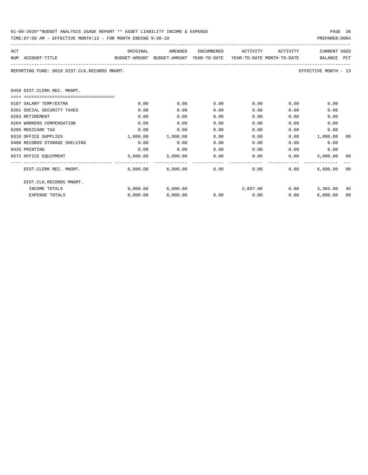| 01-08-2020**BUDGET ANALYSIS USAGE REPORT ** ASSET LIABILITY INCOME & EXPENSE | PAGE 36        |
|------------------------------------------------------------------------------|----------------|
| TIME:07:06 AM - EFFECTIVE MONTH:13 - FOR MONTH ENDING 9-30-19                | PREPARER: 0004 |

| ACT |                                              | ORIGINAL                                                            | AMENDED                | ENCUMBERED | ACTIVITY                                   | ACTIVITY                  | <b>CURRENT USED</b>   |    |
|-----|----------------------------------------------|---------------------------------------------------------------------|------------------------|------------|--------------------------------------------|---------------------------|-----------------------|----|
|     | NUM ACCOUNT-TITLE                            | BUDGET-AMOUNT BUDGET-AMOUNT YEAR-TO-DATE YEAR-TO-DATE_MONTH-TO-DATE |                        |            |                                            |                           | BALANCE PCT           |    |
|     | REPORTING FUND: 0019 DIST.CLK.RECORDS MNGMT. |                                                                     |                        |            |                                            |                           | EFFECTIVE MONTH - 13  |    |
|     | 0450 DIST.CLERK REC. MNGMT.                  |                                                                     |                        |            |                                            |                           |                       |    |
|     |                                              |                                                                     |                        |            |                                            |                           |                       |    |
|     | 0107 SALARY TEMP/EXTRA                       | 0.00                                                                | 0.00                   | 0.00       |                                            | $0.00$ and $0.00$<br>0.00 | 0.00                  |    |
|     | 0201 SOCIAL SECURITY TAXES                   | 0.00                                                                | 0.00                   | 0.00       | 0.00                                       | 0.00                      | 0.00                  |    |
|     | 0203 RETIREMENT                              | 0.00                                                                | 0.00                   | 0.00       | 0.00                                       | 0.00                      | 0.00                  |    |
|     | 0204 WORKERS COMPENSATION                    | 0.00                                                                | 0.00                   | 0.00       | 0.00                                       | 0.00                      | 0.00                  |    |
|     | 0205 MEDICARE TAX                            | 0.00                                                                | 0.00                   | 0.00       | 0.00                                       | 0.00                      | 0.00                  |    |
|     | 0310 OFFICE SUPPLIES                         | 1,000.00                                                            | 1,000.00               | 0.00       | 0.00                                       |                           | $0.00$ 1,000.00       | 00 |
|     | 0400 RECORDS STORAGE SHELVING                | 0.00                                                                | 0.00                   | 0.00       | 0.00                                       | 0.00                      | 0.00                  |    |
|     | 0435 PRINTING                                | 0.00                                                                | 0.00                   | 0.00       |                                            | 0.00                      | 0.00<br>0.00          |    |
|     | 0572 OFFICE EOUIPMENT                        |                                                                     | 5,000.00 5,000.00 0.00 |            |                                            | $0.00$ $0.00$             | 5,000.00 00           |    |
|     | DIST.CLERK REC. MNGMT.                       |                                                                     |                        |            | $6,000.00$ $6,000.00$ $0.00$ $0.00$ $0.00$ |                           | 0.00<br>$6,000,00$ 00 |    |
|     | DIST.CLK.RECORDS MNGMT.                      |                                                                     |                        |            |                                            |                           |                       |    |
|     | INCOME TOTALS                                |                                                                     | 6,000.00 6,000.00      |            | $2.697.00$ 0.00                            |                           | 3,303.00 45           |    |
|     | <b>EXPENSE TOTALS</b>                        | 6.000.00                                                            | 6,000.00               |            | 0.00                                       | 0.00                      | 0.00<br>6.000.00      | 00 |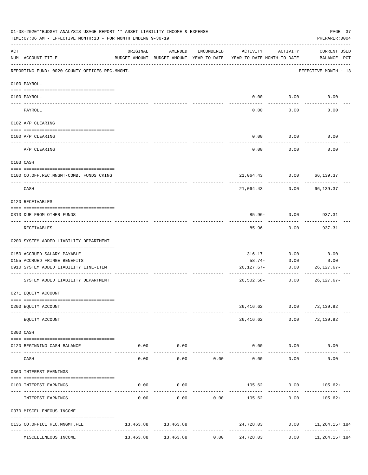|     | 01-08-2020**BUDGET ANALYSIS USAGE REPORT ** ASSET LIABILITY INCOME & EXPENSE<br>TIME: 07:06 AM - EFFECTIVE MONTH: 13 - FOR MONTH ENDING 9-30-19 |          |                           |            |                                                                                 |                                          | PAGE 37<br>PREPARER: 0004             |
|-----|-------------------------------------------------------------------------------------------------------------------------------------------------|----------|---------------------------|------------|---------------------------------------------------------------------------------|------------------------------------------|---------------------------------------|
| ACT | NUM ACCOUNT-TITLE                                                                                                                               | ORIGINAL | AMENDED                   | ENCUMBERED | ACTIVITY<br>BUDGET-AMOUNT BUDGET-AMOUNT YEAR-TO-DATE YEAR-TO-DATE MONTH-TO-DATE | ACTIVITY                                 | CURRENT USED<br>BALANCE PCT           |
|     | REPORTING FUND: 0020 COUNTY OFFICES REC.MNGMT.                                                                                                  |          |                           |            |                                                                                 |                                          | EFFECTIVE MONTH - 13                  |
|     | 0100 PAYROLL                                                                                                                                    |          |                           |            |                                                                                 |                                          |                                       |
|     | 0100 PAYROLL                                                                                                                                    |          |                           |            |                                                                                 | $0.00$ 0.00                              | 0.00                                  |
|     | ---- ----<br>PAYROLL                                                                                                                            |          |                           |            | 0.00                                                                            | 0.00                                     | 0.00                                  |
|     | 0102 A/P CLEARING                                                                                                                               |          |                           |            |                                                                                 |                                          |                                       |
|     | 0100 A/P CLEARING                                                                                                                               |          |                           |            | 0.00                                                                            | 0.00                                     | 0.00                                  |
|     | A/P CLEARING                                                                                                                                    |          |                           |            | 0.00                                                                            | 0.00                                     | 0.00                                  |
|     | 0103 CASH                                                                                                                                       |          |                           |            |                                                                                 |                                          |                                       |
|     | 0100 CO.OFF.REC.MNGMT-COMB. FUNDS CKING                                                                                                         |          |                           |            |                                                                                 | 21,064.43 0.00 66,139.37                 |                                       |
|     | ------------------------------<br>CASH                                                                                                          |          |                           |            | 21,064.43                                                                       | ----------<br>0.00                       | 66,139.37                             |
|     | 0120 RECEIVABLES                                                                                                                                |          |                           |            |                                                                                 |                                          |                                       |
|     | 0313 DUE FROM OTHER FUNDS                                                                                                                       |          |                           |            |                                                                                 | $85.96 - 0.00$                           | 937.31                                |
|     | RECEIVABLES                                                                                                                                     |          |                           |            | $85.96 -$                                                                       | 0.00                                     | 937.31                                |
|     | 0200 SYSTEM ADDED LIABILITY DEPARTMENT                                                                                                          |          |                           |            |                                                                                 |                                          |                                       |
|     | 0150 ACCRUED SALARY PAYABLE                                                                                                                     |          |                           |            | 316.17-                                                                         | 0.00                                     | 0.00                                  |
|     | 0155 ACCRUED FRINGE BENEFITS                                                                                                                    |          |                           |            | 58.74-                                                                          | 0.00                                     | 0.00                                  |
|     | 0910 SYSTEM ADDED LIABILITY LINE-ITEM                                                                                                           |          |                           |            | 26,127.67-                                                                      | 0.00                                     | 26,127.67-                            |
|     | SYSTEM ADDED LIABILITY DEPARTMENT                                                                                                               |          |                           |            | $26,502.58-$                                                                    | -------------------------<br>0.00        | $26, 127.67 -$                        |
|     | 0271 EQUITY ACCOUNT                                                                                                                             |          |                           |            |                                                                                 |                                          |                                       |
|     | 0200 EQUITY ACCOUNT                                                                                                                             |          |                           |            |                                                                                 | 26,416.62 0.00 72,139.92                 |                                       |
|     | EQUITY ACCOUNT                                                                                                                                  |          |                           |            |                                                                                 | ------------<br>26,416.62 0.00 72,139.92 |                                       |
|     | 0300 CASH                                                                                                                                       |          |                           |            |                                                                                 |                                          |                                       |
|     | 0120 BEGINNING CASH BALANCE                                                                                                                     |          | $0.00$ 0.00<br>. <u>.</u> |            | -------------                                                                   | $0.00$ $0.00$                            | 0.00                                  |
|     | CASH                                                                                                                                            | 0.00     | 0.00                      | 0.00       | 0.00                                                                            | . <u>.</u> .<br>0.00                     | 0.00                                  |
|     | 0360 INTEREST EARNINGS                                                                                                                          |          |                           |            |                                                                                 |                                          |                                       |
|     | 0100 INTEREST EARNINGS                                                                                                                          |          | $0.00$ 0.00               |            |                                                                                 |                                          | $105.62$ 0.00 $105.62+$               |
|     | INTEREST EARNINGS                                                                                                                               | 0.00     | 0.00                      | 0.00       | 105.62                                                                          | 0.00                                     | 105.62+                               |
|     | 0370 MISCELLENEOUS INCOME                                                                                                                       |          |                           |            |                                                                                 |                                          |                                       |
|     | 0135 CO.OFFICE REC.MNGMT.FEE                                                                                                                    |          | 13,463.88 13,463.88       |            |                                                                                 |                                          | 24,728.03 0.00 11,264.15+184          |
|     | MISCELLENEOUS INCOME                                                                                                                            |          | 13,463.88 13,463.88       | 0.00       | 24,728.03                                                                       | 0.00                                     | -------------------<br>11,264.15+ 184 |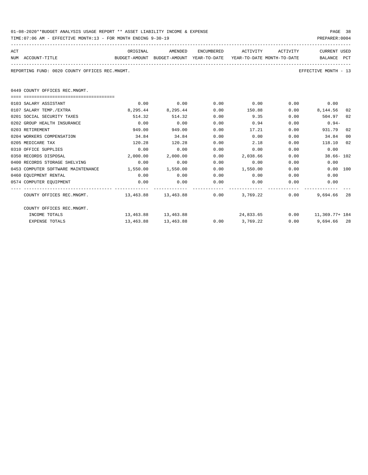| 01-08-2020**BUDGET ANALYSIS USAGE REPORT ** ASSET LIABILITY INCOME & EXPENSE | PAGE 38        |  |
|------------------------------------------------------------------------------|----------------|--|
| TIME:07:06 AM - EFFECTIVE MONTH:13 - FOR MONTH ENDING 9-30-19                | PREPARER: 0004 |  |

| ACT |                                                                                          | ORIGINAL              |           |      | AMENDED ENCUMBERED ACTIVITY ACTIVITY                       |      | CURRENT USED              |    |
|-----|------------------------------------------------------------------------------------------|-----------------------|-----------|------|------------------------------------------------------------|------|---------------------------|----|
|     | NUM ACCOUNT-TITLE<br>BUDGET-AMOUNT BUDGET-AMOUNT YEAR-TO-DATE YEAR-TO-DATE_MONTH-TO-DATE |                       |           |      |                                                            |      | BALANCE PCT               |    |
|     |                                                                                          |                       |           |      |                                                            |      |                           |    |
|     | REPORTING FUND: 0020 COUNTY OFFICES REC.MNGMT.                                           |                       |           |      |                                                            |      | EFFECTIVE MONTH - 13      |    |
|     |                                                                                          |                       |           |      |                                                            |      |                           |    |
|     | 0449 COUNTY OFFICES REC.MNGMT.                                                           |                       |           |      |                                                            |      |                           |    |
|     |                                                                                          |                       |           |      |                                                            |      |                           |    |
|     | 0103 SALARY ASSISTANT                                                                    | 0.00                  | 0.00      | 0.00 | 0.00                                                       |      | $0.00$ 0.00               |    |
|     | 0107 SALARY TEMP./EXTRA                                                                  | 8,295.44              | 8,295.44  | 0.00 | 150.88                                                     |      | $0.00$ 8,144.56           | 02 |
|     | 0201 SOCIAL SECURITY TAXES                                                               | 514.32                | 514.32    | 0.00 | 9.35                                                       |      | 0.00<br>504.97            | 02 |
|     | 0202 GROUP HEALTH INSURANCE                                                              | 0.00                  | 0.00      | 0.00 | 0.94                                                       | 0.00 | $0.94-$                   |    |
|     | 0203 RETIREMENT                                                                          | 949.00                | 949.00    | 0.00 | 17.21                                                      | 0.00 | 931.79                    | 02 |
|     | 0204 WORKERS COMPENSATION                                                                | 34.84                 | 34.84     | 0.00 | 0.00                                                       | 0.00 | 34.84                     | 00 |
|     | 0205 MEDICARE TAX                                                                        | 120.28                | 120.28    | 0.00 | 2.18                                                       | 0.00 | 118.10                    | 02 |
|     | 0310 OFFICE SUPPLIES                                                                     | 0.00                  | 0.00      | 0.00 | 0.00                                                       | 0.00 | 0.00                      |    |
|     | 0350 RECORDS DISPOSAL                                                                    | 2,000.00              | 2,000.00  | 0.00 | 2,038.66                                                   |      | $0.00$ 38.66-102          |    |
|     | 0400 RECORDS STORAGE SHELVING                                                            | 0.00                  | 0.00      | 0.00 | 0.00                                                       | 0.00 | 0.00                      |    |
|     | 0453 COMPUTER SOFTWARE MAINTENANCE                                                       | $1,550.00$ $1,550.00$ |           | 0.00 | 1,550.00                                                   |      | 0.00<br>$0.00$ 100        |    |
|     | 0460 EQUIPMENT RENTAL                                                                    | 0.00                  | 0.00      | 0.00 | 0.00                                                       |      | $0.00$ and $0.00$<br>0.00 |    |
|     | 0574 COMPUTER EQUIPMENT                                                                  | 0.00                  | 0.00      | 0.00 | 0.00                                                       | 0.00 | 0.00                      |    |
|     |                                                                                          |                       |           |      |                                                            |      |                           |    |
|     | COUNTY OFFICES REC.MNGMT. 453.88 13,463.88 13,463.88 0.00 3,769.22 0.00                  |                       |           |      |                                                            |      | 9,694.66 28               |    |
|     | COUNTY OFFICES REC.MNGMT.                                                                |                       |           |      |                                                            |      |                           |    |
|     | INCOME TOTALS                                                                            |                       |           |      | $13,463.88$ $13,463.88$ $24,833.65$ $0.00$ $11,369.77+184$ |      |                           |    |
|     | <b>EXPENSE TOTALS</b>                                                                    | 13,463.88             | 13,463.88 |      | $0.00$ 3,769.22                                            |      | $0.00$ 9,694.66 28        |    |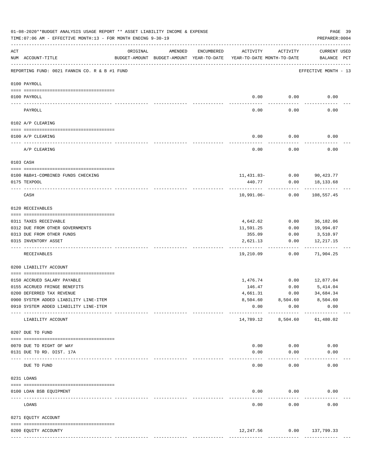|     | 01-08-2020**BUDGET ANALYSIS USAGE REPORT ** ASSET LIABILITY INCOME & EXPENSE<br>TIME: 07:06 AM - EFFECTIVE MONTH: 13 - FOR MONTH ENDING 9-30-19 |                                                      |         |            |                                        |                       | PAGE 39<br>PREPARER: 0004          |
|-----|-------------------------------------------------------------------------------------------------------------------------------------------------|------------------------------------------------------|---------|------------|----------------------------------------|-----------------------|------------------------------------|
| ACT | NUM ACCOUNT-TITLE                                                                                                                               | ORIGINAL<br>BUDGET-AMOUNT BUDGET-AMOUNT YEAR-TO-DATE | AMENDED | ENCUMBERED | ACTIVITY<br>YEAR-TO-DATE MONTH-TO-DATE | ACTIVITY              | <b>CURRENT USED</b><br>BALANCE PCT |
|     | --------------------------------------<br>REPORTING FUND: 0021 FANNIN CO. R & B #1 FUND                                                         |                                                      |         |            |                                        |                       | EFFECTIVE MONTH - 13               |
|     | 0100 PAYROLL                                                                                                                                    |                                                      |         |            |                                        |                       |                                    |
|     | 0100 PAYROLL                                                                                                                                    |                                                      |         |            | 0.00                                   | 0.00                  | 0.00                               |
|     | PAYROLL                                                                                                                                         |                                                      |         |            | 0.00                                   | 0.00                  | 0.00                               |
|     | 0102 A/P CLEARING                                                                                                                               |                                                      |         |            |                                        |                       |                                    |
|     | 0100 A/P CLEARING                                                                                                                               |                                                      |         |            | 0.00                                   | 0.00                  | 0.00                               |
|     | A/P CLEARING                                                                                                                                    |                                                      |         |            | 0.00                                   | 0.00                  | 0.00                               |
|     | 0103 CASH                                                                                                                                       |                                                      |         |            |                                        |                       |                                    |
|     |                                                                                                                                                 |                                                      |         |            | $11,431.83-$ 0.00                      |                       | 90,423.77                          |
|     | 0100 R&B#1-COMBINED FUNDS CHECKING<br>0175 TEXPOOL                                                                                              |                                                      |         |            | 440.77                                 | 0.00                  | 18,133.68                          |
|     | CASH                                                                                                                                            |                                                      |         |            | 10,991.06-                             | 0.00                  | 108,557.45                         |
|     | 0120 RECEIVABLES                                                                                                                                |                                                      |         |            |                                        |                       |                                    |
|     | 0311 TAXES RECEIVABLE                                                                                                                           |                                                      |         |            | 4,642.62                               | 0.00                  | 36,182.06                          |
|     | 0312 DUE FROM OTHER GOVERNMENTS                                                                                                                 |                                                      |         |            | 11,591.25                              | 0.00                  | 19,994.07                          |
|     | 0313 DUE FROM OTHER FUNDS                                                                                                                       |                                                      |         |            | 355.09                                 | 0.00                  | 3,510.97                           |
|     | 0315 INVENTORY ASSET                                                                                                                            |                                                      |         |            | 2,621.13<br>---------                  | 0.00<br>-----         | 12, 217.15<br>----------           |
|     | RECEIVABLES                                                                                                                                     |                                                      |         |            | 19,210.09                              | 0.00                  | 71,904.25                          |
|     | 0200 LIABILITY ACCOUNT                                                                                                                          |                                                      |         |            |                                        |                       |                                    |
|     | 0150 ACCRUED SALARY PAYABLE                                                                                                                     |                                                      |         |            | 1,476.74                               | 0.00                  | 12,877.04                          |
|     | 0155 ACCRUED FRINGE BENEFITS                                                                                                                    |                                                      |         |            | 146.47                                 | 0.00                  | 5,414.04                           |
|     | 0200 DEFERRED TAX REVENUE                                                                                                                       |                                                      |         |            | 4,661.31                               | 0.00                  | 34,684.34                          |
|     | 0900 SYSTEM ADDED LIABILITY LINE-ITEM                                                                                                           |                                                      |         |            | 8,504.60                               |                       | 8,504.60 8,504.60                  |
|     | 0910 SYSTEM ADDED LIABILITY LINE-ITEM                                                                                                           |                                                      |         |            | 0.00                                   | 0.00                  | 0.00                               |
|     | LIABILITY ACCOUNT                                                                                                                               | -------- -------------                               |         |            | 14,789.12                              | ---------<br>8,504.60 | 61,480.02                          |
|     | 0207 DUE TO FUND                                                                                                                                |                                                      |         |            |                                        |                       |                                    |
|     | 0070 DUE TO RIGHT OF WAY                                                                                                                        |                                                      |         |            | 0.00                                   | 0.00                  | 0.00                               |
|     | 0131 DUE TO RD. DIST. 17A                                                                                                                       |                                                      |         |            | 0.00                                   | 0.00                  | 0.00                               |
|     | -------------------------- -----------<br>DUE TO FUND                                                                                           |                                                      |         |            | 0.00                                   | 0.00                  | 0.00                               |
|     | 0231 LOANS                                                                                                                                      |                                                      |         |            |                                        |                       |                                    |
|     |                                                                                                                                                 |                                                      |         |            |                                        |                       |                                    |
|     | 0100 LOAN BSB EQUIPMENT<br>---------------------- -----------                                                                                   |                                                      |         |            | 0.00                                   | 0.00                  | 0.00                               |
|     | LOANS                                                                                                                                           |                                                      |         |            | 0.00                                   | 0.00                  | 0.00                               |
|     | 0271 EQUITY ACCOUNT                                                                                                                             |                                                      |         |            |                                        |                       |                                    |
|     |                                                                                                                                                 |                                                      |         |            |                                        |                       |                                    |
|     | 0200 EQUITY ACCOUNTY                                                                                                                            |                                                      |         |            | 12,247.56                              |                       | $0.00$ 137,799.33                  |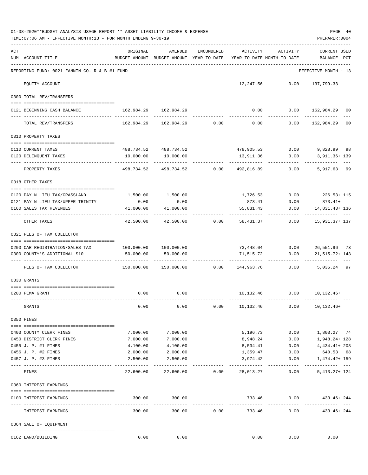|     | 01-08-2020**BUDGET ANALYSIS USAGE REPORT ** ASSET LIABILITY INCOME & EXPENSE<br>PAGE 40<br>TIME: 07:06 AM - EFFECTIVE MONTH: 13 - FOR MONTH ENDING 9-30-19<br>PREPARER: 0004 |                                                      |                                           |                |                                        |                           |                                       |  |  |  |  |
|-----|------------------------------------------------------------------------------------------------------------------------------------------------------------------------------|------------------------------------------------------|-------------------------------------------|----------------|----------------------------------------|---------------------------|---------------------------------------|--|--|--|--|
| ACT | NUM ACCOUNT-TITLE                                                                                                                                                            | ORIGINAL<br>BUDGET-AMOUNT BUDGET-AMOUNT YEAR-TO-DATE | AMENDED                                   | ENCUMBERED     | ACTIVITY<br>YEAR-TO-DATE MONTH-TO-DATE | ACTIVITY                  | <b>CURRENT USED</b><br>BALANCE PCT    |  |  |  |  |
|     | REPORTING FUND: 0021 FANNIN CO. R & B #1 FUND                                                                                                                                |                                                      |                                           |                |                                        |                           | EFFECTIVE MONTH - 13                  |  |  |  |  |
|     | EQUITY ACCOUNT                                                                                                                                                               |                                                      |                                           |                |                                        | 12,247.56 0.00 137,799.33 |                                       |  |  |  |  |
|     | 0300 TOTAL REV/TRANSFERS                                                                                                                                                     |                                                      |                                           |                |                                        |                           |                                       |  |  |  |  |
|     | 0121 BEGINNING CASH BALANCE                                                                                                                                                  | 162,984.29 162,984.29                                |                                           |                |                                        |                           | $0.00$ $0.00$ $162,984.29$ 00         |  |  |  |  |
|     | TOTAL REV/TRANSFERS                                                                                                                                                          |                                                      |                                           |                |                                        | 0.00                      | 162,984.29<br>00                      |  |  |  |  |
|     | 0310 PROPERTY TAXES                                                                                                                                                          |                                                      |                                           |                |                                        |                           |                                       |  |  |  |  |
|     |                                                                                                                                                                              |                                                      |                                           |                |                                        |                           |                                       |  |  |  |  |
|     | 0110 CURRENT TAXES<br>0120 DELINQUENT TAXES                                                                                                                                  | 10,000.00                                            | 488,734.52 488,734.52<br>10,000.00        |                | 478,905.53<br>13,911.36                | 0.00                      | $0.00$ 9,828.99 98<br>3,911.36+ 139   |  |  |  |  |
|     | PROPERTY TAXES                                                                                                                                                               |                                                      | -----------<br>498,734.52 498,734.52 0.00 |                | . <u>.</u><br>492,816.89               | 0.00                      | ----------<br>5,917.63 99             |  |  |  |  |
|     | 0318 OTHER TAXES                                                                                                                                                             |                                                      |                                           |                |                                        |                           |                                       |  |  |  |  |
|     |                                                                                                                                                                              |                                                      |                                           |                |                                        |                           |                                       |  |  |  |  |
|     | 0120 PAY N LIEU TAX/GRASSLAND<br>0121 PAY N LIEU TAX/UPPER TRINITY                                                                                                           | 0.00                                                 | 1,500.00 1,500.00<br>0.00                 |                | 873.41                                 | 0.00                      | 1,726.53 0.00 226.53+115<br>$873.41+$ |  |  |  |  |
|     | 0160 SALES TAX REVENUES                                                                                                                                                      | 41,000.00                                            | 41,000.00                                 |                | 55,831.43                              | 0.00                      | 14,831.43+ 136                        |  |  |  |  |
|     | OTHER TAXES                                                                                                                                                                  | -----------<br>42,500.00                             |                                           | 42,500.00 0.00 | 58,431.37                              |                           | $0.00$ $15,931.37+137$                |  |  |  |  |
|     | 0321 FEES OF TAX COLLECTOR                                                                                                                                                   |                                                      |                                           |                |                                        |                           |                                       |  |  |  |  |
|     | 0200 CAR REGISTRATION/SALES TAX                                                                                                                                              |                                                      |                                           |                |                                        |                           | 73,448.04 0.00 26,551.96 73           |  |  |  |  |
|     | 0300 COUNTY'S ADDITIONAL \$10                                                                                                                                                | 50,000.00                                            | 50,000.00                                 |                | 71,515.72                              | 0.00                      | 21, 515. 72+ 143                      |  |  |  |  |
|     | FEES OF TAX COLLECTOR                                                                                                                                                        | $150,000.00$ $150,000.00$ $0.00$                     |                                           |                | 144,963.76                             | 0.00                      | 5,036.24 97                           |  |  |  |  |
|     |                                                                                                                                                                              |                                                      |                                           |                |                                        |                           |                                       |  |  |  |  |
|     | 0330 GRANTS                                                                                                                                                                  |                                                      |                                           |                |                                        |                           |                                       |  |  |  |  |
|     | 0200 FEMA GRANT                                                                                                                                                              | 0.00                                                 | 0.00                                      |                |                                        |                           | 10,132.46   0.00   10,132.46+         |  |  |  |  |
|     | GRANTS                                                                                                                                                                       | 0.00                                                 | 0.00                                      | 0.00           | 10,132.46                              | 0.00                      | $10, 132, 46+$                        |  |  |  |  |
|     | 0350 FINES                                                                                                                                                                   |                                                      |                                           |                |                                        |                           |                                       |  |  |  |  |
|     |                                                                                                                                                                              |                                                      |                                           |                |                                        |                           |                                       |  |  |  |  |
|     | 0403 COUNTY CLERK FINES<br>0450 DISTRICT CLERK FINES                                                                                                                         | 7,000.00<br>7,000.00                                 | 7,000.00<br>7,000.00                      |                | 5,196.73<br>8,948.24                   | 0.00<br>0.00              | 1,803.27 74<br>1,948.24+ 128          |  |  |  |  |
|     | 0455 J. P. #1 FINES                                                                                                                                                          | 4,100.00                                             | 4,100.00                                  |                | 8,534.41                               | 0.00                      | 4, 434. 41+ 208                       |  |  |  |  |
|     | 0456 J. P. #2 FINES                                                                                                                                                          | 2,000.00                                             | 2,000.00                                  |                | 1,359.47                               | 0.00                      | 640.53 68                             |  |  |  |  |
|     | 0457 J. P. #3 FINES                                                                                                                                                          | 2,500.00                                             | 2,500.00                                  |                | 3,974.42                               | 0.00                      | 1,474.42+ 159                         |  |  |  |  |
|     | FINES                                                                                                                                                                        |                                                      | 22,600.00 22,600.00                       | 0.00           | 28,013.27                              | ----------<br>0.00        | --------- ---<br>$5,413.27+124$       |  |  |  |  |
|     | 0360 INTEREST EARNINGS                                                                                                                                                       |                                                      |                                           |                |                                        |                           |                                       |  |  |  |  |
|     | 0100 INTEREST EARNINGS                                                                                                                                                       | 300.00                                               | 300.00                                    |                | 733.46                                 | 0.00                      | 433.46+ 244                           |  |  |  |  |
|     | INTEREST EARNINGS                                                                                                                                                            | 300.00                                               | 300.00                                    | 0.00           | 733.46                                 | 0.00                      | 433.46+ 244                           |  |  |  |  |
|     | 0364 SALE OF EQUIPMENT                                                                                                                                                       |                                                      |                                           |                |                                        |                           |                                       |  |  |  |  |
|     | 0162 LAND/BUILDING                                                                                                                                                           | 0.00                                                 | 0.00                                      |                | 0.00                                   | 0.00                      | 0.00                                  |  |  |  |  |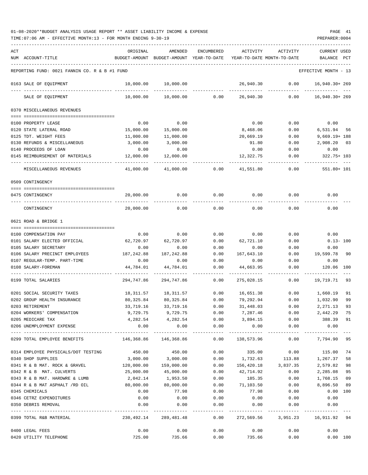| ACT |                                                           | ORIGINAL                                       | AMENDED                   | <b>ENCUMBERED</b>  | ACTIVITY                   | ACTIVITY            | CURRENT USED           |     |
|-----|-----------------------------------------------------------|------------------------------------------------|---------------------------|--------------------|----------------------------|---------------------|------------------------|-----|
|     | NUM ACCOUNT-TITLE                                         | BUDGET-AMOUNT                                  | BUDGET-AMOUNT             | YEAR-TO-DATE       | YEAR-TO-DATE MONTH-TO-DATE |                     | <b>BALANCE</b>         | PCT |
|     | REPORTING FUND: 0021 FANNIN CO. R & B #1 FUND             |                                                |                           |                    |                            |                     | EFFECTIVE MONTH - 13   |     |
|     | 0163 SALE OF EQUIPMENT                                    | 10,000.00                                      | 10,000.00                 |                    | 26,940.30                  | 0.00                | 16,940.30+ 269         |     |
|     | SALE OF EQUIPMENT                                         | 10,000.00                                      | 10,000.00                 | 0.00               | 26,940.30                  | 0.00                | $16,940.30+269$        |     |
|     | 0370 MISCELLANEOUS REVENUES                               |                                                |                           |                    |                            |                     |                        |     |
|     | 0100 PROPERTY LEASE                                       | 0.00                                           | 0.00                      |                    | 0.00                       | 0.00                | 0.00                   |     |
|     | 0120 STATE LATERAL ROAD                                   | 15,000.00                                      | 15,000.00                 |                    | 8,468.06                   | 0.00                | 6,531.94               | 56  |
|     | 0125 TDT. WEIGHT FEES                                     | 11,000.00                                      | 11,000.00                 |                    | 20,669.19                  | 0.00                | $9,669.19 + 188$       |     |
|     | 0130 REFUNDS & MISCELLANEOUS                              | 3,000.00                                       | 3,000.00                  |                    | 91.80                      | 0.00                | 2,908.20               | 03  |
|     | 0140 PROCEEDS OF LOAN                                     | 0.00                                           | 0.00                      |                    | 0.00                       | 0.00                | 0.00                   |     |
|     | 0145 REIMBURSEMENT OF MATERIALS                           | 12,000.00                                      | 12,000.00                 |                    | 12,322.75                  | 0.00                | 322.75+ 103            |     |
|     | MISCELLANEOUS REVENUES                                    | 41,000.00                                      | 41,000.00                 | 0.00               | 41,551.80                  | 0.00                | 551.80+ 101            |     |
|     |                                                           |                                                |                           |                    |                            |                     |                        |     |
|     | 0509 CONTINGENCY                                          |                                                |                           |                    |                            |                     |                        |     |
|     | 0475 CONTINGENCY                                          | 20,000.00                                      | 0.00                      | 0.00               | 0.00                       | 0.00                | 0.00                   |     |
|     |                                                           |                                                |                           |                    |                            |                     |                        |     |
|     | CONTINGENCY                                               | 20,000.00                                      | 0.00                      | 0.00               | 0.00                       | 0.00                | 0.00                   |     |
|     | 0621 ROAD & BRIDGE 1                                      |                                                |                           |                    |                            |                     |                        |     |
|     |                                                           |                                                |                           |                    |                            |                     |                        |     |
|     | 0100 COMPENSATION PAY                                     | 0.00                                           | 0.00                      | 0.00               | 0.00                       | 0.00                | 0.00                   |     |
|     | 0101 SALARY ELECTED OFFICIAL                              | 62,720.97                                      | 62,720.97                 | 0.00               | 62,721.10                  | 0.00                | $0.13 - 100$           |     |
|     | 0105 SALARY SECRETARY                                     | 0.00                                           | 0.00                      | 0.00               | 0.00                       | 0.00                | 0.00                   |     |
|     | 0106 SALARY PRECINCT EMPLOYEES                            | 187,242.88                                     | 187, 242.88               | 0.00               | 167,643.10                 | 0.00                | 19,599.78              | 90  |
|     | 0107 REGULAR-TEMP. PART-TIME                              | 0.00                                           | 0.00                      | 0.00               | 0.00                       | 0.00                | 0.00                   |     |
|     | 0108 SALARY-FOREMAN                                       | 44,784.01                                      | 44,784.01                 | 0.00               | 44,663.95                  | 0.00                | 120.06                 | 100 |
|     | 0199 TOTAL SALARIES                                       | 294,747.86                                     | 294,747.86                | 0.00               | 275,028.15                 | 0.00                | 19,719.71              | 93  |
|     | 0201 SOCIAL SECURITY TAXES                                | 18,311.57                                      | 18,311.57                 | 0.00               | 16,651.38                  | 0.00                | 1,660.19               | 91  |
|     | 0202 GROUP HEALTH INSURANCE                               | 80,325.84                                      | 80,325.84                 | 0.00               | 79,292.94                  | 0.00                | 1,032.90               | 99  |
|     | 0203 RETIREMENT                                           | 33,719.16                                      | 33,719.16                 | 0.00               | 31,448.03                  | 0.00                | 2, 271.13              | 93  |
|     | 0204 WORKERS' COMPENSATION                                | 9,729.75                                       | 9,729.75                  | 0.00               | 7,287.46                   | 0.00                | 2,442.29               | 75  |
|     | 0205 MEDICARE TAX                                         | 4,282.54                                       | 4,282.54                  | 0.00               | 3,894.15                   | 0.00                | 388.39                 | 91  |
|     | 0206 UNEMPLOYMENT EXPENSE                                 | 0.00                                           | 0.00                      | 0.00               | 0.00                       | 0.00                | 0.00                   |     |
|     | 0299 TOTAL EMPLOYEE BENEFITS                              | --------------- ----------------<br>146,368.86 | -----------<br>146,368.86 | ----------<br>0.00 | -----------<br>138,573.96  | ----------<br>0.00  | ----------<br>7,794.90 | 95  |
|     |                                                           | 450.00                                         | 450.00                    | 0.00               | 335.00                     | 0.00                |                        |     |
|     | 0314 EMPLOYEE PHYSICALS/DOT TESTING<br>0340 SHOP SUPPLIES |                                                |                           | 0.00               |                            |                     | 115.00 74              | 58  |
|     |                                                           | 3,000.00                                       | 3,000.00                  |                    | 1,732.63                   | 113.88              | 1,267.37               |     |
|     | 0341 R & B MAT. ROCK & GRAVEL                             | 120,000.00                                     | 159,000.00                | 0.00               | 156,420.18                 | 3,837.35            | 2,579.82               | 98  |
|     | 0342 R & B MAT. CULVERTS                                  | 25,000.00                                      | 45,000.00                 | 0.00               | 42,714.92                  | 0.00                | 2,285.08               | 95  |
|     | 0343 R & B MAT. HARDWRE & LUMB                            | 2,042.14                                       | 1,953.50                  | 0.00               | 185.35                     | 0.00                | 1,768.15               | 09  |
|     | 0344 R & B MAT ASPHALT /RD OIL                            | 80,000.00                                      | 80,000.00                 | 0.00               | 71,103.50                  | 0.00                | 8,896.50               | 89  |
|     | 0345 CHEMICALS                                            | 0.00                                           | 77.98                     | 0.00               | 77.98                      | 0.00                | 0.00 100               |     |
|     | 0346 CETRZ EXPENDITURES<br>0350 DEBRIS REMOVAL            | 0.00<br>0.00                                   | 0.00<br>0.00              | 0.00<br>0.00       | 0.00<br>0.00               | 0.00<br>0.00        | 0.00<br>0.00           |     |
|     |                                                           |                                                | -----------               | $- - - - - -$      |                            |                     |                        |     |
|     | 0399 TOTAL R&B MATERIAL                                   |                                                | 230,492.14 289,481.48     | 0.00               |                            | 272,569.56 3,951.23 | 16,911.92 94           |     |
|     | 0400 LEGAL FEES                                           | 0.00                                           | 0.00                      | 0.00               | 0.00                       | 0.00                | 0.00                   |     |
|     | 0420 UTILITY TELEPHONE                                    | 725.00                                         | 735.66                    | 0.00               | 735.66                     | 0.00                | 0.00 100               |     |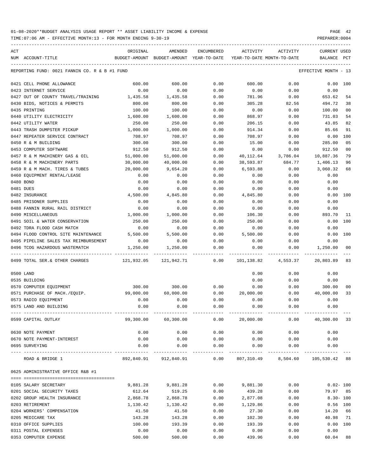TIME:07:06 AM - EFFECTIVE MONTH:13 - FOR MONTH ENDING 9-30-19 PREPARER:0004

| ACT                                           | ORIGINAL      | AMENDED                       | ENCUMBERED   | ACTIVITY     | ACTIVITY                   | CURRENT USED                      |                |
|-----------------------------------------------|---------------|-------------------------------|--------------|--------------|----------------------------|-----------------------------------|----------------|
| NUM ACCOUNT-TITLE                             | BUDGET-AMOUNT | BUDGET-AMOUNT YEAR-TO-DATE    |              |              | YEAR-TO-DATE MONTH-TO-DATE | BALANCE                           | PCT            |
|                                               |               |                               |              |              |                            |                                   |                |
| REPORTING FUND: 0021 FANNIN CO. R & B #1 FUND |               |                               |              |              |                            | EFFECTIVE MONTH - 13              |                |
| 0421 CELL PHONE ALLOWANCE                     | 600.00        | 600.00                        | 0.00         | 600.00       | 0.00                       |                                   | 0.00 100       |
| 0423 INTERNET SERVICE                         | 0.00          | 0.00                          | 0.00         | 0.00         | 0.00                       | 0.00                              |                |
| 0427 OUT OF COUNTY TRAVEL/TRAINING            | 1,435.58      | 1,435.58                      | 0.00         | 781.96       | 0.00                       | 653.62                            | 54             |
| 0430 BIDS, NOTICES & PERMITS                  | 800.00        | 800.00                        | 0.00         | 305.28       | 82.56                      | 494.72                            | 38             |
| 0435 PRINTING                                 | 100.00        | 100.00                        | 0.00         | 0.00         | 0.00                       | 100.00                            | 00             |
| 0440 UTILITY ELECTRICITY                      | 1,600.00      | 1,600.00                      | 0.00         | 868.97       | 0.00                       | 731.03                            | 54             |
| 0442 UTILITY WATER                            | 250.00        | 250.00                        | 0.00         | 206.15       | 0.00                       | 43.85                             | 82             |
| 0443 TRASH DUMPSTER PICKUP                    | 1,000.00      | 1,000.00                      | 0.00         | 914.34       | 0.00                       | 85.66                             | 91             |
| 0447 REPEATER SERVICE CONTRACT                | 708.97        | 708.97                        | 0.00         | 708.97       | 0.00                       | 0.00                              | 100            |
| 0450 R & M BUILDING                           | 300.00        | 300.00                        | 0.00         | 15.00        | 0.00                       | 285.00                            | 05             |
| 0453 COMPUTER SOFTWARE                        | 912.50        | 912.50                        | 0.00         | 0.00         | 0.00                       | 912.50                            | 0 <sub>0</sub> |
| 0457 R & M MACHINERY GAS & OIL                | 51,000.00     | 51,000.00                     | 0.00         | 40,112.64    | 3,786.04                   | 10,887.36                         | 79             |
| 0458 R & M MACHINERY PARTS                    | 30,000.00     | 40,000.00                     | 0.00         | 38,593.87    | 684.77                     | 1,406.13                          | 96             |
| 0459 R & M MACH. TIRES & TUBES                | 20,000.00     | 9,654.20                      | 0.00         | 6,593.88     | 0.00                       | 3,060.32                          | 68             |
| 0460 EQUIPMENT RENTAL/LEASE                   | 0.00          | 0.00                          | 0.00         | 0.00         | 0.00                       | 0.00                              |                |
| 0480 BOND                                     | 0.00          | 0.00                          | 0.00         | 0.00         | 0.00                       | 0.00                              |                |
| 0481 DUES                                     | 0.00          | 0.00                          | 0.00         | 0.00         | 0.00                       | 0.00                              |                |
| 0482 INSURANCE                                | 4,500.00      | 4,845.80                      | 0.00         | 4,845.80     | 0.00                       |                                   | 0.00 100       |
| 0485 PRISONER SUPPLIES                        | 0.00          | 0.00                          | 0.00         | 0.00         | 0.00                       | 0.00                              |                |
| 0488 FANNIN RURAL RAIL DISTRICT               | 0.00          | 0.00                          | 0.00         | 0.00         | 0.00                       | 0.00                              |                |
| 0490 MISCELLANEOUS                            | 1,000.00      | 1,000.00                      | 0.00         | 106.30       | 0.00                       | 893.70                            | 11             |
| 0491 SOIL & WATER CONSERVATION                | 250.00        | 250.00                        | 0.00         | 250.00       | 0.00                       | 0.00                              | 100            |
| 0492 TDRA FLOOD CASH MATCH                    | 0.00          | 0.00                          | 0.00         | 0.00         | 0.00                       | 0.00                              |                |
| 0494 FLOOD CONTROL SITE MAINTENANCE           | 5,500.00      | 5,500.00                      | 0.00         | 5,500.00     | 0.00                       | 0.00                              | 100            |
| 0495 PIPELINE SALES TAX REIMBURSEMENT         | 0.00          | 0.00                          | 0.00         | 0.00         | 0.00                       | 0.00                              |                |
| 0496 TCOG HAZARDOUS WASTEMATCH                | 1,250.00      | 1,250.00                      | 0.00         | 0.00         | 0.00                       | 1,250.00                          | 0 <sub>0</sub> |
| 0499 TOTAL SER.& OTHER CHARGES                | 121,932.05    | 121,942.71                    | 0.00         | 101,138.82   | 4,553.37                   | 20,803.89                         | 83             |
| 0500 LAND                                     |               |                               |              | 0.00         | 0.00                       | 0.00                              |                |
| 0535 BUILDING                                 |               |                               |              | 0.00         | 0.00                       | 0.00                              |                |
| 0570 COMPUTER EQUIPMENT                       | 300.00        | 300.00                        | 0.00         | 0.00         | 0.00                       | 300.00                            | 00             |
| 0571 PURCHASE OF MACH./EQUIP.                 | 99,000.00     | 60,000.00                     | 0.00         | 20,000.00    | 0.00                       | 40,000.00                         | 33             |
| 0573 RADIO EQUIPMENT                          | 0.00          | 0.00                          | 0.00         | 0.00         | 0.00                       | 0.00                              |                |
| 0575 LAND AND BUILDING                        | 0.00          | 0.00                          | 0.00         | 0.00         | 0.00                       | 0.00                              |                |
| 0599 CAPITAL OUTLAY                           | 99,300.00     | 60,300.00                     | 0.00         | 20,000.00    | 0.00                       | 40,300.00 33                      |                |
|                                               |               |                               |              |              |                            |                                   |                |
| 0630 NOTE PAYMENT                             | 0.00          | 0.00                          | 0.00         | 0.00         | 0.00                       | 0.00                              |                |
| 0670 NOTE PAYMENT-INTEREST<br>0695 SURVEYING  | 0.00<br>0.00  | 0.00<br>0.00                  | 0.00<br>0.00 | 0.00<br>0.00 | 0.00<br>0.00               | 0.00<br>0.00                      |                |
|                                               |               | ----------------------------- |              |              |                            |                                   |                |
| ROAD & BRIDGE 1                               |               | 892,840.91 912,840.91         | 0.00         |              |                            | 807,310.49 8,504.60 105,530.42 88 |                |
| 0625 ADMINISTRATIVE OFFICE R&B #1             |               |                               |              |              |                            |                                   |                |
| 0105 SALARY SECRETARY                         | 9,881.28      | 9,881.28                      | 0.00         | 9,881.30     | 0.00                       |                                   | $0.02 - 100$   |
| 0201 SOCIAL SECURITY TAXES                    | 612.64        | 519.25                        | 0.00         | 439.28       | 0.00                       | 79.97                             | 85             |
| 0202 GROUP HEALTH INSURANCE                   | 2,868.78      | 2,868.78                      | 0.00         | 2,877.08     | 0.00                       |                                   | $8.30 - 100$   |
| 0203 RETIREMENT                               | 1,130.42      | 1,130.42                      | 0.00         | 1,129.86     | 0.00                       |                                   | $0.56$ 100     |
| 0204 WORKERS' COMPENSATION                    | 41.50         | 41.50                         | 0.00         | 27.30        | 0.00                       | 14.20                             | 66             |
| 0205 MEDICARE TAX                             | 143.28        | 143.28                        | 0.00         | 102.30       | 0.00                       | 40.98                             | 71             |
| 0310 OFFICE SUPPLIES                          | 100.00        | 193.39                        | 0.00         | 193.39       | 0.00                       |                                   | 0.00 100       |
| 0311 POSTAL EXPENSES                          | 0.00          | 0.00                          | 0.00         | 0.00         | 0.00                       | 0.00                              |                |

0353 COMPUTER EXPENSE 500.00 500.00 0.00 439.96 0.00 60.04 88

-----------------------------------------------------------------------------------------------------------------------------------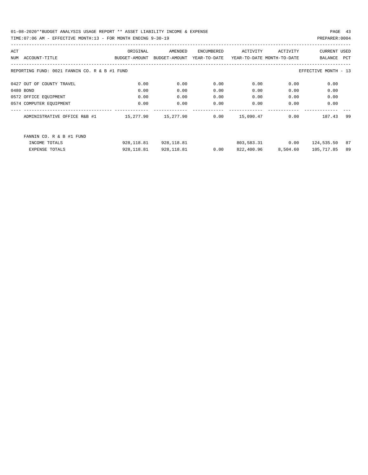| ACT |                                                                       | ORIGINAL      | AMENDED       | ENCUMBERED   | ACTIVITY   | ACTIVITY                   | <b>CURRENT USED</b> |     |  |
|-----|-----------------------------------------------------------------------|---------------|---------------|--------------|------------|----------------------------|---------------------|-----|--|
| NUM | ACCOUNT-TITLE                                                         | BUDGET-AMOUNT | BUDGET-AMOUNT | YEAR-TO-DATE |            | YEAR-TO-DATE MONTH-TO-DATE | BALANCE             | PCT |  |
|     |                                                                       |               |               |              |            |                            |                     |     |  |
|     | REPORTING FUND: 0021 FANNIN CO. R & B #1 FUND<br>EFFECTIVE MONTH - 13 |               |               |              |            |                            |                     |     |  |
|     |                                                                       |               |               |              |            |                            |                     |     |  |
|     | 0427 OUT OF COUNTY TRAVEL                                             | 0.00          | 0.00          | 0.00         | 0.00       | 0.00                       | 0.00                |     |  |
|     | 0480 BOND                                                             | 0.00          | 0.00          | 0.00         | 0.00       | 0.00                       | 0.00                |     |  |
|     | 0572 OFFICE EQUIPMENT                                                 | 0.00          | 0.00          | 0.00         | 0.00       | 0.00                       | 0.00                |     |  |
|     | 0574 COMPUTER EQUIPMENT                                               | 0.00          | 0.00          | 0.00         | 0.00       | 0.00                       | 0.00                |     |  |
|     |                                                                       |               |               |              |            |                            |                     |     |  |
|     | ADMINISTRATIVE OFFICE R&B #1                                          | 15,277.90     | 15,277.90     | 0.00         | 15,090.47  | 0.00                       | 187.43              | 99  |  |
|     |                                                                       |               |               |              |            |                            |                     |     |  |
|     | FANNIN CO. R & B #1 FUND                                              |               |               |              |            |                            |                     |     |  |
|     | INCOME TOTALS                                                         | 928,118.81    | 928,118.81    |              |            | 803,583.31 0.00            | 124,535.50          | 87  |  |
|     | <b>EXPENSE TOTALS</b>                                                 | 928,118.81    | 928,118.81    | 0.00         | 822,400.96 | 8,504.60                   | 105,717.85          | 89  |  |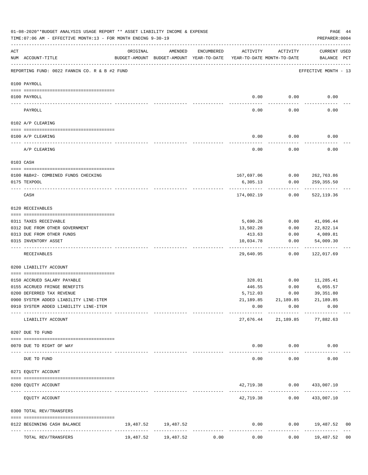|     | 01-08-2020**BUDGET ANALYSIS USAGE REPORT ** ASSET LIABILITY INCOME & EXPENSE<br>PAGE 44<br>TIME: 07:06 AM - EFFECTIVE MONTH: 13 - FOR MONTH ENDING 9-30-19<br>PREPARER: 0004 |           |                                                                                |               |                        |                                        |                                      |  |  |  |  |
|-----|------------------------------------------------------------------------------------------------------------------------------------------------------------------------------|-----------|--------------------------------------------------------------------------------|---------------|------------------------|----------------------------------------|--------------------------------------|--|--|--|--|
| ACT | NUM ACCOUNT-TITLE                                                                                                                                                            | ORIGINAL  | AMENDED<br>BUDGET-AMOUNT BUDGET-AMOUNT YEAR-TO-DATE YEAR-TO-DATE MONTH-TO-DATE | ENCUMBERED    | ACTIVITY               | ACTIVITY                               | <b>CURRENT USED</b><br>BALANCE PCT   |  |  |  |  |
|     | --------------------------------------<br>REPORTING FUND: 0022 FANNIN CO. R & B #2 FUND                                                                                      |           |                                                                                |               |                        |                                        | EFFECTIVE MONTH - 13                 |  |  |  |  |
|     | 0100 PAYROLL                                                                                                                                                                 |           |                                                                                |               |                        |                                        |                                      |  |  |  |  |
|     | 0100 PAYROLL                                                                                                                                                                 |           |                                                                                |               | 0.00                   | 0.00                                   | 0.00                                 |  |  |  |  |
|     | PAYROLL                                                                                                                                                                      |           |                                                                                |               | 0.00                   | 0.00                                   | 0.00                                 |  |  |  |  |
|     | 0102 A/P CLEARING                                                                                                                                                            |           |                                                                                |               |                        |                                        |                                      |  |  |  |  |
|     | 0100 A/P CLEARING                                                                                                                                                            |           |                                                                                |               | 0.00                   | 0.00                                   | 0.00                                 |  |  |  |  |
|     | A/P CLEARING                                                                                                                                                                 |           |                                                                                |               | 0.00                   | 0.00                                   | 0.00                                 |  |  |  |  |
|     | 0103 CASH                                                                                                                                                                    |           |                                                                                |               |                        |                                        |                                      |  |  |  |  |
|     |                                                                                                                                                                              |           |                                                                                |               |                        |                                        |                                      |  |  |  |  |
|     | 0100 R&B#2- COMBINED FUNDS CHECKING<br>0175 TEXPOOL                                                                                                                          |           |                                                                                |               | 6,305.13               | 167,697.06   0.00   262,763.86<br>0.00 | 259,355.50                           |  |  |  |  |
|     |                                                                                                                                                                              |           |                                                                                |               |                        |                                        |                                      |  |  |  |  |
|     | CASH                                                                                                                                                                         |           |                                                                                |               | 174,002.19             | 0.00                                   | 522,119.36                           |  |  |  |  |
|     | 0120 RECEIVABLES                                                                                                                                                             |           |                                                                                |               |                        |                                        |                                      |  |  |  |  |
|     | 0311 TAXES RECEIVABLE                                                                                                                                                        |           |                                                                                |               | 5,690.26               | 0.00                                   | 41,096.44                            |  |  |  |  |
|     | 0312 DUE FROM OTHER GOVERNMENT                                                                                                                                               |           |                                                                                |               | 13,502.28              | 0.00                                   | 22,822.14                            |  |  |  |  |
|     | 0313 DUE FROM OTHER FUNDS                                                                                                                                                    |           |                                                                                |               | 413.63                 | 0.00                                   | 4,089.81                             |  |  |  |  |
|     | 0315 INVENTORY ASSET                                                                                                                                                         |           |                                                                                |               | 10,034.78              | 0.00<br>----------                     | 54,009.30<br>----------              |  |  |  |  |
|     | RECEIVABLES                                                                                                                                                                  |           |                                                                                |               | 29,640.95              | 0.00                                   | 122,017.69                           |  |  |  |  |
|     | 0200 LIABILITY ACCOUNT                                                                                                                                                       |           |                                                                                |               |                        |                                        |                                      |  |  |  |  |
|     | 0150 ACCRUED SALARY PAYABLE                                                                                                                                                  |           |                                                                                |               | 328.01                 |                                        | $0.00$ 11,285.41                     |  |  |  |  |
|     | 0155 ACCRUED FRINGE BENEFITS                                                                                                                                                 |           |                                                                                |               | 446.55                 | 0.00                                   | 6,055.57                             |  |  |  |  |
|     | 0200 DEFERRED TAX REVENUE                                                                                                                                                    |           |                                                                                |               | 5,712.03               | 0.00                                   | 39,351.80                            |  |  |  |  |
|     | 0900 SYSTEM ADDED LIABILITY LINE-ITEM                                                                                                                                        |           |                                                                                |               |                        | 21, 189.85 21, 189.85 21, 189.85       |                                      |  |  |  |  |
|     | 0910 SYSTEM ADDED LIABILITY LINE-ITEM                                                                                                                                        |           |                                                                                |               | 0.00                   | 0.00                                   | 0.00                                 |  |  |  |  |
|     | LIABILITY ACCOUNT                                                                                                                                                            |           |                                                                                |               | ---------<br>27,676.44 | ------------                           | -------------<br>21,189.85 77,882.63 |  |  |  |  |
|     | 0207 DUE TO FUND                                                                                                                                                             |           |                                                                                |               |                        |                                        |                                      |  |  |  |  |
|     |                                                                                                                                                                              |           |                                                                                |               |                        |                                        |                                      |  |  |  |  |
|     | 0070 DUE TO RIGHT OF WAY                                                                                                                                                     |           | ______________                                                                 | ------------- |                        | $0.00$ 0.00<br>------------            | 0.00                                 |  |  |  |  |
|     | DUE TO FUND                                                                                                                                                                  |           |                                                                                |               | 0.00                   | 0.00                                   | 0.00                                 |  |  |  |  |
|     | 0271 EQUITY ACCOUNT                                                                                                                                                          |           |                                                                                |               |                        |                                        |                                      |  |  |  |  |
|     | 0200 EQUITY ACCOUNT                                                                                                                                                          |           |                                                                                |               |                        | 42,719.38 0.00 433,007.10              |                                      |  |  |  |  |
|     | EQUITY ACCOUNT                                                                                                                                                               |           |                                                                                |               |                        | 42,719.38 0.00 433,007.10              |                                      |  |  |  |  |
|     | 0300 TOTAL REV/TRANSFERS                                                                                                                                                     |           |                                                                                |               |                        |                                        |                                      |  |  |  |  |
|     | 0122 BEGINNING CASH BALANCE                                                                                                                                                  |           | 19,487.52 19,487.52                                                            |               | 0.00                   |                                        | $0.00$ 19,487.52<br>0 <sub>0</sub>   |  |  |  |  |
|     | -----------------------------<br>TOTAL REV/TRANSFERS                                                                                                                         | 19,487.52 | 19,487.52                                                                      | 0.00          | 0.00                   | 0.00                                   | 19,487.52<br>0 <sub>0</sub>          |  |  |  |  |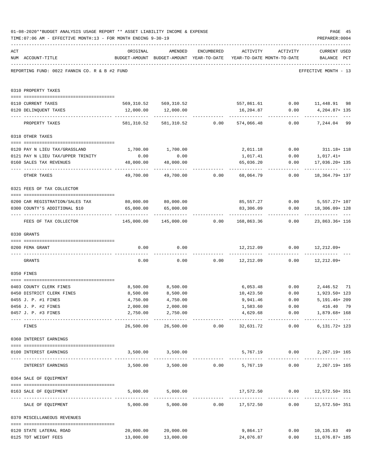|     | 01-08-2020**BUDGET ANALYSIS USAGE REPORT ** ASSET LIABILITY INCOME & EXPENSE<br>TIME: 07:06 AM - EFFECTIVE MONTH: 13 - FOR MONTH ENDING 9-30-19 |                                               |                                                                                |            |                                       |                   | PAGE 45<br>PREPARER: 0004                                   |  |
|-----|-------------------------------------------------------------------------------------------------------------------------------------------------|-----------------------------------------------|--------------------------------------------------------------------------------|------------|---------------------------------------|-------------------|-------------------------------------------------------------|--|
| ACT | NUM ACCOUNT-TITLE                                                                                                                               | ORIGINAL                                      | AMENDED<br>BUDGET-AMOUNT BUDGET-AMOUNT YEAR-TO-DATE YEAR-TO-DATE MONTH-TO-DATE | ENCUMBERED |                                       | ACTIVITY ACTIVITY | <b>CURRENT USED</b><br>BALANCE PCT                          |  |
|     | REPORTING FUND: 0022 FANNIN CO. R & B #2 FUND                                                                                                   |                                               |                                                                                |            |                                       |                   | EFFECTIVE MONTH - 13                                        |  |
|     | 0310 PROPERTY TAXES                                                                                                                             |                                               |                                                                                |            |                                       |                   |                                                             |  |
|     | 0110 CURRENT TAXES                                                                                                                              |                                               |                                                                                |            |                                       |                   | 569,310.52 569,310.52 557,861.61 0.00 11,448.91 98          |  |
|     | 0120 DELINQUENT TAXES                                                                                                                           |                                               | 12,000.00   12,000.00                                                          |            |                                       |                   |                                                             |  |
|     | PROPERTY TAXES                                                                                                                                  |                                               |                                                                                |            |                                       |                   | .<br>581,310.52 581,310.52 0.00 574,066.48 0.00 7,244.04 99 |  |
|     |                                                                                                                                                 |                                               |                                                                                |            |                                       |                   |                                                             |  |
|     | 0318 OTHER TAXES                                                                                                                                |                                               |                                                                                |            |                                       |                   |                                                             |  |
|     | 0120 PAY N LIEU TAX/GRASSLAND                                                                                                                   | 1,700.00                                      | 1,700.00                                                                       |            |                                       |                   | 2,011.18 0.00 311.18+118                                    |  |
|     | 0121 PAY N LIEU TAX/UPPER TRINITY                                                                                                               | 0.00                                          | 0.00                                                                           |            | 1,017.41                              |                   | $0.00$ $1,017.41+$                                          |  |
|     | 0160 SALES TAX REVENUES                                                                                                                         | 48,000.00                                     | 48,000.00                                                                      |            | 65,036.20                             | 0.00              | 17,036.20+ 135                                              |  |
|     | OTHER TAXES                                                                                                                                     | 49,700.00                                     |                                                                                |            | $49,700.00$ $0.00$ $68,064.79$ $0.00$ |                   | 18,364.79+ 137                                              |  |
|     | 0321 FEES OF TAX COLLECTOR                                                                                                                      |                                               |                                                                                |            |                                       |                   |                                                             |  |
|     |                                                                                                                                                 |                                               |                                                                                |            |                                       |                   |                                                             |  |
|     | 0200 CAR REGISTRATION/SALES TAX<br>0300 COUNTY'S ADDITIONAL \$10                                                                                | 80,000.00 80,000.00<br>65,000.00              | 65,000.00                                                                      |            | 83,306.09                             |                   | 85,557.27 0.00 5,557.27+ 107<br>$0.00$ 18, 306.09+ 128      |  |
|     |                                                                                                                                                 |                                               |                                                                                |            |                                       | ------------      |                                                             |  |
|     | FEES OF TAX COLLECTOR                                                                                                                           | $145,000.00$ $145,000.00$ $0.00$ $168,863.36$ |                                                                                |            |                                       | 0.00              | 23,863.36+ 116                                              |  |
|     | 0330 GRANTS                                                                                                                                     |                                               |                                                                                |            |                                       |                   |                                                             |  |
|     | 0200 FEMA GRANT                                                                                                                                 |                                               |                                                                                |            |                                       |                   | $0.00$ $0.00$ $12,212.09$ $0.00$ $12,212.09$                |  |
|     | GRANTS                                                                                                                                          |                                               |                                                                                |            |                                       |                   | $0.00$ $0.00$ $0.00$ $12,212.09$ $0.00$ $12,212.09$         |  |
|     | 0350 FINES                                                                                                                                      |                                               |                                                                                |            |                                       |                   |                                                             |  |
|     | 0403 COUNTY CLERK FINES                                                                                                                         |                                               | 8,500.00 8,500.00                                                              |            |                                       |                   | 6,053.48   0.00   2,446.52   71                             |  |
|     | 0450 DISTRICT CLERK FINES                                                                                                                       | 8,500.00                                      | 8,500.00                                                                       |            | 10,423.50                             | 0.00              | 1,923.50+ 123                                               |  |
|     | 0455 J. P. #1 FINES                                                                                                                             | 4,750.00                                      | 4,750.00                                                                       |            | 9,941.46                              | 0.00              | 5,191.46+ 209                                               |  |
|     | 0456 J. P. #2 FINES                                                                                                                             | 2,000.00                                      | 2,000.00                                                                       |            | 1,583.60                              | 0.00              | 416.40 79                                                   |  |
|     | 0457 J. P. #3 FINES                                                                                                                             | 2,750.00                                      | 2,750.00<br>.                                                                  |            | 4,629.68<br>--------------            | ------------      | $0.00$ 1,879.68+ 168                                        |  |
|     | FINES                                                                                                                                           | 26,500.00                                     |                                                                                |            |                                       |                   | $6, 131.72 + 123$                                           |  |
|     | 0360 INTEREST EARNINGS                                                                                                                          |                                               |                                                                                |            |                                       |                   |                                                             |  |
|     | 0100 INTEREST EARNINGS                                                                                                                          |                                               | 3,500.00 3,500.00                                                              |            |                                       |                   | 5,767.19   0.00   2,267.19+ 165                             |  |
|     | INTEREST EARNINGS                                                                                                                               |                                               | $3,500.00$ $3,500.00$ $0.00$ $5,767.19$ 0.00                                   |            |                                       |                   | $2, 267.19 + 165$                                           |  |
|     | 0364 SALE OF EQUIPMENT                                                                                                                          |                                               |                                                                                |            |                                       |                   |                                                             |  |
|     | --------------------------------------<br>0163 SALE OF EQUIPMENT                                                                                |                                               | 5,000.00 5,000.00                                                              |            |                                       |                   | 17,572.50 0.00 12,572.50+351                                |  |
|     | SALE OF EQUIPMENT                                                                                                                               |                                               |                                                                                |            |                                       |                   | 5,000.00 5,000.00 0.00 17,572.50 0.00 12,572.50 + 351       |  |
|     | 0370 MISCELLANEOUS REVENUES                                                                                                                     |                                               |                                                                                |            |                                       |                   |                                                             |  |
|     |                                                                                                                                                 |                                               |                                                                                |            | 9,864.17                              | 0.00              |                                                             |  |
|     | 0120 STATE LATERAL ROAD<br>0125 TDT WEIGHT FEES                                                                                                 | 20,000.00                                     | 20,000.00<br>13,000.00 13,000.00                                               |            | 24,076.87                             |                   | 10,135.83 49<br>$0.00$ 11,076.87+185                        |  |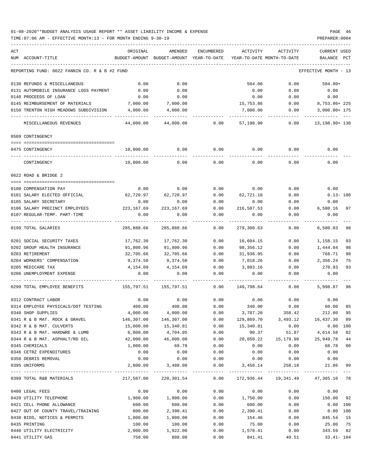| ACT<br>NUM ACCOUNT-TITLE             |                                               | ORIGINAL<br>BUDGET-AMOUNT | AMENDED<br>BUDGET-AMOUNT YEAR-TO-DATE | ENCUMBERED   | ACTIVITY<br>YEAR-TO-DATE MONTH-TO-DATE | ACTIVITY                                                     | CURRENT USED<br>BALANCE PCT |                |
|--------------------------------------|-----------------------------------------------|---------------------------|---------------------------------------|--------------|----------------------------------------|--------------------------------------------------------------|-----------------------------|----------------|
|                                      | REPORTING FUND: 0022 FANNIN CO. R & B #2 FUND |                           |                                       |              |                                        |                                                              | EFFECTIVE MONTH - 13        |                |
|                                      | 0130 REFUNDS & MISCELLANEOUS                  | 0.00                      | 0.00                                  |              | 504.00                                 | 0.00                                                         | $504.00+$                   |                |
|                                      | 0131 AUTOMOBILE INSURANCE LOSS PAYMENT        | 0.00                      | 0.00                                  |              | 0.00                                   | 0.00                                                         | 0.00                        |                |
| 0140 PROCEEDS OF LOAN                |                                               | 0.00                      | 0.00                                  |              | 0.00                                   | 0.00                                                         | 0.00                        |                |
|                                      | 0145 REIMBURSEMENT OF MATERIALS               | 7,000.00                  | 7,000.00                              |              | 15,753.86                              | 0.00                                                         | 8,753.86+225                |                |
|                                      | 0150 TRENTON HIGH MEADOWS SUBDIVISION         | 4,000.00                  | 4,000.00                              |              | 7,000.00                               | 0.00                                                         | $3,000.00+175$              |                |
|                                      | MISCELLANEOUS REVENUES                        | 44,000.00                 | 44,000.00                             | 0.00         | 57,198.90                              | 0.00                                                         | 13,198.90+ 130              |                |
| 0509 CONTINGENCY                     |                                               |                           |                                       |              |                                        |                                                              |                             |                |
| 0475 CONTINGENCY                     |                                               | 10,000.00                 | 0.00                                  | 0.00         | 0.00                                   | 0.00                                                         | 0.00                        |                |
| CONTINGENCY                          |                                               | 10,000.00                 | 0.00                                  | 0.00         | 0.00                                   | 0.00                                                         | 0.00                        |                |
| 0622 ROAD & BRIDGE 2                 |                                               |                           |                                       |              |                                        |                                                              |                             |                |
| 0100 COMPENSATION PAY                |                                               | 0.00                      | 0.00                                  | 0.00         | 0.00                                   | 0.00                                                         | 0.00                        |                |
|                                      | 0101 SALARY ELECTED OFFICIAL                  | 62,720.97                 | 62,720.97                             | 0.00         | 62,721.10                              | 0.00                                                         | $0.13 - 100$                |                |
| 0105 SALARY SECRETARY                |                                               | 0.00                      | 0.00                                  | 0.00         | 0.00                                   | 0.00                                                         | 0.00                        |                |
|                                      | 0106 SALARY PRECINCT EMPLOYEES 223,167.69     |                           | 223, 167.69                           | 0.00         | 216,587.53                             | 0.00                                                         | 6,580.16                    | 97             |
|                                      | 0107 REGULAR-TEMP. PART-TIME                  | 0.00                      | 0.00                                  | 0.00         | 0.00                                   | 0.00                                                         | 0.00                        |                |
| 0199 TOTAL SALARIES                  |                                               | 285,888.66                | 285,888.66                            | 0.00         | 279,308.63                             | 0.00                                                         | 6,580.03                    | 98             |
| 0201 SOCIAL SECURITY TAXES           |                                               | 17,762.30                 | 17,762.30                             | 0.00         | 16,604.15                              | 0.00                                                         | 1,158.15                    | 93             |
| 0202 GROUP HEALTH INSURANCE          |                                               | 91,800.96                 | 91,800.96                             | 0.00         | 90,356.12                              | 0.00                                                         | 1,444.84                    | 98             |
| 0203 RETIREMENT                      |                                               | 32,705.66                 | 32,705.66                             | 0.00         | 31,936.95                              | 0.00                                                         | 768.71                      | 98             |
| 0204 WORKERS' COMPENSATION           |                                               | 9,374.50                  | 9,374.50                              | 0.00         | 7,018.26                               | 0.00                                                         | 2,356.24                    | 75             |
| 0205 MEDICARE TAX                    |                                               | 4,154.09                  | 4,154.09                              | 0.00         | 3,883.16                               | 0.00                                                         | 270.93                      | 93             |
| 0206 UNEMPLOYMENT EXPENSE            |                                               | 0.00                      | 0.00                                  | 0.00         | 0.00                                   | 0.00                                                         | 0.00                        |                |
|                                      | 0299 TOTAL EMPLOYEE BENEFITS                  | 155,797.51 155,797.51     |                                       | 0.00         | 149,798.64                             | 0.00                                                         | 5,998.87                    | 96             |
| 0312 CONTRACT LABOR                  |                                               | 0.00                      | 0.00                                  | 0.00         | 0.00                                   | 0.00                                                         | 0.00                        |                |
|                                      | 0314 EMPLOYEE PHYSICALS/DOT TESTING           | 400.00                    | 400.00                                | 0.00         | 340.00                                 | 0.00                                                         | 60.00                       | 85             |
| 0340 SHOP SUPPLIES                   |                                               | 4,000.00                  | 4,000.00                              | 0.00         | 3,787.20                               | 358.42                                                       | 212.80                      | 95             |
|                                      | 0341 R & B MAT. ROCK & GRAVEL                 | 146,307.00                | 146,307.00                            | 0.00         | 129,869.70                             |                                                              | 3,493.12 16,437.30          | 89             |
| 0342 R & B MAT. CULVERTS             |                                               | 15,000.00                 | 15,340.81                             | 0.00         | 15,340.81                              | 0.00                                                         | 0.00 100                    |                |
|                                      | 0343 R & B MAT. HARDWRE & LUMB                | 6,000.00                  | 4,704.95                              | 0.00         | 90.37                                  | 51.87                                                        | 4,614.58                    | 02             |
|                                      | 0344 R & B MAT. ASPHALT/RD OIL                | 42,000.00                 | 46,000.00                             | 0.00         | 20,050.22                              | 15,179.90                                                    | 25,949.78                   | 44             |
| 0345 CHEMICALS                       |                                               | 1,000.00                  | 68.78                                 | 0.00         | 0.00                                   | 0.00                                                         | 68.78                       | 0 <sub>0</sub> |
| 0346 CETRZ EXPENDITURES              |                                               | 0.00                      | 0.00                                  | 0.00         | 0.00                                   | 0.00                                                         | 0.00                        |                |
| 0350 DEBRIS REMOVAL<br>0395 UNIFORMS |                                               | 0.00<br>2,800.00          | 0.00<br>3,480.00                      | 0.00<br>0.00 | 0.00<br>3,458.14                       | 0.00<br>258.18                                               | 0.00<br>21.86               | 99             |
| 0399 TOTAL R&B MATERIALS             |                                               |                           |                                       |              |                                        | 217,507.00 220,301.54 0.00 172,936.44 19,341.49 47,365.10 78 |                             | $- - -$        |
| 0400 LEGAL FEES                      |                                               | 0.00                      | 0.00                                  | 0.00         | 0.00                                   | 0.00                                                         | 0.00                        |                |
| 0420 UTILITY TELEPHONE               |                                               | 1,900.00                  | 1,900.00                              | 0.00         | 1,750.00                               | 0.00                                                         | 150.00                      | 92             |
| 0421 CELL PHONE ALLOWANCE            |                                               | 600.00                    | 600.00                                | 0.00         | 600.00                                 | 0.00                                                         | 0.00 100                    |                |
|                                      | 0427 OUT OF COUNTY TRAVEL/TRAINING            | 800.00                    | 2,390.41                              | 0.00         | 2,390.41                               | 0.00                                                         | 0.00 100                    |                |
|                                      | 0430 BIDS, NOTICES & PERMITS                  | 1,000.00                  | 1,000.00                              | 0.00         | 154.46                                 | 0.00                                                         | 845.54                      | 15             |
| 0435 PRINTING                        |                                               | 100.00                    | 100.00                                | 0.00         | 75.00                                  | 0.00                                                         | 25.00                       | 75             |
| 0440 UTILITY ELECTRICITY             |                                               | 2,000.00                  | 1,922.00                              | 0.00         | 1,578.41                               | 0.00                                                         | 343.59                      | 82             |
| 0441 UTILITY GAS                     |                                               | 750.00                    | 808.00                                | 0.00         | 841.41                                 | 49.51                                                        | $33.41 - 104$               |                |
|                                      |                                               |                           |                                       |              |                                        |                                                              |                             |                |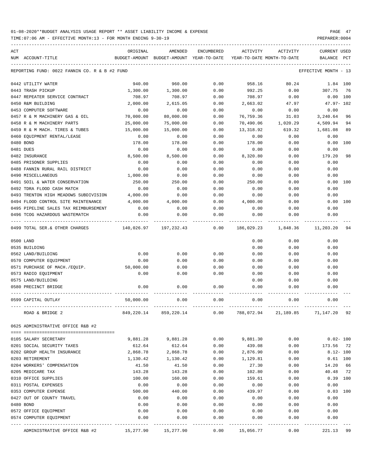TIME:07:06 AM - EFFECTIVE MONTH:13 - FOR MONTH ENDING 9-30-19 PREPARER:0004

| ACT |                                                     | ORIGINAL           | AMENDED                                  | ENCUMBERED   | ACTIVITY                   | ACTIVITY     | <b>CURRENT USED</b>    |     |
|-----|-----------------------------------------------------|--------------------|------------------------------------------|--------------|----------------------------|--------------|------------------------|-----|
|     | NUM ACCOUNT-TITLE                                   |                    | BUDGET-AMOUNT BUDGET-AMOUNT YEAR-TO-DATE |              | YEAR-TO-DATE MONTH-TO-DATE |              | BALANCE PCT            |     |
|     | REPORTING FUND: 0022 FANNIN CO. R & B #2 FUND       |                    |                                          |              |                            |              | EFFECTIVE MONTH - 13   |     |
|     |                                                     |                    |                                          |              |                            |              |                        |     |
|     | 0442 UTILITY WATER                                  | 940.00             | 960.00                                   | 0.00         | 958.16                     | 80.24        | 1.84 100               |     |
|     | 0443 TRASH PICKUP                                   | 1,300.00           | 1,300.00                                 | 0.00         | 992.25                     | 0.00         | 307.75                 | 76  |
|     | 0447 REPEATER SERVICE CONTRACT                      | 708.97             | 708.97                                   | 0.00         | 708.97                     | 0.00         | 0.00 100               |     |
|     | 0450 R&M BUILDING                                   | 2,000.00           | 2,615.05                                 | 0.00         | 2,663.02                   | 47.97        | $47.97 - 102$          |     |
|     | 0453 COMPUTER SOFTWARE                              | 0.00               | 0.00                                     | 0.00         | 0.00                       | 0.00         | 0.00                   |     |
|     | 0457 R & M MACHINERY GAS & OIL                      | 70,000.00          | 80,000.00                                | 0.00         | 76,759.36                  | 31.03        | 3,240.64               | 96  |
|     | 0458 R & M MACHINERY PARTS                          | 25,000.00          | 75,000.00                                | 0.00         | 70,490.06                  | 1,020.29     | 4,509.94               | 94  |
|     | 0459 R & M MACH. TIRES & TUBES                      | 15,000.00          | 15,000.00                                | 0.00         | 13,318.92                  | 619.32       | 1,681.08               | 89  |
|     | 0460 EQUIPMENT RENTAL/LEASE                         | 0.00               | 0.00                                     | 0.00         | 0.00                       | 0.00         | 0.00                   |     |
|     | 0480 BOND                                           | 178.00             | 178.00                                   | 0.00         | 178.00                     | 0.00         | 0.00                   | 100 |
|     | 0481 DUES                                           | 0.00               | 0.00                                     | 0.00         | 0.00                       | 0.00         | 0.00                   |     |
|     | 0482 INSURANCE                                      | 8,500.00           | 8,500.00                                 | 0.00         | 8,320.80                   | 0.00         | 179.20                 | 98  |
|     | 0485 PRISONER SUPPLIES                              | 0.00               | 0.00                                     | 0.00         | 0.00                       | 0.00         | 0.00                   |     |
|     | 0488 FANNIN RURAL RAIL DISTRICT                     | 0.00               | 0.00                                     | 0.00         | 0.00                       | 0.00         | 0.00                   |     |
|     | 0490 MISCELLANEOUS                                  | 1,000.00           | 0.00                                     | 0.00         | 0.00                       | 0.00         | 0.00                   |     |
|     | 0491 SOIL & WATER CONSERVATION                      | 250.00             | 250.00                                   | 0.00         | 250.00                     | 0.00         | 0.00 100               |     |
|     | 0492 TDRA FLOOD CASH MATCH                          | 0.00               | 0.00                                     | 0.00         | 0.00                       | 0.00         | 0.00                   |     |
|     | 0493 TRENTON HIGH MEADOWS SUBDIVISION               | 4,000.00           | 0.00                                     | 0.00         | 0.00                       | 0.00         | 0.00                   |     |
|     | 0494 FLOOD CONTROL SITE MAINTENANCE                 | 4,000.00           | 4,000.00                                 | 0.00         | 4,000.00                   | 0.00         | 0.00 100               |     |
|     | 0495 PIPELINE SALES TAX REIMBURSEMENT               | 0.00               | 0.00                                     | 0.00         | 0.00                       | 0.00         | 0.00                   |     |
|     | 0496 TCOG HAZARDOUS WASTEMATCH                      | 0.00               | 0.00                                     | 0.00         | 0.00                       | 0.00         | 0.00                   |     |
|     | 0499 TOTAL SER.& OTHER CHARGES                      |                    | 140,026.97 197,232.43                    | 0.00         | 186,029.23                 | 1,848.36     | 11,203.20              | 94  |
|     | 0500 LAND                                           |                    |                                          |              | 0.00                       | 0.00         | 0.00                   |     |
|     | 0535 BUILDING                                       |                    |                                          |              | 0.00                       | 0.00         | 0.00                   |     |
|     | 0562 LAND/BUILDING                                  | 0.00               | 0.00                                     | 0.00         | 0.00                       | 0.00         | 0.00                   |     |
|     | 0570 COMPUTER EQUIPMENT                             | 0.00               | 0.00                                     | 0.00         | 0.00                       | 0.00         | 0.00                   |     |
|     | 0571 PURCHASE OF MACH./EQUIP.                       | 50,000.00          | 0.00                                     | 0.00         | 0.00                       | 0.00         | 0.00                   |     |
|     | 0573 RADIO EQUIPMENT                                | 0.00               | 0.00                                     | 0.00         | 0.00                       | 0.00         | 0.00                   |     |
|     | 0575 LAND/BUILDING                                  |                    |                                          |              | 0.00                       | 0.00         | 0.00                   |     |
|     | 0580 PRECINCT BRIDGE                                | 0.00               | 0.00                                     | 0.00         | 0.00                       | 0.00         | 0.00                   |     |
|     | 0599 CAPITAL OUTLAY                                 | 50,000.00          | 0.00                                     | 0.00         | 0.00                       | 0.00         | 0.00                   |     |
|     | ROAD & BRIDGE 2                                     | 849,220.14         | 859,220.14                               | 0.00         | 788,072.94                 | 21,189.85    | 71,147.20              | 92  |
|     | 0625 ADMINISTRATIVE OFFICE R&B #2                   |                    |                                          |              |                            |              |                        |     |
|     |                                                     |                    |                                          |              |                            |              |                        |     |
|     | 0105 SALARY SECRETARY<br>0201 SOCIAL SECURITY TAXES | 9,881.28           | 9,881.28                                 | 0.00         | 9,881.30                   | 0.00         | $0.02 - 100$           |     |
|     | 0202 GROUP HEALTH INSURANCE                         | 612.64<br>2,868.78 | 612.64                                   | 0.00<br>0.00 | 439.08                     | 0.00<br>0.00 | 173.56<br>$8.12 - 100$ | 72  |
|     | 0203 RETIREMENT                                     | 1,130.42           | 2,868.78                                 |              | 2,876.90                   |              | $0.61$ 100             |     |
|     | 0204 WORKERS' COMPENSATION                          | 41.50              | 1,130.42<br>41.50                        | 0.00<br>0.00 | 1,129.81<br>27.30          | 0.00<br>0.00 | 14.20                  | 66  |
|     | 0205 MEDICARE TAX                                   | 143.28             | 143.28                                   | 0.00         | 102.80                     | 0.00         | 40.48                  | 72  |
|     | 0310 OFFICE SUPPLIES                                | 100.00             | 160.00                                   | 0.00         | 159.61                     | 0.00         | 0.39 100               |     |
|     | 0311 POSTAL EXPENSES                                | 0.00               | 0.00                                     | 0.00         | 0.00                       | 0.00         | 0.00                   |     |
|     | 0353 COMPUTER EXPENSE                               | 500.00             | 440.00                                   | 0.00         | 439.97                     | 0.00         | $0.03$ 100             |     |
|     | 0427 OUT OF COUNTY TRAVEL                           | 0.00               | 0.00                                     | 0.00         | 0.00                       | 0.00         | 0.00                   |     |
|     | 0480 BOND                                           | 0.00               | 0.00                                     | 0.00         | 0.00                       | 0.00         | 0.00                   |     |
|     | 0572 OFFICE EQUIPMENT                               | 0.00               | 0.00                                     | 0.00         | 0.00                       | 0.00         | 0.00                   |     |
|     | 0574 COMPUTER EQUIPMENT                             | 0.00               | 0.00                                     | 0.00         | 0.00                       | 0.00         | 0.00                   |     |
|     |                                                     |                    |                                          |              |                            |              |                        |     |

ADMINISTRATIVE OFFICE R&B #2 15,277.90 15,277.90 0.00 15,056.77 0.00 221.13 99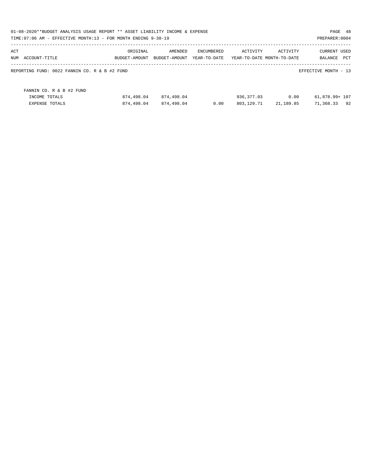|     | 01-08-2020**BUDGET ANALYSIS USAGE REPORT ** ASSET LIABILITY INCOME & EXPENSE<br>TIME: 07:06 AM - EFFECTIVE MONTH: 13 - FOR MONTH ENDING 9-30-19 |               |               |              |            |                            | PAGE 48<br>PREPARER: 0004 |     |
|-----|-------------------------------------------------------------------------------------------------------------------------------------------------|---------------|---------------|--------------|------------|----------------------------|---------------------------|-----|
| ACT |                                                                                                                                                 | ORIGINAL      | AMENDED       | ENCUMBERED   | ACTIVITY   | ACTIVITY                   | <b>CURRENT USED</b>       |     |
|     | NUM ACCOUNT-TITLE                                                                                                                               | BUDGET-AMOUNT | BUDGET-AMOUNT | YEAR-TO-DATE |            | YEAR-TO-DATE MONTH-TO-DATE | BALANCE                   | PCT |
|     | REPORTING FUND: 0022 FANNIN CO. R & B #2 FUND                                                                                                   |               |               |              |            |                            | EFFECTIVE MONTH - 13      |     |
|     | FANNIN CO. R & B #2 FUND                                                                                                                        |               |               |              |            |                            |                           |     |
|     | INCOME TOTALS                                                                                                                                   | 874,498.04    | 874,498.04    |              | 936,377.03 | 0.00                       | 61,878.99+ 107            |     |
|     | <b>EXPENSE TOTALS</b>                                                                                                                           | 874,498.04    | 874,498.04    | 0.00         | 803,129.71 | 21,189.85                  | 71,368.33                 | 92  |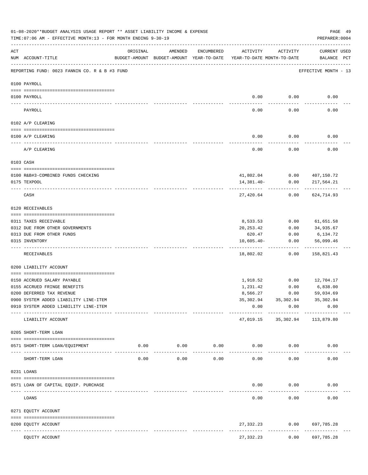|     | 01-08-2020**BUDGET ANALYSIS USAGE REPORT ** ASSET LIABILITY INCOME & EXPENSE<br>TIME: 07:06 AM - EFFECTIVE MONTH: 13 - FOR MONTH ENDING 9-30-19 |          |         |                       |                                                                                 |                     | PAGE 49<br>PREPARER: 0004                                            |  |
|-----|-------------------------------------------------------------------------------------------------------------------------------------------------|----------|---------|-----------------------|---------------------------------------------------------------------------------|---------------------|----------------------------------------------------------------------|--|
| ACT | NUM ACCOUNT-TITLE                                                                                                                               | ORIGINAL | AMENDED | ENCUMBERED            | ACTIVITY<br>BUDGET-AMOUNT BUDGET-AMOUNT YEAR-TO-DATE YEAR-TO-DATE MONTH-TO-DATE | ACTIVITY            | CURRENT USED<br>BALANCE PCT                                          |  |
|     | --------------------------------------<br>REPORTING FUND: 0023 FANNIN CO. R & B #3 FUND                                                         |          |         |                       |                                                                                 |                     | EFFECTIVE MONTH - 13                                                 |  |
|     | 0100 PAYROLL                                                                                                                                    |          |         |                       |                                                                                 |                     |                                                                      |  |
|     | 0100 PAYROLL                                                                                                                                    |          |         |                       | 0.00                                                                            | 0.00                | 0.00                                                                 |  |
|     | PAYROLL                                                                                                                                         |          |         |                       | 0.00                                                                            | 0.00                | 0.00                                                                 |  |
|     | 0102 A/P CLEARING                                                                                                                               |          |         |                       |                                                                                 |                     |                                                                      |  |
|     | 0100 A/P CLEARING                                                                                                                               |          |         |                       | 0.00                                                                            | 0.00                | 0.00                                                                 |  |
|     | A/P CLEARING                                                                                                                                    |          |         |                       | 0.00                                                                            | 0.00                | 0.00                                                                 |  |
|     | 0103 CASH                                                                                                                                       |          |         |                       |                                                                                 |                     |                                                                      |  |
|     |                                                                                                                                                 |          |         |                       |                                                                                 |                     |                                                                      |  |
|     | 0100 R&B#3-COMBINED FUNDS CHECKING<br>0175 TEXPOOL                                                                                              |          |         |                       | 14,381.40-                                                                      | 0.00                | 41,802.04 0.00 407,150.72<br>217,564.21                              |  |
|     |                                                                                                                                                 |          |         |                       |                                                                                 |                     |                                                                      |  |
|     | CASH                                                                                                                                            |          |         |                       | 27,420.64                                                                       | 0.00                | 624,714.93                                                           |  |
|     | 0120 RECEIVABLES                                                                                                                                |          |         |                       |                                                                                 |                     |                                                                      |  |
|     | 0311 TAXES RECEIVABLE                                                                                                                           |          |         |                       | 8,533.53                                                                        | 0.00                | 61,651.58                                                            |  |
|     | 0312 DUE FROM OTHER GOVERNMENTS                                                                                                                 |          |         |                       | 20,253.42                                                                       | 0.00                | 34,935.67                                                            |  |
|     | 0313 DUE FROM OTHER FUNDS                                                                                                                       |          |         |                       | 620.47                                                                          | 0.00                | 6,134.72                                                             |  |
|     | 0315 INVENTORY                                                                                                                                  |          |         |                       | $10,605.40-$                                                                    | 0.00                | 56,099.46<br>----------                                              |  |
|     | RECEIVABLES                                                                                                                                     |          |         |                       | 18,802.02                                                                       | 0.00                | 158,821.43                                                           |  |
|     | 0200 LIABILITY ACCOUNT                                                                                                                          |          |         |                       |                                                                                 |                     |                                                                      |  |
|     | 0150 ACCRUED SALARY PAYABLE                                                                                                                     |          |         |                       | 1,918.52                                                                        | 0.00                | 12,704.17                                                            |  |
|     | 0155 ACCRUED FRINGE BENEFITS                                                                                                                    |          |         |                       | 1,231.42                                                                        | 0.00                | 6,838.00                                                             |  |
|     | 0200 DEFERRED TAX REVENUE                                                                                                                       |          |         |                       | 8,566.27                                                                        | 0.00                | 59,034.69                                                            |  |
|     | 0900 SYSTEM ADDED LIABILITY LINE-ITEM                                                                                                           |          |         |                       |                                                                                 |                     | 35, 302.94 35, 302.94 35, 302.94                                     |  |
|     | 0910 SYSTEM ADDED LIABILITY LINE-ITEM                                                                                                           |          |         |                       | 0.00                                                                            | 0.00                | 0.00                                                                 |  |
|     | LIABILITY ACCOUNT                                                                                                                               |          |         |                       |                                                                                 |                     | --------- ------------ -----------<br>47,019.15 35,302.94 113,879.80 |  |
|     | 0205 SHORT-TERM LOAN                                                                                                                            |          |         |                       |                                                                                 |                     |                                                                      |  |
|     | 0571 SHORT-TERM LOAN/EQUIPMENT                                                                                                                  |          |         |                       | $0.00$ $0.00$ $0.00$ $0.00$ $0.00$ $0.00$ $0.00$                                |                     | 0.00                                                                 |  |
|     | SHORT-TERM LOAN                                                                                                                                 | 0.00     | 0.00    | -------------<br>0.00 | -------------<br>0.00                                                           | 0.00                | 0.00                                                                 |  |
|     | 0231 LOANS                                                                                                                                      |          |         |                       |                                                                                 |                     |                                                                      |  |
|     |                                                                                                                                                 |          |         |                       |                                                                                 |                     |                                                                      |  |
|     | 0571 LOAN OF CAPITAL EQUIP. PURCHASE                                                                                                            |          |         |                       | 0.00                                                                            | 0.00<br>----------- | 0.00                                                                 |  |
|     | LOANS                                                                                                                                           |          |         |                       | 0.00                                                                            | 0.00                | 0.00                                                                 |  |
|     | 0271 EQUITY ACCOUNT                                                                                                                             |          |         |                       |                                                                                 |                     |                                                                      |  |
|     | 0200 EQUITY ACCOUNT                                                                                                                             |          |         |                       |                                                                                 | ------------        | 27,332.23 0.00 697,785.28<br>------------                            |  |
|     | EQUITY ACCOUNT                                                                                                                                  |          |         |                       | 27,332.23                                                                       | 0.00                | 697,785.28                                                           |  |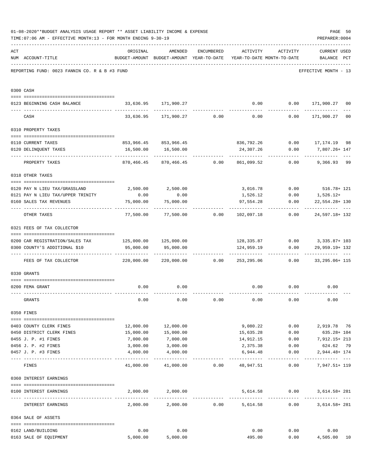|     | 01-08-2020**BUDGET ANALYSIS USAGE REPORT ** ASSET LIABILITY INCOME & EXPENSE<br>TIME: 07:06 AM - EFFECTIVE MONTH: 13 - FOR MONTH ENDING 9-30-19 |                                  |                                                                                |                            |                           |                              | PAGE 50<br>PREPARER: 0004                           |                |
|-----|-------------------------------------------------------------------------------------------------------------------------------------------------|----------------------------------|--------------------------------------------------------------------------------|----------------------------|---------------------------|------------------------------|-----------------------------------------------------|----------------|
| ACT | NUM ACCOUNT-TITLE                                                                                                                               | ORIGINAL                         | AMENDED<br>BUDGET-AMOUNT BUDGET-AMOUNT YEAR-TO-DATE YEAR-TO-DATE MONTH-TO-DATE |                            |                           | ENCUMBERED ACTIVITY ACTIVITY | <b>CURRENT USED</b><br>BALANCE PCT                  |                |
|     | REPORTING FUND: 0023 FANNIN CO. R & B #3 FUND                                                                                                   |                                  |                                                                                |                            |                           |                              | EFFECTIVE MONTH - 13                                |                |
|     | 0300 CASH                                                                                                                                       |                                  |                                                                                |                            |                           |                              |                                                     |                |
|     | 0123 BEGINNING CASH BALANCE                                                                                                                     |                                  | 33,636.95 171,900.27                                                           |                            |                           |                              | $0.00$ $0.00$ $171,900.27$ 00                       |                |
|     | CASH                                                                                                                                            |                                  | $33,636.95$ $171,900.27$ $0.00$ $0.00$ $0.00$ $171,900.27$                     |                            |                           |                              |                                                     | 0 <sub>0</sub> |
|     | 0310 PROPERTY TAXES                                                                                                                             |                                  |                                                                                |                            |                           |                              |                                                     |                |
|     |                                                                                                                                                 |                                  |                                                                                |                            |                           |                              |                                                     |                |
|     | 0110 CURRENT TAXES                                                                                                                              |                                  | 853,966.45 853,966.45                                                          |                            |                           |                              | 836,792.26   0.00   17,174.19   98                  |                |
|     | 0120 DELINQUENT TAXES                                                                                                                           |                                  | 16,500.00 16,500.00<br>______________                                          |                            | 24,307.26<br>------------ | 0.00                         | 7,807.26+ 147<br>------------                       |                |
|     | PROPERTY TAXES                                                                                                                                  | 870,466.45                       |                                                                                | 870,466.45 0.00 861,099.52 |                           | 0.00                         | 9,366.93 99                                         |                |
|     | 0318 OTHER TAXES                                                                                                                                |                                  |                                                                                |                            |                           |                              |                                                     |                |
|     | 0120 PAY N LIEU TAX/GRASSLAND                                                                                                                   | 2,500.00                         | 2,500.00                                                                       |                            |                           |                              | 3,016.78 0.00 516.78+121                            |                |
|     | 0121 PAY N LIEU TAX/UPPER TRINITY                                                                                                               | 0.00                             | 0.00                                                                           |                            |                           |                              | 1,526.12 0.00 1,526.12+                             |                |
|     | 0160 SALES TAX REVENUES                                                                                                                         | 75,000.00                        | 75,000.00                                                                      |                            | 97,554.28                 | 0.00                         | 22,554.28+ 130                                      |                |
|     | OTHER TAXES                                                                                                                                     | ---------                        | $77,500.00$ $77,500.00$ $0.00$ $102,097.18$ $0.00$ $24,597.18+132$             |                            |                           |                              |                                                     |                |
|     | 0321 FEES OF TAX COLLECTOR                                                                                                                      |                                  |                                                                                |                            |                           |                              |                                                     |                |
|     |                                                                                                                                                 |                                  |                                                                                |                            |                           |                              |                                                     |                |
|     | 0200 CAR REGISTRATION/SALES TAX 125,000.00 125,000.00<br>0300 COUNTY'S ADDITIONAL \$10                                                          | 95,000.00                        | 95,000.00                                                                      |                            | 124,959.19                | 0.00                         | 128,335.87   0.00   3,335.87+ 103<br>29,959.19+ 132 |                |
|     | FEES OF TAX COLLECTOR                                                                                                                           | $220,000.00$ $220,000.00$ $0.00$ |                                                                                |                            |                           | ---------------------------  | 253,295.06   0.00   33,295.06+ 115                  |                |
|     | 0330 GRANTS                                                                                                                                     |                                  |                                                                                |                            |                           |                              |                                                     |                |
|     |                                                                                                                                                 |                                  |                                                                                |                            |                           |                              |                                                     |                |
|     | 0200 FEMA GRANT                                                                                                                                 | 0.00                             | 0.00                                                                           |                            |                           | 0.00<br>0.00                 | 0.00                                                |                |
|     | GRANTS                                                                                                                                          | 0.00                             | 0.00                                                                           | 0.00                       | 0.00                      | 0.00                         | 0.00                                                |                |
|     | 0350 FINES                                                                                                                                      |                                  |                                                                                |                            |                           |                              |                                                     |                |
|     | 0403 COUNTY CLERK FINES                                                                                                                         | 12,000.00                        | 12,000.00                                                                      |                            |                           |                              |                                                     |                |
|     | 0450 DISTRICT CLERK FINES                                                                                                                       | 15,000.00                        | 15,000.00                                                                      |                            | 15,635.28                 | 0.00                         | 635.28+ 104                                         |                |
|     | 0455 J. P. #1 FINES                                                                                                                             | 7,000.00                         | 7,000.00                                                                       |                            | 14,912.15                 |                              | $0.00$ 7, 912.15+ 213                               |                |
|     | 0456 J. P. #2 FINES                                                                                                                             | 3,000.00                         | 3,000.00                                                                       |                            | 2,375.38                  | 0.00                         | 624.62 79                                           |                |
|     | 0457 J. P. #3 FINES                                                                                                                             | 4,000.00                         | 4,000.00                                                                       |                            | 6,944.48                  | 0.00                         | 2,944.48+ 174                                       |                |
|     | FINES                                                                                                                                           |                                  | $41,000.00$ $41,000.00$ $0.00$ $48,947.51$ 0.00                                |                            |                           |                              | 7,947.51+ 119                                       |                |
|     | 0360 INTEREST EARNINGS                                                                                                                          |                                  |                                                                                |                            |                           |                              |                                                     |                |
|     |                                                                                                                                                 |                                  |                                                                                |                            |                           |                              |                                                     |                |
|     | 0100 INTEREST EARNINGS                                                                                                                          |                                  | 2,000.00 2,000.00                                                              |                            |                           | 5,614.58 0.00                | 3,614.58+281                                        |                |
|     | INTEREST EARNINGS                                                                                                                               | 2,000.00                         |                                                                                | $2,000.00$ 0.00            |                           | 5,614.58                     | 3,614.58+281<br>0.00                                |                |
|     | 0364 SALE OF ASSETS                                                                                                                             |                                  |                                                                                |                            |                           |                              |                                                     |                |
|     | 0162 LAND/BUILDING                                                                                                                              | 0.00                             | 0.00                                                                           |                            | 0.00                      | 0.00                         | 0.00                                                |                |
|     | 0163 SALE OF EQUIPMENT                                                                                                                          | 5,000.00                         | 5,000.00                                                                       |                            | 495.00                    |                              | 0.00<br>4,505.00 10                                 |                |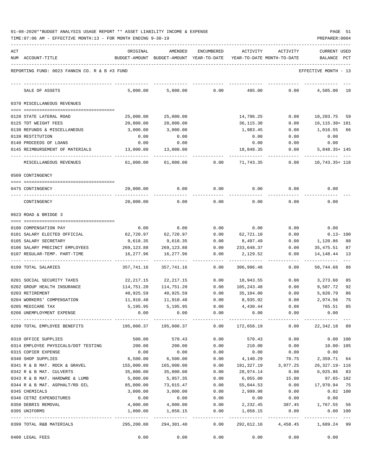| ACT |                                               | ORIGINAL   | AMENDED                                  | <b>ENCUMBERED</b> | ACTIVITY   | ACTIVITY                   | CURRENT USED              |
|-----|-----------------------------------------------|------------|------------------------------------------|-------------------|------------|----------------------------|---------------------------|
|     | NUM ACCOUNT-TITLE                             |            | BUDGET-AMOUNT BUDGET-AMOUNT YEAR-TO-DATE |                   |            | YEAR-TO-DATE MONTH-TO-DATE | BALANCE<br>PCT            |
|     | REPORTING FUND: 0023 FANNIN CO. R & B #3 FUND |            |                                          |                   |            |                            | EFFECTIVE MONTH - 13      |
|     | SALE OF ASSETS                                | 5,000.00   | 5,000.00                                 | 0.00              | 495.00     | 0.00                       | 4,505.00<br>10            |
|     | 0370 MISCELLANEOUS REVENUES                   |            |                                          |                   |            |                            |                           |
|     |                                               |            |                                          |                   |            |                            |                           |
|     | 0120 STATE LATERAL ROAD                       | 25,000.00  | 25,000.00                                |                   | 14,796.25  | 0.00                       | 10,203.75<br>59           |
|     | 0125 TDT WEIGHT FEES                          | 20,000.00  | 20,000.00                                |                   | 36,115.30  | 0.00                       | 16, 115. 30+ 181          |
|     | 0130 REFUNDS & MISCELLANEOUS                  | 3,000.00   | 3,000.00                                 |                   | 1,983.45   | 0.00                       | 1,016.55<br>66            |
|     | 0139 RESTITUTION                              | 0.00       | 0.00                                     |                   | 0.00       | 0.00                       | 0.00                      |
|     | 0140 PROCEEDS OF LOANS                        | 0.00       | 0.00                                     |                   | 0.00       | 0.00                       | 0.00                      |
|     | 0145 REIMBURSEMENT OF MATERIALS               | 13,000.00  | 13,000.00                                |                   | 18,848.35  | 0.00                       | $5,848.35+145$            |
|     | MISCELLANEOUS REVENUES                        | 61,000.00  | 61,000.00                                | 0.00              | 71,743.35  | 0.00                       | 10,743.35+ 118            |
|     | 0509 CONTINGENCY                              |            |                                          |                   |            |                            |                           |
|     | 0475 CONTINGENCY                              | 20,000.00  | 0.00                                     | 0.00              | 0.00       | 0.00                       | 0.00                      |
|     | CONTINGENCY                                   | 20,000.00  | 0.00                                     | 0.00              | 0.00       | 0.00                       | 0.00                      |
|     | 0623 ROAD & BRIDGE 3                          |            |                                          |                   |            |                            |                           |
|     |                                               |            |                                          |                   |            |                            |                           |
|     | 0100 COMPENSATION PAY                         | 0.00       | 0.00                                     | 0.00              | 0.00       | 0.00                       | 0.00                      |
|     | 0101 SALARY ELECTED OFFICIAL                  | 62,720.97  | 62,720.97                                | 0.00              | 62,721.10  | 0.00                       | $0.13 - 100$              |
|     | 0105 SALARY SECRETARY                         | 9,618.35   | 9,618.35                                 | 0.00              | 8,497.49   | 0.00                       | 1,120.86<br>88            |
|     | 0106 SALARY PRECINCT EMPLOYEES                | 269,123.88 | 269, 123.88                              | 0.00              | 233,648.37 | 0.00                       | 35,475.51<br>87           |
|     | 0107 REGULAR-TEMP. PART-TIME                  | 16,277.96  | 16,277.96                                | 0.00              | 2,129.52   | 0.00                       | 14,148.44<br>13           |
|     | 0199 TOTAL SALARIES                           | 357,741.16 | 357,741.16                               | 0.00              | 306,996.48 | 0.00                       | 50,744.68<br>86           |
|     | 0201 SOCIAL SECURITY TAXES                    | 22,217.15  | 22, 217.15                               | 0.00              | 18,943.55  | 0.00                       | 85<br>3,273.60            |
|     | 0202 GROUP HEALTH INSURANCE                   | 114,751.20 | 114,751.20                               | 0.00              | 105,243.48 | 0.00                       | 9,507.72<br>92            |
|     | 0203 RETIREMENT                               | 40,925.59  | 40,925.59                                | 0.00              | 35,104.80  | 0.00                       | 5,820.79<br>86            |
|     | 0204 WORKERS' COMPENSATION                    | 11,910.48  | 11,910.48                                | 0.00              | 8,935.92   | 0.00                       | 2,974.56<br>75            |
|     | 0205 MEDICARE TAX                             | 5,195.95   | 5,195.95                                 | 0.00              | 4,430.44   | 0.00                       | 765.51<br>85              |
|     | 0206 UNEMPLOYMENT EXPENSE                     | 0.00       | 0.00                                     | 0.00              | 0.00       | 0.00                       | 0.00                      |
|     | 0299 TOTAL EMPLOYEE BENEFITS                  | 195,000.37 | 195,000.37                               | 0.00              | 172,658.19 | 0.00                       | 22, 342. 18 89            |
|     | 0310 OFFICE SUPPLIES                          | 500.00     | 570.43                                   | 0.00              | 570.43     | 0.00                       | $0.00$ 100                |
|     | 0314 EMPLOYEE PHYSICALS/DOT TESTING           | 200.00     | 200.00                                   | 0.00              | 210.00     | 0.00                       | $10.00 - 105$             |
|     | 0315 COPIER EXPENSE                           | 0.00       | 0.00                                     | 0.00              | 0.00       | 0.00                       | 0.00                      |
|     | 0340 SHOP SUPPLIES                            | 6,500.00   | 6,500.00                                 | 0.00              | 4,140.29   | 78.75                      | 2,359.71 64               |
|     | 0341 R & B MAT. ROCK & GRAVEL                 | 155,000.00 | 165,000.00                               | 0.00              | 191,327.19 | 3,977.25                   | 26, 327. 19 - 116         |
|     | 0342 R & B MAT. CULVERTS                      | 35,000.00  | 35,000.00                                | 0.00              | 28,974.14  | 0.00                       | 6,025.86 83               |
|     | 0343 R & B MAT. HARDWRE & LUMB                | 5,000.00   | 5,957.35                                 | 0.00              | 6,055.00   | 15.00                      | 97.65- 102                |
|     | 0344 R & B MAT. ASPHALT/RD OIL                | 85,000.00  | 73,015.47                                | 0.00              | 55,044.53  | 0.00                       | 17,970.94 75              |
|     | 0345 CHEMICALS                                | 3,000.00   | 3,000.00                                 | 0.00              | 2,999.98   | 0.00                       | $0.02$ 100                |
|     | 0346 CETRZ EXPENDITURES                       | 0.00       | 0.00                                     | 0.00              | 0.00       | 0.00                       | 0.00                      |
|     | 0350 DEBRIS REMOVAL                           | 4,000.00   | 4,000.00                                 | 0.00              | 2,232.45   | 387.45                     | 1,767.55 56               |
|     | 0395 UNIFORMS                                 | 1,000.00   | 1,058.15                                 | 0.00              | 1,058.15   | 0.00                       | 0.00 100<br>_____________ |
|     | 0399 TOTAL R&B MATERIALS                      | 295,200.00 | 294,301.40                               | 0.00              | 292,612.16 | 4,458.45                   | 1,689.24 99               |
|     | 0400 LEGAL FEES                               | 0.00       | 0.00                                     | 0.00              | 0.00       | 0.00                       | 0.00                      |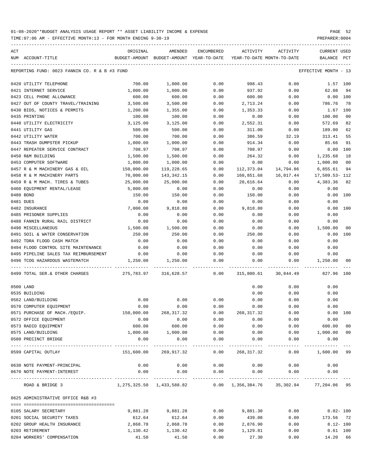TIME:07:06 AM - EFFECTIVE MONTH:13 - FOR MONTH ENDING 9-30-19 PREPARER:0004

| $\mathtt{ACT}$ |                                               | ORIGINAL                                 | AMENDED       | ENCUMBERED           | ACTIVITY                   | ACTIVITY                                                                        | <b>CURRENT USED</b>  |                |
|----------------|-----------------------------------------------|------------------------------------------|---------------|----------------------|----------------------------|---------------------------------------------------------------------------------|----------------------|----------------|
|                | NUM ACCOUNT-TITLE                             | BUDGET-AMOUNT BUDGET-AMOUNT YEAR-TO-DATE |               |                      | YEAR-TO-DATE MONTH-TO-DATE |                                                                                 | BALANCE PCT          |                |
|                | REPORTING FUND: 0023 FANNIN CO. R & B #3 FUND |                                          |               |                      |                            |                                                                                 | EFFECTIVE MONTH - 13 |                |
|                | 0420 UTILITY TELEPHONE                        | 700.00                                   | 1,000.00      | 0.00                 | 998.43                     | 0.00                                                                            | 1.57 100             |                |
|                | 0421 INTERNET SERVICE                         | 1,000.00                                 | 1,000.00      | 0.00                 | 937.92                     | 0.00                                                                            | 62.08                | 94             |
|                | 0423 CELL PHONE ALLOWANCE                     | 600.00                                   | 600.00        | 0.00                 | 600.00                     | 0.00                                                                            | $0.00$ 100           |                |
|                | 0427 OUT OF COUNTY TRAVEL/TRAINING            | 3,500.00                                 | 3,500.00      | 0.00                 | 2,713.24                   | 0.00                                                                            | 786.76               | 78             |
|                | 0430 BIDS, NOTICES & PERMITS                  | 1,200.00                                 | 1,355.00      | 0.00                 | 1,353.33                   | 0.00                                                                            | 1.67 100             |                |
|                | 0435 PRINTING                                 | 100.00                                   | 100.00        | 0.00                 | 0.00                       | 0.00                                                                            | 100.00               | 0 <sub>0</sub> |
|                | 0440 UTILITY ELECTRICITY                      | 3,125.00                                 | 3,125.00      | 0.00                 | 2,552.31                   | 0.00                                                                            | 572.69               | 82             |
|                | 0441 UTILITY GAS                              | 500.00                                   | 500.00        | 0.00                 | 311.00                     | 0.00                                                                            | 189.00               | 62             |
|                | 0442 UTILITY WATER                            | 700.00                                   | 700.00        | 0.00                 | 386.59                     | 32.19                                                                           | 313.41               | 55             |
|                | 0443 TRASH DUMPSTER PICKUP                    | 1,000.00                                 | 1,000.00      | 0.00                 | 914.34                     | 0.00                                                                            | 85.66                | 91             |
|                | 0447 REPEATER SERVICE CONTRACT                | 708.97                                   | 708.97        | 0.00                 | 708.97                     | 0.00                                                                            | 0.00 100             |                |
|                | 0450 R&M BUILDING                             | 1,500.00                                 | 1,500.00      | 0.00                 | 264.32                     | 0.00                                                                            | 1,235.68             | 18             |
|                | 0453 COMPUTER SOFTWARE                        | 1,000.00                                 | 1,000.00      | 0.00                 | 0.00                       | 0.00                                                                            | 1,000.00             | 0 <sub>0</sub> |
|                | 0457 R & M MACHINERY GAS & OIL                | 150,000.00                               | 119,228.65    | 0.00                 | 112,373.04                 | 14,794.86                                                                       | 6,855.61             | 94             |
|                | 0458 R & M MACHINERY PARTS                    | 70,000.00                                | 143,342.15    | 0.00                 | 160,851.68                 | 16,017.44                                                                       | 17,509.53-112        |                |
|                | 0459 R & M MACH. TIRES & TUBES                | 25,000.00                                | 25,000.00     | 0.00                 | 20,616.64                  | 0.00                                                                            | 4,383.36             | 82             |
|                | 0460 EQUIPMENT RENTAL/LEASE                   | 5,000.00                                 | 0.00          | 0.00                 | 0.00                       | 0.00                                                                            | 0.00                 |                |
|                | 0480 BOND                                     | 150.00                                   | 150.00        | 0.00                 | 150.00                     | 0.00                                                                            | 0.00 100             |                |
|                | 0481 DUES                                     | 0.00                                     | 0.00          | 0.00                 | 0.00                       | 0.00                                                                            | 0.00                 |                |
|                | 0482 INSURANCE                                | 7,000.00                                 | 9,818.80      | 0.00                 | 9,818.80                   | 0.00                                                                            | 0.00 100             |                |
|                | 0485 PRISONER SUPPLIES                        | 0.00                                     | 0.00          | 0.00                 | 0.00                       | 0.00                                                                            | 0.00                 |                |
|                | 0488 FANNIN RURAL RAIL DISTRICT               | 0.00                                     | 0.00          | 0.00                 | 0.00                       | 0.00                                                                            | 0.00                 |                |
|                | 0490 MISCELLANEOUS                            | 1,500.00                                 | 1,500.00      | 0.00                 | 0.00                       | 0.00                                                                            | 1,500.00             | 00             |
|                | 0491 SOIL & WATER CONSERVATION                | 250.00                                   | 250.00        | 0.00                 | 250.00                     | 0.00                                                                            | 0.00 100             |                |
|                | 0492 TDRA FLOOD CASH MATCH                    | 0.00                                     | 0.00          | 0.00                 | 0.00                       | 0.00                                                                            | 0.00                 |                |
|                | 0494 FLOOD CONTROL SITE MAINTENANCE           | 0.00                                     | 0.00          | 0.00                 | 0.00                       | 0.00                                                                            | 0.00                 |                |
|                | 0495 PIPELINE SALES TAX REIMBURSEMENT         | 0.00                                     | 0.00          | 0.00                 | 0.00                       | 0.00                                                                            | 0.00                 |                |
|                | 0496 TCOG HAZARDOUS WASTEMATCH                | 1,250.00                                 | 1,250.00      | 0.00                 | 0.00                       | 0.00                                                                            | 1,250.00             | 00             |
|                | 0499 TOTAL SER. & OTHER CHARGES               | 275,783.97 316,628.57                    |               | 0.00                 | 315,800.61                 | 30,844.49                                                                       | 827.96 100           |                |
|                | 0500 LAND                                     |                                          |               |                      | 0.00                       | 0.00                                                                            | 0.00                 |                |
|                | 0535 BUILDING                                 |                                          |               |                      | 0.00                       | 0.00                                                                            | 0.00                 |                |
|                | 0562 LAND/BUILDING                            | 0.00                                     | 0.00          | 0.00                 | 0.00                       | 0.00                                                                            | 0.00                 |                |
|                | 0570 COMPUTER EQUIPMENT                       | 0.00                                     | 0.00          | 0.00                 | 0.00                       | 0.00                                                                            | 0.00                 |                |
|                | 0571 PURCHASE OF MACH./EQUIP.                 | 150,000.00                               | 268, 317.32   | 0.00                 | 268, 317.32                | 0.00                                                                            | 0.00 100             |                |
|                | 0572 OFFICE EQUIPMENT                         | 0.00                                     | 0.00          | 0.00                 | 0.00                       | 0.00                                                                            | 0.00                 |                |
|                | 0573 RADIO EQUIPMENT                          | 600.00                                   | 600.00        | 0.00                 | 0.00                       | 0.00                                                                            | 600.00               | 0 <sub>0</sub> |
|                | 0575 LAND/BUILDING                            | 1,000.00                                 | 1,000.00      | 0.00                 | 0.00                       | 0.00                                                                            | 1,000.00             | 0 <sub>0</sub> |
|                | 0580 PRECINCT BRIDGE                          | 0.00                                     | 0.00<br>.     | 0.00<br>------------ | 0.00<br>------------       | 0.00<br>------------                                                            | 0.00<br>-----------  | $---$          |
|                | 0599 CAPITAL OUTLAY                           | 151,600.00                               | 269,917.32    | 0.00                 | 268,317.32                 | 0.00                                                                            | 1,600.00 99          |                |
|                | 0630 NOTE PAYMENT-PRINCIPAL                   | 0.00                                     | 0.00          | 0.00                 | 0.00                       | 0.00                                                                            | 0.00                 |                |
|                | 0670 NOTE PAYMENT-INTEREST                    | 0.00                                     | 0.00          | 0.00                 | 0.00                       | 0.00                                                                            | 0.00                 |                |
|                | ROAD & BRIDGE 3                               |                                          | ------------- | -------------        |                            | ------------<br>1,275,325.50 1,433,588.82 0.00 1,356,384.76 35,302.94 77,204.06 |                      | 95             |
|                | 0625 ADMINISTRATIVE OFFICE R&B #3             |                                          |               |                      |                            |                                                                                 |                      |                |
|                |                                               |                                          |               |                      |                            |                                                                                 |                      |                |
|                | 0105 SALARY SECRETARY                         | 9,881.28                                 | 9,881.28      | 0.00                 | 9,881.30                   | 0.00                                                                            | $0.02 - 100$         |                |
|                | 0201 SOCIAL SECURITY TAXES                    | 612.64                                   | 612.64        | 0.00                 | 439.08                     | 0.00                                                                            | 173.56 72            |                |
|                | 0202 GROUP HEALTH INSURANCE                   | 2,868.78                                 | 2,868.78      | 0.00                 | 2,876.90                   | 0.00                                                                            | $8.12 - 100$         |                |
|                | 0203 RETIREMENT                               | 1,130.42                                 | 1,130.42      | 0.00                 | 1,129.81                   | 0.00                                                                            | $0.61$ 100           |                |

0204 WORKERS' COMPENSATION 41.50 41.50 0.00 27.30 0.00 14.20 66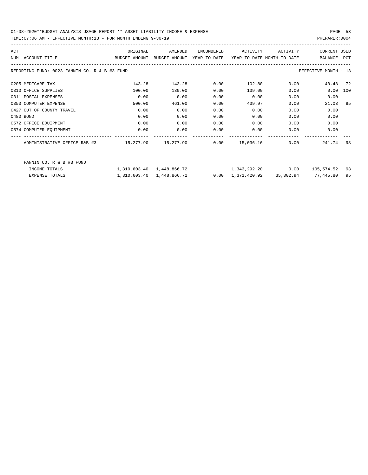| ACT |                                                                                          | ORIGINAL | AMENDED | ENCUMBERED | ACTIVITY                                                              | ACTIVITY | <b>CURRENT USED</b>  |     |
|-----|------------------------------------------------------------------------------------------|----------|---------|------------|-----------------------------------------------------------------------|----------|----------------------|-----|
|     | BUDGET-AMOUNT BUDGET-AMOUNT YEAR-TO-DATE YEAR-TO-DATE_MONTH-TO-DATE<br>NUM ACCOUNT-TITLE |          |         |            |                                                                       |          | BALANCE PCT          |     |
|     | REPORTING FUND: 0023 FANNIN CO. R & B #3 FUND                                            |          |         |            |                                                                       |          | EFFECTIVE MONTH - 13 |     |
|     | 0205 MEDICARE TAX                                                                        | 143.28   | 143.28  | 0.00       | 102.80                                                                |          | 0.00<br>40.48 72     |     |
|     | 0310 OFFICE SUPPLIES                                                                     | 100.00   | 139.00  | 0.00       | 139.00                                                                | 0.00     | 0.00                 | 100 |
|     | 0311 POSTAL EXPENSES                                                                     | 0.00     | 0.00    | 0.00       | 0.00                                                                  | 0.00     | 0.00                 |     |
|     | 0353 COMPUTER EXPENSE                                                                    | 500.00   | 461.00  | 0.00       | 439.97                                                                | 0.00     | 21.03                | 95  |
|     | 0427 OUT OF COUNTY TRAVEL                                                                | 0.00     | 0.00    | 0.00       | 0.00                                                                  | 0.00     | 0.00                 |     |
|     | 0480 BOND                                                                                | 0.00     | 0.00    | 0.00       | 0.00                                                                  | 0.00     | 0.00                 |     |
|     | 0572 OFFICE EQUIPMENT                                                                    | 0.00     | 0.00    | 0.00       | 0.00                                                                  | 0.00     | 0.00                 |     |
|     | 0574 COMPUTER EQUIPMENT                                                                  | 0.00     | 0.00    | 0.00       | 0.00                                                                  | 0.00     | 0.00                 |     |
|     | ADMINISTRATIVE OFFICE R&B #3 $15,277.90$ $15,277.90$ $0.00$ $15,036.16$ $0.00$           |          |         |            |                                                                       |          | 241.74 98            |     |
|     | FANNIN CO. R & B #3 FUND                                                                 |          |         |            |                                                                       |          |                      |     |
|     | INCOME TOTALS                                                                            |          |         |            | $1,310,603.40$ $1,448,866.72$ $1,343,292.20$ 0.00                     |          | 105,574.52 93        |     |
|     | EXPENSE TOTALS                                                                           |          |         |            | $1,310,603.40$ $1,448,866.72$ 0.00 $1,371,420.92$ 35,302.94 77,445.80 |          |                      | 95  |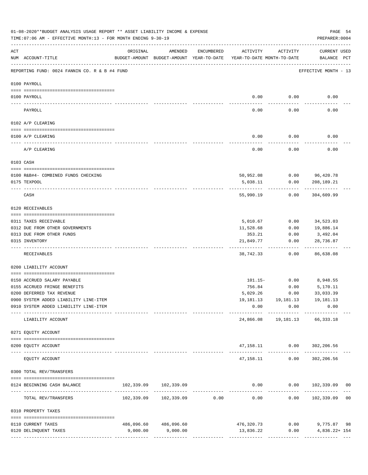|           | 01-08-2020**BUDGET ANALYSIS USAGE REPORT ** ASSET LIABILITY INCOME & EXPENSE<br>TIME: 07:06 AM - EFFECTIVE MONTH: 13 - FOR MONTH ENDING 9-30-19 |                                                                                 |                       |               |           |                | PAGE 54<br>PREPARER: 0004                                  |
|-----------|-------------------------------------------------------------------------------------------------------------------------------------------------|---------------------------------------------------------------------------------|-----------------------|---------------|-----------|----------------|------------------------------------------------------------|
| ACT       | NUM ACCOUNT-TITLE                                                                                                                               | ORIGINAL<br>BUDGET-AMOUNT BUDGET-AMOUNT YEAR-TO-DATE YEAR-TO-DATE MONTH-TO-DATE | AMENDED               | ENCUMBERED    | ACTIVITY  | ACTIVITY       | CURRENT USED<br>BALANCE PCT                                |
|           | REPORTING FUND: 0024 FANNIN CO. R & B #4 FUND                                                                                                   |                                                                                 |                       |               |           |                | EFFECTIVE MONTH - 13                                       |
|           | 0100 PAYROLL                                                                                                                                    |                                                                                 |                       |               |           |                |                                                            |
|           |                                                                                                                                                 |                                                                                 |                       |               |           |                |                                                            |
|           | 0100 PAYROLL                                                                                                                                    |                                                                                 |                       |               | 0.00      | 0.00           | 0.00                                                       |
|           | PAYROLL                                                                                                                                         |                                                                                 |                       |               | 0.00      | 0.00           | 0.00                                                       |
|           | 0102 A/P CLEARING                                                                                                                               |                                                                                 |                       |               |           |                |                                                            |
|           | 0100 A/P CLEARING                                                                                                                               |                                                                                 |                       |               | 0.00      | 0.00           | 0.00                                                       |
|           | A/P CLEARING                                                                                                                                    |                                                                                 |                       |               | 0.00      | 0.00           | 0.00                                                       |
| 0103 CASH |                                                                                                                                                 |                                                                                 |                       |               |           |                |                                                            |
|           | 0100 R&B#4- COMBINED FUNDS CHECKING                                                                                                             |                                                                                 |                       |               |           | 50,952.08 0.00 | 96,420.78                                                  |
|           | 0175 TEXPOOL                                                                                                                                    |                                                                                 |                       |               | 5,038.11  | 0.00           | 208,189.21                                                 |
|           | CASH                                                                                                                                            |                                                                                 |                       |               | 55,990.19 | 0.00           | 304,609.99                                                 |
|           | 0120 RECEIVABLES                                                                                                                                |                                                                                 |                       |               |           |                |                                                            |
|           | 0311 TAXES RECEIVABLE                                                                                                                           |                                                                                 |                       |               | 5,010.67  | 0.00           | 34,523.03                                                  |
|           | 0312 DUE FROM OTHER GOVERNMENTS                                                                                                                 |                                                                                 |                       |               | 11,528.68 | 0.00           | 19,886.14                                                  |
|           | 0313 DUE FROM OTHER FUNDS                                                                                                                       |                                                                                 |                       |               | 353.21    | 0.00           | 3,492.04                                                   |
|           | 0315 INVENTORY                                                                                                                                  |                                                                                 |                       |               | 21,849.77 | 0.00           | 28,736.87<br>.                                             |
|           | RECEIVABLES                                                                                                                                     |                                                                                 |                       |               | 38,742.33 | 0.00           | 86,638.08                                                  |
|           | 0200 LIABILITY ACCOUNT                                                                                                                          |                                                                                 |                       |               |           |                |                                                            |
|           | 0150 ACCRUED SALARY PAYABLE                                                                                                                     |                                                                                 |                       |               | 101.15-   | 0.00           | 8,948.55                                                   |
|           | 0155 ACCRUED FRINGE BENEFITS                                                                                                                    |                                                                                 |                       |               | 756.84    | 0.00           | 5,170.11                                                   |
|           | 0200 DEFERRED TAX REVENUE                                                                                                                       |                                                                                 |                       |               | 5,029.26  | 0.00           | 33,033.39                                                  |
|           | 0900 SYSTEM ADDED LIABILITY LINE-ITEM                                                                                                           |                                                                                 |                       |               |           |                | 19, 181. 13    19, 181. 13    19, 181. 13                  |
|           | 0910 SYSTEM ADDED LIABILITY LINE-ITEM                                                                                                           |                                                                                 |                       |               | 0.00      | 0.00           | 0.00                                                       |
|           | LIABILITY ACCOUNT                                                                                                                               |                                                                                 |                       | ------------- |           |                | 24,866.08  19,181.13  66,333.18                            |
|           | 0271 EQUITY ACCOUNT                                                                                                                             |                                                                                 |                       |               |           |                |                                                            |
|           | 0200 EQUITY ACCOUNT                                                                                                                             |                                                                                 |                       |               |           |                | 47, 158.11 0.00 302, 206.56                                |
|           | EQUITY ACCOUNT                                                                                                                                  |                                                                                 |                       |               |           | 47,158.11 0.00 | 302,206.56                                                 |
|           | 0300 TOTAL REV/TRANSFERS                                                                                                                        |                                                                                 |                       |               |           |                |                                                            |
|           | 0124 BEGINNING CASH BALANCE                                                                                                                     | 102,339.09 102,339.09                                                           |                       |               |           |                | $0.00$ $0.00$ $102,339.09$<br>0 <sub>0</sub>               |
|           | TOTAL REV/TRANSFERS                                                                                                                             |                                                                                 |                       |               |           |                |                                                            |
|           | 0310 PROPERTY TAXES                                                                                                                             |                                                                                 |                       |               |           |                |                                                            |
|           | 0110 CURRENT TAXES                                                                                                                              |                                                                                 | 486,096.60 486,096.60 |               |           |                |                                                            |
|           | 0120 DELINQUENT TAXES                                                                                                                           | 9,000.00                                                                        | 9,000.00              |               |           |                | 476,320.73 0.00 9,775.87 98<br>13,836.22 0.00 4,836.22+154 |
|           |                                                                                                                                                 |                                                                                 |                       |               |           |                |                                                            |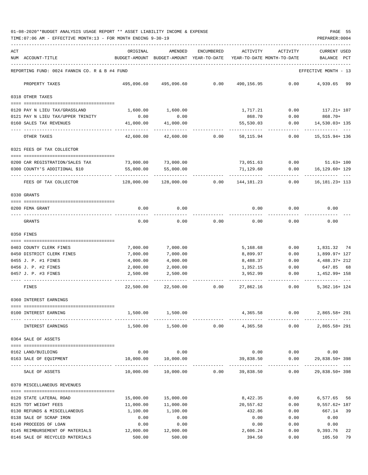01-08-2020\*\*BUDGET ANALYSIS USAGE REPORT \*\* ASSET LIABILITY INCOME & EXPENSE PAGE 55 TIME:07:06 AM - EFFECTIVE MONTH:13 - FOR MONTH ENDING 9-30-19 PREPARER:0004

| ACT | NUM ACCOUNT-TITLE                                        | ORIGINAL<br>BUDGET-AMOUNT              | AMENDED<br>BUDGET-AMOUNT YEAR-TO-DATE | ENCUMBERED | ACTIVITY                | ACTIVITY<br>YEAR-TO-DATE MONTH-TO-DATE | <b>CURRENT USED</b><br>BALANCE   | PCT |
|-----|----------------------------------------------------------|----------------------------------------|---------------------------------------|------------|-------------------------|----------------------------------------|----------------------------------|-----|
|     | REPORTING FUND: 0024 FANNIN CO. R & B #4 FUND            |                                        |                                       |            |                         |                                        | EFFECTIVE MONTH - 13             |     |
|     | PROPERTY TAXES                                           | 495,096.60                             | 495,096.60                            | 0.00       | 490,156.95              | 0.00                                   | 4,939.65 99                      |     |
|     | 0318 OTHER TAXES                                         |                                        |                                       |            |                         |                                        |                                  |     |
|     | 0120 PAY N LIEU TAX/GRASSLAND                            | 1,600.00                               | 1,600.00                              |            | 1,717.21                | 0.00                                   | 117.21+ 107                      |     |
|     | 0121 PAY N LIEU TAX/UPPER TRINITY                        | 0.00                                   | 0.00                                  |            | 868.70                  | 0.00                                   | 868.70+                          |     |
|     | 0160 SALES TAX REVENUES                                  | 41,000.00                              | 41,000.00                             |            | 55,530.03               | 0.00                                   | 14,530.03+ 135                   |     |
|     | OTHER TAXES                                              | ----------- -------------<br>42,600.00 | ----------<br>42,600.00               | 0.00       | ---------<br>58,115.94  | -----<br>0.00                          | ---------<br>15, 515. 94+ 136    |     |
|     | 0321 FEES OF TAX COLLECTOR                               |                                        |                                       |            |                         |                                        |                                  |     |
|     |                                                          |                                        |                                       |            |                         |                                        |                                  |     |
|     | 0200 CAR REGISTRATION/SALES TAX                          | 73,000.00                              | 73,000.00                             |            | 73,051.63               | 0.00                                   | $51.63 + 100$                    |     |
|     | 0300 COUNTY'S ADDITIONAL \$10                            | 55,000.00                              | 55,000.00                             |            | 71,129.60<br>---------- | 0.00                                   | 16,129.60+ 129<br>---------- --- |     |
|     | FEES OF TAX COLLECTOR                                    | 128,000.00                             | 128,000.00                            | 0.00       | 144,181.23              | 0.00                                   | 16, 181. 23+ 113                 |     |
|     | 0330 GRANTS                                              |                                        |                                       |            |                         |                                        |                                  |     |
|     | 0200 FEMA GRANT                                          | 0.00                                   | 0.00                                  |            | 0.00                    | 0.00                                   | 0.00                             |     |
|     |                                                          |                                        |                                       |            |                         |                                        |                                  |     |
|     | GRANTS                                                   | 0.00                                   | 0.00                                  | 0.00       | 0.00                    | 0.00                                   | 0.00                             |     |
|     | 0350 FINES                                               |                                        |                                       |            |                         |                                        |                                  |     |
|     | 0403 COUNTY CLERK FINES                                  | 7,000.00                               | 7,000.00                              |            | 5,168.68                | 0.00                                   | 1,831.32 74                      |     |
|     | 0450 DISTRICT CLERK FINES                                | 7,000.00                               | 7,000.00                              |            | 8,899.97                | 0.00                                   | 1,899.97+ 127                    |     |
|     | 0455 J. P. #1 FINES                                      | 4,000.00                               | 4,000.00                              |            | 8,488.37                | 0.00                                   | $4,488.37+212$                   |     |
|     | 0456 J. P. #2 FINES                                      | 2,000.00                               | 2,000.00                              |            | 1,352.15                | 0.00                                   | 647.85 68                        |     |
|     | 0457 J. P. #3 FINES                                      | 2,500.00                               | 2,500.00                              |            | 3,952.99                | 0.00                                   | 1,452.99+ 158                    |     |
|     | .___ ___________________________<br>FINES                | 22,500.00                              | 22,500.00                             | 0.00       | ---------<br>27,862.16  | 0.00                                   | .<br>$5,362.16+124$              |     |
|     | 0360 INTEREST EARNINGS                                   |                                        |                                       |            |                         |                                        |                                  |     |
|     | 0100 INTEREST EARNING                                    | 1,500.00                               | 1,500.00                              |            | 4,365.58                | 0.00                                   | 2,865.58+291                     |     |
|     | INTEREST EARNINGS                                        |                                        | 1,500.00 1,500.00                     |            | $0.00$ 4,365.58         | 0.00                                   | $2,865.58 + 291$                 |     |
|     |                                                          |                                        |                                       |            |                         |                                        |                                  |     |
|     | 0364 SALE OF ASSETS                                      |                                        |                                       |            |                         |                                        |                                  |     |
|     | 0162 LAND/BUILDING                                       | 0.00                                   | 0.00                                  |            | 0.00                    |                                        | $0.00$ 0.00                      |     |
|     | 0163 SALE OF EQUIPMENT                                   | 10,000.00                              | 10,000.00                             |            | 39,838.50               | 0.00                                   | 29,838.50+398                    |     |
|     | SALE OF ASSETS                                           | 10,000.00                              | 10,000.00                             | 0.00       | 39,838.50               | ------------<br>0.00                   | 29,838.50+398                    |     |
|     | 0370 MISCELLANEOUS REVENUES                              |                                        |                                       |            |                         |                                        |                                  |     |
|     |                                                          |                                        |                                       |            |                         |                                        |                                  |     |
|     | 0120 STATE LATERAL ROAD                                  | 15,000.00                              | 15,000.00                             |            | 8,422.35                | 0.00                                   | 6,577.65 56                      |     |
|     | 0125 TDT WEIGHT FEES                                     | 11,000.00                              | 11,000.00                             |            | 20,557.62               | 0.00                                   | $9,557.62 + 187$                 |     |
|     | 0130 REFUNDS & MISCELLANEOUS                             | 1,100.00                               | 1,100.00                              |            | 432.86                  | 0.00                                   | 667.14                           | 39  |
|     | 0138 SALE OF SCRAP IRON                                  | 0.00                                   | 0.00                                  |            | 0.00                    | 0.00                                   | 0.00                             |     |
|     | 0140 PROCEEDS OF LOAN<br>0145 REIMBURSEMENT OF MATERIALS | 0.00<br>12,000.00                      | 0.00<br>12,000.00                     |            | 0.00<br>2,606.24        | 0.00<br>0.00                           | 0.00<br>9,393.76                 | 22  |
|     | 0146 SALE OF RECYCLED MATERIALS                          | 500.00                                 | 500.00                                |            | 394.50                  | 0.00                                   | 105.50                           | 79  |
|     |                                                          |                                        |                                       |            |                         |                                        |                                  |     |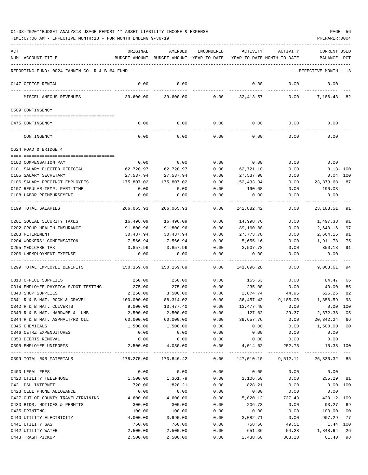| ACT | NUM ACCOUNT-TITLE                                              | ORIGINAL           | AMENDED<br>BUDGET-AMOUNT BUDGET-AMOUNT YEAR-TO-DATE | ENCUMBERED   | ACTIVITY             | ACTIVITY<br>YEAR-TO-DATE MONTH-TO-DATE | <b>CURRENT USED</b><br>BALANCE PCT |                  |
|-----|----------------------------------------------------------------|--------------------|-----------------------------------------------------|--------------|----------------------|----------------------------------------|------------------------------------|------------------|
|     | REPORTING FUND: 0024 FANNIN CO. R & B #4 FUND                  |                    |                                                     |              |                      |                                        | EFFECTIVE MONTH - 13               |                  |
|     | 0147 OFFICE RENTAL                                             | 0.00               | 0.00                                                |              | 0.00                 | 0.00                                   | 0.00                               |                  |
|     | MISCELLANEOUS REVENUES                                         | 39,600.00          | 39,600.00                                           |              | $0.00$ $32,413.57$   |                                        | 0.00<br>7,186.43                   | 82               |
|     | 0509 CONTINGENCY                                               |                    |                                                     |              |                      |                                        |                                    |                  |
|     | 0475 CONTINGENCY                                               | 0.00               | 0.00                                                | 0.00         | 0.00                 | 0.00                                   | 0.00                               |                  |
|     | CONTINGENCY                                                    | 0.00               | 0.00                                                | 0.00         | 0.00                 | 0.00                                   | 0.00                               |                  |
|     | 0624 ROAD & BRIDGE 4                                           |                    |                                                     |              |                      |                                        |                                    |                  |
|     |                                                                |                    |                                                     |              |                      |                                        |                                    |                  |
|     | 0100 COMPENSATION PAY                                          | 0.00               | 0.00                                                | 0.00         | 0.00                 | 0.00                                   | 0.00                               |                  |
|     | 0101 SALARY ELECTED OFFICIAL<br>0105 SALARY SECRETARY          | 62,720.97          | 62,720.97                                           | 0.00         | 62,721.10            | 0.00                                   |                                    | $0.13 - 100$     |
|     |                                                                | 27,537.94          | 27,537.94                                           | 0.00<br>0.00 | 27,537.90            | 0.00                                   |                                    | $0.04$ 100<br>87 |
|     | 0106 SALARY PRECINCT EMPLOYEES<br>0107 REGULAR-TEMP. PART-TIME | 175,807.02<br>0.00 | 175,807.02<br>0.00                                  | 0.00         | 152,433.34<br>190.08 | 0.00<br>0.00                           | 23,373.68<br>190.08-               |                  |
|     | 0108 LABOR REIMBURSEMENT                                       | 0.00               | 0.00                                                | 0.00         | 0.00                 | 0.00                                   | 0.00                               |                  |
|     |                                                                |                    |                                                     |              |                      |                                        |                                    |                  |
|     | 0199 TOTAL SALARIES                                            | 266,065.93         | 266,065.93                                          | 0.00         | 242,882.42           | 0.00                                   | 23, 183. 51                        | 91               |
|     | 0201 SOCIAL SECURITY TAXES                                     | 16,496.09          | 16,496.09                                           | 0.00         | 14,998.76            | 0.00                                   | 1,497.33                           | 91               |
|     | 0202 GROUP HEALTH INSURANCE                                    | 91,800.96          | 91,800.96                                           | 0.00         | 89,160.80            | 0.00                                   | 2,640.16                           | 97               |
|     | 0203 RETIREMENT                                                | 30,437.94          | 30,437.94                                           | 0.00         | 27,773.78            | 0.00                                   | 2,664.16                           | 91               |
|     | 0204 WORKERS' COMPENSATION                                     | 7,566.94           | 7,566.94                                            | 0.00         | 5,655.16             | 0.00                                   | 1,911.78                           | 75               |
|     | 0205 MEDICARE TAX                                              | 3,857.96           | 3,857.96                                            | 0.00         | 3,507.78             | 0.00                                   | 350.18                             | 91               |
|     | 0206 UNEMPLOYMENT EXPENSE                                      | 0.00               | 0.00                                                | 0.00         | 0.00                 | 0.00                                   | 0.00                               |                  |
|     | 0299 TOTAL EMPLOYEE BENEFITS                                   | 150,159.89         | 150,159.89                                          | 0.00         | 141,096.28           | 0.00                                   | 9,063.61                           | 94               |
|     | 0310 OFFICE SUPPLIES                                           | 250.00             | 250.00                                              | 0.00         | 165.53               | 0.00                                   | 84.47                              | 66               |
|     | 0314 EMPLOYEE PHYSICALS/DOT TESTING                            | 275.00             | 275.00                                              | 0.00         | 235.00               | 0.00                                   | 40.00                              | 85               |
|     | 0340 SHOP SUPPLIES                                             | 2,250.00           | 3,500.00                                            | 0.00         | 2,874.74             | 44.95                                  | 625.26                             | 82               |
|     | 0341 R & B MAT. ROCK & GRAVEL                                  | 100,000.00         | 88,314.02                                           | 0.00         | 86,457.43            | 9,185.06                               | 1,856.59                           | 98               |
|     | 0342 R & B MAT. CULVERTS                                       | 9,000.00           | 13,477.40                                           | 0.00         | 13,477.40            | 0.00                                   | 0.00                               | 100              |
|     | 0343 R & B MAT. HARDWRE & LUMB                                 | 2,500.00           | 2,500.00                                            | 0.00         | 127.62               | 29.37                                  | 2,372.38 05                        |                  |
|     | 0344 R & B MAT. ASPHALT/RD OIL                                 | 60,000.00          | 60,000.00                                           | 0.00         | 39,657.76            | 0.00                                   | 20,342.24                          | 66               |
|     | 0345 CHEMICALS                                                 | 1,500.00           | 1,500.00                                            | 0.00         | 0.00                 | 0.00                                   | 1,500.00                           | 0 <sub>0</sub>   |
|     | 0346 CETRZ EXPENDITURES                                        | 0.00               | 0.00                                                | 0.00         | 0.00                 | 0.00                                   | 0.00                               |                  |
|     | 0350 DEBRIS REMOVAL                                            | 0.00               | 0.00                                                | 0.00         | 0.00                 | 0.00                                   | 0.00                               |                  |
|     | 0395 EMPLOYEE UNIFORMS                                         | 2,500.00           | 4,030.00                                            | 0.00         | 4,014.62             | 252.73                                 | 15.38 100                          |                  |
|     | 0399 TOTAL R&B MATERIALS                                       | 178,275.00         | 173,846.42                                          | 0.00         | 147,010.10           |                                        | 9,512.11 26,836.32 85              |                  |
|     | 0400 LEGAL FEES                                                | 0.00               | 0.00                                                | 0.00         | 0.00                 | 0.00                                   | 0.00                               |                  |
|     | 0420 UTILITY TELEPHONE                                         | 1,500.00           | 1,361.79                                            | 0.00         | 1,106.50             | 0.00                                   | 255.29 81                          |                  |
|     | 0421 DSL INTERNET                                              | 720.00             | 828.21                                              | 0.00         | 828.21               | 0.00                                   | $0.00$ 100                         |                  |
|     | 0423 CELL PHONE ALLOWANCE                                      | 0.00               | 0.00                                                | 0.00         | 0.00                 | 0.00                                   | 0.00                               |                  |
|     | 0427 OUT OF COUNTY TRAVEL/TRAINING                             | 4,600.00           | 4,600.00                                            | 0.00         | 5,020.12             | 737.43                                 | 420.12- 109                        |                  |
|     | 0430 BIDS, NOTICES & PERMITS                                   | 300.00             | 300.00                                              | 0.00         | 206.73               | 0.00                                   | 93.27                              | 69               |
|     | 0435 PRINTING                                                  | 100.00             | 100.00                                              | 0.00         | 0.00                 | 0.00                                   | 100.00                             | 0 <sub>0</sub>   |
|     | 0440 UTILITY ELECTRICITY                                       | 4,000.00           | 3,990.00                                            | 0.00         | 3,082.71             | 0.00                                   | 907.29                             | 77               |
|     | 0441 UTILITY GAS                                               | 750.00             | 760.00                                              | 0.00         | 758.56               | 49.51                                  | 1.44 100                           |                  |
|     | 0442 UTILITY WATER                                             | 2,500.00           | 2,500.00                                            | 0.00         | 651.36               | 54.28                                  | 1,848.64                           | 26               |
|     | 0443 TRASH PICKUP                                              | 2,500.00           | 2,500.00                                            | 0.00         | 2,438.60             | 363.20                                 | 61.40                              | 98               |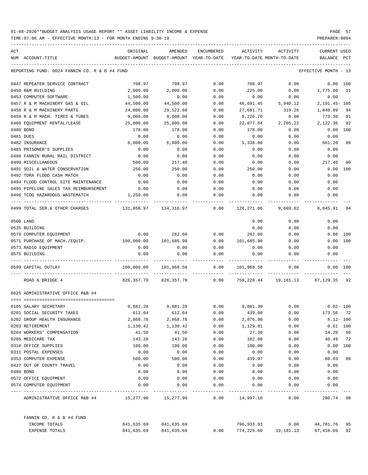| ACT<br>NUM | ACCOUNT-TITLE                                             | ORIGINAL<br>BUDGET-AMOUNT BUDGET-AMOUNT YEAR-TO-DATE | AMENDED                    | ENCUMBERED | ACTIVITY<br>YEAR-TO-DATE MONTH-TO-DATE | ACTIVITY                                      | <b>CURRENT USED</b><br>BALANCE | PCT |
|------------|-----------------------------------------------------------|------------------------------------------------------|----------------------------|------------|----------------------------------------|-----------------------------------------------|--------------------------------|-----|
|            | REPORTING FUND: 0024 FANNIN CO. R & B #4 FUND             |                                                      |                            |            |                                        |                                               | EFFECTIVE MONTH - 13           |     |
|            | 0447 REPEATER SERVICE CONTRACT                            | 708.97                                               | 708.97                     | 0.00       | 708.97                                 | 0.00                                          | 0.00 100                       |     |
|            | 0450 R&M BUILDING                                         | 2,000.00                                             | 2,000.00                   | 0.00       | 225.00                                 | 0.00                                          | 1,775.00                       | -11 |
|            | 0453 COMPUTER SOFTWARE                                    | 1,500.00                                             | 0.00                       | 0.00       | 0.00                                   | 0.00                                          | 0.00                           |     |
|            | 0457 R & M MACHINERY GAS & OIL                            | 44,500.00                                            | 44,500.00                  | 0.00       | 46,691.45                              | 5,940.12                                      | 2, 191. 45- 105                |     |
|            | 0458 R & M MACHINERY PARTS                                | 24,000.00                                            | 29,522.60                  | 0.00       | 27,681.71                              | 319.26                                        | 1,840.89                       | 94  |
|            | 0459 R & M MACH. TIRES & TUBES                            | 9,000.00                                             | 9,000.00                   | 0.00       | 8,226.70                               | 0.00                                          | 773.30                         | 91  |
|            | 0460 EQUIPMENT RENTAL/LEASE                               | 25,000.00                                            | 25,000.00                  | 0.00       | 22,877.64                              | 2,205.22                                      | 2,122.36                       | 92  |
|            | 0480 BOND                                                 | 178.00                                               | 178.00                     | 0.00       | 178.00                                 | 0.00                                          | 0.00                           | 100 |
|            | 0481 DUES                                                 | 0.00                                                 | 0.00                       | 0.00       | 0.00                                   | 0.00                                          | 0.00                           |     |
|            | 0482 INSURANCE                                            | 6,000.00                                             | 6,000.00                   | 0.00       | 5,338.80                               | 0.00                                          | 661.20                         | 89  |
|            | 0485 PRISONER'S SUPPLIES                                  | 0.00                                                 | 0.00                       | 0.00       | 0.00                                   | 0.00                                          | 0.00                           |     |
|            | 0488 FANNIN RURAL RAIL DISTRICT                           | 0.00                                                 | 0.00                       | 0.00       | 0.00                                   | 0.00                                          | 0.00                           |     |
|            | 0490 MISCELLANEOUS                                        | 500.00                                               | 217.40                     | 0.00       | 0.00                                   | 0.00                                          | 217.40                         | 00  |
|            | 0491 SOIL & WATER CONSERVATION                            | 250.00                                               | 250.00                     | 0.00       | 250.00                                 | 0.00                                          | 0.00                           | 100 |
|            | 0492 TDRA FLOOD CASH MATCH                                | 0.00                                                 | 0.00                       | 0.00       | 0.00                                   | 0.00                                          | 0.00                           |     |
|            | 0494 FLOOD CONTROL SITE MAINTENANCE                       | 0.00                                                 | 0.00                       | 0.00       | 0.00                                   | 0.00                                          | 0.00                           |     |
|            | 0495 PIPELINE SALES TAX REIMBURSEMENT                     | 0.00                                                 | 0.00                       | 0.00       | 0.00                                   | 0.00                                          | 0.00                           |     |
|            | 0496 TCOG HAZARDOUS WASTEMATCH                            | 1,250.00                                             | 0.00                       | 0.00       | 0.00                                   | 0.00                                          | 0.00                           |     |
|            | 0499 TOTAL SER. & OTHER CHARGES                           | $131,856.97$ $134,316.97$ 0.00                       |                            |            |                                        | 126,271.06 9,669.02                           | 8,045.91                       | 94  |
|            | 0500 LAND                                                 |                                                      |                            |            | 0.00                                   | 0.00                                          | 0.00                           |     |
|            | 0535 BUILDING                                             |                                                      |                            |            | 0.00                                   | 0.00                                          | 0.00                           |     |
|            | 0570 COMPUTER EQUIPMENT                                   | 0.00                                                 | 282.60                     | 0.00       | 282.60                                 | 0.00                                          | 0.00                           | 100 |
|            | 0571 PURCHASE OF MACH./EQUIP. 100,000.00                  |                                                      | 101,685.98                 | 0.00       | 101,685.98                             | 0.00                                          | 0.00                           | 100 |
|            | 0573 RADIO EQUIPMENT                                      | 0.00                                                 | 0.00                       | 0.00       | 0.00                                   | 0.00                                          | 0.00                           |     |
|            | 0575 BUILDING                                             | 0.00                                                 | 0.00                       | 0.00       | 0.00                                   | 0.00                                          | 0.00                           |     |
|            | 0599 CAPITAL OUTLAY                                       | 100,000.00                                           | 101,968.58                 | 0.00       | 101,968.58                             | 0.00                                          | $0.00$ 100                     |     |
|            | ROAD & BRIDGE 4                                           |                                                      | 826,357.79 826,357.79 0.00 |            |                                        | 759,228.44 19,181.13 67,129.35 92             |                                |     |
|            | 0625 ADMINISTRATIVE OFFICE R&B #4                         |                                                      |                            |            |                                        |                                               |                                |     |
|            | 0105 SALARY SECRETARY                                     |                                                      |                            |            |                                        | 9,881.28 9,881.28 0.00 9,881.30 0.00 0.02-100 |                                |     |
|            | 0201 SOCIAL SECURITY TAXES                                | 612.64                                               | 612.64                     | 0.00       | 439.08                                 | 0.00                                          | 173.56 72                      |     |
|            | 0202 GROUP HEALTH INSURANCE                               | 2,868.78                                             | 2,868.78                   | 0.00       | 2,876.90                               | 0.00                                          | $8.12 - 100$                   |     |
|            | 0203 RETIREMENT                                           | 1,130.42                                             | 1,130.42                   | 0.00       | 1,129.81                               | 0.00                                          | $0.61$ 100                     |     |
|            | 0204 WORKERS' COMPENSATION                                | 41.50                                                | 41.50                      | 0.00       | 27.30                                  | 0.00                                          | 14.20 66                       |     |
|            | 0205 MEDICARE TAX                                         | 143.28                                               | 143.28                     | 0.00       | 102.80                                 | 0.00                                          | 40.48 72                       |     |
|            | 0310 OFFICE SUPPLIES                                      | 100.00                                               | 100.00                     | 0.00       | 100.00                                 | 0.00                                          | $0.00$ 100                     |     |
|            | 0311 POSTAL EXPENSES                                      | 0.00                                                 | 0.00                       | 0.00       | 0.00                                   | 0.00                                          | 0.00                           |     |
|            | 0353 COMPUTER EXPENSE                                     | 500.00                                               | 500.00                     | 0.00       | 439.97                                 | 0.00                                          | 60.03                          | 88  |
|            | 0427 OUT OF COUNTY TRAVEL                                 | 0.00                                                 | 0.00                       | 0.00       | 0.00                                   | 0.00                                          | 0.00                           |     |
|            | 0480 BOND                                                 | 0.00                                                 | 0.00                       | 0.00       | 0.00                                   | 0.00                                          | 0.00                           |     |
|            | 0572 OFFICE EQUIPMENT                                     | 0.00                                                 | 0.00                       | 0.00       | 0.00                                   | 0.00                                          | 0.00                           |     |
|            | 0574 COMPUTER EQUIPMENT                                   | 0.00                                                 | 0.00                       | 0.00       | 0.00                                   | 0.00                                          | 0.00                           |     |
|            | ADMINISTRATIVE OFFICE R&B #4 $15,277.90$ $15,277.90$ 0.00 |                                                      |                            |            | 14,997.16                              | 0.00                                          | 280.74 98                      |     |
|            | FANNIN CO. R & B #4 FUND                                  |                                                      |                            |            |                                        |                                               |                                |     |
|            | INCOME TOTALS                                             |                                                      | 841,635.69 841,635.69      |            |                                        | 796,933.93 0.00                               | 44,701.76                      | 95  |
|            | EXPENSE TOTALS                                            | 841,635.69                                           | 841,635.69                 | 0.00       | 774,225.60                             | 19,181.13                                     | 67,410.09 92                   |     |
|            |                                                           |                                                      |                            |            |                                        |                                               |                                |     |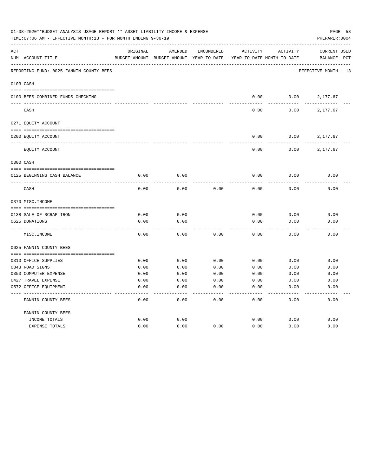|     | 01-08-2020**BUDGET ANALYSIS USAGE REPORT ** ASSET LIABILITY INCOME & EXPENSE<br>TIME:07:06 AM - EFFECTIVE MONTH:13 - FOR MONTH ENDING 9-30-19 |              |                                          |            |                            |              |                      |  |  |
|-----|-----------------------------------------------------------------------------------------------------------------------------------------------|--------------|------------------------------------------|------------|----------------------------|--------------|----------------------|--|--|
| ACT |                                                                                                                                               | ORIGINAL     | AMENDED                                  | ENCUMBERED | ACTIVITY                   | ACTIVITY     | CURRENT USED         |  |  |
|     | NUM ACCOUNT-TITLE                                                                                                                             |              | BUDGET-AMOUNT BUDGET-AMOUNT YEAR-TO-DATE |            | YEAR-TO-DATE MONTH-TO-DATE |              | BALANCE PCT          |  |  |
|     | REPORTING FUND: 0025 FANNIN COUNTY BEES                                                                                                       |              |                                          |            |                            |              | EFFECTIVE MONTH - 13 |  |  |
|     | 0103 CASH                                                                                                                                     |              |                                          |            |                            |              |                      |  |  |
|     | 0100 BEES-COMBINED FUNDS CHECKING                                                                                                             |              |                                          |            | 0.00                       | 0.00         | 2,177.67             |  |  |
|     | CASH                                                                                                                                          |              |                                          |            | 0.00                       | 0.00         | 2,177.67             |  |  |
|     | 0271 EQUITY ACCOUNT                                                                                                                           |              |                                          |            |                            |              |                      |  |  |
|     | 0200 EQUITY ACCOUNT                                                                                                                           |              |                                          |            | 0.00                       | 0.00         | 2,177.67             |  |  |
|     | EQUITY ACCOUNT                                                                                                                                |              |                                          |            | 0.00                       | 0.00         | 2,177.67             |  |  |
|     | 0300 CASH                                                                                                                                     |              |                                          |            |                            |              |                      |  |  |
|     | 0125 BEGINNING CASH BALANCE                                                                                                                   | 0.00         | 0.00                                     |            | 0.00                       | 0.00         | 0.00                 |  |  |
|     | CASH                                                                                                                                          | 0.00         | 0.00                                     | 0.00       | 0.00                       | 0.00         | 0.00                 |  |  |
|     | 0370 MISC. INCOME                                                                                                                             |              |                                          |            |                            |              |                      |  |  |
|     |                                                                                                                                               |              |                                          |            |                            |              |                      |  |  |
|     | 0138 SALE OF SCRAP IRON<br>0625 DONATIONS                                                                                                     | 0.00<br>0.00 | 0.00<br>0.00                             |            | 0.00<br>0.00               | 0.00<br>0.00 | 0.00<br>0.00         |  |  |
|     | MISC. INCOME                                                                                                                                  | 0.00         | 0.00                                     | 0.00       | 0.00                       | 0.00         | 0.00                 |  |  |
|     | 0625 FANNIN COUNTY BEES                                                                                                                       |              |                                          |            |                            |              |                      |  |  |
|     | 0310 OFFICE SUPPLIES                                                                                                                          | 0.00         | 0.00                                     | 0.00       | 0.00                       | 0.00         | 0.00                 |  |  |
|     | 0343 ROAD SIGNS                                                                                                                               | 0.00         | 0.00                                     | 0.00       | 0.00                       | 0.00         | 0.00                 |  |  |
|     | 0353 COMPUTER EXPENSE                                                                                                                         | 0.00         | 0.00                                     | 0.00       | 0.00                       | 0.00         | 0.00                 |  |  |
|     | 0427 TRAVEL EXPENSE                                                                                                                           | 0.00         | 0.00                                     | 0.00       | 0.00                       | 0.00         | 0.00                 |  |  |
|     | 0572 OFFICE EQUIPMENT                                                                                                                         | 0.00         | 0.00                                     | 0.00       | 0.00                       | 0.00         | 0.00                 |  |  |
|     | FANNIN COUNTY BEES                                                                                                                            | 0.00         | 0.00                                     | 0.00       | 0.00                       | 0.00         | 0.00                 |  |  |
|     | FANNIN COUNTY BEES                                                                                                                            |              |                                          |            |                            |              |                      |  |  |
|     | INCOME TOTALS                                                                                                                                 | 0.00         | 0.00                                     |            | 0.00                       | 0.00         | 0.00                 |  |  |
|     | EXPENSE TOTALS                                                                                                                                | 0.00         | 0.00                                     | 0.00       | 0.00                       | 0.00         | 0.00                 |  |  |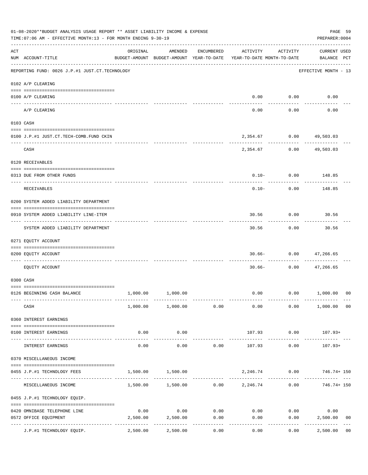|     | 01-08-2020**BUDGET ANALYSIS USAGE REPORT ** ASSET LIABILITY INCOME & EXPENSE<br>TIME: 07:06 AM - EFFECTIVE MONTH: 13 - FOR MONTH ENDING 9-30-19 |                                        |                        |            |                                                                                 |                                         |                                    |                |  |  |
|-----|-------------------------------------------------------------------------------------------------------------------------------------------------|----------------------------------------|------------------------|------------|---------------------------------------------------------------------------------|-----------------------------------------|------------------------------------|----------------|--|--|
| ACT | NUM ACCOUNT-TITLE                                                                                                                               | ORIGINAL                               | AMENDED                | ENCUMBERED | ACTIVITY<br>BUDGET-AMOUNT BUDGET-AMOUNT YEAR-TO-DATE YEAR-TO-DATE MONTH-TO-DATE | ACTIVITY                                | <b>CURRENT USED</b><br>BALANCE PCT |                |  |  |
|     | REPORTING FUND: 0026 J.P.#1 JUST.CT.TECHNOLOGY                                                                                                  |                                        |                        |            |                                                                                 |                                         | .<br>EFFECTIVE MONTH - 13          |                |  |  |
|     | 0102 A/P CLEARING                                                                                                                               |                                        |                        |            |                                                                                 |                                         |                                    |                |  |  |
|     | 0100 A/P CLEARING                                                                                                                               |                                        |                        |            |                                                                                 | $0.00$ $0.00$                           | 0.00                               |                |  |  |
|     | A/P CLEARING                                                                                                                                    |                                        |                        |            | 0.00                                                                            | .<br>0.00                               | 0.00                               |                |  |  |
|     | 0103 CASH                                                                                                                                       |                                        |                        |            |                                                                                 |                                         |                                    |                |  |  |
|     | 0100 J.P.#1 JUST.CT.TECH-COMB.FUND CKIN                                                                                                         |                                        |                        |            |                                                                                 | 2,354.67 0.00 49,503.03                 |                                    |                |  |  |
|     | CASH                                                                                                                                            |                                        |                        |            |                                                                                 | ------------<br>2,354.67 0.00 49,503.03 |                                    |                |  |  |
|     | 0120 RECEIVABLES                                                                                                                                |                                        |                        |            |                                                                                 |                                         |                                    |                |  |  |
|     | 0313 DUE FROM OTHER FUNDS                                                                                                                       |                                        |                        |            |                                                                                 | $0.10 - 0.00$ 148.85                    |                                    |                |  |  |
|     | RECEIVABLES                                                                                                                                     |                                        |                        |            | $0.10 -$                                                                        | 0.00                                    | 148.85                             |                |  |  |
|     | 0200 SYSTEM ADDED LIABILITY DEPARTMENT                                                                                                          |                                        |                        |            |                                                                                 |                                         |                                    |                |  |  |
|     | 0910 SYSTEM ADDED LIABILITY LINE-ITEM                                                                                                           |                                        |                        |            |                                                                                 | 30.56 0.00 30.56                        |                                    |                |  |  |
|     | SYSTEM ADDED LIABILITY DEPARTMENT                                                                                                               |                                        |                        |            | 30.56                                                                           | ---------<br>0.00                       | ----------<br>30.56                |                |  |  |
|     | 0271 EQUITY ACCOUNT                                                                                                                             |                                        |                        |            |                                                                                 |                                         |                                    |                |  |  |
|     | 0200 EQUITY ACCOUNT                                                                                                                             |                                        |                        |            |                                                                                 | $30.66 - 0.00$ 47,266.65                | -------                            |                |  |  |
|     | EQUITY ACCOUNT                                                                                                                                  |                                        |                        |            | $30.66 -$                                                                       |                                         | $0.00$ 47,266.65                   |                |  |  |
|     | 0300 CASH                                                                                                                                       |                                        |                        |            |                                                                                 |                                         |                                    |                |  |  |
|     | 0126 BEGINNING CASH BALANCE                                                                                                                     |                                        | 1,000.00 1,000.00      |            |                                                                                 | $0.00$ $0.00$ $1,000.00$ $00$           |                                    |                |  |  |
|     | CASH                                                                                                                                            |                                        | 1,000.00 1,000.00 0.00 |            | 0.00                                                                            |                                         | $0.00$ 1,000.00 00                 |                |  |  |
|     | 0360 INTEREST EARNINGS                                                                                                                          |                                        |                        |            |                                                                                 |                                         |                                    |                |  |  |
|     | 0100 INTEREST EARNINGS                                                                                                                          | 0.00                                   | 0.00                   |            | 107.93                                                                          | 0.00                                    | 107.93+                            |                |  |  |
|     | INTEREST EARNINGS                                                                                                                               | --------<br>0.00                       | . <u>.</u> .<br>0.00   | 0.00       | 107.93                                                                          | ----------<br>0.00                      | $107.93+$                          |                |  |  |
|     | 0370 MISCELLANEOUS INCOME                                                                                                                       |                                        |                        |            |                                                                                 |                                         |                                    |                |  |  |
|     | 0455 J.P.#1 TECHNOLOGY FEES                                                                                                                     | 1,500.00                               | 1,500.00               |            |                                                                                 | 2,246.74 0.00                           | 746.74+ 150                        |                |  |  |
|     | MISCELLANEOUS INCOME                                                                                                                            |                                        |                        |            | $1,500.00$ $1,500.00$ $0.00$ $2,246.74$                                         |                                         | $0.00$ $746.74+150$                |                |  |  |
|     | 0455 J.P.#1 TECHNOLOGY EQUIP.                                                                                                                   |                                        |                        |            |                                                                                 |                                         |                                    |                |  |  |
|     | 0420 OMNIBASE TELEPHONE LINE                                                                                                                    | 0.00                                   | 0.00                   | 0.00       |                                                                                 | $0.00$ $0.00$                           | 0.00                               |                |  |  |
|     | 0572 OFFICE EQUIPMENT                                                                                                                           | 2,500.00<br>------------ ------------- | 2,500.00               | 0.00       | 0.00                                                                            | 0.00                                    | 2,500.00                           | 0 <sub>0</sub> |  |  |
|     | J.P.#1 TECHNOLOGY EQUIP.                                                                                                                        | 2,500.00                               | 2,500.00               | 0.00       | 0.00                                                                            | 0.00                                    | 2,500.00                           | 0 <sub>0</sub> |  |  |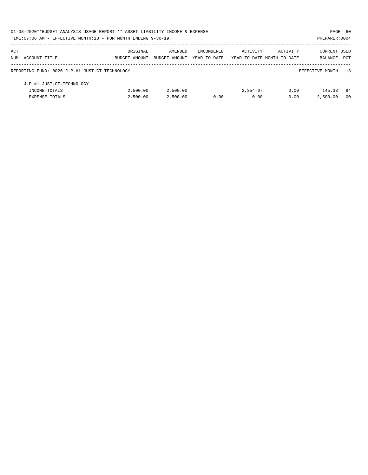| 01-08-2020**BUDGET ANALYSIS USAGE REPORT ** ASSET LIABILITY INCOME & EXPENSE |               |               |              |                            |          | PAGE 60              |            |
|------------------------------------------------------------------------------|---------------|---------------|--------------|----------------------------|----------|----------------------|------------|
| TIME:07:06 AM - EFFECTIVE MONTH:13 - FOR MONTH ENDING 9-30-19                |               |               |              |                            |          | PREPARER: 0004       |            |
| ACT                                                                          | ORIGINAL      | AMENDED       | ENCUMBERED   | ACTIVITY                   | ACTIVITY | CURRENT USED         |            |
| NUM ACCOUNT-TITLE                                                            | BUDGET-AMOUNT | BUDGET-AMOUNT | YEAR-TO-DATE | YEAR-TO-DATE MONTH-TO-DATE |          | BALANCE              | <b>PCT</b> |
| REPORTING FUND: 0026 J.P.#1 JUST.CT.TECHNOLOGY                               |               |               |              |                            |          | EFFECTIVE MONTH - 13 |            |
| J.P.#1 JUST.CT.TECHNOLOGY                                                    |               |               |              |                            |          |                      |            |
| INCOME TOTALS                                                                | 2,500.00      | 2,500.00      |              | 2,354.67                   | 0.00     | 145.33               | -94        |
| <b>EXPENSE TOTALS</b>                                                        | 2.500.00      | 2,500.00      | 0.00         | 0.00                       | 0.00     | 2,500.00             | -00        |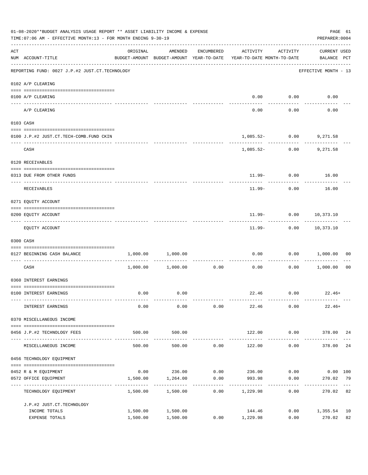|                    | 01-08-2020**BUDGET ANALYSIS USAGE REPORT ** ASSET LIABILITY INCOME & EXPENSE<br>TIME: 07:06 AM - EFFECTIVE MONTH: 13 - FOR MONTH ENDING 9-30-19 |                      |                            |                                 |                                                                                 |                                       |                                    |                |  |  |
|--------------------|-------------------------------------------------------------------------------------------------------------------------------------------------|----------------------|----------------------------|---------------------------------|---------------------------------------------------------------------------------|---------------------------------------|------------------------------------|----------------|--|--|
| $\mathop{\rm ACT}$ | NUM ACCOUNT-TITLE                                                                                                                               | ORIGINAL             | AMENDED                    | ENCUMBERED                      | ACTIVITY<br>BUDGET-AMOUNT BUDGET-AMOUNT YEAR-TO-DATE YEAR-TO-DATE MONTH-TO-DATE | ACTIVITY                              | <b>CURRENT USED</b><br>BALANCE PCT |                |  |  |
|                    | -------------------------------------<br>REPORTING FUND: 0027 J.P.#2 JUST.CT.TECHNOLOGY                                                         |                      |                            |                                 |                                                                                 |                                       | EFFECTIVE MONTH - 13               |                |  |  |
|                    | 0102 A/P CLEARING                                                                                                                               |                      |                            |                                 |                                                                                 |                                       |                                    |                |  |  |
|                    | 0100 A/P CLEARING                                                                                                                               |                      |                            |                                 |                                                                                 | $0.00$ $0.00$                         | 0.00                               |                |  |  |
|                    | ---- -------<br>A/P CLEARING                                                                                                                    |                      |                            |                                 | 0.00                                                                            | 0.00                                  | 0.00                               |                |  |  |
|                    | 0103 CASH                                                                                                                                       |                      |                            |                                 |                                                                                 |                                       |                                    |                |  |  |
|                    | 0100 J.P.#2 JUST.CT.TECH-COMB.FUND CKIN                                                                                                         |                      |                            |                                 |                                                                                 | 1,085.52- 0.00 9,271.58               |                                    |                |  |  |
|                    | CASH                                                                                                                                            |                      |                            |                                 | ---------- ------------                                                         | $1,085.52 - 0.00$                     | 9,271.58                           |                |  |  |
|                    | 0120 RECEIVABLES                                                                                                                                |                      |                            |                                 |                                                                                 |                                       |                                    |                |  |  |
|                    | 0313 DUE FROM OTHER FUNDS                                                                                                                       |                      |                            |                                 |                                                                                 | 11.99- 0.00 16.00                     |                                    |                |  |  |
|                    | RECEIVABLES                                                                                                                                     |                      |                            |                                 | $11.99-$                                                                        | ------------<br>0.00                  | 16.00                              |                |  |  |
|                    | 0271 EQUITY ACCOUNT                                                                                                                             |                      |                            |                                 |                                                                                 |                                       |                                    |                |  |  |
|                    | 0200 EQUITY ACCOUNT                                                                                                                             |                      |                            |                                 |                                                                                 | $11.99 - 0.00 10,373.10$              |                                    |                |  |  |
|                    | EQUITY ACCOUNT                                                                                                                                  |                      |                            |                                 |                                                                                 | ------------<br>11.99- 0.00 10,373.10 |                                    |                |  |  |
|                    | 0300 CASH                                                                                                                                       |                      |                            |                                 |                                                                                 |                                       |                                    |                |  |  |
|                    | 0127 BEGINNING CASH BALANCE                                                                                                                     | 1,000.00             | 1,000.00                   |                                 | 0.00                                                                            | 0.00                                  | 1,000.00                           | 00             |  |  |
|                    | CASH                                                                                                                                            |                      | $1,000.00$ $1,000.00$ 0.00 |                                 | ------------ -------------<br>0.00                                              | ----------<br>0.00                    | 1,000.00                           | 0 <sub>0</sub> |  |  |
|                    | 0360 INTEREST EARNINGS                                                                                                                          |                      |                            |                                 |                                                                                 |                                       |                                    |                |  |  |
|                    | 0100 INTEREST EARNINGS                                                                                                                          | 0.00                 | 0.00                       |                                 |                                                                                 | $22.46$ 0.00 22.46+                   |                                    |                |  |  |
|                    | INTEREST EARNINGS                                                                                                                               | 0.00                 | 0.00                       | 0.00                            | 22.46                                                                           | 0.00                                  | $22.46+$                           |                |  |  |
|                    | 0370 MISCELLANEOUS INCOME                                                                                                                       |                      |                            |                                 |                                                                                 |                                       |                                    |                |  |  |
|                    | 0456 J.P.#2 TECHNOLOGY FEES                                                                                                                     | 500.00               | 500.00                     |                                 | 122.00                                                                          |                                       | $0.00$ 378.00 24                   |                |  |  |
|                    | MISCELLANEOUS INCOME                                                                                                                            | 500.00               | 500.00                     | 0.00                            | 122.00                                                                          | ------------<br>0.00                  | -------------<br>378.00            | 24             |  |  |
|                    | 0456 TECHNOLOGY EQUIPMENT                                                                                                                       |                      |                            |                                 |                                                                                 |                                       |                                    |                |  |  |
|                    | 0452 R & M EQUIPMENT                                                                                                                            |                      |                            |                                 | $0.00$ 236.00 $0.00$ 236.00 $0.00$ 0.00 $0.00$                                  |                                       |                                    |                |  |  |
|                    | 0572 OFFICE EQUIPMENT<br>----------------------------                                                                                           | 1,500.00             | 1,264.00                   | 0.00<br>. _ _ _ _ _ _ _ _ _ _ _ | 993.98<br>.                                                                     | 0.00<br>----------                    | 270.02                             | 79             |  |  |
|                    | TECHNOLOGY EQUIPMENT                                                                                                                            | 1,500.00             | 1,500.00                   | 0.00                            | 1,229.98                                                                        | 0.00                                  | 270.02                             | 82             |  |  |
|                    | J.P.#2 JUST.CT.TECHNOLOGY                                                                                                                       |                      |                            |                                 |                                                                                 |                                       |                                    |                |  |  |
|                    | INCOME TOTALS<br>EXPENSE TOTALS                                                                                                                 | 1,500.00<br>1,500.00 | 1,500.00<br>1,500.00       |                                 | 144.46<br>$0.00$ 1,229.98                                                       | 0.00                                  | $0.00$ 1,355.54<br>270.02          | 10<br>82       |  |  |
|                    |                                                                                                                                                 |                      |                            |                                 |                                                                                 |                                       |                                    |                |  |  |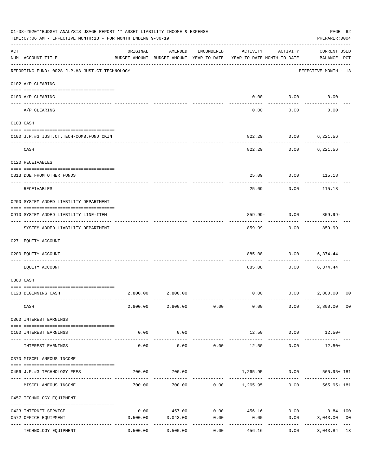|     | 01-08-2020**BUDGET ANALYSIS USAGE REPORT ** ASSET LIABILITY INCOME & EXPENSE<br>TIME: 07:06 AM - EFFECTIVE MONTH: 13 - FOR MONTH ENDING 9-30-19<br>PREPARER: 0004 |                  |                                                                                |            |          |                                                |                                          |                |  |  |
|-----|-------------------------------------------------------------------------------------------------------------------------------------------------------------------|------------------|--------------------------------------------------------------------------------|------------|----------|------------------------------------------------|------------------------------------------|----------------|--|--|
| ACT | NUM ACCOUNT-TITLE                                                                                                                                                 | ORIGINAL         | AMENDED<br>BUDGET-AMOUNT BUDGET-AMOUNT YEAR-TO-DATE YEAR-TO-DATE MONTH-TO-DATE | ENCUMBERED | ACTIVITY | ACTIVITY                                       | <b>CURRENT USED</b><br>BALANCE PCT       |                |  |  |
|     | REPORTING FUND: 0028 J.P.#3 JUST.CT.TECHNOLOGY                                                                                                                    |                  |                                                                                |            |          |                                                | ----------------<br>EFFECTIVE MONTH - 13 |                |  |  |
|     | 0102 A/P CLEARING                                                                                                                                                 |                  |                                                                                |            |          |                                                |                                          |                |  |  |
|     | 0100 A/P CLEARING                                                                                                                                                 |                  |                                                                                |            |          | $0.00$ $0.00$                                  | 0.00                                     |                |  |  |
|     | A/P CLEARING                                                                                                                                                      |                  |                                                                                |            | 0.00     | 0.00                                           | 0.00                                     |                |  |  |
|     | 0103 CASH                                                                                                                                                         |                  |                                                                                |            |          |                                                |                                          |                |  |  |
|     | 0100 J.P.#3 JUST.CT.TECH-COMB.FUND CKIN                                                                                                                           |                  |                                                                                |            |          | 822.29 0.00 6,221.56                           |                                          |                |  |  |
|     | CASH                                                                                                                                                              |                  |                                                                                |            | 822.29   | -----------<br>0.00                            | 6,221.56                                 |                |  |  |
|     | 0120 RECEIVABLES                                                                                                                                                  |                  |                                                                                |            |          |                                                |                                          |                |  |  |
|     |                                                                                                                                                                   |                  |                                                                                |            | 25.09    |                                                | $0.00$ 115.18                            |                |  |  |
|     | 0313 DUE FROM OTHER FUNDS                                                                                                                                         |                  |                                                                                |            |          |                                                |                                          |                |  |  |
|     | RECEIVABLES                                                                                                                                                       |                  |                                                                                |            | 25.09    | 0.00                                           | 115.18                                   |                |  |  |
|     | 0200 SYSTEM ADDED LIABILITY DEPARTMENT                                                                                                                            |                  |                                                                                |            |          |                                                |                                          |                |  |  |
|     | 0910 SYSTEM ADDED LIABILITY LINE-ITEM                                                                                                                             |                  |                                                                                |            |          | $859.99 - 0.00$ 859.99-<br>. _ _ _ _ _ _ _ _ _ | ---------                                |                |  |  |
|     | SYSTEM ADDED LIABILITY DEPARTMENT                                                                                                                                 |                  |                                                                                |            | 859.99-  | 0.00                                           | 859.99-                                  |                |  |  |
|     | 0271 EQUITY ACCOUNT                                                                                                                                               |                  |                                                                                |            |          |                                                |                                          |                |  |  |
|     | 0200 EQUITY ACCOUNT                                                                                                                                               |                  |                                                                                |            |          | 885.08 0.00                                    | 6,374.44                                 |                |  |  |
|     | EQUITY ACCOUNT                                                                                                                                                    |                  |                                                                                |            | 885.08   |                                                | $0.00$ 6,374.44                          |                |  |  |
|     | 0300 CASH                                                                                                                                                         |                  |                                                                                |            |          |                                                |                                          |                |  |  |
|     | 0128 BEGINNING CASH                                                                                                                                               |                  | 2,800.00 2,800.00                                                              |            |          | $0.00$ $0.00$ $2,800.00$ 00                    |                                          |                |  |  |
|     | CASH                                                                                                                                                              |                  | 2,800.00 2,800.00 0.00                                                         |            | 0.00     | 0.00                                           | 2,800.00 00                              |                |  |  |
|     | 0360 INTEREST EARNINGS                                                                                                                                            |                  |                                                                                |            |          |                                                |                                          |                |  |  |
|     | 0100 INTEREST EARNINGS                                                                                                                                            | 0.00             | 0.00                                                                           |            |          | 12.50 0.00                                     | $12.50+$                                 |                |  |  |
|     | INTEREST EARNINGS                                                                                                                                                 | --------<br>0.00 | -----------<br>0.00                                                            | 0.00       | 12.50    | ----------<br>0.00                             | $12.50+$                                 |                |  |  |
|     | 0370 MISCELLANEOUS INCOME                                                                                                                                         |                  |                                                                                |            |          |                                                |                                          |                |  |  |
|     | 0456 J.P.#3 TECHNOLOGY FEES                                                                                                                                       | 700.00           | 700.00                                                                         |            |          | 1,265.95 0.00                                  | 565.95+ 181                              |                |  |  |
|     | MISCELLANEOUS INCOME                                                                                                                                              |                  | 700.00 700.00 0.00 1,265.95                                                    |            |          |                                                | $0.00$ 565.95+ 181                       |                |  |  |
|     | 0457 TECHNOLOGY EQUIPMENT                                                                                                                                         |                  |                                                                                |            |          |                                                |                                          |                |  |  |
|     | 0423 INTERNET SERVICE                                                                                                                                             | 0.00             | 457.00                                                                         | 0.00       | 456.16   | 0.00                                           | $0.84$ 100                               |                |  |  |
|     | 0572 OFFICE EQUIPMENT                                                                                                                                             | 3,500.00         | 3,043.00                                                                       | 0.00       | 0.00     | 0.00                                           | 3,043.00                                 | 0 <sub>0</sub> |  |  |
|     | -------------- -----<br>TECHNOLOGY EQUIPMENT                                                                                                                      | 3,500.00         | 3,500.00                                                                       | 0.00       | 456.16   | 0.00                                           | 3,043.84                                 | 13             |  |  |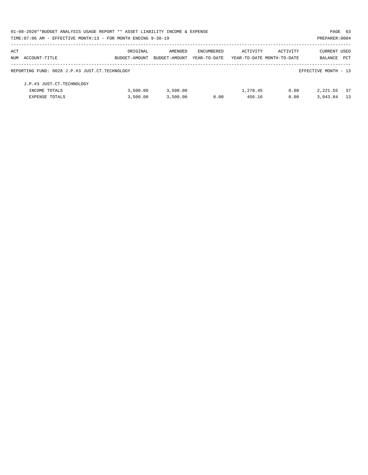| 01-08-2020**BUDGET ANALYSIS USAGE REPORT ** ASSET LIABILITY INCOME & EXPENSE |               |               |              |                            |          | PAGE 63              |            |
|------------------------------------------------------------------------------|---------------|---------------|--------------|----------------------------|----------|----------------------|------------|
| TIME:07:06 AM - EFFECTIVE MONTH:13 - FOR MONTH ENDING 9-30-19                |               |               |              |                            |          | PREPARER: 0004       |            |
| ACT                                                                          | ORIGINAL      | AMENDED       | ENCUMBERED   | ACTIVITY                   | ACTIVITY | <b>CURRENT USED</b>  |            |
| NUM ACCOUNT-TITLE                                                            | BUDGET-AMOUNT | BUDGET-AMOUNT | YEAR-TO-DATE | YEAR-TO-DATE MONTH-TO-DATE |          | BALANCE              | <b>PCT</b> |
| REPORTING FUND: 0028 J.P.#3 JUST.CT.TECHNOLOGY                               |               |               |              |                            |          | EFFECTIVE MONTH - 13 |            |
| J.P.#3 JUST.CT.TECHNOLOGY                                                    |               |               |              |                            |          |                      |            |
| INCOME TOTALS                                                                | 3.500.00      | 3,500.00      |              | 1,278.45                   | 0.00     | 2,221.55             | 37         |
| <b>EXPENSE TOTALS</b>                                                        | 3,500.00      | 3,500.00      | 0.00         | 456.16                     | 0.00     | 3,043.84             | 13         |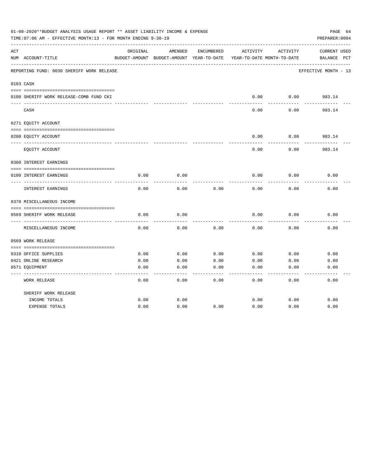|     | 01-08-2020**BUDGET ANALYSIS USAGE REPORT ** ASSET LIABILITY INCOME & EXPENSE<br>TIME:07:06 AM - EFFECTIVE MONTH:13 - FOR MONTH ENDING 9-30-19 |          |                                                     |            |          |                                        | PAGE 64<br>PREPARER: 0004          |
|-----|-----------------------------------------------------------------------------------------------------------------------------------------------|----------|-----------------------------------------------------|------------|----------|----------------------------------------|------------------------------------|
| ACT | NUM ACCOUNT-TITLE                                                                                                                             | ORIGINAL | AMENDED<br>BUDGET-AMOUNT BUDGET-AMOUNT YEAR-TO-DATE | ENCUMBERED | ACTIVITY | ACTIVITY<br>YEAR-TO-DATE MONTH-TO-DATE | <b>CURRENT USED</b><br>BALANCE PCT |
|     | REPORTING FUND: 0030 SHERIFF WORK RELEASE                                                                                                     |          |                                                     |            |          |                                        | EFFECTIVE MONTH - 13               |
|     | 0103 CASH                                                                                                                                     |          |                                                     |            |          |                                        |                                    |
|     | 0100 SHERIFF WORK RELEASE-COMB FUND CKI                                                                                                       |          |                                                     |            | 0.00     | 0.00                                   | 983.14                             |
|     | CASH                                                                                                                                          |          |                                                     |            | 0.00     | 0.00                                   | -------<br>983.14                  |
|     | 0271 EQUITY ACCOUNT                                                                                                                           |          |                                                     |            |          |                                        |                                    |
|     | 0200 EQUITY ACCOUNT                                                                                                                           |          |                                                     |            | 0.00     | 0.00                                   | 983.14                             |
|     | EQUITY ACCOUNT                                                                                                                                |          |                                                     |            | 0.00     | 0.00                                   | 983.14                             |
|     | 0360 INTEREST EARNINGS                                                                                                                        |          |                                                     |            |          |                                        |                                    |
|     | 0100 INTEREST EARNINGS                                                                                                                        | 0.00     | 0.00                                                |            | 0.00     | 0.00                                   | 0.00                               |
|     | INTEREST EARNINGS                                                                                                                             | 0.00     | 0.00                                                | 0.00       | 0.00     | 0.00                                   | 0.00                               |
|     | 0370 MISCELLANEOUS INCOME                                                                                                                     |          |                                                     |            |          |                                        |                                    |
|     | 0569 SHERIFF WORK RELEASE                                                                                                                     | 0.00     | 0.00                                                |            | 0.00     | 0.00                                   | 0.00                               |
|     | MISCELLANEOUS INCOME                                                                                                                          | 0.00     | 0.00                                                | 0.00       | 0.00     | 0.00                                   | 0.00                               |
|     | 0569 WORK RELEASE                                                                                                                             |          |                                                     |            |          |                                        |                                    |
|     |                                                                                                                                               |          |                                                     |            |          |                                        |                                    |
|     | 0310 OFFICE SUPPLIES                                                                                                                          | 0.00     | 0.00                                                | 0.00       | 0.00     | 0.00                                   | 0.00                               |
|     | 0421 ONLINE RESEARCH                                                                                                                          | 0.00     | 0.00                                                | 0.00       | 0.00     | 0.00                                   | 0.00                               |
|     | 0571 EQUIPMENT                                                                                                                                | 0.00     | 0.00                                                | 0.00       | 0.00     | 0.00                                   | 0.00                               |
|     | <b>WORK RELEASE</b>                                                                                                                           | 0.00     | 0.00                                                | 0.00       | 0.00     | 0.00                                   | 0.00                               |
|     | SHERIFF WORK RELEASE                                                                                                                          |          |                                                     |            |          |                                        |                                    |
|     | INCOME TOTALS                                                                                                                                 | 0.00     | 0.00                                                |            | 0.00     | 0.00                                   | 0.00                               |
|     | <b>EXPENSE TOTALS</b>                                                                                                                         | 0.00     | 0.00                                                | 0.00       | 0.00     | 0.00                                   | 0.00                               |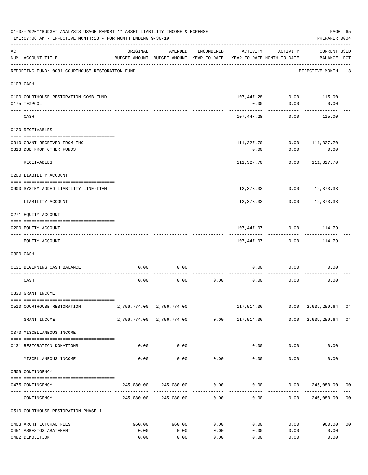|           | 01-08-2020**BUDGET ANALYSIS USAGE REPORT ** ASSET LIABILITY INCOME & EXPENSE<br>TIME: 07:06 AM - EFFECTIVE MONTH: 13 - FOR MONTH ENDING 9-30-19 |          |                                                     |              |                                        |             | PREPARER: 0004                                                 | PAGE 65        |
|-----------|-------------------------------------------------------------------------------------------------------------------------------------------------|----------|-----------------------------------------------------|--------------|----------------------------------------|-------------|----------------------------------------------------------------|----------------|
| ACT       | NUM ACCOUNT-TITLE                                                                                                                               | ORIGINAL | AMENDED<br>BUDGET-AMOUNT BUDGET-AMOUNT YEAR-TO-DATE | ENCUMBERED   | ACTIVITY<br>YEAR-TO-DATE MONTH-TO-DATE | ACTIVITY    | <b>CURRENT USED</b><br>BALANCE PCT                             |                |
|           | REPORTING FUND: 0031 COURTHOUSE RESTORATION FUND                                                                                                |          |                                                     |              |                                        |             | EFFECTIVE MONTH - 13                                           |                |
| 0103 CASH |                                                                                                                                                 |          |                                                     |              |                                        |             |                                                                |                |
|           |                                                                                                                                                 |          |                                                     |              |                                        |             |                                                                |                |
|           | 0100 COURTHOUSE RESTORATION-COMB.FUND                                                                                                           |          |                                                     |              |                                        |             | 107,447.28 0.00 115.00                                         |                |
|           | 0175 TEXPOOL                                                                                                                                    |          |                                                     |              | 0.00                                   | 0.00        | 0.00                                                           |                |
|           | CASH                                                                                                                                            |          |                                                     |              | 107,447.28                             | 0.00        | 115.00                                                         |                |
|           | 0120 RECEIVABLES                                                                                                                                |          |                                                     |              |                                        |             |                                                                |                |
|           | 0310 GRANT RECEIVED FROM THC                                                                                                                    |          |                                                     |              | 111,327.70                             |             | $0.00$ 111,327.70                                              |                |
|           | 0313 DUE FROM OTHER FUNDS                                                                                                                       |          |                                                     |              | 0.00                                   | 0.00        | 0.00                                                           |                |
|           | RECEIVABLES                                                                                                                                     |          |                                                     |              | ----------<br>111,327.70               | 0.00        | ----------<br>111,327.70                                       |                |
|           |                                                                                                                                                 |          |                                                     |              |                                        |             |                                                                |                |
|           | 0200 LIABILITY ACCOUNT                                                                                                                          |          |                                                     |              |                                        |             |                                                                |                |
|           | 0900 SYSTEM ADDED LIABILITY LINE-ITEM                                                                                                           |          |                                                     |              |                                        | ---------   | 12,373.33 0.00 12,373.33                                       |                |
|           | LIABILITY ACCOUNT                                                                                                                               |          |                                                     |              |                                        |             | 12,373.33 0.00 12,373.33                                       |                |
|           | 0271 EQUITY ACCOUNT                                                                                                                             |          |                                                     |              |                                        |             |                                                                |                |
|           |                                                                                                                                                 |          |                                                     |              |                                        |             |                                                                |                |
|           | 0200 EQUITY ACCOUNT                                                                                                                             |          |                                                     |              | 107,447.07<br>----------               | 0.00        | 114.79                                                         |                |
|           | EQUITY ACCOUNT                                                                                                                                  |          |                                                     |              | 107,447.07                             | 0.00        | 114.79                                                         |                |
|           | 0300 CASH                                                                                                                                       |          |                                                     |              |                                        |             |                                                                |                |
|           | 0131 BEGINNING CASH BALANCE                                                                                                                     | 0.00     | 0.00                                                |              | 0.00                                   | 0.00        | 0.00                                                           |                |
|           | CASH                                                                                                                                            | 0.00     | 0.00                                                | 0.00         | 0.00                                   | 0.00        | 0.00                                                           |                |
|           | 0330 GRANT INCOME                                                                                                                               |          |                                                     |              |                                        |             |                                                                |                |
|           |                                                                                                                                                 |          |                                                     |              |                                        |             |                                                                |                |
|           | 0510 COURTHOUSE RESTORATION                                                                                                                     |          | 2,756,774.00 2,756,774.00                           |              |                                        |             | 117,514.36   0.00   2,639,259.64   04<br>--------------        |                |
|           | GRANT INCOME                                                                                                                                    |          |                                                     |              |                                        |             | 2,756,774.00 2,756,774.00 0.00 117,514.36 0.00 2,639,259.64 04 |                |
|           | 0370 MISCELLANEOUS INCOME                                                                                                                       |          |                                                     |              |                                        |             |                                                                |                |
|           | 0131 RESTORATION DONATIONS                                                                                                                      | 0.00     | 0.00                                                |              |                                        | $0.00$ 0.00 | 0.00                                                           |                |
|           | MISCELLANEOUS INCOME                                                                                                                            | 0.00     | -------------<br>0.00                               | 0.00         | 0.00                                   | 0.00        | 0.00                                                           |                |
|           |                                                                                                                                                 |          |                                                     |              |                                        |             |                                                                |                |
|           | 0509 CONTINGENCY                                                                                                                                |          |                                                     |              |                                        |             |                                                                |                |
|           | 0475 CONTINGENCY                                                                                                                                |          |                                                     | ------------ | ------------                           |             |                                                                |                |
|           | CONTINGENCY                                                                                                                                     |          | 245,080.00 245,080.00                               | 0.00         | 0.00                                   |             | 0.00 245,080.00                                                | 0 <sub>0</sub> |
|           | 0510 COURTHOUSE RESTORATION PHASE 1                                                                                                             |          |                                                     |              |                                        |             |                                                                |                |
|           | 0403 ARCHITECTURAL FEES                                                                                                                         | 960.00   | 960.00                                              | 0.00         | 0.00                                   | 0.00        | 960.00                                                         | 0 <sub>0</sub> |
|           | 0451 ASBESTOS ABATEMENT                                                                                                                         | 0.00     | 0.00                                                | 0.00         | 0.00                                   | 0.00        | 0.00                                                           |                |
|           | 0482 DEMOLITION                                                                                                                                 | 0.00     | 0.00                                                | 0.00         | 0.00                                   | 0.00        | 0.00                                                           |                |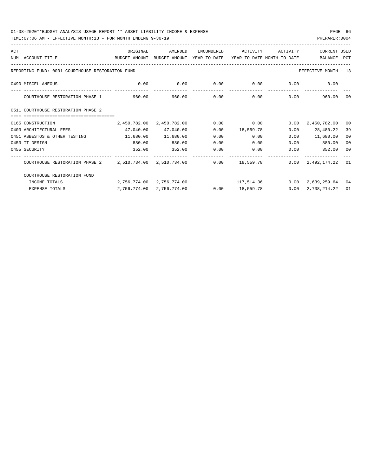| ACT |                                                                                                     | ORIGINAL            | AMENDED                                                   | ENCUMBERED       | ACTIVITY       | ACTIVITY    | <b>CURRENT USED</b>                       |                |
|-----|-----------------------------------------------------------------------------------------------------|---------------------|-----------------------------------------------------------|------------------|----------------|-------------|-------------------------------------------|----------------|
|     | NUM ACCOUNT-TITLE<br>BUDGET-AMOUNT BUDGET-AMOUNT YEAR-TO-DATE YEAR-TO-DATE MONTH-TO-DATE            |                     |                                                           |                  |                |             | BALANCE PCT                               |                |
|     | REPORTING FUND: 0031 COURTHOUSE RESTORATION FUND                                                    |                     |                                                           |                  |                |             | EFFECTIVE MONTH - 13                      |                |
|     | 0490 MISCELLANEOUS                                                                                  | 0.00                | 0.00                                                      |                  |                |             | $0.00$ $0.00$ $0.00$ $0.00$ $0.00$ $0.00$ |                |
|     | COURTHOUSE RESTORATION PHASE 1 960.00                                                               |                     | 960.00                                                    | 0.00             |                | $0.00$ 0.00 | 960.00 00                                 |                |
|     | 0511 COURTHOUSE RESTORATION PHASE 2                                                                 |                     |                                                           |                  |                |             |                                           |                |
|     |                                                                                                     |                     |                                                           |                  |                |             |                                           |                |
|     | 0165 CONSTRUCTION                                                                                   |                     | 2,450,782.00 2,450,782.00                                 |                  | $0.00$ 0.00    | 0.00        | 2,450,782.00                              | 00             |
|     | 0403 ARCHITECTURAL FEES                                                                             | 47,040.00           | 47,040.00                                                 |                  | 0.00 18,559.78 |             | $0.00$ 28,480.22                          | 39             |
|     | 0451 ASBESTOS & OTHER TESTING                                                                       | 11,680.00 11,680.00 |                                                           | 0.00             | 0.00           |             | $0.00$ 11,680.00                          | 00             |
|     | 0453 IT DESIGN                                                                                      | 880.00              | 880.00                                                    | 0.00             | 0.00           |             | 0.00<br>880.00                            | 0 <sup>0</sup> |
|     | 0455 SECURITY                                                                                       | 352.00              | 352.00                                                    | 0.00             | 0.00           | 0.00        | 352.00                                    | 0 <sup>0</sup> |
|     | COURTHOUSE RESTORATION PHASE 2  2,510,734.00  2,510,734.00  0.00  18,559.78  0.00  2,492,174.22  01 |                     |                                                           |                  |                |             |                                           |                |
|     | COURTHOUSE RESTORATION FUND                                                                         |                     |                                                           |                  |                |             |                                           |                |
|     | INCOME TOTALS                                                                                       |                     | 2,756,774.00 2,756,774.00 117,514.36 0.00 2,639,259.64 04 |                  |                |             |                                           |                |
|     | <b>EXPENSE TOTALS</b>                                                                               | 2,756,774.00        | 2,756,774.00                                              | $0.00$ 18,559.78 |                | 0.00        | 2,738,214.22                              | 01             |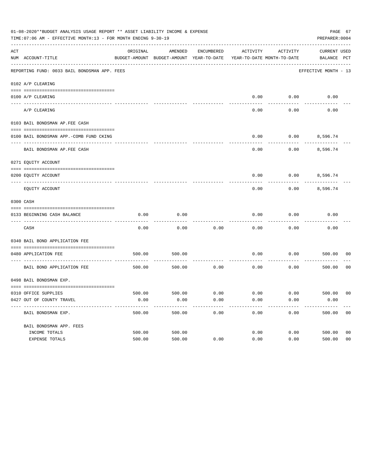| 01-08-2020**BUDGET ANALYSIS USAGE REPORT ** ASSET LIABILITY INCOME & EXPENSE<br>TIME: 07:06 AM - EFFECTIVE MONTH: 13 - FOR MONTH ENDING 9-30-19<br>PREPARER: 0004 |                                              |          |                                                     |            |                                        |                        |                                    |                |
|-------------------------------------------------------------------------------------------------------------------------------------------------------------------|----------------------------------------------|----------|-----------------------------------------------------|------------|----------------------------------------|------------------------|------------------------------------|----------------|
| ACT                                                                                                                                                               | NUM ACCOUNT-TITLE                            | ORIGINAL | AMENDED<br>BUDGET-AMOUNT BUDGET-AMOUNT YEAR-TO-DATE | ENCUMBERED | ACTIVITY<br>YEAR-TO-DATE MONTH-TO-DATE | ACTIVITY               | <b>CURRENT USED</b><br>BALANCE PCT |                |
|                                                                                                                                                                   | REPORTING FUND: 0033 BAIL BONDSMAN APP. FEES |          |                                                     |            |                                        |                        | EFFECTIVE MONTH - 13               |                |
|                                                                                                                                                                   | 0102 A/P CLEARING                            |          |                                                     |            |                                        |                        |                                    |                |
|                                                                                                                                                                   | 0100 A/P CLEARING                            |          |                                                     |            | 0.00                                   | 0.00                   | 0.00                               |                |
|                                                                                                                                                                   | ---- --------<br>A/P CLEARING                |          |                                                     |            | 0.00                                   | 0.00                   | 0.00                               |                |
|                                                                                                                                                                   | 0103 BAIL BONDSMAN AP.FEE CASH               |          |                                                     |            |                                        |                        |                                    |                |
|                                                                                                                                                                   | 0100 BAIL BONDSMAN APP.-COMB FUND CKING      |          |                                                     |            | 0.00                                   | 0.00                   | 8,596.74                           |                |
|                                                                                                                                                                   | BAIL BONDSMAN AP.FEE CASH                    |          |                                                     |            | 0.00                                   | 0.00                   | 8,596.74                           |                |
|                                                                                                                                                                   | 0271 EQUITY ACCOUNT                          |          |                                                     |            |                                        |                        |                                    |                |
|                                                                                                                                                                   | 0200 EQUITY ACCOUNT                          |          |                                                     |            | 0.00                                   |                        | $0.00$ 8,596.74                    |                |
|                                                                                                                                                                   | EQUITY ACCOUNT                               |          |                                                     |            | 0.00                                   | 0.00                   | 8,596.74                           |                |
|                                                                                                                                                                   | 0300 CASH                                    |          |                                                     |            |                                        |                        |                                    |                |
|                                                                                                                                                                   | 0133 BEGINNING CASH BALANCE                  | 0.00     | 0.00                                                |            | 0.00                                   | 0.00                   | 0.00                               |                |
|                                                                                                                                                                   | CASH                                         | 0.00     | 0.00                                                | 0.00       | 0.00                                   | 0.00                   | 0.00                               |                |
|                                                                                                                                                                   | 0340 BAIL BOND APPLICATION FEE               |          |                                                     |            |                                        |                        |                                    |                |
|                                                                                                                                                                   | 0480 APPLICATION FEE                         | 500.00   | 500.00                                              |            | 0.00                                   | 0.00                   | 500.00                             | 00             |
|                                                                                                                                                                   | BAIL BOND APPLICATION FEE                    | 500.00   | 500.00                                              | 0.00       | 0.00                                   | 0.00                   | 500.00                             | 0 <sub>0</sub> |
|                                                                                                                                                                   | 0498 BAIL BONDSMAN EXP.                      |          |                                                     |            |                                        |                        |                                    |                |
|                                                                                                                                                                   | 0310 OFFICE SUPPLIES                         | 500.00   | 500.00 0.00                                         |            |                                        | $0.00$ $0.00$ $500.00$ |                                    | 00             |
|                                                                                                                                                                   | 0427 OUT OF COUNTY TRAVEL                    | 0.00     | 0.00                                                | 0.00       | 0.00                                   | 0.00                   | 0.00                               |                |
|                                                                                                                                                                   | BAIL BONDSMAN EXP.                           | 500.00   | 500.00                                              | 0.00       | 0.00                                   | 0.00                   | 500.00                             | 0 <sub>0</sub> |
|                                                                                                                                                                   | BAIL BONDSMAN APP. FEES                      |          |                                                     |            |                                        |                        |                                    |                |
|                                                                                                                                                                   | INCOME TOTALS                                | 500.00   | 500.00                                              |            | 0.00                                   | 0.00                   | 500.00                             | 0 <sub>0</sub> |
|                                                                                                                                                                   | EXPENSE TOTALS                               | 500.00   | 500.00                                              | 0.00       | 0.00                                   | 0.00                   | 500.00                             | 0 <sub>0</sub> |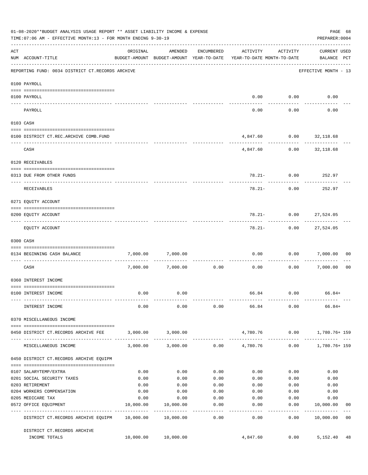|     | 01-08-2020**BUDGET ANALYSIS USAGE REPORT ** ASSET LIABILITY INCOME & EXPENSE<br>TIME: 07:06 AM - EFFECTIVE MONTH: 13 - FOR MONTH ENDING 9-30-19                                                                                                                                                                                                                                                                                                      |                   |                                                                                |                    |                   |                                             | PAGE 68<br>PREPARER: 0004                 |                |
|-----|------------------------------------------------------------------------------------------------------------------------------------------------------------------------------------------------------------------------------------------------------------------------------------------------------------------------------------------------------------------------------------------------------------------------------------------------------|-------------------|--------------------------------------------------------------------------------|--------------------|-------------------|---------------------------------------------|-------------------------------------------|----------------|
| ACT | NUM ACCOUNT-TITLE                                                                                                                                                                                                                                                                                                                                                                                                                                    | ORIGINAL          | AMENDED<br>BUDGET-AMOUNT BUDGET-AMOUNT YEAR-TO-DATE YEAR-TO-DATE MONTH-TO-DATE | ENCUMBERED         | ACTIVITY          | ACTIVITY                                    | <b>CURRENT USED</b><br>BALANCE PCT        |                |
|     | REPORTING FUND: 0034 DISTRICT CT.RECORDS ARCHIVE                                                                                                                                                                                                                                                                                                                                                                                                     |                   |                                                                                |                    |                   |                                             | -----------------<br>EFFECTIVE MONTH - 13 |                |
|     | 0100 PAYROLL                                                                                                                                                                                                                                                                                                                                                                                                                                         |                   |                                                                                |                    |                   |                                             |                                           |                |
|     |                                                                                                                                                                                                                                                                                                                                                                                                                                                      |                   |                                                                                |                    |                   |                                             |                                           |                |
|     | 0100 PAYROLL<br>---- --------<br>--------------------------- --------                                                                                                                                                                                                                                                                                                                                                                                |                   |                                                                                |                    |                   | $0.00$ $0.00$<br>----------                 | 0.00                                      |                |
|     | PAYROLL                                                                                                                                                                                                                                                                                                                                                                                                                                              |                   |                                                                                |                    | 0.00              | 0.00                                        | 0.00                                      |                |
|     | 0103 CASH                                                                                                                                                                                                                                                                                                                                                                                                                                            |                   |                                                                                |                    |                   |                                             |                                           |                |
|     | 0100 DISTRICT CT.REC.ARCHIVE COMB.FUND                                                                                                                                                                                                                                                                                                                                                                                                               |                   |                                                                                |                    |                   | 4,847.60 0.00 32,118.68                     |                                           |                |
|     | CASH                                                                                                                                                                                                                                                                                                                                                                                                                                                 |                   |                                                                                |                    |                   | ------------<br>4,847.60   0.00   32,118.68 |                                           |                |
|     | 0120 RECEIVABLES                                                                                                                                                                                                                                                                                                                                                                                                                                     |                   |                                                                                |                    |                   |                                             |                                           |                |
|     | 0313 DUE FROM OTHER FUNDS                                                                                                                                                                                                                                                                                                                                                                                                                            |                   |                                                                                |                    |                   | 78.21- 0.00 252.97                          |                                           |                |
|     | RECEIVABLES                                                                                                                                                                                                                                                                                                                                                                                                                                          |                   |                                                                                |                    | $78.21 -$         | 0.00                                        | 252.97                                    |                |
|     |                                                                                                                                                                                                                                                                                                                                                                                                                                                      |                   |                                                                                |                    |                   |                                             |                                           |                |
|     | 0271 EQUITY ACCOUNT                                                                                                                                                                                                                                                                                                                                                                                                                                  |                   |                                                                                |                    |                   |                                             |                                           |                |
|     | 0200 EQUITY ACCOUNT                                                                                                                                                                                                                                                                                                                                                                                                                                  |                   |                                                                                |                    |                   | 78.21- 0.00 27,524.05                       |                                           |                |
|     | EQUITY ACCOUNT                                                                                                                                                                                                                                                                                                                                                                                                                                       |                   |                                                                                |                    |                   | ------------<br>78.21- 0.00 27,524.05       | ------------                              |                |
|     | 0300 CASH                                                                                                                                                                                                                                                                                                                                                                                                                                            |                   |                                                                                |                    |                   |                                             |                                           |                |
|     | $\verb c  = \verb c  = \verb c  = \verb c  = \verb c  = \verb c  = \verb c  = \verb c  = \verb c  = \verb c  = \verb c  = \verb c  = \verb c  = \verb c  = \verb c  = \verb c  = \verb c  = \verb c  = \verb c  = \verb c  = \verb c  = \verb c  = \verb c  = \verb c  = \verb c  = \verb c  = \verb c  = \verb c  = \verb c  = \verb c  = \verb c  = \verb c  = \verb c  = \verb c  = \verb c  = \verb c  = \verb c$<br>0134 BEGINNING CASH BALANCE | 7,000.00          | 7,000.00                                                                       |                    |                   | $0.00$ 0.00 7,000.00                        |                                           | 0 <sub>0</sub> |
|     | -----------------------------<br>CASH                                                                                                                                                                                                                                                                                                                                                                                                                |                   | 7,000.00 7,000.00                                                              | 0.00               | 0.00              |                                             | 0.00 7,000.00                             | 0 <sub>0</sub> |
|     | 0360 INTEREST INCOME                                                                                                                                                                                                                                                                                                                                                                                                                                 |                   |                                                                                |                    |                   |                                             |                                           |                |
|     |                                                                                                                                                                                                                                                                                                                                                                                                                                                      |                   |                                                                                |                    |                   |                                             |                                           |                |
|     | 0100 INTEREST INCOME                                                                                                                                                                                                                                                                                                                                                                                                                                 | 0.00              | 0.00                                                                           |                    |                   | 66.84 0.00                                  | 66.84+                                    |                |
|     | INTEREST INCOME                                                                                                                                                                                                                                                                                                                                                                                                                                      | 0.00              | 0.00                                                                           |                    |                   | $0.00$ 66.84 0.00                           | $66.84+$                                  |                |
|     | 0370 MISCELLANEOUS INCOME                                                                                                                                                                                                                                                                                                                                                                                                                            |                   |                                                                                |                    |                   |                                             |                                           |                |
|     | 0450 DISTRICT CT.RECORDS ARCHIVE FEE                                                                                                                                                                                                                                                                                                                                                                                                                 |                   | 3,000.00 3,000.00                                                              |                    |                   | 4,780.76   0.00   1,780.76+ 159             |                                           |                |
|     | MISCELLANEOUS INCOME                                                                                                                                                                                                                                                                                                                                                                                                                                 |                   | 3,000.00 3,000.00                                                              |                    | $0.00$ $4,780.76$ |                                             | $0.00$ 1,780.76+159                       |                |
|     |                                                                                                                                                                                                                                                                                                                                                                                                                                                      |                   |                                                                                |                    |                   |                                             |                                           |                |
|     | 0450 DISTRICT CT.RECORDS ARCHIVE EQUIPM                                                                                                                                                                                                                                                                                                                                                                                                              |                   |                                                                                |                    |                   |                                             |                                           |                |
|     | 0107 SALARYTEMP/EXTRA                                                                                                                                                                                                                                                                                                                                                                                                                                | 0.00              | 0.00                                                                           | 0.00               | 0.00              | 0.00                                        | 0.00                                      |                |
|     | 0201 SOCIAL SECURITY TAXES                                                                                                                                                                                                                                                                                                                                                                                                                           | 0.00              | 0.00                                                                           | 0.00               | 0.00              | 0.00                                        | 0.00                                      |                |
|     | 0203 RETIREMENT                                                                                                                                                                                                                                                                                                                                                                                                                                      | 0.00              | 0.00                                                                           | 0.00               | 0.00              | 0.00                                        | 0.00                                      |                |
|     | 0204 WORKERS COMPENSATION                                                                                                                                                                                                                                                                                                                                                                                                                            | 0.00              | 0.00                                                                           | 0.00               | 0.00              | 0.00                                        | 0.00                                      |                |
|     | 0205 MEDICARE TAX<br>0572 OFFICE EQUIPMENT                                                                                                                                                                                                                                                                                                                                                                                                           | 0.00<br>10,000.00 | 0.00<br>10,000.00                                                              | 0.00<br>0.00       | 0.00<br>0.00      | 0.00<br>0.00                                | 0.00<br>10,000.00                         | 00             |
|     | -------------------- -------------<br>DISTRICT CT.RECORDS ARCHIVE EQUIPM 10,000.00 10,000.00                                                                                                                                                                                                                                                                                                                                                         |                   | -------------                                                                  | . <u>.</u><br>0.00 | ------<br>0.00    | ---------<br>0.00                           | ------------<br>10,000.00                 | 0 <sub>0</sub> |
|     | DISTRICT CT.RECORDS ARCHIVE                                                                                                                                                                                                                                                                                                                                                                                                                          |                   |                                                                                |                    |                   |                                             |                                           |                |
|     | INCOME TOTALS                                                                                                                                                                                                                                                                                                                                                                                                                                        |                   | 10,000.00  10,000.00                                                           |                    | 4,847.60          | 0.00                                        | 5,152.40                                  | 48             |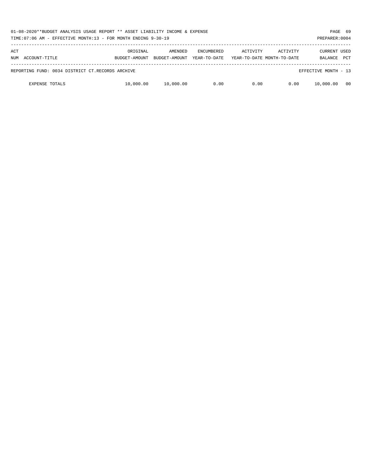| 01-08-2020**BUDGET ANALYSIS USAGE REPORT ** ASSET LIABILITY INCOME & EXPENSE<br>TIME:07:06 AM - EFFECTIVE MONTH:13 - FOR MONTH ENDING 9-30-19<br>PREPARER: 0004 |                           |                          |                                   |          |                                        |                                |            |  |
|-----------------------------------------------------------------------------------------------------------------------------------------------------------------|---------------------------|--------------------------|-----------------------------------|----------|----------------------------------------|--------------------------------|------------|--|
| ACT<br>ACCOUNT-TITLE<br>NUM                                                                                                                                     | ORIGINAL<br>BUDGET-AMOUNT | AMENDED<br>BUDGET-AMOUNT | <b>ENCUMBERED</b><br>YEAR-TO-DATE | ACTIVITY | ACTIVITY<br>YEAR-TO-DATE MONTH-TO-DATE | <b>CURRENT USED</b><br>BALANCE | <b>PCT</b> |  |
| REPORTING FUND: 0034 DISTRICT CT.RECORDS ARCHIVE                                                                                                                |                           |                          |                                   |          |                                        | EFFECTIVE MONTH - 13           |            |  |
| <b>EXPENSE TOTALS</b>                                                                                                                                           | 10,000.00                 | 10,000.00                | 0.00                              | 0.00     | 0.00                                   | 10,000.00                      | - 00       |  |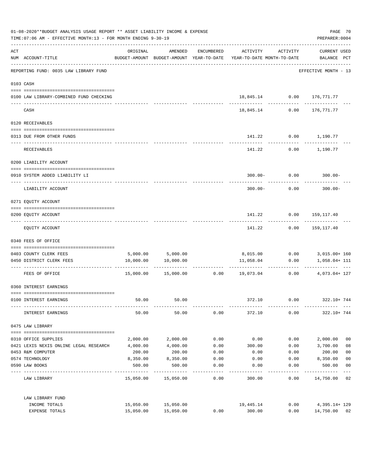| 01-08-2020**BUDGET ANALYSIS USAGE REPORT ** ASSET LIABILITY INCOME & EXPENSE<br>TIME: 07:06 AM - EFFECTIVE MONTH: 13 - FOR MONTH ENDING 9-30-19 |                                         |                       |                     |            |                                                                                  |                 |                             |                |
|-------------------------------------------------------------------------------------------------------------------------------------------------|-----------------------------------------|-----------------------|---------------------|------------|----------------------------------------------------------------------------------|-----------------|-----------------------------|----------------|
| ACT                                                                                                                                             | NUM ACCOUNT-TITLE                       | ORIGINAL              | AMENDED             | ENCUMBERED | ACTIVITY<br>BUDGET-AMOUNT BUDGET-AMOUNT YEAR-TO-DATE YEAR-TO-DATE MONTH-TO-DATE  | ACTIVITY        | CURRENT USED<br>BALANCE PCT |                |
|                                                                                                                                                 | REPORTING FUND: 0035 LAW LIBRARY FUND   |                       |                     |            |                                                                                  |                 | EFFECTIVE MONTH - 13        |                |
|                                                                                                                                                 | 0103 CASH                               |                       |                     |            |                                                                                  |                 |                             |                |
|                                                                                                                                                 | 0100 LAW LIBRARY-COMBINED FUND CHECKING |                       |                     |            | 18,845.14   0.00   176,771.77                                                    |                 |                             |                |
|                                                                                                                                                 | CASH                                    |                       |                     |            | 18,845.14                                                                        | 0.00            | ------------<br>176,771.77  |                |
|                                                                                                                                                 | 0120 RECEIVABLES                        |                       |                     |            |                                                                                  |                 |                             |                |
|                                                                                                                                                 | 0313 DUE FROM OTHER FUNDS               |                       |                     |            |                                                                                  |                 | 141.22 0.00 1,190.77        |                |
|                                                                                                                                                 | RECEIVABLES                             |                       |                     |            | 141.22                                                                           |                 | $0.00$ 1,190.77             |                |
|                                                                                                                                                 | 0200 LIABILITY ACCOUNT                  |                       |                     |            |                                                                                  |                 |                             |                |
|                                                                                                                                                 | 0910 SYSTEM ADDED LIABILITY LI          |                       |                     |            |                                                                                  | $300.00 - 0.00$ | $300.00 -$                  |                |
|                                                                                                                                                 | LIABILITY ACCOUNT                       | _________ ___________ |                     |            | $300.00 -$                                                                       | 0.00            | $300.00 -$                  |                |
|                                                                                                                                                 | 0271 EQUITY ACCOUNT                     |                       |                     |            |                                                                                  |                 |                             |                |
|                                                                                                                                                 | 0200 EQUITY ACCOUNT                     |                       |                     |            |                                                                                  |                 | 141.22 0.00 159,117.40      |                |
|                                                                                                                                                 | EQUITY ACCOUNT                          |                       |                     |            | 141.22                                                                           | ----------      | $0.00$ 159,117.40           |                |
|                                                                                                                                                 | 0340 FEES OF OFFICE                     |                       |                     |            |                                                                                  |                 |                             |                |
|                                                                                                                                                 | 0403 COUNTY CLERK FEES                  |                       | 5,000.00 5,000.00   |            | 8,015.00   0.00   3,015.00+ 160                                                  |                 |                             |                |
|                                                                                                                                                 | 0450 DISTRICT CLERK FEES                |                       | 10,000.00 10,000.00 |            | 11,058.04                                                                        | 0.00            | 1,058.04+ 111               |                |
|                                                                                                                                                 | FEES OF OFFICE                          |                       |                     |            | ------------- -------------<br>$15,000.00$ $15,000.00$ $0.00$ $19,073.04$ $0.00$ |                 | 4,073.04+ 127               |                |
|                                                                                                                                                 | 0360 INTEREST EARNINGS                  |                       |                     |            |                                                                                  |                 |                             |                |
|                                                                                                                                                 | 0100 INTEREST EARNINGS                  | 50.00                 | 50.00               |            | 372.10                                                                           | 0.00            | 322.10+ 744                 |                |
|                                                                                                                                                 | INTEREST EARNINGS                       | 50.00                 | 50.00               | 0.00       | 372.10                                                                           | 0.00            | 322.10+ 744                 |                |
|                                                                                                                                                 | 0475 LAW LIBRARY                        |                       |                     |            |                                                                                  |                 |                             |                |
|                                                                                                                                                 | 0310 OFFICE SUPPLIES                    | 2,000.00              | 2,000.00            | 0.00       | 0.00                                                                             | 0.00            | 2,000.00                    | 0 <sub>0</sub> |
|                                                                                                                                                 | 0421 LEXIS NEXIS ONLINE LEGAL RESEARCH  | 4,000.00              | 4,000.00            | 0.00       | 300.00                                                                           | 0.00            | 3,700.00                    | 08             |
|                                                                                                                                                 | 0453 R&M COMPUTER                       | 200.00                | 200.00              | 0.00       | 0.00                                                                             | 0.00            | 200.00                      | 0 <sub>0</sub> |
|                                                                                                                                                 | 0574 TECHNOLOGY                         | 8,350.00              | 8,350.00            | 0.00       | 0.00                                                                             | 0.00            | 8,350.00                    | 0 <sub>0</sub> |
|                                                                                                                                                 | 0590 LAW BOOKS                          | 500.00                | 500.00              | 0.00       | 0.00                                                                             | 0.00            | 500.00                      | 0 <sub>0</sub> |
|                                                                                                                                                 | LAW LIBRARY                             |                       | 15,050.00 15,050.00 | 0.00       | 300.00                                                                           | 0.00            | 14,750.00 02                | $---$          |
|                                                                                                                                                 | LAW LIBRARY FUND                        |                       |                     |            |                                                                                  |                 |                             |                |
|                                                                                                                                                 | INCOME TOTALS                           |                       | 15,050.00 15,050.00 |            | 19,445.14                                                                        | 0.00            | 4,395.14+ 129               |                |
|                                                                                                                                                 | EXPENSE TOTALS                          | 15,050.00             | 15,050.00           | 0.00       | 300.00                                                                           | 0.00            | 14,750.00 02                |                |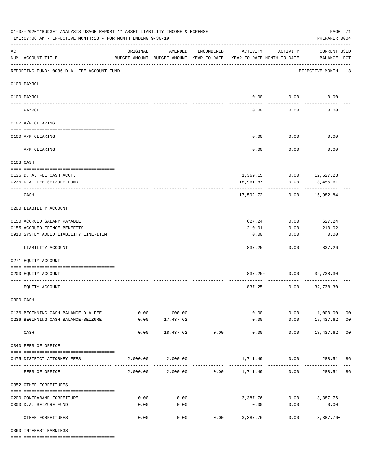| 01-08-2020**BUDGET ANALYSIS USAGE REPORT ** ASSET LIABILITY INCOME & EXPENSE<br>TIME: 07:06 AM - EFFECTIVE MONTH: 13 - FOR MONTH ENDING 9-30-19<br>PREPARER: 0004 |                                                             |                                                      |                                 |                       |                                        |                    |                                     |                |  |
|-------------------------------------------------------------------------------------------------------------------------------------------------------------------|-------------------------------------------------------------|------------------------------------------------------|---------------------------------|-----------------------|----------------------------------------|--------------------|-------------------------------------|----------------|--|
| $\mathop{\rm ACT}$                                                                                                                                                | NUM ACCOUNT-TITLE                                           | ORIGINAL<br>BUDGET-AMOUNT BUDGET-AMOUNT YEAR-TO-DATE | AMENDED                         | ENCUMBERED            | ACTIVITY<br>YEAR-TO-DATE MONTH-TO-DATE | ACTIVITY           | <b>CURRENT USED</b><br>BALANCE PCT  |                |  |
|                                                                                                                                                                   | REPORTING FUND: 0036 D.A. FEE ACCOUNT FUND                  |                                                      |                                 |                       |                                        |                    | EFFECTIVE MONTH - 13                |                |  |
|                                                                                                                                                                   | 0100 PAYROLL                                                |                                                      |                                 |                       |                                        |                    |                                     |                |  |
|                                                                                                                                                                   | 0100 PAYROLL                                                |                                                      |                                 |                       |                                        | $0.00$ 0.00        | 0.00                                |                |  |
|                                                                                                                                                                   | PAYROLL                                                     |                                                      |                                 |                       | 0.00                                   | 0.00               | 0.00                                |                |  |
|                                                                                                                                                                   | 0102 A/P CLEARING                                           |                                                      |                                 |                       |                                        |                    |                                     |                |  |
|                                                                                                                                                                   |                                                             |                                                      |                                 |                       |                                        |                    |                                     |                |  |
|                                                                                                                                                                   | 0100 A/P CLEARING                                           |                                                      |                                 |                       | 0.00                                   | 0.00               | 0.00                                |                |  |
|                                                                                                                                                                   | A/P CLEARING                                                |                                                      |                                 |                       | 0.00                                   | 0.00               | 0.00                                |                |  |
| 0103 CASH                                                                                                                                                         |                                                             |                                                      |                                 |                       |                                        |                    |                                     |                |  |
|                                                                                                                                                                   |                                                             |                                                      |                                 |                       |                                        |                    |                                     |                |  |
|                                                                                                                                                                   | 0136 D. A. FEE CASH ACCT.<br>0236 D.A. FEE SEIZURE FUND     |                                                      |                                 |                       | 18,961.87-                             | 0.00               | 1,369.15 0.00 12,527.23<br>3,455.61 |                |  |
|                                                                                                                                                                   |                                                             |                                                      |                                 |                       |                                        |                    |                                     |                |  |
|                                                                                                                                                                   | CASH                                                        |                                                      |                                 |                       | 17,592.72-                             | 0.00               | 15,982.84                           |                |  |
|                                                                                                                                                                   | 0200 LIABILITY ACCOUNT                                      |                                                      |                                 |                       |                                        |                    |                                     |                |  |
|                                                                                                                                                                   |                                                             |                                                      |                                 |                       |                                        |                    |                                     |                |  |
|                                                                                                                                                                   | 0150 ACCRUED SALARY PAYABLE<br>0155 ACCRUED FRINGE BENEFITS |                                                      |                                 |                       | 627.24<br>210.01                       | 0.00<br>0.00       | 627.24<br>210.02                    |                |  |
|                                                                                                                                                                   | 0910 SYSTEM ADDED LIABILITY LINE-ITEM                       |                                                      |                                 |                       | 0.00                                   | 0.00               | 0.00                                |                |  |
|                                                                                                                                                                   |                                                             |                                                      |                                 |                       |                                        |                    |                                     |                |  |
|                                                                                                                                                                   | LIABILITY ACCOUNT                                           |                                                      |                                 |                       | 837.25                                 | 0.00               | 837.26                              |                |  |
|                                                                                                                                                                   | 0271 EQUITY ACCOUNT                                         |                                                      |                                 |                       |                                        |                    |                                     |                |  |
|                                                                                                                                                                   | 0200 EQUITY ACCOUNT                                         |                                                      |                                 |                       |                                        | 837.25- 0.00       | 32,738.30                           |                |  |
|                                                                                                                                                                   | EQUITY ACCOUNT                                              |                                                      |                                 |                       |                                        | $837.25 -$<br>0.00 | 32,738.30                           |                |  |
|                                                                                                                                                                   | 0300 CASH                                                   |                                                      |                                 |                       |                                        |                    |                                     |                |  |
|                                                                                                                                                                   | 0136 BEGINNING CASH BALANCE-D.A.FEE                         |                                                      | 0.00 1,000.00                   |                       |                                        | 0.00               | 0.00 1,000.00                       | 0 <sub>0</sub> |  |
|                                                                                                                                                                   | 0236 BEGINNING CASH BALANCE-SEIZURE                         | 0.00                                                 | 17,437.62                       |                       | 0.00                                   |                    | $0.00$ 17,437.62 00                 |                |  |
|                                                                                                                                                                   | CASH                                                        | 0.00                                                 | -----------<br>18,437.62        | -------------<br>0.00 | -------------<br>0.00                  | .<br>0.00          | .<br>18,437.62 00                   |                |  |
|                                                                                                                                                                   | 0340 FEES OF OFFICE                                         |                                                      |                                 |                       |                                        |                    |                                     |                |  |
|                                                                                                                                                                   |                                                             |                                                      |                                 |                       |                                        |                    |                                     |                |  |
|                                                                                                                                                                   | 0475 DISTRICT ATTORNEY FEES                                 |                                                      | 2,000.00 2,000.00               |                       |                                        |                    |                                     |                |  |
|                                                                                                                                                                   | FEES OF OFFICE                                              |                                                      | 2,000.00 2,000.00 0.00 1,711.49 |                       |                                        | 0.00               | 288.51 86                           |                |  |
|                                                                                                                                                                   | 0352 OTHER FORFEITURES                                      |                                                      |                                 |                       |                                        |                    |                                     |                |  |
|                                                                                                                                                                   | 0200 CONTRABAND FORFEITURE                                  | 0.00                                                 | 0.00                            |                       |                                        |                    | 3,387.76 0.00 3,387.76+             |                |  |
|                                                                                                                                                                   | 0300 D.A. SEIZURE FUND                                      | 0.00                                                 | 0.00                            |                       | 0.00                                   | 0.00               | 0.00                                |                |  |
|                                                                                                                                                                   | OTHER FORFEITURES                                           | 0.00                                                 | ----------<br>0.00              | 0.00                  | -----------<br>3,387.76                | 0.00               | -----------<br>$3,387.76+$          |                |  |

0360 INTEREST EARNINGS

==== ===================================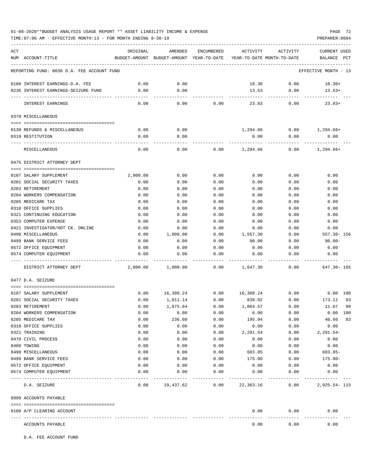# 01-08-2020\*\*BUDGET ANALYSIS USAGE REPORT \*\* ASSET LIABILITY INCOME & EXPENSE PAGE 72

TIME:07:06 AM - EFFECTIVE MONTH:13 - FOR MONTH ENDING 9-30-19 PREPARER:0004

| ACT<br>NUM ACCOUNT-TITLE                        | ORIGINAL     | AMENDED<br>BUDGET-AMOUNT BUDGET-AMOUNT YEAR-TO-DATE YEAR-TO-DATE MONTH-TO-DATE | ENCUMBERED   | ACTIVITY       | ACTIVITY     | <b>CURRENT USED</b><br>PCT<br>BALANCE |
|-------------------------------------------------|--------------|--------------------------------------------------------------------------------|--------------|----------------|--------------|---------------------------------------|
| REPORTING FUND: 0036 D.A. FEE ACCOUNT FUND      |              |                                                                                |              |                |              | EFFECTIVE MONTH - 13                  |
| 0100 INTEREST EARNINGS-D.A. FEE                 | 0.00         | 0.00                                                                           |              | 10.30          | 0.00         | $10.30+$                              |
| 0236 INTEREST EARNINGS-SEIZURE FUND             | 0.00         | 0.00                                                                           |              | 13.53          | 0.00         | $13.53+$                              |
|                                                 |              |                                                                                |              |                |              |                                       |
| INTEREST EARNINGS                               | 0.00         | 0.00                                                                           | 0.00         | 23.83          | 0.00         | $23.83+$                              |
| 0370 MISCELLANEOUS                              |              |                                                                                |              |                |              |                                       |
|                                                 |              |                                                                                |              |                |              |                                       |
| 0130 REFUNDS & MISCELLANEOUS                    | 0.00         | 0.00                                                                           |              | 1,294.66       | 0.00         | $1,294.66+$                           |
| 0319 RESTITUTION                                | 0.00         | 0.00                                                                           |              | 0.00           | 0.00         | 0.00                                  |
| MISCELLANEOUS                                   | 0.00         | 0.00                                                                           | 0.00         | 1,294.66       | 0.00         | 1,294.66+                             |
| 0475 DISTRICT ATTORNEY DEPT                     |              |                                                                                |              |                |              |                                       |
|                                                 |              |                                                                                |              |                |              |                                       |
| 0107 SALARY SUPPLEMENT                          | 2,000.00     | 0.00                                                                           | 0.00         | 0.00           | 0.00         | 0.00                                  |
| 0201 SOCIAL SECURITY TAXES                      | 0.00         | 0.00                                                                           | 0.00         | 0.00           | 0.00         | 0.00                                  |
| 0203 RETIREMENT                                 | 0.00         | 0.00                                                                           | 0.00         | 0.00           | 0.00         | 0.00                                  |
| 0204 WORKERS COMPENSATION                       | 0.00         | 0.00                                                                           | 0.00         | 0.00           | 0.00         | 0.00                                  |
| 0205 MEDICARE TAX                               | 0.00         | 0.00                                                                           | 0.00         | 0.00           | 0.00         | 0.00                                  |
| 0310 OFFICE SUPPLIES                            | 0.00         | 0.00                                                                           | 0.00         | 0.00           | 0.00         | 0.00                                  |
| 0321 CONTINUING EDUCATION                       | 0.00         | 0.00                                                                           | 0.00         | 0.00           | 0.00         | 0.00                                  |
| 0353 COMPUTER EXPENSE                           | 0.00         | 0.00                                                                           | 0.00         | 0.00           | 0.00         | 0.00                                  |
| 0421 INVESTIGATOR/HOT CK. ONLINE                | 0.00         | 0.00                                                                           | 0.00         | 0.00           | 0.00         | 0.00                                  |
| 0490 MISCELLANEOUS                              | 0.00         | 1,000.00                                                                       | 0.00         | 1,557.30       | 0.00         | $557.30 - 156$                        |
| 0499 BANK SERVICE FEES<br>0572 OFFICE EQUIPMENT | 0.00<br>0.00 | 0.00                                                                           | 0.00         | 90.00<br>0.00  | 0.00         | $90.00 -$<br>0.00                     |
| 0574 COMPUTER EQUIPMENT                         | 0.00         | 0.00<br>0.00                                                                   | 0.00<br>0.00 | 0.00           | 0.00<br>0.00 | 0.00                                  |
|                                                 |              |                                                                                |              |                |              |                                       |
| DISTRICT ATTORNEY DEPT                          | 2,000.00     | 1,000.00                                                                       | 0.00         | 1,647.30       | 0.00         | $647.30 - 165$                        |
| 0477 D.A. SEIZURE                               |              |                                                                                |              |                |              |                                       |
|                                                 |              |                                                                                |              |                |              |                                       |
| 0107 SALARY SUPPLEMENT                          | 0.00         | 16,308.24                                                                      | 0.00         | 16,308.24      | 0.00         | $0.00$ 100                            |
| 0201 SOCIAL SECURITY TAXES                      | 0.00         | 1,011.14                                                                       | 0.00         | 838.02         | 0.00         | 173.12<br>83                          |
| 0203 RETIREMENT                                 | 0.00         | 1,875.64                                                                       | 0.00         | 1,864.57       | 0.00         | 99<br>11.07                           |
| 0204 WORKERS COMPENSATION<br>0205 MEDICARE TAX  | 0.00         | 6.00                                                                           | 0.00         | 6.00           | 0.00         | $0.00$ 100                            |
| 0310 OFFICE SUPPLIES                            | 0.00<br>0.00 | 236.60<br>0.00                                                                 | 0.00<br>0.00 | 195.94<br>0.00 | 0.00<br>0.00 | 40.66<br>83<br>0.00                   |
| 0321 TRAINING                                   | 0.00         | 0.00                                                                           | 0.00         | 2,291.54       | 0.00         | $2,291.54-$                           |
| 0470 CIVIL PROCESS                              | 0.00         | 0.00                                                                           | 0.00         | 0.00           | 0.00         | 0.00                                  |
| 0480 TOWING                                     | 0.00         | 0.00                                                                           | 0.00         | 0.00           | 0.00         | 0.00                                  |
| 0490 MISCELLANEOUS                              | 0.00         | 0.00                                                                           | 0.00         | 683.85         | 0.00         | 683.85-                               |
| 0499 BANK SERVICE FEES                          | 0.00         | 0.00                                                                           | 0.00         | 175.00         | 0.00         | $175.00 -$                            |
| 0572 OFFICE EQUIPMENT                           | 0.00         | 0.00                                                                           | 0.00         | 0.00           | 0.00         | 0.00                                  |
| 0574 COMPUTER EQUIPMENT                         | 0.00         | 0.00                                                                           | 0.00         | 0.00           | 0.00         | 0.00                                  |
| D.A. SEIZURE                                    | 0.00         | 19,437.62                                                                      | 0.00         | 22,363.16      | 0.00         | 2,925.54- 115                         |
| 0999 ACCOUNTS PAYABLE                           |              |                                                                                |              |                |              |                                       |
| 0100 A/P CLEARING ACCOUNT                       |              |                                                                                |              | 0.00           | 0.00         | 0.00                                  |
|                                                 |              |                                                                                |              |                |              |                                       |
| ACCOUNTS PAYABLE                                |              |                                                                                |              | 0.00           | 0.00         | 0.00                                  |

D.A. FEE ACCOUNT FUND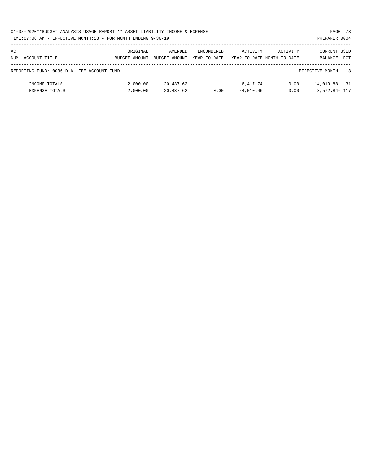| 01-08-2020**BUDGET ANALYSIS USAGE REPORT ** ASSET LIABILITY INCOME & EXPENSE | PAGE 73        |  |
|------------------------------------------------------------------------------|----------------|--|
| TIME:07:06 AM - EFFECTIVE MONTH:13 - FOR MONTH ENDING 9-30-19                | PREPARER: 0004 |  |

| ACT |                                            | ORIGINAL      | AMENDED       | ENCUMBERED   | ACTIVITY  | ACTIVITY                   | CURRENT USED         |            |
|-----|--------------------------------------------|---------------|---------------|--------------|-----------|----------------------------|----------------------|------------|
| NUM | ACCOUNT-TITLE                              | BUDGET-AMOUNT | BUDGET-AMOUNT | YEAR-TO-DATE |           | YEAR-TO-DATE MONTH-TO-DATE | BALANCE              | <b>PCT</b> |
|     |                                            |               |               |              |           |                            |                      |            |
|     | REPORTING FUND: 0036 D.A. FEE ACCOUNT FUND |               |               |              |           |                            | EFFECTIVE MONTH - 13 |            |
|     | INCOME TOTALS                              | 2,000.00      | 20,437.62     |              | 6,417.74  | 0.00                       | 14,019.88            | 31         |
|     | EXPENSE TOTALS                             | 2,000.00      | 20,437.62     | 0.00         | 24,010.46 | 0.00                       | 3,572.84- 117        |            |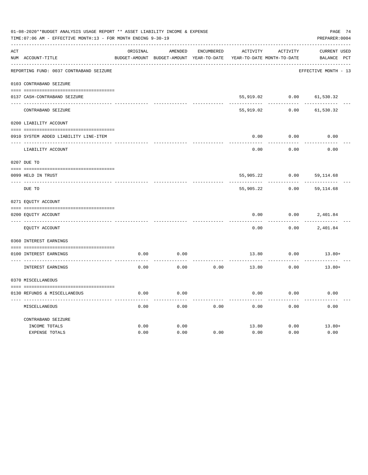|     | 01-08-2020**BUDGET ANALYSIS USAGE REPORT ** ASSET LIABILITY INCOME & EXPENSE<br>PAGE 74<br>TIME: 07:06 AM - EFFECTIVE MONTH: 13 - FOR MONTH ENDING 9-30-19<br>PREPARER: 0004 |          |                                          |                   |                            |          |                      |  |  |  |  |
|-----|------------------------------------------------------------------------------------------------------------------------------------------------------------------------------|----------|------------------------------------------|-------------------|----------------------------|----------|----------------------|--|--|--|--|
| ACT |                                                                                                                                                                              | ORIGINAL | AMENDED                                  | <b>ENCUMBERED</b> | ACTIVITY                   | ACTIVITY | CURRENT USED         |  |  |  |  |
|     | NUM ACCOUNT-TITLE                                                                                                                                                            |          | BUDGET-AMOUNT BUDGET-AMOUNT YEAR-TO-DATE |                   | YEAR-TO-DATE MONTH-TO-DATE |          | BALANCE PCT          |  |  |  |  |
|     | REPORTING FUND: 0037 CONTRABAND SEIZURE                                                                                                                                      |          |                                          |                   |                            |          | EFFECTIVE MONTH - 13 |  |  |  |  |
|     | 0103 CONTRABAND SEIZURE                                                                                                                                                      |          |                                          |                   |                            |          |                      |  |  |  |  |
|     | 0137 CASH-CONTRABAND SEIZURE                                                                                                                                                 |          |                                          |                   | 55,919.02                  | 0.00     | 61,530.32            |  |  |  |  |
|     | CONTRABAND SEIZURE                                                                                                                                                           |          |                                          |                   | 55,919.02                  | 0.00     | 61,530.32            |  |  |  |  |
|     | 0200 LIABILITY ACCOUNT                                                                                                                                                       |          |                                          |                   |                            |          |                      |  |  |  |  |
|     | 0910 SYSTEM ADDED LIABILITY LINE-ITEM                                                                                                                                        |          |                                          |                   | 0.00                       | 0.00     | 0.00                 |  |  |  |  |
|     | LIABILITY ACCOUNT                                                                                                                                                            |          |                                          |                   | 0.00                       | 0.00     | 0.00                 |  |  |  |  |
|     | 0207 DUE TO                                                                                                                                                                  |          |                                          |                   |                            |          |                      |  |  |  |  |
|     | 0099 HELD IN TRUST                                                                                                                                                           |          |                                          |                   | 55,905.22                  | 0.00     | 59, 114.68           |  |  |  |  |
|     | DUE TO                                                                                                                                                                       |          |                                          |                   | 55,905.22                  | 0.00     | 59, 114.68           |  |  |  |  |
|     | 0271 EQUITY ACCOUNT                                                                                                                                                          |          |                                          |                   |                            |          |                      |  |  |  |  |
|     | 0200 EQUITY ACCOUNT                                                                                                                                                          |          |                                          |                   | 0.00                       | 0.00     | 2,401.84             |  |  |  |  |
|     | EQUITY ACCOUNT                                                                                                                                                               |          |                                          |                   | 0.00                       | 0.00     | 2,401.84             |  |  |  |  |
|     | 0360 INTEREST EARNINGS                                                                                                                                                       |          |                                          |                   |                            |          |                      |  |  |  |  |
|     | 0100 INTEREST EARNINGS                                                                                                                                                       | 0.00     | 0.00                                     |                   | 13.80                      | 0.00     | $13.80+$             |  |  |  |  |
|     | INTEREST EARNINGS                                                                                                                                                            | 0.00     | 0.00                                     | 0.00              | 13.80                      | 0.00     | $13.80+$             |  |  |  |  |
|     | 0370 MISCELLANEOUS                                                                                                                                                           |          |                                          |                   |                            |          |                      |  |  |  |  |
|     | 0130 REFUNDS & MISCELLANEOUS                                                                                                                                                 | 0.00     | 0.00                                     |                   | 0.00                       | 0.00     | 0.00                 |  |  |  |  |
|     | MISCELLANEOUS                                                                                                                                                                | 0.00     | 0.00                                     | 0.00              | 0.00                       | 0.00     | 0.00                 |  |  |  |  |
|     | CONTRABAND SEIZURE                                                                                                                                                           |          |                                          |                   |                            |          |                      |  |  |  |  |
|     | INCOME TOTALS                                                                                                                                                                | 0.00     | 0.00                                     |                   | 13.80                      | 0.00     | $13.80+$             |  |  |  |  |
|     | <b>EXPENSE TOTALS</b>                                                                                                                                                        | 0.00     | 0.00                                     | 0.00              | 0.00                       | 0.00     | 0.00                 |  |  |  |  |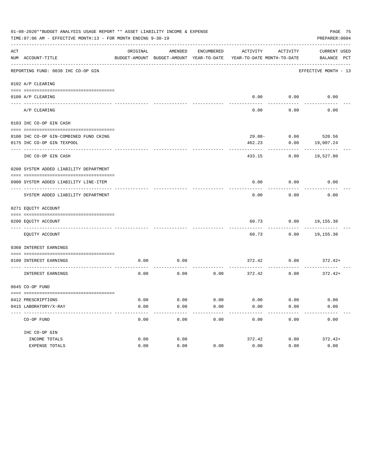| 01-08-2020**BUDGET ANALYSIS USAGE REPORT ** ASSET LIABILITY INCOME & EXPENSE<br>TIME: 07:06 AM - EFFECTIVE MONTH: 13 - FOR MONTH ENDING 9-30-19<br>PREPARER: 0004 |                                                                |          |                                                     |               |                                        |                   |                             |  |
|-------------------------------------------------------------------------------------------------------------------------------------------------------------------|----------------------------------------------------------------|----------|-----------------------------------------------------|---------------|----------------------------------------|-------------------|-----------------------------|--|
| ACT                                                                                                                                                               | NUM ACCOUNT-TITLE                                              | ORIGINAL | AMENDED<br>BUDGET-AMOUNT BUDGET-AMOUNT YEAR-TO-DATE | ENCUMBERED    | ACTIVITY<br>YEAR-TO-DATE MONTH-TO-DATE | ACTIVITY          | CURRENT USED<br>BALANCE PCT |  |
|                                                                                                                                                                   | REPORTING FUND: 0038 IHC CO-OP GIN                             |          |                                                     |               |                                        |                   | EFFECTIVE MONTH - 13        |  |
|                                                                                                                                                                   | 0102 A/P CLEARING                                              |          |                                                     |               |                                        |                   |                             |  |
|                                                                                                                                                                   | 0100 A/P CLEARING                                              |          |                                                     |               |                                        | $0.00$ $0.00$     | 0.00                        |  |
|                                                                                                                                                                   | A/P CLEARING                                                   |          |                                                     |               | 0.00                                   | 0.00              | 0.00                        |  |
|                                                                                                                                                                   | 0103 IHC CO-OP GIN CASH                                        |          |                                                     |               |                                        |                   |                             |  |
|                                                                                                                                                                   | 0100 IHC CO-OP GIN-COMBINED FUND CKING                         |          |                                                     |               |                                        | $29.08 -$         | $0.00$ 520.56               |  |
|                                                                                                                                                                   | 0175 IHC CO-OP GIN TEXPOOL                                     |          |                                                     |               | 462.23                                 | 0.00              | 19,007.24                   |  |
|                                                                                                                                                                   | -------------<br>IHC CO-OP GIN CASH                            |          |                                                     |               | 433.15                                 | 0.00              | 19,527.80                   |  |
|                                                                                                                                                                   | 0200 SYSTEM ADDED LIABILITY DEPARTMENT                         |          |                                                     |               |                                        |                   |                             |  |
|                                                                                                                                                                   |                                                                |          |                                                     |               |                                        |                   |                             |  |
|                                                                                                                                                                   | 0900 SYSTEM ADDED LIABILITY LINE-ITEM                          |          |                                                     |               | 0.00                                   | 0.00              | 0.00                        |  |
|                                                                                                                                                                   | SYSTEM ADDED LIABILITY DEPARTMENT                              |          |                                                     |               | 0.00                                   | 0.00              | 0.00                        |  |
|                                                                                                                                                                   | 0271 EQUITY ACCOUNT                                            |          |                                                     |               |                                        |                   |                             |  |
|                                                                                                                                                                   | 0200 EQUITY ACCOUNT                                            |          |                                                     |               | 60.73                                  | 0.00              | 19,155.38                   |  |
|                                                                                                                                                                   | EQUITY ACCOUNT                                                 |          |                                                     |               | 60.73                                  | 0.00              | 19,155.38                   |  |
|                                                                                                                                                                   | 0360 INTEREST EARNINGS                                         |          |                                                     |               |                                        |                   |                             |  |
|                                                                                                                                                                   | 0100 INTEREST EARNINGS                                         | 0.00     | 0.00                                                |               | 372.42                                 | 0.00              | $372.42+$                   |  |
|                                                                                                                                                                   | INTEREST EARNINGS                                              | 0.00     | 0.00                                                | 0.00          | 372.42                                 | 0.00              | 372.42+                     |  |
|                                                                                                                                                                   | 0645 CO-OP FUND                                                |          |                                                     |               |                                        |                   |                             |  |
|                                                                                                                                                                   |                                                                |          |                                                     |               |                                        |                   |                             |  |
|                                                                                                                                                                   | 0412 PRESCRIPTIONS                                             | 0.00     | 0.00                                                | 0.00          | 0.00                                   | 0.00              | 0.00                        |  |
|                                                                                                                                                                   | 0415 LABORATORY/X-RAY<br>------------------------------------- | 0.00     | 0.00<br>$- - - - - -$                               | 0.00<br>----- | 0.00<br>---------                      | 0.00<br>--------- | 0.00<br>----------          |  |
|                                                                                                                                                                   | CO-OP FUND                                                     | 0.00     | 0.00                                                | 0.00          | 0.00                                   | 0.00              | 0.00                        |  |
|                                                                                                                                                                   | IHC CO-OP GIN                                                  |          |                                                     |               |                                        |                   |                             |  |
|                                                                                                                                                                   | INCOME TOTALS                                                  | 0.00     | 0.00                                                |               | 372.42                                 | 0.00              | $372.42+$                   |  |
|                                                                                                                                                                   | EXPENSE TOTALS                                                 | 0.00     | 0.00                                                | 0.00          | 0.00                                   | 0.00              | 0.00                        |  |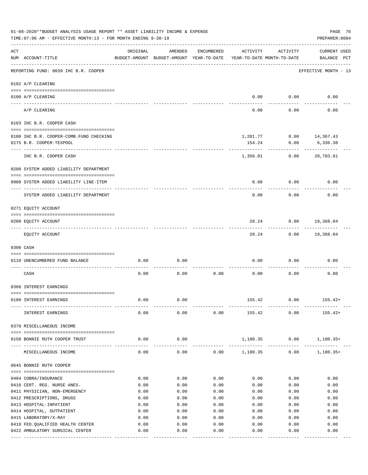|     | 01-08-2020**BUDGET ANALYSIS USAGE REPORT ** ASSET LIABILITY INCOME & EXPENSE<br>PAGE 76<br>TIME: 07:06 AM - EFFECTIVE MONTH: 13 - FOR MONTH ENDING 9-30-19<br>PREPARER: 0004 |                         |                                                     |                 |                                        |                      |                                    |  |  |  |
|-----|------------------------------------------------------------------------------------------------------------------------------------------------------------------------------|-------------------------|-----------------------------------------------------|-----------------|----------------------------------------|----------------------|------------------------------------|--|--|--|
| ACT | NUM ACCOUNT-TITLE                                                                                                                                                            | ORIGINAL                | AMENDED<br>BUDGET-AMOUNT BUDGET-AMOUNT YEAR-TO-DATE | ENCUMBERED      | ACTIVITY<br>YEAR-TO-DATE MONTH-TO-DATE | ACTIVITY             | <b>CURRENT USED</b><br>BALANCE PCT |  |  |  |
|     | REPORTING FUND: 0039 IHC B.R. COOPER                                                                                                                                         |                         |                                                     |                 |                                        |                      | EFFECTIVE MONTH - 13               |  |  |  |
|     | 0102 A/P CLEARING                                                                                                                                                            |                         |                                                     |                 |                                        |                      |                                    |  |  |  |
|     | 0100 A/P CLEARING                                                                                                                                                            |                         |                                                     |                 | 0.00                                   | 0.00                 | 0.00                               |  |  |  |
|     | ---- ---------<br>---------------------- -----------<br>A/P CLEARING                                                                                                         |                         |                                                     |                 | 0.00                                   | 0.00                 | 0.00                               |  |  |  |
|     | 0103 IHC B.R. COOPER CASH                                                                                                                                                    |                         |                                                     |                 |                                        |                      |                                    |  |  |  |
|     | 0100 IHC B.R. COOPER-COMB.FUND CHECKING                                                                                                                                      |                         |                                                     |                 |                                        |                      | 1,201.77 0.00 14,367.43            |  |  |  |
|     | 0175 B.R. COOPER-TEXPOOL                                                                                                                                                     |                         |                                                     |                 | 154.24                                 | 0.00                 | 6,336.38                           |  |  |  |
|     | IHC B.R. COOPER CASH                                                                                                                                                         |                         |                                                     |                 | 1,356.01                               | 0.00                 | 20,703.81                          |  |  |  |
|     | 0200 SYSTEM ADDED LIABILITY DEPARTMENT                                                                                                                                       |                         |                                                     |                 |                                        |                      |                                    |  |  |  |
|     |                                                                                                                                                                              |                         |                                                     |                 |                                        |                      |                                    |  |  |  |
|     | 0900 SYSTEM ADDED LIABILITY LINE-ITEM                                                                                                                                        |                         |                                                     |                 | 0.00                                   | 0.00                 | 0.00                               |  |  |  |
|     | SYSTEM ADDED LIABILITY DEPARTMENT                                                                                                                                            |                         |                                                     |                 | 0.00                                   | 0.00                 | 0.00                               |  |  |  |
|     | 0271 EQUITY ACCOUNT                                                                                                                                                          |                         |                                                     |                 |                                        |                      |                                    |  |  |  |
|     | 0200 EQUITY ACCOUNT                                                                                                                                                          |                         |                                                     |                 | 20.24                                  | 0.00                 | 19,368.04                          |  |  |  |
|     | EQUITY ACCOUNT                                                                                                                                                               |                         |                                                     |                 | 20.24                                  |                      | $0.00$ 19,368.04                   |  |  |  |
|     | 0300 CASH                                                                                                                                                                    |                         |                                                     |                 |                                        |                      |                                    |  |  |  |
|     |                                                                                                                                                                              |                         |                                                     |                 |                                        |                      |                                    |  |  |  |
|     | 0110 UNENCUMBERED FUND BALANCE                                                                                                                                               | 0.00                    | 0.00                                                |                 | 0.00                                   | 0.00                 | 0.00                               |  |  |  |
|     | CASH                                                                                                                                                                         | 0.00                    | 0.00                                                | 0.00            | 0.00                                   | 0.00                 | 0.00                               |  |  |  |
|     | 0360 INTEREST EARNINGS                                                                                                                                                       |                         |                                                     |                 |                                        |                      |                                    |  |  |  |
|     | 0100 INTEREST EARNINGS                                                                                                                                                       | 0.00                    | 0.00                                                |                 | 155.42                                 | 0.00                 | $155.42+$                          |  |  |  |
|     | INTEREST EARNINGS                                                                                                                                                            | 0.00                    | 0.00                                                | 0.00            | 155.42                                 | 0.00                 | $155.42+$                          |  |  |  |
|     | 0370 MISCELLANEOUS INCOME                                                                                                                                                    |                         |                                                     |                 |                                        |                      |                                    |  |  |  |
|     | 0150 BONNIE RUTH COOPER TRUST                                                                                                                                                | 0.00                    | 0.00                                                |                 | 1,180.35                               | 0.00                 | $1,180.35+$                        |  |  |  |
|     | MISCELLANEOUS INCOME                                                                                                                                                         | 0.00                    | $- - - - -$<br>0.00                                 |                 | -------------<br>$0.00$ 1,180.35       | . <u>.</u> .<br>0.00 | $1,180.35+$                        |  |  |  |
|     | 0645 BONNIE RUTH COOPER                                                                                                                                                      |                         |                                                     |                 |                                        |                      |                                    |  |  |  |
|     |                                                                                                                                                                              |                         |                                                     |                 |                                        |                      |                                    |  |  |  |
|     | 0404 COBRA/INSURANCE<br>0410 CERT. REG. NURSE ANES.                                                                                                                          | 0.00                    | 0.00<br>0.00                                        | 0.00<br>0.00    | 0.00                                   | 0.00                 | 0.00<br>0.00                       |  |  |  |
|     | 0411 PHYSICIAN, NON-EMERGENCY                                                                                                                                                | 0.00<br>0.00            | 0.00                                                | 0.00            | 0.00<br>0.00                           | 0.00<br>0.00         | 0.00                               |  |  |  |
|     | 0412 PRESCRIPTIONS, DRUGS                                                                                                                                                    | 0.00                    | 0.00                                                | 0.00            | 0.00                                   | 0.00                 | 0.00                               |  |  |  |
|     | 0413 HOSPITAL-INPATIENT                                                                                                                                                      | 0.00                    | 0.00                                                | 0.00            | 0.00                                   | 0.00                 | 0.00                               |  |  |  |
|     | 0414 HOSPITAL, OUTPATIENT                                                                                                                                                    | 0.00                    | 0.00                                                | 0.00            | 0.00                                   | 0.00                 | 0.00                               |  |  |  |
|     | 0415 LABORATORY/X-RAY                                                                                                                                                        | 0.00                    | 0.00                                                | 0.00            | 0.00                                   | 0.00                 | 0.00                               |  |  |  |
|     | 0418 FED.QUALIFIED HEALTH CENTER                                                                                                                                             | 0.00                    | 0.00                                                | 0.00            | 0.00                                   | 0.00                 | 0.00                               |  |  |  |
|     | 0422 AMBULATORY SURGICAL CENTER                                                                                                                                              | 0.00<br>- ------------- | 0.00<br>$- - - - -$                                 | 0.00<br>------- | 0.00                                   | 0.00                 | 0.00<br>-------                    |  |  |  |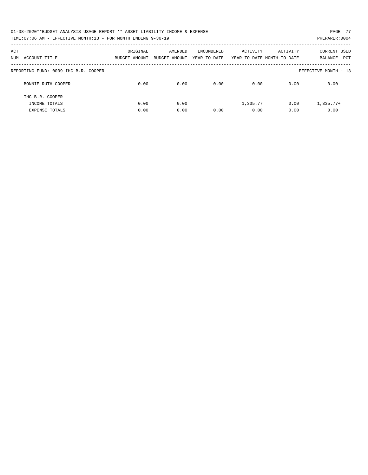| 01-08-2020**BUDGET ANALYSIS USAGE REPORT ** ASSET LIABILITY INCOME & EXPENSE | PAGE 77        |
|------------------------------------------------------------------------------|----------------|
| TIME:07:06 AM - EFFECTIVE MONTH:13 - FOR MONTH ENDING 9-30-19                | PREPARER: 0004 |

| ACT<br>ACCOUNT-TITLE<br>NUM          | ORIGINAL<br>BUDGET-AMOUNT | AMENDED<br>BUDGET-AMOUNT | ENCUMBERED<br>YEAR-TO-DATE | ACTIVITY | ACTIVITY<br>YEAR-TO-DATE MONTH-TO-DATE | <b>CURRENT USED</b><br>PCT<br>BALANCE |
|--------------------------------------|---------------------------|--------------------------|----------------------------|----------|----------------------------------------|---------------------------------------|
| REPORTING FUND: 0039 IHC B.R. COOPER |                           |                          |                            |          |                                        | EFFECTIVE MONTH - 13                  |
| BONNIE RUTH COOPER                   | 0.00                      | 0.00                     | 0.00                       | 0.00     | 0.00                                   | 0.00                                  |
| THC B.R. COOPER                      |                           |                          |                            |          |                                        |                                       |
| INCOME TOTALS                        | 0.00                      | 0.00                     |                            | 1,335.77 | 0.00                                   | $1.335.77+$                           |
| <b>EXPENSE TOTALS</b>                | 0.00                      | 0.00                     | 0.00                       | 0.00     | 0.00                                   | 0.00                                  |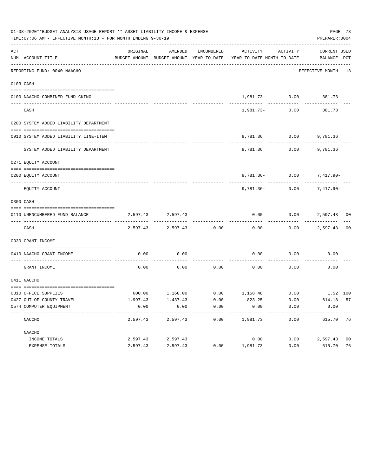|     | 01-08-2020**BUDGET ANALYSIS USAGE REPORT ** ASSET LIABILITY INCOME & EXPENSE<br>TIME: 07:06 AM - EFFECTIVE MONTH: 13 - FOR MONTH ENDING 9-30-19 |          |                   |            |                                                                                                                                                                          |                          | PREPARER: 0004       | PAGE 78        |
|-----|-------------------------------------------------------------------------------------------------------------------------------------------------|----------|-------------------|------------|--------------------------------------------------------------------------------------------------------------------------------------------------------------------------|--------------------------|----------------------|----------------|
| ACT | NUM ACCOUNT-TITLE                                                                                                                               | ORIGINAL | AMENDED           | ENCUMBERED | ACTIVITY<br>BUDGET-AMOUNT BUDGET-AMOUNT YEAR-TO-DATE YEAR-TO-DATE MONTH-TO-DATE BALANCE PCT                                                                              | ACTIVITY                 | CURRENT USED         |                |
|     | --------------------------------<br>REPORTING FUND: 0040 NAACHO                                                                                 |          |                   |            |                                                                                                                                                                          |                          | EFFECTIVE MONTH - 13 |                |
|     | 0103 CASH                                                                                                                                       |          |                   |            |                                                                                                                                                                          |                          |                      |                |
|     | 0100 NAACHO-COMBINED FUND CKING                                                                                                                 |          |                   |            |                                                                                                                                                                          | $1,981.73 - 0.00$ 381.73 |                      |                |
|     | CASH                                                                                                                                            |          |                   |            |                                                                                                                                                                          | 1,981.73- 0.00           | 381.73               |                |
|     | 0200 SYSTEM ADDED LIABILITY DEPARTMENT                                                                                                          |          |                   |            |                                                                                                                                                                          |                          |                      |                |
|     | 0910 SYSTEM ADDED LIABILITY LINE-ITEM                                                                                                           |          |                   |            |                                                                                                                                                                          | 9,781.36 0.00 9,781.36   |                      |                |
|     | SYSTEM ADDED LIABILITY DEPARTMENT                                                                                                               |          |                   |            |                                                                                                                                                                          | 9,781.36 0.00 9,781.36   |                      |                |
|     | 0271 EQUITY ACCOUNT                                                                                                                             |          |                   |            |                                                                                                                                                                          |                          |                      |                |
|     | 0200 EOUITY ACCOUNT                                                                                                                             |          |                   |            |                                                                                                                                                                          | 9,781.36- 0.00 7,417.90- |                      |                |
|     | EQUITY ACCOUNT                                                                                                                                  |          |                   |            | 9,781.36-                                                                                                                                                                | 0.00                     | 7,417.90-            |                |
|     | 0300 CASH                                                                                                                                       |          |                   |            |                                                                                                                                                                          |                          |                      |                |
|     | 0110 UNENCUMBERED FUND BALANCE                                                                                                                  |          | 2,597.43 2,597.43 |            | 0.00                                                                                                                                                                     |                          | $0.00$ 2,597.43 00   |                |
|     | CASH                                                                                                                                            | 2,597.43 | 2,597.43          | 0.00       | 0.00                                                                                                                                                                     |                          | $0.00$ 2,597.43 00   |                |
|     | 0330 GRANT INCOME                                                                                                                               |          |                   |            |                                                                                                                                                                          |                          |                      |                |
|     | 0410 NAACHO GRANT INCOME                                                                                                                        | 0.00     | 0.00              |            | 0.00                                                                                                                                                                     | 0.00                     | 0.00                 |                |
|     | GRANT INCOME                                                                                                                                    | 0.00     | 0.00              | 0.00       | 0.00                                                                                                                                                                     | 0.00                     | 0.00                 |                |
|     | 0411 NACCHO                                                                                                                                     |          |                   |            |                                                                                                                                                                          |                          |                      |                |
|     | 0310 OFFICE SUPPLIES                                                                                                                            |          |                   |            | $\begin{array}{cccccccc} 600.00 & \hspace{1.5cm} 1,160.00 & \hspace{1.5cm} 0.00 & \hspace{1.5cm} 1,158.48 & \hspace{1.5cm} 0.00 & \hspace{1.5cm} 1.52 & 100 \end{array}$ |                          |                      |                |
|     | 0427 OUT OF COUNTY TRAVEL                                                                                                                       | 1,997.43 | 1,437.43          | 0.00       | 823.25                                                                                                                                                                   | 0.00                     | 614.18 57            |                |
|     | 0574 COMPUTER EQUIPMENT                                                                                                                         | 0.00     | 0.00              | 0.00       | 0.00<br>--------                                                                                                                                                         | 0.00                     | 0.00                 |                |
|     | NACCHO                                                                                                                                          | 2,597.43 | 2,597.43          | 0.00       | 1,981.73                                                                                                                                                                 | 0.00                     | 615.70               | - 76           |
|     | NAACHO                                                                                                                                          |          |                   |            |                                                                                                                                                                          |                          |                      |                |
|     | INCOME TOTALS                                                                                                                                   | 2,597.43 | 2,597.43          |            | 0.00                                                                                                                                                                     | 0.00                     | 2,597.43             | 0 <sub>0</sub> |
|     | EXPENSE TOTALS                                                                                                                                  | 2,597.43 | 2,597.43          | 0.00       | 1,981.73                                                                                                                                                                 | 0.00                     | 615.70               | 76             |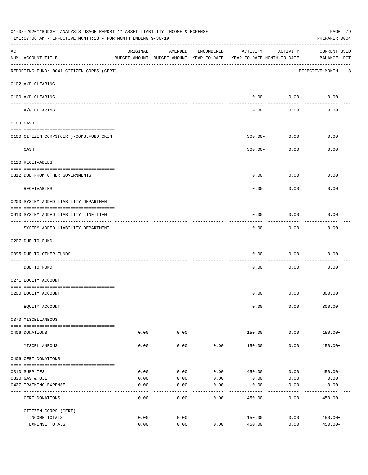|     | 01-08-2020**BUDGET ANALYSIS USAGE REPORT ** ASSET LIABILITY INCOME & EXPENSE<br>TIME: 07:06 AM - EFFECTIVE MONTH: 13 - FOR MONTH ENDING 9-30-19<br>PREPARER: 0004 |                |                                                                                |            |                  |                    |                                    |  |  |  |
|-----|-------------------------------------------------------------------------------------------------------------------------------------------------------------------|----------------|--------------------------------------------------------------------------------|------------|------------------|--------------------|------------------------------------|--|--|--|
| ACT | NUM ACCOUNT-TITLE                                                                                                                                                 | ORIGINAL       | AMENDED<br>BUDGET-AMOUNT BUDGET-AMOUNT YEAR-TO-DATE YEAR-TO-DATE MONTH-TO-DATE | ENCUMBERED | ACTIVITY         | ACTIVITY           | <b>CURRENT USED</b><br>BALANCE PCT |  |  |  |
|     | REPORTING FUND: 0041 CITIZEN CORPS (CERT)                                                                                                                         |                |                                                                                |            |                  |                    | EFFECTIVE MONTH - 13               |  |  |  |
|     | 0102 A/P CLEARING                                                                                                                                                 |                |                                                                                |            |                  |                    |                                    |  |  |  |
|     | 0100 A/P CLEARING                                                                                                                                                 |                |                                                                                |            | 0.00             | 0.00               | 0.00                               |  |  |  |
|     | A/P CLEARING                                                                                                                                                      |                |                                                                                |            | 0.00             | 0.00               | 0.00                               |  |  |  |
|     | 0103 CASH                                                                                                                                                         |                |                                                                                |            |                  |                    |                                    |  |  |  |
|     | 0100 CITIZEN CORPS (CERT)-COMB. FUND CKIN                                                                                                                         |                |                                                                                |            |                  | $300.00 - 0.00$    | 0.00                               |  |  |  |
|     | CASH                                                                                                                                                              |                |                                                                                |            | $300.00 -$       | .<br>0.00          | 0.00                               |  |  |  |
|     | 0120 RECEIVABLES                                                                                                                                                  |                |                                                                                |            |                  |                    |                                    |  |  |  |
|     | 0312 DUE FROM OTHER GOVERNMENTS                                                                                                                                   |                |                                                                                |            | 0.00             | 0.00               | 0.00                               |  |  |  |
|     | RECEIVABLES                                                                                                                                                       |                |                                                                                |            | 0.00             | 0.00               | 0.00                               |  |  |  |
|     | 0200 SYSTEM ADDED LIABILITY DEPARTMENT                                                                                                                            |                |                                                                                |            |                  |                    |                                    |  |  |  |
|     | 0910 SYSTEM ADDED LIABILITY LINE-ITEM                                                                                                                             |                |                                                                                |            | 0.00             | 0.00               | 0.00                               |  |  |  |
|     | SYSTEM ADDED LIABILITY DEPARTMENT                                                                                                                                 |                |                                                                                |            | 0.00             | 0.00               | 0.00                               |  |  |  |
|     | 0207 DUE TO FUND                                                                                                                                                  |                |                                                                                |            |                  |                    |                                    |  |  |  |
|     | 0095 DUE TO OTHER FUNDS                                                                                                                                           |                |                                                                                |            | 0.00             | 0.00               | 0.00                               |  |  |  |
|     | DUE TO FUND                                                                                                                                                       |                |                                                                                |            | 0.00             | 0.00               | 0.00                               |  |  |  |
|     | 0271 EQUITY ACCOUNT                                                                                                                                               |                |                                                                                |            |                  |                    |                                    |  |  |  |
|     | 0200 EQUITY ACCOUNT                                                                                                                                               |                |                                                                                |            | 0.00             |                    | $0.00$ 300.00                      |  |  |  |
|     | EQUITY ACCOUNT                                                                                                                                                    |                |                                                                                |            | 0.00             | 0.00               | 300.00                             |  |  |  |
|     | 0370 MISCELLANEOUS                                                                                                                                                |                |                                                                                |            |                  |                    |                                    |  |  |  |
|     | 0406 DONATIONS                                                                                                                                                    | 0.00           | 0.00                                                                           |            | 150.00           | 0.00               | $150.00+$                          |  |  |  |
|     | MISCELLANEOUS                                                                                                                                                     | ------<br>0.00 | ----------<br>0.00                                                             | 0.00       | 150.00           | ----------<br>0.00 | $150.00+$                          |  |  |  |
|     | 0406 CERT DONATIONS                                                                                                                                               |                |                                                                                |            |                  |                    |                                    |  |  |  |
|     | 0310 SUPPLIES                                                                                                                                                     | 0.00           | 0.00                                                                           | 0.00       | 450.00           | 0.00               | $450.00 -$                         |  |  |  |
|     | 0330 GAS & OIL                                                                                                                                                    | 0.00           | 0.00                                                                           | 0.00       | 0.00             | 0.00               | 0.00                               |  |  |  |
|     | 0427 TRAINING EXPENSE                                                                                                                                             | 0.00           | 0.00                                                                           | 0.00       | 0.00             | 0.00               | 0.00                               |  |  |  |
|     | CERT DONATIONS                                                                                                                                                    | 0.00           | 0.00                                                                           | 0.00       | 450.00           | 0.00               | $450.00 -$                         |  |  |  |
|     | CITIZEN CORPS (CERT)                                                                                                                                              |                |                                                                                |            |                  |                    |                                    |  |  |  |
|     | INCOME TOTALS<br>EXPENSE TOTALS                                                                                                                                   | 0.00<br>0.00   | 0.00<br>0.00                                                                   | 0.00       | 150.00<br>450.00 | 0.00<br>0.00       | $150.00+$<br>$450.00 -$            |  |  |  |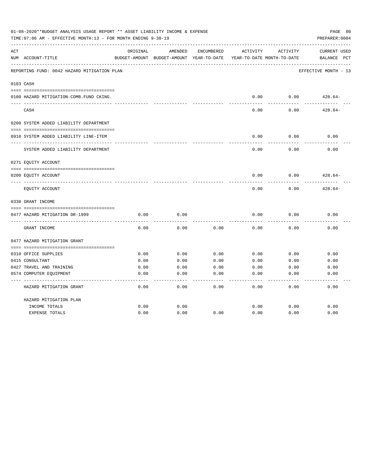| 01-08-2020**BUDGET ANALYSIS USAGE REPORT ** ASSET LIABILITY INCOME & EXPENSE<br>TIME: 07:06 AM - EFFECTIVE MONTH: 13 - FOR MONTH ENDING 9-30-19<br>PREPARER: 0004 |                                             |              |                                                     |              |              |                                        |                                                |  |
|-------------------------------------------------------------------------------------------------------------------------------------------------------------------|---------------------------------------------|--------------|-----------------------------------------------------|--------------|--------------|----------------------------------------|------------------------------------------------|--|
| ACT                                                                                                                                                               | NUM ACCOUNT-TITLE                           | ORIGINAL     | AMENDED<br>BUDGET-AMOUNT BUDGET-AMOUNT YEAR-TO-DATE | ENCUMBERED   | ACTIVITY     | ACTIVITY<br>YEAR-TO-DATE MONTH-TO-DATE | <b>CURRENT USED</b><br>$_{\rm PCT}$<br>BALANCE |  |
|                                                                                                                                                                   | REPORTING FUND: 0042 HAZARD MITIGATION PLAN |              |                                                     |              |              |                                        | EFFECTIVE MONTH - 13                           |  |
|                                                                                                                                                                   | 0103 CASH                                   |              |                                                     |              |              |                                        |                                                |  |
|                                                                                                                                                                   | 0100 HAZARD MITIGATION-COMB.FUND CKING.     |              |                                                     |              | 0.00         | 0.00                                   | $428.64-$                                      |  |
|                                                                                                                                                                   | CASH                                        |              |                                                     |              | 0.00         | 0.00                                   | $428.64-$                                      |  |
|                                                                                                                                                                   | 0200 SYSTEM ADDED LIABILITY DEPARTMENT      |              |                                                     |              |              |                                        |                                                |  |
|                                                                                                                                                                   |                                             |              |                                                     |              |              |                                        |                                                |  |
|                                                                                                                                                                   | 0910 SYSTEM ADDED LIABILITY LINE-ITEM       |              |                                                     |              | 0.00         | 0.00                                   | 0.00                                           |  |
|                                                                                                                                                                   | SYSTEM ADDED LIABILITY DEPARTMENT           |              |                                                     |              | 0.00         | 0.00                                   | 0.00                                           |  |
|                                                                                                                                                                   | 0271 EQUITY ACCOUNT                         |              |                                                     |              |              |                                        |                                                |  |
|                                                                                                                                                                   | 0200 EQUITY ACCOUNT                         |              |                                                     |              | 0.00         | 0.00                                   | $428.64-$                                      |  |
|                                                                                                                                                                   | EOUITY ACCOUNT                              |              |                                                     |              | 0.00         | 0.00                                   | $428.64-$                                      |  |
|                                                                                                                                                                   | 0330 GRANT INCOME                           |              |                                                     |              |              |                                        |                                                |  |
|                                                                                                                                                                   |                                             |              |                                                     |              |              |                                        |                                                |  |
|                                                                                                                                                                   | 0477 HAZARD MITIGATION DR-1999              | 0.00         | 0.00                                                |              | 0.00         | 0.00                                   | 0.00                                           |  |
|                                                                                                                                                                   | GRANT INCOME                                | 0.00         | 0.00                                                | 0.00         | 0.00         | 0.00                                   | 0.00                                           |  |
|                                                                                                                                                                   | 0477 HAZARD MITIGATION GRANT                |              |                                                     |              |              |                                        |                                                |  |
|                                                                                                                                                                   |                                             |              |                                                     |              |              |                                        | 0.00                                           |  |
|                                                                                                                                                                   | 0310 OFFICE SUPPLIES<br>0415 CONSULTANT     | 0.00<br>0.00 | 0.00<br>0.00                                        | 0.00<br>0.00 | 0.00<br>0.00 | 0.00<br>0.00                           | 0.00                                           |  |
|                                                                                                                                                                   | 0427 TRAVEL AND TRAINING                    | 0.00         | 0.00                                                | 0.00         | 0.00         | 0.00                                   | 0.00                                           |  |
|                                                                                                                                                                   | 0574 COMPUTER EQUIPMENT                     | 0.00         | 0.00                                                | 0.00         | 0.00         | 0.00                                   | 0.00                                           |  |
|                                                                                                                                                                   |                                             |              |                                                     |              |              |                                        |                                                |  |
|                                                                                                                                                                   | HAZARD MITIGATION GRANT                     | 0.00         | 0.00                                                | 0.00         | 0.00         | 0.00                                   | 0.00                                           |  |
|                                                                                                                                                                   | HAZARD MITIGATION PLAN                      |              |                                                     |              |              |                                        |                                                |  |
|                                                                                                                                                                   | INCOME TOTALS                               | 0.00         | 0.00                                                |              | 0.00         | 0.00                                   | 0.00                                           |  |
|                                                                                                                                                                   | <b>EXPENSE TOTALS</b>                       | 0.00         | 0.00                                                | 0.00         | 0.00         | 0.00                                   | 0.00                                           |  |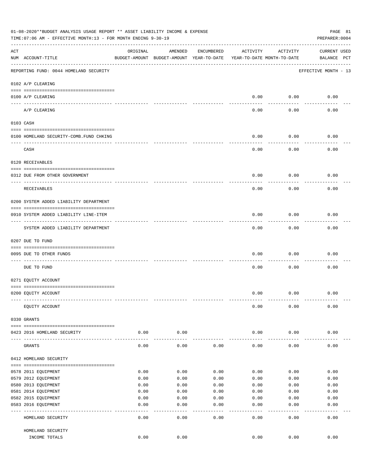|     | 01-08-2020**BUDGET ANALYSIS USAGE REPORT ** ASSET LIABILITY INCOME & EXPENSE<br>PAGE 81<br>TIME: 07:06 AM - EFFECTIVE MONTH: 13 - FOR MONTH ENDING 9-30-19<br>PREPARER: 0004 |          |                                                     |              |                                        |           |                                    |  |  |  |
|-----|------------------------------------------------------------------------------------------------------------------------------------------------------------------------------|----------|-----------------------------------------------------|--------------|----------------------------------------|-----------|------------------------------------|--|--|--|
| ACT | NUM ACCOUNT-TITLE                                                                                                                                                            | ORIGINAL | AMENDED<br>BUDGET-AMOUNT BUDGET-AMOUNT YEAR-TO-DATE | ENCUMBERED   | ACTIVITY<br>YEAR-TO-DATE MONTH-TO-DATE | ACTIVITY  | <b>CURRENT USED</b><br>BALANCE PCT |  |  |  |
|     | REPORTING FUND: 0044 HOMELAND SECURITY                                                                                                                                       |          |                                                     |              |                                        |           | EFFECTIVE MONTH - 13               |  |  |  |
|     | 0102 A/P CLEARING                                                                                                                                                            |          |                                                     |              |                                        |           |                                    |  |  |  |
|     | 0100 A/P CLEARING<br>---- ----------                                                                                                                                         |          |                                                     |              | 0.00                                   | 0.00      | 0.00                               |  |  |  |
|     | A/P CLEARING                                                                                                                                                                 |          |                                                     |              | 0.00                                   | 0.00      | 0.00                               |  |  |  |
|     | 0103 CASH                                                                                                                                                                    |          |                                                     |              |                                        |           |                                    |  |  |  |
|     | 0100 HOMELAND SECURITY-COMB.FUND CHKING                                                                                                                                      |          |                                                     |              | 0.00                                   | 0.00      | 0.00                               |  |  |  |
|     | CASH                                                                                                                                                                         |          |                                                     |              | 0.00                                   | 0.00      | 0.00                               |  |  |  |
|     | 0120 RECEIVABLES                                                                                                                                                             |          |                                                     |              |                                        |           |                                    |  |  |  |
|     | 0312 DUE FROM OTHER GOVERNMENT                                                                                                                                               |          |                                                     |              | 0.00                                   | 0.00      | 0.00                               |  |  |  |
|     |                                                                                                                                                                              |          |                                                     |              |                                        |           |                                    |  |  |  |
|     | RECEIVABLES                                                                                                                                                                  |          |                                                     |              | 0.00                                   | 0.00      | 0.00                               |  |  |  |
|     | 0200 SYSTEM ADDED LIABILITY DEPARTMENT                                                                                                                                       |          |                                                     |              |                                        |           |                                    |  |  |  |
|     | 0910 SYSTEM ADDED LIABILITY LINE-ITEM                                                                                                                                        |          |                                                     |              | 0.00                                   | 0.00      | 0.00                               |  |  |  |
|     | SYSTEM ADDED LIABILITY DEPARTMENT                                                                                                                                            |          |                                                     |              | 0.00                                   | 0.00      | 0.00                               |  |  |  |
|     | 0207 DUE TO FUND                                                                                                                                                             |          |                                                     |              |                                        |           |                                    |  |  |  |
|     | 0095 DUE TO OTHER FUNDS                                                                                                                                                      |          |                                                     |              | 0.00                                   | 0.00      | 0.00                               |  |  |  |
|     | DUE TO FUND                                                                                                                                                                  |          |                                                     |              | 0.00                                   | 0.00      | 0.00                               |  |  |  |
|     | 0271 EQUITY ACCOUNT                                                                                                                                                          |          |                                                     |              |                                        |           |                                    |  |  |  |
|     | 0200 EQUITY ACCOUNT                                                                                                                                                          |          |                                                     |              | 0.00                                   | 0.00      | 0.00                               |  |  |  |
|     |                                                                                                                                                                              |          |                                                     |              |                                        |           |                                    |  |  |  |
|     | EQUITY ACCOUNT                                                                                                                                                               |          |                                                     |              | 0.00                                   | 0.00      | 0.00                               |  |  |  |
|     | 0330 GRANTS                                                                                                                                                                  |          |                                                     |              |                                        |           |                                    |  |  |  |
|     | 0423 2016 HOMELAND SECURITY                                                                                                                                                  | 0.00     | 0.00                                                |              | 0.00                                   | 0.00      | 0.00                               |  |  |  |
|     | GRANTS                                                                                                                                                                       | 0.00     | 0.00                                                | 0.00         | 0.00                                   | 0.00      | 0.00                               |  |  |  |
|     |                                                                                                                                                                              |          |                                                     |              |                                        |           |                                    |  |  |  |
|     | 0412 HOMELAND SECURITY                                                                                                                                                       |          |                                                     |              |                                        |           |                                    |  |  |  |
|     | 0578 2011 EQUIPMENT                                                                                                                                                          | 0.00     | 0.00                                                | 0.00         | 0.00                                   | 0.00      | 0.00                               |  |  |  |
|     | 0579 2012 EQUIPMENT                                                                                                                                                          | 0.00     | 0.00                                                | 0.00         | 0.00                                   | 0.00      | 0.00                               |  |  |  |
|     | 0580 2013 EQUIPMENT                                                                                                                                                          | 0.00     | 0.00                                                | 0.00         | 0.00                                   | 0.00      | 0.00                               |  |  |  |
|     | 0581 2014 EQUIPMENT                                                                                                                                                          | 0.00     | 0.00                                                | 0.00         | 0.00                                   | 0.00      | 0.00                               |  |  |  |
|     | 0582 2015 EQUIPMENT                                                                                                                                                          | 0.00     | 0.00                                                | 0.00         | 0.00                                   | 0.00      | 0.00                               |  |  |  |
|     | 0583 2016 EQUIPMENT                                                                                                                                                          | 0.00     | 0.00                                                | 0.00         | 0.00                                   | 0.00      | 0.00                               |  |  |  |
|     | HOMELAND SECURITY                                                                                                                                                            | 0.00     | - - - -<br>0.00                                     | ----<br>0.00 | $---$<br>0.00                          | .<br>0.00 | -----<br>0.00                      |  |  |  |
|     | HOMELAND SECURITY                                                                                                                                                            |          |                                                     |              |                                        |           |                                    |  |  |  |
|     | INCOME TOTALS                                                                                                                                                                | 0.00     | 0.00                                                |              | 0.00                                   | 0.00      | 0.00                               |  |  |  |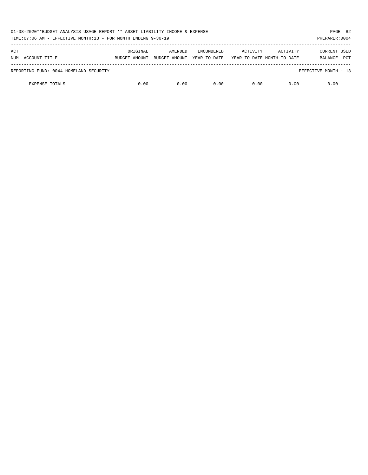| 01-08-2020**BUDGET ANALYSIS USAGE REPORT ** ASSET LIABILITY INCOME & EXPENSE<br>TIME:07:06 AM - EFFECTIVE MONTH:13 - FOR MONTH ENDING 9-30-19 |                           |                          |                                   |                                        |          | PAGE 82<br>PREPARER: 0004             |
|-----------------------------------------------------------------------------------------------------------------------------------------------|---------------------------|--------------------------|-----------------------------------|----------------------------------------|----------|---------------------------------------|
| ACT<br>NUM ACCOUNT-TITLE                                                                                                                      | ORIGINAL<br>BUDGET-AMOUNT | AMENDED<br>BUDGET-AMOUNT | <b>ENCUMBERED</b><br>YEAR-TO-DATE | ACTIVITY<br>YEAR-TO-DATE MONTH-TO-DATE | ACTIVITY | CURRENT USED<br><b>PCT</b><br>BALANCE |
| REPORTING FUND: 0044 HOMELAND SECURITY                                                                                                        |                           |                          |                                   |                                        |          | EFFECTIVE MONTH - 13                  |
| <b>EXPENSE TOTALS</b>                                                                                                                         | 0.00                      | 0.00                     | 0.00                              | 0.00                                   | 0.00     | 0.00                                  |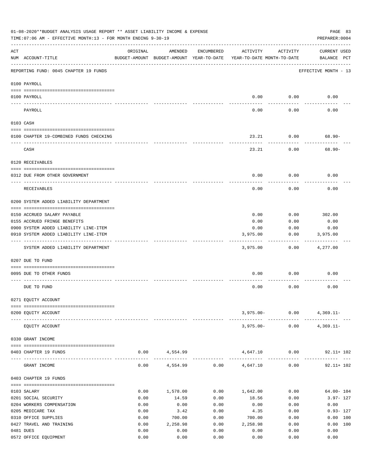|     | 01-08-2020**BUDGET ANALYSIS USAGE REPORT ** ASSET LIABILITY INCOME & EXPENSE<br>TIME: 07:06 AM - EFFECTIVE MONTH: 13 - FOR MONTH ENDING 9-30-19 |          |                                                     |            |                                        |                       | PAGE 83<br>PREPARER: 0004          |
|-----|-------------------------------------------------------------------------------------------------------------------------------------------------|----------|-----------------------------------------------------|------------|----------------------------------------|-----------------------|------------------------------------|
| ACT | NUM ACCOUNT-TITLE                                                                                                                               | ORIGINAL | AMENDED<br>BUDGET-AMOUNT BUDGET-AMOUNT YEAR-TO-DATE | ENCUMBERED | ACTIVITY<br>YEAR-TO-DATE MONTH-TO-DATE | ACTIVITY              | <b>CURRENT USED</b><br>BALANCE PCT |
|     | REPORTING FUND: 0045 CHAPTER 19 FUNDS                                                                                                           |          |                                                     |            |                                        |                       | EFFECTIVE MONTH - 13               |
|     | 0100 PAYROLL                                                                                                                                    |          |                                                     |            |                                        |                       |                                    |
|     | 0100 PAYROLL                                                                                                                                    |          |                                                     |            | 0.00                                   | 0.00                  | 0.00                               |
|     | PAYROLL                                                                                                                                         |          |                                                     |            | 0.00                                   | 0.00                  | 0.00                               |
|     | 0103 CASH                                                                                                                                       |          |                                                     |            |                                        |                       |                                    |
|     | 0100 CHAPTER 19-COMBINED FUNDS CHECKING                                                                                                         |          |                                                     |            | 23.21                                  | 0.00                  | 68.90-                             |
|     | CASH                                                                                                                                            |          |                                                     |            | 23.21                                  | 0.00                  | $68.90 -$                          |
|     | 0120 RECEIVABLES                                                                                                                                |          |                                                     |            |                                        |                       |                                    |
|     | 0312 DUE FROM OTHER GOVERNMENT                                                                                                                  |          |                                                     |            | 0.00                                   | 0.00                  | 0.00                               |
|     | RECEIVABLES                                                                                                                                     |          |                                                     |            | 0.00                                   | 0.00                  | 0.00                               |
|     | 0200 SYSTEM ADDED LIABILITY DEPARTMENT                                                                                                          |          |                                                     |            |                                        |                       |                                    |
|     | 0150 ACCRUED SALARY PAYABLE                                                                                                                     |          |                                                     |            | 0.00                                   | 0.00                  | 302.00                             |
|     | 0155 ACCRUED FRINGE BENEFITS                                                                                                                    |          |                                                     |            | 0.00                                   | 0.00                  | 0.00                               |
|     | 0900 SYSTEM ADDED LIABILITY LINE-ITEM                                                                                                           |          |                                                     |            | 0.00                                   | 0.00                  | 0.00                               |
|     | 0910 SYSTEM ADDED LIABILITY LINE-ITEM                                                                                                           |          |                                                     |            | 3,975.00                               | 0.00                  | 3,975.00                           |
|     | SYSTEM ADDED LIABILITY DEPARTMENT                                                                                                               |          |                                                     |            | 3,975.00                               | 0.00                  | 4,277.00                           |
|     | 0207 DUE TO FUND                                                                                                                                |          |                                                     |            |                                        |                       |                                    |
|     | 0095 DUE TO OTHER FUNDS                                                                                                                         |          |                                                     |            | 0.00                                   | 0.00                  | 0.00                               |
|     | DUE TO FUND                                                                                                                                     |          |                                                     |            | 0.00                                   | 0.00                  | 0.00                               |
|     | 0271 EQUITY ACCOUNT                                                                                                                             |          |                                                     |            |                                        |                       |                                    |
|     | 0200 EQUITY ACCOUNT                                                                                                                             |          |                                                     |            |                                        |                       | $3,975.00 - 0.00$ 4,369.11-        |
|     | EQUITY ACCOUNT                                                                                                                                  |          |                                                     |            |                                        | ------- ------------- | $3,975.00 - 0.00 - 4,369.11 -$     |
|     | 0330 GRANT INCOME                                                                                                                               |          |                                                     |            |                                        |                       |                                    |
|     | 0403 CHAPTER 19 FUNDS                                                                                                                           |          | $0.00$ 4,554.99                                     |            |                                        |                       | 4,647.10 0.00 92.11+ 102           |
|     | GRANT INCOME                                                                                                                                    | 0.00     |                                                     |            | $4,554.99$ 0.00 $4,647.10$             | 0.00                  | $92.11 + 102$                      |
|     | 0403 CHAPTER 19 FUNDS                                                                                                                           |          |                                                     |            |                                        |                       |                                    |
|     | 0103 SALARY                                                                                                                                     | 0.00     | 1,578.00                                            |            | $0.00$ 1,642.00                        | 0.00                  | $64.00 - 104$                      |
|     | 0201 SOCIAL SECURITY                                                                                                                            | 0.00     | 14.59                                               | 0.00       | 18.56                                  | 0.00                  | $3.97 - 127$                       |
|     | 0204 WORKERS COMPENSATION                                                                                                                       | 0.00     | 0.00                                                | 0.00       | 0.00                                   | 0.00                  | 0.00                               |
|     | 0205 MEDICARE TAX                                                                                                                               | 0.00     | 3.42                                                | 0.00       | 4.35                                   | 0.00                  | $0.93 - 127$                       |
|     | 0310 OFFICE SUPPLIES                                                                                                                            | 0.00     | 700.00                                              | 0.00       | 700.00                                 | 0.00                  | 0.00 100                           |
|     | 0427 TRAVEL AND TRAINING                                                                                                                        | 0.00     | 2,258.98                                            | 0.00       | 2,258.98                               | 0.00                  | 0.00 100                           |
|     | 0481 DUES                                                                                                                                       | 0.00     | 0.00                                                | 0.00       | 0.00                                   | 0.00                  | 0.00                               |
|     | 0572 OFFICE EQUIPMENT                                                                                                                           | 0.00     | 0.00                                                | 0.00       | 0.00                                   | 0.00                  | 0.00                               |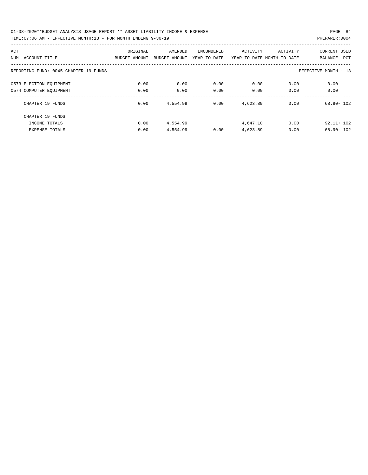| 01-08-2020**BUDGET ANALYSIS USAGE REPORT ** ASSET LIABILITY INCOME & EXPENSE | PAGE 84        |  |
|------------------------------------------------------------------------------|----------------|--|
| TIME:07:06 AM - EFFECTIVE MONTH:13 - FOR MONTH ENDING 9-30-19                | PREPARER: 0004 |  |

| ACT                                   | ORIGINAL      | AMENDED       | ENCUMBERED   | ACTIVITY                   | ACTIVITY | <b>CURRENT USED</b>  |
|---------------------------------------|---------------|---------------|--------------|----------------------------|----------|----------------------|
| ACCOUNT-TITLE<br>NUM                  | BUDGET-AMOUNT | BUDGET-AMOUNT | YEAR-TO-DATE | YEAR-TO-DATE MONTH-TO-DATE |          | PCT<br>BALANCE       |
| REPORTING FUND: 0045 CHAPTER 19 FUNDS |               |               |              |                            |          | EFFECTIVE MONTH - 13 |
| 0573 ELECTION EQUIPMENT               | 0.00          | 0.00          | 0.00         | 0.00                       | 0.00     | 0.00                 |
| 0574 COMPUTER EQUIPMENT               | 0.00          | 0.00          | 0.00         | 0.00                       | 0.00     | 0.00                 |
| CHAPTER 19 FUNDS                      | 0.00          | 4,554.99      | 0.00         | 4,623.89                   | 0.00     | $68.90 - 102$        |
| CHAPTER 19 FUNDS                      |               |               |              |                            |          |                      |
| INCOME TOTALS                         | 0.00          | 4,554.99      |              | 4,647.10                   | 0.00     | $92.11 + 102$        |
| <b>EXPENSE TOTALS</b>                 | 0.00          | 4,554.99      | 0.00         | 4,623.89                   | 0.00     | $68.90 - 102$        |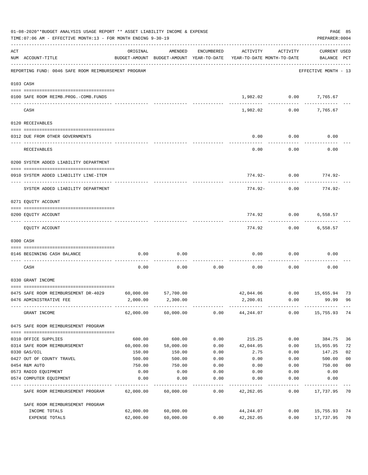|     | 01-08-2020**BUDGET ANALYSIS USAGE REPORT ** ASSET LIABILITY INCOME & EXPENSE<br>TIME: 07:06 AM - EFFECTIVE MONTH: 13 - FOR MONTH ENDING 9-30-19 |           |                     |            |                                                                                 |                | PREPARER: 0004                     | PAGE 85        |
|-----|-------------------------------------------------------------------------------------------------------------------------------------------------|-----------|---------------------|------------|---------------------------------------------------------------------------------|----------------|------------------------------------|----------------|
| ACT | NUM ACCOUNT-TITLE                                                                                                                               | ORIGINAL  | AMENDED             | ENCUMBERED | ACTIVITY<br>BUDGET-AMOUNT BUDGET-AMOUNT YEAR-TO-DATE YEAR-TO-DATE MONTH-TO-DATE | ACTIVITY       | <b>CURRENT USED</b><br>BALANCE PCT |                |
|     | REPORTING FUND: 0046 SAFE ROOM REIMBURSEMENT PROGRAM                                                                                            |           |                     |            |                                                                                 |                | EFFECTIVE MONTH - 13               |                |
|     | 0103 CASH                                                                                                                                       |           |                     |            |                                                                                 |                |                                    |                |
|     | 0100 SAFE ROOM REIMB.PROG.-COMB.FUNDS                                                                                                           |           |                     |            |                                                                                 | 1,982.02 0.00  | 7,765.67                           |                |
|     | CASH                                                                                                                                            |           |                     |            | 1,982.02                                                                        | 0.00           | 7,765.67                           |                |
|     | 0120 RECEIVABLES                                                                                                                                |           |                     |            |                                                                                 |                |                                    |                |
|     | 0312 DUE FROM OTHER GOVERNMENTS                                                                                                                 |           |                     |            | 0.00                                                                            | 0.00           | 0.00                               |                |
|     | <b>RECEIVABLES</b>                                                                                                                              |           |                     |            | 0.00                                                                            | 0.00           | 0.00                               |                |
|     | 0200 SYSTEM ADDED LIABILITY DEPARTMENT                                                                                                          |           |                     |            |                                                                                 |                |                                    |                |
|     | 0910 SYSTEM ADDED LIABILITY LINE-ITEM                                                                                                           |           |                     |            | 774.92-                                                                         | 0.00           | 774.92-                            |                |
|     | SYSTEM ADDED LIABILITY DEPARTMENT                                                                                                               |           |                     |            | 774.92-                                                                         | 0.00           | $774.92 -$                         |                |
|     | 0271 EQUITY ACCOUNT                                                                                                                             |           |                     |            |                                                                                 |                |                                    |                |
|     | 0200 EQUITY ACCOUNT                                                                                                                             |           |                     |            | 774.92                                                                          | 0.00           | 6,558.57                           |                |
|     |                                                                                                                                                 |           |                     |            |                                                                                 |                |                                    |                |
|     | EQUITY ACCOUNT                                                                                                                                  |           |                     |            | 774.92                                                                          | 0.00           | 6,558.57                           |                |
|     | 0300 CASH                                                                                                                                       |           |                     |            |                                                                                 |                |                                    |                |
|     | 0146 BEGINNING CASH BALANCE<br>--------------------------------                                                                                 | 0.00      | 0.00                |            | 0.00                                                                            | 0.00           | 0.00                               |                |
|     | CASH                                                                                                                                            | 0.00      | 0.00                | 0.00       | 0.00                                                                            | 0.00           | 0.00                               |                |
|     | 0330 GRANT INCOME                                                                                                                               |           |                     |            |                                                                                 |                |                                    |                |
|     | 0475 SAFE ROOM REIMBURSEMENT DR-4029                                                                                                            | 60,000.00 | 57,700.00           |            |                                                                                 | 42,044,06 0.00 | 15,655.94                          | 73             |
|     | 0476 ADMINISTRATIVE FEE                                                                                                                         | 2,000.00  | 2,300.00            |            | 2,200.01                                                                        | 0.00           | 99.99                              | 96             |
|     | GRANT INCOME                                                                                                                                    |           | 62,000.00 60,000.00 | 0.00       | 44,244.07                                                                       | 0.00           | 15,755.93                          | 74             |
|     | 0475 SAFE ROOM REIMBURSEMENT PROGRAM                                                                                                            |           |                     |            |                                                                                 |                |                                    |                |
|     | 0310 OFFICE SUPPLIES                                                                                                                            | 600.00    | 600.00              | 0.00       | 215.25                                                                          | 0.00           | 384.75                             | 36             |
|     | 0314 SAFE ROOM REIMBURSEMENT                                                                                                                    | 60,000.00 | 58,000.00           | 0.00       | 42,044.05                                                                       | 0.00           | 15,955.95                          | 72             |
|     | 0330 GAS/OIL                                                                                                                                    | 150.00    | 150.00              | 0.00       | 2.75                                                                            | 0.00           | 147.25                             | 02             |
|     | 0427 OUT OF COUNTY TRAVEL                                                                                                                       | 500.00    | 500.00              | 0.00       | 0.00                                                                            | 0.00           | 500.00                             | 0 <sub>0</sub> |
|     | 0454 R&M AUTO                                                                                                                                   | 750.00    | 750.00              | 0.00       | 0.00                                                                            | 0.00           | 750.00                             | 0 <sub>0</sub> |
|     | 0573 RADIO EQUIPMENT                                                                                                                            | 0.00      | 0.00                | 0.00       | 0.00                                                                            | 0.00           | 0.00                               |                |
|     | 0574 COMPUTER EQUIPMENT                                                                                                                         | 0.00      | 0.00                | 0.00       | 0.00                                                                            | 0.00           | 0.00                               |                |
|     | SAFE ROOM REIMBURSEMENT PROGRAM                                                                                                                 | 62,000.00 | 60,000.00           | 0.00       | 42,262.05                                                                       | 0.00           | 17,737.95                          | 70             |
|     | SAFE ROOM REIMBURSEMENT PROGRAM                                                                                                                 |           |                     |            |                                                                                 |                |                                    |                |
|     | INCOME TOTALS                                                                                                                                   | 62,000.00 | 60,000.00           |            | 44,244.07                                                                       | 0.00           | 15,755.93                          | 74             |
|     | EXPENSE TOTALS                                                                                                                                  | 62,000.00 | 60,000.00           | 0.00       | 42,262.05                                                                       | 0.00           | 17,737.95                          | 70             |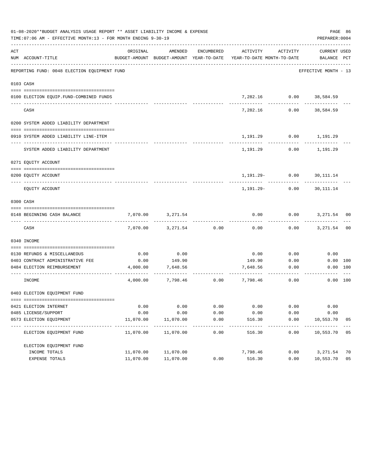|     | 01-08-2020**BUDGET ANALYSIS USAGE REPORT ** ASSET LIABILITY INCOME & EXPENSE<br>TIME: 07:06 AM - EFFECTIVE MONTH: 13 - FOR MONTH ENDING 9-30-19 |                     |                                                     |                     |                                        |                         | PREPARER: 0004                     | PAGE 86        |
|-----|-------------------------------------------------------------------------------------------------------------------------------------------------|---------------------|-----------------------------------------------------|---------------------|----------------------------------------|-------------------------|------------------------------------|----------------|
| ACT | NUM ACCOUNT-TITLE                                                                                                                               | ORIGINAL            | AMENDED<br>BUDGET-AMOUNT BUDGET-AMOUNT YEAR-TO-DATE | ENCUMBERED          | ACTIVITY<br>YEAR-TO-DATE MONTH-TO-DATE | ACTIVITY                | <b>CURRENT USED</b><br>BALANCE PCT |                |
|     | REPORTING FUND: 0048 ELECTION EQUIPMENT FUND                                                                                                    |                     |                                                     |                     |                                        |                         | EFFECTIVE MONTH - 13               |                |
|     | 0103 CASH                                                                                                                                       |                     |                                                     |                     |                                        |                         |                                    |                |
|     | 0100 ELECTION EQUIP.FUND-COMBINED FUNDS                                                                                                         |                     |                                                     |                     |                                        | 7,282.16 0.00 38,584.59 |                                    |                |
|     | CASH                                                                                                                                            |                     |                                                     |                     | 7,282.16                               | 0.00                    | 38,584.59                          |                |
|     | 0200 SYSTEM ADDED LIABILITY DEPARTMENT                                                                                                          |                     |                                                     |                     |                                        |                         |                                    |                |
|     | 0910 SYSTEM ADDED LIABILITY LINE-ITEM                                                                                                           |                     |                                                     |                     | 1,191.29                               |                         | $0.00$ 1,191.29                    |                |
|     | SYSTEM ADDED LIABILITY DEPARTMENT                                                                                                               |                     |                                                     |                     | 1,191.29                               | 0.00                    | 1,191.29                           |                |
|     | 0271 EQUITY ACCOUNT                                                                                                                             |                     |                                                     |                     |                                        |                         |                                    |                |
|     |                                                                                                                                                 |                     |                                                     |                     |                                        |                         |                                    |                |
|     | 0200 EQUITY ACCOUNT                                                                                                                             |                     |                                                     |                     |                                        | $1,191.29 - 0.00$       | 30,111.14                          |                |
|     | EQUITY ACCOUNT                                                                                                                                  |                     |                                                     |                     |                                        | 1,191.29- 0.00          | 30,111.14                          |                |
|     | 0300 CASH                                                                                                                                       |                     |                                                     |                     |                                        |                         |                                    |                |
|     |                                                                                                                                                 |                     |                                                     |                     |                                        |                         |                                    |                |
|     | 0148 BEGINNING CASH BALANCE                                                                                                                     | 7,070.00            | 3,271.54                                            |                     | 0.00                                   | 0.00                    | 3,271.54 00                        |                |
|     | CASH                                                                                                                                            | 7,070.00            | 3,271.54                                            | 0.00                | 0.00                                   |                         | $0.00$ $3,271.54$                  | 0 <sup>0</sup> |
|     | 0340 INCOME                                                                                                                                     |                     |                                                     |                     |                                        |                         |                                    |                |
|     | 0130 REFUNDS & MISCELLANEOUS                                                                                                                    | 0.00                | 0.00                                                |                     | 0.00                                   | 0.00                    | 0.00                               |                |
|     | 0403 CONTRACT ADMINISTRATIVE FEE                                                                                                                | 0.00                | 149.90                                              |                     | 149.90                                 | 0.00                    | 0.00 100                           |                |
|     | 0484 ELECTION REIMBURSEMENT                                                                                                                     | 4,000.00            | 7,648.56                                            |                     | 7,648.56                               | 0.00                    | 0.00 100                           |                |
|     | INCOME                                                                                                                                          | 4,000.00            |                                                     |                     | 7,798.46 0.00 7,798.46                 | 0.00                    | 0.00 100                           |                |
|     | 0403 ELECTION EQUIPMENT FUND                                                                                                                    |                     |                                                     |                     |                                        |                         |                                    |                |
|     | 0421 ELECTION INTERNET                                                                                                                          | 0.00                | 0.00                                                | 0.00                | 0.00                                   | 0.00                    | 0.00                               |                |
|     | 0485 LICENSE/SUPPORT                                                                                                                            | 0.00                | 0.00                                                | 0.00                | 0.00                                   | 0.00                    | 0.00                               |                |
|     | 0573 ELECTION EQUIPMENT                                                                                                                         | 11,070.00           | 11,070.00                                           | 0.00                | 516.30                                 | 0.00                    | 10,553.70                          | 05             |
|     | ELECTION EQUIPMENT FUND                                                                                                                         | ------<br>11,070.00 | -----------<br>11,070.00                            | $- - - - -$<br>0.00 | -------<br>516.30                      | ---------<br>0.00       | ----------<br>10,553.70 05         |                |
|     | ELECTION EQUIPMENT FUND                                                                                                                         |                     |                                                     |                     |                                        |                         |                                    |                |
|     | INCOME TOTALS                                                                                                                                   | 11,070.00           | 11,070.00                                           |                     | 7,798.46                               | 0.00                    | 3,271.54                           | 70             |
|     | EXPENSE TOTALS                                                                                                                                  | 11,070.00           | 11,070.00                                           | 0.00                | 516.30                                 | 0.00                    | 10,553.70                          | 05             |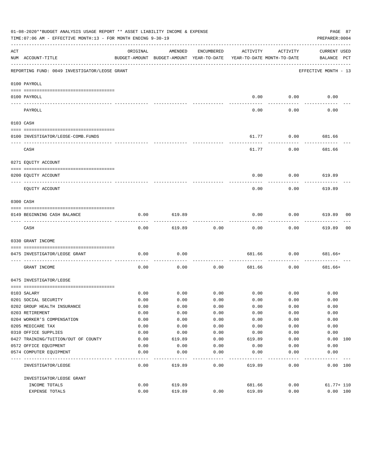|                                                                                                                                                                                                                                                                                                                                                                                                                                                                            | 01-08-2020**BUDGET ANALYSIS USAGE REPORT ** ASSET LIABILITY INCOME & EXPENSE<br>TIME:07:06 AM - EFFECTIVE MONTH:13 - FOR MONTH ENDING 9-30-19 |          |                                                     |            |                                        |                  | PAGE 87<br>PREPARER: 0004          |    |
|----------------------------------------------------------------------------------------------------------------------------------------------------------------------------------------------------------------------------------------------------------------------------------------------------------------------------------------------------------------------------------------------------------------------------------------------------------------------------|-----------------------------------------------------------------------------------------------------------------------------------------------|----------|-----------------------------------------------------|------------|----------------------------------------|------------------|------------------------------------|----|
| ACT                                                                                                                                                                                                                                                                                                                                                                                                                                                                        | NUM ACCOUNT-TITLE                                                                                                                             | ORIGINAL | AMENDED<br>BUDGET-AMOUNT BUDGET-AMOUNT YEAR-TO-DATE | ENCUMBERED | ACTIVITY<br>YEAR-TO-DATE MONTH-TO-DATE | ACTIVITY         | <b>CURRENT USED</b><br>BALANCE PCT |    |
|                                                                                                                                                                                                                                                                                                                                                                                                                                                                            | REPORTING FUND: 0049 INVESTIGATOR/LEOSE GRANT                                                                                                 |          |                                                     |            |                                        |                  | EFFECTIVE MONTH - 13               |    |
|                                                                                                                                                                                                                                                                                                                                                                                                                                                                            | 0100 PAYROLL                                                                                                                                  |          |                                                     |            |                                        |                  |                                    |    |
|                                                                                                                                                                                                                                                                                                                                                                                                                                                                            | 0100 PAYROLL                                                                                                                                  |          |                                                     |            | 0.00                                   | 0.00             | 0.00                               |    |
| $\frac{1}{2} \left( \frac{1}{2} \right) \left( \frac{1}{2} \right) \left( \frac{1}{2} \right) \left( \frac{1}{2} \right) \left( \frac{1}{2} \right) \left( \frac{1}{2} \right) \left( \frac{1}{2} \right) \left( \frac{1}{2} \right) \left( \frac{1}{2} \right) \left( \frac{1}{2} \right) \left( \frac{1}{2} \right) \left( \frac{1}{2} \right) \left( \frac{1}{2} \right) \left( \frac{1}{2} \right) \left( \frac{1}{2} \right) \left( \frac{1}{2} \right) \left( \frac$ | PAYROLL                                                                                                                                       |          |                                                     |            | 0.00                                   | 0.00             | 0.00                               |    |
| 0103 CASH                                                                                                                                                                                                                                                                                                                                                                                                                                                                  |                                                                                                                                               |          |                                                     |            |                                        |                  |                                    |    |
|                                                                                                                                                                                                                                                                                                                                                                                                                                                                            |                                                                                                                                               |          |                                                     |            |                                        |                  |                                    |    |
|                                                                                                                                                                                                                                                                                                                                                                                                                                                                            | 0100 INVESTIGATOR/LEOSE-COMB.FUNDS                                                                                                            |          |                                                     |            | 61.77                                  | 0.00             | 681.66                             |    |
|                                                                                                                                                                                                                                                                                                                                                                                                                                                                            | CASH                                                                                                                                          |          |                                                     |            | 61.77                                  | 0.00             | 681.66                             |    |
|                                                                                                                                                                                                                                                                                                                                                                                                                                                                            | 0271 EQUITY ACCOUNT                                                                                                                           |          |                                                     |            |                                        |                  |                                    |    |
|                                                                                                                                                                                                                                                                                                                                                                                                                                                                            | 0200 EQUITY ACCOUNT                                                                                                                           |          |                                                     |            | 0.00                                   | 0.00             | 619.89                             |    |
|                                                                                                                                                                                                                                                                                                                                                                                                                                                                            | ---- -----------<br>----------------------- --------                                                                                          |          |                                                     |            |                                        |                  |                                    |    |
|                                                                                                                                                                                                                                                                                                                                                                                                                                                                            | EQUITY ACCOUNT                                                                                                                                |          |                                                     |            | 0.00                                   | 0.00             | 619.89                             |    |
| 0300 CASH                                                                                                                                                                                                                                                                                                                                                                                                                                                                  |                                                                                                                                               |          |                                                     |            |                                        |                  |                                    |    |
|                                                                                                                                                                                                                                                                                                                                                                                                                                                                            | 0149 BEGINNING CASH BALANCE                                                                                                                   | 0.00     | 619.89                                              |            | 0.00                                   | 0.00<br>-------- | 619.89 00<br>---------             |    |
|                                                                                                                                                                                                                                                                                                                                                                                                                                                                            | CASH                                                                                                                                          | 0.00     | 619.89                                              | 0.00       | 0.00                                   | 0.00             | 619.89                             | 00 |
|                                                                                                                                                                                                                                                                                                                                                                                                                                                                            | 0330 GRANT INCOME                                                                                                                             |          |                                                     |            |                                        |                  |                                    |    |
|                                                                                                                                                                                                                                                                                                                                                                                                                                                                            | 0475 INVESTIGATOR/LEOSE GRANT                                                                                                                 | 0.00     | 0.00                                                |            | 681.66                                 | 0.00             | 681.66+                            |    |
|                                                                                                                                                                                                                                                                                                                                                                                                                                                                            | GRANT INCOME                                                                                                                                  | 0.00     | 0.00                                                | 0.00       | 681.66                                 | 0.00             | 681.66+                            |    |
|                                                                                                                                                                                                                                                                                                                                                                                                                                                                            | 0475 INVESTIGATOR/LEOSE                                                                                                                       |          |                                                     |            |                                        |                  |                                    |    |
|                                                                                                                                                                                                                                                                                                                                                                                                                                                                            | 0103 SALARY                                                                                                                                   | 0.00     | 0.00                                                | 0.00       |                                        | $0.00$ 0.00      | 0.00                               |    |
|                                                                                                                                                                                                                                                                                                                                                                                                                                                                            | 0201 SOCIAL SECURITY                                                                                                                          | 0.00     | 0.00                                                | 0.00       | 0.00                                   | 0.00             | 0.00                               |    |
|                                                                                                                                                                                                                                                                                                                                                                                                                                                                            | 0202 GROUP HEALTH INSURANCE                                                                                                                   | 0.00     | 0.00                                                | 0.00       | 0.00                                   | 0.00             | 0.00                               |    |
|                                                                                                                                                                                                                                                                                                                                                                                                                                                                            | 0203 RETIREMENT                                                                                                                               | 0.00     | 0.00                                                | 0.00       | 0.00                                   | 0.00             | 0.00                               |    |
|                                                                                                                                                                                                                                                                                                                                                                                                                                                                            | 0204 WORKER'S COMPENSATION                                                                                                                    | 0.00     | 0.00                                                | 0.00       | 0.00                                   | 0.00             | 0.00                               |    |
|                                                                                                                                                                                                                                                                                                                                                                                                                                                                            | 0205 MEDICARE TAX                                                                                                                             | 0.00     | 0.00                                                | 0.00       | 0.00                                   | 0.00             | 0.00                               |    |
|                                                                                                                                                                                                                                                                                                                                                                                                                                                                            | 0310 OFFICE SUPPLIES                                                                                                                          | 0.00     | 0.00                                                | 0.00       | 0.00                                   | 0.00             | 0.00                               |    |
|                                                                                                                                                                                                                                                                                                                                                                                                                                                                            | 0427 TRAINING/TUITION/OUT OF COUNTY                                                                                                           | 0.00     | 619.89                                              | 0.00       | 619.89                                 | 0.00             | 0.00 100                           |    |
|                                                                                                                                                                                                                                                                                                                                                                                                                                                                            | 0572 OFFICE EQUIPMENT                                                                                                                         | 0.00     | 0.00                                                | 0.00       | 0.00                                   | 0.00             | 0.00                               |    |
|                                                                                                                                                                                                                                                                                                                                                                                                                                                                            | 0574 COMPUTER EQUIPMENT                                                                                                                       | 0.00     | 0.00                                                | 0.00       | 0.00                                   | 0.00             | 0.00                               |    |
| $---$                                                                                                                                                                                                                                                                                                                                                                                                                                                                      | --------------<br>INVESTIGATOR/LEOSE                                                                                                          | 0.00     | 619.89                                              | 0.00       | 619.89                                 | 0.00             | 0.00 100                           |    |
|                                                                                                                                                                                                                                                                                                                                                                                                                                                                            | INVESTIGATOR/LEOSE GRANT                                                                                                                      |          |                                                     |            |                                        |                  |                                    |    |
|                                                                                                                                                                                                                                                                                                                                                                                                                                                                            | INCOME TOTALS                                                                                                                                 | 0.00     | 619.89                                              |            | 681.66                                 | 0.00             | $61.77 + 110$                      |    |
|                                                                                                                                                                                                                                                                                                                                                                                                                                                                            | EXPENSE TOTALS                                                                                                                                | 0.00     | 619.89                                              | 0.00       | 619.89                                 | 0.00             | 0.00 100                           |    |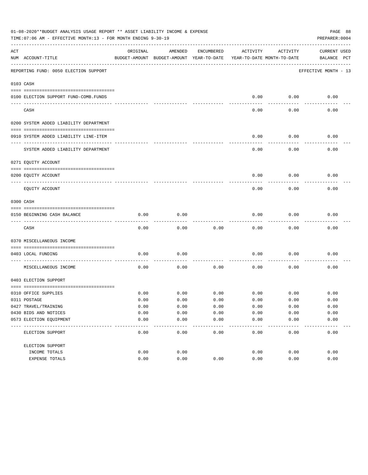|     | 01-08-2020**BUDGET ANALYSIS USAGE REPORT ** ASSET LIABILITY INCOME & EXPENSE<br>PAGE 88<br>TIME: 07:06 AM - EFFECTIVE MONTH: 13 - FOR MONTH ENDING 9-30-19<br>PREPARER: 0004 |          |                                                     |               |                                        |               |                                    |  |  |  |  |
|-----|------------------------------------------------------------------------------------------------------------------------------------------------------------------------------|----------|-----------------------------------------------------|---------------|----------------------------------------|---------------|------------------------------------|--|--|--|--|
| ACT | NUM ACCOUNT-TITLE                                                                                                                                                            | ORIGINAL | AMENDED<br>BUDGET-AMOUNT BUDGET-AMOUNT YEAR-TO-DATE | ENCUMBERED    | ACTIVITY<br>YEAR-TO-DATE MONTH-TO-DATE | ACTIVITY      | <b>CURRENT USED</b><br>BALANCE PCT |  |  |  |  |
|     | REPORTING FUND: 0050 ELECTION SUPPORT                                                                                                                                        |          |                                                     |               |                                        |               | EFFECTIVE MONTH - 13               |  |  |  |  |
|     | 0103 CASH                                                                                                                                                                    |          |                                                     |               |                                        |               |                                    |  |  |  |  |
|     | 0100 ELECTION SUPPORT FUND-COMB.FUNDS                                                                                                                                        |          |                                                     |               | 0.00                                   | 0.00          | 0.00                               |  |  |  |  |
|     | CASH                                                                                                                                                                         |          |                                                     |               | 0.00                                   | 0.00          | 0.00                               |  |  |  |  |
|     | 0200 SYSTEM ADDED LIABILITY DEPARTMENT                                                                                                                                       |          |                                                     |               |                                        |               |                                    |  |  |  |  |
|     | 0910 SYSTEM ADDED LIABILITY LINE-ITEM                                                                                                                                        |          |                                                     |               | 0.00                                   | 0.00          | 0.00                               |  |  |  |  |
|     | SYSTEM ADDED LIABILITY DEPARTMENT                                                                                                                                            |          |                                                     |               | 0.00                                   | 0.00          | 0.00                               |  |  |  |  |
|     | 0271 EQUITY ACCOUNT                                                                                                                                                          |          |                                                     |               |                                        |               |                                    |  |  |  |  |
|     | 0200 EQUITY ACCOUNT                                                                                                                                                          |          |                                                     |               | 0.00                                   | 0.00          | 0.00                               |  |  |  |  |
|     | EQUITY ACCOUNT                                                                                                                                                               |          |                                                     |               | 0.00                                   | 0.00          | 0.00                               |  |  |  |  |
|     | 0300 CASH                                                                                                                                                                    |          |                                                     |               |                                        |               |                                    |  |  |  |  |
|     | 0150 BEGINNING CASH BALANCE                                                                                                                                                  | 0.00     | 0.00                                                |               | 0.00                                   | 0.00          | 0.00                               |  |  |  |  |
|     | CASH                                                                                                                                                                         | 0.00     | 0.00                                                | 0.00          | 0.00                                   | 0.00          | 0.00                               |  |  |  |  |
|     | 0370 MISCELLANEOUS INCOME                                                                                                                                                    |          |                                                     |               |                                        |               |                                    |  |  |  |  |
|     | 0403 LOCAL FUNDING                                                                                                                                                           | 0.00     | 0.00                                                |               | 0.00                                   | 0.00          | 0.00                               |  |  |  |  |
|     | MISCELLANEOUS INCOME                                                                                                                                                         | 0.00     | 0.00                                                | 0.00          | 0.00                                   | 0.00          | 0.00                               |  |  |  |  |
|     | 0403 ELECTION SUPPORT                                                                                                                                                        |          |                                                     |               |                                        |               |                                    |  |  |  |  |
|     | 0310 OFFICE SUPPLIES                                                                                                                                                         | 0.00     | 0.00                                                | 0.00          | 0.00                                   | 0.00          | 0.00                               |  |  |  |  |
|     | 0311 POSTAGE                                                                                                                                                                 | 0.00     | 0.00                                                | 0.00          | 0.00                                   | 0.00          | 0.00                               |  |  |  |  |
|     | 0427 TRAVEL/TRAINING                                                                                                                                                         | 0.00     | 0.00                                                | 0.00          | 0.00                                   | 0.00          | 0.00                               |  |  |  |  |
|     | 0430 BIDS AND NOTICES                                                                                                                                                        | 0.00     | 0.00                                                | 0.00          | 0.00                                   | 0.00          | 0.00                               |  |  |  |  |
|     | 0573 ELECTION EQUIPMENT                                                                                                                                                      | 0.00     | 0.00                                                | 0.00<br>$---$ | 0.00                                   | 0.00<br>$---$ | 0.00                               |  |  |  |  |
|     | ELECTION SUPPORT                                                                                                                                                             | 0.00     | 0.00                                                | 0.00          | 0.00                                   | 0.00          | 0.00                               |  |  |  |  |
|     | ELECTION SUPPORT                                                                                                                                                             |          |                                                     |               |                                        |               |                                    |  |  |  |  |
|     | INCOME TOTALS                                                                                                                                                                | 0.00     | 0.00                                                |               | 0.00                                   | 0.00          | 0.00                               |  |  |  |  |
|     | EXPENSE TOTALS                                                                                                                                                               | 0.00     | 0.00                                                | 0.00          | 0.00                                   | 0.00          | 0.00                               |  |  |  |  |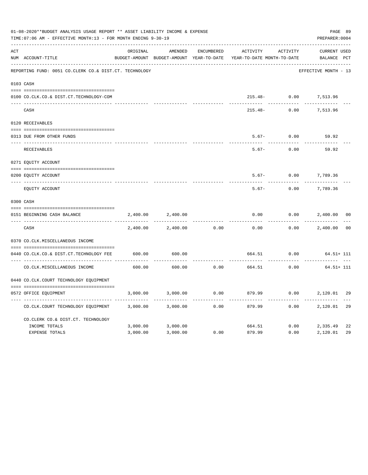|     | 01-08-2020**BUDGET ANALYSIS USAGE REPORT ** ASSET LIABILITY INCOME & EXPENSE<br>TIME: 07:06 AM - EFFECTIVE MONTH: 13 - FOR MONTH ENDING 9-30-19 |          |                                          |            |                            |          | PREPARER: 0004        | PAGE 89        |
|-----|-------------------------------------------------------------------------------------------------------------------------------------------------|----------|------------------------------------------|------------|----------------------------|----------|-----------------------|----------------|
| ACT |                                                                                                                                                 | ORIGINAL | AMENDED                                  | ENCUMBERED | ACTIVITY                   | ACTIVITY | <b>CURRENT USED</b>   |                |
|     | NUM ACCOUNT-TITLE                                                                                                                               |          | BUDGET-AMOUNT BUDGET-AMOUNT YEAR-TO-DATE |            | YEAR-TO-DATE MONTH-TO-DATE |          | BALANCE PCT           |                |
|     | REPORTING FUND: 0051 CO.CLERK CO.& DIST.CT. TECHNOLOGY                                                                                          |          |                                          |            |                            |          | EFFECTIVE MONTH - 13  |                |
|     | 0103 CASH                                                                                                                                       |          |                                          |            |                            |          |                       |                |
|     |                                                                                                                                                 |          |                                          |            |                            |          |                       |                |
|     | 0100 CO.CLK.CO.& DIST.CT.TECHNOLOGY-COM                                                                                                         |          |                                          |            |                            |          | 215.48- 0.00 7,513.96 |                |
|     | CASH                                                                                                                                            |          |                                          |            | $215.48-$                  | 0.00     | 7,513.96              |                |
|     | 0120 RECEIVABLES                                                                                                                                |          |                                          |            |                            |          |                       |                |
|     |                                                                                                                                                 |          |                                          |            |                            |          |                       |                |
|     | 0313 DUE FROM OTHER FUNDS                                                                                                                       |          |                                          |            | $5.67-$                    | 0.00     | 59.92                 |                |
|     | RECEIVABLES                                                                                                                                     |          |                                          |            | $5.67-$                    | 0.00     | 59.92                 |                |
|     | 0271 EQUITY ACCOUNT                                                                                                                             |          |                                          |            |                            |          |                       |                |
|     | 0200 EQUITY ACCOUNT                                                                                                                             |          |                                          |            | $5.67-$                    | 0.00     | 7,789.36              |                |
|     | ---- -----------------------<br>EQUITY ACCOUNT                                                                                                  |          |                                          |            | $5.67-$                    | 0.00     | 7,789.36              |                |
|     | 0300 CASH                                                                                                                                       |          |                                          |            |                            |          |                       |                |
|     |                                                                                                                                                 |          |                                          |            |                            |          |                       |                |
|     | 0151 BEGINNING CASH BALANCE                                                                                                                     | 2,400.00 | 2,400.00                                 |            | 0.00                       | 0.00     | 2,400.00              | 0 <sub>0</sub> |
|     | CASH                                                                                                                                            | 2,400.00 | 2,400.00                                 | 0.00       | 0.00                       | 0.00     | 2,400.00              | 00             |
|     | 0370 CO.CLK.MISCELLANEOUS INCOME                                                                                                                |          |                                          |            |                            |          |                       |                |
|     | 0440 CO.CLK.CO.& DIST.CT.TECHNOLOGY FEE                                                                                                         | 600.00   | 600.00                                   |            | 664.51                     | 0.00     | $64.51 + 111$         |                |
|     | CO. CLK. MISCELLANEOUS INCOME                                                                                                                   | 600.00   | 600.00                                   | 0.00       | 664.51                     | 0.00     | $64.51 + 111$         |                |
|     | 0440 CO.CLK.COURT TECHNOLOGY EQUIPMENT                                                                                                          |          |                                          |            |                            |          |                       |                |
|     |                                                                                                                                                 |          |                                          |            |                            |          |                       |                |
|     | 0572 OFFICE EQUIPMENT                                                                                                                           | 3,000.00 | 3,000.00                                 | 0.00       | 879.99                     | 0.00     | 2,120.01              | 29             |
|     | CO.CLK.COURT TECHNOLOGY EQUIPMENT                                                                                                               | 3,000.00 | 3,000.00                                 | 0.00       | 879.99                     | 0.00     | 2,120.01              | 29             |
|     | CO.CLERK CO.& DIST.CT. TECHNOLOGY                                                                                                               |          |                                          |            |                            |          |                       |                |
|     | INCOME TOTALS                                                                                                                                   | 3,000.00 | 3,000.00                                 |            | 664.51                     | 0.00     | 2,335.49              | 22             |
|     | EXPENSE TOTALS                                                                                                                                  | 3,000.00 | 3,000.00                                 | 0.00       | 879.99                     | 0.00     | 2,120.01              | 29             |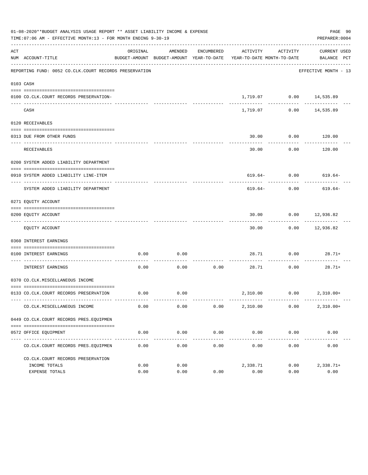|           | 01-08-2020**BUDGET ANALYSIS USAGE REPORT ** ASSET LIABILITY INCOME & EXPENSE<br>TIME: 07:06 AM - EFFECTIVE MONTH: 13 - FOR MONTH ENDING 9-30-19 |               |                      |                     |                                                                                 |                                                                         | PAGE 90<br>PREPARER: 0004       |
|-----------|-------------------------------------------------------------------------------------------------------------------------------------------------|---------------|----------------------|---------------------|---------------------------------------------------------------------------------|-------------------------------------------------------------------------|---------------------------------|
| ACT       | NUM ACCOUNT-TITLE                                                                                                                               | ORIGINAL      | AMENDED              | ENCUMBERED          | ACTIVITY<br>BUDGET-AMOUNT BUDGET-AMOUNT YEAR-TO-DATE YEAR-TO-DATE MONTH-TO-DATE | ACTIVITY                                                                | CURRENT USED<br>BALANCE PCT     |
|           | REPORTING FUND: 0052 CO.CLK.COURT RECORDS PRESERVATION                                                                                          |               |                      |                     |                                                                                 |                                                                         | EFFECTIVE MONTH - 13            |
| 0103 CASH |                                                                                                                                                 |               |                      |                     |                                                                                 |                                                                         |                                 |
|           | 0100 CO.CLK.COURT RECORDS PRESERVATION-                                                                                                         |               |                      |                     |                                                                                 | $1\,, 719\,.\,07 \qquad \qquad 0\,.\,00 \qquad \qquad 14\, ,535\,.\,89$ |                                 |
|           | CASH                                                                                                                                            |               |                      |                     | 1,719.07                                                                        |                                                                         | $0.00$ 14,535.89                |
|           | 0120 RECEIVABLES                                                                                                                                |               |                      |                     |                                                                                 |                                                                         |                                 |
|           |                                                                                                                                                 |               |                      |                     |                                                                                 |                                                                         |                                 |
|           | 0313 DUE FROM OTHER FUNDS                                                                                                                       |               |                      |                     | 30.00                                                                           | $0.00$ 120.00                                                           | ----------                      |
|           | <b>RECEIVABLES</b>                                                                                                                              |               |                      |                     | 30.00                                                                           | 0.00                                                                    | 120.00                          |
|           | 0200 SYSTEM ADDED LIABILITY DEPARTMENT                                                                                                          |               |                      |                     |                                                                                 |                                                                         |                                 |
|           | 0910 SYSTEM ADDED LIABILITY LINE-ITEM                                                                                                           |               |                      |                     |                                                                                 | $619.64 - 0.00$ 619.64-                                                 |                                 |
|           | SYSTEM ADDED LIABILITY DEPARTMENT                                                                                                               |               |                      |                     | ---------- -------------<br>619.64-                                             | 0.00                                                                    | 619.64-                         |
|           | 0271 EQUITY ACCOUNT                                                                                                                             |               |                      |                     |                                                                                 |                                                                         |                                 |
|           | 0200 EQUITY ACCOUNT                                                                                                                             |               |                      |                     | 30.00                                                                           | $0.00$ 12,936.82                                                        |                                 |
|           | EQUITY ACCOUNT                                                                                                                                  |               |                      |                     | 30.00                                                                           |                                                                         | -----------<br>$0.00$ 12,936.82 |
|           | 0360 INTEREST EARNINGS                                                                                                                          |               |                      |                     |                                                                                 |                                                                         |                                 |
|           |                                                                                                                                                 |               |                      |                     |                                                                                 |                                                                         |                                 |
|           | 0100 INTEREST EARNINGS                                                                                                                          | 0.00          | 0.00                 |                     |                                                                                 | 28.71 0.00 28.71+                                                       |                                 |
|           | INTEREST EARNINGS                                                                                                                               | 0.00          | 0.00                 | 0.00                | 28.71                                                                           | 0.00                                                                    | 28.71+                          |
|           | 0370 CO.CLK.MISCELLANEOUS INCOME                                                                                                                |               |                      |                     |                                                                                 |                                                                         |                                 |
|           | 0133 CO.CLK.COURT RECORDS PRESERVATION                                                                                                          | 0.00          | 0.00                 |                     |                                                                                 | 2,310.00   0.00   2,310.00+                                             |                                 |
|           | CO. CLK. MISCELLANEOUS INCOME                                                                                                                   | 0.00          | 0.00                 | 0.00                | 2,310.00                                                                        | 0.00                                                                    | $2,310.00+$                     |
|           | 0449 CO.CLK.COURT RECORDS PRES.EOUIPMEN                                                                                                         |               |                      |                     |                                                                                 |                                                                         |                                 |
|           |                                                                                                                                                 |               |                      |                     |                                                                                 |                                                                         |                                 |
|           | 0572 OFFICE EQUIPMENT                                                                                                                           | 0.00<br>----- | 0.00<br>. <u>.</u> . | 0.00<br>----------- | 0.00<br>-------------                                                           | 0.00<br>------------                                                    | 0.00<br>-------------           |
|           | CO. CLK. COURT RECORDS PRES. EQUIPMEN                                                                                                           | 0.00          | 0.00                 | 0.00                | 0.00                                                                            | 0.00                                                                    | 0.00                            |
|           | CO. CLK. COURT RECORDS PRESERVATION                                                                                                             |               |                      |                     |                                                                                 |                                                                         |                                 |
|           | INCOME TOTALS                                                                                                                                   | 0.00          | 0.00                 |                     | 2,338.71                                                                        | 0.00                                                                    | $2,338.71+$                     |
|           | <b>EXPENSE TOTALS</b>                                                                                                                           | 0.00          | 0.00                 | 0.00                | 0.00                                                                            | 0.00                                                                    | 0.00                            |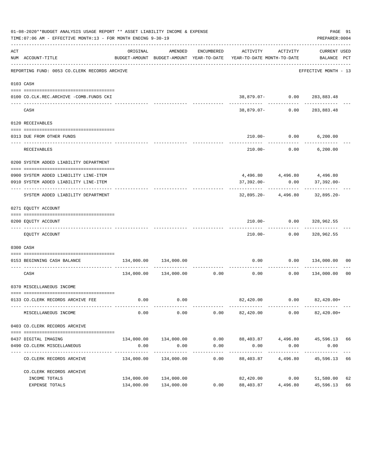|     | 01-08-2020**BUDGET ANALYSIS USAGE REPORT ** ASSET LIABILITY INCOME & EXPENSE<br>TIME: 07:06 AM - EFFECTIVE MONTH: 13 - FOR MONTH ENDING 9-30-19 |            |                       |                      |                                                                                                      |                          | PREPARER: 0004                           | PAGE 91 |
|-----|-------------------------------------------------------------------------------------------------------------------------------------------------|------------|-----------------------|----------------------|------------------------------------------------------------------------------------------------------|--------------------------|------------------------------------------|---------|
| ACT | NUM ACCOUNT-TITLE                                                                                                                               | ORIGINAL   |                       | AMENDED ENCUMBERED   | ACTIVITY ACTIVITY<br>BUDGET-AMOUNT BUDGET-AMOUNT YEAR-TO-DATE YEAR-TO-DATE MONTH-TO-DATE BALANCE PCT |                          | CURRENT USED                             |         |
|     | REPORTING FUND: 0053 CO.CLERK RECORDS ARCHIVE                                                                                                   |            |                       |                      |                                                                                                      |                          | EFFECTIVE MONTH - 13                     |         |
|     | 0103 CASH                                                                                                                                       |            |                       |                      |                                                                                                      |                          |                                          |         |
|     | 0100 CO.CLK.REC.ARCHIVE -COMB.FUNDS CKI                                                                                                         |            |                       |                      |                                                                                                      |                          | $38,879.07 - 0.00 283,883.48$            |         |
|     | CASH                                                                                                                                            |            |                       |                      | 38,879.07-                                                                                           | 0.00                     | ----------<br>283,883.48                 |         |
|     | 0120 RECEIVABLES                                                                                                                                |            |                       |                      |                                                                                                      |                          |                                          |         |
|     | 0313 DUE FROM OTHER FUNDS                                                                                                                       |            |                       |                      |                                                                                                      |                          | 210.00- 0.00 6,200.00                    |         |
|     | RECEIVABLES                                                                                                                                     |            |                       |                      |                                                                                                      | -----------              | $210.00 - 0.00$ 6,200.00                 |         |
|     | 0200 SYSTEM ADDED LIABILITY DEPARTMENT                                                                                                          |            |                       |                      |                                                                                                      |                          |                                          |         |
|     | 0900 SYSTEM ADDED LIABILITY LINE-ITEM                                                                                                           |            |                       |                      |                                                                                                      |                          |                                          |         |
|     | 0910 SYSTEM ADDED LIABILITY LINE-ITEM                                                                                                           |            |                       |                      | 37,392.00-                                                                                           | 0.00                     | 4,496.80 4,496.80 4,496.80<br>37,392.00- |         |
|     | SYSTEM ADDED LIABILITY DEPARTMENT                                                                                                               |            |                       |                      |                                                                                                      |                          | $32,895.20 - 4,496.80$ $32,895.20 -$     |         |
|     | 0271 EQUITY ACCOUNT                                                                                                                             |            |                       |                      |                                                                                                      |                          |                                          |         |
|     | 0200 EQUITY ACCOUNT                                                                                                                             |            |                       |                      |                                                                                                      |                          | 210.00 - 0.00 328,962.55                 |         |
|     | EQUITY ACCOUNT                                                                                                                                  |            |                       |                      |                                                                                                      |                          | 210.00 - 0.00 328,962.55                 |         |
|     | 0300 CASH                                                                                                                                       |            |                       |                      |                                                                                                      |                          |                                          |         |
|     | 0153 BEGINNING CASH BALANCE                                                                                                                     |            |                       |                      | 0.00                                                                                                 |                          | $0.00$ $134,000.00$ 00                   |         |
|     |                                                                                                                                                 |            |                       |                      |                                                                                                      |                          |                                          |         |
|     | CASH                                                                                                                                            |            |                       |                      | $134,000.00$ $134,000.00$ 0.00 0.00 0.00 0.00                                                        |                          | 134,000.00                               | 00      |
|     | 0370 MISCELLANEOUS INCOME                                                                                                                       |            |                       |                      |                                                                                                      |                          |                                          |         |
|     |                                                                                                                                                 |            |                       |                      |                                                                                                      |                          |                                          |         |
|     | 0133 CO. CLERK RECORDS ARCHIVE FEE<br>----------------------- -------                                                                           | 0.00       | 0.00                  |                      | 82,420.00                                                                                            | 0.00                     | 82,420.00+                               |         |
|     | MISCELLANEOUS INCOME                                                                                                                            | 0.00       | 0.00                  | 0.00                 | 82,420.00                                                                                            | 0.00                     | $82,420.00+$                             |         |
|     | 0403 CO. CLERK RECORDS ARCHIVE                                                                                                                  |            |                       |                      |                                                                                                      |                          |                                          |         |
|     |                                                                                                                                                 |            |                       |                      |                                                                                                      |                          |                                          |         |
|     | 0437 DIGITAL IMAGING<br>0490 CO. CLERK MISCELLANEOUS                                                                                            | 0.00       | 0.00                  | 0.00                 | 134,000.00 134,000.00 0.00 88,403.87 4,496.80 45,596.13 66<br>0.00                                   | 0.00                     | 0.00                                     |         |
|     | CO. CLERK RECORDS ARCHIVE                                                                                                                       |            | 134,000.00 134,000.00 | ------------<br>0.00 | ------------<br>88,403.87                                                                            | ------------<br>4,496.80 | -------------<br>45,596.13 66            |         |
|     | CO. CLERK RECORDS ARCHIVE                                                                                                                       |            |                       |                      |                                                                                                      |                          |                                          |         |
|     | INCOME TOTALS                                                                                                                                   | 134,000.00 | 134,000.00            |                      | 82,420.00 0.00                                                                                       |                          | 51,580.00                                | 62      |
|     | EXPENSE TOTALS                                                                                                                                  | 134,000.00 | 134,000.00            | 0.00                 | 88,403.87                                                                                            | 4,496.80                 | 45,596.13                                | 66      |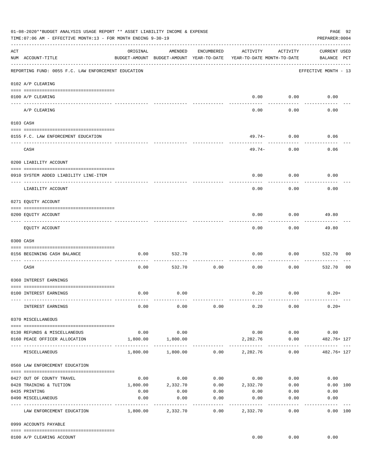|     | 01-08-2020**BUDGET ANALYSIS USAGE REPORT ** ASSET LIABILITY INCOME & EXPENSE<br>TIME:07:06 AM - EFFECTIVE MONTH:13 - FOR MONTH ENDING 9-30-19                                                                                                                                                                                                                                                                                                                                                   |                      |                                                     |                  |                                        |                      | PAGE 92<br>PREPARER: 0004          |
|-----|-------------------------------------------------------------------------------------------------------------------------------------------------------------------------------------------------------------------------------------------------------------------------------------------------------------------------------------------------------------------------------------------------------------------------------------------------------------------------------------------------|----------------------|-----------------------------------------------------|------------------|----------------------------------------|----------------------|------------------------------------|
| ACT | NUM ACCOUNT-TITLE                                                                                                                                                                                                                                                                                                                                                                                                                                                                               | ORIGINAL             | AMENDED<br>BUDGET-AMOUNT BUDGET-AMOUNT YEAR-TO-DATE | ENCUMBERED       | ACTIVITY<br>YEAR-TO-DATE MONTH-TO-DATE | ACTIVITY             | <b>CURRENT USED</b><br>BALANCE PCT |
|     | REPORTING FUND: 0055 F.C. LAW ENFORCEMENT EDUCATION                                                                                                                                                                                                                                                                                                                                                                                                                                             |                      |                                                     |                  |                                        |                      | EFFECTIVE MONTH - 13               |
|     | 0102 A/P CLEARING                                                                                                                                                                                                                                                                                                                                                                                                                                                                               |                      |                                                     |                  |                                        |                      |                                    |
|     | 0100 A/P CLEARING<br>---- ---------                                                                                                                                                                                                                                                                                                                                                                                                                                                             |                      |                                                     |                  | 0.00                                   | 0.00                 | 0.00                               |
|     | A/P CLEARING                                                                                                                                                                                                                                                                                                                                                                                                                                                                                    |                      |                                                     |                  | 0.00                                   | 0.00                 | 0.00                               |
|     | 0103 CASH                                                                                                                                                                                                                                                                                                                                                                                                                                                                                       |                      |                                                     |                  |                                        |                      |                                    |
|     | 0155 F.C. LAW ENFORCEMENT EDUCATION                                                                                                                                                                                                                                                                                                                                                                                                                                                             |                      |                                                     |                  |                                        | $49.74-0.00$         | 0.06                               |
|     | CASH                                                                                                                                                                                                                                                                                                                                                                                                                                                                                            |                      |                                                     |                  | 49.74-                                 | 0.00                 | 0.06                               |
|     | 0200 LIABILITY ACCOUNT                                                                                                                                                                                                                                                                                                                                                                                                                                                                          |                      |                                                     |                  |                                        |                      |                                    |
|     | 0910 SYSTEM ADDED LIABILITY LINE-ITEM                                                                                                                                                                                                                                                                                                                                                                                                                                                           |                      |                                                     |                  | 0.00                                   | 0.00                 | 0.00                               |
|     | -------------------- --------<br>---- --------------<br>LIABILITY ACCOUNT                                                                                                                                                                                                                                                                                                                                                                                                                       |                      |                                                     |                  | 0.00                                   | 0.00                 | 0.00                               |
|     | 0271 EQUITY ACCOUNT                                                                                                                                                                                                                                                                                                                                                                                                                                                                             |                      |                                                     |                  |                                        |                      |                                    |
|     | 0200 EQUITY ACCOUNT                                                                                                                                                                                                                                                                                                                                                                                                                                                                             |                      |                                                     |                  | 0.00                                   | 0.00                 | 49.80                              |
|     | EQUITY ACCOUNT                                                                                                                                                                                                                                                                                                                                                                                                                                                                                  |                      |                                                     |                  | 0.00                                   | 0.00                 | 49.80                              |
|     | 0300 CASH                                                                                                                                                                                                                                                                                                                                                                                                                                                                                       |                      |                                                     |                  |                                        |                      |                                    |
|     | 0156 BEGINNING CASH BALANCE                                                                                                                                                                                                                                                                                                                                                                                                                                                                     | 0.00                 | 532.70                                              |                  | 0.00                                   | 0.00                 | 532.70<br>00                       |
|     | ---------------------------- --<br>CASH                                                                                                                                                                                                                                                                                                                                                                                                                                                         | 0.00                 | 532.70                                              | 0.00             | 0.00                                   | 0.00                 | 532.70<br>00                       |
|     | 0360 INTEREST EARNINGS                                                                                                                                                                                                                                                                                                                                                                                                                                                                          |                      |                                                     |                  |                                        |                      |                                    |
|     | 0100 INTEREST EARNINGS                                                                                                                                                                                                                                                                                                                                                                                                                                                                          | 0.00                 | 0.00                                                |                  | 0.20                                   | 0.00                 | $0.20+$                            |
|     | INTEREST EARNINGS                                                                                                                                                                                                                                                                                                                                                                                                                                                                               | 0.00                 | 0.00                                                | 0.00             | 0.20                                   | 0.00                 | $0.20+$                            |
|     | 0370 MISCELLANEOUS                                                                                                                                                                                                                                                                                                                                                                                                                                                                              |                      |                                                     |                  |                                        |                      |                                    |
|     | $\begin{minipage}{0.03\textwidth} \begin{tabular}{l} \textbf{0.04\textwidth} \textbf{0.04\textwidth} \textbf{0.04\textwidth} \textbf{0.04\textwidth} \textbf{0.04\textwidth} \textbf{0.04\textwidth} \textbf{0.04\textwidth} \textbf{0.04\textwidth} \textbf{0.04\textwidth} \textbf{0.04\textwidth} \textbf{0.04\textwidth} \textbf{0.04\textwidth} \textbf{0.04\textwidth} \textbf{0.04\textwidth} \textbf{0.04\textwidth} \textbf{0.04\textwidth} \textbf{0$<br>0130 REFUNDS & MISCELLANEOUS | 0.00                 | 0.00                                                |                  |                                        | $0.00$ 0.00          | 0.00                               |
|     | 0160 PEACE OFFICER ALLOCATION                                                                                                                                                                                                                                                                                                                                                                                                                                                                   | 1,800.00             | 1,800.00                                            |                  | 2,282.76                               | 0.00                 | 482.76+ 127                        |
|     | MISCELLANEOUS                                                                                                                                                                                                                                                                                                                                                                                                                                                                                   |                      | 1,800.00 1,800.00                                   |                  | $0.00$ 2,282.76                        | 0.00                 | .<br>482.76+ 127                   |
|     | 0560 LAW ENFORCEMENT EDUCATION                                                                                                                                                                                                                                                                                                                                                                                                                                                                  |                      |                                                     |                  |                                        |                      |                                    |
|     | 0427 OUT OF COUNTY TRAVEL                                                                                                                                                                                                                                                                                                                                                                                                                                                                       | 0.00                 | 0.00                                                |                  | $0.00$ 0.00 0.00                       |                      | 0.00                               |
|     | 0428 TRAINING & TUITION                                                                                                                                                                                                                                                                                                                                                                                                                                                                         |                      | 1,800.00 2,332.70                                   |                  | $0.00$ 2,332.70 0.00                   |                      | 0.00 100                           |
|     | 0435 PRINTING                                                                                                                                                                                                                                                                                                                                                                                                                                                                                   | 0.00                 | 0.00                                                | 0.00             | 0.00                                   | 0.00                 | 0.00                               |
|     | 0490 MISCELLANEOUS                                                                                                                                                                                                                                                                                                                                                                                                                                                                              | 0.00<br>------------ | 0.00<br>----------                                  | 0.00<br>-------- | 0.00<br>---------                      | 0.00<br>. <u>.</u> . | 0.00<br>. <u>.</u>                 |
|     | LAW ENFORCEMENT EDUCATION                                                                                                                                                                                                                                                                                                                                                                                                                                                                       |                      | 1,800.00 2,332.70                                   | 0.00             | 2,332.70                               | 0.00                 | 0.00 100                           |
|     | 0999 ACCOUNTS PAYABLE                                                                                                                                                                                                                                                                                                                                                                                                                                                                           |                      |                                                     |                  |                                        |                      |                                    |
|     | 0100 A/P CLEARING ACCOUNT                                                                                                                                                                                                                                                                                                                                                                                                                                                                       |                      |                                                     |                  | 0.00                                   | 0.00                 | 0.00                               |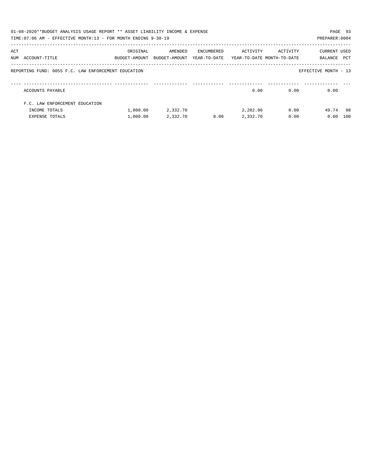|     | 01-08-2020**BUDGET ANALYSIS USAGE REPORT ** ASSET LIABILITY INCOME & EXPENSE<br>TIME:07:06 AM - EFFECTIVE MONTH:13 - FOR MONTH ENDING 9-30-19 |               |               |            |                                         |          | PREPARER: 0004       | PAGE 93 |
|-----|-----------------------------------------------------------------------------------------------------------------------------------------------|---------------|---------------|------------|-----------------------------------------|----------|----------------------|---------|
| ACT |                                                                                                                                               | ORIGINAL      | AMENDED       | ENCUMBERED | ACTIVITY                                | ACTIVITY | CURRENT USED         |         |
|     | NUM ACCOUNT-TITLE                                                                                                                             | BUDGET-AMOUNT | BUDGET-AMOUNT |            | YEAR-TO-DATE YEAR-TO-DATE MONTH-TO-DATE |          | BALANCE              | PCT     |
|     | REPORTING FUND: 0055 F.C. LAW ENFORCEMENT EDUCATION                                                                                           |               |               |            |                                         |          | EFFECTIVE MONTH - 13 |         |
|     | ACCOUNTS PAYABLE                                                                                                                              |               |               |            | 0.00                                    | 0.00     | 0.00                 |         |
|     | F.C. LAW ENFORCEMENT EDUCATION                                                                                                                |               |               |            |                                         |          |                      |         |
|     | INCOME TOTALS                                                                                                                                 | 1,800.00      | 2,332.70      |            | 2,282.96                                | 0.00     | 49.74 98             |         |
|     | EXPENSE TOTALS                                                                                                                                | 1,800.00      | 2,332.70      | 0.00       | 2,332.70                                | 0.00     | 0.00                 | 100     |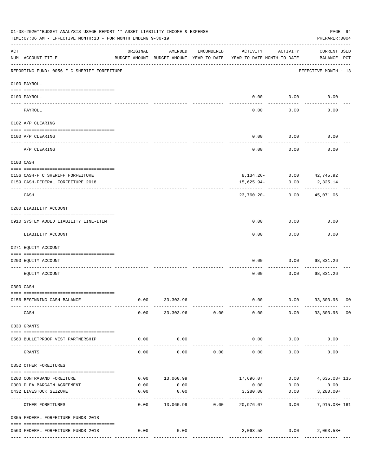|                    | 01-08-2020**BUDGET ANALYSIS USAGE REPORT ** ASSET LIABILITY INCOME & EXPENSE<br>TIME: 07:06 AM - EFFECTIVE MONTH: 13 - FOR MONTH ENDING 9-30-19 |                                                      |                         |                |                                        |                                       | PAGE 94<br>PREPARER: 0004          |
|--------------------|-------------------------------------------------------------------------------------------------------------------------------------------------|------------------------------------------------------|-------------------------|----------------|----------------------------------------|---------------------------------------|------------------------------------|
| $\mathop{\rm ACT}$ | NUM ACCOUNT-TITLE                                                                                                                               | ORIGINAL<br>BUDGET-AMOUNT BUDGET-AMOUNT YEAR-TO-DATE | AMENDED                 | ENCUMBERED     | ACTIVITY<br>YEAR-TO-DATE MONTH-TO-DATE | ACTIVITY                              | <b>CURRENT USED</b><br>BALANCE PCT |
|                    | REPORTING FUND: 0056 F C SHERIFF FORFEITURE                                                                                                     |                                                      |                         |                |                                        |                                       | EFFECTIVE MONTH - 13               |
|                    | 0100 PAYROLL                                                                                                                                    |                                                      |                         |                |                                        |                                       |                                    |
|                    | 0100 PAYROLL                                                                                                                                    |                                                      |                         |                |                                        | $0.00$ 0.00                           | 0.00                               |
|                    | PAYROLL                                                                                                                                         |                                                      |                         |                | 0.00                                   | 0.00                                  | 0.00                               |
|                    | 0102 A/P CLEARING                                                                                                                               |                                                      |                         |                |                                        |                                       |                                    |
|                    | 0100 A/P CLEARING                                                                                                                               |                                                      |                         |                | 0.00                                   | 0.00                                  | 0.00                               |
|                    | A/P CLEARING                                                                                                                                    |                                                      |                         |                | 0.00                                   | 0.00                                  | 0.00                               |
|                    | 0103 CASH                                                                                                                                       |                                                      |                         |                |                                        |                                       |                                    |
|                    |                                                                                                                                                 |                                                      |                         |                |                                        |                                       |                                    |
|                    | 0156 CASH-F C SHERIFF FORFEITURE<br>0159 CASH-FEDERAL FORFEITURE 2018                                                                           |                                                      |                         |                | 15,625.94-                             | 8, 134. 26 - 0.00 42, 745. 92<br>0.00 | 2,325.14                           |
|                    |                                                                                                                                                 |                                                      |                         |                |                                        |                                       |                                    |
|                    | CASH                                                                                                                                            |                                                      |                         |                | 23,760.20-                             | 0.00                                  | 45,071.06                          |
|                    | 0200 LIABILITY ACCOUNT                                                                                                                          |                                                      |                         |                |                                        |                                       |                                    |
|                    | 0910 SYSTEM ADDED LIABILITY LINE-ITEM                                                                                                           |                                                      |                         |                | 0.00                                   | 0.00                                  | 0.00                               |
|                    | LIABILITY ACCOUNT                                                                                                                               |                                                      |                         |                | 0.00                                   | 0.00                                  | 0.00                               |
|                    | 0271 EQUITY ACCOUNT                                                                                                                             |                                                      |                         |                |                                        |                                       |                                    |
|                    | 0200 EQUITY ACCOUNT                                                                                                                             |                                                      |                         |                | 0.00                                   | 0.00                                  | 68,831.26                          |
|                    | EQUITY ACCOUNT                                                                                                                                  |                                                      |                         |                | 0.00                                   | 0.00                                  | 68,831.26                          |
|                    | 0300 CASH                                                                                                                                       |                                                      |                         |                |                                        |                                       |                                    |
|                    | 0156 BEGINNING CASH BALANCE                                                                                                                     | 0.00                                                 | 33,303.96               |                | 0.00                                   | 0.00                                  | 33,303.96 00                       |
|                    | CASH                                                                                                                                            | 0.00                                                 |                         | 33,303.96 0.00 | 0.00                                   |                                       | $0.00$ 33,303.96 00                |
|                    | 0330 GRANTS                                                                                                                                     |                                                      |                         |                |                                        |                                       |                                    |
|                    | 0560 BULLETPROOF VEST PARTNERSHIP                                                                                                               | 0.00                                                 | 0.00<br>. <u>.</u> .    |                | 0.00                                   | 0.00<br>----------                    | 0.00                               |
|                    | GRANTS                                                                                                                                          | 0.00                                                 | 0.00                    | 0.00           | 0.00                                   | 0.00                                  | 0.00                               |
|                    | 0352 OTHER FOREITURES                                                                                                                           |                                                      |                         |                |                                        |                                       |                                    |
|                    |                                                                                                                                                 | 0.00                                                 | 13,060.99               |                |                                        |                                       | 17,696.07 0.00 4,635.08+135        |
|                    | 0200 CONTRABAND FOREITURE<br>0300 PLEA BARGAIN AGREEMENT                                                                                        | 0.00                                                 | 0.00                    |                | 0.00                                   | 0.00                                  | 0.00                               |
|                    | 0432 LIVESTOCK SEIZURE                                                                                                                          | 0.00                                                 | 0.00                    |                | 3,280.00                               | 0.00                                  | $3,280.00+$                        |
|                    | OTHER FOREITURES                                                                                                                                | 0.00                                                 | ----------<br>13,060.99 | 0.00           | -------------<br>20,976.07             | ------------<br>0.00                  | -----------<br>7,915.08+ 161       |
|                    | 0355 FEDERAL FORFEITURE FUNDS 2018                                                                                                              |                                                      |                         |                |                                        |                                       |                                    |
|                    |                                                                                                                                                 |                                                      |                         |                |                                        |                                       |                                    |
|                    | 0560 FEDERAL FORFEITURE FUNDS 2018                                                                                                              | 0.00                                                 | 0.00                    |                |                                        | 2,063.58 0.00 2,063.58+               |                                    |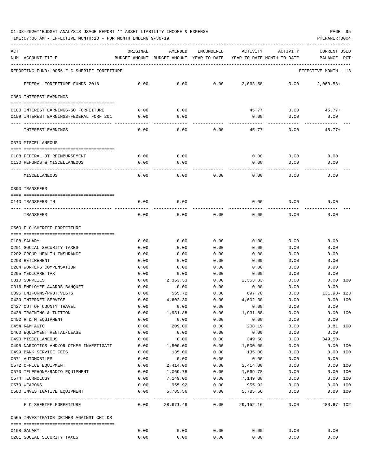01-08-2020\*\*BUDGET ANALYSIS USAGE REPORT \*\* ASSET LIABILITY INCOME & EXPENSE PAGE 95

| ACT | NUM ACCOUNT-TITLE                                             | ORIGINAL     | AMENDED<br>BUDGET-AMOUNT BUDGET-AMOUNT YEAR-TO-DATE | <b>ENCUMBERED</b>                | ACTIVITY             | ACTIVITY<br>YEAR-TO-DATE MONTH-TO-DATE | CURRENT USED<br>BALANCE<br>PCT |
|-----|---------------------------------------------------------------|--------------|-----------------------------------------------------|----------------------------------|----------------------|----------------------------------------|--------------------------------|
|     | REPORTING FUND: 0056 F C SHERIFF FORFEITURE                   |              |                                                     |                                  |                      |                                        | EFFECTIVE MONTH - 13           |
|     | FEDERAL FORFEITURE FUNDS 2018                                 | 0.00         | 0.00                                                | 0.00                             | 2,063.58             | 0.00                                   | $2,063.58+$                    |
|     | 0360 INTEREST EARNINGS                                        |              |                                                     |                                  |                      |                                        |                                |
|     | 0100 INTEREST EARNINGS-SO FORFEITURE                          | 0.00         | 0.00                                                |                                  | 45.77                | 0.00                                   | $45.77+$                       |
|     | 0159 INTEREST EARNINGS-FEDERAL FORF 201                       | 0.00         | 0.00                                                |                                  | 0.00                 | 0.00                                   | 0.00                           |
|     | INTEREST EARNINGS                                             | 0.00         | 0.00                                                | 0.00                             | 45.77                | 0.00                                   | $45.77+$                       |
|     | 0370 MISCELLANEOUS                                            |              |                                                     |                                  |                      |                                        |                                |
|     |                                                               |              |                                                     |                                  |                      |                                        |                                |
|     | 0108 FEDERAL OT REIMBURSEMENT<br>0130 REFUNDS & MISCELLANEOUS | 0.00<br>0.00 | 0.00<br>0.00                                        |                                  | 0.00<br>0.00         | 0.00<br>0.00                           | 0.00<br>0.00                   |
|     |                                                               |              |                                                     |                                  |                      |                                        |                                |
|     | MISCELLANEOUS                                                 | 0.00         | 0.00                                                | 0.00                             | 0.00                 | 0.00                                   | 0.00                           |
|     | 0390 TRANSFERS                                                |              |                                                     |                                  |                      |                                        |                                |
|     | 0140 TRANSFERS IN                                             | 0.00         | 0.00                                                |                                  | 0.00                 | 0.00                                   | 0.00                           |
|     | TRANSFERS                                                     | 0.00         | 0.00                                                | 0.00                             | 0.00                 | 0.00                                   | 0.00                           |
|     | 0560 F C SHERIFF FORFEITURE                                   |              |                                                     |                                  |                      |                                        |                                |
|     |                                                               |              |                                                     |                                  |                      |                                        |                                |
|     | 0108 SALARY                                                   | 0.00         | 0.00                                                | 0.00                             | 0.00                 | 0.00                                   | 0.00                           |
|     | 0201 SOCIAL SECURITY TAXES                                    | 0.00         | 0.00                                                | 0.00                             | 0.00                 | 0.00                                   | 0.00                           |
|     | 0202 GROUP HEALTH INSURANCE                                   | 0.00         | 0.00                                                | 0.00                             | 0.00                 | 0.00                                   | 0.00                           |
|     | 0203 RETIREMENT<br>0204 WORKERS COMPENSATION                  | 0.00<br>0.00 | 0.00<br>0.00                                        | 0.00<br>0.00                     | 0.00<br>0.00         | 0.00<br>0.00                           | 0.00<br>0.00                   |
|     | 0205 MEDICARE TAX                                             | 0.00         | 0.00                                                | 0.00                             | 0.00                 | 0.00                                   | 0.00                           |
|     | 0310 SUPPLIES                                                 | 0.00         | 2,353.33                                            | 0.00                             | 2,353.33             | 0.00                                   | 0.00 100                       |
|     | 0316 EMPLOYEE AWARDS BANOUET                                  | 0.00         | 0.00                                                | 0.00                             | 0.00                 | 0.00                                   | 0.00                           |
|     | 0395 UNIFORMS/PROT.VESTS                                      | 0.00         | 565.72                                              | 0.00                             | 697.70               | 0.00                                   | 131.98-123                     |
|     | 0423 INTERNET SERVICE                                         | 0.00         | 4,602.30                                            | 0.00                             | 4,602.30             | 0.00                                   | 100<br>0.00                    |
|     | 0427 OUT OF COUNTY TRAVEL                                     | 0.00         | 0.00                                                | 0.00                             | 0.00                 | 0.00                                   | 0.00                           |
|     | 0428 TRAINING & TUITION                                       | 0.00         | 1,931.88                                            | 0.00                             | 1,931.88             | 0.00                                   | 0.00 100                       |
|     | 0452 R & M EQUIPMENT                                          | 0.00         | 0.00                                                | 0.00                             | 0.00                 | 0.00                                   | 0.00                           |
|     | 0454 R&M AUTO                                                 | 0.00         | 209.00                                              | 0.00                             | 208.19               | 0.00                                   | $0.81$ 100                     |
|     | 0460 EQUIPMENT RENTAL/LEASE                                   | 0.00         | 0.00                                                | 0.00                             | 0.00                 | 0.00                                   | 0.00                           |
|     | 0490 MISCELLANEOUS                                            | 0.00         | 0.00                                                | 0.00                             | 349.50               | 0.00                                   | $349.50 -$                     |
|     | 0495 NARCOTICS AND/OR OTHER INVESTIGATI                       | 0.00         | 1,500.00                                            | 0.00                             | 1,500.00             | 0.00                                   | 0.00 100                       |
|     | 0499 BANK SERVICE FEES                                        | 0.00         | 135.00                                              | 0.00                             | 135.00               | 0.00                                   | 0.00 100                       |
|     | 0571 AUTOMOBILES                                              | 0.00         | 0.00                                                | 0.00                             | 0.00                 | 0.00                                   | 0.00                           |
|     | 0572 OFFICE EQUIPMENT                                         | 0.00<br>0.00 | 2,414.00                                            | 0.00<br>0.00                     | 2,414.00             | 0.00                                   | 0.00 100<br>0.00 100           |
|     | 0573 TELEPHONE/RADIO EQUIPMENT<br>0574 TECHNOLOGY             | 0.00         | 1,069.78<br>7,149.00                                | 0.00                             | 1,069.78<br>7,149.00 | 0.00<br>0.00                           | 0.00 100                       |
|     | 0579 WEAPONS                                                  | 0.00         | 955.92                                              | 0.00                             | 955.92               | 0.00                                   | 0.00 100                       |
|     | 0580 INVESTIGATIVE EQUIPMENT                                  | 0.00         | 5,785.56                                            | 0.00                             | 5,785.56             | 0.00                                   | 0.00 100                       |
|     | F C SHERIFF FORFEITURE                                        | 0.00         | 28,671.49                                           | ----------- ------------<br>0.00 | 29,152.16            | ----------- ------------<br>0.00       | $480.67 - 102$                 |
|     | 0565 INVESTIGATOR CRIMES AGAINST CHILDR                       |              |                                                     |                                  |                      |                                        |                                |
|     |                                                               |              |                                                     |                                  |                      |                                        |                                |
|     | 0108 SALARY                                                   | 0.00         | 0.00                                                | 0.00                             | 0.00                 | 0.00                                   | 0.00                           |
|     | 0201 SOCIAL SECURITY TAXES                                    | 0.00         | 0.00                                                | 0.00                             | 0.00                 | 0.00                                   | 0.00                           |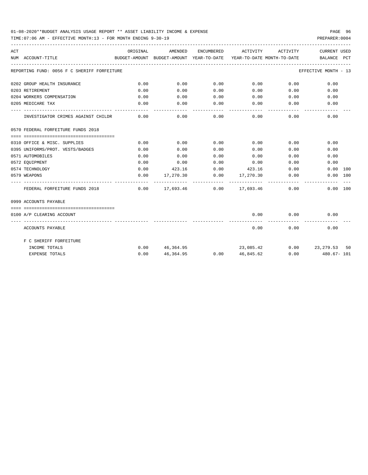## 01-08-2020\*\*BUDGET ANALYSIS USAGE REPORT \*\* ASSET LIABILITY INCOME & EXPENSE PAGE 96

| ACT |                                             | ORIGINAL | AMENDED |                    | ENCUMBERED ACTIVITY                                                         | ACTIVITY                    | <b>CURRENT USED</b>                                                             |
|-----|---------------------------------------------|----------|---------|--------------------|-----------------------------------------------------------------------------|-----------------------------|---------------------------------------------------------------------------------|
|     | NUM ACCOUNT-TITLE                           |          |         |                    |                                                                             |                             | BUDGET-AMOUNT BUDGET-AMOUNT YEAR-TO-DATE YEAR-TO-DATE MONTH-TO-DATE BALANCE PCT |
|     | REPORTING FUND: 0056 F C SHERIFF FORFEITURE |          |         |                    |                                                                             |                             | EFFECTIVE MONTH - 13                                                            |
|     | 0202 GROUP HEALTH INSURANCE                 | 0.00     | 0.00    | 0.00               | $0.00$ 0.00                                                                 |                             | 0.00                                                                            |
|     | 0203 RETIREMENT                             | 0.00     | 0.00    | 0.00               | $0.00$ 0.00                                                                 |                             | 0.00                                                                            |
|     | 0204 WORKERS COMPENSATION                   | 0.00     | 0.00    | 0.00               | 0.00                                                                        | 0.00                        | 0.00                                                                            |
|     | 0205 MEDICARE TAX                           | 0.00     | 0.00    | 0.00               | $0.00$ 0.00                                                                 |                             | 0.00                                                                            |
|     | INVESTIGATOR CRIMES AGAINST CHILDR          | 0.00     | 0.00    | ----------<br>0.00 | -----------                                                                 | ------------<br>$0.00$ 0.00 | 0.00                                                                            |
|     | 0570 FEDERAL FORFEITURE FUNDS 2018          |          |         |                    |                                                                             |                             |                                                                                 |
|     |                                             |          |         |                    |                                                                             |                             |                                                                                 |
|     | 0310 OFFICE & MISC. SUPPLIES                | 0.00     | 0.00    | 0.00               | 0.00                                                                        | 0.00                        | 0.00                                                                            |
|     | 0395 UNIFORMS/PROT. VESTS/BADGES            | 0.00     | 0.00    | 0.00               | 0.00                                                                        | 0.00                        | 0.00                                                                            |
|     | 0571 AUTOMOBILES                            | 0.00     | 0.00    | 0.00               | 0.00                                                                        |                             | 0.00<br>0.00                                                                    |
|     | 0572 EOUIPMENT                              | 0.00     | 0.00    | 0.00               | 0.00                                                                        | 0.00                        | 0.00                                                                            |
|     | 0574 TECHNOLOGY                             | 0.00     |         |                    | 423.16 0.00 423.16                                                          | 0.00                        | $0.00$ 100                                                                      |
|     | 0579 WEAPONS                                | 0.00     |         |                    | $17,270.30$ $0.00$ $17,270.30$ $0.00$                                       |                             | 0.00 100                                                                        |
|     | FEDERAL FORFEITURE FUNDS 2018               |          |         |                    | ------------- -------------<br>$0.00$ $17.693.46$ $0.00$ $17.693.46$ $0.00$ |                             | 0.00 100                                                                        |
|     | 0999 ACCOUNTS PAYABLE                       |          |         |                    |                                                                             |                             |                                                                                 |
|     |                                             |          |         |                    |                                                                             |                             |                                                                                 |
|     | 0100 A/P CLEARING ACCOUNT                   |          |         |                    | 0.00                                                                        | 0.00<br>----------          | 0.00                                                                            |
|     | ACCOUNTS PAYABLE                            |          |         |                    | 0.00                                                                        |                             | $0.00$ and $0.00$<br>0.00                                                       |
|     | F C SHERIFF FORFEITURE                      |          |         |                    |                                                                             |                             |                                                                                 |
|     | INCOME TOTALS                               |          |         |                    |                                                                             |                             | $0.00$ 46,364.95 23,085.42 0.00 23,279.53 50                                    |
|     | <b>EXPENSE TOTALS</b>                       | 0.00     |         |                    |                                                                             |                             | $46,364.95$ $0.00$ $46,845.62$ $0.00$ $480.67 - 101$                            |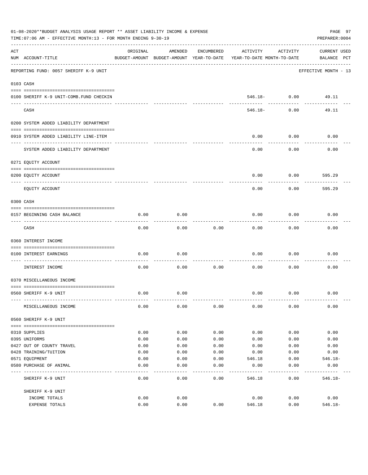|     | 01-08-2020**BUDGET ANALYSIS USAGE REPORT ** ASSET LIABILITY INCOME & EXPENSE<br>TIME: 07:06 AM - EFFECTIVE MONTH: 13 - FOR MONTH ENDING 9-30-19 |          |                                                     |                   |                                        |                     | PAGE 97<br>PREPARER: 0004   |
|-----|-------------------------------------------------------------------------------------------------------------------------------------------------|----------|-----------------------------------------------------|-------------------|----------------------------------------|---------------------|-----------------------------|
| ACT | NUM ACCOUNT-TITLE                                                                                                                               | ORIGINAL | AMENDED<br>BUDGET-AMOUNT BUDGET-AMOUNT YEAR-TO-DATE | ENCUMBERED        | ACTIVITY<br>YEAR-TO-DATE MONTH-TO-DATE | ACTIVITY            | CURRENT USED<br>BALANCE PCT |
|     | REPORTING FUND: 0057 SHERIFF K-9 UNIT                                                                                                           |          |                                                     |                   |                                        |                     | EFFECTIVE MONTH - 13        |
|     | 0103 CASH                                                                                                                                       |          |                                                     |                   |                                        |                     |                             |
|     | 0100 SHERIFF K-9 UNIT-COMB. FUND CHECKIN                                                                                                        |          |                                                     |                   |                                        | $546.18 - 0.00$     | 49.11                       |
|     | CASH                                                                                                                                            |          |                                                     |                   | 546.18-                                | -----------<br>0.00 | 49.11                       |
|     | 0200 SYSTEM ADDED LIABILITY DEPARTMENT                                                                                                          |          |                                                     |                   |                                        |                     |                             |
|     | 0910 SYSTEM ADDED LIABILITY LINE-ITEM                                                                                                           |          |                                                     |                   | 0.00                                   | 0.00                | 0.00                        |
|     | SYSTEM ADDED LIABILITY DEPARTMENT                                                                                                               |          |                                                     |                   | 0.00                                   | 0.00                | 0.00                        |
|     | 0271 EQUITY ACCOUNT                                                                                                                             |          |                                                     |                   |                                        |                     |                             |
|     | 0200 EQUITY ACCOUNT                                                                                                                             |          |                                                     |                   | 0.00                                   | 0.00                | 595.29                      |
|     | EQUITY ACCOUNT                                                                                                                                  |          |                                                     |                   | 0.00                                   | 0.00                | 595.29                      |
|     | 0300 CASH                                                                                                                                       |          |                                                     |                   |                                        |                     |                             |
|     | 0157 BEGINNING CASH BALANCE                                                                                                                     | 0.00     | 0.00                                                |                   | 0.00                                   | 0.00                | 0.00                        |
|     | CASH                                                                                                                                            | 0.00     | 0.00                                                | 0.00              | 0.00                                   | 0.00                | 0.00                        |
|     | 0360 INTEREST INCOME                                                                                                                            |          |                                                     |                   |                                        |                     |                             |
|     | 0100 INTEREST EARNINGS                                                                                                                          | 0.00     | 0.00                                                |                   | 0.00                                   | 0.00                | 0.00                        |
|     | ------------------ -<br>INTEREST INCOME                                                                                                         | 0.00     | 0.00                                                | 0.00              | 0.00                                   | 0.00                | 0.00                        |
|     | 0370 MISCELLANEOUS INCOME                                                                                                                       |          |                                                     |                   |                                        |                     |                             |
|     | 0560 SHERIFF K-9 UNIT                                                                                                                           | 0.00     | 0.00                                                |                   | 0.00                                   | 0.00                | 0.00                        |
|     | MISCELLANEOUS INCOME                                                                                                                            | 0.00     | 0.00                                                | 0.00              | 0.00                                   | 0.00                | 0.00                        |
|     | 0560 SHERIFF K-9 UNIT                                                                                                                           |          |                                                     |                   |                                        |                     |                             |
|     | 0310 SUPPLIES                                                                                                                                   | 0.00     | 0.00                                                | 0.00              | 0.00                                   | 0.00                | 0.00                        |
|     | 0395 UNIFORMS                                                                                                                                   | 0.00     | 0.00                                                | 0.00              | 0.00                                   | 0.00                | 0.00                        |
|     | 0427 OUT OF COUNTY TRAVEL                                                                                                                       | 0.00     | 0.00                                                | 0.00              | 0.00                                   | 0.00                | 0.00                        |
|     | 0428 TRAINING/TUITION                                                                                                                           | 0.00     | 0.00                                                | 0.00              | 0.00                                   | 0.00                | 0.00                        |
|     | 0571 EQUIPMENT                                                                                                                                  | 0.00     | 0.00                                                | 0.00              | 546.18                                 | 0.00                | $546.18-$                   |
|     | 0580 PURCHASE OF ANIMAL                                                                                                                         | 0.00     | 0.00<br>$---$                                       | 0.00<br>- - - - - | 0.00                                   | 0.00<br>-----       | 0.00                        |
|     | SHERIFF K-9 UNIT                                                                                                                                | 0.00     | 0.00                                                | 0.00              | 546.18                                 | 0.00                | $546.18-$                   |
|     | SHERIFF K-9 UNIT                                                                                                                                |          |                                                     |                   |                                        |                     |                             |
|     | INCOME TOTALS                                                                                                                                   | 0.00     | 0.00                                                |                   | 0.00                                   | 0.00                | 0.00                        |
|     | EXPENSE TOTALS                                                                                                                                  | 0.00     | 0.00                                                | 0.00              | 546.18                                 | 0.00                | $546.18 -$                  |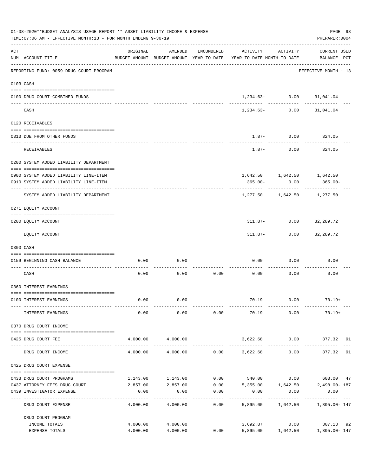|     | 01-08-2020**BUDGET ANALYSIS USAGE REPORT ** ASSET LIABILITY INCOME & EXPENSE<br>TIME: 07:06 AM - EFFECTIVE MONTH: 13 - FOR MONTH ENDING 9-30-19 |                       |                      |            |                                                                                 |                             | PAGE 98<br>PREPARER: 0004                |    |
|-----|-------------------------------------------------------------------------------------------------------------------------------------------------|-----------------------|----------------------|------------|---------------------------------------------------------------------------------|-----------------------------|------------------------------------------|----|
| ACT | NUM ACCOUNT-TITLE                                                                                                                               | ORIGINAL              | AMENDED              | ENCUMBERED | ACTIVITY<br>BUDGET-AMOUNT BUDGET-AMOUNT YEAR-TO-DATE YEAR-TO-DATE MONTH-TO-DATE | ACTIVITY                    | <b>CURRENT USED</b><br>BALANCE PCT       |    |
|     | REPORTING FUND: 0059 DRUG COURT PROGRAM                                                                                                         |                       |                      |            |                                                                                 |                             | EFFECTIVE MONTH - 13                     |    |
|     | 0103 CASH                                                                                                                                       |                       |                      |            |                                                                                 |                             |                                          |    |
|     | 0100 DRUG COURT-COMBINED FUNDS                                                                                                                  |                       |                      |            |                                                                                 | $1,234.63 0.00$ $31,041.04$ |                                          |    |
|     | CASH                                                                                                                                            |                       |                      |            | 1,234.63-                                                                       |                             | $0.00$ $31,041.04$                       |    |
|     | 0120 RECEIVABLES                                                                                                                                |                       |                      |            |                                                                                 |                             |                                          |    |
|     | 0313 DUE FROM OTHER FUNDS                                                                                                                       |                       |                      |            |                                                                                 | $1.87 - 0.00$               | 324.05                                   |    |
|     | RECEIVABLES                                                                                                                                     |                       |                      |            |                                                                                 | $1.87 - 0.00$               | 324.05                                   |    |
|     | 0200 SYSTEM ADDED LIABILITY DEPARTMENT                                                                                                          |                       |                      |            |                                                                                 |                             |                                          |    |
|     | 0900 SYSTEM ADDED LIABILITY LINE-ITEM                                                                                                           |                       |                      |            |                                                                                 | 1,642.50 1,642.50 1,642.50  |                                          |    |
|     | 0910 SYSTEM ADDED LIABILITY LINE-ITEM                                                                                                           |                       |                      |            | 365.00-                                                                         | 0.00                        | 365.00-                                  |    |
|     | SYSTEM ADDED LIABILITY DEPARTMENT                                                                                                               |                       |                      |            | 1,277.50                                                                        | 1,642.50                    | 1,277.50                                 |    |
|     | 0271 EQUITY ACCOUNT                                                                                                                             |                       |                      |            |                                                                                 |                             |                                          |    |
|     | 0200 EQUITY ACCOUNT                                                                                                                             |                       |                      |            |                                                                                 | $311.87 - 0.00$ $32,289.72$ |                                          |    |
|     | EQUITY ACCOUNT                                                                                                                                  |                       |                      |            |                                                                                 | $311.87 - 0.00$ $32,289.72$ |                                          |    |
|     | 0300 CASH                                                                                                                                       |                       |                      |            |                                                                                 |                             |                                          |    |
|     | 0159 BEGINNING CASH BALANCE                                                                                                                     | 0.00                  | 0.00                 |            | 0.00                                                                            | 0.00                        | 0.00                                     |    |
|     | CASH                                                                                                                                            | 0.00                  | 0.00                 | 0.00       | 0.00                                                                            | 0.00                        | 0.00                                     |    |
|     | 0360 INTEREST EARNINGS                                                                                                                          |                       |                      |            |                                                                                 |                             |                                          |    |
|     | 0100 INTEREST EARNINGS                                                                                                                          | 0.00                  | 0.00                 |            | 70.19                                                                           | 0.00                        | $70.19+$                                 |    |
|     | INTEREST EARNINGS                                                                                                                               | 0.00                  | 0.00                 | 0.00       | 70.19                                                                           | 0.00                        | $70.19+$                                 |    |
|     | 0370 DRUG COURT INCOME                                                                                                                          |                       |                      |            |                                                                                 |                             |                                          |    |
|     |                                                                                                                                                 |                       |                      |            |                                                                                 |                             |                                          |    |
|     | 0425 DRUG COURT FEE                                                                                                                             |                       | 4,000.00 4,000.00    |            |                                                                                 |                             | 3,622.68 0.00 377.32 91<br>------------- |    |
|     | DRUG COURT INCOME                                                                                                                               | 4,000.00              |                      |            | 4,000.00 0.00 3,622.68                                                          | 0.00                        | 377.32                                   | 91 |
|     | 0425 DRUG COURT EXPENSE                                                                                                                         |                       |                      |            |                                                                                 |                             |                                          |    |
|     | 0433 DRUG COURT PROGRAMS                                                                                                                        |                       | 1, 143.00 1, 143.00  |            | $0.00$ 540.00 0.00 603.00 47                                                    |                             |                                          |    |
|     | 0437 ATTORNEY FEES DRUG COURT                                                                                                                   |                       |                      |            | 2,857.00 2,857.00 0.00 5,355.00 1,642.50 2,498.00-187                           |                             |                                          |    |
|     | 0439 INVESTIGATOR EXPENSE                                                                                                                       | 0.00<br>------------- | 0.00                 | 0.00       | 0.00<br>---------                                                               | 0.00<br>-----------         | 0.00                                     |    |
|     | DRUG COURT EXPENSE                                                                                                                              | 4,000.00              | 4,000.00             | 0.00       | 5,895.00                                                                        |                             | 1,642.50 1,895.00-147                    |    |
|     | DRUG COURT PROGRAM                                                                                                                              |                       |                      |            |                                                                                 |                             | 3,692.87 0.00 307.13                     |    |
|     | INCOME TOTALS<br>EXPENSE TOTALS                                                                                                                 | 4,000.00<br>4,000.00  | 4,000.00<br>4,000.00 | 0.00       |                                                                                 |                             | 5,895.00   1,642.50   1,895.00- 147      | 92 |
|     |                                                                                                                                                 |                       |                      |            |                                                                                 |                             |                                          |    |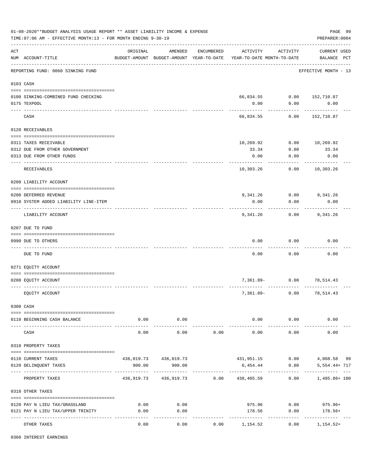|     | 01-08-2020**BUDGET ANALYSIS USAGE REPORT ** ASSET LIABILITY INCOME & EXPENSE<br>TIME: 07:06 AM - EFFECTIVE MONTH: 13 - FOR MONTH ENDING 9-30-19 |                     |                                                     |            |                                        |                           | PAGE 99<br>PREPARER: 0004          |
|-----|-------------------------------------------------------------------------------------------------------------------------------------------------|---------------------|-----------------------------------------------------|------------|----------------------------------------|---------------------------|------------------------------------|
| ACT | NUM ACCOUNT-TITLE                                                                                                                               | ORIGINAL            | AMENDED<br>BUDGET-AMOUNT BUDGET-AMOUNT YEAR-TO-DATE | ENCUMBERED | ACTIVITY<br>YEAR-TO-DATE MONTH-TO-DATE | ACTIVITY                  | <b>CURRENT USED</b><br>BALANCE PCT |
|     | REPORTING FUND: 0060 SINKING FUND                                                                                                               |                     |                                                     |            |                                        |                           | EFFECTIVE MONTH - 13               |
|     | 0103 CASH                                                                                                                                       |                     |                                                     |            |                                        |                           |                                    |
|     |                                                                                                                                                 |                     |                                                     |            |                                        |                           |                                    |
|     | 0100 SINKING-COMBINED FUND CHECKING                                                                                                             |                     |                                                     |            |                                        | 66,834.55 0.00 152,710.87 |                                    |
|     | 0175 TEXPOOL                                                                                                                                    |                     |                                                     |            | 0.00                                   | 0.00                      | 0.00                               |
|     | CASH                                                                                                                                            |                     |                                                     |            | 66,834.55                              | 0.00                      | 152,710.87                         |
|     | 0120 RECEIVABLES                                                                                                                                |                     |                                                     |            |                                        |                           |                                    |
|     | 0311 TAXES RECEIVABLE                                                                                                                           |                     |                                                     |            | 10,269.92                              | 0.00                      | 10,269.92                          |
|     | 0312 DUE FROM OTHER GOVERNMENT                                                                                                                  |                     |                                                     |            | 33.34                                  | 0.00                      | 33.34                              |
|     | 0313 DUE FROM OTHER FUNDS                                                                                                                       |                     |                                                     |            | 0.00                                   | 0.00                      | 0.00                               |
|     | RECEIVABLES                                                                                                                                     |                     |                                                     |            | 10,303.26                              | 0.00                      | 10,303.26                          |
|     | 0200 LIABILITY ACCOUNT                                                                                                                          |                     |                                                     |            |                                        |                           |                                    |
|     |                                                                                                                                                 |                     |                                                     |            |                                        |                           |                                    |
|     | 0200 DEFERRED REVENUE                                                                                                                           |                     |                                                     |            |                                        | 9,341.26 0.00 9,341.26    |                                    |
|     | 0910 SYSTEM ADDED LIABILITY LINE-ITEM                                                                                                           |                     |                                                     |            | 0.00                                   | 0.00                      | 0.00                               |
|     | LIABILITY ACCOUNT                                                                                                                               |                     |                                                     |            | 9,341.26                               | 0.00                      | 9,341.26                           |
|     | 0207 DUE TO FUND                                                                                                                                |                     |                                                     |            |                                        |                           |                                    |
|     | 0990 DUE TO OTHERS                                                                                                                              |                     |                                                     |            | 0.00                                   | 0.00                      | 0.00                               |
|     |                                                                                                                                                 |                     |                                                     |            |                                        |                           |                                    |
|     | DUE TO FUND                                                                                                                                     |                     |                                                     |            | 0.00                                   | 0.00                      | 0.00                               |
|     | 0271 EQUITY ACCOUNT                                                                                                                             |                     |                                                     |            |                                        |                           |                                    |
|     |                                                                                                                                                 |                     |                                                     |            |                                        |                           |                                    |
|     | 0200 EQUITY ACCOUNT                                                                                                                             |                     |                                                     |            | 7,361.89-                              | 0.00                      | 78,514.43                          |
|     | EQUITY ACCOUNT                                                                                                                                  |                     |                                                     |            | $7,361.89-$                            | 0.00                      | 78,514.43                          |
|     | 0300 CASH                                                                                                                                       |                     |                                                     |            |                                        |                           |                                    |
|     | 0110 BEGINNING CASH BALANCE                                                                                                                     | 0.00                | 0.00                                                |            | 0.00                                   | 0.00                      | 0.00                               |
|     |                                                                                                                                                 |                     | -----------                                         |            | -------------                          | -----------               |                                    |
|     | CASH                                                                                                                                            | 0.00                | 0.00                                                | 0.00       | 0.00                                   | 0.00                      | 0.00                               |
|     | 0310 PROPERTY TAXES                                                                                                                             |                     |                                                     |            |                                        |                           |                                    |
|     | 0110 CURRENT TAXES                                                                                                                              |                     | 436,019.73 436,019.73                               |            |                                        | 431,951.15 0.00           | 4,068.58 99                        |
|     | 0120 DELINQUENT TAXES                                                                                                                           | 900.00<br>--------- | 900.00<br>-------------                             |            | 6,454.44                               | 0.00                      | 5,554.44+ 717<br>-------- ---      |
|     | PROPERTY TAXES                                                                                                                                  |                     | 436,919.73 436,919.73 0.00 438,405.59               |            |                                        | 0.00                      | 1,485.86+ 100                      |
|     | 0318 OTHER TAXES                                                                                                                                |                     |                                                     |            |                                        |                           |                                    |
|     | 0120 PAY N LIEU TAX/GRASSLAND                                                                                                                   | 0.00                | 0.00                                                |            |                                        | 975.96                    | $0.00$ 975.96+                     |
|     | 0121 PAY N LIEU TAX/UPPER TRINITY                                                                                                               | 0.00                | 0.00                                                |            | 178.56                                 | 0.00                      | 178.56+                            |
|     | OTHER TAXES                                                                                                                                     | 0.00                | ---------<br>0.00                                   | 0.00       | -------------<br>1,154.52              | ----------<br>0.00        | ------------<br>$1,154.52+$        |

0360 INTEREST EARNINGS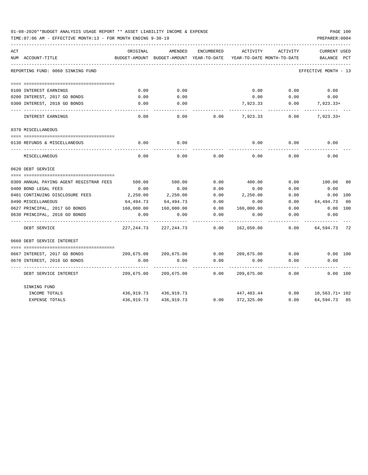| 01-08-2020**BUDGET ANALYSIS USAGE REPORT ** ASSET LIABILITY INCOME & EXPENSE |  |  |  |  | PAGE 100 |  |
|------------------------------------------------------------------------------|--|--|--|--|----------|--|
|                                                                              |  |  |  |  |          |  |

| ACT<br>NUM ACCOUNT-TITLE                | ORIGINAL<br>BUDGET-AMOUNT | AMENDED<br>BUDGET-AMOUNT YEAR-TO-DATE | ENCUMBERED | ACTIVITY   | ACTIVITY                   | <b>CURRENT USED</b>  | PCT            |
|-----------------------------------------|---------------------------|---------------------------------------|------------|------------|----------------------------|----------------------|----------------|
|                                         |                           |                                       |            |            | YEAR-TO-DATE MONTH-TO-DATE | BALANCE              |                |
| REPORTING FUND: 0060 SINKING FUND       |                           |                                       |            |            |                            | EFFECTIVE MONTH - 13 |                |
|                                         |                           |                                       |            |            |                            |                      |                |
| 0100 INTEREST EARNINGS                  | 0.00                      | 0.00                                  |            | 0.00       | 0.00                       | 0.00                 |                |
| 0200 INTEREST, 2017 GO BONDS            | 0.00                      | 0.00                                  |            | 0.00       | 0.00                       | 0.00                 |                |
| 0300 INTEREST, 2018 GO BONDS            | 0.00                      | 0.00                                  |            | 7,923.33   | 0.00                       | $7,923.33+$          |                |
| INTEREST EARNINGS                       | 0.00                      | 0.00                                  | 0.00       | 7,923.33   | 0.00                       | $7,923.33+$          |                |
| 0370 MISCELLANEOUS                      |                           |                                       |            |            |                            |                      |                |
| 0130 REFUNDS & MISCELLANEOUS            | 0.00                      | 0.00                                  |            | 0.00       | 0.00                       | 0.00                 |                |
| MISCELLANEOUS                           | 0.00                      | 0.00                                  | 0.00       | 0.00       | 0.00                       | 0.00                 |                |
| 0620 DEBT SERVICE                       |                           |                                       |            |            |                            |                      |                |
|                                         |                           |                                       |            |            |                            |                      |                |
| 0309 ANNUAL PAYING AGENT REGISTRAR FEES | 500.00                    | 500.00                                | 0.00       | 400.00     | 0.00                       | 100.00               | 80             |
| 0400 BOND LEGAL FEES                    | 0.00                      | 0.00                                  | 0.00       | 0.00       | 0.00                       | 0.00                 |                |
| 0401 CONTINUING DISCLOSURE FEES         | 2,250.00                  | 2,250.00                              | 0.00       | 2,250.00   | 0.00                       | 0.00                 | 100            |
| 0490 MISCELLANEOUS                      | 64,494.73                 | 64,494.73                             | 0.00       | 0.00       | 0.00                       | 64, 494. 73          | 0 <sup>0</sup> |
| 0627 PRINCIPAL, 2017 GO BONDS           | 160,000.00                | 160,000.00                            | 0.00       | 160,000.00 | 0.00                       | 0.00                 | 100            |
| 0630 PRINCIPAL, 2018 GO BONDS           | 0.00                      | 0.00                                  | 0.00       | 0.00       | 0.00                       | 0.00                 |                |
| DEBT SERVICE                            | 227, 244.73               | 227, 244.73                           | 0.00       | 162,650.00 | 0.00                       | 64,594.73 72         |                |
| 0660 DEBT SERVICE INTEREST              |                           |                                       |            |            |                            |                      |                |
| 0667 INTEREST, 2017 GO BONDS            | 209,675.00                | 209,675.00                            | 0.00       | 209,675.00 | 0.00                       | 0.00 100             |                |
| 0670 INTEREST, 2018 GO BONDS            | 0.00                      | 0.00                                  | 0.00       | 0.00       | 0.00                       | 0.00                 |                |
| DEBT SERVICE INTEREST                   | 209,675.00                | 209,675.00                            | 0.00       | 209,675.00 | 0.00                       | 0.00 100             |                |
| SINKING FUND                            |                           |                                       |            |            |                            |                      |                |
| INCOME TOTALS                           | 436,919.73                | 436,919.73                            |            | 447,483.44 | 0.00                       | 10,563.71+ 102       |                |
| <b>EXPENSE TOTALS</b>                   | 436,919.73                | 436, 919. 73                          | 0.00       | 372,325.00 | 0.00                       | 64,594.73 85         |                |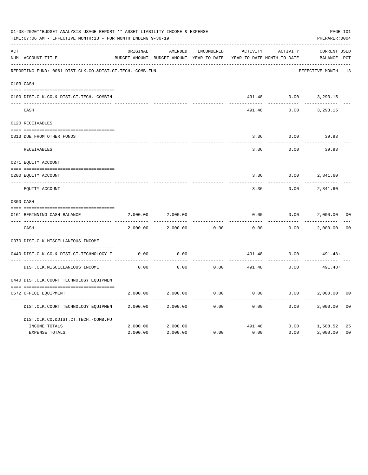|     | 01-08-2020**BUDGET ANALYSIS USAGE REPORT ** ASSET LIABILITY INCOME & EXPENSE<br>TIME: 07:06 AM - EFFECTIVE MONTH: 13 - FOR MONTH ENDING 9-30-19 |          |                                                     |            |          |                                        | PAGE 101<br>PREPARER: 0004         |                |
|-----|-------------------------------------------------------------------------------------------------------------------------------------------------|----------|-----------------------------------------------------|------------|----------|----------------------------------------|------------------------------------|----------------|
| ACT | NUM ACCOUNT-TITLE                                                                                                                               | ORIGINAL | AMENDED<br>BUDGET-AMOUNT BUDGET-AMOUNT YEAR-TO-DATE | ENCUMBERED | ACTIVITY | ACTIVITY<br>YEAR-TO-DATE MONTH-TO-DATE | <b>CURRENT USED</b><br>BALANCE PCT |                |
|     | REPORTING FUND: 0061 DIST.CLK.CO.&DIST.CT.TECH.-COMB.FUN                                                                                        |          |                                                     |            |          |                                        | EFFECTIVE MONTH - 13               |                |
|     | 0103 CASH                                                                                                                                       |          |                                                     |            |          |                                        |                                    |                |
|     | 0100 DIST.CLK.CO.& DIST.CT.TECH.-COMBIN                                                                                                         |          |                                                     |            | 491.48   |                                        | $0.00$ 3, 293.15                   |                |
|     | CASH                                                                                                                                            |          |                                                     |            | 491.48   | 0.00                                   | 3,293.15                           |                |
|     | 0120 RECEIVABLES                                                                                                                                |          |                                                     |            |          |                                        |                                    |                |
|     | 0313 DUE FROM OTHER FUNDS                                                                                                                       |          |                                                     |            | 3.36     | 0.00                                   | 39.93                              |                |
|     | RECEIVABLES                                                                                                                                     |          |                                                     |            | 3.36     | 0.00                                   | 39.93                              |                |
|     | 0271 EQUITY ACCOUNT                                                                                                                             |          |                                                     |            |          |                                        |                                    |                |
|     | 0200 EQUITY ACCOUNT                                                                                                                             |          |                                                     |            | 3.36     | 0.00                                   | 2,841.60                           |                |
|     | ---- -------------<br>EQUITY ACCOUNT                                                                                                            |          |                                                     |            | 3.36     | 0.00                                   | 2,841.60                           |                |
|     | 0300 CASH                                                                                                                                       |          |                                                     |            |          |                                        |                                    |                |
|     | 0161 BEGINNING CASH BALANCE                                                                                                                     | 2,000.00 | 2,000.00                                            |            | 0.00     | 0.00                                   | 2,000.00                           | 0 <sub>0</sub> |
|     | CASH                                                                                                                                            | 2,000.00 | 2,000.00                                            | 0.00       | 0.00     | 0.00                                   | 2,000.00                           | 0 <sup>0</sup> |
|     | 0370 DIST.CLK.MISCELLANEOUS INCOME                                                                                                              |          |                                                     |            |          |                                        |                                    |                |
|     | 0440 DIST.CLK.CO.& DIST.CT.TECHNOLOGY F                                                                                                         | 0.00     | 0.00                                                |            | 491.48   | 0.00                                   | $491.48+$                          |                |
|     | DIST.CLK.MISCELLANEOUS INCOME                                                                                                                   | 0.00     | -------<br>0.00                                     | 0.00       | 491.48   | 0.00                                   | 491.48+                            |                |
|     | 0440 DIST.CLK.COURT TECHNOLOGY EQUIPMEN                                                                                                         |          |                                                     |            |          |                                        |                                    |                |
|     | 0572 OFFICE EOUIPMENT                                                                                                                           | 2,000.00 | 2,000.00                                            | 0.00       | 0.00     |                                        | 0.00<br>2,000.00                   | 0 <sub>0</sub> |
|     | DIST.CLK.COURT TECHNOLOGY EQUIPMEN                                                                                                              | 2,000.00 | 2,000.00                                            | 0.00       | 0.00     | 0.00                                   | 2,000.00                           | 0 <sub>0</sub> |
|     | DIST.CLK.CO.&DIST.CT.TECH.-COMB.FU                                                                                                              |          |                                                     |            |          |                                        |                                    |                |
|     | INCOME TOTALS                                                                                                                                   | 2,000.00 | 2,000.00                                            |            | 491.48   |                                        | 0.00<br>1,508.52                   | 25             |
|     | <b>EXPENSE TOTALS</b>                                                                                                                           | 2,000.00 | 2,000.00                                            | 0.00       | 0.00     | 0.00                                   | 2,000.00                           | 0 <sub>0</sub> |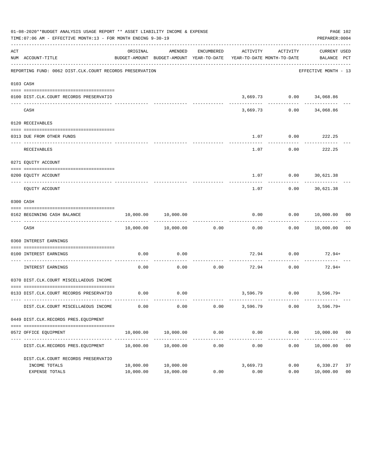|     | 01-08-2020**BUDGET ANALYSIS USAGE REPORT ** ASSET LIABILITY INCOME & EXPENSE<br>TIME: 07:06 AM - EFFECTIVE MONTH: 13 - FOR MONTH ENDING 9-30-19 |                        |                                                                                |                       |                        |                   | PAGE 102<br>PREPARER: 0004      |                      |
|-----|-------------------------------------------------------------------------------------------------------------------------------------------------|------------------------|--------------------------------------------------------------------------------|-----------------------|------------------------|-------------------|---------------------------------|----------------------|
| ACT | NUM ACCOUNT-TITLE                                                                                                                               | ORIGINAL               | AMENDED<br>BUDGET-AMOUNT BUDGET-AMOUNT YEAR-TO-DATE YEAR-TO-DATE MONTH-TO-DATE | ENCUMBERED            |                        | ACTIVITY ACTIVITY | CURRENT USED<br>BALANCE PCT     |                      |
|     | REPORTING FUND: 0062 DIST.CLK.COURT RECORDS PRESERVATION                                                                                        |                        |                                                                                |                       |                        |                   | EFFECTIVE MONTH - 13            |                      |
|     | 0103 CASH                                                                                                                                       |                        |                                                                                |                       |                        |                   |                                 |                      |
|     | 0100 DIST.CLK.COURT RECORDS PRESERVATIO                                                                                                         |                        |                                                                                |                       |                        |                   | 3,669.73 0.00 34,068.86         |                      |
|     | CASH                                                                                                                                            |                        | -------------                                                                  |                       | ----------<br>3,669.73 | -------------     | .<br>$0.00$ 34,068.86           |                      |
|     | 0120 RECEIVABLES                                                                                                                                |                        |                                                                                |                       |                        |                   |                                 |                      |
|     | 0313 DUE FROM OTHER FUNDS                                                                                                                       |                        |                                                                                |                       |                        |                   | $1.07$ 0.00 222.25              |                      |
|     | RECEIVABLES                                                                                                                                     |                        |                                                                                |                       | 1.07                   | 0.00              | . _ _ _ _ _ _ _ _ _ _<br>222.25 |                      |
|     | 0271 EQUITY ACCOUNT                                                                                                                             |                        |                                                                                |                       |                        |                   |                                 |                      |
|     | 0200 EQUITY ACCOUNT                                                                                                                             |                        |                                                                                |                       |                        |                   | 1.07 0.00 30,621.38             |                      |
|     | EQUITY ACCOUNT                                                                                                                                  |                        |                                                                                |                       | ------<br>1.07         | ---------<br>0.00 | ------------<br>30,621.38       |                      |
|     | 0300 CASH                                                                                                                                       |                        |                                                                                |                       |                        |                   |                                 |                      |
|     | 0162 BEGINNING CASH BALANCE                                                                                                                     |                        | 10,000.00 10,000.00                                                            |                       |                        |                   | $0.00$ $0.00$ $10,000.00$ 00    |                      |
|     | CASH                                                                                                                                            |                        | $10,000.00$ $10,000.00$ 0.00                                                   |                       | 0.00                   |                   | 0.00 10,000.00                  | 0 <sub>0</sub>       |
|     | 0360 INTEREST EARNINGS                                                                                                                          |                        |                                                                                |                       |                        |                   |                                 |                      |
|     | 0100 INTEREST EARNINGS                                                                                                                          | 0.00                   | 0.00                                                                           |                       |                        | 72.94 0.00        | $72.94+$                        |                      |
|     | <u>------------------ --</u><br>INTEREST EARNINGS                                                                                               | 0.00                   | 0.00                                                                           | 0.00                  | 72.94                  | 0.00              | 72.94+                          |                      |
|     | 0370 DIST.CLK.COURT MISCELLAEOUS INCOME                                                                                                         |                        |                                                                                |                       |                        |                   |                                 |                      |
|     | 0133 DIST.CLK.COURT RECORDS PRESERVATIO                                                                                                         |                        | $0.00$ 0.00                                                                    |                       |                        |                   | $3,596.79$ 0.00 3,596.79+       |                      |
|     | DIST.CLK.COURT MISCELLAEOUS INCOME                                                                                                              | 0.00                   | 0.00                                                                           | 0.00                  | 3,596.79               | 0.00              | $3,596.79+$                     |                      |
|     | 0449 DIST.CLK.RECORDS PRES.EQUIPMENT                                                                                                            |                        |                                                                                |                       |                        |                   |                                 |                      |
|     | 0572 OFFICE EQUIPMENT                                                                                                                           | 10,000.00              | 10,000.00                                                                      | 0.00                  | 0.00<br>------------   | 0.00              | 10,000.00 00                    |                      |
|     | DIST.CLK.RECORDS PRES.EQUIPMENT                                                                                                                 | 10,000.00              | 10,000.00                                                                      | _____________<br>0.00 | 0.00                   | 0.00              | ------------<br>10,000.00       | 0 <sub>0</sub>       |
|     | DIST.CLK.COURT RECORDS PRESERVATIO                                                                                                              |                        |                                                                                |                       |                        |                   |                                 |                      |
|     | INCOME TOTALS<br>EXPENSE TOTALS                                                                                                                 | 10,000.00<br>10,000.00 | 10,000.00<br>10,000.00                                                         | 0.00                  | 3,669.73<br>0.00       | 0.00<br>0.00      | 6,330.27<br>10,000.00           | 37<br>0 <sub>0</sub> |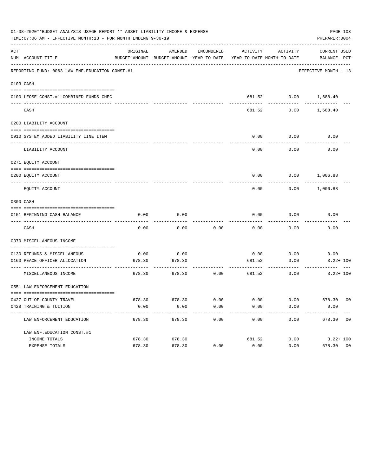|     | 01-08-2020**BUDGET ANALYSIS USAGE REPORT ** ASSET LIABILITY INCOME & EXPENSE<br>TIME: 07:06 AM - EFFECTIVE MONTH: 13 - FOR MONTH ENDING 9-30-19 |                   |                                                     |                   |                       |                                                 | PAGE 103<br>PREPARER: 0004  |
|-----|-------------------------------------------------------------------------------------------------------------------------------------------------|-------------------|-----------------------------------------------------|-------------------|-----------------------|-------------------------------------------------|-----------------------------|
| ACT | NUM ACCOUNT-TITLE                                                                                                                               | ORIGINAL          | AMENDED<br>BUDGET-AMOUNT BUDGET-AMOUNT YEAR-TO-DATE | ENCUMBERED        |                       | ACTIVITY ACTIVITY<br>YEAR-TO-DATE MONTH-TO-DATE | CURRENT USED<br>BALANCE PCT |
|     | REPORTING FUND: 0063 LAW ENF. EDUCATION CONST. #1                                                                                               |                   |                                                     |                   |                       |                                                 | EFFECTIVE MONTH - 13        |
|     | 0103 CASH                                                                                                                                       |                   |                                                     |                   |                       |                                                 |                             |
|     | 0100 LEOSE CONST.#1-COMBINED FUNDS CHEC                                                                                                         |                   |                                                     |                   |                       | 681.52 0.00 1,688.40                            |                             |
|     | CASH                                                                                                                                            |                   |                                                     |                   | 681.52                | 0.00                                            | 1,688.40                    |
|     | 0200 LIABILITY ACCOUNT                                                                                                                          |                   |                                                     |                   |                       |                                                 |                             |
|     | 0910 SYSTEM ADDED LIABILITY LINE ITEM                                                                                                           |                   |                                                     |                   | 0.00                  | 0.00                                            | 0.00                        |
|     | LIABILITY ACCOUNT                                                                                                                               |                   |                                                     |                   | $- - - - - -$<br>0.00 | ---------<br>0.00                               | 0.00                        |
|     | 0271 EQUITY ACCOUNT                                                                                                                             |                   |                                                     |                   |                       |                                                 |                             |
|     | 0200 EOUITY ACCOUNT                                                                                                                             |                   |                                                     |                   |                       | $0.00$ $0.00$ $1,006.88$                        |                             |
|     | EQUITY ACCOUNT                                                                                                                                  |                   |                                                     |                   | 0.00                  |                                                 | $0.00$ 1,006.88             |
|     | 0300 CASH                                                                                                                                       |                   |                                                     |                   |                       |                                                 |                             |
|     | 0151 BEGINNING CASH BALANCE                                                                                                                     | 0.00              | 0.00                                                |                   | 0.00                  | 0.00<br>---------                               | 0.00                        |
|     | CASH                                                                                                                                            | 0.00              | 0.00                                                | 0.00              | 0.00                  | 0.00                                            | 0.00                        |
|     | 0370 MISCELLANEOUS INCOME                                                                                                                       |                   |                                                     |                   |                       |                                                 |                             |
|     |                                                                                                                                                 |                   |                                                     |                   |                       |                                                 |                             |
|     | 0130 REFUNDS & MISCELLANEOUS                                                                                                                    | 0.00              | 0.00                                                |                   |                       | $0.00$ 0.00                                     | 0.00                        |
|     | 0160 PEACE OFFICER ALLOCATION                                                                                                                   | 678.30            | 678.30                                              |                   | 681.52                | 0.00                                            | $3.22 + 100$                |
|     | MISCELLANEOUS INCOME                                                                                                                            | 678.30            | 678.30                                              | 0.00              | 681.52                | 0.00                                            | $3.22 + 100$                |
|     | 0551 LAW ENFORCEMENT EDUCATION                                                                                                                  |                   |                                                     |                   |                       |                                                 |                             |
|     |                                                                                                                                                 |                   |                                                     |                   |                       |                                                 |                             |
|     | 0427 OUT OF COUNTY TRAVEL                                                                                                                       | 678.30            | 678.30                                              | 0.00              | 0.00                  | 0.00                                            | 678.30 00                   |
|     | 0428 TRAINING & TUITION<br>----------------------------------- --                                                                               | 0.00<br>--------- | 0.00<br>-------------                               | 0.00<br>--------- | 0.00<br>------------  | 0.00<br>----------                              | 0.00<br>-------------       |
|     | LAW ENFORCEMENT EDUCATION                                                                                                                       | 678.30            | 678.30                                              | 0.00              | 0.00                  | 0.00                                            | 678.30 00                   |
|     | LAW ENF. EDUCATION CONST. #1                                                                                                                    |                   |                                                     |                   |                       |                                                 |                             |
|     | INCOME TOTALS                                                                                                                                   | 678.30            | 678.30                                              |                   | 681.52                | 0.00                                            | $3.22 + 100$                |
|     | EXPENSE TOTALS                                                                                                                                  | 678.30            | 678.30                                              | 0.00              | 0.00                  | 0.00                                            | 0 <sub>0</sub><br>678.30    |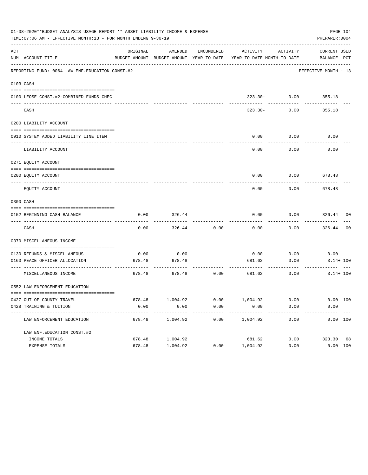| ACT | NUM ACCOUNT-TITLE                                         | ORIGINAL | AMENDED               | ENCUMBERED | ACTIVITY<br>BUDGET-AMOUNT BUDGET-AMOUNT YEAR-TO-DATE YEAR-TO-DATE MONTH-TO-DATE | <b>ACTIVITY</b>             | CURRENT USED<br>BALANCE PCT |  |
|-----|-----------------------------------------------------------|----------|-----------------------|------------|---------------------------------------------------------------------------------|-----------------------------|-----------------------------|--|
|     | REPORTING FUND: 0064 LAW ENF. EDUCATION CONST.#2          |          |                       |            |                                                                                 |                             | EFFECTIVE MONTH - 13        |  |
|     | 0103 CASH                                                 |          |                       |            |                                                                                 |                             |                             |  |
|     | 0100 LEOSE CONST.#2-COMBINED FUNDS CHEC                   |          |                       |            |                                                                                 | $323.30 - 0.00$ 355.18      |                             |  |
|     | CASH                                                      |          |                       |            | 323.30-                                                                         | 0.00                        | 355.18                      |  |
|     | 0200 LIABILITY ACCOUNT                                    |          |                       |            |                                                                                 |                             |                             |  |
|     | 0910 SYSTEM ADDED LIABILITY LINE ITEM                     |          |                       |            | 0.00                                                                            | 0.00                        | 0.00                        |  |
|     | LIABILITY ACCOUNT                                         |          |                       |            | 0.00                                                                            | 0.00                        | 0.00                        |  |
|     | 0271 EQUITY ACCOUNT                                       |          |                       |            |                                                                                 |                             |                             |  |
|     | 0200 EQUITY ACCOUNT                                       |          |                       |            |                                                                                 | $0.00$ $0.00$ $678.48$<br>. | -----------                 |  |
|     | EQUITY ACCOUNT                                            |          |                       |            | 0.00                                                                            | 0.00                        | 678.48                      |  |
|     | 0300 CASH                                                 |          |                       |            |                                                                                 |                             |                             |  |
|     | 0152 BEGINNING CASH BALANCE                               | 0.00     | 326.44                |            | 0.00                                                                            | $0.00$ 326.44 00            |                             |  |
|     | CASH                                                      | 0.00     | 326.44                | 0.00       | 0.00                                                                            | 0.00                        | 326.44 00                   |  |
|     | 0370 MISCELLANEOUS INCOME                                 |          |                       |            |                                                                                 |                             |                             |  |
|     | 0130 REFUNDS & MISCELLANEOUS                              | 0.00     | 0.00                  |            |                                                                                 | $0.00$ $0.00$ $0.00$        |                             |  |
|     | 0160 PEACE OFFICER ALLOCATION                             | 678.48   | 678.48                |            | 681.62                                                                          | 0.00                        | $3.14 + 100$                |  |
|     | MISCELLANEOUS INCOME                                      |          | 678.48 678.48 0.00    |            | 681.62                                                                          | 0.00                        | $3.14 + 100$                |  |
|     | 0552 LAW ENFORCEMENT EDUCATION                            |          |                       |            |                                                                                 |                             |                             |  |
|     | 0427 OUT OF COUNTY TRAVEL                                 | 678.48   | 1,004.92              | 0.00       | 1,004.92                                                                        | 0.00                        | 0.00 100                    |  |
|     | 0428 TRAINING & TUITION                                   | 0.00     | 0.00                  | 0.00       | 0.00                                                                            | 0.00                        | 0.00                        |  |
|     | ----------------------------<br>LAW ENFORCEMENT EDUCATION | 678.48   | ---------<br>1,004.92 | 0.00       | .<br>1,004.92                                                                   | ----------<br>0.00          | 0.00 100                    |  |
|     | LAW ENF. EDUCATION CONST. #2                              |          |                       |            |                                                                                 |                             |                             |  |
|     | INCOME TOTALS                                             | 678.48   | 1,004.92              |            | 681.62                                                                          | 0.00                        | 323.30 68                   |  |
|     | EXPENSE TOTALS                                            | 678.48   | 1,004.92              | 0.00       | 1,004.92                                                                        | 0.00                        | 0.00 100                    |  |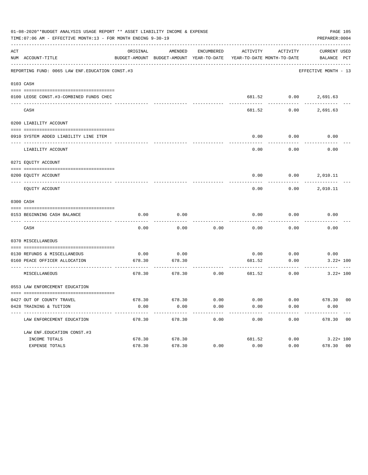| 01-08-2020**BUDGET ANALYSIS USAGE REPORT ** ASSET LIABILITY INCOME & EXPENSE<br>PAGE 105<br>TIME: 07:06 AM - EFFECTIVE MONTH: 13 - FOR MONTH ENDING 9-30-19<br>PREPARER: 0004 |                                                           |                |                                                                                            |              |                         |                          |                      |  |
|-------------------------------------------------------------------------------------------------------------------------------------------------------------------------------|-----------------------------------------------------------|----------------|--------------------------------------------------------------------------------------------|--------------|-------------------------|--------------------------|----------------------|--|
| ACT                                                                                                                                                                           | NUM ACCOUNT-TITLE                                         | ORIGINAL       | AMENDED<br>BUDGET-AMOUNT BUDGET-AMOUNT YEAR-TO-DATE YEAR-TO-DATE MONTH-TO-DATE BALANCE PCT | ENCUMBERED   |                         | ACTIVITY ACTIVITY        | CURRENT USED         |  |
|                                                                                                                                                                               | REPORTING FUND: 0065 LAW ENF. EDUCATION CONST. #3         |                |                                                                                            |              |                         |                          | EFFECTIVE MONTH - 13 |  |
|                                                                                                                                                                               | 0103 CASH                                                 |                |                                                                                            |              |                         |                          |                      |  |
|                                                                                                                                                                               | 0100 LEOSE CONST.#3-COMBINED FUNDS CHEC                   |                |                                                                                            |              |                         | 681.52 0.00 2,691.63     |                      |  |
|                                                                                                                                                                               | ----------------------------- --<br>CASH                  |                |                                                                                            |              | 681.52                  | ---------                | $0.00$ 2,691.63      |  |
|                                                                                                                                                                               | 0200 LIABILITY ACCOUNT                                    |                |                                                                                            |              |                         |                          |                      |  |
|                                                                                                                                                                               | 0910 SYSTEM ADDED LIABILITY LINE ITEM                     |                |                                                                                            |              | 0.00                    | 0.00                     | 0.00                 |  |
|                                                                                                                                                                               | LIABILITY ACCOUNT                                         |                |                                                                                            |              | 0.00                    | 0.00                     | 0.00                 |  |
|                                                                                                                                                                               | 0271 EQUITY ACCOUNT                                       |                |                                                                                            |              |                         |                          |                      |  |
|                                                                                                                                                                               | 0200 EQUITY ACCOUNT                                       |                |                                                                                            |              |                         | $0.00$ $0.00$ $2,010.11$ |                      |  |
|                                                                                                                                                                               | EQUITY ACCOUNT                                            |                |                                                                                            |              | 0.00                    | 0.00                     | 2,010.11             |  |
|                                                                                                                                                                               | 0300 CASH                                                 |                |                                                                                            |              |                         |                          |                      |  |
|                                                                                                                                                                               | 0153 BEGINNING CASH BALANCE                               | 0.00           | 0.00                                                                                       |              | 0.00                    | 0.00                     | 0.00                 |  |
|                                                                                                                                                                               | CASH                                                      | 0.00           | 0.00                                                                                       | 0.00         | 0.00                    | 0.00                     | 0.00                 |  |
|                                                                                                                                                                               | 0370 MISCELLANEOUS                                        |                |                                                                                            |              |                         |                          |                      |  |
|                                                                                                                                                                               | 0130 REFUNDS & MISCELLANEOUS                              | 0.00           | 0.00                                                                                       |              | 0.00                    | 0.00                     | 0.00                 |  |
|                                                                                                                                                                               | 0160 PEACE OFFICER ALLOCATION                             | 678.30         | 678.30                                                                                     |              | 681.52<br>------------- | 0.00<br>---------        | $3.22 + 100$         |  |
|                                                                                                                                                                               | MISCELLANEOUS                                             | 678.30         | 678.30                                                                                     | 0.00         | 681.52                  | 0.00                     | $3.22 + 100$         |  |
|                                                                                                                                                                               | 0553 LAW ENFORCEMENT EDUCATION                            |                |                                                                                            |              |                         |                          |                      |  |
|                                                                                                                                                                               |                                                           |                |                                                                                            |              |                         |                          |                      |  |
|                                                                                                                                                                               | 0427 OUT OF COUNTY TRAVEL<br>0428 TRAINING & TUITION      | 678.30<br>0.00 | 678.30<br>0.00                                                                             | 0.00<br>0.00 | 0.00<br>0.00            | 0.00<br>0.00             | 678.30 00<br>0.00    |  |
|                                                                                                                                                                               | ----------------------------<br>LAW ENFORCEMENT EDUCATION | 678.30         | 678.30                                                                                     | 0.00         | 0.00                    | 0.00                     | 678.30 00            |  |
|                                                                                                                                                                               | LAW ENF. EDUCATION CONST. #3                              |                |                                                                                            |              |                         |                          |                      |  |
|                                                                                                                                                                               | INCOME TOTALS                                             | 678.30         | 678.30                                                                                     |              | 681.52                  | 0.00                     | $3.22 + 100$         |  |
|                                                                                                                                                                               | EXPENSE TOTALS                                            | 678.30         | 678.30                                                                                     | 0.00         | 0.00                    | 0.00                     | 678.30 00            |  |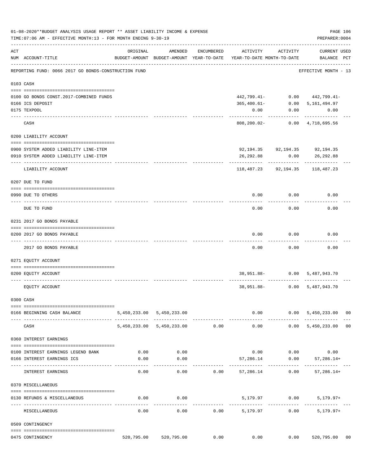|     | 01-08-2020**BUDGET ANALYSIS USAGE REPORT ** ASSET LIABILITY INCOME & EXPENSE<br>TIME: 07:06 AM - EFFECTIVE MONTH: 13 - FOR MONTH ENDING 9-30-19 |          |                                                     |            |                                                                      |                          | PREPARER: 0004                                   | PAGE 106 |
|-----|-------------------------------------------------------------------------------------------------------------------------------------------------|----------|-----------------------------------------------------|------------|----------------------------------------------------------------------|--------------------------|--------------------------------------------------|----------|
| ACT | NUM ACCOUNT-TITLE                                                                                                                               | ORIGINAL | AMENDED<br>BUDGET-AMOUNT BUDGET-AMOUNT YEAR-TO-DATE | ENCUMBERED | ACTIVITY<br>YEAR-TO-DATE MONTH-TO-DATE                               | ACTIVITY                 | <b>CURRENT USED</b><br>BALANCE PCT               |          |
|     | REPORTING FUND: 0066 2017 GO BONDS-CONSTRUCTION FUND                                                                                            |          |                                                     |            |                                                                      |                          | EFFECTIVE MONTH - 13                             |          |
|     | 0103 CASH                                                                                                                                       |          |                                                     |            |                                                                      |                          |                                                  |          |
|     |                                                                                                                                                 |          |                                                     |            |                                                                      |                          |                                                  |          |
|     | 0100 GO BONDS CONST. 2017-COMBINED FUNDS                                                                                                        |          |                                                     |            | 442,799.41-                                                          |                          | $0.00$ $442,799.41$ -                            |          |
|     | 0166 ICS DEPOSIT                                                                                                                                |          |                                                     |            | 365,400.61-                                                          | 0.00                     | 5,161,494.97                                     |          |
|     | 0175 TEXPOOL                                                                                                                                    |          |                                                     |            | 0.00                                                                 | 0.00                     | 0.00                                             |          |
|     | CASH                                                                                                                                            |          |                                                     |            |                                                                      |                          | 808,200.02- 0.00 4,718,695.56                    |          |
|     | 0200 LIABILITY ACCOUNT                                                                                                                          |          |                                                     |            |                                                                      |                          |                                                  |          |
|     |                                                                                                                                                 |          |                                                     |            |                                                                      |                          |                                                  |          |
|     | 0900 SYSTEM ADDED LIABILITY LINE-ITEM                                                                                                           |          |                                                     |            |                                                                      |                          | 92, 194.35 92, 194.35 92, 194.35                 |          |
|     | 0910 SYSTEM ADDED LIABILITY LINE-ITEM                                                                                                           |          |                                                     |            |                                                                      |                          | 26,292.88 0.00 26,292.88                         |          |
|     | LIABILITY ACCOUNT                                                                                                                               |          |                                                     |            | 118,487.23                                                           | -----------<br>92,194.35 | 118,487.23                                       |          |
|     |                                                                                                                                                 |          |                                                     |            |                                                                      |                          |                                                  |          |
|     | 0207 DUE TO FUND                                                                                                                                |          |                                                     |            |                                                                      |                          |                                                  |          |
|     | 0990 DUE TO OTHERS                                                                                                                              |          |                                                     |            | 0.00                                                                 | 0.00                     | 0.00                                             |          |
|     |                                                                                                                                                 |          |                                                     |            |                                                                      |                          |                                                  |          |
|     | DUE TO FUND                                                                                                                                     |          |                                                     |            | 0.00                                                                 | 0.00                     | 0.00                                             |          |
|     | 0231 2017 GO BONDS PAYABLE                                                                                                                      |          |                                                     |            |                                                                      |                          |                                                  |          |
|     |                                                                                                                                                 |          |                                                     |            |                                                                      |                          |                                                  |          |
|     | 0200 2017 GO BONDS PAYABLE                                                                                                                      |          |                                                     |            | 0.00                                                                 | 0.00                     | 0.00                                             |          |
|     | 2017 GO BONDS PAYABLE                                                                                                                           |          |                                                     |            | 0.00                                                                 | 0.00                     | 0.00                                             |          |
|     | 0271 EQUITY ACCOUNT                                                                                                                             |          |                                                     |            |                                                                      |                          |                                                  |          |
|     | 0200 EQUITY ACCOUNT                                                                                                                             |          |                                                     |            |                                                                      |                          | 38,951.88- 0.00 5,487,943.70                     |          |
|     | EQUITY ACCOUNT                                                                                                                                  |          |                                                     |            |                                                                      |                          | 38,951.88- 0.00 5,487,943.70                     |          |
|     | 0300 CASH                                                                                                                                       |          |                                                     |            |                                                                      |                          |                                                  |          |
|     |                                                                                                                                                 |          |                                                     |            |                                                                      |                          |                                                  |          |
|     | 0166 BEGINNING CASH BALANCE                                                                                                                     |          | 5,450,233.00 5,450,233.00                           |            |                                                                      | __________               | $0.00$ $0.00$ $5,450,233.00$ 00<br>------------- |          |
|     | CASH                                                                                                                                            |          | 5,450,233.00 5,450,233.00                           | 0.00       | 0.00                                                                 |                          | $0.00$ 5,450,233.00                              | 00       |
|     | 0360 INTEREST EARNINGS                                                                                                                          |          |                                                     |            |                                                                      |                          |                                                  |          |
|     | 0100 INTEREST EARNINGS LEGEND BANK                                                                                                              | 0.00     | 0.00                                                |            |                                                                      |                          | $0.00$ $0.00$ $0.00$                             |          |
|     | 0166 INTEREST EARNINGS ICS                                                                                                                      | 0.00     | 0.00                                                |            | 57,286.14                                                            | 0.00                     | 57,286.14+                                       |          |
|     |                                                                                                                                                 |          |                                                     |            |                                                                      | ---------- ------------  |                                                  |          |
|     | INTEREST EARNINGS                                                                                                                               | 0.00     | 0.00                                                |            | $0.00$ 57,286.14                                                     | 0.00                     | $57, 286.14+$                                    |          |
|     | 0370 MISCELLANEOUS                                                                                                                              |          |                                                     |            |                                                                      |                          |                                                  |          |
|     | 0130 REFUNDS & MISCELLANEOUS                                                                                                                    | 0.00     | 0.00                                                |            |                                                                      | 5,179.97 0.00            | $5,179.97+$                                      |          |
|     | MISCELLANEOUS                                                                                                                                   | 0.00     |                                                     |            | $0.00$ 0.00 5,179.97                                                 |                          | $- - - - - -$<br>0.00<br>$5,179.97+$             |          |
|     | 0509 CONTINGENCY                                                                                                                                |          |                                                     |            |                                                                      |                          |                                                  |          |
|     |                                                                                                                                                 |          |                                                     |            |                                                                      |                          |                                                  |          |
|     | 0475 CONTINGENCY                                                                                                                                |          |                                                     |            | 520,795.00   520,795.00      0.00       0.00      0.00    520,795.00 |                          |                                                  | 00       |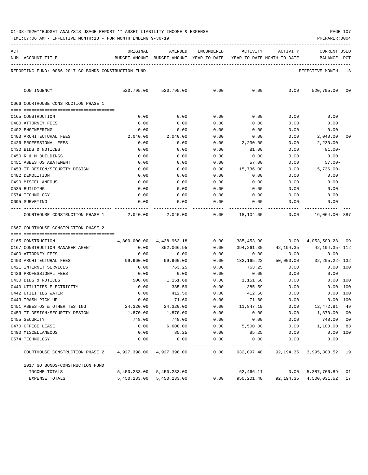| 01-08-2020**BUDGET ANALYSIS USAGE REPORT ** ASSET LIABILITY INCOME & EXPENSE | PAGE 107 |  |
|------------------------------------------------------------------------------|----------|--|
|------------------------------------------------------------------------------|----------|--|

| ACT | NUM ACCOUNT-TITLE                                    | ORIGINAL<br>BUDGET-AMOUNT BUDGET-AMOUNT YEAR-TO-DATE YEAR-TO-DATE MONTH-TO-DATE | AMENDED                   |      | ENCUMBERED ACTIVITY                 | ACTIVITY  | <b>CURRENT USED</b><br>BALANCE     | PCT        |
|-----|------------------------------------------------------|---------------------------------------------------------------------------------|---------------------------|------|-------------------------------------|-----------|------------------------------------|------------|
|     | REPORTING FUND: 0066 2017 GO BONDS-CONSTRUCTION FUND |                                                                                 |                           |      |                                     |           | EFFECTIVE MONTH - 13               |            |
|     |                                                      |                                                                                 |                           |      |                                     |           |                                    |            |
|     | CONTINGENCY                                          |                                                                                 | 520,795.00 520,795.00     | 0.00 | 0.00                                | 0.00      | 520,795.00 00                      |            |
|     | 0666 COURTHOUSE CONSTRUCTION PHASE 1                 |                                                                                 |                           |      |                                     |           |                                    |            |
|     | 0165 CONSTRUCTION                                    | 0.00                                                                            | 0.00                      | 0.00 | 0.00                                | 0.00      | 0.00                               |            |
|     | 0400 ATTORNEY FEES                                   | 0.00                                                                            | 0.00                      | 0.00 | 0.00                                | 0.00      | 0.00                               |            |
|     | 0402 ENGINEERING                                     | 0.00                                                                            | 0.00                      | 0.00 | 0.00                                | 0.00      | 0.00                               |            |
|     | 0403 ARCHITECTURAL FEES                              | 2,040.00                                                                        | 2,040.00                  | 0.00 | 0.00                                | 0.00      | 2,040.00 00                        |            |
|     | 0426 PROFESSIONAL FEES                               | 0.00                                                                            | 0.00                      | 0.00 | 2,230.00                            | 0.00      | $2,230.00 -$                       |            |
|     | 0430 BIDS & NOTICES                                  | 0.00                                                                            | 0.00                      | 0.00 | 81.00                               | 0.00      | $81.00-$                           |            |
|     | 0450 R & M BUILDINGS                                 | 0.00                                                                            | 0.00                      | 0.00 | 0.00                                | 0.00      | 0.00                               |            |
|     | 0451 ASBESTOS ABATEMENT                              | 0.00                                                                            | 0.00                      | 0.00 | 57.00                               | 0.00      | $57.00 -$                          |            |
|     | 0453 IT DESIGN/SECURITY DESIGN                       | 0.00                                                                            | 0.00                      | 0.00 | 15,736.00                           | 0.00      | 15,736.00-                         |            |
|     | 0482 DEMOLITION                                      | 0.00                                                                            | 0.00                      | 0.00 | 0.00                                | 0.00      | 0.00                               |            |
|     | 0490 MISCELLANEOUS                                   | 0.00                                                                            | 0.00                      | 0.00 | 0.00                                | 0.00      | 0.00                               |            |
|     | 0535 BUILDING                                        | 0.00                                                                            | 0.00                      | 0.00 | 0.00                                | 0.00      | 0.00                               |            |
|     | 0574 TECHNOLOGY                                      | 0.00                                                                            | 0.00                      | 0.00 | 0.00                                | 0.00      | 0.00                               |            |
|     | 0695 SURVEYING                                       | 0.00                                                                            | 0.00                      | 0.00 | 0.00                                | 0.00      | 0.00                               |            |
|     | COURTHOUSE CONSTRUCTION PHASE 1 2,040.00 2,040.00    |                                                                                 |                           |      | $0.00$ 18,104.00 0.00 16,064.00-887 |           |                                    |            |
|     | 0667 COURTHOUSE CONSTRUCTION PHASE 2                 |                                                                                 |                           |      |                                     |           |                                    |            |
|     |                                                      |                                                                                 |                           |      |                                     |           |                                    |            |
|     | 0165 CONSTRUCTION                                    |                                                                                 | 4,800,000.00 4,438,963.18 | 0.00 | 385,453.90                          |           | $0.00 \quad 4,053,509.28 \quad 09$ |            |
|     | 0167 CONSTRUCTION MANAGER AGENT                      | 0.00                                                                            | 352,066.95                | 0.00 | 394,261.30                          | 42,194.35 | 42,194.35- 112                     |            |
|     | 0400 ATTORNEY FEES                                   | 0.00                                                                            | 0.00                      | 0.00 | 0.00                                | 0.00      | 0.00                               |            |
|     | 0403 ARCHITECTURAL FEES                              | 99,960.00                                                                       | 99,960.00                 | 0.00 | 132,165.22                          |           | 50,000.00 32,205.22-132            |            |
|     | 0421 INTERNET SERVICES                               | 0.00                                                                            | 763.25                    | 0.00 | 763.25                              | 0.00      |                                    | $0.00$ 100 |
|     | 0426 PROFESSIONAL FEES                               | 0.00                                                                            | 0.00                      | 0.00 | 0.00                                | 0.00      | 0.00                               |            |
|     | 0430 BIDS & NOTICES                                  | 500.00                                                                          | 1,151.68                  | 0.00 | 1,151.68                            | 0.00      | $0.00$ 100                         |            |
|     | 0440 UTILITIES ELECTRICITY                           | 0.00                                                                            | 385.59                    | 0.00 | 385.59                              | 0.00      |                                    | 0.00 100   |
|     | 0442 UTILITIES WATER                                 | 0.00                                                                            | 412.50                    | 0.00 | 412.50                              | 0.00      |                                    | 0.00 100   |
|     | 0443 TRASH PICK UP                                   | 0.00                                                                            | 71.60                     | 0.00 | 71.60                               | 0.00      |                                    | 0.00 100   |
|     | 0451 ASBESTOS & OTHER TESTING                        | 24,320.00                                                                       | 24,320.00                 | 0.00 | 11,847.19                           |           | $0.00$ $12.472.81$                 | - 49       |
|     | 0453 IT DESIGN/SECURITY DESIGN                       | 1,870.00                                                                        | 1,870.00                  | 0.00 | 0.00                                | 0.00      | 1,870.00                           | 00         |
|     | 0455 SECURITY                                        | 748.00                                                                          | 748.00                    | 0.00 | 0.00                                | 0.00      | 748.00                             | 00         |
|     | 0470 OFFICE LEASE                                    | 0.00                                                                            | 6,600.00                  | 0.00 | 5,500.00                            | 0.00      | 1,100.00                           | 83         |
|     | 0490 MISCELLANEOUS                                   | 0.00                                                                            | 85.25                     | 0.00 | 85.25                               | 0.00      | 0.00                               | 100        |
|     | 0574 TECHNOLOGY                                      | 0.00                                                                            | 0.00                      | 0.00 | 0.00                                | 0.00      | 0.00                               |            |
|     | COURTHOUSE CONSTRUCTION PHASE 2                      | 4,927,398.00   4,927,398.00                                                     |                           | 0.00 | 932,097.48                          |           | 92, 194. 35 3, 995, 300. 52        | 19         |
|     | 2017 GO BONDS-CONSTRUCTION FUND                      |                                                                                 |                           |      |                                     |           |                                    |            |
|     | INCOME TOTALS                                        | 5,450,233.00                                                                    | 5,450,233.00              |      | 62,466.11                           | 0.00      | 5,387,766.89                       | 01         |
|     | EXPENSE TOTALS                                       | 5,450,233.00                                                                    | 5,450,233.00              | 0.00 | 950,201.48                          | 92,194.35 | 4,500,031.52                       | 17         |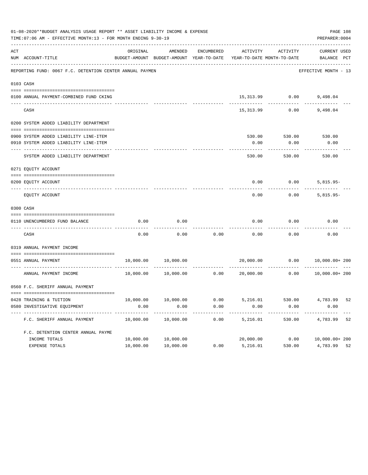|     | 01-08-2020**BUDGET ANALYSIS USAGE REPORT ** ASSET LIABILITY INCOME & EXPENSE<br>TIME: 07:06 AM - EFFECTIVE MONTH: 13 - FOR MONTH ENDING 9-30-19<br>PREPARER: 0004 |           |                                                     |                      |                                        |                        |                                    |    |  |  |  |
|-----|-------------------------------------------------------------------------------------------------------------------------------------------------------------------|-----------|-----------------------------------------------------|----------------------|----------------------------------------|------------------------|------------------------------------|----|--|--|--|
| ACT | NUM ACCOUNT-TITLE                                                                                                                                                 | ORIGINAL  | AMENDED<br>BUDGET-AMOUNT BUDGET-AMOUNT YEAR-TO-DATE | ENCUMBERED           | ACTIVITY<br>YEAR-TO-DATE MONTH-TO-DATE | ACTIVITY               | <b>CURRENT USED</b><br>BALANCE PCT |    |  |  |  |
|     | REPORTING FUND: 0067 F.C. DETENTION CENTER ANNUAL PAYMEN                                                                                                          |           |                                                     |                      |                                        |                        | EFFECTIVE MONTH - 13               |    |  |  |  |
|     | 0103 CASH                                                                                                                                                         |           |                                                     |                      |                                        |                        |                                    |    |  |  |  |
|     | 0100 ANNUAL PAYMENT-COMBINED FUND CKING                                                                                                                           |           |                                                     |                      |                                        | 15,313.99 0.00         | 9,498.04                           |    |  |  |  |
|     | CASH                                                                                                                                                              |           |                                                     |                      | 15,313.99                              | 0.00                   | 9,498.04                           |    |  |  |  |
|     | 0200 SYSTEM ADDED LIABILITY DEPARTMENT                                                                                                                            |           |                                                     |                      |                                        |                        |                                    |    |  |  |  |
|     | 0900 SYSTEM ADDED LIABILITY LINE-ITEM                                                                                                                             |           |                                                     |                      |                                        |                        | 530.00 530.00 530.00               |    |  |  |  |
|     | 0910 SYSTEM ADDED LIABILITY LINE-ITEM                                                                                                                             |           |                                                     |                      | 0.00                                   | 0.00                   | 0.00                               |    |  |  |  |
|     | SYSTEM ADDED LIABILITY DEPARTMENT                                                                                                                                 |           |                                                     |                      | 530.00                                 | 530.00                 | 530.00                             |    |  |  |  |
|     | 0271 EQUITY ACCOUNT                                                                                                                                               |           |                                                     |                      |                                        |                        |                                    |    |  |  |  |
|     | 0200 EQUITY ACCOUNT                                                                                                                                               |           |                                                     |                      | 0.00                                   | 0.00                   | $5,815.95-$                        |    |  |  |  |
|     | EQUITY ACCOUNT                                                                                                                                                    |           |                                                     |                      | 0.00                                   | 0.00                   | $5,815.95-$                        |    |  |  |  |
|     | 0300 CASH                                                                                                                                                         |           |                                                     |                      |                                        |                        |                                    |    |  |  |  |
|     | 0110 UNENCUMBERED FUND BALANCE                                                                                                                                    | 0.00      | 0.00                                                |                      | 0.00                                   | 0.00                   | 0.00                               |    |  |  |  |
|     | CASH                                                                                                                                                              | 0.00      | 0.00                                                | 0.00                 | 0.00                                   | 0.00                   | 0.00                               |    |  |  |  |
|     | 0319 ANNUAL PAYMENT INCOME                                                                                                                                        |           |                                                     |                      |                                        |                        |                                    |    |  |  |  |
|     | 0551 ANNUAL PAYMENT                                                                                                                                               |           | 10,000.00 10,000.00                                 |                      | 20,000.00                              | 0.00                   | 10,000.00+ 200                     |    |  |  |  |
|     | ------------------- -------------<br>ANNUAL PAYMENT INCOME                                                                                                        | 10,000.00 | 10,000.00                                           |                      | 0.00000000000                          | 0.00                   | 10,000.00+ 200                     |    |  |  |  |
|     | 0560 F.C. SHERIFF ANNUAL PAYMENT                                                                                                                                  |           |                                                     |                      |                                        |                        |                                    |    |  |  |  |
|     | 0428 TRAINING & TUITION                                                                                                                                           | 10,000.00 | 10,000.00                                           | 0.00                 | 5,216.01                               | 530.00                 | 4,783.99 52                        |    |  |  |  |
|     | 0580 INVESTIGATIVE EQUIPMENT                                                                                                                                      | 0.00      | 0.00                                                | 0.00                 | 0.00                                   | 0.00                   | 0.00                               |    |  |  |  |
|     | F.C. SHERIFF ANNUAL PAYMENT                                                                                                                                       | 10,000.00 | -----------<br>10,000.00                            | ------------<br>0.00 | ---------<br>5,216.01                  | ------------<br>530.00 | -------------<br>4,783.99          | 52 |  |  |  |
|     | F.C. DETENTION CENTER ANNUAL PAYME                                                                                                                                |           |                                                     |                      |                                        |                        |                                    |    |  |  |  |
|     | INCOME TOTALS                                                                                                                                                     | 10,000.00 | 10,000.00                                           |                      | 20,000.00                              | 0.00                   | 10,000.00+ 200                     |    |  |  |  |
|     | EXPENSE TOTALS                                                                                                                                                    | 10,000.00 | 10,000.00                                           | 0.00                 | 5,216.01                               | 530.00                 | 4,783.99                           | 52 |  |  |  |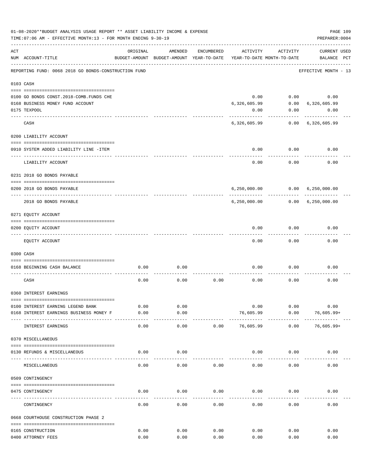|     | 01-08-2020**BUDGET ANALYSIS USAGE REPORT ** ASSET LIABILITY INCOME & EXPENSE<br>PAGE 109<br>TIME: 07:06 AM - EFFECTIVE MONTH: 13 - FOR MONTH ENDING 9-30-19<br>PREPARER: 0004 |          |                                                     |            |                                        |               |                                    |  |  |  |  |
|-----|-------------------------------------------------------------------------------------------------------------------------------------------------------------------------------|----------|-----------------------------------------------------|------------|----------------------------------------|---------------|------------------------------------|--|--|--|--|
| ACT | NUM ACCOUNT-TITLE                                                                                                                                                             | ORIGINAL | AMENDED<br>BUDGET-AMOUNT BUDGET-AMOUNT YEAR-TO-DATE | ENCUMBERED | ACTIVITY<br>YEAR-TO-DATE MONTH-TO-DATE | ACTIVITY      | <b>CURRENT USED</b><br>BALANCE PCT |  |  |  |  |
|     | REPORTING FUND: 0068 2018 GO BONDS-CONSTRUCTION FUND                                                                                                                          |          |                                                     |            |                                        |               | EFFECTIVE MONTH - 13               |  |  |  |  |
|     | 0103 CASH                                                                                                                                                                     |          |                                                     |            |                                        |               |                                    |  |  |  |  |
|     |                                                                                                                                                                               |          |                                                     |            |                                        |               |                                    |  |  |  |  |
|     | 0100 GO BONDS CONST. 2018-COMB. FUNDS CHE                                                                                                                                     |          |                                                     |            | 0.00                                   |               | $0.00$ 0.00                        |  |  |  |  |
|     | 0168 BUSINESS MONEY FUND ACCOUNT                                                                                                                                              |          |                                                     |            | 6,326,605.99                           |               | $0.00$ 6,326,605.99                |  |  |  |  |
|     | 0175 TEXPOOL                                                                                                                                                                  |          |                                                     |            | 0.00                                   |               | 0.00<br>0.00                       |  |  |  |  |
|     | CASH                                                                                                                                                                          |          |                                                     |            |                                        |               | 6,326,605.99 0.00 6,326,605.99     |  |  |  |  |
|     | 0200 LIABILITY ACCOUNT                                                                                                                                                        |          |                                                     |            |                                        |               |                                    |  |  |  |  |
|     | 0910 SYSTEM ADDED LIABILITY LINE -ITEM                                                                                                                                        |          |                                                     |            | 0.00                                   | 0.00          | 0.00                               |  |  |  |  |
|     |                                                                                                                                                                               |          |                                                     |            |                                        |               |                                    |  |  |  |  |
|     | LIABILITY ACCOUNT                                                                                                                                                             |          |                                                     |            | 0.00                                   | 0.00          | 0.00                               |  |  |  |  |
|     | 0231 2018 GO BONDS PAYABLE                                                                                                                                                    |          |                                                     |            |                                        |               |                                    |  |  |  |  |
|     | 0200 2018 GO BONDS PAYABLE                                                                                                                                                    |          |                                                     |            |                                        | ------------- | 6,250,000.00   0.00   6,250,000.00 |  |  |  |  |
|     | 2018 GO BONDS PAYABLE                                                                                                                                                         |          |                                                     |            |                                        |               | 6,250,000.00   0.00   6,250,000.00 |  |  |  |  |
|     | 0271 EQUITY ACCOUNT                                                                                                                                                           |          |                                                     |            |                                        |               |                                    |  |  |  |  |
|     | 0200 EQUITY ACCOUNT                                                                                                                                                           |          |                                                     |            | 0.00                                   | 0.00          | 0.00                               |  |  |  |  |
|     |                                                                                                                                                                               |          |                                                     |            |                                        |               |                                    |  |  |  |  |
|     | EQUITY ACCOUNT                                                                                                                                                                |          |                                                     |            | 0.00                                   | 0.00          | 0.00                               |  |  |  |  |
|     | 0300 CASH                                                                                                                                                                     |          |                                                     |            |                                        |               |                                    |  |  |  |  |
|     | 0168 BEGINNING CASH BALANCE                                                                                                                                                   | 0.00     | 0.00                                                |            | 0.00                                   | 0.00          | 0.00                               |  |  |  |  |
|     | CASH                                                                                                                                                                          | 0.00     | 0.00                                                | 0.00       | 0.00                                   | 0.00          | 0.00                               |  |  |  |  |
|     | 0360 INTEREST EARNINGS                                                                                                                                                        |          |                                                     |            |                                        |               |                                    |  |  |  |  |
|     |                                                                                                                                                                               |          |                                                     |            |                                        |               |                                    |  |  |  |  |
|     | 0100 INTEREST EARNING LEGEND BANK                                                                                                                                             | 0.00     | 0.00                                                |            | 0.00                                   | 0.00          | 0.00                               |  |  |  |  |
|     | 0168 INTEREST EARNINGS BUSINESS MONEY F                                                                                                                                       | 0.00     | 0.00<br>$- - - -$                                   |            | 76,605.99                              | 0.00          | $76,605.99+$                       |  |  |  |  |
|     | INTEREST EARNINGS                                                                                                                                                             | 0.00     | 0.00                                                | 0.00       | 76,605.99                              | 0.00          | $76,605.99+$                       |  |  |  |  |
|     | 0370 MISCELLANEOUS                                                                                                                                                            |          |                                                     |            |                                        |               |                                    |  |  |  |  |
|     | 0130 REFUNDS & MISCELLANEOUS                                                                                                                                                  | 0.00     | 0.00                                                |            | 0.00                                   | 0.00          | 0.00                               |  |  |  |  |
|     | MISCELLANEOUS                                                                                                                                                                 | 0.00     | 0.00                                                | 0.00       | 0.00                                   | 0.00          | 0.00                               |  |  |  |  |
|     | 0509 CONTINGENCY                                                                                                                                                              |          |                                                     |            |                                        |               |                                    |  |  |  |  |
|     |                                                                                                                                                                               |          |                                                     |            |                                        |               |                                    |  |  |  |  |
|     | 0475 CONTINGENCY                                                                                                                                                              | 0.00     | 0.00                                                | 0.00       | 0.00                                   | 0.00          | 0.00                               |  |  |  |  |
|     | CONTINGENCY                                                                                                                                                                   | 0.00     | 0.00                                                | 0.00       | 0.00                                   | 0.00          | 0.00                               |  |  |  |  |
|     | 0668 COURTHOUSE CONSTRUCTION PHASE 2                                                                                                                                          |          |                                                     |            |                                        |               |                                    |  |  |  |  |
|     | 0165 CONSTRUCTION                                                                                                                                                             | 0.00     | 0.00                                                | 0.00       | 0.00                                   | 0.00          | 0.00                               |  |  |  |  |
|     | 0400 ATTORNEY FEES                                                                                                                                                            | 0.00     | 0.00                                                | 0.00       | 0.00                                   | 0.00          | 0.00                               |  |  |  |  |
|     |                                                                                                                                                                               |          |                                                     |            |                                        |               |                                    |  |  |  |  |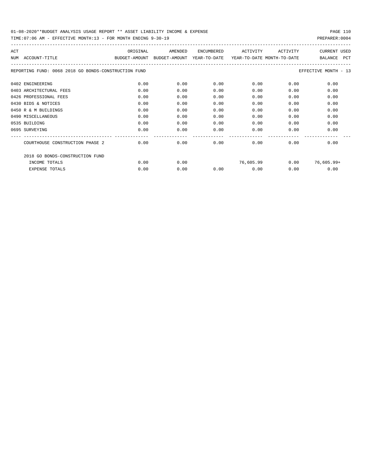| ACT                                                  | ORIGINAL      | AMENDED                                               | ENCUMBERED | ACTIVITY  | ACTIVITY | <b>CURRENT USED</b>   |
|------------------------------------------------------|---------------|-------------------------------------------------------|------------|-----------|----------|-----------------------|
| NUM ACCOUNT-TITLE                                    | BUDGET-AMOUNT | BUDGET-AMOUNT YEAR-TO-DATE YEAR-TO-DATE MONTH-TO-DATE |            |           |          | <b>PCT</b><br>BALANCE |
| REPORTING FUND: 0068 2018 GO BONDS-CONSTRUCTION FUND |               |                                                       |            |           |          | EFFECTIVE MONTH - 13  |
| 0402 ENGINEERING                                     | 0.00          | 0.00                                                  | 0.00       | 0.00      | 0.00     | 0.00                  |
| 0403 ARCHITECTURAL FEES                              | 0.00          | 0.00                                                  | 0.00       | 0.00      | 0.00     | 0.00                  |
| 0426 PROFESSIONAL FEES                               | 0.00          | 0.00                                                  | 0.00       | 0.00      | 0.00     | 0.00                  |
| 0430 BIDS & NOTICES                                  | 0.00          | 0.00                                                  | 0.00       | 0.00      | 0.00     | 0.00                  |
| 0450 R & M BUILDINGS                                 | 0.00          | 0.00                                                  | 0.00       | 0.00      | 0.00     | 0.00                  |
| 0490 MISCELLANEOUS                                   | 0.00          | 0.00                                                  | 0.00       | 0.00      | 0.00     | 0.00                  |
| 0535 BUILDING                                        | 0.00          | 0.00                                                  | 0.00       | 0.00      | 0.00     | 0.00                  |
| 0695 SURVEYING                                       | 0.00          | 0.00                                                  | 0.00       | 0.00      | 0.00     | 0.00                  |
| COURTHOUSE CONSTRUCTION PHASE 2                      | 0.00          | 0.00                                                  | 0.00       | 0.00      | 0.00     | 0.00                  |
| 2018 GO BONDS-CONSTRUCTION FUND                      |               |                                                       |            |           |          |                       |
| INCOME TOTALS                                        | 0.00          | 0.00                                                  |            | 76,605.99 | 0.00     | 76,605.99+            |
| <b>EXPENSE TOTALS</b>                                | 0.00          | 0.00                                                  | 0.00       | 0.00      | 0.00     | 0.00                  |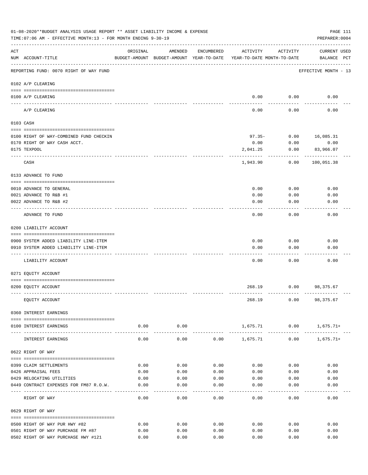|                    | 01-08-2020**BUDGET ANALYSIS USAGE REPORT ** ASSET LIABILITY INCOME & EXPENSE<br>TIME: 07:06 AM - EFFECTIVE MONTH: 13 - FOR MONTH ENDING 9-30-19 |                |                                                                                |              |              |                                     | PAGE 111<br>PREPARER: 0004         |
|--------------------|-------------------------------------------------------------------------------------------------------------------------------------------------|----------------|--------------------------------------------------------------------------------|--------------|--------------|-------------------------------------|------------------------------------|
| $\mathop{\rm ACT}$ | NUM ACCOUNT-TITLE                                                                                                                               | ORIGINAL       | AMENDED<br>BUDGET-AMOUNT BUDGET-AMOUNT YEAR-TO-DATE YEAR-TO-DATE MONTH-TO-DATE | ENCUMBERED   | ACTIVITY     | ACTIVITY                            | <b>CURRENT USED</b><br>BALANCE PCT |
|                    | REPORTING FUND: 0070 RIGHT OF WAY FUND                                                                                                          |                |                                                                                |              |              |                                     | EFFECTIVE MONTH - 13               |
|                    | 0102 A/P CLEARING                                                                                                                               |                |                                                                                |              |              |                                     |                                    |
|                    | 0100 A/P CLEARING<br>---- ----------                                                                                                            |                |                                                                                |              |              | $0.00$ 0.00                         | 0.00                               |
|                    | A/P CLEARING                                                                                                                                    |                |                                                                                |              | 0.00         | 0.00                                | 0.00                               |
|                    | 0103 CASH                                                                                                                                       |                |                                                                                |              |              |                                     |                                    |
|                    | 0100 RIGHT OF WAY-COMBINED FUND CHECKIN                                                                                                         |                |                                                                                |              |              | $97.35 - 0.00$                      | 16,085.31                          |
|                    | 0170 RIGHT OF WAY CASH ACCT.                                                                                                                    |                |                                                                                |              | 0.00         | 0.00                                | 0.00                               |
|                    | 0175 TEXPOOL                                                                                                                                    |                |                                                                                |              | 2,041.25     | 0.00                                | 83,966.07                          |
|                    | CASH                                                                                                                                            |                |                                                                                |              | 1,943.90     | 0.00                                | 100,051.38                         |
|                    | 0133 ADVANCE TO FUND                                                                                                                            |                |                                                                                |              |              |                                     |                                    |
|                    | 0010 ADVANCE TO GENERAL                                                                                                                         |                |                                                                                |              | 0.00         | 0.00                                | 0.00                               |
|                    | 0021 ADVANCE TO R&B #1                                                                                                                          |                |                                                                                |              | 0.00         | 0.00                                | 0.00                               |
|                    | 0022 ADVANCE TO R&B #2                                                                                                                          |                |                                                                                |              | 0.00         | 0.00                                | 0.00                               |
|                    |                                                                                                                                                 |                |                                                                                |              |              |                                     |                                    |
|                    | ADVANCE TO FUND                                                                                                                                 |                |                                                                                |              | 0.00         | 0.00                                | 0.00                               |
|                    | 0200 LIABILITY ACCOUNT                                                                                                                          |                |                                                                                |              |              |                                     |                                    |
|                    |                                                                                                                                                 |                |                                                                                |              |              |                                     |                                    |
|                    | 0900 SYSTEM ADDED LIABILITY LINE-ITEM<br>0910 SYSTEM ADDED LIABILITY LINE-ITEM                                                                  |                |                                                                                |              | 0.00<br>0.00 | 0.00<br>0.00                        | 0.00<br>0.00                       |
|                    |                                                                                                                                                 |                |                                                                                |              |              |                                     |                                    |
|                    | LIABILITY ACCOUNT                                                                                                                               |                |                                                                                |              | 0.00         | 0.00                                | 0.00                               |
|                    | 0271 EQUITY ACCOUNT                                                                                                                             |                |                                                                                |              |              |                                     |                                    |
|                    | 0200 EQUITY ACCOUNT                                                                                                                             |                |                                                                                |              | 268.19       |                                     | $0.00$ 98,375.67                   |
|                    | EQUITY ACCOUNT                                                                                                                                  |                |                                                                                |              | 268.19       |                                     | $0.00$ 98,375.67                   |
|                    | 0360 INTEREST EARNINGS                                                                                                                          |                |                                                                                |              |              |                                     |                                    |
|                    | 0100 INTEREST EARNINGS                                                                                                                          | 0.00           | 0.00                                                                           |              |              |                                     | $1,675.71$ 0.00 1,675.71+          |
|                    | INTEREST EARNINGS                                                                                                                               | ------<br>0.00 | ---------<br>0.00                                                              | 0.00         | 1,675.71     | ------------- -------------<br>0.00 | 1,675.71+                          |
|                    | 0622 RIGHT OF WAY                                                                                                                               |                |                                                                                |              |              |                                     |                                    |
|                    |                                                                                                                                                 |                |                                                                                |              |              |                                     |                                    |
|                    | 0399 CLAIM SETTLEMENTS                                                                                                                          | 0.00           | 0.00                                                                           | 0.00         | 0.00         | 0.00                                | 0.00                               |
|                    | 0426 APPRAISAL FEES                                                                                                                             | 0.00           | 0.00                                                                           | 0.00         | 0.00         | 0.00                                | 0.00                               |
|                    | 0429 RELOCATING UTILITIES<br>0449 CONTRACT EXPENSES FOR FM87 R.O.W.                                                                             | 0.00<br>0.00   | 0.00<br>0.00                                                                   | 0.00<br>0.00 | 0.00<br>0.00 | 0.00<br>0.00                        | 0.00<br>0.00                       |
|                    |                                                                                                                                                 |                |                                                                                |              |              |                                     |                                    |
|                    | RIGHT OF WAY                                                                                                                                    | 0.00           | 0.00                                                                           | 0.00         | 0.00         | 0.00                                | 0.00                               |
|                    | 0629 RIGHT OF WAY                                                                                                                               |                |                                                                                |              |              |                                     |                                    |
|                    | 0500 RIGHT OF WAY PUR HWY #82                                                                                                                   | 0.00           | 0.00                                                                           | 0.00         | 0.00         | 0.00                                | 0.00                               |
|                    | 0501 RIGHT OF WAY PURCHASE FM #87                                                                                                               | 0.00           | 0.00                                                                           | 0.00         | 0.00         | 0.00                                | 0.00                               |
|                    | 0502 RIGHT OF WAY PURCHASE HWY #121                                                                                                             | 0.00           | 0.00                                                                           | 0.00         | 0.00         | 0.00                                | 0.00                               |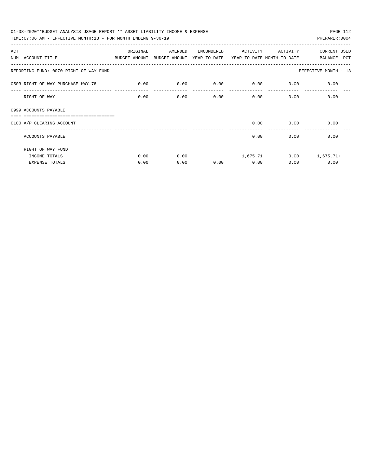| 01-08-2020**BUDGET ANALYSIS USAGE REPORT ** ASSET LIABILITY INCOME & EXPENSE<br>PAGE 112 |             |         |            |             |                           |                      |  |  |  |  |  |
|------------------------------------------------------------------------------------------|-------------|---------|------------|-------------|---------------------------|----------------------|--|--|--|--|--|
| TIME: 07:06 AM - EFFECTIVE MONTH: 13 - FOR MONTH ENDING 9-30-19                          |             |         |            |             |                           | PREPARER: 0004       |  |  |  |  |  |
| ACT                                                                                      | ORIGINAL    | AMENDED | ENCUMBERED | ACTIVITY    | ACTIVITY                  | <b>CURRENT USED</b>  |  |  |  |  |  |
| NUM ACCOUNT-TITLE<br>BUDGET-AMOUNT BUDGET-AMOUNT YEAR-TO-DATE YEAR-TO-DATE_MONTH-TO-DATE |             |         |            |             |                           | BALANCE PCT          |  |  |  |  |  |
| REPORTING FUND: 0070 RIGHT OF WAY FUND                                                   |             |         |            |             |                           | EFFECTIVE MONTH - 13 |  |  |  |  |  |
| 0503 RIGHT OF WAY PURCHASE HWY.78                                                        | $\sim$ 0.00 | 0.00    | 0.00       | $0.00$ 0.00 |                           | 0.00                 |  |  |  |  |  |
| RIGHT OF WAY                                                                             | 0.00        | 0.00    | 0.00       |             | 0.00<br>$0.00$ and $0.00$ | 0.00                 |  |  |  |  |  |
| 0999 ACCOUNTS PAYABLE<br>===============================                                 |             |         |            |             |                           |                      |  |  |  |  |  |
| 0100 A/P CLEARING ACCOUNT                                                                |             |         |            |             | $0.00$ 0.00               | 0.00                 |  |  |  |  |  |
| ACCOUNTS PAYABLE                                                                         |             |         |            | 0.00        | 0.00                      | 0.00                 |  |  |  |  |  |
| RIGHT OF WAY FUND                                                                        |             |         |            |             |                           |                      |  |  |  |  |  |
| INCOME TOTALS                                                                            | 0.00        | 0.00    |            | 1,675.71    |                           | $0.00$ 1,675.71+     |  |  |  |  |  |
| <b>EXPENSE TOTALS</b>                                                                    | 0.00        | 0.00    | 0.00       | 0.00        | 0.00                      | 0.00                 |  |  |  |  |  |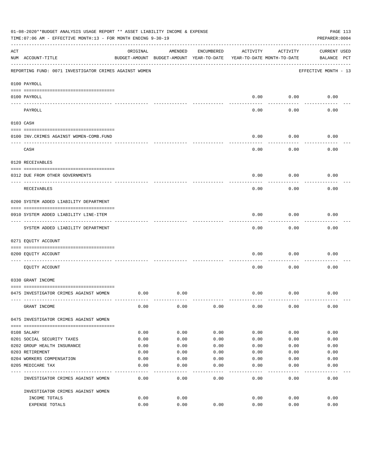|     | 01-08-2020**BUDGET ANALYSIS USAGE REPORT ** ASSET LIABILITY INCOME & EXPENSE<br>TIME: 07:06 AM - EFFECTIVE MONTH: 13 - FOR MONTH ENDING 9-30-19 |          |                                                     |            |          |                                        | PAGE 113<br>PREPARER: 0004         |
|-----|-------------------------------------------------------------------------------------------------------------------------------------------------|----------|-----------------------------------------------------|------------|----------|----------------------------------------|------------------------------------|
| ACT | NUM ACCOUNT-TITLE                                                                                                                               | ORIGINAL | AMENDED<br>BUDGET-AMOUNT BUDGET-AMOUNT YEAR-TO-DATE | ENCUMBERED | ACTIVITY | ACTIVITY<br>YEAR-TO-DATE MONTH-TO-DATE | <b>CURRENT USED</b><br>BALANCE PCT |
|     | REPORTING FUND: 0071 INVESTIGATOR CRIMES AGAINST WOMEN                                                                                          |          |                                                     |            |          |                                        | EFFECTIVE MONTH - 13               |
|     | 0100 PAYROLL                                                                                                                                    |          |                                                     |            |          |                                        |                                    |
|     | 0100 PAYROLL<br>---- ----                                                                                                                       |          |                                                     |            | 0.00     | 0.00                                   | 0.00                               |
|     | PAYROLL                                                                                                                                         |          |                                                     |            | 0.00     | 0.00                                   | 0.00                               |
|     | 0103 CASH                                                                                                                                       |          |                                                     |            |          |                                        |                                    |
|     | 0100 INV. CRIMES AGAINST WOMEN-COMB. FUND                                                                                                       |          |                                                     |            | 0.00     | 0.00                                   | 0.00                               |
|     | CASH                                                                                                                                            |          |                                                     |            | 0.00     | 0.00                                   | 0.00                               |
|     | 0120 RECEIVABLES                                                                                                                                |          |                                                     |            |          |                                        |                                    |
|     | 0312 DUE FROM OTHER GOVERNMENTS                                                                                                                 |          |                                                     |            | 0.00     | 0.00                                   | 0.00                               |
|     | RECEIVABLES                                                                                                                                     |          |                                                     |            | 0.00     | 0.00                                   | 0.00                               |
|     | 0200 SYSTEM ADDED LIABILITY DEPARTMENT                                                                                                          |          |                                                     |            |          |                                        |                                    |
|     | 0910 SYSTEM ADDED LIABILITY LINE-ITEM                                                                                                           |          |                                                     |            | 0.00     | 0.00                                   | 0.00                               |
|     | SYSTEM ADDED LIABILITY DEPARTMENT                                                                                                               |          |                                                     |            | 0.00     | 0.00                                   | 0.00                               |
|     | 0271 EQUITY ACCOUNT                                                                                                                             |          |                                                     |            |          |                                        |                                    |
|     | 0200 EQUITY ACCOUNT                                                                                                                             |          |                                                     |            | 0.00     | 0.00                                   | 0.00                               |
|     | EQUITY ACCOUNT                                                                                                                                  |          |                                                     |            | 0.00     | 0.00                                   | 0.00                               |
|     | 0330 GRANT INCOME                                                                                                                               |          |                                                     |            |          |                                        |                                    |
|     | 0475 INVESTIGATOR CRIMES AGAINST WOMEN                                                                                                          | 0.00     | 0.00                                                |            | 0.00     | 0.00                                   | 0.00                               |
|     | GRANT INCOME                                                                                                                                    | 0.00     | 0.00                                                | 0.00       | 0.00     | 0.00                                   | 0.00                               |
|     | 0475 INVESTIGATOR CRIMES AGAINST WOMEN                                                                                                          |          |                                                     |            |          |                                        |                                    |
|     | 0108 SALARY                                                                                                                                     | 0.00     | 0.00                                                | 0.00       | 0.00     | 0.00                                   | 0.00                               |
|     | 0201 SOCIAL SECURITY TAXES                                                                                                                      | 0.00     | 0.00                                                | 0.00       | 0.00     | 0.00                                   | 0.00                               |
|     | 0202 GROUP HEALTH INSURANCE                                                                                                                     | 0.00     | 0.00                                                | 0.00       | 0.00     | 0.00                                   | 0.00                               |
|     | 0203 RETIREMENT                                                                                                                                 | 0.00     | 0.00                                                | 0.00       | 0.00     | 0.00                                   | 0.00                               |
|     | 0204 WORKERS COMPENSATION                                                                                                                       | 0.00     | 0.00                                                | 0.00       | 0.00     | 0.00                                   | 0.00                               |
|     | 0205 MEDICARE TAX                                                                                                                               | 0.00     | 0.00                                                | 0.00       | 0.00     | 0.00                                   | 0.00                               |
|     | INVESTIGATOR CRIMES AGAINST WOMEN                                                                                                               | 0.00     | 0.00                                                | 0.00       | 0.00     | 0.00                                   | 0.00                               |
|     | INVESTIGATOR CRIMES AGAINST WOMEN                                                                                                               |          |                                                     |            |          |                                        |                                    |
|     | INCOME TOTALS                                                                                                                                   | 0.00     | 0.00                                                |            | 0.00     | 0.00                                   | 0.00                               |
|     | EXPENSE TOTALS                                                                                                                                  | 0.00     | 0.00                                                | 0.00       | 0.00     | 0.00                                   | 0.00                               |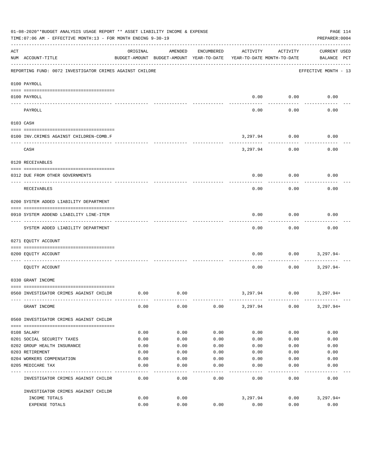|          | 01-08-2020**BUDGET ANALYSIS USAGE REPORT ** ASSET LIABILITY INCOME & EXPENSE<br>TIME: 07:06 AM - EFFECTIVE MONTH: 13 - FOR MONTH ENDING 9-30-19 |          |                                                     |            |                                        |           | PAGE 114<br>PREPARER: 0004         |
|----------|-------------------------------------------------------------------------------------------------------------------------------------------------|----------|-----------------------------------------------------|------------|----------------------------------------|-----------|------------------------------------|
| ACT      | NUM ACCOUNT-TITLE                                                                                                                               | ORIGINAL | AMENDED<br>BUDGET-AMOUNT BUDGET-AMOUNT YEAR-TO-DATE | ENCUMBERED | ACTIVITY<br>YEAR-TO-DATE MONTH-TO-DATE | ACTIVITY  | <b>CURRENT USED</b><br>BALANCE PCT |
|          | REPORTING FUND: 0072 INVESTIGATOR CRIMES AGAINST CHILDRE                                                                                        |          |                                                     |            |                                        |           | EFFECTIVE MONTH - 13               |
|          | 0100 PAYROLL                                                                                                                                    |          |                                                     |            |                                        |           |                                    |
| ---- --- | 0100 PAYROLL                                                                                                                                    |          |                                                     |            | 0.00                                   | 0.00      | 0.00                               |
|          | PAYROLL                                                                                                                                         |          |                                                     |            | 0.00                                   | 0.00      | 0.00                               |
|          | 0103 CASH                                                                                                                                       |          |                                                     |            |                                        |           |                                    |
|          | 0100 INV. CRIMES AGAINST CHILDREN-COMB.F                                                                                                        |          |                                                     |            | 3,297.94                               | 0.00<br>. | 0.00                               |
|          | CASH                                                                                                                                            |          |                                                     |            | 3,297.94                               | 0.00      | 0.00                               |
|          | 0120 RECEIVABLES                                                                                                                                |          |                                                     |            |                                        |           |                                    |
|          | 0312 DUE FROM OTHER GOVERNMENTS                                                                                                                 |          |                                                     |            | 0.00                                   | 0.00      | 0.00                               |
|          | RECEIVABLES                                                                                                                                     |          |                                                     |            | 0.00                                   | 0.00      | 0.00                               |
|          | 0200 SYSTEM ADDED LIABILITY DEPARTMENT                                                                                                          |          |                                                     |            |                                        |           |                                    |
|          | 0910 SYSTEM ADDEND LIABILITY LINE-ITEM                                                                                                          |          |                                                     |            | 0.00                                   | 0.00      | 0.00                               |
|          | SYSTEM ADDED LIABILITY DEPARTMENT                                                                                                               |          |                                                     |            | 0.00                                   | 0.00      | 0.00                               |
|          | 0271 EQUITY ACCOUNT                                                                                                                             |          |                                                     |            |                                        |           |                                    |
|          | 0200 EQUITY ACCOUNT                                                                                                                             |          |                                                     |            | 0.00                                   | 0.00      | 3,297.94-                          |
|          | EQUITY ACCOUNT                                                                                                                                  |          |                                                     |            | 0.00                                   | 0.00      | $3,297.94-$                        |
|          | 0330 GRANT INCOME                                                                                                                               |          |                                                     |            |                                        |           |                                    |
|          | 0560 INVESTIGATOR CRIMES AGAINST CHILDR                                                                                                         | 0.00     | 0.00                                                |            | 3,297.94                               | 0.00      | 3,297.94+                          |
|          | GRANT INCOME                                                                                                                                    | 0.00     | 0.00                                                | 0.00       | 3,297.94                               | 0.00      | $3,297.94+$                        |
|          | 0560 INVESTIGATOR CRIMES AGAINST CHILDR                                                                                                         |          |                                                     |            |                                        |           |                                    |
|          | 0108 SALARY                                                                                                                                     | 0.00     | 0.00                                                | 0.00       | 0.00                                   | 0.00      | 0.00                               |
|          | 0201 SOCIAL SECURITY TAXES                                                                                                                      | 0.00     | 0.00                                                | 0.00       | 0.00                                   | 0.00      | 0.00                               |
|          | 0202 GROUP HEALTH INSURANCE                                                                                                                     | 0.00     | 0.00                                                | 0.00       | 0.00                                   | 0.00      | 0.00                               |
|          | 0203 RETIREMENT                                                                                                                                 | 0.00     | 0.00                                                | 0.00       | 0.00                                   | 0.00      | 0.00                               |
|          | 0204 WORKERS COMPENSATION                                                                                                                       | 0.00     | 0.00                                                | 0.00       | 0.00                                   | 0.00      | 0.00                               |
|          | 0205 MEDICARE TAX                                                                                                                               | 0.00     | 0.00                                                | 0.00       | 0.00                                   | 0.00      | 0.00                               |
|          | INVESTIGATOR CRIMES AGAINST CHILDR                                                                                                              | 0.00     | 0.00                                                | 0.00       | 0.00                                   | 0.00      | 0.00                               |
|          | INVESTIGATOR CRIMES AGAINST CHILDR                                                                                                              |          |                                                     |            |                                        |           |                                    |
|          | INCOME TOTALS                                                                                                                                   | 0.00     | 0.00                                                |            | 3,297.94                               | 0.00      | $3,297.94+$                        |
|          | EXPENSE TOTALS                                                                                                                                  | 0.00     | 0.00                                                | 0.00       | 0.00                                   | 0.00      | 0.00                               |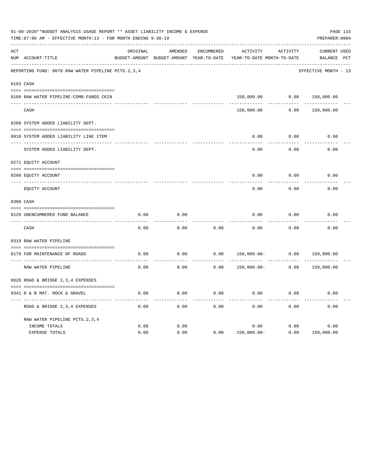|     | 01-08-2020**BUDGET ANALYSIS USAGE REPORT ** ASSET LIABILITY INCOME & EXPENSE<br>TIME: 07:06 AM - EFFECTIVE MONTH: 13 - FOR MONTH ENDING 9-30-19 |          |                                                     |                   |                |                                        |                                       |  |  |  |
|-----|-------------------------------------------------------------------------------------------------------------------------------------------------|----------|-----------------------------------------------------|-------------------|----------------|----------------------------------------|---------------------------------------|--|--|--|
| ACT | NUM ACCOUNT-TITLE                                                                                                                               | ORIGINAL | AMENDED<br>BUDGET-AMOUNT BUDGET-AMOUNT YEAR-TO-DATE | <b>ENCUMBERED</b> | ACTIVITY       | ACTIVITY<br>YEAR-TO-DATE MONTH-TO-DATE | CURRENT USED<br><b>BALANCE</b><br>PCT |  |  |  |
|     | REPORTING FUND: 0078 RAW WATER PIPELINE PCTS.2,3,4                                                                                              |          |                                                     |                   |                |                                        | EFFECTIVE MONTH - 13                  |  |  |  |
|     | 0103 CASH                                                                                                                                       |          |                                                     |                   |                |                                        |                                       |  |  |  |
|     | 0100 RAW WATER PIPELINE-COMB.FUNDS CKIN                                                                                                         |          |                                                     |                   | 150,000.00     | 0.00                                   | 150,000.00                            |  |  |  |
|     | CASH                                                                                                                                            |          |                                                     |                   | 150,000.00     | 0.00                                   | 150,000.00                            |  |  |  |
|     | 0200 SYSTEM ADDED LIABILITY DEPT.                                                                                                               |          |                                                     |                   |                |                                        |                                       |  |  |  |
|     | 0910 SYSTEM ADDED LIABILITY LINE ITEM                                                                                                           |          |                                                     |                   | 0.00           | 0.00                                   | 0.00                                  |  |  |  |
|     | SYSTEM ADDED LIABILITY DEPT.                                                                                                                    |          |                                                     |                   | 0.00           | 0.00                                   | 0.00                                  |  |  |  |
|     | 0271 EQUITY ACCOUNT                                                                                                                             |          |                                                     |                   |                |                                        |                                       |  |  |  |
|     | 0200 EQUITY ACCOUNT                                                                                                                             |          |                                                     |                   | 0.00           | 0.00                                   | 0.00                                  |  |  |  |
|     | ---- -----------<br>EQUITY ACCOUNT                                                                                                              |          |                                                     |                   | 0.00           | 0.00                                   | 0.00                                  |  |  |  |
|     | 0300 CASH                                                                                                                                       |          |                                                     |                   |                |                                        |                                       |  |  |  |
|     | 0120 UNENCUMBERED FUND BALANCE                                                                                                                  | 0.00     | 0.00                                                |                   | 0.00           | 0.00                                   | 0.00                                  |  |  |  |
|     | CASH                                                                                                                                            | 0.00     | 0.00                                                | 0.00              | 0.00           | 0.00                                   | 0.00                                  |  |  |  |
|     | 0319 RAW WATER PIPELINE                                                                                                                         |          |                                                     |                   |                |                                        |                                       |  |  |  |
|     | 0179 FOR MAINTENANCE OF ROADS                                                                                                                   | 0.00     | 0.00                                                | 0.00              | $150,000.00 -$ | 0.00                                   | 150,000.00                            |  |  |  |
|     | RAW WATER PIPELINE                                                                                                                              | 0.00     | 0.00                                                | 0.00              | $150,000.00 -$ | 0.00                                   | 150,000.00                            |  |  |  |
|     | 0628 ROAD & BRIDGE 2,3,4 EXPENSES                                                                                                               |          |                                                     |                   |                |                                        |                                       |  |  |  |
|     | 0341 R & B MAT. ROCK & GRAVEL                                                                                                                   | 0.00     | 0.00                                                | 0.00              | 0.00           | 0.00                                   | 0.00                                  |  |  |  |
|     | ROAD & BRIDGE 2, 3, 4 EXPENSES                                                                                                                  | 0.00     | 0.00                                                | 0.00              | 0.00           | 0.00                                   | 0.00                                  |  |  |  |
|     | RAW WATER PIPELINE PCTS. 2, 3, 4                                                                                                                |          |                                                     |                   |                |                                        |                                       |  |  |  |
|     | INCOME TOTALS                                                                                                                                   | 0.00     | 0.00                                                |                   | 0.00           | 0.00                                   | 0.00                                  |  |  |  |
|     | <b>EXPENSE TOTALS</b>                                                                                                                           | 0.00     | 0.00                                                | 0.00              | $150,000.00 -$ | 0.00                                   | 150,000.00                            |  |  |  |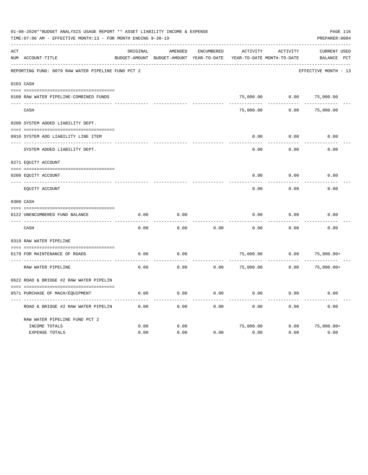|     | 01-08-2020**BUDGET ANALYSIS USAGE REPORT ** ASSET LIABILITY INCOME & EXPENSE<br>TIME: 07:06 AM - EFFECTIVE MONTH: 13 - FOR MONTH ENDING 9-30-19 |          |                                                     |                   |                 |                                        |                                    |  |  |  |
|-----|-------------------------------------------------------------------------------------------------------------------------------------------------|----------|-----------------------------------------------------|-------------------|-----------------|----------------------------------------|------------------------------------|--|--|--|
| ACT | NUM ACCOUNT-TITLE                                                                                                                               | ORIGINAL | AMENDED<br>BUDGET-AMOUNT BUDGET-AMOUNT YEAR-TO-DATE | <b>ENCUMBERED</b> | <b>ACTIVITY</b> | ACTIVITY<br>YEAR-TO-DATE MONTH-TO-DATE | <b>CURRENT USED</b><br>BALANCE PCT |  |  |  |
|     | REPORTING FUND: 0079 RAW WATER PIPELINE FUND PCT 2                                                                                              |          |                                                     |                   |                 |                                        | EFFECTIVE MONTH - 13               |  |  |  |
|     | 0103 CASH                                                                                                                                       |          |                                                     |                   |                 |                                        |                                    |  |  |  |
|     | 0100 RAW WATER PIPELINE-COMBINED FUNDS                                                                                                          |          |                                                     |                   | 75,000.00       | 0.00                                   | 75,000.00                          |  |  |  |
|     | CASH                                                                                                                                            |          |                                                     |                   | 75,000.00       | 0.00                                   | 75,000.00                          |  |  |  |
|     | 0200 SYSTEM ADDED LIABILITY DEPT.                                                                                                               |          |                                                     |                   |                 |                                        |                                    |  |  |  |
|     | 0910 SYSTEM ADD LIABILITY LINE ITEM                                                                                                             |          |                                                     |                   | 0.00            | 0.00                                   | 0.00                               |  |  |  |
|     | SYSTEM ADDED LIABILITY DEPT.                                                                                                                    |          |                                                     |                   | 0.00            | 0.00                                   | 0.00                               |  |  |  |
|     | 0271 EQUITY ACCOUNT                                                                                                                             |          |                                                     |                   |                 |                                        |                                    |  |  |  |
|     | 0200 EQUITY ACCOUNT                                                                                                                             |          |                                                     |                   | 0.00            | 0.00                                   | 0.00                               |  |  |  |
|     | EQUITY ACCOUNT                                                                                                                                  |          |                                                     |                   | 0.00            | 0.00                                   | 0.00                               |  |  |  |
|     | 0300 CASH                                                                                                                                       |          |                                                     |                   |                 |                                        |                                    |  |  |  |
|     | 0122 UNENCUMBERED FUND BALANCE                                                                                                                  | 0.00     | 0.00                                                |                   | 0.00            | 0.00                                   | 0.00                               |  |  |  |
|     | CASH                                                                                                                                            | 0.00     | 0.00                                                | 0.00              | 0.00            | 0.00                                   | 0.00                               |  |  |  |
|     | 0319 RAW WATER PIPELINE                                                                                                                         |          |                                                     |                   |                 |                                        |                                    |  |  |  |
|     | 0179 FOR MAINTENANCE OF ROADS                                                                                                                   | 0.00     | 0.00                                                |                   | 75,000.00       | 0.00                                   | $75,000.00+$                       |  |  |  |
|     | RAW WATER PIPELINE                                                                                                                              | 0.00     | 0.00                                                | 0.00              | 75,000.00       | 0.00                                   | $75,000.00+$                       |  |  |  |
|     | 0622 ROAD & BRIDGE #2 RAW WATER PIPELIN                                                                                                         |          |                                                     |                   |                 |                                        |                                    |  |  |  |
|     | 0571 PURCHASE OF MACH/EQUIPMENT                                                                                                                 | 0.00     | 0.00                                                | 0.00              | 0.00            | 0.00                                   | 0.00                               |  |  |  |
|     | ROAD & BRIDGE #2 RAW WATER PIPELIN                                                                                                              | 0.00     | 0.00                                                | 0.00              | 0.00            | 0.00                                   | 0.00                               |  |  |  |
|     | RAW WATER PIPELINE FUND PCT 2                                                                                                                   |          |                                                     |                   |                 |                                        |                                    |  |  |  |
|     | INCOME TOTALS                                                                                                                                   | 0.00     | 0.00<br>0.00                                        | 0.00              | 75,000.00       | 0.00                                   | $75,000.00+$<br>0.00               |  |  |  |
|     | EXPENSE TOTALS                                                                                                                                  | 0.00     |                                                     |                   | 0.00            | 0.00                                   |                                    |  |  |  |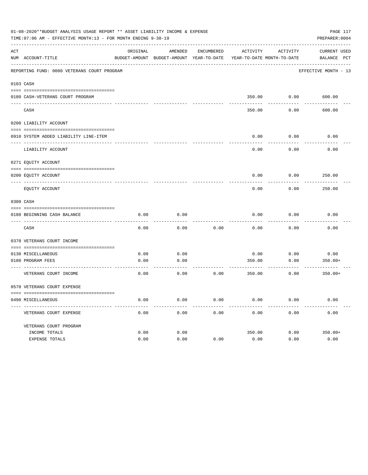|     | 01-08-2020**BUDGET ANALYSIS USAGE REPORT ** ASSET LIABILITY INCOME & EXPENSE<br>TIME: 07:06 AM - EFFECTIVE MONTH: 13 - FOR MONTH ENDING 9-30-19 |          |                                                     |            |          |                                        | PAGE 117<br>PREPARER: 0004  |  |
|-----|-------------------------------------------------------------------------------------------------------------------------------------------------|----------|-----------------------------------------------------|------------|----------|----------------------------------------|-----------------------------|--|
| ACT | NUM ACCOUNT-TITLE                                                                                                                               | ORIGINAL | AMENDED<br>BUDGET-AMOUNT BUDGET-AMOUNT YEAR-TO-DATE | ENCUMBERED | ACTIVITY | ACTIVITY<br>YEAR-TO-DATE MONTH-TO-DATE | CURRENT USED<br>BALANCE PCT |  |
|     | REPORTING FUND: 0080 VETERANS COURT PROGRAM                                                                                                     |          |                                                     |            |          |                                        | EFFECTIVE MONTH - 13        |  |
|     | 0103 CASH                                                                                                                                       |          |                                                     |            |          |                                        |                             |  |
|     | 0180 CASH-VETERANS COURT PROGRAM                                                                                                                |          |                                                     |            |          | 350.00 0.00                            | 600.00                      |  |
|     | CASH                                                                                                                                            |          |                                                     |            | 350.00   | 0.00                                   | 600.00                      |  |
|     | 0200 LIABILITY ACCOUNT                                                                                                                          |          |                                                     |            |          |                                        |                             |  |
|     | 0910 SYSTEM ADDED LIABILITY LINE-ITEM                                                                                                           |          |                                                     |            | 0.00     | 0.00                                   | 0.00                        |  |
|     | LIABILITY ACCOUNT                                                                                                                               |          |                                                     |            | 0.00     | 0.00                                   | 0.00                        |  |
|     | 0271 EQUITY ACCOUNT                                                                                                                             |          |                                                     |            |          |                                        |                             |  |
|     | 0200 EQUITY ACCOUNT                                                                                                                             |          |                                                     |            | 0.00     | 0.00                                   | 250.00                      |  |
|     | EQUITY ACCOUNT                                                                                                                                  |          |                                                     |            | 0.00     | 0.00                                   | 250.00                      |  |
|     | 0300 CASH                                                                                                                                       |          |                                                     |            |          |                                        |                             |  |
|     | 0180 BEGINNING CASH BALANCE<br>___________________________________                                                                              | 0.00     | 0.00                                                |            | 0.00     | 0.00                                   | 0.00                        |  |
|     | CASH                                                                                                                                            | 0.00     | 0.00                                                | 0.00       | 0.00     | 0.00                                   | 0.00                        |  |
|     | 0370 VETERANS COURT INCOME                                                                                                                      |          |                                                     |            |          |                                        |                             |  |
|     | 0130 MISCELLANEOUS                                                                                                                              | 0.00     | 0.00                                                |            | 0.00     | 0.00                                   | 0.00                        |  |
|     | 0180 PROGRAM FEES                                                                                                                               | 0.00     | 0.00                                                |            | 350.00   | 0.00                                   | $350.00+$                   |  |
|     | VETERANS COURT INCOME                                                                                                                           | 0.00     | 0.00                                                | 0.00       | 350.00   | 0.00                                   | $350.00+$                   |  |
|     | 0570 VETERANS COURT EXPENSE                                                                                                                     |          |                                                     |            |          |                                        |                             |  |
|     | 0490 MISCELLANEOUS                                                                                                                              | 0.00     | 0.00                                                | 0.00       | 0.00     | 0.00                                   | 0.00                        |  |
|     | VETERANS COURT EXPENSE                                                                                                                          | 0.00     | 0.00                                                | 0.00       | 0.00     | 0.00                                   | 0.00                        |  |
|     | VETERANS COURT PROGRAM                                                                                                                          |          |                                                     |            |          |                                        |                             |  |
|     | INCOME TOTALS                                                                                                                                   | 0.00     | 0.00                                                |            | 350.00   | 0.00                                   | $350.00+$                   |  |
|     | EXPENSE TOTALS                                                                                                                                  | 0.00     | 0.00                                                | 0.00       | 0.00     | 0.00                                   | 0.00                        |  |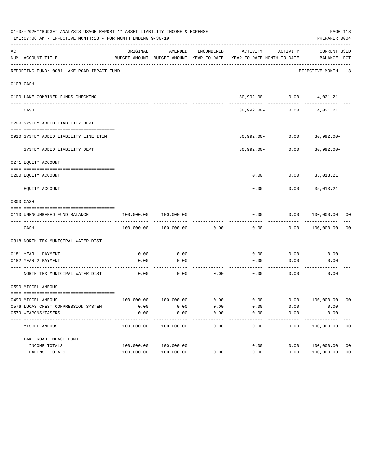|     | 01-08-2020**BUDGET ANALYSIS USAGE REPORT ** ASSET LIABILITY INCOME & EXPENSE<br>TIME: 07:06 AM - EFFECTIVE MONTH: 13 - FOR MONTH ENDING 9-30-19 |                          |                          |            |                                                                     |                      | PAGE 118<br>PREPARER: 0004       |                |
|-----|-------------------------------------------------------------------------------------------------------------------------------------------------|--------------------------|--------------------------|------------|---------------------------------------------------------------------|----------------------|----------------------------------|----------------|
| ACT | NUM ACCOUNT-TITLE                                                                                                                               | ORIGINAL                 | AMENDED                  | ENCUMBERED | BUDGET-AMOUNT BUDGET-AMOUNT YEAR-TO-DATE YEAR-TO-DATE MONTH-TO-DATE | ACTIVITY ACTIVITY    | CURRENT USED<br>BALANCE PCT      |                |
|     | REPORTING FUND: 0081 LAKE ROAD IMPACT FUND                                                                                                      |                          |                          |            |                                                                     |                      | EFFECTIVE MONTH - 13             |                |
|     | 0103 CASH                                                                                                                                       |                          |                          |            |                                                                     |                      |                                  |                |
|     |                                                                                                                                                 |                          |                          |            |                                                                     |                      |                                  |                |
|     | 0100 LAKE-COMBINED FUNDS CHECKING                                                                                                               |                          |                          |            |                                                                     |                      | $30,992.00 - 0.00$ 4,021.21      |                |
|     | CASH                                                                                                                                            |                          |                          |            | 30,992.00-                                                          | ------------<br>0.00 | 4,021.21                         |                |
|     | 0200 SYSTEM ADDED LIABILITY DEPT.                                                                                                               |                          |                          |            |                                                                     |                      |                                  |                |
|     | 0910 SYSTEM ADDED LIABILITY LINE ITEM                                                                                                           |                          |                          |            |                                                                     |                      | $30,992.00 - 0.00$ $30,992.00 -$ |                |
|     | SYSTEM ADDED LIABILITY DEPT.                                                                                                                    |                          |                          |            |                                                                     | $30,992.00 - 0.00$   | $30,992.00 -$                    |                |
|     | 0271 EQUITY ACCOUNT                                                                                                                             |                          |                          |            |                                                                     |                      |                                  |                |
|     | 0200 EQUITY ACCOUNT                                                                                                                             |                          |                          |            |                                                                     |                      | $0.00$ $0.00$ $35,013.21$        |                |
|     | EQUITY ACCOUNT                                                                                                                                  |                          |                          |            | 0.00                                                                | 0.00                 | 35,013.21                        |                |
|     | 0300 CASH                                                                                                                                       |                          |                          |            |                                                                     |                      |                                  |                |
|     | 0110 UNENCUMBERED FUND BALANCE                                                                                                                  | 100,000.00               | 100,000.00               |            | 0.00                                                                | 0.00                 | 100,000.00 00                    |                |
|     | CASH                                                                                                                                            | 100,000.00               | 100,000.00               | 0.00       | 0.00                                                                | 0.00                 | 100,000.00                       | 0 <sub>0</sub> |
|     | 0318 NORTH TEX MUNICIPAL WATER DIST                                                                                                             |                          |                          |            |                                                                     |                      |                                  |                |
|     | 0181 YEAR 1 PAYMENT                                                                                                                             | 0.00                     | 0.00                     |            | 0.00                                                                | 0.00                 | 0.00                             |                |
|     | 0182 YEAR 2 PAYMENT                                                                                                                             | 0.00                     | 0.00                     |            | 0.00                                                                | 0.00                 | 0.00                             |                |
|     |                                                                                                                                                 |                          | --------                 |            |                                                                     |                      |                                  |                |
|     | NORTH TEX MUNICIPAL WATER DIST                                                                                                                  | 0.00                     | 0.00                     | 0.00       | 0.00                                                                | 0.00                 | 0.00                             |                |
|     | 0590 MISCELLANEOUS                                                                                                                              |                          |                          |            |                                                                     |                      |                                  |                |
|     | 0490 MISCELLANEOUS                                                                                                                              | 100,000.00               | 100,000.00               | 0.00       | 0.00                                                                | 0.00                 | 100,000.00                       | - 00           |
|     | 0576 LUCAS CHEST COMPRESSION SYSTEM                                                                                                             | 0.00                     | 0.00                     | 0.00       | 0.00                                                                | 0.00                 | 0.00                             |                |
|     | 0579 WEAPONS/TASERS                                                                                                                             | 0.00                     | 0.00                     | 0.00       | 0.00                                                                | 0.00                 | 0.00                             |                |
|     | -----------<br>MISCELLANEOUS                                                                                                                    | ----------<br>100,000.00 | ----------<br>100,000.00 | 0.00       | 0.00                                                                | 0.00                 | ----------<br>100,000.00         | 0 <sub>0</sub> |
|     | LAKE ROAD IMPACT FUND                                                                                                                           |                          |                          |            |                                                                     |                      |                                  |                |
|     | INCOME TOTALS                                                                                                                                   | 100,000.00               | 100,000.00               |            | 0.00                                                                | 0.00                 | 100,000.00                       | 0 <sub>0</sub> |
|     | EXPENSE TOTALS                                                                                                                                  | 100,000.00               | 100,000.00               | 0.00       | 0.00                                                                | 0.00                 | 100,000.00                       | 0 <sub>0</sub> |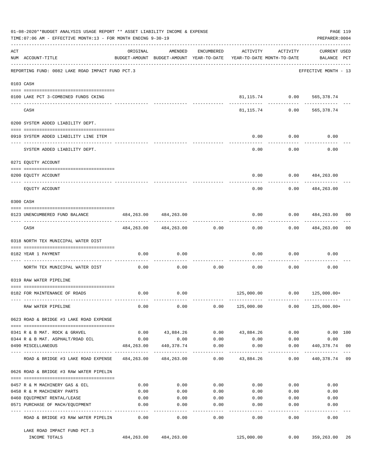|     | 01-08-2020**BUDGET ANALYSIS USAGE REPORT ** ASSET LIABILITY INCOME & EXPENSE<br>PAGE 119<br>TIME: 07:06 AM - EFFECTIVE MONTH: 13 - FOR MONTH ENDING 9-30-19<br>PREPARER: 0004 |                                               |                                                                                |                    |                                          |                               |                                    |                |  |  |  |
|-----|-------------------------------------------------------------------------------------------------------------------------------------------------------------------------------|-----------------------------------------------|--------------------------------------------------------------------------------|--------------------|------------------------------------------|-------------------------------|------------------------------------|----------------|--|--|--|
| ACT | NUM ACCOUNT-TITLE                                                                                                                                                             | ORIGINAL                                      | AMENDED<br>BUDGET-AMOUNT BUDGET-AMOUNT YEAR-TO-DATE YEAR-TO-DATE MONTH-TO-DATE | ENCUMBERED         | ACTIVITY                                 | ACTIVITY                      | <b>CURRENT USED</b><br>BALANCE PCT |                |  |  |  |
|     | REPORTING FUND: 0082 LAKE ROAD IMPACT FUND PCT.3                                                                                                                              |                                               |                                                                                |                    |                                          |                               | EFFECTIVE MONTH - 13               |                |  |  |  |
|     | 0103 CASH                                                                                                                                                                     |                                               |                                                                                |                    |                                          |                               |                                    |                |  |  |  |
|     | 0100 LAKE PCT 3-COMBINED FUNDS CKING                                                                                                                                          |                                               |                                                                                |                    |                                          | 81, 115.74 0.00 565, 378.74   |                                    |                |  |  |  |
|     | CASH                                                                                                                                                                          |                                               |                                                                                |                    | 81, 115, 74                              | -------- ------------<br>0.00 | ------------<br>565,378.74         |                |  |  |  |
|     | 0200 SYSTEM ADDED LIABILITY DEPT.                                                                                                                                             |                                               |                                                                                |                    |                                          |                               |                                    |                |  |  |  |
|     | 0910 SYSTEM ADDED LIABILITY LINE ITEM                                                                                                                                         |                                               |                                                                                |                    | 0.00                                     | 0.00                          | 0.00                               |                |  |  |  |
|     | SYSTEM ADDED LIABILITY DEPT.                                                                                                                                                  |                                               |                                                                                |                    | 0.00                                     | 0.00                          | 0.00                               |                |  |  |  |
|     | 0271 EQUITY ACCOUNT                                                                                                                                                           |                                               |                                                                                |                    |                                          |                               |                                    |                |  |  |  |
|     | 0200 EQUITY ACCOUNT                                                                                                                                                           |                                               |                                                                                |                    | 0.00                                     |                               | $0.00$ 484,263.00                  |                |  |  |  |
|     | EQUITY ACCOUNT                                                                                                                                                                |                                               |                                                                                |                    | 0.00                                     | 0.00                          | ------------<br>484,263.00         |                |  |  |  |
|     | 0300 CASH                                                                                                                                                                     |                                               |                                                                                |                    |                                          |                               |                                    |                |  |  |  |
|     | 0123 UNENCUMBERED FUND BALANCE                                                                                                                                                | 484,263.00                                    | 484,263.00                                                                     |                    | 0.00                                     |                               | 0.0000484,263.00                   | 00             |  |  |  |
|     | CASH                                                                                                                                                                          |                                               | 484, 263.00 484, 263.00                                                        | 0.00               | 0.00                                     | 0.00                          | . <u>.</u> .<br>484,263.00         | 0 <sub>0</sub> |  |  |  |
|     | 0318 NORTH TEX MUNICIPAL WATER DIST                                                                                                                                           |                                               |                                                                                |                    |                                          |                               |                                    |                |  |  |  |
|     | 0182 YEAR 1 PAYMENT                                                                                                                                                           | 0.00                                          | 0.00                                                                           |                    | 0.00                                     | 0.00                          | 0.00                               |                |  |  |  |
|     | NORTH TEX MUNICIPAL WATER DIST                                                                                                                                                | 0.00                                          | 0.00                                                                           | 0.00               | 0.00                                     | 0.00                          | 0.00                               |                |  |  |  |
|     | 0319 RAW WATER PIPELINE                                                                                                                                                       |                                               |                                                                                |                    |                                          |                               |                                    |                |  |  |  |
|     | 0182 FOR MAINTENANCE OF ROADS                                                                                                                                                 | 0.00                                          | 0.00                                                                           |                    |                                          |                               |                                    |                |  |  |  |
|     | RAW WATER PIPELINE                                                                                                                                                            | 0.00                                          | 0.00                                                                           |                    | $0.00$ $125,000.00$ $0.00$ $125,000.00+$ |                               |                                    |                |  |  |  |
|     | 0623 ROAD & BRIDGE #3 LAKE ROAD EXPENSE                                                                                                                                       |                                               |                                                                                |                    |                                          |                               |                                    |                |  |  |  |
|     | 0341 R & B MAT. ROCK & GRAVEL                                                                                                                                                 |                                               | $0.00$ $43,884.26$                                                             | 0.00               | 43,884.26                                | 0.00                          | 0.00 100                           |                |  |  |  |
|     | 0344 R & B MAT. ASPHALT/ROAD OIL                                                                                                                                              | 0.00                                          | 0.00                                                                           | 0.00               | 0.00                                     | 0.00                          | 0.00                               |                |  |  |  |
|     | 0490 MISCELLANEOUS                                                                                                                                                            | 484,263.00<br>--- ------------- ------------- | 440,378.74                                                                     | 0.00<br>---------- | 0.00                                     | 0.00<br>----------            | 440,378.74<br>-----------          | 0 <sub>0</sub> |  |  |  |
|     | ROAD & BRIDGE #3 LAKE ROAD EXPENSE                                                                                                                                            |                                               | 484,263.00 484,263.00                                                          | 0.00               | 43,884.26                                | 0.00                          | 440,378.74                         | 09             |  |  |  |
|     | 0626 ROAD & BRIDGE #3 RAW WATER PIPELIN                                                                                                                                       |                                               |                                                                                |                    |                                          |                               |                                    |                |  |  |  |
|     | 0457 R & M MACHINERY GAS & OIL                                                                                                                                                | 0.00                                          | 0.00                                                                           | 0.00               |                                          | 0.00<br>0.00                  | 0.00                               |                |  |  |  |
|     | 0458 R & M MACHINERY PARTS                                                                                                                                                    | 0.00                                          | 0.00                                                                           | 0.00               | 0.00                                     | 0.00                          | 0.00                               |                |  |  |  |
|     | 0460 EQUIPMENT RENTAL/LEASE                                                                                                                                                   | 0.00                                          | 0.00                                                                           | 0.00               | 0.00                                     | 0.00                          | 0.00                               |                |  |  |  |
|     | 0571 PURCHASE OF MACH/EQUIPMENT                                                                                                                                               | 0.00                                          | 0.00<br>-----                                                                  | 0.00<br>-----      | 0.00                                     | 0.00<br>$- - - - -$           | 0.00                               |                |  |  |  |
|     | ROAD & BRIDGE #3 RAW WATER PIPELIN                                                                                                                                            | 0.00                                          | 0.00                                                                           | 0.00               | 0.00                                     | 0.00                          | 0.00                               |                |  |  |  |
|     | LAKE ROAD IMPACT FUND PCT.3<br>INCOME TOTALS                                                                                                                                  |                                               | 484, 263.00 484, 263.00                                                        |                    | 125,000.00                               | 0.00                          | 359,263.00                         | 26             |  |  |  |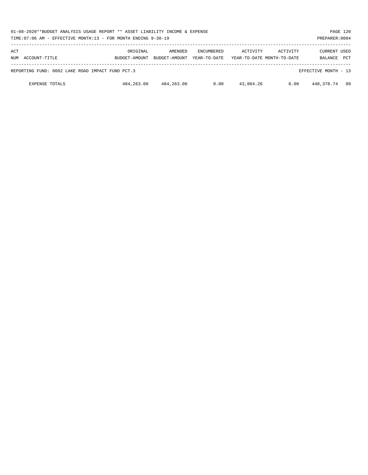| 01-08-2020**BUDGET ANALYSIS USAGE REPORT ** ASSET LIABILITY INCOME & EXPENSE<br>TIME: 07:06 AM - EFFECTIVE MONTH: 13 - FOR MONTH ENDING 9-30-19 |                           |                          |                                   |                                        |          | PREPARER: 0004          | PAGE 120   |
|-------------------------------------------------------------------------------------------------------------------------------------------------|---------------------------|--------------------------|-----------------------------------|----------------------------------------|----------|-------------------------|------------|
| ACT<br>NUM ACCOUNT-TITLE                                                                                                                        | ORIGINAL<br>BUDGET-AMOUNT | AMENDED<br>BUDGET-AMOUNT | <b>ENCUMBERED</b><br>YEAR-TO-DATE | ACTIVITY<br>YEAR-TO-DATE MONTH-TO-DATE | ACTIVITY | CURRENT USED<br>BALANCE | <b>PCT</b> |
| REPORTING FUND: 0082 LAKE ROAD IMPACT FUND PCT.3                                                                                                |                           |                          |                                   |                                        |          | EFFECTIVE MONTH - 13    |            |
| <b>EXPENSE TOTALS</b>                                                                                                                           | 484,263.00                | 484,263.00               | 0.00                              | 43,884.26                              | 0.00     | 440,378.74              | 09         |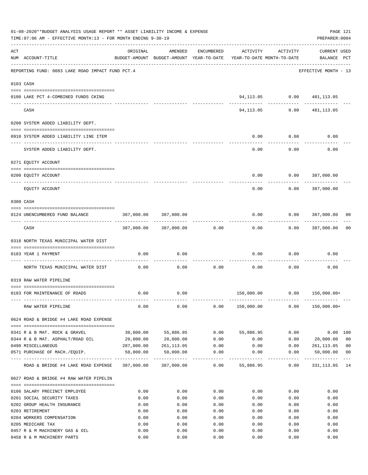|     | 01-08-2020**BUDGET ANALYSIS USAGE REPORT ** ASSET LIABILITY INCOME & EXPENSE<br>TIME: 07:06 AM - EFFECTIVE MONTH: 13 - FOR MONTH ENDING 9-30-19 |              |                       |                       |                                                                                 |                                 | PAGE 121<br>PREPARER: 0004         |                |
|-----|-------------------------------------------------------------------------------------------------------------------------------------------------|--------------|-----------------------|-----------------------|---------------------------------------------------------------------------------|---------------------------------|------------------------------------|----------------|
| ACT | NUM ACCOUNT-TITLE                                                                                                                               | ORIGINAL     | AMENDED               | ENCUMBERED            | ACTIVITY<br>BUDGET-AMOUNT BUDGET-AMOUNT YEAR-TO-DATE YEAR-TO-DATE MONTH-TO-DATE | ACTIVITY                        | <b>CURRENT USED</b><br>BALANCE PCT |                |
|     | REPORTING FUND: 0083 LAKE ROAD IMPACT FUND PCT.4                                                                                                |              |                       |                       |                                                                                 |                                 | EFFECTIVE MONTH - 13               |                |
|     | 0103 CASH                                                                                                                                       |              |                       |                       |                                                                                 |                                 |                                    |                |
|     | 0100 LAKE PCT 4-COMBINED FUNDS CKING                                                                                                            |              |                       |                       |                                                                                 | 94, 113.05   0.00   481, 113.05 |                                    |                |
|     | ------------------------------<br>CASH                                                                                                          |              |                       |                       | 94,113.05                                                                       | ------- ------------<br>0.00    | 481,113.05                         |                |
|     | 0200 SYSTEM ADDED LIABILITY DEPT.                                                                                                               |              |                       |                       |                                                                                 |                                 |                                    |                |
|     | 0910 SYSTEM ADDED LIABILITY LINE ITEM                                                                                                           |              |                       |                       | 0.00                                                                            | 0.00                            | 0.00                               |                |
|     | SYSTEM ADDED LIABILITY DEPT.                                                                                                                    |              |                       |                       | 0.00                                                                            | 0.00                            | 0.00                               |                |
|     | 0271 EQUITY ACCOUNT                                                                                                                             |              |                       |                       |                                                                                 |                                 |                                    |                |
|     |                                                                                                                                                 |              |                       |                       |                                                                                 |                                 |                                    |                |
|     | 0200 EQUITY ACCOUNT                                                                                                                             |              |                       |                       | 0.00                                                                            |                                 | $0.00$ 387,000.00<br>-----------   |                |
|     | EQUITY ACCOUNT                                                                                                                                  |              |                       |                       | 0.00                                                                            | 0.00                            | 387,000.00                         |                |
|     | 0300 CASH                                                                                                                                       |              |                       |                       |                                                                                 |                                 |                                    |                |
|     | 0124 UNENCUMBERED FUND BALANCE                                                                                                                  | 387,000.00   | 387,000.00            |                       | 0.00                                                                            | 0.000387,000.00                 | ------------                       | 00             |
|     | CASH                                                                                                                                            |              | 387,000.00 387,000.00 | 0.00                  | 0.00                                                                            | 0.00                            | 387,000.00                         | 0 <sub>0</sub> |
|     | 0318 NORTH TEXAS MUNICIPAL WATER DIST                                                                                                           |              |                       |                       |                                                                                 |                                 |                                    |                |
|     | 0183 YEAR 1 PAYMENT                                                                                                                             | 0.00         | 0.00                  |                       | 0.00                                                                            | 0.00                            | 0.00                               |                |
|     |                                                                                                                                                 |              |                       |                       |                                                                                 |                                 |                                    |                |
|     | NORTH TEXAS MUNICIPAL WATER DIST                                                                                                                | 0.00         | 0.00                  | 0.00                  | 0.00                                                                            | 0.00                            | 0.00                               |                |
|     | 0319 RAW WATER PIPELINE                                                                                                                         |              |                       |                       |                                                                                 |                                 |                                    |                |
|     | 0183 FOR MAINTENANCE OF ROADS                                                                                                                   | 0.00         | 0.00                  |                       |                                                                                 | 150,000.00   0.00   150,000.00+ |                                    |                |
|     |                                                                                                                                                 |              |                       |                       |                                                                                 |                                 |                                    |                |
|     | RAW WATER PIPELINE                                                                                                                              | 0.00         | 0.00                  |                       | $0.00$ 150,000.00 0.00                                                          |                                 | 150,000.00+                        |                |
|     | 0624 ROAD & BRIDGE #4 LAKE ROAD EXPENSE                                                                                                         |              |                       |                       |                                                                                 |                                 |                                    |                |
|     | 0341 R & B MAT. ROCK & GRAVEL                                                                                                                   | 30,000.00    | 55,886.95             | 0.00                  | 55,886.95                                                                       | 0.00                            | 0.00 100                           |                |
|     | 0344 R & B MAT. ASPHALT/ROAD OIL                                                                                                                | 20,000.00    | 20,000.00             | 0.00                  | 0.00                                                                            | 0.00                            | 20,000.00                          | 0 <sub>0</sub> |
|     | 0490 MISCELLANEOUS                                                                                                                              |              | 287,000.00 261,113.05 | 0.00                  | 0.00                                                                            | 0.00                            | 261,113.05                         | 0 <sub>0</sub> |
|     | 0571 PURCHASE OF MACH./EQUIP.                                                                                                                   | 50,000.00    | 50,000.00             | 0.00                  | 0.00                                                                            | 0.00                            | 50,000.00                          | 0 <sub>0</sub> |
|     | ROAD & BRIDGE #4 LAKE ROAD EXPENSE                                                                                                              |              | 387,000.00 387,000.00 | -------------<br>0.00 | 55,886.95                                                                       | $- - - - - -$<br>0.00           | ------------<br>331,113.05         | 14             |
|     | 0627 ROAD & BRIDGE #4 RAW WATER PIPELIN                                                                                                         |              |                       |                       |                                                                                 |                                 |                                    |                |
|     |                                                                                                                                                 |              | 0.00                  | 0.00                  | 0.00                                                                            | 0.00                            | 0.00                               |                |
|     | 0106 SALARY PRECINCT EMPLOYEE<br>0201 SOCIAL SECURITY TAXES                                                                                     | 0.00         | 0.00                  | 0.00                  |                                                                                 | 0.00                            | 0.00                               |                |
|     | 0202 GROUP HEALTH INSURANCE                                                                                                                     | 0.00<br>0.00 | 0.00                  | 0.00                  | 0.00<br>0.00                                                                    | 0.00                            | 0.00                               |                |
|     | 0203 RETIREMENT                                                                                                                                 | 0.00         | 0.00                  | 0.00                  | 0.00                                                                            | 0.00                            | 0.00                               |                |
|     | 0204 WORKERS COMPENSATION                                                                                                                       | 0.00         | 0.00                  | 0.00                  | 0.00                                                                            | 0.00                            | 0.00                               |                |
|     | 0205 MEDICARE TAX                                                                                                                               | 0.00         | 0.00                  | 0.00                  | 0.00                                                                            | 0.00                            | 0.00                               |                |
|     | 0457 R & M MACHINERY GAS & OIL                                                                                                                  | 0.00         | 0.00                  | 0.00                  | 0.00                                                                            | 0.00                            | 0.00                               |                |
|     | 0458 R & M MACHINERY PARTS                                                                                                                      | 0.00         | 0.00                  | 0.00                  | 0.00                                                                            | 0.00                            | 0.00                               |                |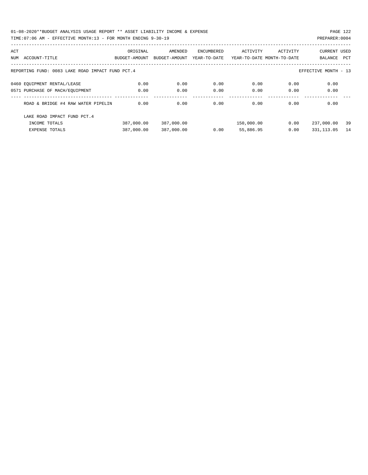01-08-2020\*\*BUDGET ANALYSIS USAGE REPORT \*\* ASSET LIABILITY INCOME & EXPENSE PAGE 122 TIME:07:06 AM - EFFECTIVE MONTH:13 - FOR MONTH ENDING 9-30-19 PREPARER:0004

| ACT<br>NUM | ACCOUNT-TITLE                                    | ORIGINAL<br>BUDGET-AMOUNT | AMENDED<br>BUDGET-AMOUNT | ENCUMBERED<br>YEAR-TO-DATE | ACTIVITY   | ACTIVITY<br>YEAR-TO-DATE MONTH-TO-DATE | <b>CURRENT USED</b><br>BALANCE | PCT |
|------------|--------------------------------------------------|---------------------------|--------------------------|----------------------------|------------|----------------------------------------|--------------------------------|-----|
|            |                                                  |                           |                          |                            |            |                                        |                                |     |
|            | REPORTING FUND: 0083 LAKE ROAD IMPACT FUND PCT.4 |                           |                          |                            |            |                                        | EFFECTIVE MONTH - 13           |     |
|            | 0460 EOUIPMENT RENTAL/LEASE                      | 0.00                      | 0.00                     | 0.00                       | 0.00       | 0.00                                   | 0.00                           |     |
|            | 0571 PURCHASE OF MACH/EQUIPMENT                  | 0.00                      | 0.00                     | 0.00                       | 0.00       | 0.00                                   | 0.00                           |     |
|            | ROAD & BRIDGE #4 RAW WATER PIPELIN               | 0.00                      | 0.00                     | 0.00                       | 0.00       | 0.00                                   | 0.00                           |     |
|            | LAKE ROAD IMPACT FUND PCT. 4                     |                           |                          |                            |            |                                        |                                |     |
|            | INCOME TOTALS                                    | 387,000.00                | 387,000.00               |                            | 150,000.00 | 0.00                                   | 237,000.00                     | 39  |
|            | <b>EXPENSE TOTALS</b>                            | 387,000.00                | 387,000.00               | 0.00                       | 55,886.95  | 0.00                                   | 331, 113.05                    | 14  |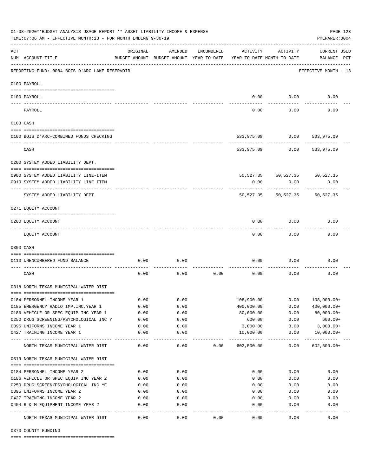| 01-08-2020**BUDGET ANALYSIS USAGE REPORT ** ASSET LIABILITY INCOME & EXPENSE<br>TIME: 07:06 AM - EFFECTIVE MONTH: 13 - FOR MONTH ENDING 9-30-19 |                                                                                |               |                                                     |            |                          |                                        |                                    |  |  |  |
|-------------------------------------------------------------------------------------------------------------------------------------------------|--------------------------------------------------------------------------------|---------------|-----------------------------------------------------|------------|--------------------------|----------------------------------------|------------------------------------|--|--|--|
| ACT                                                                                                                                             | NUM ACCOUNT-TITLE                                                              | ORIGINAL      | AMENDED<br>BUDGET-AMOUNT BUDGET-AMOUNT YEAR-TO-DATE | ENCUMBERED | ACTIVITY                 | ACTIVITY<br>YEAR-TO-DATE MONTH-TO-DATE | <b>CURRENT USED</b><br>BALANCE PCT |  |  |  |
|                                                                                                                                                 | REPORTING FUND: 0084 BOIS D'ARC LAKE RESERVOIR                                 |               |                                                     |            |                          |                                        | EFFECTIVE MONTH - 13               |  |  |  |
|                                                                                                                                                 | 0100 PAYROLL                                                                   |               |                                                     |            |                          |                                        |                                    |  |  |  |
|                                                                                                                                                 | 0100 PAYROLL                                                                   |               |                                                     |            | 0.00                     | 0.00                                   | 0.00                               |  |  |  |
|                                                                                                                                                 | PAYROLL                                                                        |               |                                                     |            | 0.00                     | 0.00                                   | 0.00                               |  |  |  |
|                                                                                                                                                 | 0103 CASH                                                                      |               |                                                     |            |                          |                                        |                                    |  |  |  |
|                                                                                                                                                 | 0100 BOIS D'ARC-COMBINED FUNDS CHECKING                                        |               |                                                     |            | 533,975.09               | $0.00$ 533,975.09                      |                                    |  |  |  |
|                                                                                                                                                 | CASH                                                                           |               |                                                     |            | 533,975.09               | 0.00                                   | 533,975.09                         |  |  |  |
|                                                                                                                                                 | 0200 SYSTEM ADDED LIABILITY DEPT.                                              |               |                                                     |            |                          |                                        |                                    |  |  |  |
|                                                                                                                                                 | 0900 SYSTEM ADDED LIABILITY LINE-ITEM<br>0910 SYSTEM ADDED LIABILITY LINE ITEM |               |                                                     |            | 0.00                     | 50,527.35 50,527.35 50,527.35<br>0.00  | 0.00                               |  |  |  |
|                                                                                                                                                 | SYSTEM ADDED LIABILITY DEPT.                                                   |               |                                                     |            | 50,527.35                | 50,527.35                              | 50,527.35                          |  |  |  |
|                                                                                                                                                 | 0271 EQUITY ACCOUNT                                                            |               |                                                     |            |                          |                                        |                                    |  |  |  |
|                                                                                                                                                 | 0200 EQUITY ACCOUNT                                                            |               |                                                     |            | 0.00                     | 0.00                                   | 0.00                               |  |  |  |
|                                                                                                                                                 | EQUITY ACCOUNT                                                                 |               |                                                     |            | 0.00                     | 0.00                                   | 0.00                               |  |  |  |
|                                                                                                                                                 | 0300 CASH                                                                      |               |                                                     |            |                          |                                        |                                    |  |  |  |
|                                                                                                                                                 | 0110 UNENCUMBERED FUND BALANCE                                                 | 0.00          | 0.00                                                |            | 0.00                     | 0.00                                   | 0.00                               |  |  |  |
|                                                                                                                                                 | CASH                                                                           | 0.00          | 0.00                                                | 0.00       | 0.00                     | 0.00                                   | 0.00                               |  |  |  |
|                                                                                                                                                 | 0318 NORTH TEXAS MUNICIPAL WATER DIST                                          |               |                                                     |            |                          |                                        |                                    |  |  |  |
|                                                                                                                                                 | 0184 PERSONNEL INCOME YEAR 1                                                   | 0.00          | 0.00                                                |            | 108,900.00               | 0.00                                   | $108,900.00+$                      |  |  |  |
|                                                                                                                                                 | 0185 EMERGENCY RADIO IMP. INC. YEAR 1                                          | 0.00          | 0.00                                                |            | 400,000.00               | 0.00                                   | $400,000.00+$                      |  |  |  |
|                                                                                                                                                 | 0186 VEHICLE OR SPEC EQUIP INC YEAR 1                                          | 0.00          | 0.00                                                |            | 80,000.00                | 0.00                                   | $80,000.00+$                       |  |  |  |
|                                                                                                                                                 | 0250 DRUG SCREENING/PSYCHOLOGICAL INC Y                                        | 0.00          | 0.00                                                |            | 600.00                   | 0.00                                   | $600.00+$                          |  |  |  |
|                                                                                                                                                 | 0395 UNIFORMS INCOME YEAR 1                                                    | 0.00          | 0.00                                                |            | 3,000.00                 | 0.00                                   | $3,000.00+$                        |  |  |  |
|                                                                                                                                                 | 0427 TRAINING INCOME YEAR 1<br>-------------------                             | 0.00<br>----- | 0.00<br>----                                        |            | 10,000.00<br>----------- | 0.00<br>-----                          | $10,000.00+$                       |  |  |  |
|                                                                                                                                                 | NORTH TEXAS MUNICIPAL WATER DIST                                               | 0.00          | 0.00                                                | 0.00       | 602,500.00               | 0.00                                   | $602,500.00+$                      |  |  |  |
|                                                                                                                                                 | 0319 NORTH TEXAS MUNICIPAL WATER DIST                                          |               |                                                     |            |                          |                                        |                                    |  |  |  |
|                                                                                                                                                 | 0184 PERSONNEL INCOME YEAR 2                                                   | 0.00          | 0.00                                                |            | 0.00                     | 0.00                                   | 0.00                               |  |  |  |
|                                                                                                                                                 | 0186 VEHICLE OR SPEC EQUIP INC YEAR 2                                          | 0.00          | 0.00                                                |            | 0.00                     | 0.00                                   | 0.00                               |  |  |  |
|                                                                                                                                                 | 0250 DRUG SCREEN/PSYCHOLOGICAL INC YE                                          | 0.00          | 0.00                                                |            | 0.00                     | 0.00                                   | 0.00                               |  |  |  |
|                                                                                                                                                 | 0395 UNIFORMS INCOME YEAR 2                                                    | 0.00          | 0.00                                                |            | 0.00                     | 0.00                                   | 0.00                               |  |  |  |
|                                                                                                                                                 | 0427 TRAINING INCOME YEAR 2                                                    | 0.00          | 0.00                                                |            | 0.00                     | 0.00                                   | 0.00                               |  |  |  |
|                                                                                                                                                 | 0454 R & M EQUIPMENT INCOME YEAR 2                                             | 0.00          | 0.00                                                |            | 0.00                     | 0.00                                   | 0.00                               |  |  |  |
|                                                                                                                                                 | NORTH TEXAS MUNICIPAL WATER DIST                                               | 0.00          | 0.00                                                | 0.00       | 0.00                     | 0.00                                   | 0.00                               |  |  |  |

0370 COUNTY FUNDING

==== ===================================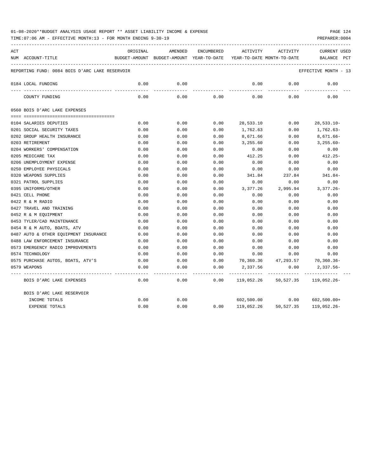| ACT | NUM ACCOUNT-TITLE                              | ORIGINAL | AMENDED         |      |                    | ENCUMBERED ACTIVITY ACTIVITY<br>BUDGET-AMOUNT BUDGET-AMOUNT YEAR-TO-DATE YEAR-TO-DATE MONTH-TO-DATE | CURRENT USED         |
|-----|------------------------------------------------|----------|-----------------|------|--------------------|-----------------------------------------------------------------------------------------------------|----------------------|
|     |                                                |          |                 |      |                    |                                                                                                     | BALANCE PCT          |
|     | REPORTING FUND: 0084 BOIS D'ARC LAKE RESERVOIR |          |                 |      |                    |                                                                                                     | EFFECTIVE MONTH - 13 |
|     | 0184 LOCAL FUNDING                             | 0.00     | 0.00            |      | 0.00               | 0.00                                                                                                | 0.00                 |
|     | COUNTY FUNDING                                 | 0.00     | -------<br>0.00 | 0.00 | . <u>.</u><br>0.00 | ---------<br>0.00                                                                                   | 0.00                 |
|     | 0560 BOIS D'ARC LAKE EXPENSES                  |          |                 |      |                    |                                                                                                     |                      |
|     |                                                |          |                 |      |                    |                                                                                                     |                      |
|     | 0104 SALARIES DEPUTIES                         | 0.00     | 0.00            | 0.00 |                    | 28,533.10 0.00                                                                                      | $28,533.10 -$        |
|     | 0201 SOCIAL SECURITY TAXES                     | 0.00     | 0.00            | 0.00 | 1,762.63           | 0.00                                                                                                | 1,762.63-            |
|     | 0202 GROUP HEALTH INSURANCE                    | 0.00     | 0.00            | 0.00 | 8,671.66           | 0.00                                                                                                | $8,671.66 -$         |
|     | 0203 RETIREMENT                                | 0.00     | 0.00            | 0.00 | 3,255.60           | 0.00                                                                                                | $3,255.60-$          |
|     | 0204 WORKERS' COMPENSATION                     | 0.00     | 0.00            | 0.00 | 0.00               | 0.00                                                                                                | 0.00                 |
|     | 0205 MEDICARE TAX                              | 0.00     | 0.00            | 0.00 | 412.25             | 0.00                                                                                                | $412.25-$            |
|     | 0206 UNEMPLOYMENT EXPENSE                      | 0.00     | 0.00            | 0.00 | 0.00               | 0.00                                                                                                | 0.00                 |
|     | 0250 EMPLOYEE PHYSICALS                        | 0.00     | 0.00            | 0.00 | 0.00               | 0.00                                                                                                | 0.00                 |
|     | 0320 WEAPONS SUPPLIES                          | 0.00     | 0.00            | 0.00 | 341.84             | 237.84                                                                                              | 341.84-              |
|     | 0321 PATROL SUPPLIES                           | 0.00     | 0.00            | 0.00 | 0.00               | 0.00                                                                                                | 0.00                 |
|     | 0395 UNIFORMS/OTHER                            | 0.00     | 0.00            | 0.00 | 3,377.26           | 2,995.94                                                                                            | 3,377.26-            |
|     | 0421 CELL PHONE                                | 0.00     | 0.00            | 0.00 | 0.00               | 0.00                                                                                                | 0.00                 |
|     | 0422 R & M RADIO                               | 0.00     | 0.00            | 0.00 | 0.00               | 0.00                                                                                                | 0.00                 |
|     | 0427 TRAVEL AND TRAINING                       | 0.00     | 0.00            | 0.00 | 0.00               | 0.00                                                                                                | 0.00                 |
|     | 0452 R & M EQUIPMENT                           | 0.00     | 0.00            | 0.00 | 0.00               | 0.00                                                                                                | 0.00                 |
|     | 0453 TYLER/CAD MAINTENANCE                     | 0.00     | 0.00            | 0.00 | 0.00               | 0.00                                                                                                | 0.00                 |
|     | 0454 R & M AUTO, BOATS, ATV                    | 0.00     | 0.00            | 0.00 | 0.00               | 0.00                                                                                                | 0.00                 |
|     | 0487 AUTO & OTHER EQUIPMENT INSURANCE          | 0.00     | 0.00            | 0.00 | 0.00               | 0.00                                                                                                | 0.00                 |
|     | 0488 LAW ENFORCEMENT INSURANCE                 | 0.00     | 0.00            | 0.00 | 0.00               | 0.00                                                                                                | 0.00                 |
|     | 0573 EMERGENCY RADIO IMPROVEMENTS              | 0.00     | 0.00            | 0.00 | 0.00               | 0.00                                                                                                | 0.00                 |
|     | 0574 TECHNOLOGY                                | 0.00     | 0.00            | 0.00 | 0.00               | 0.00                                                                                                | 0.00                 |
|     | 0575 PURCHASE AUTOS, BOATS, ATV'S              | 0.00     | 0.00            |      |                    | $0.00$ 70,360.36 47,293.57                                                                          | 70,360.36-           |
|     | 0579 WEAPONS                                   | 0.00     | 0.00            | 0.00 | 2,337.56           | 0.00                                                                                                | 2,337.56-            |
|     | BOIS D'ARC LAKE EXPENSES                       | 0.00     | 0.00            |      |                    | $0.00$ $119,052.26$ $50,527.35$ $119,052.26$                                                        |                      |
|     | BOIS D'ARC LAKE RESERVOIR                      |          |                 |      |                    |                                                                                                     |                      |
|     | INCOME TOTALS                                  | 0.00     | 0.00            |      |                    | 602,500.00 0.00                                                                                     | $602,500.00+$        |
|     | EXPENSE TOTALS                                 | 0.00     | 0.00            |      |                    | $0.00$ 119,052.26 50,527.35                                                                         | 119,052.26-          |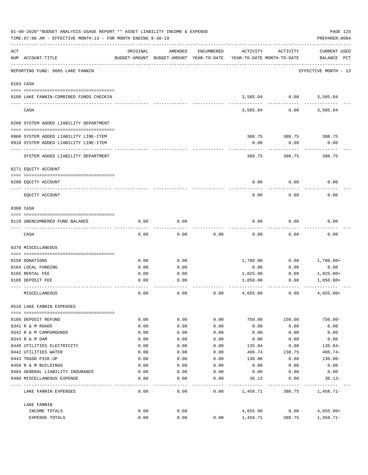|     | 01-08-2020**BUDGET ANALYSIS USAGE REPORT ** ASSET LIABILITY INCOME & EXPENSE<br>TIME: 07:06 AM - EFFECTIVE MONTH: 13 - FOR MONTH ENDING 9-30-19 |          |                                                     |            |          |                                        | PAGE 125<br>PREPARER: 0004         |
|-----|-------------------------------------------------------------------------------------------------------------------------------------------------|----------|-----------------------------------------------------|------------|----------|----------------------------------------|------------------------------------|
| ACT | NUM ACCOUNT-TITLE                                                                                                                               | ORIGINAL | AMENDED<br>BUDGET-AMOUNT BUDGET-AMOUNT YEAR-TO-DATE | ENCUMBERED | ACTIVITY | ACTIVITY<br>YEAR-TO-DATE MONTH-TO-DATE | <b>CURRENT USED</b><br>BALANCE PCT |
|     | REPORTING FUND: 0085 LAKE FANNIN                                                                                                                |          |                                                     |            |          |                                        | EFFECTIVE MONTH - 13               |
|     | 0103 CASH                                                                                                                                       |          |                                                     |            |          |                                        |                                    |
|     | 0100 LAKE FANNIN-COMBINED FUNDS CHECKIN                                                                                                         |          |                                                     |            |          | 3,585.04 0.00 3,585.04                 |                                    |
|     | CASH                                                                                                                                            |          |                                                     |            | 3,585.04 | 0.00                                   | 3,585.04                           |
|     | 0200 SYSTEM ADDED LIABILITY DEPARTMENT                                                                                                          |          |                                                     |            |          |                                        |                                    |
|     |                                                                                                                                                 |          |                                                     |            | 388.75   |                                        |                                    |
|     | 0900 SYSTEM ADDED LIABILITY LINE-ITEM<br>0910 SYSTEM ADDED LIABILITY LINE-ITEM                                                                  |          |                                                     |            | 0.00     | 388.75<br>0.00                         | 388.75<br>0.00                     |
|     |                                                                                                                                                 |          |                                                     |            |          |                                        |                                    |
|     | SYSTEM ADDED LIABILITY DEPARTMENT                                                                                                               |          |                                                     |            | 388.75   | 388.75                                 | 388.75                             |
|     | 0271 EQUITY ACCOUNT                                                                                                                             |          |                                                     |            |          |                                        |                                    |
|     | 0200 EQUITY ACCOUNT                                                                                                                             |          |                                                     |            | 0.00     | 0.00                                   | 0.00                               |
|     | EQUITY ACCOUNT                                                                                                                                  |          |                                                     |            | 0.00     | 0.00                                   | 0.00                               |
|     | 0300 CASH                                                                                                                                       |          |                                                     |            |          |                                        |                                    |
|     | 0110 UNENCUMBERED FUND BALANCE                                                                                                                  | 0.00     | 0.00                                                |            | 0.00     | 0.00                                   | 0.00                               |
|     | CASH                                                                                                                                            | 0.00     | 0.00                                                | 0.00       | 0.00     | 0.00                                   | 0.00                               |
|     | 0370 MISCELLANEOUS                                                                                                                              |          |                                                     |            |          |                                        |                                    |
|     | 0150 DONATIONS                                                                                                                                  | 0.00     | 0.00                                                |            | 1,780.00 | 0.00                                   | $1,780.00+$                        |
|     | 0184 LOCAL FUNDING                                                                                                                              | 0.00     | 0.00                                                |            | 0.00     | 0.00                                   | 0.00                               |
|     | 0185 RENTAL FEE                                                                                                                                 | 0.00     | 0.00                                                |            | 1,825.00 | 0.00                                   | $1,825.00+$                        |
|     | 0186 DEPOSIT FEE                                                                                                                                | 0.00     | 0.00                                                |            | 1,050.00 | 0.00                                   | $1,050.00+$                        |
|     | MISCELLANEOUS                                                                                                                                   | 0.00     | 0.00                                                | 0.00       | 4,655.00 | 0.00                                   | $4,655.00+$                        |
|     | 0520 LAKE FANNIN EXPENSES                                                                                                                       |          |                                                     |            |          |                                        |                                    |
|     | 0186 DEPOSIT REFUND                                                                                                                             | 0.00     | 0.00                                                | 0.00       | 750.00   | 150.00                                 | $750.00 -$                         |
|     | 0341 R & M ROADS                                                                                                                                | 0.00     | 0.00                                                | 0.00       | 0.00     | 0.00                                   | 0.00                               |
|     | 0342 R & M CAMPGROUNDS                                                                                                                          | 0.00     | 0.00                                                | 0.00       | 0.00     | 0.00                                   | 0.00                               |
|     | 0343 R & M DAM                                                                                                                                  | 0.00     | 0.00                                                | 0.00       | 0.00     | 0.00                                   | 0.00                               |
|     | 0440 UTILITIES ELECTRICITY                                                                                                                      | 0.00     | 0.00                                                | 0.00       | 135.84   | 0.00                                   | $135.84-$                          |
|     | 0442 UTILITIES WATER                                                                                                                            | 0.00     | 0.00                                                | 0.00       | 406.74   | 238.75                                 | $406.74-$                          |
|     | 0443 TRASH PICK-UP                                                                                                                              | 0.00     | 0.00                                                | 0.00       | 130.00   | 0.00                                   | $130.00 -$                         |
|     | 0450 R & M BUILDINGS                                                                                                                            | 0.00     | 0.00                                                | 0.00       | 0.00     | 0.00                                   | 0.00                               |
|     | 0484 GENERAL LIABILITY INSURANCE                                                                                                                | 0.00     | 0.00                                                | 0.00       | 0.00     | 0.00                                   | 0.00                               |
|     | 0490 MISCELLANEOUS EXPENSE                                                                                                                      | 0.00     | 0.00                                                | 0.00       | 36.13    | 0.00                                   | 36.13-                             |
|     | LAKE FANNIN EXPENSES                                                                                                                            | 0.00     | 0.00                                                | 0.00       | 1,458.71 | 388.75                                 | 1,458.71-                          |
|     | LAKE FANNIN                                                                                                                                     |          |                                                     |            |          |                                        |                                    |
|     | INCOME TOTALS                                                                                                                                   | 0.00     | 0.00                                                |            | 4,655.00 | 0.00                                   | 4,655.00+                          |
|     | EXPENSE TOTALS                                                                                                                                  | 0.00     | 0.00                                                | 0.00       | 1,458.71 | 388.75                                 | $1,458.71-$                        |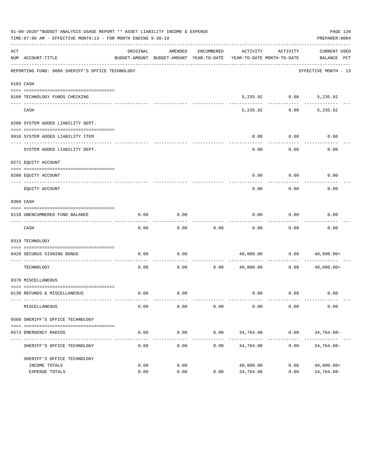|     | 01-08-2020**BUDGET ANALYSIS USAGE REPORT ** ASSET LIABILITY INCOME & EXPENSE<br>TIME:07:06 AM - EFFECTIVE MONTH:13 - FOR MONTH ENDING 9-30-19 |                  |              |            |                                                                                 |                        | PAGE 126<br>PREPARER: 0004            |
|-----|-----------------------------------------------------------------------------------------------------------------------------------------------|------------------|--------------|------------|---------------------------------------------------------------------------------|------------------------|---------------------------------------|
| ACT | NUM ACCOUNT-TITLE                                                                                                                             | ORIGINAL         | AMENDED      | ENCUMBERED | ACTIVITY<br>BUDGET-AMOUNT BUDGET-AMOUNT YEAR-TO-DATE YEAR-TO-DATE MONTH-TO-DATE | ACTIVITY               | CURRENT USED<br>BALANCE PCT           |
|     | REPORTING FUND: 0086 SHERIFF'S OFFICE TECHNOLOGY                                                                                              |                  |              |            |                                                                                 |                        | EFFECTIVE MONTH - 13                  |
|     | 0103 CASH                                                                                                                                     |                  |              |            |                                                                                 |                        |                                       |
|     | 0100 TECHNOLOGY FUNDS CHECKING                                                                                                                |                  |              |            |                                                                                 | 5,235.92 0.00 5,235.92 |                                       |
|     | CASH                                                                                                                                          |                  |              |            | 5,235.92                                                                        |                        | $-- - - - - - - -$<br>$0.00$ 5,235.92 |
|     | 0200 SYSTEM ADDED LIABILITY DEPT.                                                                                                             |                  |              |            |                                                                                 |                        |                                       |
|     | 0910 SYSTEM ADDED LIABILITY ITEM                                                                                                              |                  |              |            | 0.00                                                                            | 0.00                   | 0.00                                  |
|     | SYSTEM ADDED LIABILITY DEPT.                                                                                                                  |                  |              |            | 0.00                                                                            | 0.00                   | 0.00                                  |
|     | 0271 EQUITY ACCOUNT                                                                                                                           |                  |              |            |                                                                                 |                        |                                       |
|     | 0200 EQUITY ACCOUNT                                                                                                                           |                  |              |            | 0.00                                                                            | 0.00                   | 0.00                                  |
|     | EOUITY ACCOUNT                                                                                                                                |                  |              |            | 0.00                                                                            | 0.00                   | 0.00                                  |
|     | 0300 CASH                                                                                                                                     |                  |              |            |                                                                                 |                        |                                       |
|     | 0110 UNENCUMBERED FUND BALANCE                                                                                                                | 0.00             | 0.00         |            | 0.00                                                                            | 0.00                   | 0.00                                  |
|     | CASH                                                                                                                                          | 0.00             | 0.00         | 0.00       | 0.00                                                                            | 0.00                   | 0.00                                  |
|     | 0319 TECHNOLOGY                                                                                                                               |                  |              |            |                                                                                 |                        |                                       |
|     | 0420 SECURUS SIGNING BONUS<br>----------------------                                                                                          | 0.00             | 0.00         |            |                                                                                 |                        | 40,000.00   0.00   40,000.00+         |
|     | TECHNOLOGY                                                                                                                                    | 0.00             | 0.00         | 0.00       | 40,000.00                                                                       | 0.00                   | 40,000.00+                            |
|     | 0370 MISCELLANEOUS                                                                                                                            |                  |              |            |                                                                                 |                        |                                       |
|     | 0130 REFUNDS & MISCELLANEOUS                                                                                                                  | 0.00             | 0.00         |            |                                                                                 | $0.00$ $0.00$ $0.00$   |                                       |
|     | MISCELLANEOUS                                                                                                                                 | 0.00             | 0.00         | 0.00       | 0.00                                                                            | 0.00                   | 0.00                                  |
|     | 0560 SHERIFF'S OFFICE TECHNOLOGY                                                                                                              |                  |              |            |                                                                                 |                        |                                       |
|     | 0573 EMERGENCY RADIOS                                                                                                                         | 0.00<br>-------- | 0.00<br>.    | 0.00<br>.  |                                                                                 | 34,764.08 0.00         | 34,764.08-                            |
|     | SHERIFF'S OFFICE TECHNOLOGY                                                                                                                   | 0.00             | 0.00         | 0.00       | 34,764.08                                                                       | 0.00                   | $34,764.08-$                          |
|     | SHERIFF'S OFFICE TECHNOLOGY                                                                                                                   |                  |              |            |                                                                                 |                        |                                       |
|     | INCOME TOTALS<br>EXPENSE TOTALS                                                                                                               | 0.00<br>0.00     | 0.00<br>0.00 | 0.00       | 40,000.00<br>34,764.08                                                          | 0.00<br>0.00           | $40,000.00+$<br>34,764.08-            |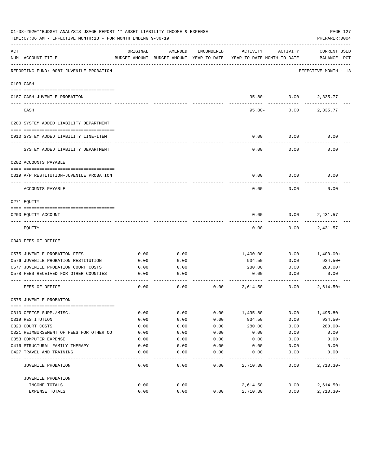|     | 01-08-2020**BUDGET ANALYSIS USAGE REPORT ** ASSET LIABILITY INCOME & EXPENSE<br>TIME: 07:06 AM - EFFECTIVE MONTH: 13 - FOR MONTH ENDING 9-30-19 |          |                                                     |            |                                        |                | PAGE 127<br>PREPARER: 0004         |
|-----|-------------------------------------------------------------------------------------------------------------------------------------------------|----------|-----------------------------------------------------|------------|----------------------------------------|----------------|------------------------------------|
| ACT | NUM ACCOUNT-TITLE                                                                                                                               | ORIGINAL | AMENDED<br>BUDGET-AMOUNT BUDGET-AMOUNT YEAR-TO-DATE | ENCUMBERED | ACTIVITY<br>YEAR-TO-DATE MONTH-TO-DATE | ACTIVITY       | <b>CURRENT USED</b><br>BALANCE PCT |
|     | REPORTING FUND: 0087 JUVENILE PROBATION                                                                                                         |          |                                                     |            |                                        |                | EFFECTIVE MONTH - 13               |
|     | 0103 CASH                                                                                                                                       |          |                                                     |            |                                        |                |                                    |
|     | 0187 CASH-JUVENILE PROBATION                                                                                                                    |          |                                                     |            |                                        | $95.80 - 0.00$ | 2,335.77                           |
|     | CASH                                                                                                                                            |          |                                                     |            | $95.80 -$                              | 0.00           | 2,335.77                           |
|     | 0200 SYSTEM ADDED LIABILITY DEPARTMENT                                                                                                          |          |                                                     |            |                                        |                |                                    |
|     | 0910 SYSTEM ADDED LIABILITY LINE-ITEM                                                                                                           |          |                                                     |            | 0.00                                   | 0.00           | 0.00                               |
|     | SYSTEM ADDED LIABILITY DEPARTMENT                                                                                                               |          |                                                     |            | 0.00                                   | 0.00           | 0.00                               |
|     | 0202 ACCOUNTS PAYABLE                                                                                                                           |          |                                                     |            |                                        |                |                                    |
|     | 0319 A/P RESTITUTION-JUVENILE PROBATION                                                                                                         |          |                                                     |            | 0.00                                   | 0.00           | 0.00                               |
|     | ACCOUNTS PAYABLE                                                                                                                                |          |                                                     |            | 0.00                                   | 0.00           | 0.00                               |
|     | 0271 EOUITY                                                                                                                                     |          |                                                     |            |                                        |                |                                    |
|     | 0200 EQUITY ACCOUNT                                                                                                                             |          |                                                     |            | 0.00                                   | 0.00           | 2,431.57                           |
|     | EQUITY                                                                                                                                          |          |                                                     |            | 0.00                                   | 0.00           | 2,431.57                           |
|     | 0340 FEES OF OFFICE                                                                                                                             |          |                                                     |            |                                        |                |                                    |
|     | 0575 JUVENILE PROBATION FEES                                                                                                                    | 0.00     | 0.00                                                |            | 1,400.00                               | 0.00           | 1,400.00+                          |
|     | 0576 JUVENILE PROBATION RESTITUTION                                                                                                             | 0.00     | 0.00                                                |            | 934.50                                 | 0.00           | 934.50+                            |
|     | 0577 JUVENILE PROBATION COURT COSTS                                                                                                             | 0.00     | 0.00                                                |            | 280.00                                 | 0.00           | 280.00+                            |
|     | 0578 FEES RECEIVED FOR OTHER COUNTIES                                                                                                           | 0.00     | 0.00                                                |            | 0.00                                   | 0.00           | 0.00                               |
|     | FEES OF OFFICE                                                                                                                                  | 0.00     | 0.00                                                | 0.00       | 2,614.50                               | 0.00           | $2,614.50+$                        |
|     | 0575 JUVENILE PROBATION                                                                                                                         |          |                                                     |            |                                        |                |                                    |
|     | 0310 OFFICE SUPP./MISC.                                                                                                                         | 0.00     | 0.00                                                | 0.00       | 1,495.80                               | 0.00           | $1,495.80-$                        |
|     | 0319 RESTITUTION                                                                                                                                | 0.00     | 0.00                                                | 0.00       | 934.50                                 | 0.00           | $934.50 -$                         |
|     | 0320 COURT COSTS                                                                                                                                | 0.00     | 0.00                                                | 0.00       | 280.00                                 | 0.00           | $280.00 -$                         |
|     | 0321 REIMBURSEMENT OF FEES FOR OTHER CO                                                                                                         | 0.00     | 0.00                                                | 0.00       | 0.00                                   | 0.00           | 0.00                               |
|     | 0353 COMPUTER EXPENSE                                                                                                                           | 0.00     | 0.00                                                | 0.00       | 0.00                                   | 0.00           | 0.00                               |
|     | 0416 STRUCTURAL FAMILY THERAPY                                                                                                                  | 0.00     | 0.00                                                | 0.00       | 0.00                                   | 0.00           | 0.00                               |
|     | 0427 TRAVEL AND TRAINING                                                                                                                        | 0.00     | 0.00                                                | 0.00       | 0.00                                   | 0.00           | 0.00                               |
|     | JUVENILE PROBATION                                                                                                                              | 0.00     | 0.00                                                | 0.00       | 2,710.30                               | 0.00           | $2,710.30 -$                       |
|     | JUVENILE PROBATION                                                                                                                              |          |                                                     |            |                                        |                |                                    |
|     | INCOME TOTALS                                                                                                                                   | 0.00     | 0.00                                                |            | 2,614.50                               | 0.00           | $2,614.50+$                        |
|     | EXPENSE TOTALS                                                                                                                                  | 0.00     | 0.00                                                | 0.00       | 2,710.30                               | 0.00           | $2,710.30 -$                       |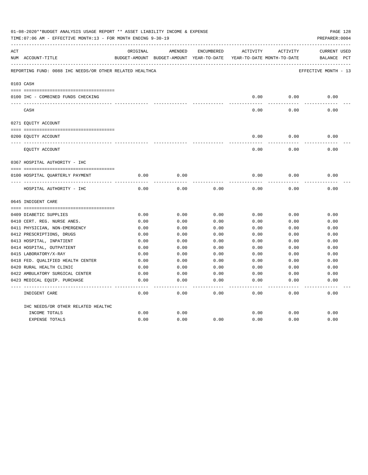|     | 01-08-2020**BUDGET ANALYSIS USAGE REPORT ** ASSET LIABILITY INCOME & EXPENSE<br>TIME: 07:06 AM - EFFECTIVE MONTH: 13 - FOR MONTH ENDING 9-30-19 |          |                                          |            |              |                            | PAGE 128<br>PREPARER: 0004 |
|-----|-------------------------------------------------------------------------------------------------------------------------------------------------|----------|------------------------------------------|------------|--------------|----------------------------|----------------------------|
| ACT |                                                                                                                                                 | ORIGINAL | AMENDED                                  | ENCUMBERED | ACTIVITY     | ACTIVITY                   | CURRENT USED               |
|     | NUM ACCOUNT-TITLE                                                                                                                               |          | BUDGET-AMOUNT BUDGET-AMOUNT YEAR-TO-DATE |            |              | YEAR-TO-DATE MONTH-TO-DATE | BALANCE PCT                |
|     | REPORTING FUND: 0088 IHC NEEDS/OR OTHER RELATED HEALTHCA                                                                                        |          |                                          |            |              |                            | EFFECTIVE MONTH - 13       |
|     | 0103 CASH                                                                                                                                       |          |                                          |            |              |                            |                            |
|     |                                                                                                                                                 |          |                                          |            |              |                            |                            |
|     | 0100 IHC - COMBINED FUNDS CHECKING                                                                                                              |          |                                          |            | 0.00         | 0.00                       | 0.00                       |
|     | CASH                                                                                                                                            |          |                                          |            | 0.00         | 0.00                       | 0.00                       |
|     | 0271 EQUITY ACCOUNT                                                                                                                             |          |                                          |            |              |                            |                            |
|     | 0200 EQUITY ACCOUNT                                                                                                                             |          |                                          |            | 0.00         | 0.00                       | 0.00                       |
|     | ________________________________<br>EQUITY ACCOUNT                                                                                              |          |                                          |            | 0.00         | 0.00                       | 0.00                       |
|     | 0367 HOSPITAL AUTHORITY - IHC                                                                                                                   |          |                                          |            |              |                            |                            |
|     |                                                                                                                                                 |          |                                          |            |              |                            |                            |
|     | 0100 HOSPITAL QUARTERLY PAYMENT                                                                                                                 | 0.00     | 0.00                                     |            | 0.00         | 0.00                       | 0.00                       |
|     | HOSPITAL AUTHORITY - IHC                                                                                                                        | 0.00     | 0.00                                     | 0.00       | 0.00         | 0.00                       | 0.00                       |
|     | 0645 INDIGENT CARE                                                                                                                              |          |                                          |            |              |                            |                            |
|     |                                                                                                                                                 |          |                                          |            |              |                            |                            |
|     | 0409 DIABETIC SUPPLIES                                                                                                                          | 0.00     | 0.00                                     | 0.00       | 0.00         | 0.00                       | 0.00                       |
|     | 0410 CERT. REG. NURSE ANES.                                                                                                                     | 0.00     | 0.00                                     | 0.00       | 0.00         | 0.00                       | 0.00                       |
|     | 0411 PHYSICIAN, NON-EMERGENCY                                                                                                                   | 0.00     | 0.00                                     | 0.00       | 0.00         | 0.00                       | 0.00                       |
|     | 0412 PRESCRIPTIONS, DRUGS                                                                                                                       | 0.00     | 0.00                                     | 0.00       | 0.00         | 0.00                       | 0.00                       |
|     | 0413 HOSPITAL, INPATIENT                                                                                                                        | 0.00     | 0.00                                     | 0.00       | 0.00         | 0.00                       | 0.00                       |
|     | 0414 HOSPITAL, OUTPATIENT                                                                                                                       | 0.00     | 0.00                                     | 0.00       | 0.00         | 0.00                       | 0.00                       |
|     | 0415 LABORATORY/X-RAY                                                                                                                           | 0.00     | 0.00                                     | 0.00       | 0.00         | 0.00                       | 0.00                       |
|     | 0418 FED. OUALIFIED HEALTH CENTER                                                                                                               | 0.00     | 0.00                                     | 0.00       | 0.00         | 0.00                       | 0.00                       |
|     | 0420 RURAL HEALTH CLINIC                                                                                                                        | 0.00     | 0.00                                     | 0.00       | 0.00         | 0.00                       | 0.00                       |
|     | 0422 AMBULATORY SURGICAL CENTER                                                                                                                 | 0.00     | 0.00                                     | 0.00       | 0.00         | 0.00                       | 0.00                       |
|     | 0423 MEDICAL EQUIP. PURCHASE                                                                                                                    | 0.00     | 0.00                                     | 0.00       | 0.00         | 0.00                       | 0.00                       |
|     | INDIGENT CARE                                                                                                                                   | 0.00     | 0.00                                     | 0.00       | ----<br>0.00 | ----<br>0.00               | -----<br>0.00              |
|     | IHC NEEDS/OR OTHER RELATED HEALTHC                                                                                                              |          |                                          |            |              |                            |                            |
|     | INCOME TOTALS                                                                                                                                   | 0.00     | 0.00                                     |            | 0.00         | 0.00                       | 0.00                       |
|     | <b>EXPENSE TOTALS</b>                                                                                                                           | 0.00     | 0.00                                     | 0.00       | 0.00         | 0.00                       | 0.00                       |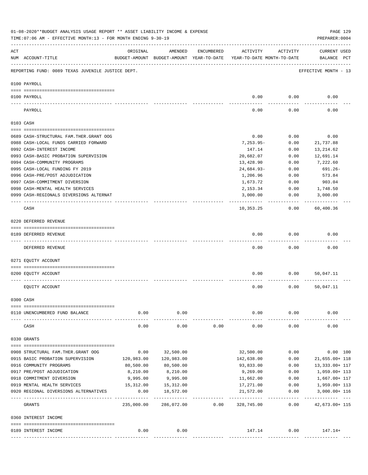|     | 01-08-2020**BUDGET ANALYSIS USAGE REPORT ** ASSET LIABILITY INCOME & EXPENSE<br>TIME: 07:06 AM - EFFECTIVE MONTH: 13 - FOR MONTH ENDING 9-30-19 |                            |                                                     |            |                                        |                    | PREPARER: 0004                  | PAGE 129 |
|-----|-------------------------------------------------------------------------------------------------------------------------------------------------|----------------------------|-----------------------------------------------------|------------|----------------------------------------|--------------------|---------------------------------|----------|
| ACT | NUM ACCOUNT-TITLE                                                                                                                               | ORIGINAL                   | AMENDED<br>BUDGET-AMOUNT BUDGET-AMOUNT YEAR-TO-DATE | ENCUMBERED | ACTIVITY<br>YEAR-TO-DATE MONTH-TO-DATE | ACTIVITY           | CURRENT USED<br>BALANCE PCT     |          |
|     | REPORTING FUND: 0089 TEXAS JUVENILE JUSTICE DEPT.                                                                                               | ------------------------   |                                                     |            |                                        |                    | EFFECTIVE MONTH - 13            |          |
|     | 0100 PAYROLL                                                                                                                                    |                            |                                                     |            |                                        |                    |                                 |          |
|     | 0100 PAYROLL                                                                                                                                    |                            |                                                     |            | 0.00                                   | 0.00               | 0.00                            |          |
|     | PAYROLL                                                                                                                                         |                            |                                                     |            | 0.00                                   | 0.00               | 0.00                            |          |
|     | 0103 CASH                                                                                                                                       |                            |                                                     |            |                                        |                    |                                 |          |
|     | 0689 CASH-STRUCTURAL FAM.THER.GRANT OOG                                                                                                         |                            |                                                     |            | 0.00                                   | 0.00               | 0.00                            |          |
|     | 0988 CASH-LOCAL FUNDS CARRIED FORWARD                                                                                                           |                            |                                                     |            | $7,253.95-$                            | 0.00               | 21,737.88                       |          |
|     | 0992 CASH-INTEREST INCOME                                                                                                                       |                            |                                                     |            | 147.14                                 | 0.00               | 13,214.62                       |          |
|     | 0993 CASH-BASIC PROBATION SUPERVISION                                                                                                           |                            |                                                     |            | 20,682.07                              | 0.00               | 12,691.14                       |          |
|     | 0994 CASH-COMMUNITY PROGRAMS                                                                                                                    |                            |                                                     |            | 13,428.90                              | 0.00               | 7,222.60                        |          |
|     | 0995 CASH-LOCAL FUNDING FY 2019                                                                                                                 |                            |                                                     |            | 24,684.93-                             | 0.00               | 691.26-                         |          |
|     | 0996 CASH-PRE/POST ADJUDICATION                                                                                                                 |                            |                                                     |            | 1,206.96                               | 0.00               | 573.84                          |          |
|     | 0997 CASH-COMMITMENT DIVERSION                                                                                                                  |                            |                                                     |            | 1,673.72                               | 0.00               | 903.04                          |          |
|     | 0998 CASH-MENTAL HEALTH SERVICES                                                                                                                |                            |                                                     |            | 2,153.34                               | 0.00               | 1,748.50                        |          |
|     | 0999 CASH-REGIONALS DIVERSIONS ALTERNAT                                                                                                         |                            |                                                     |            | 3,000.00                               | 0.00               | 3,000.00                        |          |
|     | CASH                                                                                                                                            |                            |                                                     |            | 10,353.25                              | 0.00               | 60,400.36                       |          |
|     | 0220 DEFERRED REVENUE                                                                                                                           |                            |                                                     |            |                                        |                    |                                 |          |
|     | 0189 DEFERRED REVENUE                                                                                                                           |                            |                                                     |            | 0.00                                   | 0.00               | 0.00                            |          |
|     | DEFERRED REVENUE                                                                                                                                |                            |                                                     |            | 0.00                                   | 0.00               | 0.00                            |          |
|     | 0271 EQUITY ACCOUNT                                                                                                                             |                            |                                                     |            |                                        |                    |                                 |          |
|     | 0200 EQUITY ACCOUNT                                                                                                                             |                            |                                                     |            | 0.00                                   | 0.00               | 50,047.11                       |          |
|     | EQUITY ACCOUNT                                                                                                                                  |                            |                                                     |            | 0.00                                   | 0.00               | 50,047.11                       |          |
|     | 0300 CASH                                                                                                                                       |                            |                                                     |            |                                        |                    |                                 |          |
|     | 0110 UNENCUMBERED FUND BALANCE                                                                                                                  | 0.00                       | 0.00                                                |            | 0.00                                   | 0.00               | 0.00                            |          |
|     | CASH                                                                                                                                            | 0.00                       | 0.00                                                | 0.00       | 0.00                                   | 0.00               | 0.00                            |          |
|     |                                                                                                                                                 |                            |                                                     |            |                                        |                    |                                 |          |
|     | 0330 GRANTS                                                                                                                                     |                            |                                                     |            |                                        |                    |                                 |          |
|     | 0908 STRUCTURAL FAM. THER. GRANT OOG                                                                                                            | 0.00                       | 32,500.00                                           |            | 32,500.00                              | 0.00               |                                 | 0.00 100 |
|     | 0915 BASIC PROBATION SUPERVISION                                                                                                                | 120,983.00                 | 120,983.00                                          |            | 142,638.00                             | 0.00               | 21,655.00+ 118                  |          |
|     | 0916 COMMUNITY PROGRAMS                                                                                                                         | 80,500.00                  | 80,500.00                                           |            | 93,833.00                              | 0.00               | 13,333.00+ 117                  |          |
|     | 0917 PRE/POST ADJUDICATION                                                                                                                      | 8,210.00                   | 8,210.00                                            |            | 9,269.00                               | 0.00               | 1,059.00+ 113                   |          |
|     | 0918 COMMITMENT DIVERSION                                                                                                                       | 9,995.00                   | 9,995.00                                            |            | 11,662.00                              |                    | 0.00<br>1,667.00+ 117           |          |
|     | 0919 MENTAL HEALTH SERVICES                                                                                                                     | 15,312.00                  | 15, 312.00                                          |            | 17,271.00                              | 0.00               | 1,959.00+ 113                   |          |
|     | 0920 REGIONAL DIVERSIONS ALTERNATIVES                                                                                                           | 0.00<br>__________________ | 18,572.00<br>-------------                          |            | 21,572.00                              | 0.00<br>---------- | 3,000.00+ 116<br>---------- --- |          |
|     | GRANTS                                                                                                                                          | 235,000.00                 | 286,072.00                                          | 0.00       | 328,745.00                             | 0.00               | 42,673.00+ 115                  |          |
|     | 0360 INTEREST INCOME                                                                                                                            |                            |                                                     |            |                                        |                    |                                 |          |
|     | 0189 INTEREST INCOME                                                                                                                            | 0.00                       | 0.00                                                |            | 147.14                                 |                    | $0.00$ 147.14+                  |          |
|     |                                                                                                                                                 |                            |                                                     |            |                                        |                    |                                 |          |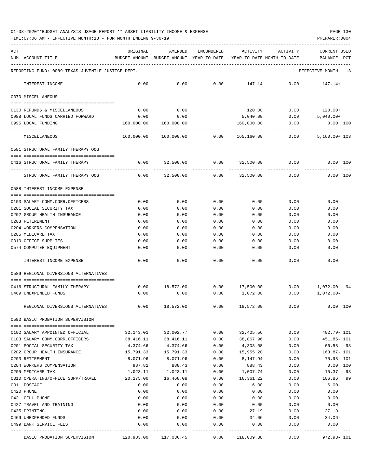| ACT | NUM ACCOUNT-TITLE                                                | ORIGINAL               | AMENDED<br>BUDGET-AMOUNT BUDGET-AMOUNT YEAR-TO-DATE YEAR-TO-DATE MONTH-TO-DATE | ENCUMBERED    | ACTIVITY                | ACTIVITY      | <b>CURRENT USED</b><br>BALANCE PCT                  |
|-----|------------------------------------------------------------------|------------------------|--------------------------------------------------------------------------------|---------------|-------------------------|---------------|-----------------------------------------------------|
|     |                                                                  |                        |                                                                                |               |                         |               |                                                     |
|     | REPORTING FUND: 0089 TEXAS JUVENILE JUSTICE DEPT.                |                        |                                                                                |               |                         |               | EFFECTIVE MONTH - 13                                |
|     | INTEREST INCOME                                                  | 0.00                   | 0.00                                                                           | 0.00          | 147.14                  | 0.00          | 147.14+                                             |
|     | 0370 MISCELLANEOUS                                               |                        |                                                                                |               |                         |               |                                                     |
|     | 0130 REFUNDS & MISCELLANEOUS                                     | 0.00                   | 0.00                                                                           |               | 120.00                  |               | $0.00$ 120.00+                                      |
|     | 0988 LOCAL FUNDS CARRIED FORWARD                                 | 0.00                   | 0.00                                                                           |               | 5,040.00                |               | $0.00$ 5,040.00+                                    |
|     | 0995 LOCAL FUNDING                                               | 160,000.00             | 160,000.00                                                                     |               | 160,000.00              | 0.00          | $0.00$ 100                                          |
|     | MISCELLANEOUS                                                    |                        | 160,000.00 160,000.00                                                          |               | 0.00 165,160.00         | 0.00          | $5,160.00+103$                                      |
|     | 0581 STRUCTURAL FAMILY THERAPY OOG                               |                        |                                                                                |               |                         |               |                                                     |
|     | 0416 STRUCTURAL FAMILY THERAPY                                   | 0.00                   | 32,500.00                                                                      | 0.00          | 32,500.00               | 0.00          | $0.00$ 100                                          |
|     | STRUCTURAL FAMILY THERAPY OOG                                    | 0.00                   | 32,500.00                                                                      | 0.00          | 32,500.00               | 0.00          | 0.00 100                                            |
|     | 0588 INTEREST INCOME EXPENSE                                     |                        |                                                                                |               |                         |               |                                                     |
|     |                                                                  |                        |                                                                                |               |                         |               |                                                     |
|     | 0103 SALARY COMM.CORR.OFFICERS                                   | 0.00                   | 0.00                                                                           | 0.00          | 0.00                    | 0.00          | 0.00                                                |
|     | 0201 SOCIAL SECURITY TAX                                         | 0.00                   | 0.00                                                                           | 0.00          | 0.00                    | 0.00          | 0.00                                                |
|     | 0202 GROUP HEALTH INSURANCE                                      | 0.00                   | 0.00                                                                           | 0.00          | 0.00                    | 0.00          | 0.00                                                |
|     | 0203 RETIREMENT                                                  | 0.00                   | 0.00                                                                           | 0.00          | 0.00                    | 0.00          | 0.00                                                |
|     | 0204 WORKERS COMPENSATION                                        | 0.00                   | 0.00                                                                           | 0.00          | 0.00                    | 0.00          | 0.00                                                |
|     | 0205 MEDICARE TAX                                                | 0.00                   | 0.00                                                                           | 0.00          | 0.00                    | 0.00          | 0.00                                                |
|     | 0310 OFFICE SUPPLIES<br>0574 COMPUTER EQUIPMENT                  | 0.00<br>0.00           | 0.00<br>0.00                                                                   | 0.00<br>0.00  | 0.00<br>0.00            | 0.00<br>0.00  | 0.00<br>0.00                                        |
|     |                                                                  |                        |                                                                                |               |                         |               |                                                     |
|     | INTEREST INCOME EXPENSE                                          | 0.00                   | 0.00                                                                           | 0.00          | 0.00                    | 0.00          | 0.00                                                |
|     | 0589 REGIONAL DIVERSIONS ALTERNATIVES                            |                        |                                                                                |               |                         |               |                                                     |
|     | 0416 STRUCTURAL FAMILY THERAPY                                   | 0.00                   |                                                                                |               |                         |               | 18,572.00   0.00   17,500.00   0.00   1,072.00   94 |
|     | 0469 UNEXPENDED FUNDS                                            | 0.00                   | 0.00                                                                           | 0.00          | 1,072.00                | 0.00          | 1,072.00-                                           |
|     | REGIONAL DIVERSIONS ALTERNATIVES                                 | 0.00                   | 18,572.00                                                                      | 0.00          | 18,572.00               | 0.00          | 0.00<br>100                                         |
|     | 0590 BASIC PROBATION SUPERVISION                                 |                        |                                                                                |               |                         |               |                                                     |
|     |                                                                  |                        | 32,002.77                                                                      | 0.00          | 32,405.56               | 0.00          | 402.79- 101                                         |
|     | 0102 SALARY APPOINTED OFFICIAL<br>0103 SALARY COMM.CORR.OFFICERS | 32,143.01<br>38,416.11 | 38,416.11                                                                      | 0.00          | 38,867.96               | 0.00          | 451.85- 101                                         |
|     | 0201 SOCIAL SECURITY TAX                                         | 4,374.66               | 4,374.66                                                                       | 0.00          | 4,308.08                | 0.00          | 66.58<br>- 98                                       |
|     | 0202 GROUP HEALTH INSURANCE                                      | 15,791.33              | 15,791.33                                                                      | 0.00          | 15,955.20               | 0.00          | $163.87 - 101$                                      |
|     | 0203 RETIREMENT                                                  | 8,071.96               | 8,071.96                                                                       | 0.00          | 8,147.94                | 0.00          | $75.98 - 101$                                       |
|     | 0204 WORKERS COMPENSATION                                        | 987.82                 | 888.43                                                                         | 0.00          | 888.43                  | 0.00          | 0.00 100                                            |
|     | 0205 MEDICARE TAX                                                | 1,023.11               | 1,023.11                                                                       | 0.00          | 1,007.74                | 0.00          | 98<br>15.37                                         |
|     | 0310 OPERATING/OFFICE SUPP/TRAVEL                                | 20,175.00              | 16,468.08                                                                      | 0.00          | 16,361.22               | 0.00          | 106.86<br>99                                        |
|     | 0311 POSTAGE                                                     | 0.00                   | 0.00                                                                           | 0.00          | 6.00                    | 0.00          | $6.00 -$                                            |
|     | 0420 PHONE                                                       | 0.00                   | 0.00                                                                           | 0.00          | 0.00                    | 0.00          | 0.00                                                |
|     | 0421 CELL PHONE                                                  | 0.00                   | 0.00                                                                           | 0.00          | 0.00                    | 0.00          | 0.00                                                |
|     | 0427 TRAVEL AND TRAINING                                         | 0.00                   | 0.00                                                                           | 0.00          | 0.00                    | 0.00          | 0.00                                                |
|     | 0435 PRINTING                                                    | 0.00                   | 0.00                                                                           | 0.00          | 27.19                   | 0.00          | $27.19-$                                            |
|     | 0469 UNEXPENDED FUNDS                                            | 0.00                   | 0.00                                                                           | 0.00          | 34.06                   | 0.00          | $34.06-$                                            |
|     | 0499 BANK SERVICE FEES                                           | 0.00                   | 0.00                                                                           | 0.00          | 0.00                    | 0.00          | 0.00                                                |
|     | BASIC PROBATION SUPERVISION                                      | 120,983.00             | 117,036.45                                                                     | -----<br>0.00 | ---------<br>118,009.38 | -----<br>0.00 | 972.93-101                                          |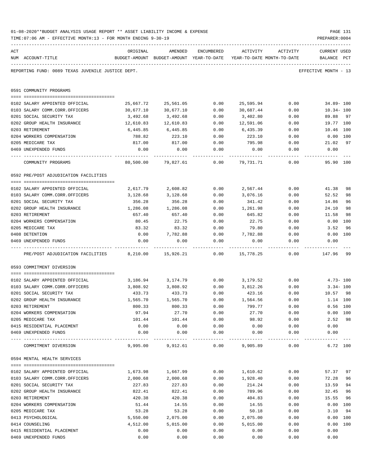|     | TIME:07:06 AM - EFFECTIVE MONTH:13 - FOR MONTH ENDING 9-30-19 |                                         |                                                                     |              |                |              | PREPARER: 0004          |           |
|-----|---------------------------------------------------------------|-----------------------------------------|---------------------------------------------------------------------|--------------|----------------|--------------|-------------------------|-----------|
| ACT |                                                               | ORIGINAL                                | AMENDED                                                             | ENCUMBERED   | ACTIVITY       | ACTIVITY     | <b>CURRENT USED</b>     |           |
|     | NUM ACCOUNT-TITLE                                             |                                         | BUDGET-AMOUNT BUDGET-AMOUNT YEAR-TO-DATE YEAR-TO-DATE MONTH-TO-DATE |              |                |              | BALANCE PCT             |           |
|     | REPORTING FUND: 0089 TEXAS JUVENILE JUSTICE DEPT.             |                                         |                                                                     |              |                |              | EFFECTIVE MONTH - 13    |           |
|     | 0591 COMMUNITY PROGRAMS                                       |                                         |                                                                     |              |                |              |                         |           |
|     |                                                               |                                         |                                                                     |              |                |              |                         |           |
|     | 0102 SALARY APPOINTED OFFICIAL                                | 25,667.72                               | 25,561.05                                                           | 0.00         | 25,595.94      | 0.00         | $34.89 - 100$           |           |
|     | 0103 SALARY COMM.CORR.OFFICERS                                | 30,677.10                               | 30,677.10                                                           | 0.00         | 30,687.44      | 0.00         | $10.34 - 100$           |           |
|     | 0201 SOCIAL SECURITY TAX                                      | 3,492.68                                | 3,492.68                                                            | 0.00         | 3,402.80       | 0.00         | 89.88                   | 97        |
|     | 0202 GROUP HEALTH INSURANCE                                   | 12,610.83                               | 12,610.83                                                           | 0.00         | 12,591.06      | 0.00         | 19.77 100               |           |
|     | 0203 RETIREMENT                                               | 6,445.85                                | 6,445.85                                                            | 0.00         | 6,435.39       | 0.00         | 10.46 100<br>$0.00$ 100 |           |
|     | 0204 WORKERS COMPENSATION                                     | 788.82                                  | 223.10                                                              | 0.00         | 223.10         | 0.00         |                         | 97        |
|     | 0205 MEDICARE TAX<br>0469 UNEXPENDED FUNDS                    | 817.00<br>0.00                          | 817.00<br>0.00                                                      | 0.00<br>0.00 | 795.98<br>0.00 | 0.00<br>0.00 | 21.02<br>0.00           |           |
|     |                                                               |                                         |                                                                     | .            |                |              |                         |           |
|     | COMMUNITY PROGRAMS                                            | 80,500.00                               | 79,827.61                                                           | 0.00         | 79,731.71      | 0.00         | 95.90 100               |           |
|     | 0592 PRE/POST ADJUDICATION FACILITIES                         |                                         |                                                                     |              |                |              |                         |           |
|     |                                                               |                                         |                                                                     |              |                |              |                         |           |
|     | 0102 SALARY APPOINTED OFFICIAL                                | 2,617.79                                | 2,608.82                                                            | 0.00         | 2,567.44       | 0.00         | 41.38                   | 98        |
|     | 0103 SALARY COMM.CORR.OFFICERS                                | 3,128.68                                | 3,128.68                                                            | 0.00         | 3,076.16       | 0.00         | 52.52                   | 98        |
|     | 0201 SOCIAL SECURITY TAX                                      | 356.28                                  | 356.28                                                              | 0.00         | 341.42         | 0.00         | 14.86                   | 96        |
|     | 0202 GROUP HEALTH INSURANCE                                   | 1,286.08                                | 1,286.08                                                            | 0.00         | 1,261.98       | 0.00         | 24.10                   | 98        |
|     | 0203 RETIREMENT<br>0204 WORKERS COMPENSATION                  | 657.40                                  | 657.40<br>22.75                                                     | 0.00         | 645.82         | 0.00         | 11.58                   | 98        |
|     | 0205 MEDICARE TAX                                             | 80.45<br>83.32                          | 83.32                                                               | 0.00<br>0.00 | 22.75<br>79.80 | 0.00         | 0.00                    | 100<br>96 |
|     | 0408 DETENTION                                                | 0.00                                    | 7,782.88                                                            | 0.00         | 7,782.88       | 0.00<br>0.00 | 3.52<br>0.00 100        |           |
|     | 0469 UNEXPENDED FUNDS                                         | 0.00                                    | 0.00                                                                | 0.00         | 0.00           | 0.00         | 0.00                    |           |
|     | PRE/POST ADJUDICATION FACILITIES                              | 8,210.00                                | 15,926.21                                                           | 0.00         | 15,778.25      | 0.00         | 147.96                  | -99       |
|     |                                                               |                                         |                                                                     |              |                |              |                         |           |
|     | 0593 COMMITMENT DIVERSION                                     |                                         |                                                                     |              |                |              |                         |           |
|     | 0102 SALARY APPOINTED OFFICIAL                                | 3,186.94                                | 3,174.79                                                            | 0.00         | 3,179.52       | 0.00         | $4.73 - 100$            |           |
|     | 0103 SALARY COMM.CORR.OFFICERS                                | 3,808.92                                | 3,808.92                                                            | 0.00         | 3,812.26       | 0.00         | $3.34 - 100$            |           |
|     | 0201 SOCIAL SECURITY TAX                                      | 433.73                                  | 433.73                                                              | 0.00         | 423.16         | 0.00         | 10.57                   | 98        |
|     | 0202 GROUP HEALTH INSURANCE                                   | 1,565.70                                | 1,565.70                                                            | 0.00         | 1,564.56       | 0.00         | 1.14 100                |           |
|     | 0203 RETIREMENT                                               | 800.33                                  | 800.33                                                              | 0.00         | 799.77         | 0.00         | $0.56$ 100              |           |
|     | 0204 WORKERS COMPENSATION                                     | 97.94                                   | 27.70                                                               | 0.00         | 27.70          | 0.00         | 0.00 100                |           |
|     | 0205 MEDICARE TAX                                             | 101.44                                  | 101.44                                                              | 0.00         | 98.92          | 0.00         | 2.52                    | 98        |
|     | 0415 RESIDENTIAL PLACEMENT                                    | 0.00                                    | 0.00                                                                | 0.00         | 0.00           | 0.00         | 0.00                    |           |
|     | 0469 UNEXPENDED FUNDS                                         | 0.00<br>----------------- ------------- | 0.00                                                                | 0.00         | 0.00           | 0.00         | 0.00                    |           |
|     | COMMITMENT DIVERSION                                          | 9,995.00                                | 9,912.61                                                            | 0.00         | 9,905.89       | 0.00         | 6.72 100                |           |
|     | 0594 MENTAL HEALTH SERVICES                                   |                                         |                                                                     |              |                |              |                         |           |
|     |                                                               |                                         |                                                                     |              |                |              |                         |           |
|     | 0102 SALARY APPOINTED OFFICIAL                                | 1,673.98                                | 1,667.99                                                            | 0.00         | 1,610.62       | 0.00         | 57.37                   | 97        |
|     | 0103 SALARY COMM.CORR.OFFICERS                                | 2,000.68                                | 2,000.68                                                            | 0.00         | 1,928.40       | 0.00         | 72.28                   | 96        |
|     | 0201 SOCIAL SECURITY TAX                                      | 227.83                                  | 227.83                                                              | 0.00         | 214.24         | 0.00         | 13.59                   | 94        |
|     | 0202 GROUP HEALTH INSURANCE                                   | 822.41                                  | 822.41                                                              | 0.00         | 789.96         | 0.00         | 32.45                   | 96        |
|     | 0203 RETIREMENT                                               | 420.38                                  | 420.38                                                              | 0.00         | 404.83         | 0.00         | 15.55                   | 96        |
|     | 0204 WORKERS COMPENSATION<br>0205 MEDICARE TAX                | 51.44<br>53.28                          | 14.55<br>53.28                                                      | 0.00<br>0.00 | 14.55<br>50.18 | 0.00         | 0.00<br>3.10            | 100<br>94 |
|     | 0413 PSYCHOLOGICAL                                            | 5,550.00                                | 2,075.00                                                            | 0.00         | 2,075.00       | 0.00<br>0.00 | 0.00                    | 100       |
|     | 0414 COUNSELING                                               | 4,512.00                                | 5,015.00                                                            | 0.00         | 5,015.00       | 0.00         | 0.00                    | 100       |
|     | 0415 RESIDENTIAL PLACEMENT                                    | 0.00                                    | 0.00                                                                | 0.00         | 0.00           | 0.00         | 0.00                    |           |
|     | 0469 UNEXPENDED FUNDS                                         | 0.00                                    | 0.00                                                                | 0.00         | 0.00           | 0.00         | 0.00                    |           |
|     |                                                               |                                         |                                                                     |              |                |              |                         |           |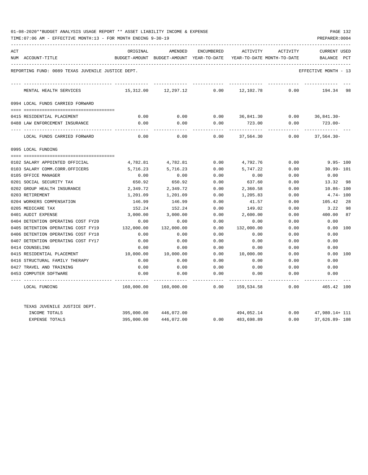| 01-08-2020**BUDGET ANALYSIS USAGE REPORT ** ASSET LIABILITY INCOME & EXPENSE |  |  |  | PAGE 132 |  |
|------------------------------------------------------------------------------|--|--|--|----------|--|
|                                                                              |  |  |  |          |  |

| ACT |                                                   | ORIGINAL      | AMENDED                    | ENCUMBERED | ACTIVITY                   | ACTIVITY | <b>CURRENT USED</b>  |     |
|-----|---------------------------------------------------|---------------|----------------------------|------------|----------------------------|----------|----------------------|-----|
|     | NUM ACCOUNT-TITLE                                 | BUDGET-AMOUNT | BUDGET-AMOUNT YEAR-TO-DATE |            | YEAR-TO-DATE MONTH-TO-DATE |          | BALANCE              | PCT |
|     | REPORTING FUND: 0089 TEXAS JUVENILE JUSTICE DEPT. |               |                            |            |                            |          | EFFECTIVE MONTH - 13 |     |
|     | MENTAL HEALTH SERVICES                            | 15,312.00     | 12,297.12                  | 0.00       | 12,102.78                  | 0.00     | 194.34 98            |     |
|     | 0994 LOCAL FUNDS CARRIED FORWARD                  |               |                            |            |                            |          |                      |     |
|     |                                                   |               |                            |            |                            |          |                      |     |
|     | 0415 RESIDENTIAL PLACEMENT                        | 0.00          | 0.00                       | 0.00       | 36,841.30                  |          | $0.00$ 36,841.30-    |     |
|     | 0488 LAW ENFORCEMENT INSURANCE                    | 0.00          | 0.00                       | 0.00       | 723.00                     | 0.00     | $723.00 -$           |     |
|     | LOCAL FUNDS CARRIED FORWARD                       | 0.00          | 0.00                       | 0.00       | 37,564.30                  | 0.00     | $37.564.30 -$        |     |
|     | 0995 LOCAL FUNDING                                |               |                            |            |                            |          |                      |     |
|     |                                                   |               |                            |            |                            |          |                      |     |
|     | 0102 SALARY APPOINTED OFFICIAL                    | 4,782.81      | 4,782.81                   | 0.00       | 4,792.76                   | 0.00     | $9.95 - 100$         |     |
|     | 0103 SALARY COMM.CORR.OFFICERS                    | 5,716.23      | 5,716.23                   | 0.00       | 5,747.22                   | 0.00     | $30.99 - 101$        |     |
|     | 0105 OFFICE MANAGER                               | 0.00          | 0.00                       | 0.00       | 0.00                       | 0.00     | 0.00                 |     |
|     | 0201 SOCIAL SECURITY TAX                          | 650.92        | 650.92                     | 0.00       | 637.60                     | 0.00     | 13.32                | 98  |
|     | 0202 GROUP HEALTH INSURANCE                       | 2,349.72      | 2,349.72                   | 0.00       | 2,360.58                   | 0.00     | $10.86 - 100$        |     |
|     | 0203 RETIREMENT                                   | 1,201.09      | 1,201.09                   | 0.00       | 1,205.83                   | 0.00     | $4.74 - 100$         |     |
|     | 0204 WORKERS COMPENSATION                         | 146.99        | 146.99                     | 0.00       | 41.57                      | 0.00     | 105.42               | 28  |
|     | 0205 MEDICARE TAX                                 | 152.24        | 152.24                     | 0.00       | 149.02                     | 0.00     | 3.22                 | 98  |
|     | 0401 AUDIT EXPENSE                                | 3,000.00      | 3,000.00                   | 0.00       | 2,600.00                   | 0.00     | 400.00               | 87  |
|     | 0404 DETENTION OPERATING COST FY20                | 0.00          | 0.00                       | 0.00       | 0.00                       | 0.00     | 0.00                 |     |
|     | 0405 DETENTION OPERATING COST FY19                | 132,000.00    | 132,000.00                 | 0.00       | 132,000.00                 | 0.00     | 0.00 100             |     |
|     | 0406 DETENTION OPERATING COST FY18                | 0.00          | 0.00                       | 0.00       | 0.00                       | 0.00     | 0.00                 |     |
|     | 0407 DETENTION OPERATING COST FY17                | 0.00          | 0.00                       | 0.00       | 0.00                       | 0.00     | 0.00                 |     |
|     | 0414 COUNSELING                                   | 0.00          | 0.00                       | 0.00       | 0.00                       | 0.00     | 0.00                 |     |
|     | 0415 RESIDENTIAL PLACEMENT                        | 10,000.00     | 10,000.00                  | 0.00       | 10,000.00                  | 0.00     | 0.00 100             |     |
|     | 0416 STRUCTURAL FAMILY THERAPY                    | 0.00          | 0.00                       | 0.00       | 0.00                       | 0.00     | 0.00                 |     |
|     | 0427 TRAVEL AND TRAINING                          | 0.00          | 0.00                       | 0.00       | 0.00                       | 0.00     | 0.00                 |     |
|     | 0453 COMPUTER SOFTWARE                            | 0.00          | 0.00                       | 0.00       | 0.00                       | 0.00     | 0.00                 |     |
|     | LOCAL FUNDING                                     | 160,000.00    | 160,000.00                 | 0.00       | 159,534.58                 | 0.00     | 465.42 100           |     |
|     | TEXAS JUVENILE JUSTICE DEPT.                      |               |                            |            |                            |          |                      |     |
|     | INCOME TOTALS                                     | 395,000.00    | 446,072.00                 |            | 494,052.14                 | 0.00     | 47,980.14+ 111       |     |
|     | EXPENSE TOTALS                                    | 395,000.00    | 446,072.00                 | 0.00       | 483,698.89                 | 0.00     | 37,626.89- 108       |     |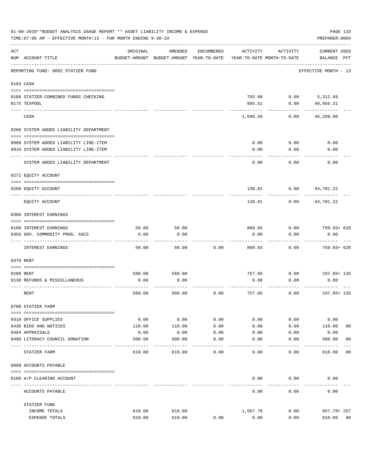|     | 01-08-2020**BUDGET ANALYSIS USAGE REPORT ** ASSET LIABILITY INCOME & EXPENSE<br>TIME: 07:06 AM - EFFECTIVE MONTH: 13 - FOR MONTH ENDING 9-30-19 |          |                                                     |            |          |                                        | PAGE 133<br>PREPARER: 0004         |                |
|-----|-------------------------------------------------------------------------------------------------------------------------------------------------|----------|-----------------------------------------------------|------------|----------|----------------------------------------|------------------------------------|----------------|
| ACT | NUM ACCOUNT-TITLE                                                                                                                               | ORIGINAL | AMENDED<br>BUDGET-AMOUNT BUDGET-AMOUNT YEAR-TO-DATE | ENCUMBERED | ACTIVITY | ACTIVITY<br>YEAR-TO-DATE MONTH-TO-DATE | <b>CURRENT USED</b><br>BALANCE PCT |                |
|     | REPORTING FUND: 0092 STATZER FUND                                                                                                               |          |                                                     |            |          |                                        | EFFECTIVE MONTH - 13               |                |
|     | 0103 CASH                                                                                                                                       |          |                                                     |            |          |                                        |                                    |                |
|     | 0100 STATZER-COMBINED FUNDS CHECKING                                                                                                            |          |                                                     |            | 703.08   |                                        | $0.00$ 5, 312.69                   |                |
|     | 0175 TEXPOOL                                                                                                                                    |          |                                                     |            | 995.51   | 0.00                                   | 40,956.31                          |                |
|     | CASH                                                                                                                                            |          |                                                     |            | 1,698.59 | 0.00                                   | 46,269.00                          |                |
|     | 0200 SYSTEM ADDED LIABILITY DEPARTMENT                                                                                                          |          |                                                     |            |          |                                        |                                    |                |
|     | 0900 SYSTEM ADDED LIABILITY LINE-ITEM                                                                                                           |          |                                                     |            | 0.00     | 0.00                                   | 0.00                               |                |
|     | 0910 SYSTEM ADDED LIABILITY LINE-ITEM                                                                                                           |          |                                                     |            | 0.00     | 0.00                                   | 0.00                               |                |
|     | SYSTEM ADDED LIABILITY DEPARTMENT                                                                                                               |          |                                                     |            | 0.00     | 0.00                                   | 0.00                               |                |
|     | 0271 EQUITY ACCOUNT                                                                                                                             |          |                                                     |            |          |                                        |                                    |                |
|     | 0200 EQUITY ACCOUNT                                                                                                                             |          |                                                     |            | 130.81   | 0.00                                   | 44,701.22                          |                |
|     | EQUITY ACCOUNT                                                                                                                                  |          |                                                     |            | 130.81   | 0.00                                   | 44,701.22                          |                |
|     | 0360 INTEREST EARNINGS                                                                                                                          |          |                                                     |            |          |                                        |                                    |                |
|     | 0100 INTEREST EARNINGS                                                                                                                          | 50.00    | 50.00                                               |            | 809.93   | 0.00                                   | 759.93+ 620                        |                |
|     | 0350 GOV. COMMODITY PROG. ASCS                                                                                                                  | 0.00     | 0.00                                                |            | 0.00     | 0.00                                   | 0.00                               |                |
|     | INTEREST EARNINGS                                                                                                                               | 50.00    | 50.00                                               | 0.00       | 809.93   | 0.00                                   | 759.93+ 620                        |                |
|     | 0370 RENT                                                                                                                                       |          |                                                     |            |          |                                        |                                    |                |
|     | 0100 RENT                                                                                                                                       | 560.00   | 560.00                                              |            | 757.85   | 0.00                                   | 197.85+ 135                        |                |
|     | 0130 REFUNDS & MISCELLANEOUS                                                                                                                    | 0.00     | 0.00                                                |            | 0.00     | 0.00                                   | 0.00                               |                |
|     | RENT                                                                                                                                            | 560.00   | 560.00                                              | 0.00       | 757.85   | 0.00                                   | 197.85+ 135                        |                |
|     | 0700 STATZER FARM                                                                                                                               |          |                                                     |            |          |                                        |                                    |                |
|     | 0310 OFFICE SUPPLIES                                                                                                                            | 0.00     | 0.00                                                | 0.00       | 0.00     | 0.00                                   | 0.00                               |                |
|     | 0430 BIDS AND NOTICES                                                                                                                           | 110.00   | 110.00                                              | 0.00       | 0.00     | 0.00                                   | 110.00                             | 0 <sub>0</sub> |
|     | 0484 APPRAISALS                                                                                                                                 | 0.00     | 0.00                                                | 0.00       | 0.00     | 0.00                                   | 0.00                               |                |
|     | 0490 LITERACY COUNCIL DONATION                                                                                                                  | 500.00   | 500.00                                              | 0.00       | 0.00     | 0.00                                   | 500.00                             | 0 <sub>0</sub> |
|     | STATZER FARM                                                                                                                                    | 610.00   | 610.00                                              | 0.00       | 0.00     | 0.00                                   | 610.00                             | 0 <sub>0</sub> |
|     | 0999 ACCOUNTS PAYABLE                                                                                                                           |          |                                                     |            |          |                                        |                                    |                |
|     | 0100 A/P CLEARING ACCOUNT                                                                                                                       |          |                                                     |            | 0.00     | 0.00                                   | 0.00                               |                |
|     | ACCOUNTS PAYABLE                                                                                                                                |          |                                                     |            | 0.00     | 0.00                                   | 0.00                               |                |
|     | STATZER FUND                                                                                                                                    |          |                                                     |            |          |                                        |                                    |                |
|     | INCOME TOTALS                                                                                                                                   | 610.00   | 610.00                                              |            | 1,567.78 | 0.00                                   | 957.78+ 257                        |                |
|     | EXPENSE TOTALS                                                                                                                                  | 610.00   | 610.00                                              | 0.00       | 0.00     | 0.00                                   | 610.00                             | 00             |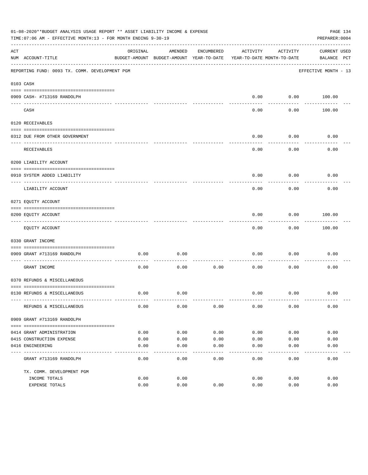| 01-08-2020**BUDGET ANALYSIS USAGE REPORT ** ASSET LIABILITY INCOME & EXPENSE<br>TIME: 07:06 AM - EFFECTIVE MONTH: 13 - FOR MONTH ENDING 9-30-19<br>PREPARER: 0004 |                                                             |          |                                          |            |                            |                  |                      |  |
|-------------------------------------------------------------------------------------------------------------------------------------------------------------------|-------------------------------------------------------------|----------|------------------------------------------|------------|----------------------------|------------------|----------------------|--|
| ACT                                                                                                                                                               |                                                             | ORIGINAL | AMENDED                                  | ENCUMBERED | ACTIVITY                   | ACTIVITY         | <b>CURRENT USED</b>  |  |
|                                                                                                                                                                   | NUM ACCOUNT-TITLE                                           |          | BUDGET-AMOUNT BUDGET-AMOUNT YEAR-TO-DATE |            | YEAR-TO-DATE MONTH-TO-DATE |                  | BALANCE PCT          |  |
|                                                                                                                                                                   | REPORTING FUND: 0093 TX. COMM. DEVELOPMENT PGM              |          |                                          |            |                            |                  | EFFECTIVE MONTH - 13 |  |
|                                                                                                                                                                   | 0103 CASH                                                   |          |                                          |            |                            |                  |                      |  |
|                                                                                                                                                                   |                                                             |          |                                          |            |                            |                  |                      |  |
|                                                                                                                                                                   | 0909 CASH- #713169 RANDOLPH                                 |          |                                          |            | 0.00                       | ---------        | $0.00$ 100.00        |  |
|                                                                                                                                                                   | CASH                                                        |          |                                          |            | 0.00                       | 0.00             | 100.00               |  |
|                                                                                                                                                                   | 0120 RECEIVABLES                                            |          |                                          |            |                            |                  |                      |  |
|                                                                                                                                                                   |                                                             |          |                                          |            |                            |                  |                      |  |
|                                                                                                                                                                   | 0312 DUE FROM OTHER GOVERNMENT                              |          |                                          |            | 0.00                       | 0.00<br>-------- | 0.00                 |  |
|                                                                                                                                                                   | RECEIVABLES                                                 |          |                                          |            | 0.00                       | 0.00             | 0.00                 |  |
|                                                                                                                                                                   | 0200 LIABILITY ACCOUNT                                      |          |                                          |            |                            |                  |                      |  |
|                                                                                                                                                                   | 0910 SYSTEM ADDED LIABILITY                                 |          |                                          |            | 0.00                       | 0.00             | 0.00                 |  |
|                                                                                                                                                                   | LIABILITY ACCOUNT                                           |          |                                          |            | 0.00                       | 0.00             | 0.00                 |  |
|                                                                                                                                                                   | 0271 EQUITY ACCOUNT                                         |          |                                          |            |                            |                  |                      |  |
|                                                                                                                                                                   | 0200 EQUITY ACCOUNT                                         |          |                                          |            | 0.00                       | 0.00             | 100.00               |  |
|                                                                                                                                                                   | EQUITY ACCOUNT                                              |          |                                          |            | 0.00                       | 0.00             | 100.00               |  |
|                                                                                                                                                                   | 0330 GRANT INCOME                                           |          |                                          |            |                            |                  |                      |  |
|                                                                                                                                                                   |                                                             |          |                                          |            |                            |                  |                      |  |
|                                                                                                                                                                   | 0909 GRANT #713169 RANDOLPH<br>---------------------- ----- | 0.00     | 0.00                                     |            | 0.00                       | 0.00             | 0.00                 |  |
|                                                                                                                                                                   | GRANT INCOME                                                | 0.00     | 0.00                                     | 0.00       | 0.00                       | 0.00             | 0.00                 |  |
|                                                                                                                                                                   | 0370 REFUNDS & MISCELLANEOUS                                |          |                                          |            |                            |                  |                      |  |
|                                                                                                                                                                   |                                                             |          |                                          |            |                            |                  |                      |  |
|                                                                                                                                                                   | 0130 REFUNDS & MISCELLANEOUS                                | 0.00     | 0.00                                     |            | 0.00                       | 0.00             | 0.00                 |  |
|                                                                                                                                                                   | REFUNDS & MISCELLANEOUS                                     | 0.00     | 0.00                                     | 0.00       | 0.00                       | 0.00             | 0.00                 |  |
|                                                                                                                                                                   | 0909 GRANT #713169 RANDOLPH                                 |          |                                          |            |                            |                  |                      |  |
|                                                                                                                                                                   |                                                             |          |                                          |            |                            |                  |                      |  |
|                                                                                                                                                                   | 0414 GRANT ADMINISTRATION                                   | 0.00     | 0.00                                     | 0.00       | 0.00                       | 0.00             | 0.00                 |  |
|                                                                                                                                                                   | 0415 CONSTRUCTION EXPENSE                                   | 0.00     | 0.00                                     | 0.00       | 0.00                       | 0.00             | 0.00                 |  |
|                                                                                                                                                                   | 0416 ENGINEERING                                            | 0.00     | 0.00                                     | 0.00       | 0.00                       | 0.00             | 0.00                 |  |
|                                                                                                                                                                   | GRANT #713169 RANDOLPH                                      | 0.00     | 0.00                                     | 0.00       | 0.00                       | 0.00             | 0.00                 |  |
|                                                                                                                                                                   | TX. COMM. DEVELOPMENT PGM                                   |          |                                          |            |                            |                  |                      |  |
|                                                                                                                                                                   | INCOME TOTALS                                               | 0.00     | 0.00                                     |            | 0.00                       | 0.00             | 0.00                 |  |
|                                                                                                                                                                   | EXPENSE TOTALS                                              | 0.00     | 0.00                                     | 0.00       | 0.00                       | 0.00             | 0.00                 |  |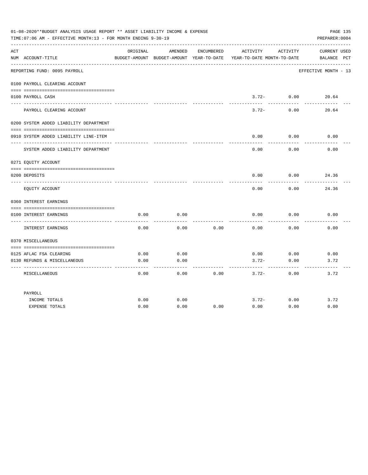|     | 01-08-2020**BUDGET ANALYSIS USAGE REPORT ** ASSET LIABILITY INCOME & EXPENSE<br>TIME: 07:06 AM - EFFECTIVE MONTH: 13 - FOR MONTH ENDING 9-30-19 |          |         |            |                                                                                 |                   | PAGE 135<br>PREPARER: 0004         |
|-----|-------------------------------------------------------------------------------------------------------------------------------------------------|----------|---------|------------|---------------------------------------------------------------------------------|-------------------|------------------------------------|
| ACT | NUM ACCOUNT-TITLE                                                                                                                               | ORIGINAL | AMENDED | ENCUMBERED | ACTIVITY<br>BUDGET-AMOUNT BUDGET-AMOUNT YEAR-TO-DATE YEAR-TO-DATE MONTH-TO-DATE | ACTIVITY          | <b>CURRENT USED</b><br>BALANCE PCT |
|     | REPORTING FUND: 0095 PAYROLL                                                                                                                    |          |         |            |                                                                                 |                   | EFFECTIVE MONTH - 13               |
|     | 0100 PAYROLL CLEARING ACCOUNT                                                                                                                   |          |         |            |                                                                                 |                   |                                    |
|     | 0100 PAYROLL CASH<br>-------------------                                                                                                        |          |         |            | $3.72-$<br>------                                                               | 0.00<br>--------- | 20.64                              |
|     | PAYROLL CLEARING ACCOUNT                                                                                                                        |          |         |            | $3.72-$                                                                         | 0.00              | 20.64                              |
|     | 0200 SYSTEM ADDED LIABILITY DEPARTMENT                                                                                                          |          |         |            |                                                                                 |                   |                                    |
|     | 0910 SYSTEM ADDED LIABILITY LINE-ITEM                                                                                                           |          |         |            | 0.00                                                                            | 0.00              | 0.00                               |
|     | SYSTEM ADDED LIABILITY DEPARTMENT                                                                                                               |          |         |            | 0.00                                                                            | 0.00              | 0.00                               |
|     | 0271 EQUITY ACCOUNT                                                                                                                             |          |         |            |                                                                                 |                   |                                    |
|     | 0200 DEPOSITS                                                                                                                                   |          |         |            | 0.00                                                                            | 0.00              | 24.36                              |
|     | EQUITY ACCOUNT                                                                                                                                  |          |         |            | 0.00                                                                            | 0.00              | 24.36                              |
|     | 0360 INTEREST EARNINGS                                                                                                                          |          |         |            |                                                                                 |                   |                                    |
|     | 0100 INTEREST EARNINGS                                                                                                                          | 0.00     | 0.00    |            | 0.00                                                                            | 0.00              | 0.00                               |
|     | INTEREST EARNINGS                                                                                                                               | 0.00     | 0.00    | 0.00       | 0.00                                                                            | 0.00              | 0.00                               |
|     | 0370 MISCELLANEOUS                                                                                                                              |          |         |            |                                                                                 |                   |                                    |
|     | 0125 AFLAC FSA CLEARING                                                                                                                         | 0.00     | 0.00    |            | 0.00                                                                            | 0.00              | 0.00                               |
|     | 0130 REFUNDS & MISCELLANEOUS                                                                                                                    | 0.00     | 0.00    |            | $3.72-$                                                                         | 0.00              | 3.72                               |
|     | MISCELLANEOUS                                                                                                                                   | 0.00     | 0.00    | 0.00       | $3.72-$                                                                         | 0.00              | 3.72                               |
|     | PAYROLL                                                                                                                                         |          |         |            |                                                                                 |                   |                                    |
|     | INCOME TOTALS                                                                                                                                   | 0.00     | 0.00    |            | $3.72-$                                                                         | 0.00              | 3.72                               |
|     | <b>EXPENSE TOTALS</b>                                                                                                                           | 0.00     | 0.00    | 0.00       | 0.00                                                                            | 0.00              | 0.00                               |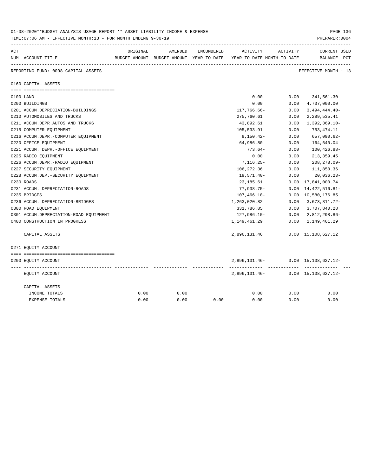|     | 01-08-2020**BUDGET ANALYSIS USAGE REPORT ** ASSET LIABILITY INCOME & EXPENSE<br>TIME: 07:06 AM - EFFECTIVE MONTH: 13 - FOR MONTH ENDING 9-30-19 |          |         |      |                                                                                            |          | PAGE 136<br>PREPARER: 0004                         |
|-----|-------------------------------------------------------------------------------------------------------------------------------------------------|----------|---------|------|--------------------------------------------------------------------------------------------|----------|----------------------------------------------------|
| ACT | NUM ACCOUNT-TITLE                                                                                                                               | ORIGINAL | AMENDED |      | ENCUMBERED ACTIVITY<br>BUDGET-AMOUNT BUDGET-AMOUNT YEAR-TO-DATE YEAR-TO-DATE MONTH-TO-DATE | ACTIVITY | <b>CURRENT USED</b><br>BALANCE PCT                 |
|     | REPORTING FUND: 0098 CAPITAL ASSETS                                                                                                             |          |         |      |                                                                                            |          | EFFECTIVE MONTH - 13                               |
|     | 0160 CAPITAL ASSETS                                                                                                                             |          |         |      |                                                                                            |          |                                                    |
|     |                                                                                                                                                 |          |         |      |                                                                                            |          |                                                    |
|     | 0100 LAND                                                                                                                                       |          |         |      | 0.00                                                                                       |          | $0.00$ $341,561.30$                                |
|     | 0200 BUILDINGS                                                                                                                                  |          |         |      | 0.00                                                                                       | 0.00     | 4,737,000.00                                       |
|     | 0201 ACCUM.DEPRECIATION-BUILDINGS                                                                                                               |          |         |      | 117,766.66-                                                                                | 0.00     | $3,494,444.40-$                                    |
|     | 0210 AUTOMOBILES AND TRUCKS                                                                                                                     |          |         |      | 275,760.61                                                                                 | 0.00     | 2,289,535.41                                       |
|     | 0211 ACCUM.DEPR.AUTOS AND TRUCKS                                                                                                                |          |         |      | 43,892.61                                                                                  | 0.00     | 1,392,369.10-                                      |
|     | 0215 COMPUTER EQUIPMENT                                                                                                                         |          |         |      | 105,533.91                                                                                 | 0.00     | 753,474.11                                         |
|     | 0216 ACCUM.DEPR.-COMPUTER EQUIPMENT                                                                                                             |          |         |      | $9,150.42-$                                                                                | 0.00     | 657,090.62-                                        |
|     | 0220 OFFICE EQUIPMENT                                                                                                                           |          |         |      | 64,986.80                                                                                  | 0.00     | 164,640.04                                         |
|     | 0221 ACCUM. DEPR. - OFFICE EQUIPMENT                                                                                                            |          |         |      | 773.64-                                                                                    | 0.00     | $100, 426.88 -$                                    |
|     | 0225 RADIO EQUIPMENT                                                                                                                            |          |         |      | 0.00                                                                                       | 0.00     | 213, 359.45                                        |
|     | 0226 ACCUM.DEPR.-RADIO EQUIPMENT                                                                                                                |          |         |      | $7,116.25-$                                                                                | 0.00     | $208, 278.09 -$                                    |
|     | 0227 SECURITY EQUIPMENT                                                                                                                         |          |         |      | 106,272.36                                                                                 | 0.00     | 111,850.36                                         |
|     | 0228 ACCUM.DEP. - SECURITY EQUIPMENT                                                                                                            |          |         |      | 19,571.40-                                                                                 | 0.00     | 20,036.23-                                         |
|     | 0230 ROADS                                                                                                                                      |          |         |      | 23,185.61                                                                                  |          | $0.00 \quad 17,841,000.74$                         |
|     | 0231 ACCUM. DEPRECIATION-ROADS                                                                                                                  |          |         |      | 77,938.75-                                                                                 |          | $0.00 \quad 14,422,516.81$ -                       |
|     | 0235 BRIDGES                                                                                                                                    |          |         |      | 107,466.18-                                                                                |          | 0.00 10,580,176.85                                 |
|     | 0236 ACCUM. DEPRECIATION-BRIDGES                                                                                                                |          |         |      | 1,263,020.82                                                                               |          | $0.00 \quad 3,673,811.72$ -                        |
|     | 0300 ROAD EQUIPMENT                                                                                                                             |          |         |      | 331,786.85                                                                                 |          | $0.00 \quad 3,707,840.28$                          |
|     | 0301 ACCUM.DEPRECIATION-ROAD EQUIPMENT                                                                                                          |          |         |      | 127,986.10-                                                                                |          | $0.00 \quad 2,812,298.86 -$                        |
|     | 0400 CONSTRUCTION IN PROGRESS                                                                                                                   |          |         |      | 1,149,461.29<br>------------- ------------                                                 |          | $0.00 \quad 1,149,461.29$<br>-------------         |
|     | CAPITAL ASSETS                                                                                                                                  |          |         |      | 2,896,131.46                                                                               |          | $0.00 \quad 15,108,627.12$                         |
|     | 0271 EQUITY ACCOUNT                                                                                                                             |          |         |      |                                                                                            |          |                                                    |
|     |                                                                                                                                                 |          |         |      |                                                                                            |          |                                                    |
|     | 0200 EQUITY ACCOUNT                                                                                                                             |          |         |      | ------------- ------------                                                                 |          | 2,896,131.46- 0.00 15,108,627.12-<br>------------- |
|     | EQUITY ACCOUNT                                                                                                                                  |          |         |      | 2,896,131.46-                                                                              |          | $0.00 \quad 15,108,627.12 -$                       |
|     | CAPITAL ASSETS                                                                                                                                  |          |         |      |                                                                                            |          |                                                    |
|     | INCOME TOTALS                                                                                                                                   | 0.00     | 0.00    |      | 0.00                                                                                       | 0.00     | 0.00                                               |
|     | <b>EXPENSE TOTALS</b>                                                                                                                           | 0.00     | 0.00    | 0.00 | 0.00                                                                                       | 0.00     | 0.00                                               |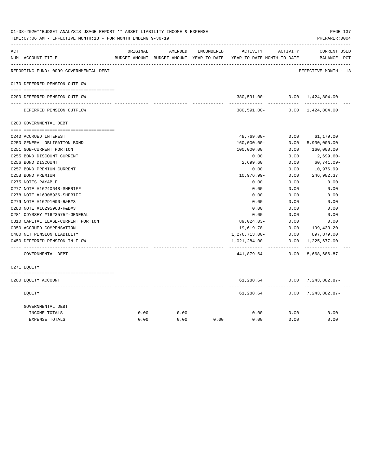|     | 01-08-2020**BUDGET ANALYSIS USAGE REPORT ** ASSET LIABILITY INCOME & EXPENSE<br>TIME: 07:06 AM - EFFECTIVE MONTH: 13 - FOR MONTH ENDING 9-30-19 |          |         |            |                                                                     |                 | PAGE 137<br>PREPARER: 0004    |
|-----|-------------------------------------------------------------------------------------------------------------------------------------------------|----------|---------|------------|---------------------------------------------------------------------|-----------------|-------------------------------|
| ACT |                                                                                                                                                 | ORIGINAL | AMENDED | ENCUMBERED | ACTIVITY                                                            | ACTIVITY        | <b>CURRENT USED</b>           |
|     | NUM ACCOUNT-TITLE                                                                                                                               |          |         |            | BUDGET-AMOUNT BUDGET-AMOUNT YEAR-TO-DATE YEAR-TO-DATE MONTH-TO-DATE |                 | BALANCE PCT                   |
|     | REPORTING FUND: 0099 GOVERNMENTAL DEBT                                                                                                          |          |         |            |                                                                     |                 | EFFECTIVE MONTH - 13          |
|     | 0170 DEFERRED PENSION OUTFLOW                                                                                                                   |          |         |            |                                                                     |                 |                               |
|     | 0200 DEFERRED PENSION OUTFLOW                                                                                                                   |          |         |            |                                                                     | ---------       | 380,591.00- 0.00 1,424,804.00 |
|     | DEFERRED PENSION OUTFLOW                                                                                                                        |          |         |            |                                                                     |                 | 380,591.00- 0.00 1,424,804.00 |
|     | 0200 GOVERNMENTAL DEBT                                                                                                                          |          |         |            |                                                                     |                 |                               |
|     |                                                                                                                                                 |          |         |            |                                                                     |                 |                               |
|     | 0240 ACCRUED INTEREST                                                                                                                           |          |         |            | $48,769.00 -$                                                       | 0.00            | 61,179.00                     |
|     | 0250 GENERAL OBLIGATION BOND                                                                                                                    |          |         |            | $160,000.00 -$                                                      | 0.00            | 5,930,000.00                  |
|     | 0251 GOB-CURRENT PORTION                                                                                                                        |          |         |            | 100,000.00                                                          | 0.00            | 160,000.00                    |
|     | 0255 BOND DISCOUNT CURRENT                                                                                                                      |          |         |            | 0.00                                                                | 0.00            | $2,699.60-$                   |
|     | 0256 BOND DISCOUNT                                                                                                                              |          |         |            | 2,699.60                                                            | 0.00            | $60,741.09 -$                 |
|     | 0257 BOND PREMIUM CURRENT                                                                                                                       |          |         |            | 0.00                                                                | 0.00            | 10,976.99                     |
|     | 0258 BOND PREMIUM                                                                                                                               |          |         |            | $10,976.99 -$                                                       | 0.00            | 246,982.37                    |
|     | 0275 NOTES PAYABLE                                                                                                                              |          |         |            | 0.00                                                                | 0.00            | 0.00                          |
|     | 0277 NOTE #16240648-SHERIFF                                                                                                                     |          |         |            | 0.00                                                                | 0.00            | 0.00                          |
|     | 0278 NOTE #16308936-SHERIFF                                                                                                                     |          |         |            | 0.00                                                                | 0.00            | 0.00                          |
|     | 0279 NOTE #16291000-R&B#3                                                                                                                       |          |         |            | 0.00                                                                | 0.00            | 0.00                          |
|     | 0280 NOTE #16295968-R&B#3                                                                                                                       |          |         |            | 0.00                                                                | 0.00            | 0.00                          |
|     | 0281 ODYSSEY #16235752-GENERAL                                                                                                                  |          |         |            | 0.00                                                                | 0.00            | 0.00                          |
|     | 0310 CAPITAL LEASE-CURRENT PORTION                                                                                                              |          |         |            | $89,024.03 -$                                                       | 0.00            | 0.00                          |
|     | 0350 ACCRUED COMPENSATION                                                                                                                       |          |         |            | 19,619.78                                                           | 0.00            | 199,433.20                    |
|     | 0400 NET PENSION LIABILITY                                                                                                                      |          |         |            | 1,276,713.00-                                                       | 0.00            | 897,879.00                    |
|     | 0450 DEFERRED PENSION IN FLOW                                                                                                                   |          |         |            | 1,021,284.00                                                        | 0.00            | 1,225,677.00                  |
|     | GOVERNMENTAL DEBT                                                                                                                               |          |         |            | . <u>.</u><br>441,879.64-                                           | -------<br>0.00 | -------------<br>8,668,686.87 |
|     | 0271 EQUITY                                                                                                                                     |          |         |            |                                                                     |                 |                               |
|     | 0200 EQUITY ACCOUNT                                                                                                                             |          |         |            | 61,288.64                                                           |                 | $0.00$ 7, 243, 882.87-        |
|     | EOUITY                                                                                                                                          |          |         |            | 61,288.64                                                           |                 | $0.00$ 7, 243, 882.87-        |
|     | GOVERNMENTAL DEBT                                                                                                                               |          |         |            |                                                                     |                 |                               |
|     | INCOME TOTALS                                                                                                                                   | 0.00     | 0.00    |            | 0.00                                                                | 0.00            | 0.00                          |
|     | <b>EXPENSE TOTALS</b>                                                                                                                           | 0.00     | 0.00    | 0.00       | 0.00                                                                | 0.00            | 0.00                          |